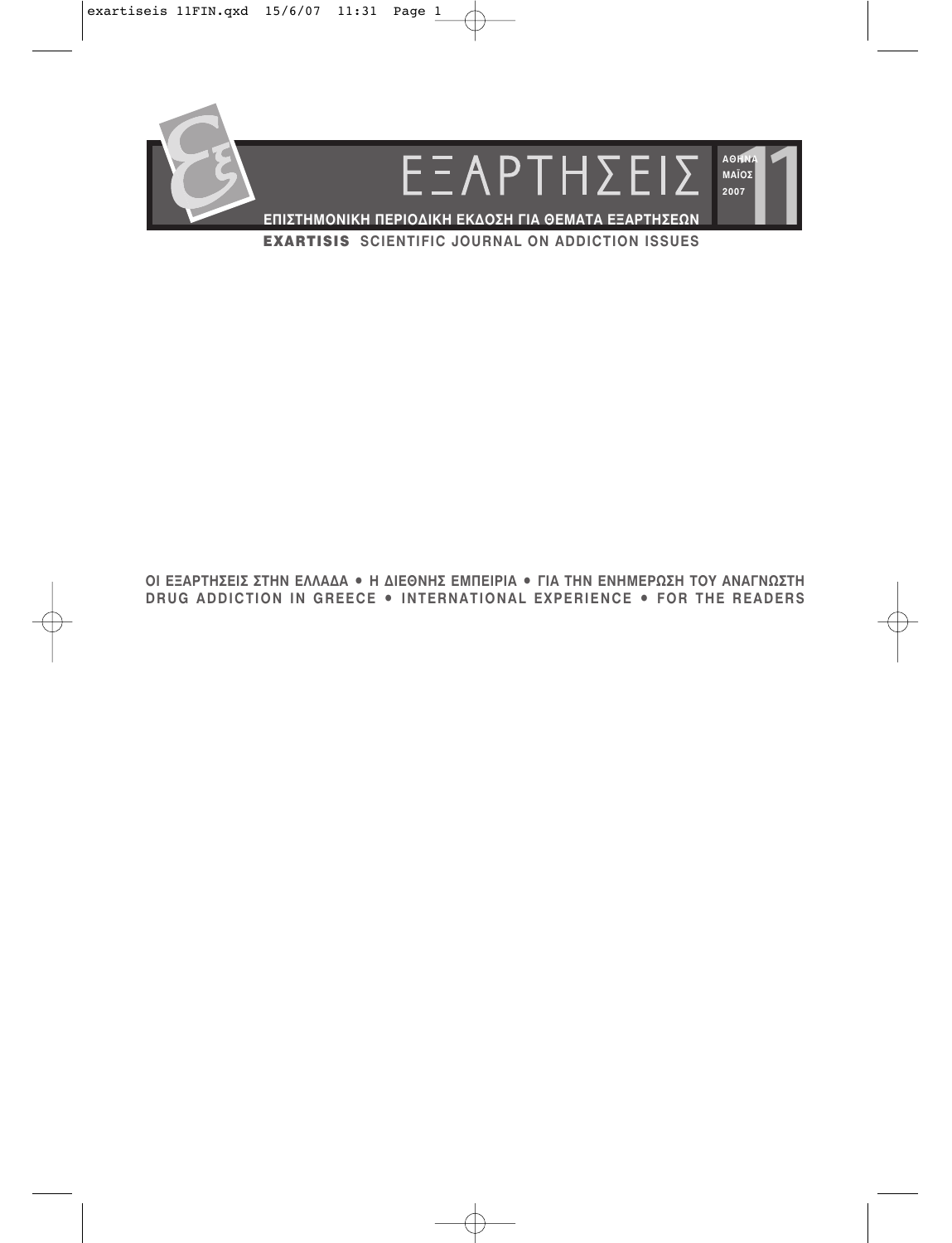



ΟΙ ΕΞΑΡΤΗΣΕΙΣ ΣΤΗΝ ΕΛΛΑΔΑ • Η ΔΙΕΘΝΗΣ ΕΜΠΕΙΡΙΑ • ΓΙΑ ΤΗΝ ΕΝΗΜΕΡΩΣΗ ΤΟΥ ΑΝΑΓΝΩΣΤΗ DRUG ADDICTION IN GREECE . INTERNATIONAL EXPERIENCE . FOR THE READERS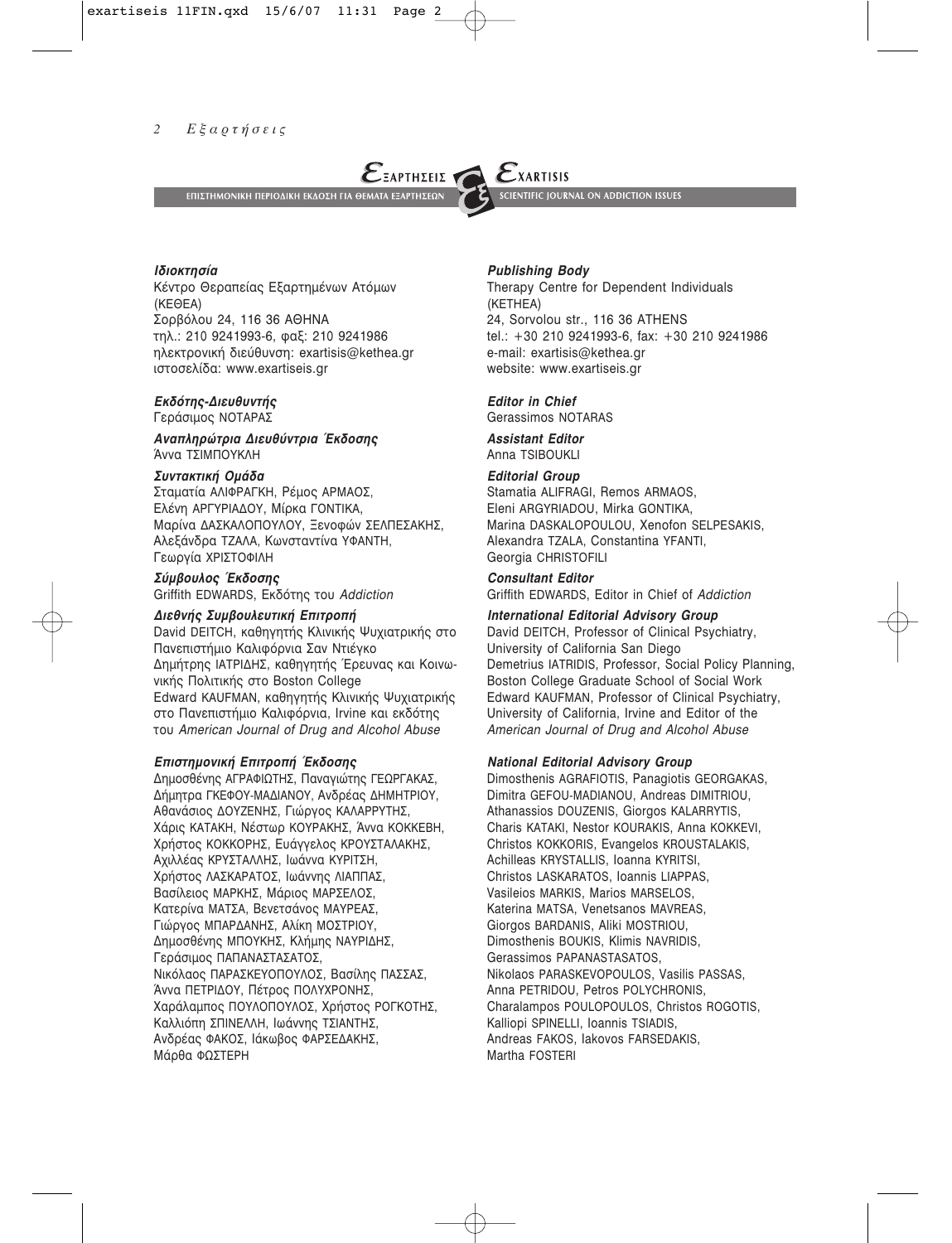

INTIFIC IOURNAL ON ADDICTION ISSUES

#### *Ιδιοκτησία*

Κέντρο Θεραπείας Εξαρτημένων Ατόμων (∫∂£∂∞) Σορβόλου 24, 116 36 ΑΘΗΝΑ τηλ.: 210 9241993-6, φαξ: 210 9241986 ηλεκτρονική διεύθυνση: exartisis@kethea.gr ιστοσελίδα: www.exartiseis.gr

#### *<i>Εκδότης-Διευθυντής*

Γεράσιμος ΝΟΤΑΡΑΣ

 $A$ ναπληρώτρια Διευθύντρια Έκδοσης Άννα ΤΣΙΜΠΟΥΚΛΗ

#### Συντακτική Ομάδα

Σταματία ΑΛΙΦΡΑΓΚΗ, Ρέμος ΑΡΜΑΟΣ, Ελένη ΑΡΓΥΡΙΑΔΟΥ, Μίρκα ΓΟΝΤΙΚΑ, Μαρίνα ΔΑΣΚΑΛΟΠΟΥΛΟΥ, Ξενοφών ΣΕΛΠΕΣΑΚΗΣ, Αλεξάνδρα ΤΖΑΛΑ, Κωνσταντίνα ΥΦΑΝΤΗ, Γεωργία ΧΡΙΣΤΟΦΙΛΗ

#### *Σύμβουλος Έκδοσης*

Griffith EDWARDS, Εκδότης του Addiction

#### Διεθνής Συμβουλευτική Επιτροπή

David DEITCH, καθηγητής Κλινικής Ψυχιατρικής στο Πανεπιστήμιο Καλιφόρνια Σαν Ντιέγκο Δημήτρης ΙΑΤΡΙΔΗΣ, καθηγητής Έρευνας και Κοινωνικής Πολιτικής στο Boston College Edward KAUFMAN, καθηγητής Κλινικής Ψυχιατρικής στο Πανεπιστήμιο Καλιφόρνια, Irvine και εκδότης ÙÔ˘ *∞merican Journal of Drug and Alcohol Abuse*

#### *<i><del>Ēπιστημονική Επιτροπή Έκδοσης*</del>

Δημοσθένης ΑΓΡΑΦΙΩΤΗΣ, Παναγιώτης ΓΕΩΡΓΑΚΑΣ, Δήμητρα ΓΚΕΦΟΥ-ΜΑΔΙΑΝΟΥ, Ανδρέας ΔΗΜΗΤΡΙΟΥ, Αθανάσιος ΔΟΥΖΕΝΗΣ, Γιώργος ΚΑΛΑΡΡΥΤΗΣ, Χάρις ΚΑΤΑΚΗ, Νέστωρ ΚΟΥΡΑΚΗΣ, Άννα ΚΟΚΚΕΒΗ, Χρήστος ΚΟΚΚΟΡΗΣ, Ευάγγελος ΚΡΟΥΣΤΑΛΑΚΗΣ, Αχιλλέας ΚΡΥΣΤΑΛΛΗΣ, Ιωάννα ΚΥΡΙΤΣΗ, Χρήστος ΛΑΣΚΑΡΑΤΟΣ, Ιωάννης ΛΙΑΠΠΑΣ, Βασίλειος ΜΑΡΚΗΣ, Μάριος ΜΑΡΣΕΛΟΣ, Κατερίνα ΜΑΤΣΑ, Βενετσάνος ΜΑΥΡΕΑΣ, Γιώργος ΜΠΑΡΔΑΝΗΣ, Αλίκη ΜΟΣΤΡΙΟΥ, Δημοσθένης ΜΠΟΥΚΗΣ, Κλήμης ΝΑΥΡΙΔΗΣ, Γεράσιμος ΠΑΠΑΝΑΣΤΑΣΑΤΟΣ, Νικόλαος ΠΑΡΑΣΚΕΥΟΠΟΥΛΟΣ, Βασίλης ΠΑΣΣΑΣ, Άννα ΠΕΤΡΙΔΟΥ, Πέτρος ΠΟΛΥΧΡΟΝΗΣ, Χαράλαμπος ΠΟΥΛΟΠΟΥΛΟΣ, Χρήστος ΡΟΓΚΟΤΗΣ, Καλλιόπη ΣΠΙΝΕΛΛΗ, Ιωάννης ΤΣΙΑΝΤΗΣ, Ανδρέας ΦΑΚΟΣ, Ιάκωβος ΦΑΡΣΕΔΑΚΗΣ, Μάρθα ΦΩΣΤΕΡΗ

#### *Publishing Body*

Therapy Centre for Dependent Individuals (KETHEA) 24, Sorvolou str., 116 36 ATHENS tel.: +30 210 9241993-6, fax: +30 210 9241986 e-mail: exartisis@kethea.gr website: www.exartiseis.gr

#### *Editor in Chief*

Gerassimos NOTARAS

*Assistant Editor* Anna TSIBOUKLI

#### *Editorial Group*

Stamatia ALIFRAGI, Remos ARMAOS, Eleni ARGYRIADOU, Mirka GONTIKA, Marina DASKALOPOULOU, Xenofon SELPESAKIS, Alexandra TZALA, Constantina YFANTI, Georgia CHRISTOFILI

*Consultant Editor*  Griffith EDWARDS, Editor in Chief of *Addiction* 

*International Editorial Advisory Group*  David DEITCH, Professor of Clinical Psychiatry, University of California San Diego Demetrius IATRIDIS, Professor, Social Policy Planning, Boston College Graduate School of Social Work Edward KAUFMAN, Professor of Clinical Psychiatry, University of California, Irvine and Editor of the *∞merican Journal of Drug and Alcohol Abuse*

#### *National Editorial Advisory Group*

Dimosthenis AGRAFIOTIS, Panagiotis GEORGAKAS, Dimitra GEFOU-MADIANOU, Andreas DIMITRIOU, Athanassios DOUZENIS, Giorgos KALARRYTIS, Charis KATAKI, Nestor KOURAKIS, Anna KOKKEVI, Christos KOKKORIS, Evangelos KROUSTALAKIS, Achilleas KRYSTALLIS, Ioanna KYRITSI, Christos LASKARATOS, Ioannis LIAPPAS, Vasileios MARKIS, Marios MARSELOS, Katerina MATSA, Venetsanos MAVREAS, Giorgos BARDANIS, Aliki MOSTRIOU, Dimosthenis BOUKIS, Klimis NAVRIDIS, Gerassimos PAPANASTASATOS, Nikolaos PARASKEVOPOULOS, Vasilis PASSAS, Anna PETRIDOU, Petros POLYCHRONIS, Charalampos POULOPOULOS, Christos ROGOTIS, Kalliopi SPINELLI, Ioannis TSIADIS, Andreas FAKOS, Iakovos FARSEDAKIS, Martha FOSTERI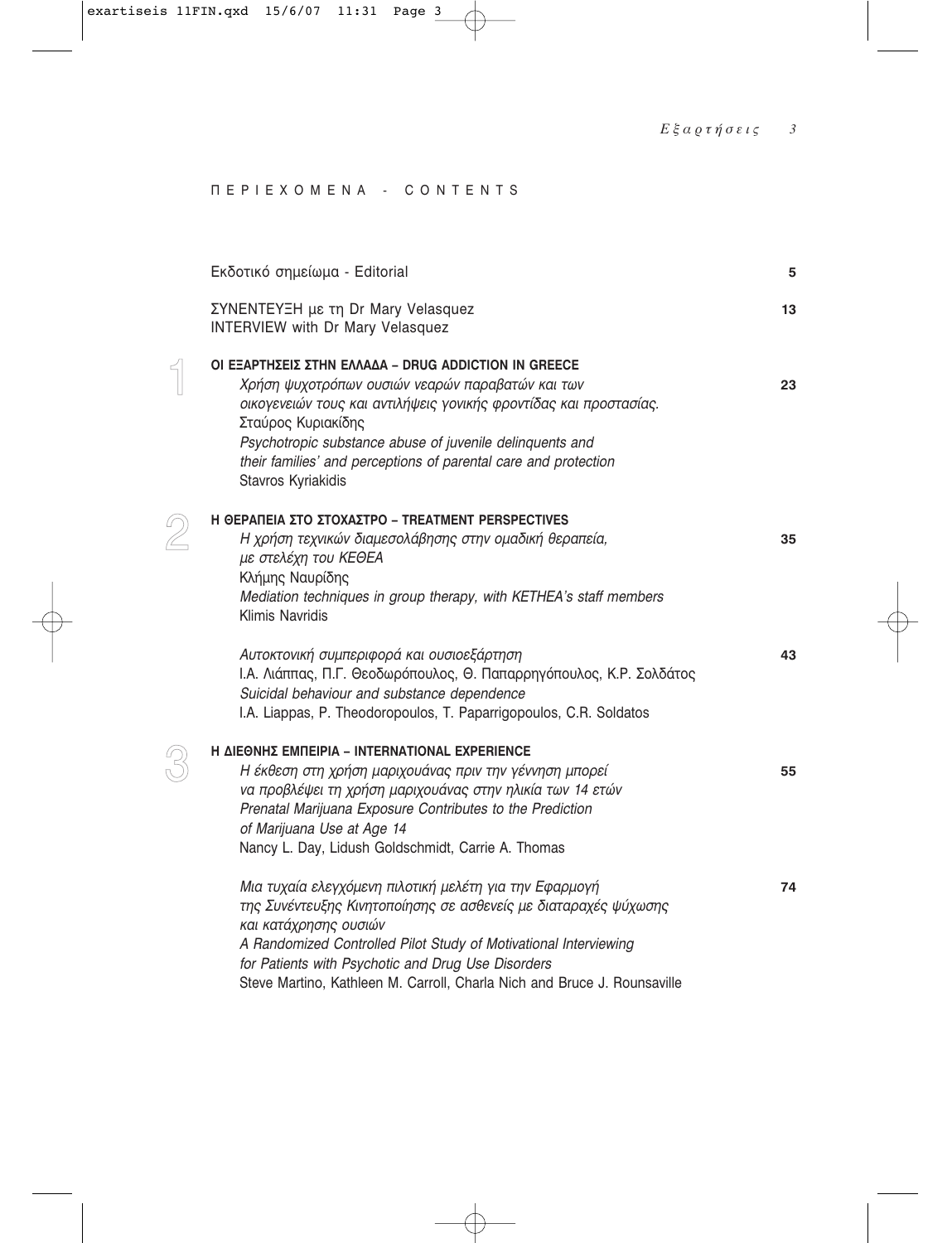# $\vert$ exartiseis 11FIN.qxd 15/6/07 11:31 Page  $3$

#### ¶∂ƒπ∂Ã√ª∂¡∞ - CONTENTS

| Εκδοτικό σημείωμα - Editorial                                                                                                                                                                                                                                                                                                                            | 5  |
|----------------------------------------------------------------------------------------------------------------------------------------------------------------------------------------------------------------------------------------------------------------------------------------------------------------------------------------------------------|----|
| ΣΥΝΕΝΤΕΥΞΗ με τη Dr Mary Velasquez<br><b>INTERVIEW with Dr Mary Velasquez</b>                                                                                                                                                                                                                                                                            | 13 |
| ΟΙ ΕΞΑΡΤΗΣΕΙΣ ΣΤΗΝ ΕΛΛΑΔΑ - DRUG ADDICTION IN GREECE<br>Χρήση ψυχοτρόπων ουσιών νεαρών παραβατών και των<br>οικογενειών τους και αντιλήψεις γονικής φροντίδας και προστασίας.<br>Σταύρος Κυριακίδης<br>Psychotropic substance abuse of juvenile delinquents and<br>their families' and perceptions of parental care and protection<br>Stavros Kyriakidis | 23 |
| Η ΘΕΡΑΠΕΙΑ ΣΤΟ ΣΤΟΧΑΣΤΡΟ – TREATMENT PERSPECTIVES<br>Η χρήση τεχνικών διαμεσολάβησης στην ομαδική θεραπεία,<br>με στελέχη του ΚΕΘΕΑ<br>Κλήμης Ναυρίδης<br>Mediation techniques in group therapy, with KETHEA's staff members<br>Klimis Navridis                                                                                                          | 35 |
| Αυτοκτονική συμπεριφορά και ουσιοεξάρτηση<br>Ι.Α. Λιάππας, Π.Γ. Θεοδωρόπουλος, Θ. Παπαρρηγόπουλος, Κ.Ρ. Σολδάτος<br>Suicidal behaviour and substance dependence<br>I.A. Liappas, P. Theodoropoulos, T. Paparrigopoulos, C.R. Soldatos                                                                                                                    | 43 |
| Η ΔΙΕΘΝΗΣ ΕΜΠΕΙΡΙΑ - INTERNATIONAL EXPERIENCE<br>Η έκθεση στη χρήση μαριχουάνας πριν την γέννηση μπορεί<br>να προβλέψει τη χρήση μαριχουάνας στην ηλικία των 14 ετών<br>Prenatal Marijuana Exposure Contributes to the Prediction<br>of Marijuana Use at Age 14<br>Nancy L. Day, Lidush Goldschmidt, Carrie A. Thomas                                    | 55 |
| Μια τυχαία ελεγχόμενη πιλοτική μελέτη για την Εφαρμογή<br>της Συνέντευξης Κινητοποίησης σε ασθενείς με διαταραχές ψύχωσης<br>και κατάχρησης ουσιών<br>A Randomized Controlled Pilot Study of Motivational Interviewing<br>for Patients with Psychotic and Drug Use Disorders<br>Steve Martino, Kathleen M. Carroll, Charla Nich and Bruce J. Rounsaville | 74 |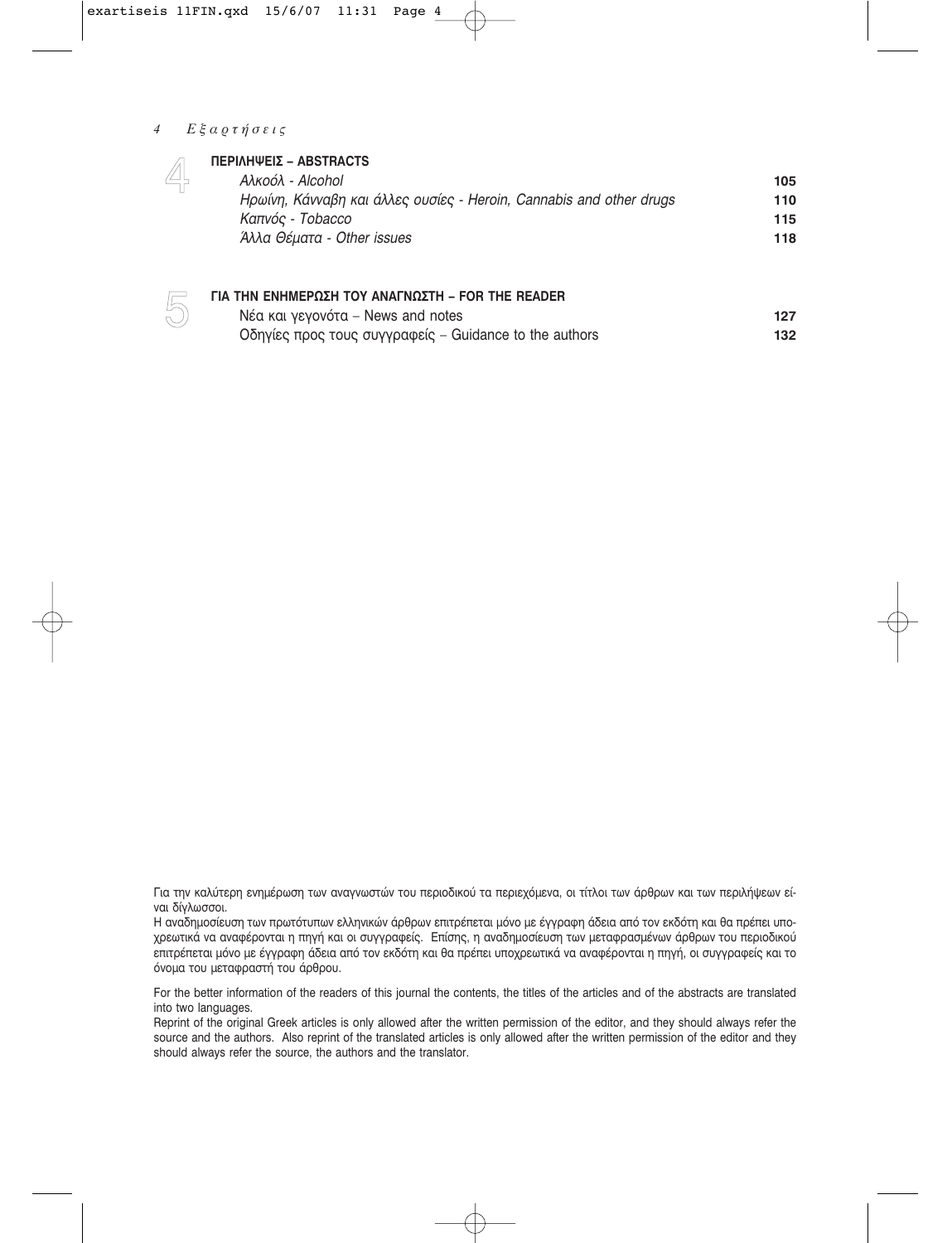**ΓΙΑ** 



| ΠΕΡΙΛΗΨΕΙΣ – ABSTRACTS                                              |     |
|---------------------------------------------------------------------|-----|
| Αλκοόλ - Alcohol                                                    | 105 |
| Hρωίνη, Κάνναβη και άλλες ουσίες - Heroin, Cannabis and other drugs | 110 |
| Καπνός - Tobacco                                                    | 115 |
| Άλλα Θέματα - Other issues                                          | 118 |
|                                                                     |     |



| THN ENHΜΕΡΩΣΗ ΤΟΥ ΑΝΑΓΝΩΣΤΗ – FOR THE READER |  |
|----------------------------------------------|--|
| Nέα και γεγονότα - News and notes            |  |

| - Νεα και γεγονοτα – News and notes                    | 127 |
|--------------------------------------------------------|-----|
| Οδηγίες προς τους συγγραφείς – Guidance to the authors | 132 |

Για την καλύτερη ενημέρωση των αναγνωστών του περιοδικού τα περιεχόμενα, οι τίτλοι των άρθρων και των περιλήψεων είναι δίγλωσσοι.

Η αναδημοσίευση των πρωτότυπων ελληνικών άρθρων επιτρέπεται μόνο με έγγραφη άδεια από τον εκδότη και θα πρέπει υποχρεωτικά να αναφέρονται η πηγή και οι συγγραφείς. Επίσης, η αναδημοσίευση των μεταφρασμένων άρθρων του περιοδικού επιτρέπεται μόνο με έγγραφη άδεια από τον εκδότη και θα πρέπει υποχρεωτικά να αναφέρονται η πηγή, οι συγγραφείς και το όνομα του μεταφραστή του άρθρου.

For the better information of the readers of this journal the contents, the titles of the articles and of the abstracts are translated into two languages.

Reprint of the original Greek articles is only allowed after the written permission of the editor, and they should always refer the source and the authors. Also reprint of the translated articles is only allowed after the written permission of the editor and they should always refer the source, the authors and the translator.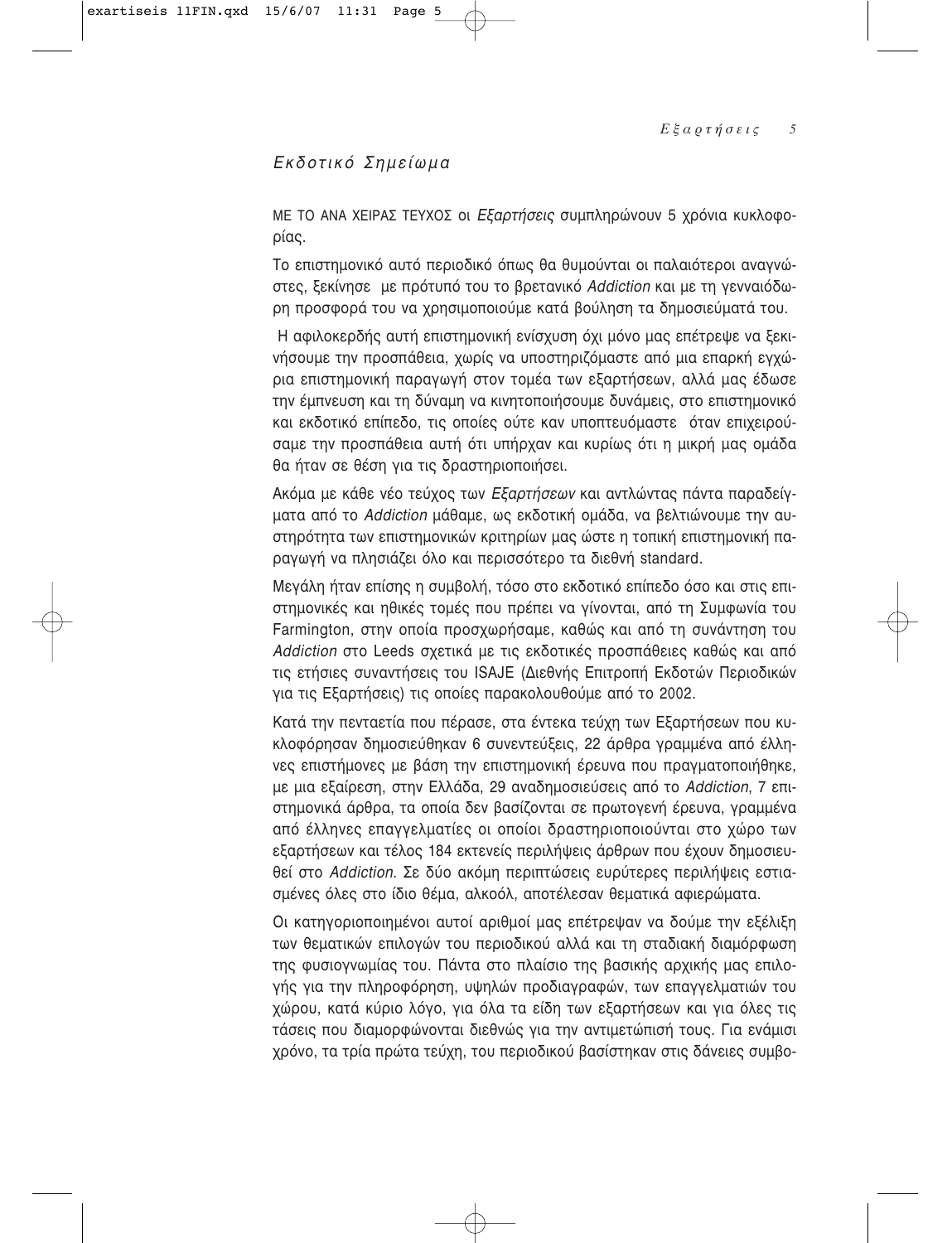#### Εκδοτικό Σημείωμα

ΜΕ ΤΟ ΑΝΑ ΧΕΙΡΑΣ ΤΕΥΧΟΣ οι Εξαρτήσεις συμπληρώνουν 5 χρόνια κυκλοφορίας.

Το επιστημονικό αυτό περιοδικό όπως θα θυμούνται οι παλαιότεροι αναγνώστες, ξεκίνησε με πρότυπό του το βρετανικό Addiction και με τη γενναιόδωρη προσφορά του να χρησιμοποιούμε κατά βούληση τα δημοσιεύματά του.

Η αφιλοκερδής αυτή επιστημονική ενίσχυση όχι μόνο μας επέτρεψε να ξεκινήσουμε την προσπάθεια, χωρίς να υποστηριζόμαστε από μια επαρκή εγχώρια επιστημονική παραγωγή στον τομέα των εξαρτήσεων, αλλά μας έδωσε την έμπνευση και τη δύναμη να κινητοποιήσουμε δυνάμεις, στο επιστημονικό και εκδοτικό επίπεδο, τις οποίες ούτε καν υποπτευόμαστε όταν επιχειρούσαμε την προσπάθεια αυτή ότι υπήρχαν και κυρίως ότι η μικρή μας ομάδα θα ήταν σε θέση για τις δραστηριοποιήσει.

Ακόμα με κάθε νέο τεύχος των Εξαρτήσεων και αντλώντας πάντα παραδείγματα από το *Addiction* μάθαμε, ως εκδοτική ομάδα, να βελτιώνουμε την αυστηρότητα των επιστημονικών κριτηρίων μας ώστε η τοπική επιστημονική παραγωγή να πλησιάζει όλο και περισσότερο τα διεθνή standard.

Μεγάλη ήταν επίσης η συμβολή, τόσο στο εκδοτικό επίπεδο όσο και στις επιστημονικές και ηθικές τομές που πρέπει να γίνονται, από τη Συμφωνία του Farmington, στην οποία προσχωρήσαμε, καθώς και από τη συνάντηση του Addiction στο Leeds σχετικά με τις εκδοτικές προσπάθειες καθώς και από τις ετήσιες συναντήσεις του ISAJE (Διεθνής Επιτροπή Εκδοτών Περιοδικών για τις Εξαρτήσεις) τις οποίες παρακολουθούμε από το 2002.

Κατά την πενταετία που πέρασε, στα έντεκα τεύχη των Εξαρτήσεων που κυκλοφόρησαν δημοσιεύθηκαν 6 συνεντεύξεις, 22 άρθρα γραμμένα από έλληνες επιστήμονες με βάση την επιστημονική έρευνα που πραγματοποιήθηκε, με μια εξαίρεση, στην Ελλάδα, 29 αναδημοσιεύσεις από το Addiction, 7 επιστημονικά άρθρα, τα οποία δεν βασίζονται σε πρωτογενή έρευνα, γραμμένα από έλληνες επαγγελματίες οι οποίοι δραστηριοποιούνται στο χώρο των εξαρτήσεων και τέλος 184 εκτενείς περιλήψεις άρθρων που έχουν δημοσιευθεί στο Addiction. Σε δύο ακόμη περιπτώσεις ευρύτερες περιλήψεις εστιασμένες όλες στο ίδιο θέμα, αλκοόλ, αποτέλεσαν θεματικά αφιερώματα.

Οι κατηγοριοποιημένοι αυτοί αριθμοί μας επέτρεψαν να δούμε την εξέλιξη των θεματικών επιλογών του περιοδικού αλλά και τη σταδιακή διαμόρφωση της φυσιογνωμίας του. Πάντα στο πλαίσιο της βασικής αρχικής μας επιλογής για την πληροφόρηση, υψηλών προδιαγραφών, των επαγγελματιών του χώρου, κατά κύριο λόγο, για όλα τα είδη των εξαρτήσεων και για όλες τις τάσεις που διαμορφώνονται διεθνώς για την αντιμετώπισή τους. Για ενάμισι χρόνο, τα τρία πρώτα τεύχη, του περιοδικού βασίστηκαν στις δάνειες συμβο-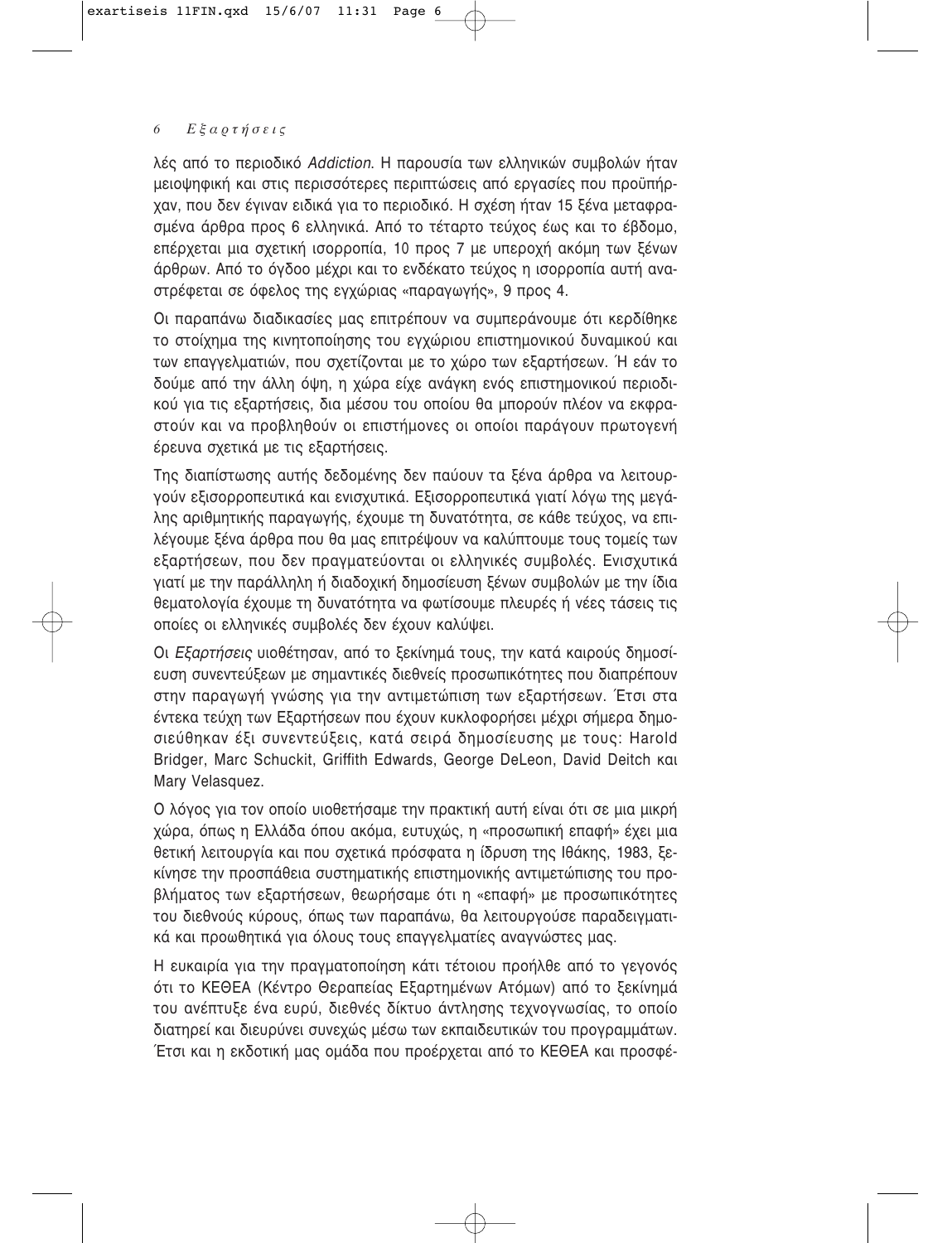λές από το περιοδικό *Addiction*. Η παρουσία των ελληνικών συμβολών ήταν μειοψηφική και στις περισσότερες περιπτώσεις από εργασίες που προϋπήρχαν, που δεν έγιναν ειδικά για το περιοδικό. Η σχέση ήταν 15 ξένα μεταφρασμένα άρθρα προς 6 ελληνικά. Από το τέταρτο τεύχος έως και το έβδομο, επέρχεται μια σχετική ισορροπία, 10 προς 7 με υπεροχή ακόμη των ξένων άρθρων. Από το όγδοο μέχρι και το ενδέκατο τεύχος η ισορροπία αυτή αναστρέφεται σε όφελος της εγχώριας «παραγωγής», 9 προς 4.

Οι παραπάνω διαδικασίες μας επιτρέπουν να συμπεράνουμε ότι κερδίθηκε το στοίχημα της κινητοποίησης του εγχώριου επιστημονικού δυναμικού και των επαγγελματιών, που σχετίζονται με το χώρο των εξαρτήσεων. Ή εάν το δούμε από την άλλη όψη, η χώρα είχε ανάγκη ενός επιστημονικού περιοδικού για τις εξαρτήσεις, δια μέσου του οποίου θα μπορούν πλέον να εκφραστούν και να προβληθούν οι επιστήμονες οι οποίοι παράγουν πρωτογενή έρευνα σχετικά με τις εξαρτήσεις.

Tης διαπίστωσης αυτής δεδομένης δεν παύουν τα ξένα άρθρα να λειτουργούν εξισορροπευτικά και ενισχυτικά. Εξισορροπευτικά γιατί λόγω της μεγάλης αριθμητικής παραγωγής, έχουμε τη δυνατότητα, σε κάθε τεύχος, να επιλέγουμε ξένα άρθρα που θα μας επιτρέψουν να καλύπτουμε τους τομείς των εξαρτήσεων, που δεν πραγματεύονται οι ελληνικές συμβολές. Ενισχυτικά γιατί με την παράλληλη ή διαδοχική δημοσίευση ξένων συμβολών με την ίδια θεματολογία έχουμε τη δυνατότητα να φωτίσουμε πλευρές ή νέες τάσεις τις οποίες οι ελληνικές συμβολές δεν έχουν καλύψει.

Οι *Εξαρτήσεις* υιοθέτησαν, από το ξεκίνημά τους, την κατά καιρούς δημοσίευση συνεντεύξεων με σημαντικές διεθνείς προσωπικότητες που διαπρέπουν στην παραγωγή γνώσης για την αντιμετώπιση των εξαρτήσεων. Έτσι στα έντεκα τεύχη των Εξαρτήσεων που έχουν κυκλοφορήσει μέχρι σήμερα δημοσιεύθηκαν έξι συνεντεύξεις, κατά σειρά δημοσίευσης με τους: Harold Bridger, Marc Schuckit, Griffith Edwards, George DeLeon, David Deitch και Mary Velasquez.

Ο λόγος για τον οποίο υιοθετήσαμε την πρακτική αυτή είναι ότι σε μια μικρή χώρα, όπως η Ελλάδα όπου ακόμα, ευτυχώς, η «προσωπική επαφή» έχει μια θετική λειτουργία και που σχετικά πρόσφατα η ίδρυση της Ιθάκης, 1983, ξεκίνησε την προσπάθεια συστηματικής επιστημονικής αντιμετώπισης του προβλήματος των εξαρτήσεων, θεωρήσαμε ότι η «επαφή» με προσωπικότητες του διεθνούς κύρους, όπως των παραπάνω, θα λειτουργούσε παραδειγματικά και προωθητικά για όλους τους επαγγελματίες αναγνώστες μας.

Η ευκαιρία για την πραγματοποίηση κάτι τέτοιου προήλθε από το γεγονός ότι το ΚΕΘΕΑ (Κέντρο Θεραπείας Εξαρτημένων Ατόμων) από το ξεκίνημά του ανέπτυξε ένα ευρύ, διεθνές δίκτυο άντλησης τεχνογνωσίας, το οποίο διατηρεί και διευρύνει συνεχώς μέσω των εκπαιδευτικών του προγραμμάτων. Έτσι και η εκδοτική μας ομάδα που προέρχεται από το KEΘEA και προσφέ-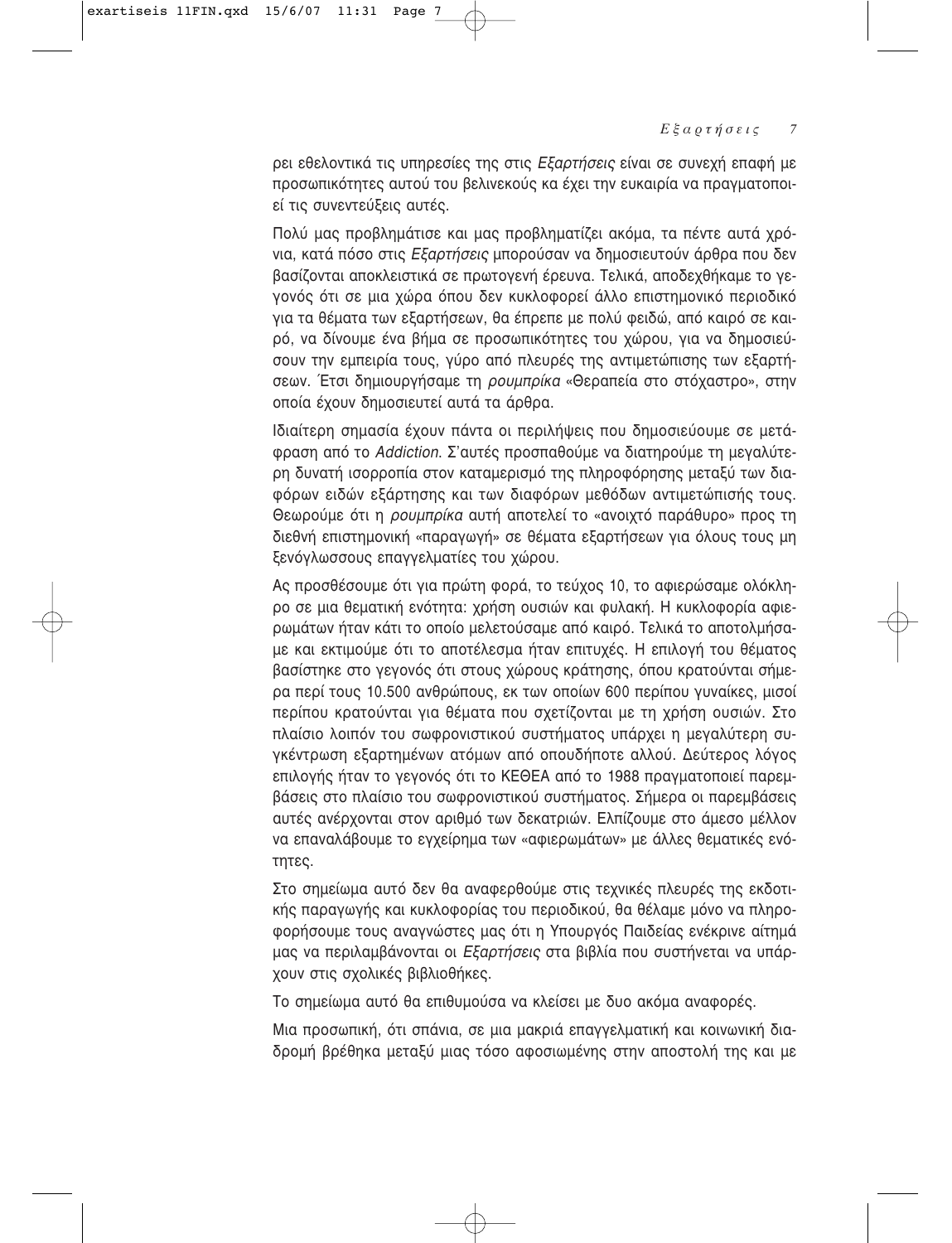ρει εθελοντικά τις υπηρεσίες της στις *Εξαρτήσεις* είναι σε συνεχή επαφή με προσωπικότητες αυτού του βελινεκούς κα έχει την ευκαιρία να πραγματοποιεί τις συνεντεύξεις αυτές.

Πολύ μας προβλημάτισε και μας προβληματίζει ακόμα, τα πέντε αυτά χρόνια, κατά πόσο στις *Εξαρτήσεις* μπορούσαν να δημοσιευτούν άρθρα που δεν βασίζονται αποκλειστικά σε πρωτογενή έρευνα. Τελικά, αποδεχθήκαμε το γεγονός ότι σε μια χώρα όπου δεν κυκλοφορεί άλλο επιστημονικό περιοδικό για τα θέματα των εξαρτήσεων, θα έπρεπε με πολύ φειδώ, από καιρό σε καιρό, να δίνουμε ένα βήμα σε προσωπικότητες του χώρου, για να δημοσιεύσουν την εμπειρία τους, γύρο από πλευρές της αντιμετώπισης των εξαρτήσεων. Έτσι δημιουργήσαμε τη *ρουμπρίκα* «Θεραπεία στο στόχαστρο», στην οποία έχουν δημοσιευτεί αυτά τα άρθρα.

Ιδιαίτερη σημασία έχουν πάντα οι περιλήψεις που δημοσιεύουμε σε μετάφραση από το *Addiction*. Σ'αυτές προσπαθούμε να διατηρούμε τη μεγαλύτερη δυνατή ισορροπία στον καταμερισμό της πληροφόρησης μεταξύ των διαφόρων ειδών εξάρτησης και των διαφόρων μεθόδων αντιμετώπισής τους. Θεωρούμε ότι η *ρουμπρίκα* αυτή αποτελεί το «ανοιχτό παράθυρο» προς τη διεθνή επιστημονική «παραγωγή» σε θέματα εξαρτήσεων για όλους τους μη ξενόγλωσσους επαγγελματίες του χώρου.

Ας προσθέσουμε ότι για πρώτη φορά, το τεύχος 10, το αφιερώσαμε ολόκλη− ρο σε μια θεματική ενότητα: χρήση ουσιών και φυλακή. Η κυκλοφορία αφιερωμάτων ήταν κάτι το οποίο μελετούσαμε από καιρό. Τελικά το αποτολμήσαμε και εκτιμούμε ότι το αποτέλεσμα ήταν επιτυχές. Η επιλογή του θέματος βασίστηκε στο γεγονός ότι στους χώρους κράτησης, όπου κρατούνται σήμερα περί τους 10.500 ανθρώπους, εκ των οποίων 600 περίπου γυναίκες, μισοί περίπου κρατούνται για θέματα που σχετίζονται με τη χρήση ουσιών. Στο πλαίσιο λοιπόν του σωφρονιστικού συστήματος υπάρχει η μεγαλύτερη συγκέντρωση εξαρτημένων ατόμων από οπουδήποτε αλλού. Δεύτερος λόγος επιλογής ήταν το γεγονός ότι το KEΘEA από το 1988 πραγματοποιεί παρεμβάσεις στο πλαίσιο του σωφρονιστικού συστήματος. Σήμερα οι παρεμβάσεις αυτές ανέρχονται στον αριθμό των δεκατριών. Ελπίζουμε στο άμεσο μέλλον να επαναλάβουμε το εγχείρημα των «αφιερωμάτων» με άλλες θεματικές ενό-TNTEC.

Στο σημείωμα αυτό δεν θα αναφερθούμε στις τεχνικές πλευρές της εκδοτικής παραγωγής και κυκλοφορίας του περιοδικού, θα θέλαμε μόνο να πληροφορήσουμε τους αναγνώστες μας ότι η Υπουργός Παιδείας ενέκρινε αίτημά μας να περιλαμβάνονται οι *Εξαρτήσεις* στα βιβλία που συστήνεται να υπάρχουν στις σχολικές βιβλιοθήκες.

Το σημείωμα αυτό θα επιθυμούσα να κλείσει με δυο ακόμα αναφορές.

Μια προσωπική, ότι σπάνια, σε μια μακριά επαγγελματική και κοινωνική διαδρομή βρέθηκα μεταξύ μιας τόσο αφοσιωμένης στην αποστολή της και με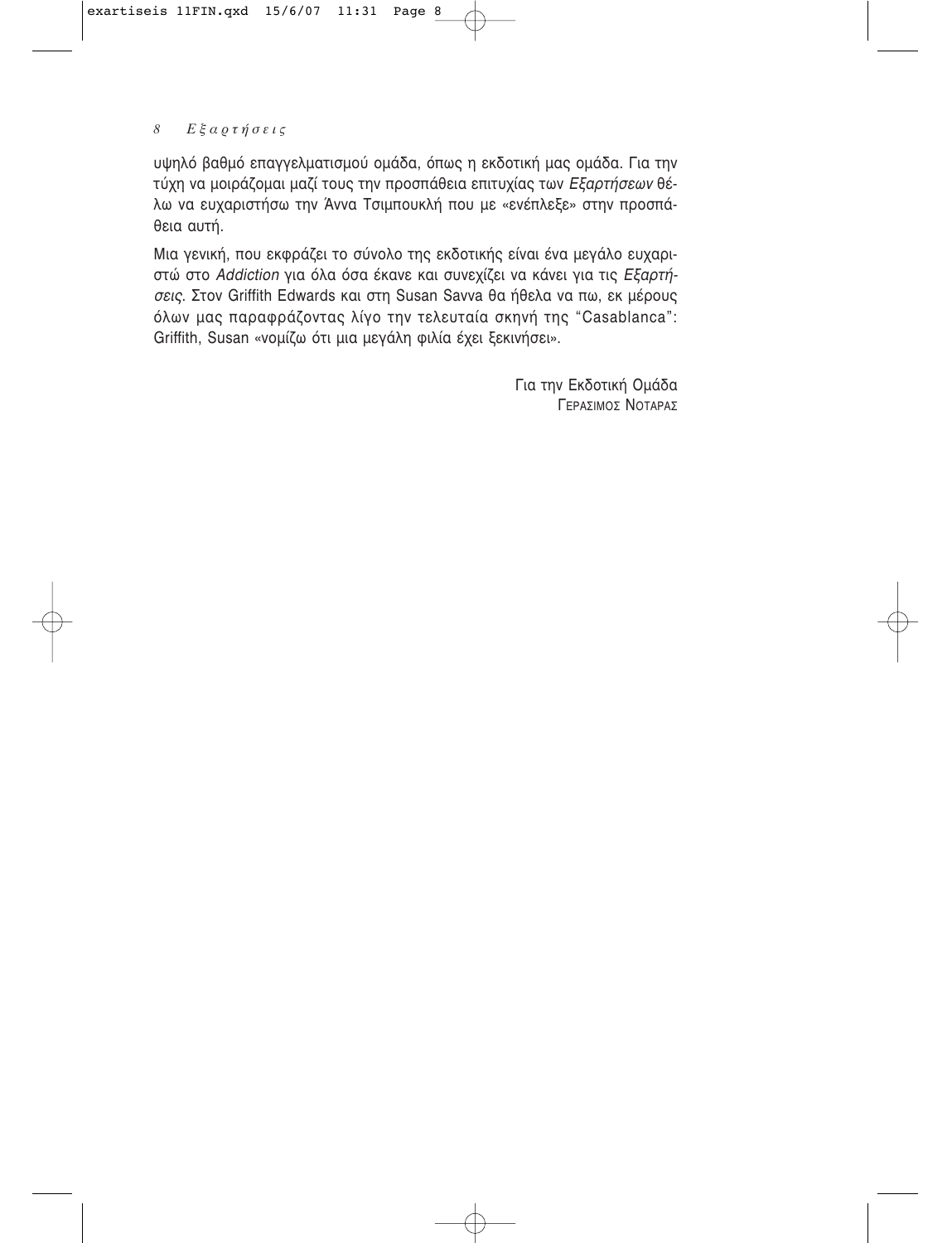υψηλό βαθμό επαγγελματισμού ομάδα, όπως η εκδοτική μας ομάδα. Για την τύχη να μοιράζομαι μαζί τους την προσπάθεια επιτυχίας των Εξαρτήσεων θέλω να ευχαριστήσω την Άννα Τσιμπουκλή που με «ενέπλεξε» στην προσπάθεια αυτή.

Μια γενική, που εκφράζει το σύνολο της εκδοτικής είναι ένα μεγάλο ευχαριστώ στο Addiction για όλα όσα έκανε και συνεχίζει να κάνει για τις Εξαρτήσεις. Στον Griffith Edwards και στη Susan Savva θα ήθελα να πω, εκ μέρους όλων μας παραφράζοντας λίγο την τελευταία σκηνή της "Casablanca": Griffith, Susan «νομίζω ότι μια μεγάλη φιλία έχει ξεκινήσει».

> Για την Εκδοτική Ομάδα ΓΕΡΑΣΙΜΟΣ ΝΟΤΑΡΑΣ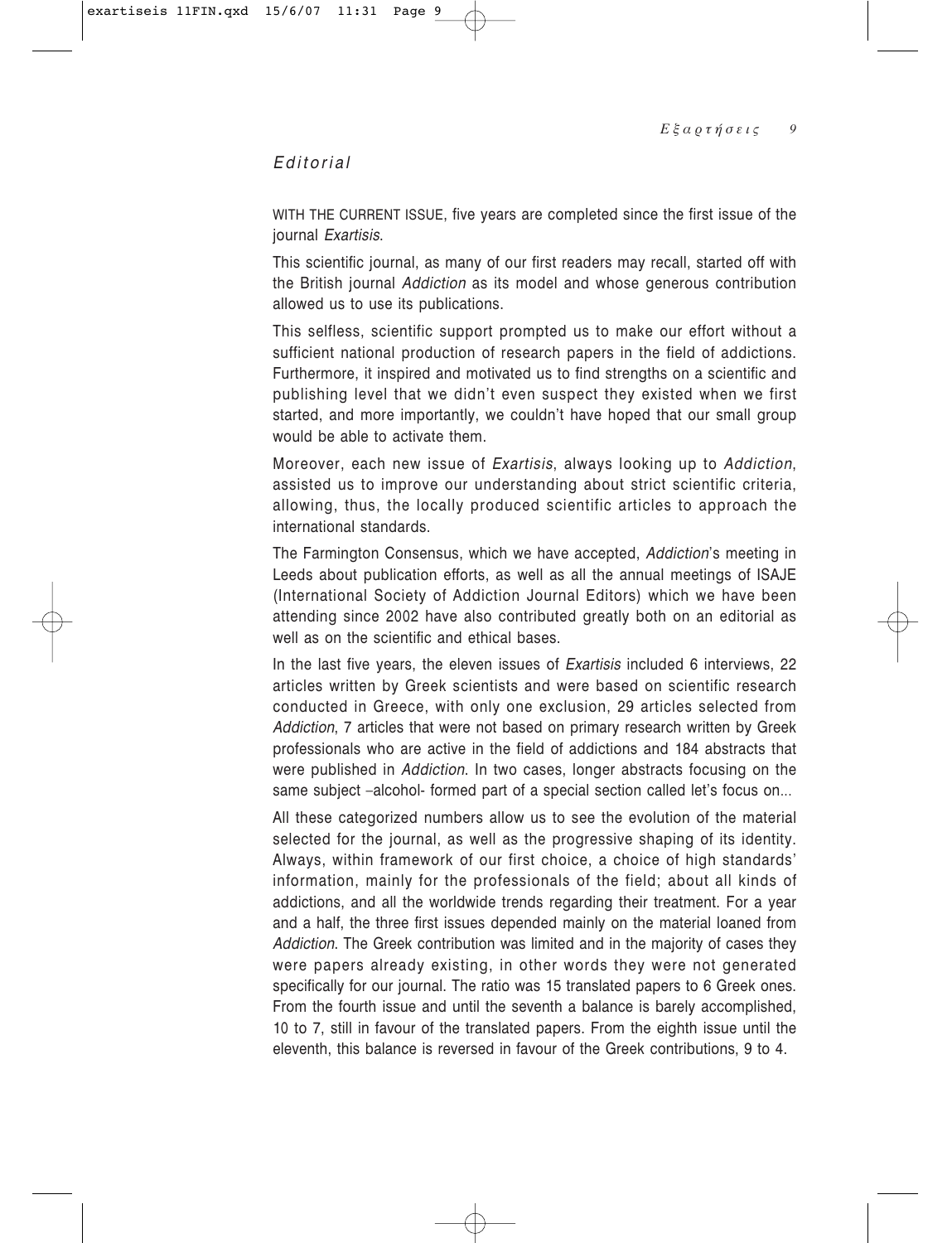#### *Editorial*

WITH THE CURRENT ISSUE, five years are completed since the first issue of the journal *Exartisis*.

This scientific journal, as many of our first readers may recall, started off with the British journal *Addiction* as its model and whose generous contribution allowed us to use its publications.

This selfless, scientific support prompted us to make our effort without a sufficient national production of research papers in the field of addictions. Furthermore, it inspired and motivated us to find strengths on a scientific and publishing level that we didn't even suspect they existed when we first started, and more importantly, we couldn't have hoped that our small group would be able to activate them.

Moreover, each new issue of *Exartisis*, always looking up to *Addiction*, assisted us to improve our understanding about strict scientific criteria, allowing, thus, the locally produced scientific articles to approach the international standards.

The Farmington Consensus, which we have accepted, *Addiction*'s meeting in Leeds about publication efforts, as well as all the annual meetings of ISAJE (International Society of Addiction Journal Editors) which we have been attending since 2002 have also contributed greatly both on an editorial as well as on the scientific and ethical bases.

In the last five years, the eleven issues of *Exartisis* included 6 interviews, 22 articles written by Greek scientists and were based on scientific research conducted in Greece, with only one exclusion, 29 articles selected from *Addiction*, 7 articles that were not based on primary research written by Greek professionals who are active in the field of addictions and 184 abstracts that were published in *Addiction*. In two cases, longer abstracts focusing on the same subject –alcohol- formed part of a special section called let's focus on…

All these categorized numbers allow us to see the evolution of the material selected for the journal, as well as the progressive shaping of its identity. Always, within framework of our first choice, a choice of high standards' information, mainly for the professionals of the field; about all kinds of addictions, and all the worldwide trends regarding their treatment. For a year and a half, the three first issues depended mainly on the material loaned from *Addiction*. The Greek contribution was limited and in the majority of cases they were papers already existing, in other words they were not generated specifically for our journal. The ratio was 15 translated papers to 6 Greek ones. From the fourth issue and until the seventh a balance is barely accomplished, 10 to 7, still in favour of the translated papers. From the eighth issue until the eleventh, this balance is reversed in favour of the Greek contributions, 9 to 4.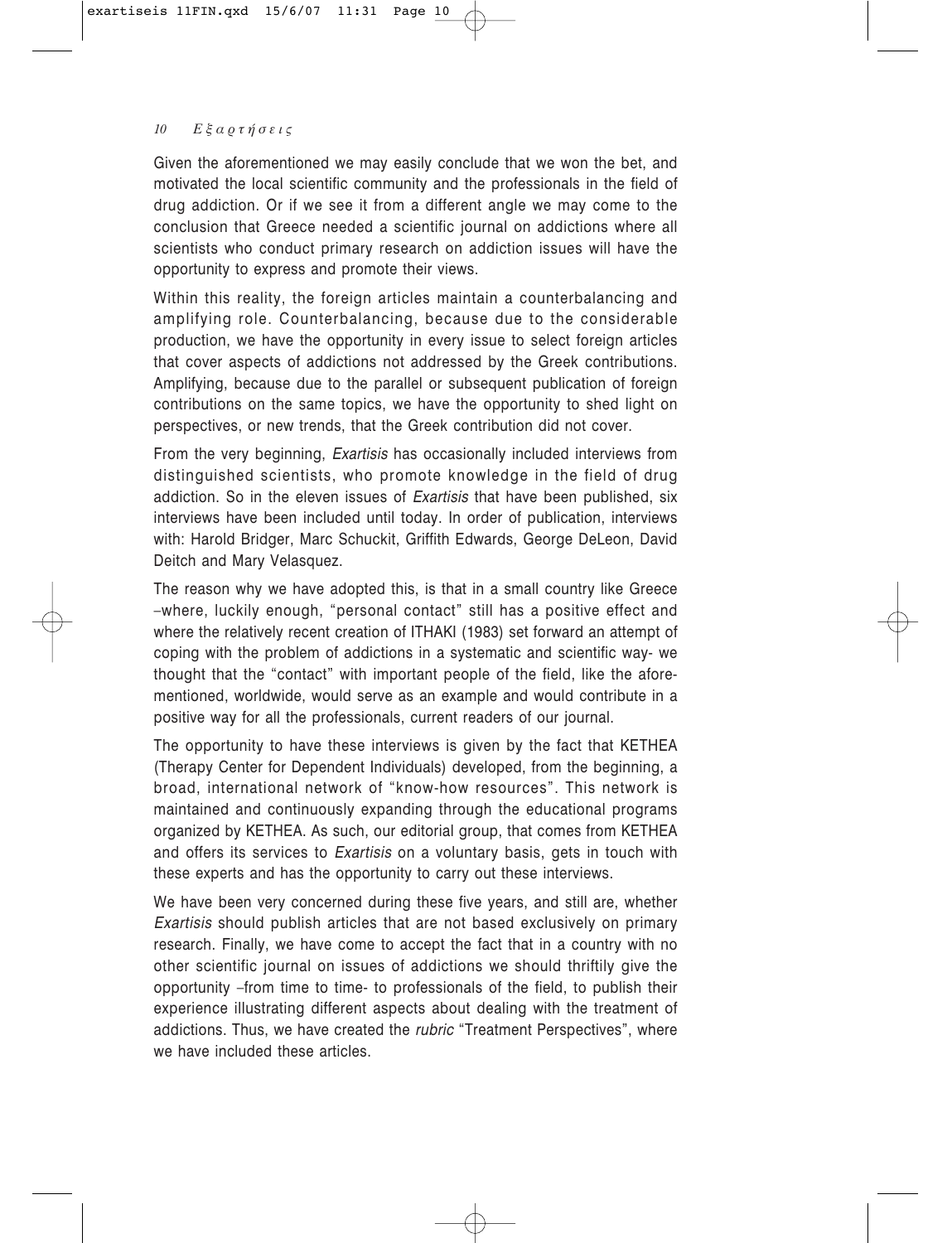Given the aforementioned we may easily conclude that we won the bet, and motivated the local scientific community and the professionals in the field of drug addiction. Or if we see it from a different angle we may come to the conclusion that Greece needed a scientific journal on addictions where all scientists who conduct primary research on addiction issues will have the opportunity to express and promote their views.

Within this reality, the foreign articles maintain a counterbalancing and amplifying role. Counterbalancing, because due to the considerable production, we have the opportunity in every issue to select foreign articles that cover aspects of addictions not addressed by the Greek contributions. Amplifying, because due to the parallel or subsequent publication of foreign contributions on the same topics, we have the opportunity to shed light on perspectives, or new trends, that the Greek contribution did not cover.

From the very beginning, *Exartisis* has occasionally included interviews from distinguished scientists, who promote knowledge in the field of drug addiction. So in the eleven issues of *Exartisis* that have been published, six interviews have been included until today. In order of publication, interviews with: Harold Bridger, Marc Schuckit, Griffith Edwards, George DeLeon, David Deitch and Mary Velasquez.

The reason why we have adopted this, is that in a small country like Greece –where, luckily enough, "personal contact" still has a positive effect and where the relatively recent creation of ITHAKI (1983) set forward an attempt of coping with the problem of addictions in a systematic and scientific way- we thought that the "contact" with important people of the field, like the aforementioned, worldwide, would serve as an example and would contribute in a positive way for all the professionals, current readers of our journal.

The opportunity to have these interviews is given by the fact that KETHEA (Therapy Center for Dependent Individuals) developed, from the beginning, a broad, international network of "know-how resources". This network is maintained and continuously expanding through the educational programs organized by KETHEA. As such, our editorial group, that comes from KETHEA and offers its services to *Exartisis* on a voluntary basis, gets in touch with these experts and has the opportunity to carry out these interviews.

We have been very concerned during these five years, and still are, whether *Exartisis* should publish articles that are not based exclusively on primary research. Finally, we have come to accept the fact that in a country with no other scientific journal on issues of addictions we should thriftily give the opportunity –from time to time- to professionals of the field, to publish their experience illustrating different aspects about dealing with the treatment of addictions. Thus, we have created the *rubric* "Treatment Perspectives", where we have included these articles.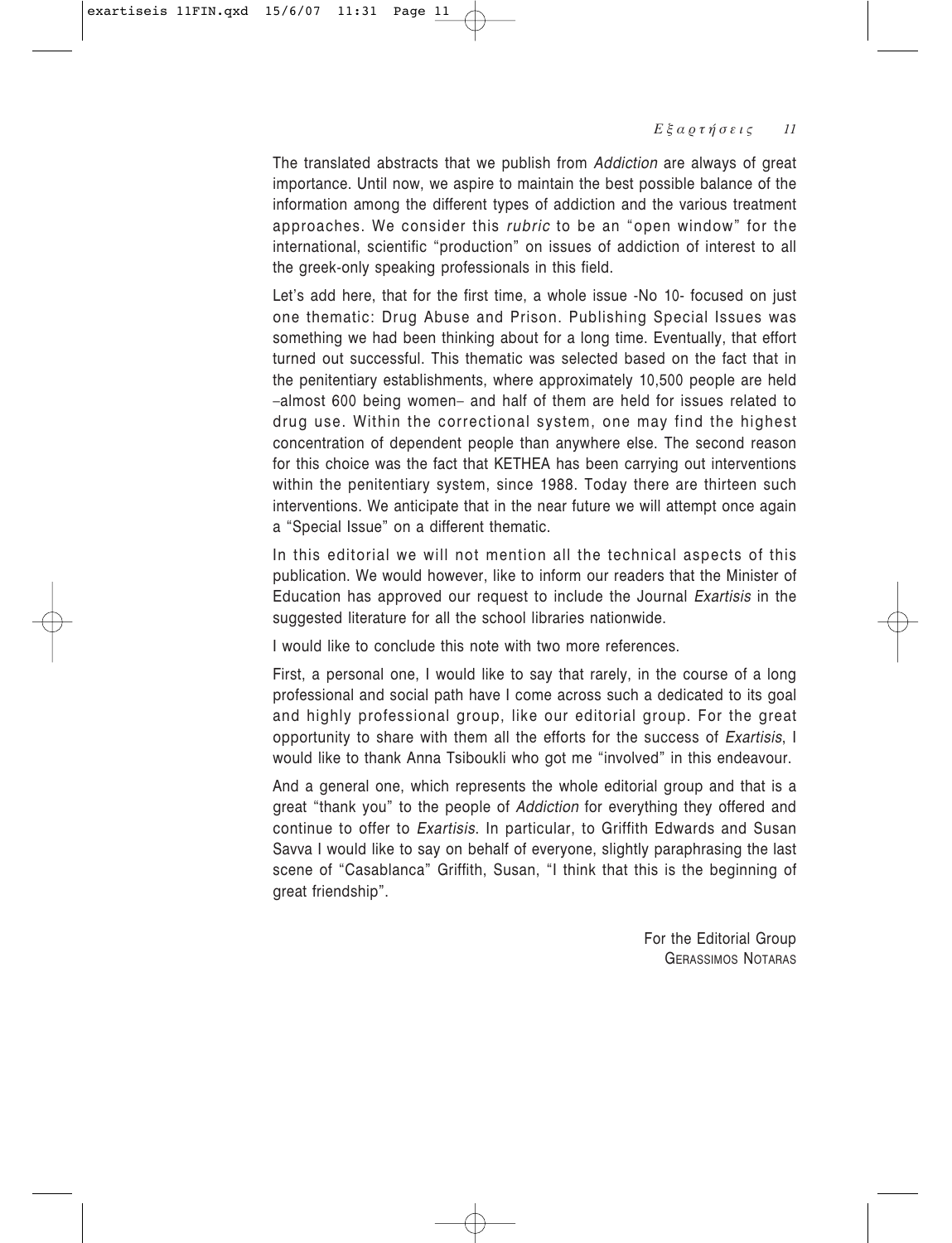The translated abstracts that we publish from *Addiction* are always of great importance. Until now, we aspire to maintain the best possible balance of the information among the different types of addiction and the various treatment approaches. We consider this *rubric* to be an "open window" for the international, scientific "production" on issues of addiction of interest to all the greek-only speaking professionals in this field.

Let's add here, that for the first time, a whole issue -No 10- focused on just one thematic: Drug Abuse and Prison. Publishing Special Issues was something we had been thinking about for a long time. Eventually, that effort turned out successful. This thematic was selected based on the fact that in the penitentiary establishments, where approximately 10,500 people are held –almost 600 being women– and half of them are held for issues related to drug use. Within the correctional system, one may find the highest concentration of dependent people than anywhere else. The second reason for this choice was the fact that KETHEA has been carrying out interventions within the penitentiary system, since 1988. Today there are thirteen such interventions. We anticipate that in the near future we will attempt once again a "Special Issue" on a different thematic.

In this editorial we will not mention all the technical aspects of this publication. We would however, like to inform our readers that the Minister of Education has approved our request to include the Journal *Exartisis* in the suggested literature for all the school libraries nationwide.

I would like to conclude this note with two more references.

First, a personal one, I would like to say that rarely, in the course of a long professional and social path have I come across such a dedicated to its goal and highly professional group, like our editorial group. For the great opportunity to share with them all the efforts for the success of *Exartisis*, I would like to thank Anna Tsiboukli who got me "involved" in this endeavour.

And a general one, which represents the whole editorial group and that is a great "thank you" to the people of *Addiction* for everything they offered and continue to offer to *Exartisis*. In particular, to Griffith Edwards and Susan Savva I would like to say on behalf of everyone, slightly paraphrasing the last scene of "Casablanca" Griffith, Susan, "I think that this is the beginning of great friendship".

> For the Editorial Group GERASSIMOS NOTARAS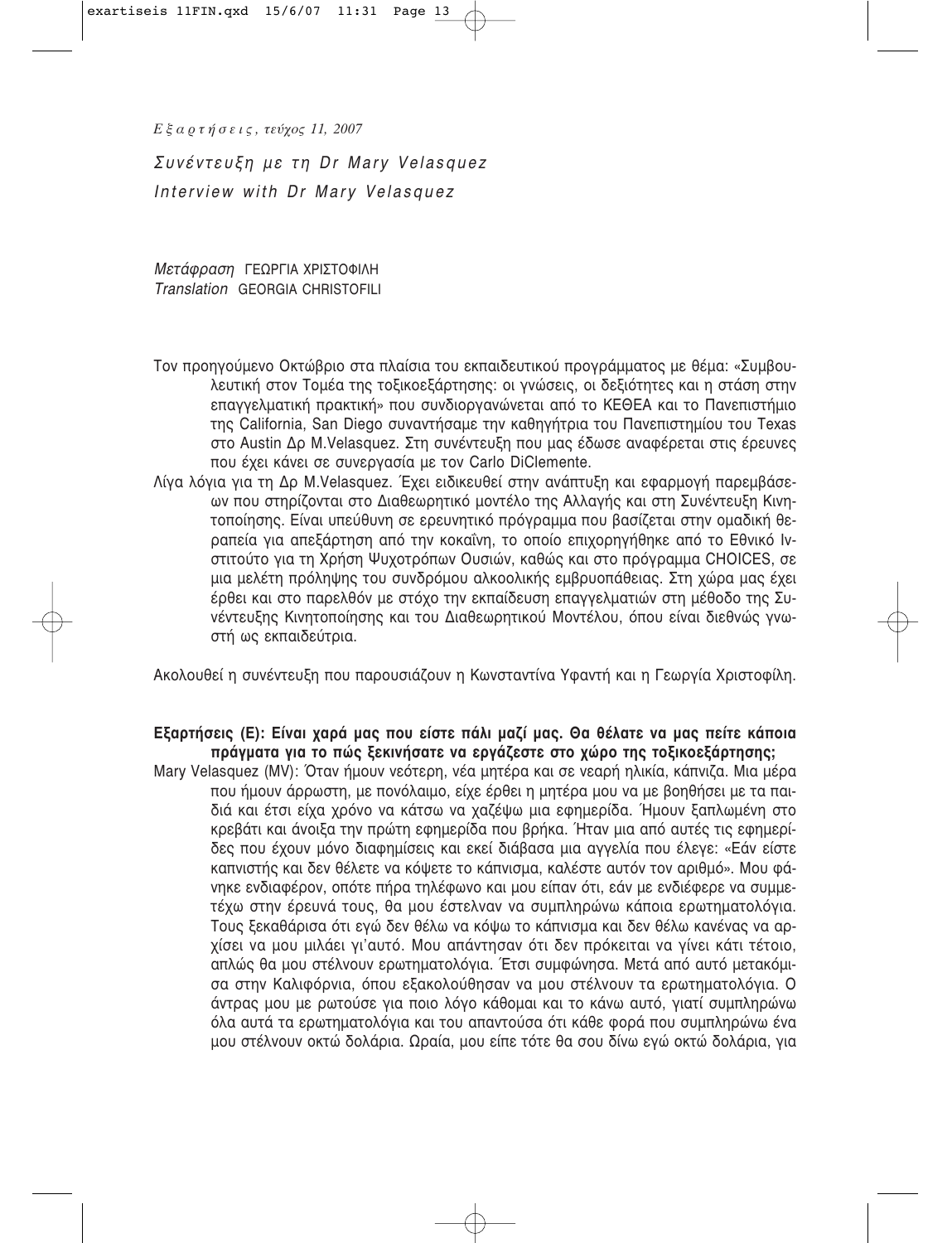*Ε ξ α ρ τ ή σ ε ι ς , τεύχος 11, 2007*

*™˘Ó¤ÓÙ¢ÍË Ì ÙË Dr Mary Velasquez Interview with Dr Mary Velasquez*

*Μετάφραση* ΓΕΩΡΓΙΑ ΧΡΙΣΤΟΦΙΛΗ *Translation* GEORGIA CHRISTOFILI

- Τον προηγούμενο Οκτώβριο στα πλαίσια του εκπαιδευτικού προγράμματος με θέμα: «Συμβουλευτική στον Τομέα της τοξικοεξάρτησης: οι γνώσεις, οι δεξιότητες και η στάση στην επαγγελματική πρακτική» που συνδιοργανώνεται από το ΚΕΘΕΑ και το Πανεπιστήμιο της California, San Diego συναντήσαμε την καθηγήτρια του Πανεπιστημίου του Texas στο Austin Δρ M.Velasquez. Στη συνέντευξη που μας έδωσε αναφέρεται στις έρευνες που έχει κάνει σε συνεργασία με τον Carlo DiClemente.
- Λίγα λόγια για τη Δρ M.Velasquez. Έχει ειδικευθεί στην ανάπτυξη και εφαρμογή παρεμβάσεων που στηρίζονται στο Διαθεωρητικό μοντέλο της Αλλαγής και στη Συνέντευξη Κινητοποίησης. Είναι υπεύθυνη σε ερευνητικό πρόγραμμα που βασίζεται στην ομαδική θεραπεία για απεξάρτηση από την κοκαΐνη, το οποίο επιχορηγήθηκε από το Εθνικό Ivστιτούτο για τη Χρήση Ψυχοτρόπων Ουσιών, καθώς και στο πρόγραμμα CHOICES, σε μια μελέτη πρόληψης του συνδρόμου αλκοολικής εμβρυοπάθειας. Στη χώρα μας έχει έρθει και στο παρελθόν με στόχο την εκπαίδευση επαγγελματιών στη μέθοδο της Συνέντευξης Κινητοποίησης και του Διαθεωρητικού Μοντέλου, όπου είναι διεθνώς γνωστή ως εκπαιδεύτρια.

Ακολουθεί η συνέντευξη που παρουσιάζουν η Κωνσταντίνα Υφαντή και η Γεωργία Χριστοφίλη.

#### **Εξαρτήσεις (Ε): Είναι χαρά μας που είστε πάλι μαζί μας. Θα θέλατε να μας πείτε κάποια** πράγματα για το πώς ξεκινήσατε να εργάζεστε στο χώρο της τοξικοεξάρτησης;

Mary Velasquez (MV): Όταν ήμουν νεότερη, νέα μητέρα και σε νεαρή ηλικία, κάπνιζα. Μια μέρα που ήμουν άρρωστη, με πονόλαιμο, είχε έρθει η μητέρα μου να με βοηθήσει με τα παιδιά και έτσι είχα χρόνο να κάτσω να χαζέψω μια εφημερίδα. Ήμουν ξαπλωμένη στο κρεβάτι και άνοιξα την πρώτη εφημερίδα που βρήκα. Ήταν μια από αυτές τις εφημερίδες που έχουν μόνο διαφημίσεις και εκεί διάβασα μια αγγελία που έλεγε: «Εάν είστε καπνιστής και δεν θέλετε να κόψετε το κάπνισμα, καλέστε αυτόν τον αριθμό». Μου φάνηκε ενδιαφέρον, οπότε πήρα τηλέφωνο και μου είπαν ότι, εάν με ενδιέφερε να συμμετέχω στην έρευνά τους, θα μου έστελναν να συμπληρώνω κάποια ερωτηματολόγια. Τους ξεκαθάρισα ότι εγώ δεν θέλω να κόψω το κάπνισμα και δεν θέλω κανένας να αρχίσει να μου μιλάει γι'αυτό. Μου απάντησαν ότι δεν πρόκειται να γίνει κάτι τέτοιο, απλώς θα μου στέλνουν ερωτηματολόγια. Έτσι συμφώνησα. Μετά από αυτό μετακόμισα στην Καλιφόρνια, όπου εξακολούθησαν να μου στέλνουν τα ερωτηματολόγια. Ο άντρας μου με ρωτούσε για ποιο λόγο κάθομαι και το κάνω αυτό, γιατί συμπληρώνω όλα αυτά τα ερωτηματολόγια και του απαντούσα ότι κάθε φορά που συμπληρώνω ένα μου στέλνουν οκτώ δολάρια. Ωραία, μου είπε τότε θα σου δίνω εγώ οκτώ δολάρια, για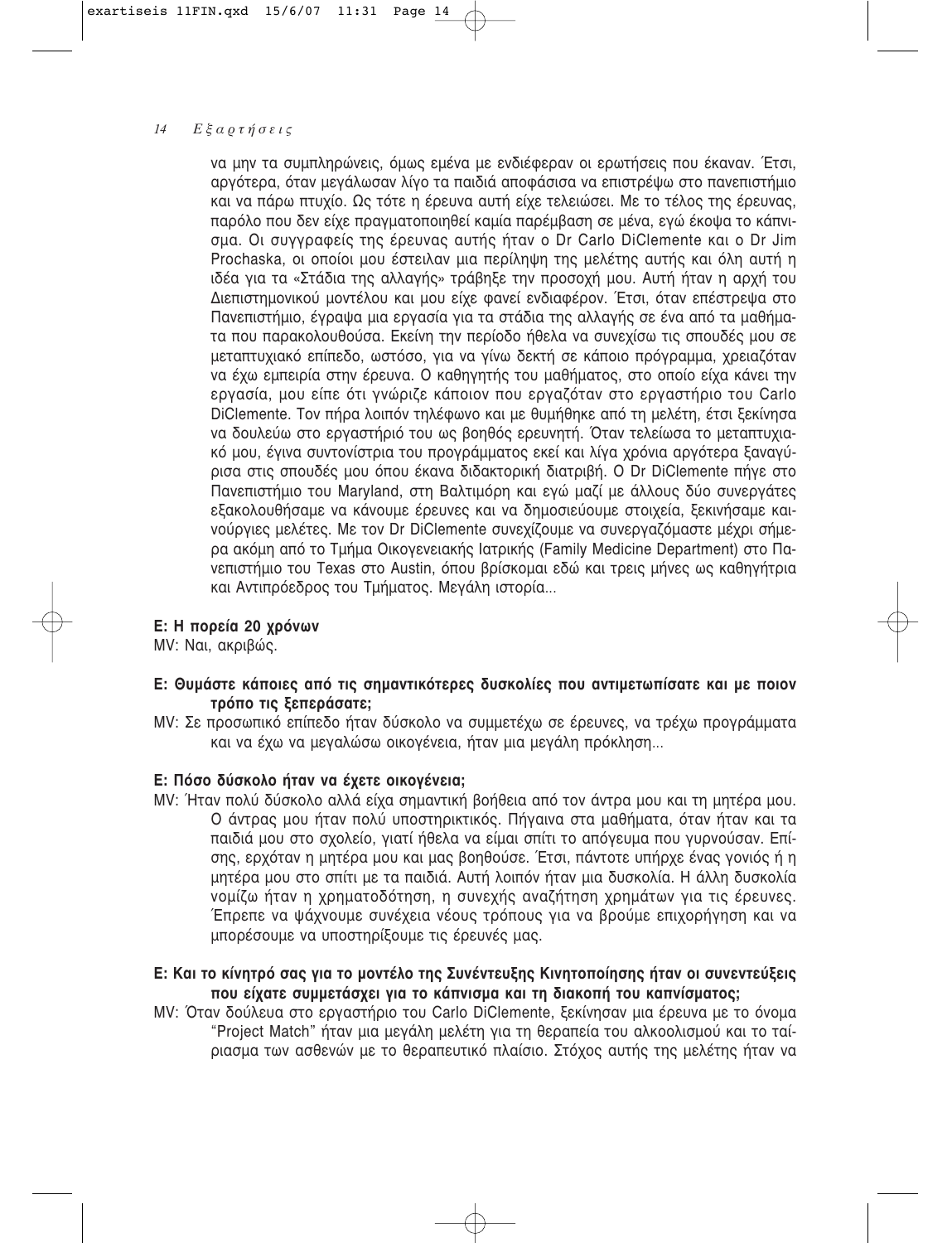να μην τα συμπληρώνεις, όμως εμένα με ενδιέφεραν οι ερωτήσεις που έκαναν. Έτσι, αργότερα, όταν μεγάλωσαν λίγο τα παιδιά αποφάσισα να επιστρέψω στο πανεπιστήμιο και να πάρω πτυχίο. Ως τότε η έρευνα αυτή είχε τελειώσει. Με το τέλος της έρευνας, παρόλο που δεν είχε πραγματοποιηθεί καμία παρέμβαση σε μένα, εγώ έκοψα το κάπνισμα. Οι συγγραφείς της έρευνας αυτής ήταν ο Dr Carlo DiClemente και ο Dr Jim Prochaska, οι οποίοι μου έστειλαν μια περίληψη της μελέτης αυτής και όλη αυτή η ιδέα για τα «Στάδια της αλλαγής» τράβηξε την προσοχή μου. Αυτή ήταν η αρχή του Διεπιστημονικού μοντέλου και μου είχε φανεί ενδιαφέρον. Έτσι, όταν επέστρεψα στο Πανεπιστήμιο, έγραψα μια εργασία για τα στάδια της αλλαγής σε ένα από τα μαθήματα που παρακολουθούσα. Εκείνη την περίοδο ήθελα να συνεχίσω τις σπουδές μου σε μεταπτυχιακό επίπεδο, ωστόσο, για να γίνω δεκτή σε κάποιο πρόγραμμα, χρειαζόταν να έχω εμπειρία στην έρευνα. Ο καθηγητής του μαθήματος, στο οποίο είχα κάνει την εργασία, μου είπε ότι γνώριζε κάποιον που εργαζόταν στο εργαστήριο του Carlo DiClemente. Τον πήρα λοιπόν τηλέφωνο και με θυμήθηκε από τη μελέτη, έτσι ξεκίνησα να δουλεύω στο εργαστήριό του ως βοηθός ερευνητή. Όταν τελείωσα το μεταπτυχια-Κό μου, έγινα συντονίστρια του προγράμματος εκεί και λίγα χρόνια αργότερα ξαναγύρισα στις σπουδές μου όπου έκανα διδακτορική διατριβή. Ο Dr DiClemente πήγε στο Πανεπιστήμιο του Maryland, στη Βαλτιμόρη και εγώ μαζί με άλλους δύο συνεργάτες εξακολουθήσαμε να κάνουμε έρευνες και να δημοσιεύουμε στοιχεία, ξεκινήσαμε και-VOÚργιες μελέτες. Με τον Dr DiClemente συνεχίζουμε να συνεργαζόμαστε μέχρι σήμερα ακόμη από το Τμήμα Οικογενειακής Ιατρικής (Family Medicine Department) στο Πα-Vεπιστήμιο του Texas στο Austin, όπου βρίσκομαι εδώ και τρεις μήνες ως καθηγήτρια και Αντιπρόεδρος του Τμήματος. Μεγάλη ιστορία...

#### **E: Η πορεία 20 χρόνων**

MV: Ναι, ακριβώς.

- E: Θυμάστε κάποιες από τις σημαντικότερες δυσκολίες που αντιμετωπίσατε και με ποιον **Tρόπο τις ξεπεράσατε:**
- MV: Σε προσωπικό επίπεδο ήταν δύσκολο να συμμετέχω σε έρευνες, να τρέχω προγράμματα και να έχω να μεγαλώσω οικογένεια, ήταν μια μεγάλη πρόκληση...

#### **E: Πόσο δύσκολο ήταν να έχετε οικογένεια;**

MV: Ήταν πολύ δύσκολο αλλά είχα σημαντική βοήθεια από τον άντρα μου και τη μητέρα μου. Ο άντρας μου ήταν πολύ υποστηρικτικός. Πήγαινα στα μαθήματα, όταν ήταν και τα παιδιά μου στο σχολείο, γιατί ήθελα να είμαι σπίτι το απόγευμα που γυρνούσαν. Επίσης, ερχόταν η μητέρα μου και μας βοηθούσε. Έτσι, πάντοτε υπήρχε ένας γονιός ή η μητέρα μου στο σπίτι με τα παιδιά. Αυτή λοιπόν ήταν μια δυσκολία. Η άλλη δυσκολία νομίζω ήταν η χρηματοδότηση, η συνεχής αναζήτηση χρημάτων για τις έρευνες. Έπρεπε να ψάχνουμε συνέχεια νέους τρόπους για να βρούμε επιχορήγηση και να μπορέσουμε να υποστηρίξουμε τις έρευνές μας.

#### E: Και το κίνητρό σας για το μοντέλο της Συνέντευξης Κινητοποίησης ήταν οι συνεντεύξεις **που είχατε συμμετάσχει για το κάπνισμα και τη διακοπή του καπνίσματος;**

MV: Όταν δούλευα στο εργαστήριο του Carlo DiClemente, ξεκίνησαν μια έρευνα με το όνομα "Project Match" ήταν μια μεγάλη μελέτη για τη θεραπεία του αλκοολισμού και το ταίριασμα των ασθενών με το θεραπευτικό πλαίσιο. Στόχος αυτής της μελέτης ήταν να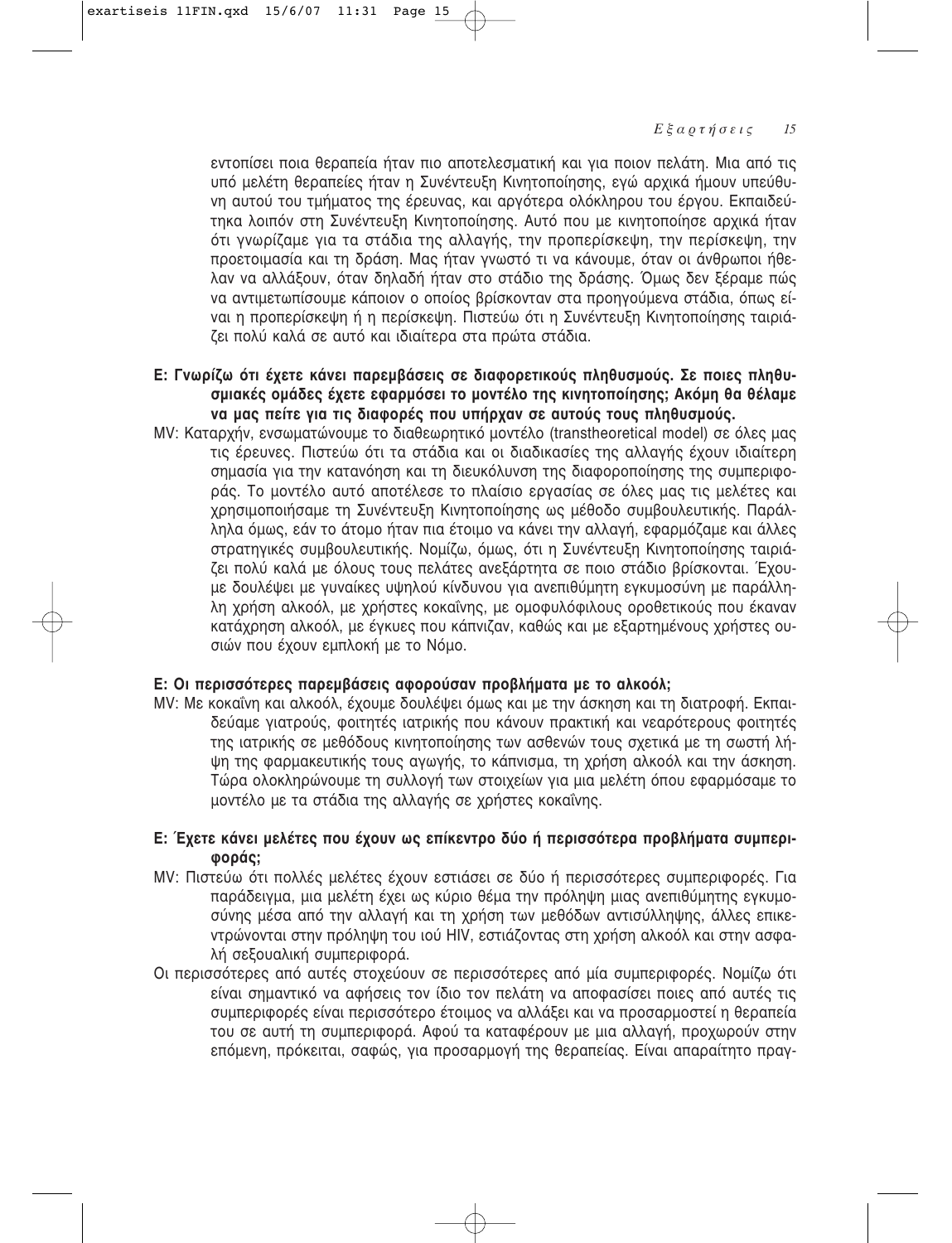εντοπίσει ποια θεραπεία ήταν πιο αποτελεσματική και για ποιον πελάτη. Μια από τις υπό μελέτη θεραπείες ήταν η Συνέντευξη Κινητοποίησης, εγώ αρχικά ήμουν υπεύθυνη αυτού του τμήματος της έρευνας, και αργότερα ολόκληρου του έργου. Εκπαιδεύτηκα λοιπόν στη Συνέντευξη Κινητοποίησης. Αυτό που με κινητοποίησε αρχικά ήταν ότι γνωρίζαμε για τα στάδια της αλλαγής, την προπερίσκεψη, την περίσκεψη, την προετοιμασία και τη δράση. Μας ήταν γνωστό τι να κάνουμε, όταν οι άνθρωποι ήθελαν να αλλάξουν, όταν δηλαδή ήταν στο στάδιο της δράσης. Όμως δεν ξέραμε πώς να αντιμετωπίσουμε κάποιον ο οποίος βρίσκονταν στα προηγούμενα στάδια, όπως είναι η προπερίσκεψη ή η περίσκεψη. Πιστεύω ότι η Συνέντευξη Κινητοποίησης ταιριάζει πολύ καλά σε αυτό και ιδιαίτερα στα πρώτα στάδια.

# Ε: Γνωρίζω ότι έχετε κάνει παρεμβάσεις σε διαφορετικούς πληθυσμούς. Σε ποιες πληθυσμιακές ομάδες έχετε εφαρμόσει το μοντέλο της κινητοποίησης; Ακόμη θα θέλαμε **να μας πείτε για τις διαφορές που υπήρχαν σε αυτούς τους πληθυσμούς.**

MV: Καταρχήν, ενσωματώνουμε το διαθεωρητικό μοντέλο (transtheoretical model) σε όλες μας τις έρευνες. Πιστεύω ότι τα στάδια και οι διαδικασίες της αλλαγής έχουν ιδιαίτερη σημασία για την κατανόηση και τη διευκόλυνση της διαφοροποίησης της συμπεριφοράς. Το μοντέλο αυτό αποτέλεσε το πλαίσιο εργασίας σε όλες μας τις μελέτες και χρησιμοποιήσαμε τη Συνέντευξη Κινητοποίησης ως μέθοδο συμβουλευτικής. Παράλληλα όμως, εάν το άτομο ήταν πια έτοιμο να κάνει την αλλαγή, εφαρμόζαμε και άλλες στρατηγικές συμβουλευτικής. Νομίζω, όμως, ότι η Συνέντευξη Κινητοποίησης ταιριάζει πολύ καλά με όλους τους πελάτες ανεξάρτητα σε ποιο στάδιο βρίσκονται. Έχουμε δουλέψει με γυναίκες υψηλού κίνδυνου για ανεπιθύμητη εγκυμοσύνη με παράλληλη χρήση αλκοόλ, με χρήστες κοκαΐνης, με ομοφυλόφιλους οροθετικούς που έκαναν κατάχρηση αλκοόλ, με έγκυες που κάπνιζαν, καθώς και με εξαρτημένους χρήστες ουσιών που έχουν εμπλοκή με το Νόμο.

#### E: Οι περισσότερες παρεμβάσεις αφορούσαν προβλήματα με το αλκοόλ;

exartiseis 11FIN.qxd 15/6/07 11:31 Page 15

MV: Με κοκαΐνη και αλκοόλ, έχουμε δουλέψει όμως και με την άσκηση και τη διατροφή. Εκπαιδεύαμε γιατρούς, φοιτητές ιατρικής που κάνουν πρακτική και νεαρότερους φοιτητές της ιατρικής σε μεθόδους κινητοποίησης των ασθενών τους σχετικά με τη σωστή λήψη της φαρμακευτικής τους αγωγής, το κάπνισμα, τη χρήση αλκοόλ και την άσκηση. Tώρα ολοκληρώνουμε τη συλλογή των στοιχείων για μια μελέτη όπου εφαρμόσαμε το μοντέλο με τα στάδια της αλλαγής σε χρήστες κοκαΐνης.

#### E: Έχετε κάνει μελέτες που έχουν ως επίκεντρο δύο ή περισσότερα προβλήματα συμπερι-**ÊÔÚ¿˜;**

- MV: Πιστεύω ότι πολλές μελέτες έχουν εστιάσει σε δύο ή περισσότερες συμπεριφορές. Για παράδειγμα, μια μελέτη έχει ως κύριο θέμα την πρόληψη μιας ανεπιθύμητης εγκυμοσύνης μέσα από την αλλαγή και τη χρήση των μεθόδων αντισύλληψης, άλλες επικεντρώνονται στην πρόληψη του ιού HIV, εστιάζοντας στη χρήση αλκοόλ και στην ασφαλή σεξουαλική συμπεριφορά.
- Οι περισσότερες από αυτές στοχεύουν σε περισσότερες από μία συμπεριφορές. Νομίζω ότι είναι σημαντικό να αφήσεις τον ίδιο τον πελάτη να αποφασίσει ποιες από αυτές τις συμπεριφορές είναι περισσότερο έτοιμος να αλλάξει και να προσαρμοστεί η θεραπεία του σε αυτή τη συμπεριφορά. Αφού τα καταφέρουν με μια αλλαγή, προχωρούν στην επόμενη, πρόκειται, σαφώς, για προσαρμογή της θεραπείας. Είναι απαραίτητο πραγ-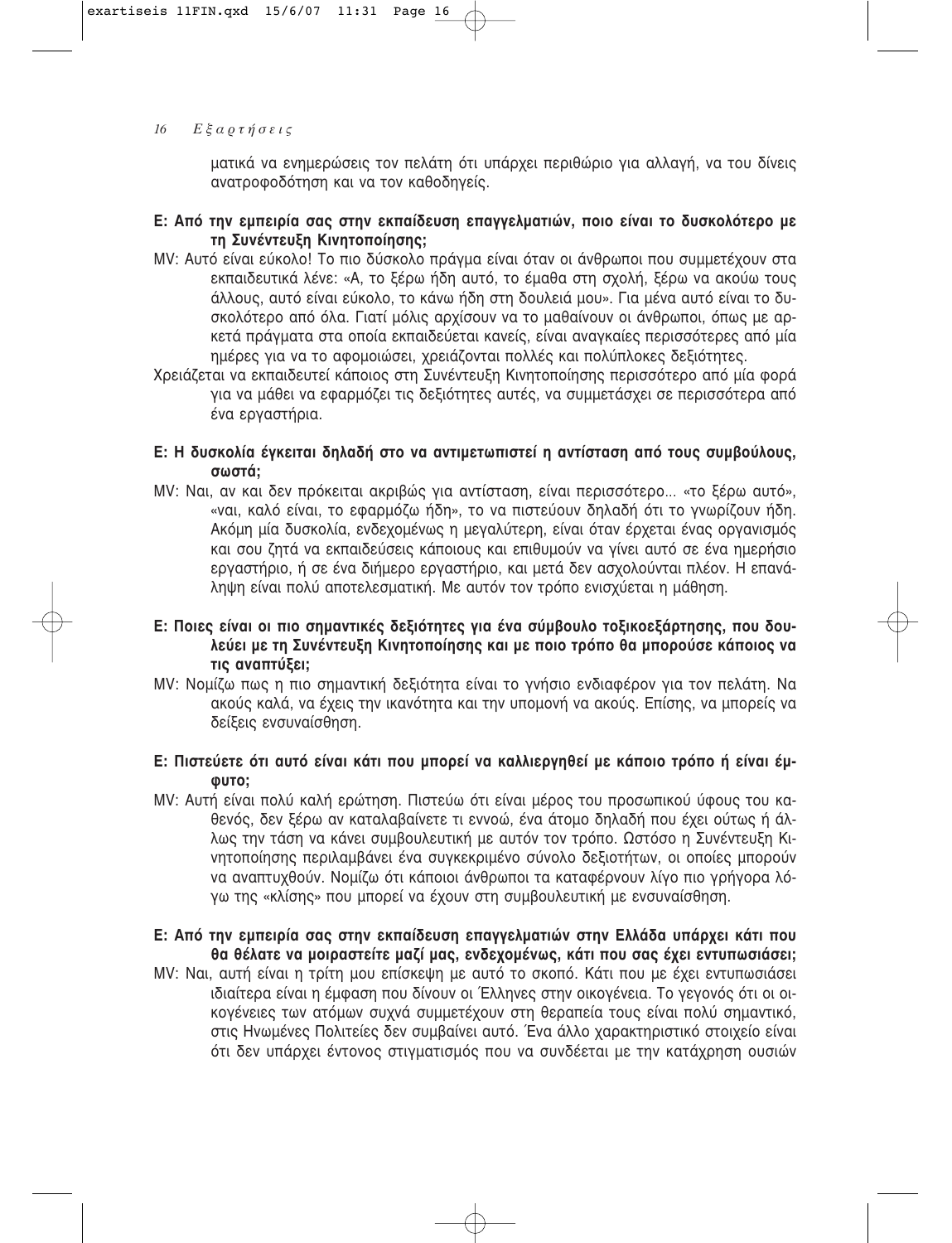ματικά να ενημερώσεις τον πελάτη ότι υπάρχει περιθώριο για αλλαγή, να του δίνεις ανατροφοδότηση και να τον καθοδηνείς.

#### Ε: Από την εμπειρία σας στην εκπαίδευση επαγγελματιών, ποιο είναι το δυσκολότερο με τη Συνέντευξη Κινητοποίησης;

- ΜΥ: Αυτό είναι εύκολο! Το πιο δύσκολο πράγμα είναι όταν οι άνθρωποι που συμμετέχουν στα εκπαιδευτικά λένε: «Α, το ξέρω ήδη αυτό, το έμαθα στη σχολή, ξέρω να ακούω τους άλλους, αυτό είναι εύκολο, το κάνω ήδη στη δουλειά μου». Για μένα αυτό είναι το δυσκολότερο από όλα. Γιατί μόλις αρχίσουν να το μαθαίνουν οι άνθρωποι, όπως με αρκετά πράγματα στα οποία εκπαιδεύεται κανείς, είναι αναγκαίες περισσότερες από μία ημέρες για να το αφομοιώσει, χρειάζονται πολλές και πολύπλοκες δεξιότητες.
- Χρειάζεται να εκπαιδευτεί κάποιος στη Συνέντευξη Κινητοποίησης περισσότερο από μία φορά για να μάθει να εφαρμόζει τις δεξιότητες αυτές, να συμμετάσχει σε περισσότερα από ένα εργαστήρια.

#### Ε: Η δυσκολία έγκειται δηλαδή στο να αντιμετωπιστεί η αντίσταση από τους συμβούλους, σωστά:

- MV: Ναι, αν και δεν πρόκειται ακριβώς για αντίσταση, είναι περισσότερο... «το ξέρω αυτό», «ναι, καλό είναι, το εφαρμόζω ήδη», το να πιστεύουν δηλαδή ότι το γνωρίζουν ήδη. Ακόμη μία δυσκολία, ενδεχομένως η μεγαλύτερη, είναι όταν έρχεται ένας οργανισμός και σου ζητά να εκπαιδεύσεις κάποιους και επιθυμούν να γίνει αυτό σε ένα ημερήσιο εργαστήριο, ή σε ένα διήμερο εργαστήριο, και μετά δεν ασχολούνται πλέον. Η επανάληψη είναι πολύ αποτελεσματική. Με αυτόν τον τρόπο ενισχύεται η μάθηση.
- Ε: Ποιες είναι οι πιο σημαντικές δεξιότητες για ένα σύμβουλο τοξικοεξάρτησης, που δουλεύει με τη Συνέντευξη Κινητοποίησης και με ποιο τρόπο θα μπορούσε κάποιος να τις αναπτύξει;
- ΜΥ: Νομίζω πως η πιο σημαντική δεξιότητα είναι το γνήσιο ενδιαφέρον για τον πελάτη. Να ακούς καλά, να έχεις την ικανότητα και την υπομονή να ακούς. Επίσης, να μπορείς να δείξεις ενσυναίσθηση.

#### Ε: Πιστεύετε ότι αυτό είναι κάτι που μπορεί να καλλιεργηθεί με κάποιο τρόπο ή είναι έμ-**OUTO:**

ΜΥ: Αυτή είναι πολύ καλή ερώτηση. Πιστεύω ότι είναι μέρος του προσωπικού ύφους του καθενός, δεν ξέρω αν καταλαβαίνετε τι εννοώ, ένα άτομο δηλαδή που έχει ούτως ή άλλως την τάση να κάνει συμβουλευτική με αυτόν τον τρόπο. Ωστόσο η Συνέντευξη Κινητοποίησης περιλαμβάνει ένα συγκεκριμένο σύνολο δεξιοτήτων, οι οποίες μπορούν να αναπτυχθούν. Νομίζω ότι κάποιοι άνθρωποι τα καταφέρνουν λίγο πιο γρήγορα λόγω της «κλίσης» που μπορεί να έχουν στη συμβουλευτική με ενσυναίσθηση.

#### Ε: Από την εμπειρία σας στην εκπαίδευση επαγγελματιών στην Ελλάδα υπάρχει κάτι που θα θέλατε να μοιραστείτε μαζί μας, ενδεχομένως, κάτι που σας έχει εντυπωσιάσει;

ΜΥ: Ναι, αυτή είναι η τρίτη μου επίσκεψη με αυτό το σκοπό. Κάτι που με έχει εντυπωσιάσει ιδιαίτερα είναι η έμφαση που δίνουν οι Έλληνες στην οικογένεια. Το γεγονός ότι οι οικογένειες των ατόμων συχνά συμμετέχουν στη θεραπεία τους είναι πολύ σημαντικό, στις Ηνωμένες Πολιτείες δεν συμβαίνει αυτό. Ένα άλλο χαρακτηριστικό στοιχείο είναι ότι δεν υπάρχει έντονος στιγματισμός που να συνδέεται με την κατάχρηση ουσιών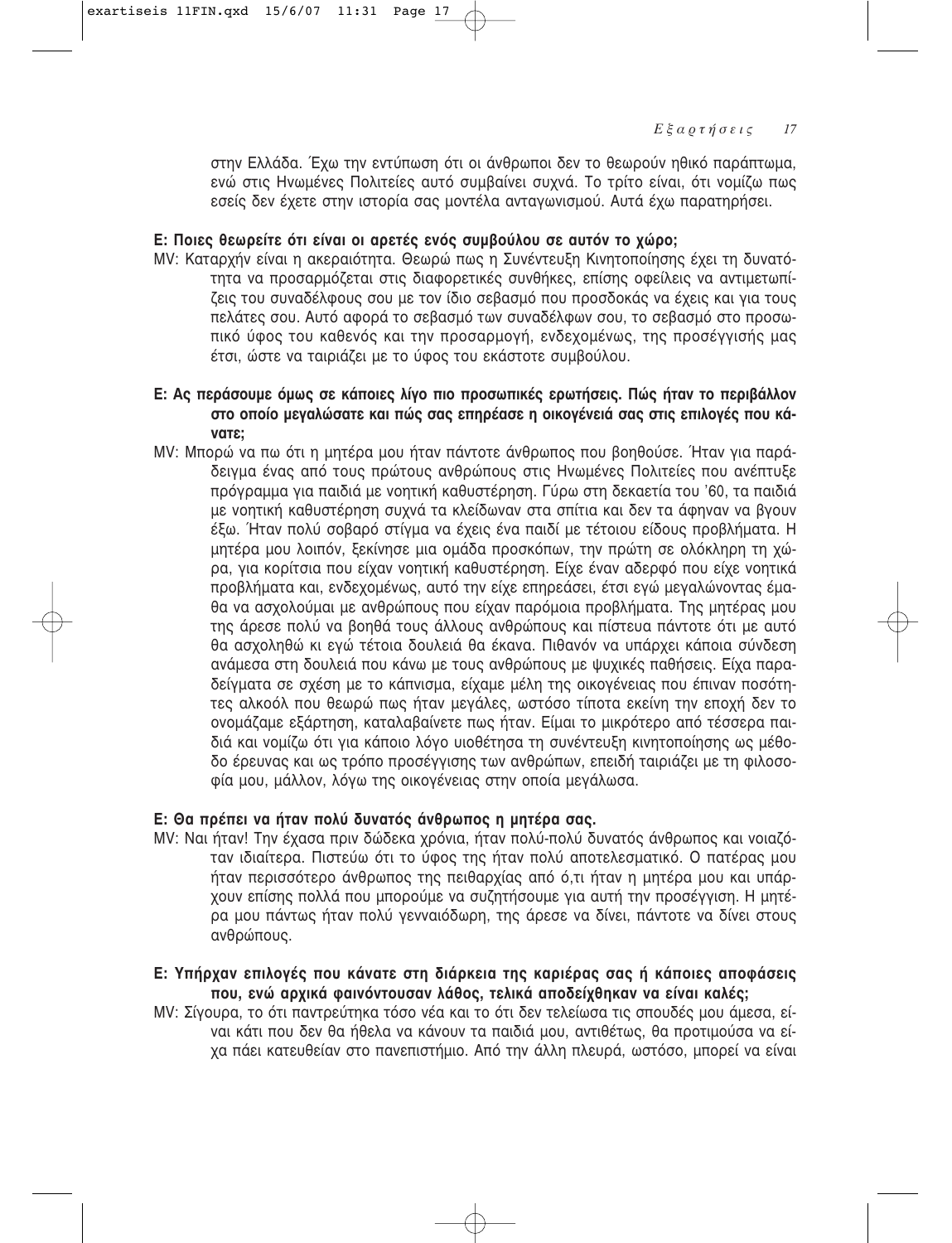exartiseis 11FIN.qxd 15/6/07 11:31 Page 17

στην Ελλάδα. Έχω την εντύπωση ότι οι άνθρωποι δεν το θεωρούν ηθικό παράπτωμα, ενώ στις Ηνωμένες Πολιτείες αυτό συμβαίνει συχνά. Το τρίτο είναι, ότι νομίζω πως εσείς δεν έχετε στην ιστορία σας μοντέλα ανταγωνισμού. Αυτά έχω παρατηρήσει.

#### E: Ποιες θεωρείτε ότι είναι οι αρετές ενός συμβούλου σε αυτόν το χώρο;

- MV: Καταρχήν είναι η ακεραιότητα. Θεωρώ πως η Συνέντευξη Κινητοποίησης έχει τη δυνατότητα να προσαρμόζεται στις διαφορετικές συνθήκες, επίσης οφείλεις να αντιμετωπίζεις του συναδέλφους σου με τον ίδιο σεβασμό που προσδοκάς να έχεις και για τους πελάτες σου. Αυτό αφορά το σεβασμό των συναδέλφων σου, το σεβασμό στο προσωπικό ύφος του καθενός και την προσαρμογή, ενδεχομένως, της προσέγγισής μας έτσι, ώστε να ταιριάζει με το ύφος του εκάστοτε συμβούλου.
- E: Ας περάσουμε όμως σε κάποιες λίγο πιο προσωπικές ερωτήσεις. Πώς ήταν το περιβάλλον στο οποίο μεγαλώσατε και πώς σας επηρέασε η οικογένειά σας στις επιλογές που κά-**V**GTE:
- MV: Μπορώ να πω ότι η μητέρα μου ήταν πάντοτε άνθρωπος που βοηθούσε. Ήταν για παράδειγμα ένας από τους πρώτους ανθρώπους στις Ηνωμένες Πολιτείες που ανέπτυξε πρόγραμμα για παιδιά με νοητική καθυστέρηση. Γύρω στη δεκαετία του '60, τα παιδιά με νοητική καθυστέρηση συχνά τα κλείδωναν στα σπίτια και δεν τα άφηναν να βγουν έξω. Ήταν πολύ σοβαρό στίγμα να έχεις ένα παιδί με τέτοιου είδους προβλήματα. Η μητέρα μου λοιπόν, ξεκίνησε μια ομάδα προσκόπων, την πρώτη σε ολόκληρη τη χώρα, για κορίτσια που είχαν νοητική καθυστέρηση. Είχε έναν αδερφό που είχε νοητικά προβλήματα και, ενδεχομένως, αυτό την είχε επηρεάσει, έτσι εγώ μεγαλώνοντας έμαθα να ασχολούμαι με ανθρώπους που είχαν παρόμοια προβλήματα. Της μητέρας μου της άρεσε πολύ να βοηθά τους άλλους ανθρώπους και πίστευα πάντοτε ότι με αυτό θα ασχοληθώ κι εγώ τέτοια δουλειά θα έκανα. Πιθανόν να υπάρχει κάποια σύνδεση ανάμεσα στη δουλειά που κάνω με τους ανθρώπους με ψυχικές παθήσεις. Είχα παραδείγματα σε σχέση με το κάπνισμα, είχαμε μέλη της οικογένειας που έπιναν ποσότητες αλκοόλ που θεωρώ πως ήταν μενάλες, ωστόσο τίποτα εκείνη την εποχή δεν το ονομάζαμε εξάρτηση, καταλαβαίνετε πως ήταν. Είμαι το μικρότερο από τέσσερα παιδιά και νομίζω ότι για κάποιο λόγο υιοθέτησα τη συνέντευξη κινητοποίησης ως μέθοδο έρευνας και ως τρόπο προσένγισης των ανθρώπων, επειδή ταιριάζει με τη φιλοσοφία μου, μάλλον, λόγω της οικογένειας στην οποία μεγάλωσα.

#### E: Θα πρέπει να ήταν πολύ δυνατός άνθρωπος η μητέρα σας.

- MV: Ναι ήταν! Την έχασα πριν δώδεκα χρόνια, ήταν πολύ-πολύ δυνατός άνθρωπος και νοιαζόταν ιδιαίτερα. Πιστεύω ότι το ύφος της ήταν πολύ αποτελεσματικό. Ο πατέρας μου ήταν περισσότερο άνθρωπος της πειθαρχίας από ό,τι ήταν η μητέρα μου και υπάρχουν επίσης πολλά που μπορούμε να συζητήσουμε για αυτή την προσέγγιση. Η μητέρα μου πάντως ήταν πολύ γενναιόδωρη, της άρεσε να δίνει, πάντοτε να δίνει στους ανθρώπους.
- E: Υπήρχαν επιλογές που κάνατε στη διάρκεια της καριέρας σας ή κάποιες αποφάσεις που, ενώ αρχικά φαινόντουσαν λάθος, τελικά αποδείχθηκαν να είναι καλές;
- MV: Σίγουρα, το ότι παντρεύτηκα τόσο νέα και το ότι δεν τελείωσα τις σπουδές μου άμεσα, είναι κάτι που δεν θα ήθελα να κάνουν τα παιδιά μου, αντιθέτως, θα προτιμούσα να είχα πάει κατευθείαν στο πανεπιστήμιο. Από την άλλη πλευρά, ωστόσο, μπορεί να είναι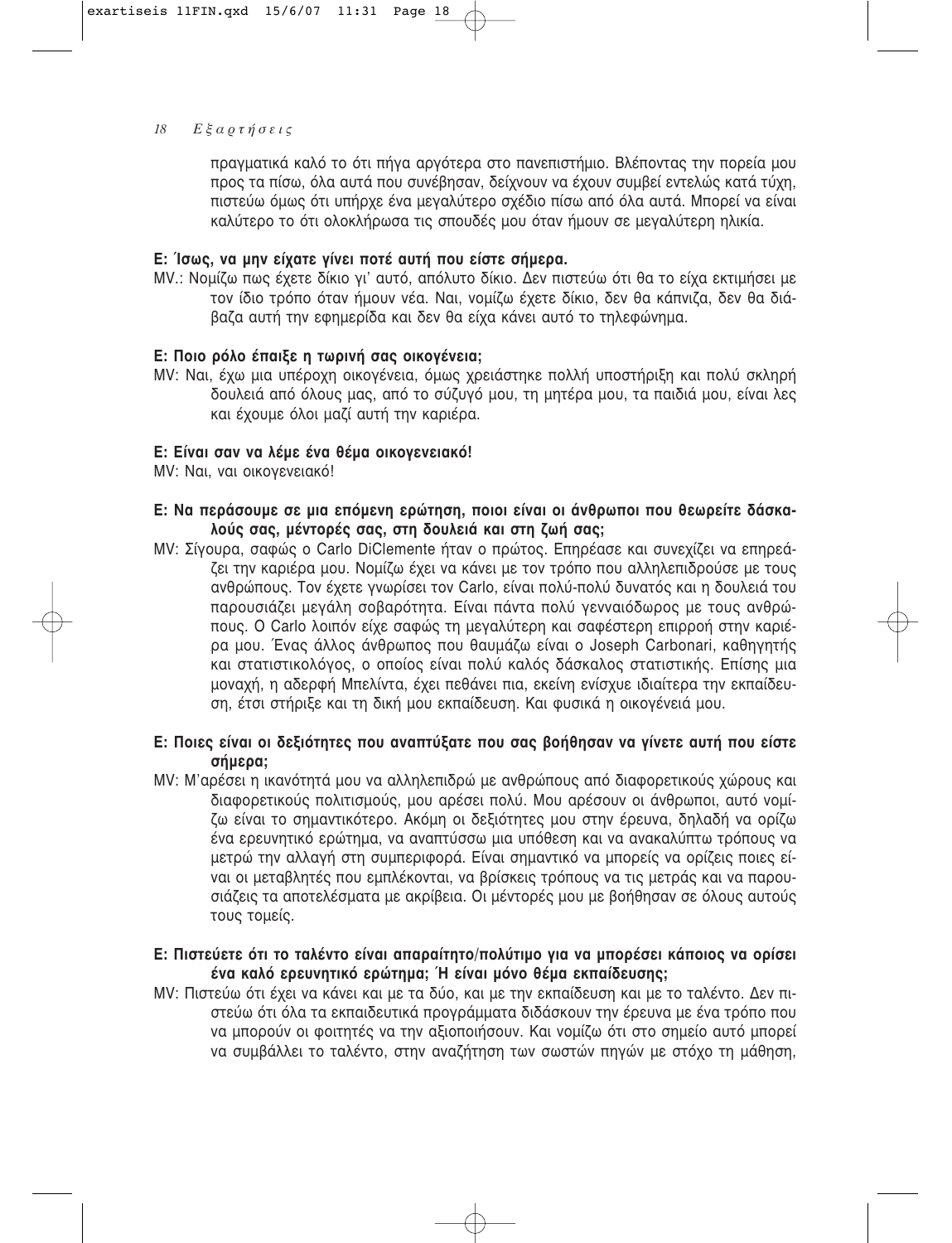πραγματικά καλό το ότι πήγα αργότερα στο πανεπιστήμιο. Βλέποντας την πορεία μου προς τα πίσω, όλα αυτά που συνέβησαν, δείχνουν να έχουν συμβεί εντελώς κατά τύχη, πιστεύω όμως ότι υπήρχε ένα μεγαλύτερο σχέδιο πίσω από όλα αυτά. Μπορεί να είναι καλύτερο το ότι ολοκλήρωσα τις σπουδές μου όταν ήμουν σε μεγαλύτερη ηλικία.

#### E: Ίσως, να μην είχατε γίνει ποτέ αυτή που είστε σήμερα.

MV.: Νομίζω πως έχετε δίκιο γι' αυτό, απόλυτο δίκιο. Δεν πιστεύω ότι θα το είχα εκτιμήσει με τον ίδιο τρόπο όταν ήμουν νέα. Ναι, νομίζω έχετε δίκιο, δεν θα κάπνιζα, δεν θα διάβαζα αυτή την εφημερίδα και δεν θα είχα κάνει αυτό το τηλεφώνημα.

#### **E: Ποιο ρόλο έπαιξε η τωρινή σας οικογένεια;**

MV: Ναι, έχω μια υπέροχη οικογένεια, όμως χρειάστηκε πολλή υποστήριξη και πολύ σκληρή δουλειά από όλους μας, από το σύζυγό μου, τη μητέρα μου, τα παιδιά μου, είναι λες και έχουμε όλοι μαζί αυτή την καριέρα.

#### E: Είναι σαν να λέμε ένα θέμα οικογενειακό!

MV: Nai, vai οικογενειακό!

- E: Να περάσουμε σε μια επόμενη ερώτηση, ποιοι είναι οι άνθρωποι που θεωρείτε δάσκαλούς σας, μέντορές σας, στη δουλειά και στη ζωή σας;
- MV: Σίγουρα, σαφώς ο Carlo DiClemente ήταν ο πρώτος. Επηρέασε και συνεχίζει να επηρεάζει την καριέρα μου. Νομίζω έχει να κάνει με τον τρόπο που αλληλεπιδρούσε με τους ανθρώπους. Τον έχετε γνωρίσει τον Carlo, είναι πολύ-πολύ δυνατός και η δουλειά του παρουσιάζει μεγάλη σοβαρότητα. Είναι πάντα πολύ γενναιόδωρος με τους ανθρώπους. Ο Carlo λοιπόν είχε σαφώς τη μεγαλύτερη και σαφέστερη επιρροή στην καριέρα μου. Ένας άλλος άνθρωπος που θαυμάζω είναι ο Joseph Carbonari, καθηγητής και στατιστικολόγος, ο οποίος είναι πολύ καλός δάσκαλος στατιστικής. Επίσης μια μοναχή, η αδερφή Μπελίντα, έχει πεθάνει πια, εκείνη ενίσχυε ιδιαίτερα την εκπαίδευση, έτσι στήριξε και τη δική μου εκπαίδευση. Και φυσικά η οικογένειά μου.

### E: Ποιες είναι οι δεξιότητες που αναπτύξατε που σας βοήθησαν να γίνετε αυτή που είστε σήμερα:

MV: Μ'αρέσει η ικανότητά μου να αλληλεπιδρώ με ανθρώπους από διαφορετικούς χώρους και διαφορετικούς πολιτισμούς, μου αρέσει πολύ. Μου αρέσουν οι άνθρωποι, αυτό νομίζω είναι το σημαντικότερο. Ακόμη οι δεξιότητες μου στην έρευνα, δηλαδή να ορίζω ένα ερευνητικό ερώτημα, να αναπτύσσω μια υπόθεση και να ανακαλύπτω τρόπους να μετρώ την αλλαγή στη συμπεριφορά. Είναι σημαντικό να μπορείς να ορίζεις ποιες είναι οι μεταβλητές που εμπλέκονται, να βρίσκεις τρόπους να τις μετράς και να παρουσιάζεις τα αποτελέσματα με ακρίβεια. Οι μέντορές μου με βοήθησαν σε όλους αυτούς τους τομείς.

#### E: Πιστεύετε ότι το ταλέντο είναι απαραίτητο/πολύτιμο για να μπορέσει κάποιος να ορίσει ένα καλό ερευνητικό ερώτημα; Ή είναι μόνο θέμα εκπαίδευσης;

MV: Πιστεύω ότι έχει να κάνει και με τα δύο, και με την εκπαίδευση και με το ταλέντο. Δεν πιστεύω ότι όλα τα εκπαιδευτικά προγράμματα διδάσκουν την έρευνα με ένα τρόπο που να μπορούν οι φοιτητές να την αξιοποιήσουν. Και νομίζω ότι στο σημείο αυτό μπορεί να συμβάλλει το ταλέντο, στην αναζήτηση των σωστών πηγών με στόχο τη μάθηση,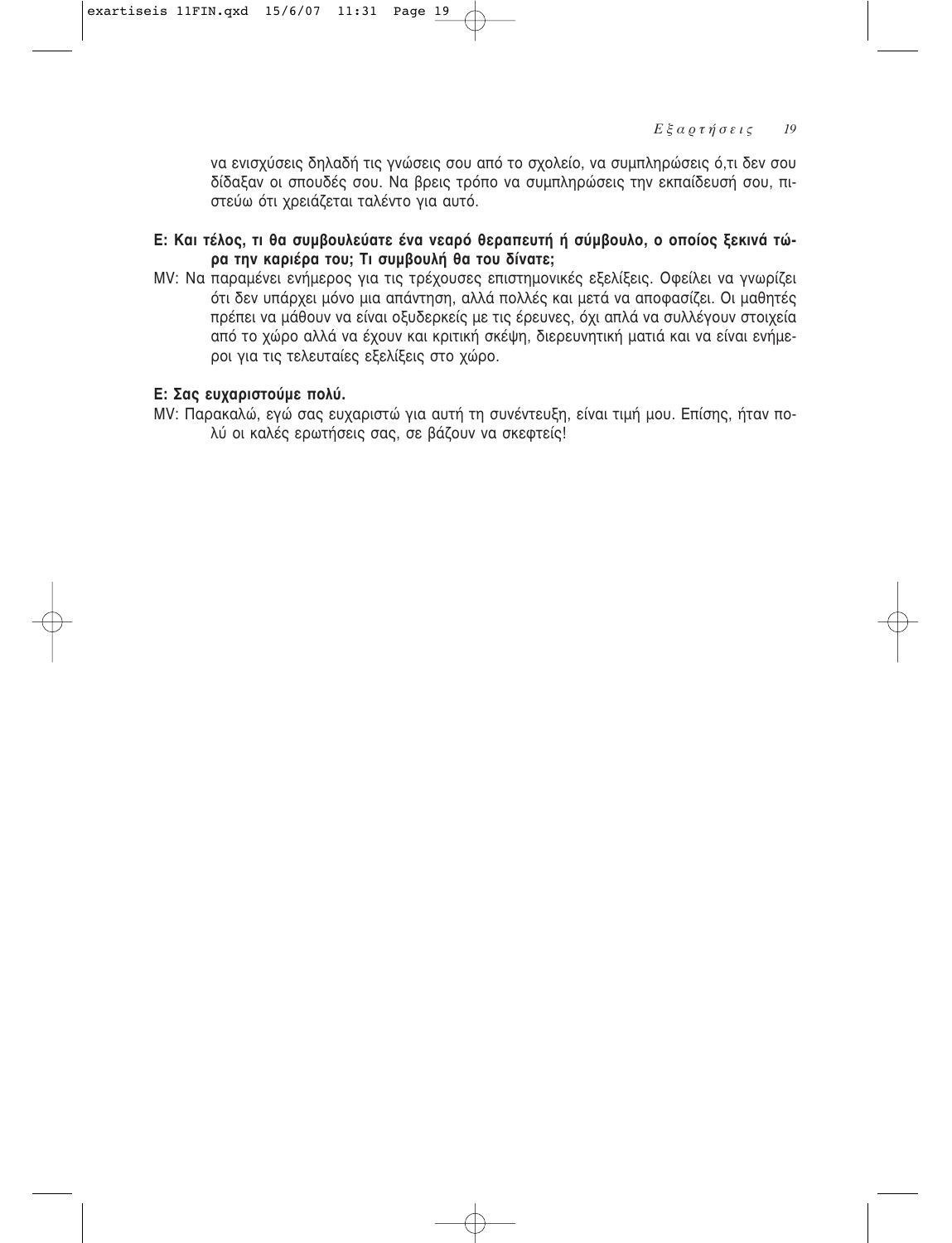να ενισχύσεις δηλαδή τις γνώσεις σου από το σχολείο, να συμπληρώσεις ό,τι δεν σου δίδαξαν οι σπουδές σου. Να βρεις τρόπο να συμπληρώσεις την εκπαίδευσή σου, πιστεύω ότι χρειάζεται ταλέντο για αυτό.

#### E: Και τέλος, τι θα συμβουλεύατε ένα νεαρό θεραπευτή ή σύμβουλο, ο οποίος ξεκινά τώρα την καριέρα του; Τι συμβουλή θα του δίνατε;

MV: Να παραμένει ενήμερος για τις τρέχουσες επιστημονικές εξελίξεις. Οφείλει να γνωρίζει ότι δεν υπάρχει μόνο μια απάντηση, αλλά πολλές και μετά να αποφασίζει. Οι μαθητές πρέπει να μάθουν να είναι οξυδερκείς με τις έρευνες, όχι απλά να συλλέγουν στοιχεία από το χώρο αλλά να έχουν και κριτική σκέψη, διερευνητική ματιά και να είναι ενήμεροι για τις τελευταίες εξελίξεις στο χώρο.

#### **E: Σας ευχαριστούμε πολύ.**

exartiseis 11FIN.qxd 15/6/07 11:31 Page 19

MV: Παρακαλώ, εγώ σας ευχαριστώ για αυτή τη συνέντευξη, είναι τιμή μου. Επίσης, ήταν πολύ οι καλές ερωτήσεις σας, σε βάζουν να σκεφτείς!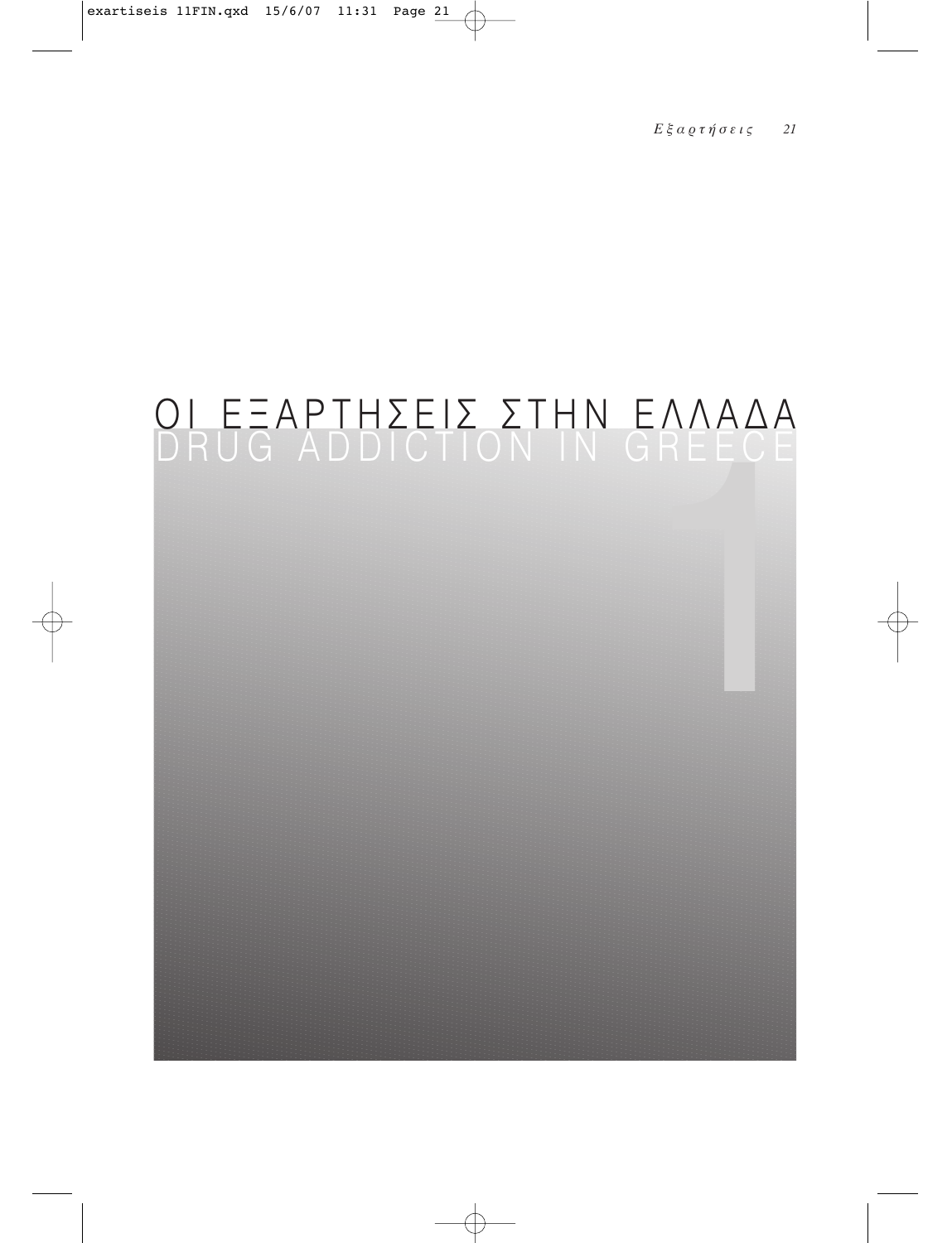$E \xi a \varrho \tau \eta \sigma \varepsilon \iota$   $\zeta$  21

# <u>OL EEAPTHΣEIΣ ΣΤΗΝ ΕΛΛΑΔΑ</u><br>Drug addiction in greece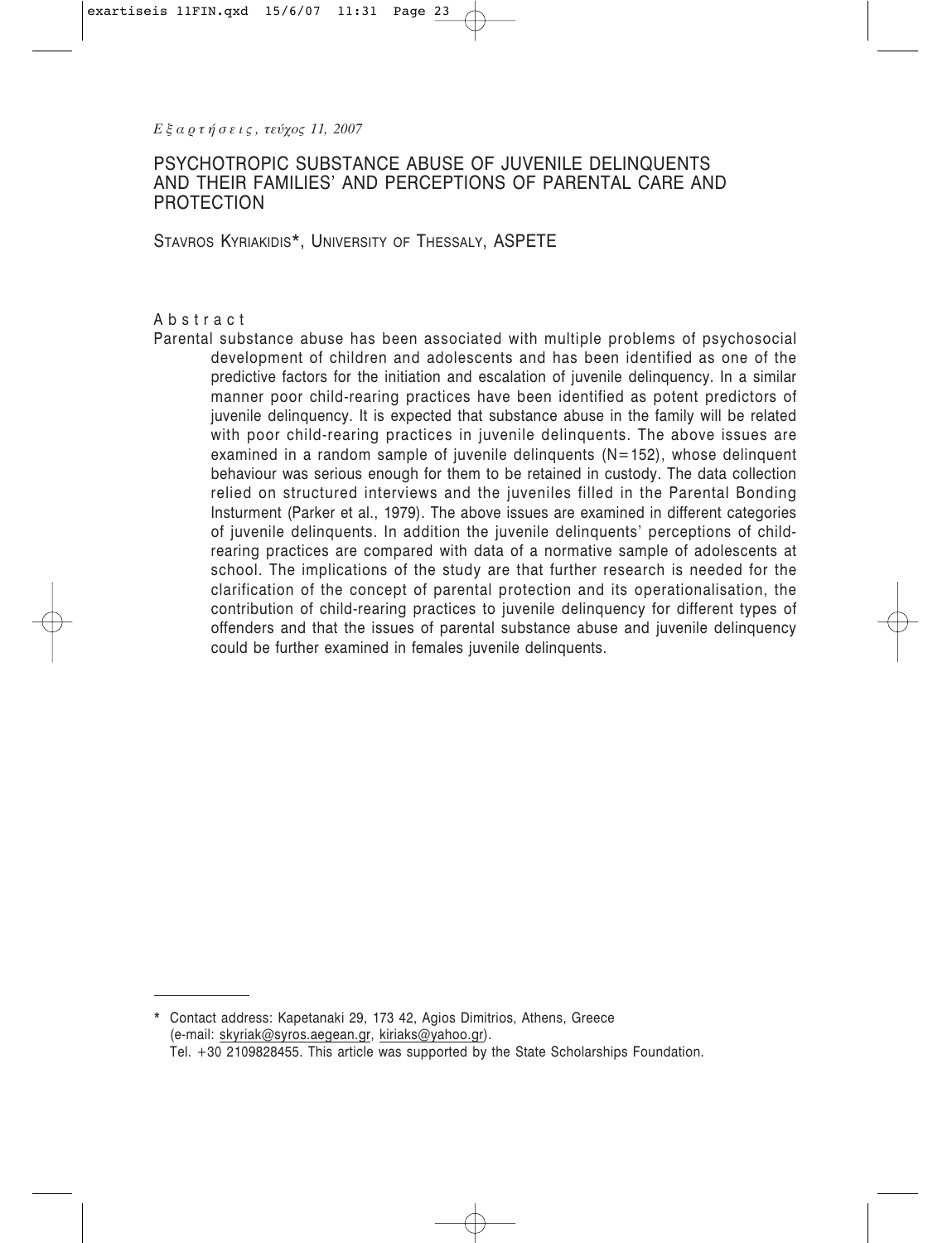*Ε ξ α ρ τ ή σ ε ι ς , τεύχος 11, 2007*

# PSYCHOTROPIC SUBSTANCE ABUSE OF JUVENILE DELINQUENTS AND THEIR FAMILIES' AND PERCEPTIONS OF PARENTAL CARE AND PROTECTION

STAVROS KYRIAKIDIS\*, UNIVERSITY OF THESSALY, ASPETE

#### Abstract

Parental substance abuse has been associated with multiple problems of psychosocial development of children and adolescents and has been identified as one of the predictive factors for the initiation and escalation of juvenile delinquency. In a similar manner poor child-rearing practices have been identified as potent predictors of juvenile delinquency. It is expected that substance abuse in the family will be related with poor child-rearing practices in juvenile delinquents. The above issues are examined in a random sample of juvenile delinquents  $(N=152)$ , whose delinquent behaviour was serious enough for them to be retained in custody. The data collection relied on structured interviews and the juveniles filled in the Parental Bonding Insturment (Parker et al., 1979). The above issues are examined in different categories of juvenile delinquents. In addition the juvenile delinquents' perceptions of childrearing practices are compared with data of a normative sample of adolescents at school. The implications of the study are that further research is needed for the clarification of the concept of parental protection and its operationalisation, the contribution of child-rearing practices to juvenile delinquency for different types of offenders and that the issues of parental substance abuse and juvenile delinquency could be further examined in females juvenile delinquents.

<sup>\*</sup> Contact address: Kapetanaki 29, 173 42, Agios Dimitrios, Athens, Greece (e-mail: skyriak@syros.aegean.gr, kiriaks@yahoo.gr). Tel. +30 2109828455. This article was supported by the State Scholarships Foundation.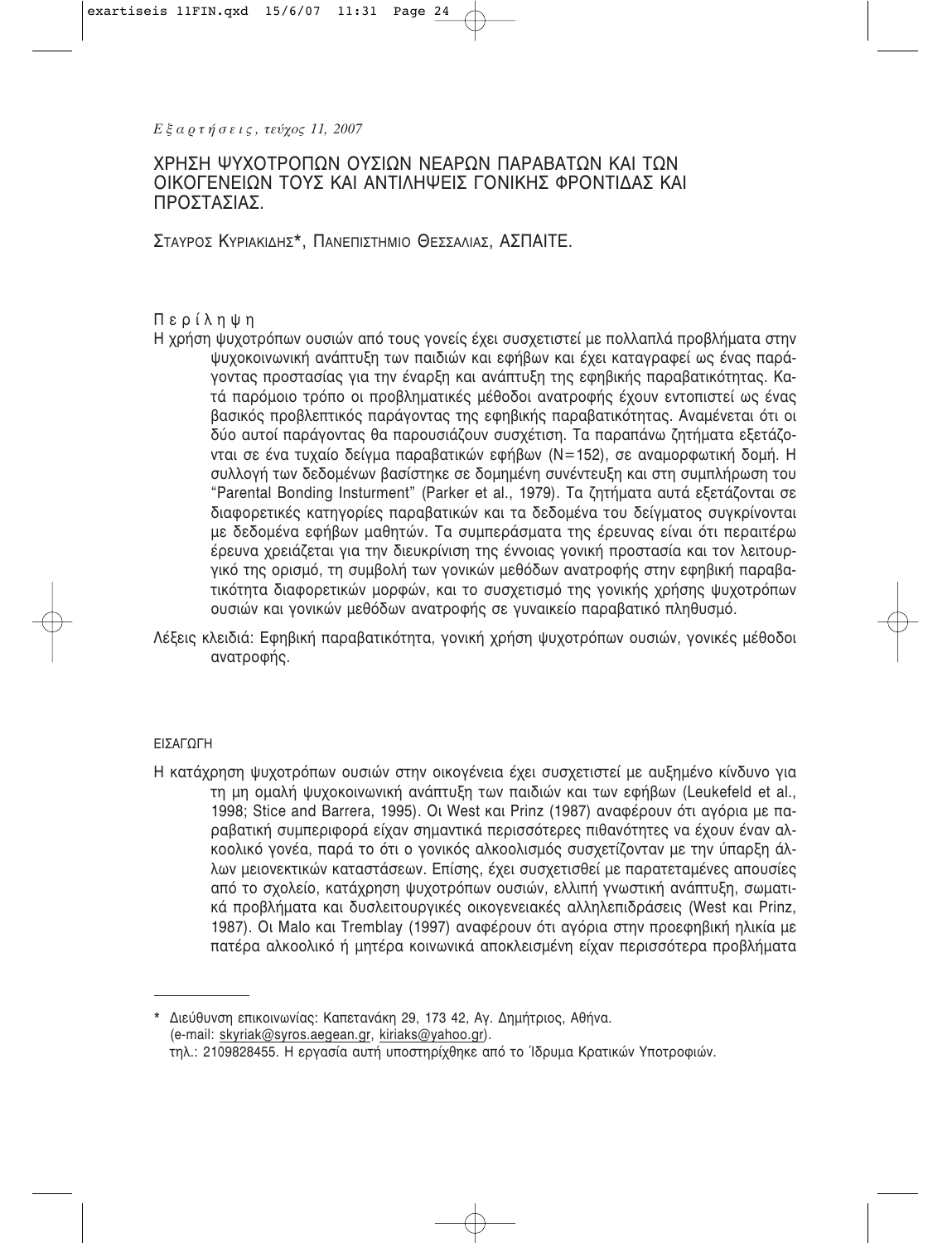Εξαρτήσεις, τεύγος 11, 2007

# ΧΡΗΣΗ ΨΥΧΟΤΡΟΠΩΝ ΟΥΣΙΩΝ ΝΕΑΡΩΝ ΠΑΡΑΒΑΤΩΝ ΚΑΙ ΤΩΝ ΟΙΚΟΓΕΝΕΙΩΝ ΤΟΥΣ ΚΑΙ ΑΝΤΙΛΗΨΕΙΣ ΓΟΝΙΚΗΣ ΦΡΟΝΤΙΔΑΣ ΚΑΙ ΠΡΟΣΤΑΣΙΑΣ.

ΣΤΑΥΡΟΣ ΚΥΡΙΑΚΙΔΗΣ\*, ΠΑΝΕΠΙΣΤΗΜΙΟ ΘΕΣΣΑΛΙΑΣ, ΑΣΠΑΙΤΕ.

#### Περίληψη

- Η χρήση ψυχοτρόπων ουσιών από τους γονείς έχει συσχετιστεί με πολλαπλά προβλήματα στην ψυχοκοινωνική ανάπτυξη των παιδιών και εφήβων και έχει καταγραφεί ως ένας παράγοντας προστασίας για την έναρξη και ανάπτυξη της εφηβικής παραβατικότητας. Κατά παρόμοιο τρόπο οι προβληματικές μέθοδοι ανατροφής έχουν εντοπιστεί ως ένας βασικός προβλεπτικός παράγοντας της εφηβικής παραβατικότητας. Αναμένεται ότι οι δύο αυτοί παράγοντας θα παρουσιάζουν συσχέτιση. Τα παραπάνω ζητήματα εξετάζονται σε ένα τυχαίο δείγμα παραβατικών εφήβων (N=152), σε αναμορφωτική δομή. Η συλλογή των δεδομένων βασίστηκε σε δομημένη συνέντευξη και στη συμπλήρωση του "Parental Bonding Insturment" (Parker et al., 1979). Τα ζητήματα αυτά εξετάζονται σε διαφορετικές κατηγορίες παραβατικών και τα δεδομένα του δείγματος συγκρίνονται με δεδομένα εφήβων μαθητών. Τα συμπεράσματα της έρευνας είναι ότι περαιτέρω έρευνα χρειάζεται για την διευκρίνιση της έννοιας γονική προστασία και τον λειτουργικό της ορισμό, τη συμβολή των γονικών μεθόδων ανατροφής στην εφηβική παραβατικότητα διαφορετικών μορφών, και το συσχετισμό της γονικής χρήσης ψυχοτρόπων ουσιών και γονικών μεθόδων ανατροφής σε γυναικείο παραβατικό πληθυσμό.
- Λέξεις κλειδιά: Εφηβική παραβατικότητα, γονική χρήση ψυχοτρόπων ουσιών, γονικές μέθοδοι ανατροφής.

#### ΕΙΣΑΓΩΓΗ

Η κατάχρηση ψυχοτρόπων ουσιών στην οικογένεια έχει συσχετιστεί με αυξημένο κίνδυνο για τη μη ομαλή ψυχοκοινωνική ανάπτυξη των παιδιών και των εφήβων (Leukefeld et al., 1998; Stice and Barrera, 1995). Οι West και Prinz (1987) αναφέρουν ότι αγόρια με παραβατική συμπεριφορά είχαν σημαντικά περισσότερες πιθανότητες να έχουν έναν αλκοολικό γονέα, παρά το ότι ο γονικός αλκοολισμός συσχετίζονταν με την ύπαρξη άλλων μειονεκτικών καταστάσεων. Επίσης, έχει συσχετισθεί με παρατεταμένες απουσίες από το σχολείο, κατάχρηση ψυχοτρόπων ουσιών, ελλιπή γνωστική ανάπτυξη, σωματικά προβλήματα και δυσλειτουργικές οικογενειακές αλληλεπιδράσεις (West και Prinz, 1987). Οι Malo και Tremblay (1997) αναφέρουν ότι αγόρια στην προεφηβική ηλικία με πατέρα αλκοολικό ή μητέρα κοινωνικά αποκλεισμένη είχαν περισσότερα προβλήματα

\* Διεύθυνση επικοινωνίας: Καπετανάκη 29, 173 42, Αγ. Δημήτριος, Αθήνα. (e-mail: skyriak@syros.aegean.gr, kiriaks@yahoo.gr). τηλ.: 2109828455. Η εργασία αυτή υποστηρίχθηκε από το Ίδρυμα Κρατικών Υποτροφιών.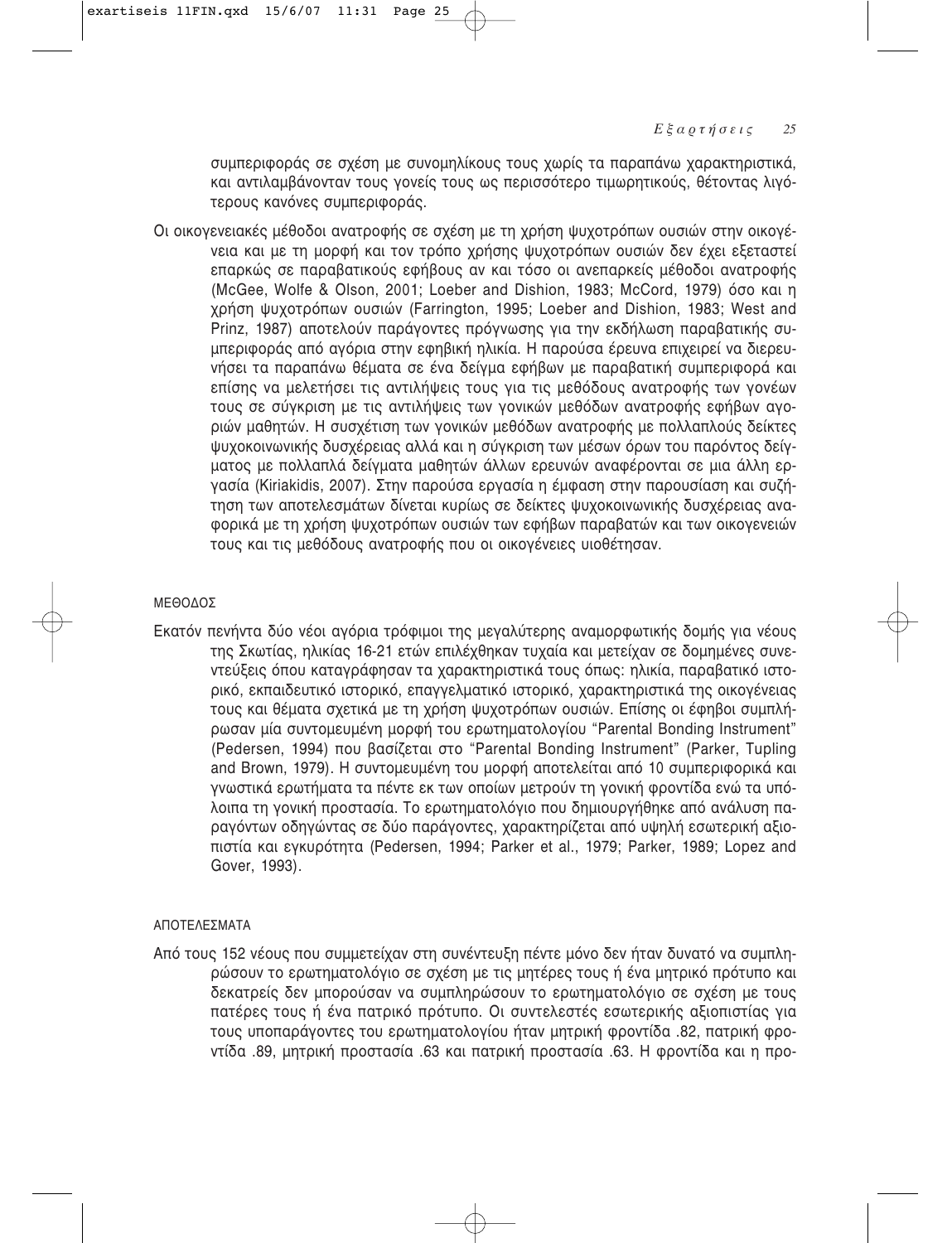συμπεριφοράς σε σχέση με συνομηλίκους τους χωρίς τα παραπάνω χαρακτηριστικά, και αντιλαμβάνονταν τους νονείς τους ως περισσότερο τιμωρητικούς, θέτοντας λινότερους κανόνες συμπεριφοράς.

Οι οικογενειακές μέθοδοι ανατροφής σε σχέση με τη χρήση ψυχοτρόπων ουσιών στην οικογέ-Vεια και με τη μορφή και τον τρόπο χρήσης ψυχοτρόπων ουσιών δεν έχει εξεταστεί επαρκώς σε παραβατικούς εφήβους αν και τόσο οι ανεπαρκείς μέθοδοι ανατροφής (McGee, Wolfe & Olson, 2001; Loeber and Dishion, 1983; McCord, 1979) óσο και η χρήση ψυχοτρόπων ουσιών (Farrington, 1995; Loeber and Dishion, 1983; West and Prinz, 1987) αποτελούν παράγοντες πρόγνωσης για την εκδήλωση παραβατικής συμπεριφοράς από αγόρια στην εφηβική ηλικία. Η παρούσα έρευνα επιχειρεί να διερευνήσει τα παραπάνω θέματα σε ένα δείγμα εφήβων με παραβατική συμπεριφορά και επίσης να μελετήσει τις αντιλήψεις τους για τις μεθόδους ανατροφής των γονέων τους σε σύγκριση με τις αντιλήψεις των γονικών μεθόδων ανατροφής εφήβων αγοριών μαθητών. Η συσχέτιση των γονικών μεθόδων ανατροφής με πολλαπλούς δείκτες ψυχοκοινωνικής δυσχέρειας αλλά και η σύγκριση των μέσων όρων του παρόντος δείγματος με πολλαπλά δείγματα μαθητών άλλων ερευνών αναφέρονται σε μια άλλη εργασία (Kiriakidis, 2007). Στην παρούσα εργασία η έμφαση στην παρουσίαση και συζήτηση των αποτελεσμάτων δίνεται κυρίως σε δείκτες ψυχοκοινωνικής δυσχέρειας αναφορικά με τη χρήση ψυχοτρόπων ουσιών των εφήβων παραβατών και των οικογενειών τους και τις μεθόδους ανατροφής που οι οικογένειες υιοθέτησαν.

#### ª∂£√¢√™

exartiseis 11FIN.qxd 15/6/07 11:31 Page 25

Εκατόν πενήντα δύο νέοι αγόρια τρόφιμοι της μεγαλύτερης αναμορφωτικής δομής για νέους της Σκωτίας, ηλικίας 16-21 ετών επιλέχθηκαν τυχαία και μετείχαν σε δομημένες συνε-VΤεύξεις όπου καταγράφησαν τα χαρακτηριστικά τους όπως: ηλικία, παραβατικό ιστορικό, εκπαιδευτικό ιστορικό, επαγγελματικό ιστορικό, χαρακτηριστικά της οικογένειας τους και θέματα σχετικά με τη χρήση ψυχοτρόπων ουσιών. Επίσης οι έφηβοι συμπλήρωσαν μία συντομευμένη μορφή του ερωτηματολογίου "Parental Bonding Instrument" (Pedersen, 1994) που βασίζεται στο "Parental Bonding Instrument" (Parker, Tupling and Brown, 1979). Η συντομευμένη του μορφή αποτελείται από 10 συμπεριφορικά και γνωστικά ερωτήματα τα πέντε εκ των οποίων μετρούν τη γονική φροντίδα ενώ τα υπόλοιπα τη γονική προστασία. Το ερωτηματολόγιο που δημιουργήθηκε από ανάλυση παραγόντων οδηγώντας σε δύο παράγοντες, χαρακτηρίζεται από υψηλή εσωτερική αξιοπιστία και εγκυρότητα (Pedersen, 1994; Parker et al., 1979; Parker, 1989; Lopez and Gover, 1993).

#### AΠΟΤΕΛΕΣΜΑΤΑ

Aπό τους 152 νέους που συμμετείχαν στη συνέντευξη πέντε μόνο δεν ήταν δυνατό να συμπληρώσουν το ερωτηματολόγιο σε σχέση με τις μητέρες τους ή ένα μητρικό πρότυπο και δεκατρείς δεν μπορούσαν να συμπληρώσουν το ερωτηματολόγιο σε σχέση με τους πατέρες τους ή ένα πατρικό πρότυπο. Οι συντελεστές εσωτερικής αξιοπιστίας για τους υποπαράγοντες του ερωτηματολογίου ήταν μητρική φροντίδα .82, πατρική φροντίδα .89, μητρική προστασία .63 και πατρική προστασία .63. Η φροντίδα και η προ-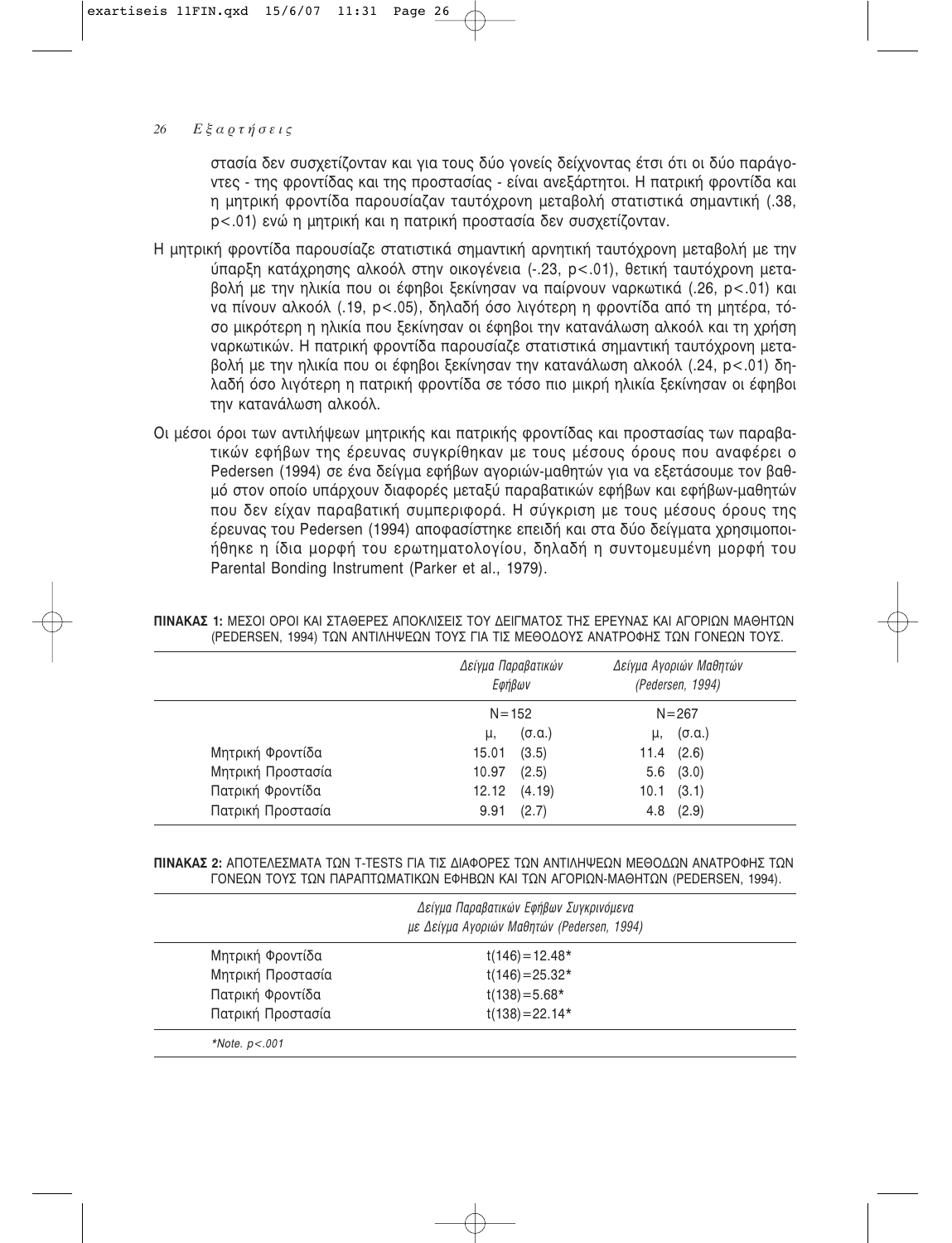στασία δεν συσχετίζονταν και για τους δύο γονείς δείχνοντας έτσι ότι οι δύο παράγοντες - της φροντίδας και της προστασίας - είναι ανεξάρτητοι. Η πατρική φροντίδα και η μητρική φροντίδα παρουσίαζαν ταυτόχρονη μεταβολή στατιστικά σημαντική (.38,  $p$ <.01) ενώ η μητρική και η πατρική προστασία δεν συσχετίζονταν.

- Η μητρική φροντίδα παρουσίαζε στατιστικά σημαντική αρνητική ταυτόχρονη μεταβολή με την ύπαρξη κατάχρησης αλκοόλ στην οικογένεια (-.23, p<.01), θετική ταυτόχρονη μετα- $\beta$ ολή με την ηλικία που οι έφηβοι ξεκίνησαν να παίρνουν ναρκωτικά (.26, p<.01) και vα πίνουν αλκοόλ (.19, p<.05), δηλαδή όσο λιγότερη η φροντίδα από τη μητέρα, τόσο μικρότερη η ηλικία που ξεκίνησαν οι έφηβοι την κατανάλωση αλκοόλ και τη χρήση ναρκωτικών. Η πατρική φροντίδα παρουσίαζε στατιστικά σημαντική ταυτόχρονη μεταβολή με την ηλικία που οι έφηβοι ξεκίνησαν την κατανάλωση αλκοόλ (.24, p<.01) δηλαδή όσο λιγότερη η πατρική φροντίδα σε τόσο πιο μικρή ηλικία ξεκίνησαν οι έφηβοι την κατανάλωση αλκοόλ.
- Οι μέσοι όροι των αντιλήψεων μητρικής και πατρικής φροντίδας και προστασίας των παραβατικών εφήβων της έρευνας συγκρίθηκαν με τους μέσους όρους που αναφέρει ο Pedersen (1994) σε ένα δείγμα εφήβων αγοριών-μαθητών για να εξετάσουμε τον βαθμό στον οποίο υπάρχουν διαφορές μεταξύ παραβατικών εφήβων και εφήβων-μαθητών που δεν είχαν παραβατική συμπεριφορά. Η σύγκριση με τους μέσους όρους της έρευνας του Pedersen (1994) αποφασίστηκε επειδή και στα δύο δείγματα χρησιμοποιήθηκε η ίδια μορφή του ερωτηματολογίου, δηλαδή η συντομευμένη μορφή του Parental Bonding Instrument (Parker et al., 1979).

|                   | Δείγμα Παραβατικών<br>Εφήβων<br>$N = 152$ |                   | Δείγμα Αγοριών Μαθητών<br>(Pedersen, 1994)<br>$N = 267$ |        |
|-------------------|-------------------------------------------|-------------------|---------------------------------------------------------|--------|
|                   |                                           |                   |                                                         |        |
|                   | μ,                                        | $(\sigma \alpha)$ | μ,                                                      | (σ.α.) |
| Μητρική Φροντίδα  | 15.01                                     | (3.5)             | 11.4                                                    | (2.6)  |
| Μητρική Προστασία | 10.97                                     | (2.5)             | 5.6                                                     | (3.0)  |
| Πατρική Φροντίδα  | 12.12                                     | (4.19)            | 10.1                                                    | (3.1)  |
| Πατρική Προστασία | 9.91                                      | (2.7)             | 4.8                                                     | (2.9)  |

ΠΙΝΑΚΑΣ 1: ΜΕΣΟΙ ΟΡΟΙ ΚΑΙ ΣΤΑΘΕΡΕΣ ΑΠΟΚΛΙΣΕΙΣ ΤΟΥ ΔΕΙΓΜΑΤΟΣ ΤΗΣ ΕΡΕΥΝΑΣ ΚΑΙ ΑΓΟΡΙΩΝ ΜΑΘΗΤΩΝ (PEDERSEN, 1994) ΤΩΝ ΑΝΤΙΛΗΨΕΩΝ ΤΟΥΣ ΓΙΑ ΤΙΣ ΜΕΘΟΔΟΥΣ ΑΝΑΤΡΟΦΗΣ ΤΩΝ ΓΟΝΕΩΝ ΤΟΥΣ.

#### **ΠΙΝΑΚΑΣ 2:** ΑΠΟΤΕΛΕΣΜΑΤΑ ΤΩΝ Τ-TESTS ΓΙΑ ΤΙΣ ΔΙΑΦΟΡΕΣ ΤΩΝ ΑΝΤΙΛΗΨΕΩΝ ΜΕΘΟΔΩΝ ΑΝΑΤΡΟΦΗΣ ΤΩΝ ΓΟΝΕΩΝ ΤΟΥΣ ΤΩΝ ΠΑΡΑΠΤΩΜΑΤΙΚΩΝ ΕΦΗΒΩΝ ΚΑΙ ΤΩΝ ΑΓΟΡΙΩΝ-ΜΑΘΗΤΩΝ (PEDERSEN, 1994).

| Δείγμα Παραβατικών Εφήβων Συγκρινόμενα<br>με Δείγμα Αγοριών Μαθητών (Pedersen, 1994) |                   |  |  |
|--------------------------------------------------------------------------------------|-------------------|--|--|
| Μητρική Φροντίδα                                                                     | $t(146) = 12.48*$ |  |  |
| Μητρική Προστασία                                                                    | $t(146) = 25.32*$ |  |  |
| Πατρική Φροντίδα                                                                     | $t(138)=5.68*$    |  |  |
| Πατρική Προστασία                                                                    | $t(138) = 22.14*$ |  |  |
| *Note, $p < .001$                                                                    |                   |  |  |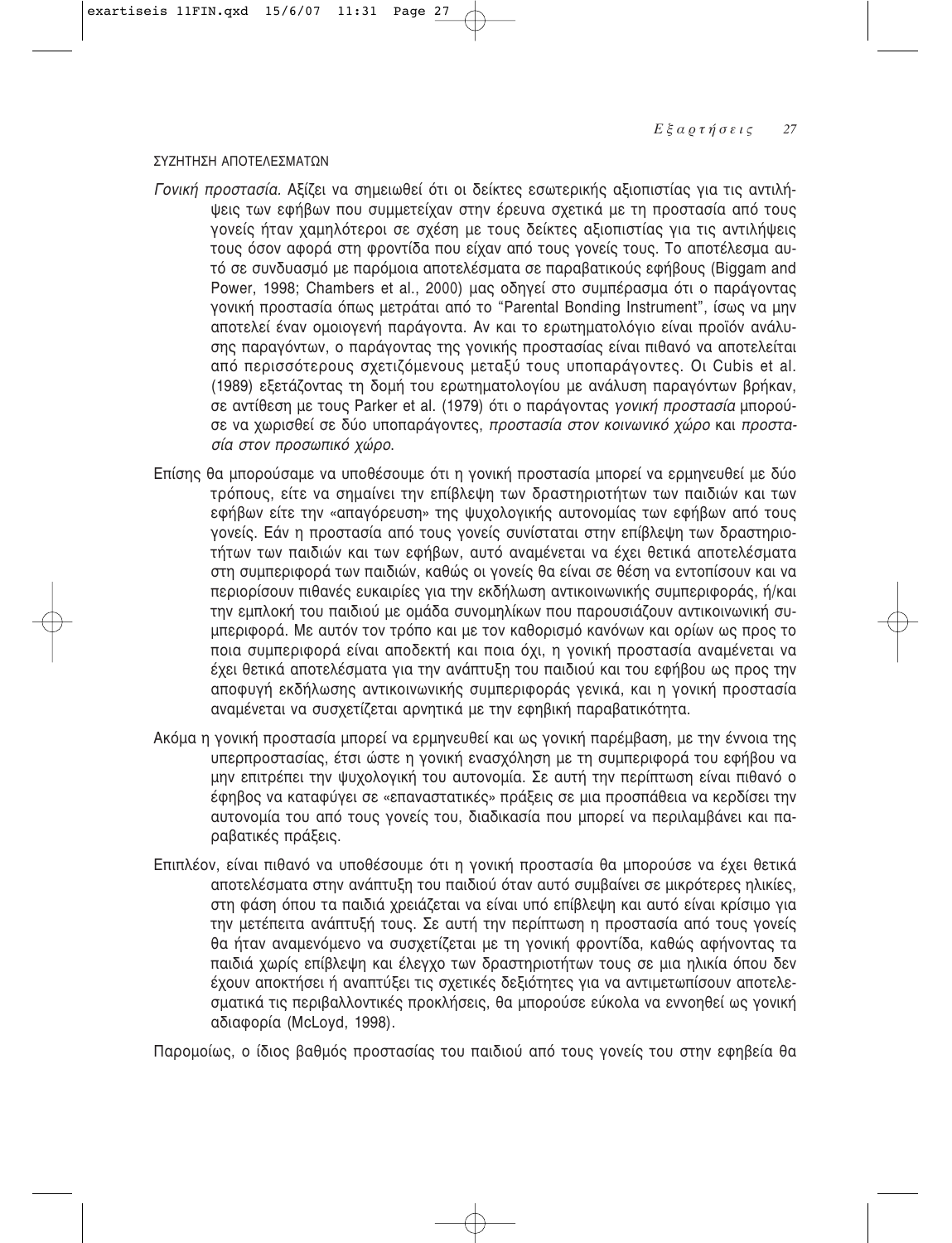#### ΣΥΖΗΤΗΣΗ ΑΠΟΤΕΛΕΣΜΑΤΩΝ

- *Γονική προστασία.* Αξίζει να σημειωθεί ότι οι δείκτες εσωτερικής αξιοπιστίας για τις αντιλήψεις των εφήβων που συμμετείχαν στην έρευνα σχετικά με τη προστασία από τους γονείς ήταν χαμηλότεροι σε σχέση με τους δείκτες αξιοπιστίας για τις αντιλήψεις τους όσον αφορά στη φροντίδα που είχαν από τους γονείς τους. Το αποτέλεσμα αυτό σε συνδυασμό με παρόμοια αποτελέσματα σε παραβατικούς εφήβους (Biggam and Power, 1998; Chambers et al., 2000) μας οδηγεί στο συμπέρασμα ότι ο παράγοντας γονική προστασία όπως μετράται από το "Parental Bonding Instrument", ίσως να μην αποτελεί έναν ομοιονενή παράνοντα. Αν και το ερωτηματολόνιο είναι προϊόν ανάλυσης παραγόντων, ο παράγοντας της γονικής προστασίας είναι πιθανό να αποτελείται από περισσότερους σχετιζόμενους μεταξύ τους υποπαράγοντες. Οι Cubis et al. (1989) εξετάζοντας τη δομή του ερωτηματολογίου με ανάλυση παραγόντων βρήκαν, σε αντίθεση με τους Parker et al. (1979) ότι ο παράνοντας *νονική προστασία* μπορούσε να χωρισθεί σε δύο υποπαράγοντες, *προστασία στον κοινωνικό χώρο* και *προστα-Û›· ÛÙÔÓ ÚÔÛˆÈÎfi ¯ÒÚÔ*.
- Επίσης θα μπορούσαμε να υποθέσουμε ότι η γονική προστασία μπορεί να ερμηνευθεί με δύο τρόπους, είτε να σημαίνει την επίβλεψη των δραστηριοτήτων των παιδιών και των εφήβων είτε την «απαγόρευση» της ψυχολογικής αυτονομίας των εφήβων από τους γονείς. Εάν η προστασία από τους γονείς συνίσταται στην επίβλεψη των δραστηριοτήτων των παιδιών και των εφήβων, αυτό αναμένεται να έχει θετικά αποτελέσματα στη συμπεριφορά των παιδιών, καθώς οι γονείς θα είναι σε θέση να εντοπίσουν και να περιορίσουν πιθανές ευκαιρίες για την εκδήλωση αντικοινωνικής συμπεριφοράς, ή/και την εμπλοκή του παιδιού με ομάδα συνομηλίκων που παρουσιάζουν αντικοινωνική συμπεριφορά. Με αυτόν τον τρόπο και με τον καθορισμό κανόνων και ορίων ως προς το ποια συμπεριφορά είναι αποδεκτή και ποια όχι, η γονική προστασία αναμένεται να έχει θετικά αποτελέσματα για την ανάπτυξη του παιδιού και του εφήβου ως προς την αποφυγή εκδήλωσης αντικοινωνικής συμπεριφοράς γενικά, και η γονική προστασία αναμένεται να συσχετίζεται αρνητικά με την εφηβική παραβατικότητα.
- Aκόμα η γονική προστασία μπορεί να ερμηνευθεί και ως γονική παρέμβαση, με την έννοια της υπερπροστασίας, έτσι ώστε η γονική ενασχόληση με τη συμπεριφορά του εφήβου να μην επιτρέπει την ψυχολογική του αυτονομία. Σε αυτή την περίπτωση είναι πιθανό ο έφηβος να καταφύγει σε «επαναστατικές» πράξεις σε μια προσπάθεια να κερδίσει την αυτονομία του από τους γονείς του, διαδικασία που μπορεί να περιλαμβάνει και παραβατικές πράξεις.
- Επιπλέον, είναι πιθανό να υποθέσουμε ότι η γονική προστασία θα μπορούσε να έχει θετικά αποτελέσματα στην ανάπτυξη του παιδιού όταν αυτό συμβαίνει σε μικρότερες ηλικίες, στη φάση όπου τα παιδιά χρειάζεται να είναι υπό επίβλεψη και αυτό είναι κρίσιμο για την μετέπειτα ανάπτυξή τους. Σε αυτή την περίπτωση η προστασία από τους γονείς θα ήταν αναμενόμενο να συσχετίζεται με τη γονική φροντίδα, καθώς αφήνοντας τα παιδιά χωρίς επίβλεψη και έλεγχο των δραστηριοτήτων τους σε μια ηλικία όπου δεν έχουν αποκτήσει ή αναπτύξει τις σχετικές δεξιότητες για να αντιμετωπίσουν αποτελεσματικά τις περιβαλλοντικές προκλήσεις, θα μπορούσε εύκολα να εννοηθεί ως γονική αδιαφορία (McLoyd, 1998).

Παρομοίως, ο ίδιος βαθμός προστασίας του παιδιού από τους γονείς του στην εφηβεία θα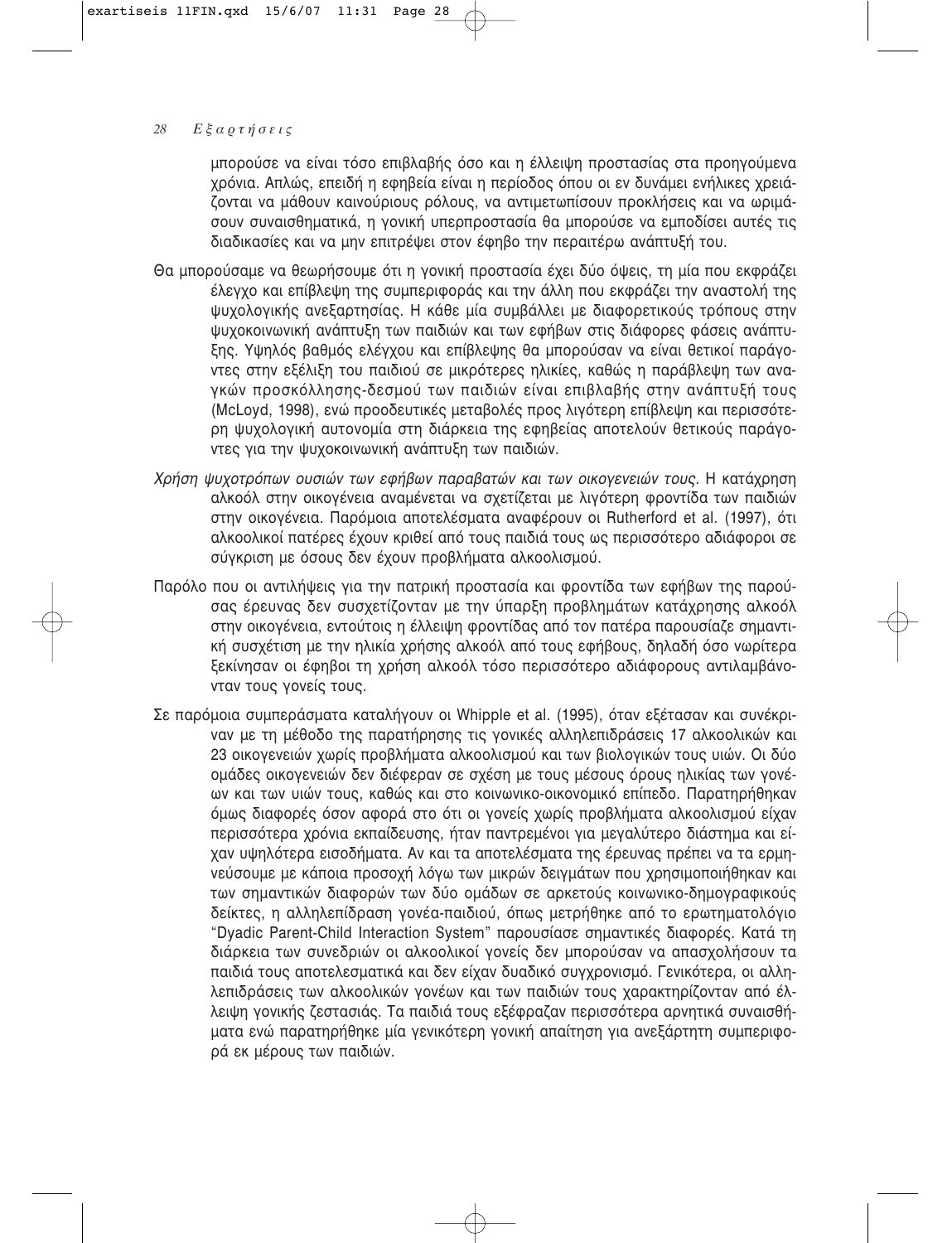μπορούσε να είναι τόσο επιβλαβής όσο και η έλλειψη προστασίας στα προηγούμενα χρόνια. Απλώς, επειδή η εφηβεία είναι η περίοδος όπου οι εν δυνάμει ενήλικες χρειάζονται να μάθουν καινούριους ρόλους, να αντιμετωπίσουν προκλήσεις και να ωριμάσουν συναισθηματικά, η γονική υπερπροστασία θα μπορούσε να εμποδίσει αυτές τις διαδικασίες και να μην επιτρέψει στον έφηβο την περαιτέρω ανάπτυξή του.

- Θα μπορούσαμε να θεωρήσουμε ότι η γονική προστασία έχει δύο όψεις, τη μία που εκφράζει έλεγχο και επίβλεψη της συμπεριφοράς και την άλλη που εκφράζει την αναστολή της ψυχολογικής ανεξαρτησίας. Η κάθε μία συμβάλλει με διαφορετικούς τρόπους στην ψυχοκοινωνική ανάπτυξη των παιδιών και των εφήβων στις διάφορες φάσεις ανάπτυξης. Υψηλός βαθμός ελέγχου και επίβλεψης θα μπορούσαν να είναι θετικοί παράγοντες στην εξέλιξη του παιδιού σε μικρότερες ηλικίες, καθώς η παράβλεψη των αναγκών προσκόλλησης-δεσμού των παιδιών είναι επιβλαβής στην ανάπτυξή τους (McLoyd, 1998), ενώ προοδευτικές μεταβολές προς λιγότερη επίβλεψη και περισσότερη ψυχολογική αυτονομία στη διάρκεια της εφηβείας αποτελούν θετικούς παράγοντες για την ψυχοκοινωνική ανάπτυξη των παιδιών.
- Χρήση ψυχοτρόπων ουσιών των εφήβων παραβατών και των οικογενειών τους. Η κατάχρηση αλκοόλ στην οικογένεια αναμένεται να σχετίζεται με λιγότερη φροντίδα των παιδιών στην οικογένεια. Παρόμοια αποτελέσματα αναφέρουν οι Rutherford et al. (1997), ότι αλκοολικοί πατέρες έχουν κριθεί από τους παιδιά τους ως περισσότερο αδιάφοροι σε σύγκριση με όσους δεν έχουν προβλήματα αλκοολισμού.
- Παρόλο που οι αντιλήψεις για την πατρική προστασία και φροντίδα των εφήβων της παρούσας έρευνας δεν συσχετίζονταν με την ύπαρξη προβλημάτων κατάχρησης αλκοόλ στην οικογένεια, εντούτοις η έλλειψη φροντίδας από τον πατέρα παρουσίαζε σημαντική συσχέτιση με την ηλικία χρήσης αλκοόλ από τους εφήβους, δηλαδή όσο νωρίτερα ξεκίνησαν οι έφηβοι τη χρήση αλκοόλ τόσο περισσότερο αδιάφορους αντιλαμβάνονταν τους γονείς τους.
- Σε παρόμοια συμπεράσματα καταλήγουν οι Whipple et al. (1995), όταν εξέτασαν και συνέκριναν με τη μέθοδο της παρατήρησης τις γονικές αλληλεπιδράσεις 17 αλκοολικών και 23 οικογενειών χωρίς προβλήματα αλκοολισμού και των βιολογικών τους υιών. Οι δύο ομάδες οικογενειών δεν διέφεραν σε σχέση με τους μέσους όρους ηλικίας των γονέων και των υιών τους, καθώς και στο κοινωνικο-οικονομικό επίπεδο. Παρατηρήθηκαν όμως διαφορές όσον αφορά στο ότι οι γονείς χωρίς προβλήματα αλκοολισμού είχαν περισσότερα χρόνια εκπαίδευσης, ήταν παντρεμένοι για μεγαλύτερο διάστημα και είχαν υψηλότερα εισοδήματα. Αν και τα αποτελέσματα της έρευνας πρέπει να τα ερμηνεύσουμε με κάποια προσοχή λόγω των μικρών δειγμάτων που χρησιμοποιήθηκαν και των σημαντικών διαφορών των δύο ομάδων σε αρκετούς κοινωνικο-δημογραφικούς δείκτες, η αλληλεπίδραση γονέα-παιδιού, όπως μετρήθηκε από το ερωτηματολόγιο "Dvadic Parent-Child Interaction Svstem" παρουσίασε σημαντικές διαφορές. Κατά τη διάρκεια των συνεδριών οι αλκοολικοί γονείς δεν μπορούσαν να απασχολήσουν τα παιδιά τους αποτελεσματικά και δεν είχαν δυαδικό συγχρονισμό. Γενικότερα, οι αλληλεπιδράσεις των αλκοολικών γονέων και των παιδιών τους χαρακτηρίζονταν από έλλειψη γονικής ζεστασιάς. Τα παιδιά τους εξέφραζαν περισσότερα αρνητικά συναισθήματα ενώ παρατηρήθηκε μία γενικότερη γονική απαίτηση για ανεξάρτητη συμπεριφορά εκ μέρους των παιδιών.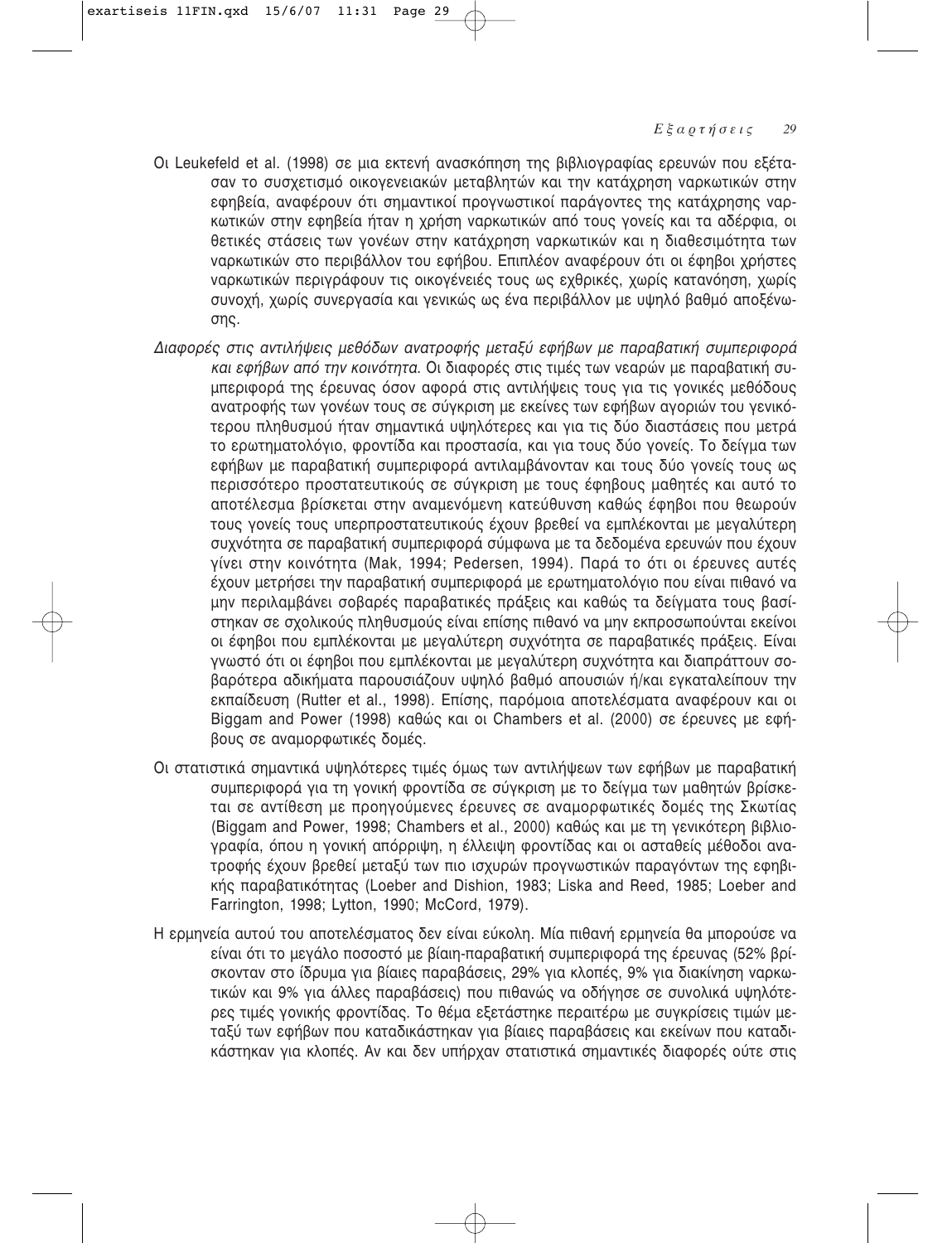- Οι Leukefeld et al. (1998) σε μια εκτενή ανασκόπηση της βιβλιογραφίας ερευνών που εξέτασαν το συσχετισμό οικονενειακών μεταβλητών και την κατάχρηση ναρκωτικών στην εφηβεία, αναφέρουν ότι σημαντικοί προγνωστικοί παράγοντες της κατάχρησης ναρ-Κωτικών στην εφηβεία ήταν η χρήση ναρκωτικών από τους νονείς και τα αδέρφια, οι θετικές στάσεις των γονέων στην κατάχρηση ναρκωτικών και η διαθεσιμότητα των ναρκωτικών στο περιβάλλον του εφήβου. Επιπλέον αναφέρουν ότι οι έφηβοι χρήστες Vαρκωτικών περιγράφουν τις οικογένειές τους ως εχθρικές, χωρίς κατανόηση, χωρίς συνοχή, χωρίς συνεργασία και γενικώς ως ένα περιβάλλον με υψηλό βαθμό αποξένωσης.
- *Διαφορές στις αντιλήψεις μεθόδων ανατροφής μεταξύ εφήβων με παραβατική συμπεριφορά και εφήβων από την κοινότητα.* Οι διαφορές στις τιμές των νεαρών με παραβατική συμπεριφορά της έρευνας όσον αφορά στις αντιλήψεις τους για τις γονικές μεθόδους ανατροφής των γονέων τους σε σύγκριση με εκείνες των εφήβων αγοριών του γενικότερου πληθυσμού ήταν σημαντικά υψηλότερες και για τις δύο διαστάσεις που μετρά το ερωτηματολόγιο, φροντίδα και προστασία, και για τους δύο γονείς. Το δείγμα των εφήβων με παραβατική συμπεριφορά αντιλαμβάνονταν και τους δύο γονείς τους ως περισσότερο προστατευτικούς σε σύγκριση με τους έφηβους μαθητές και αυτό το αποτέλεσμα βρίσκεται στην αναμενόμενη κατεύθυνση καθώς έφηβοι που θεωρούν τους γονείς τους υπερπροστατευτικούς έχουν βρεθεί να εμπλέκονται με μεγαλύτερη συχνότητα σε παραβατική συμπεριφορά σύμφωνα με τα δεδομένα ερευνών που έχουν γίνει στην κοινότητα (Mak, 1994; Pedersen, 1994). Παρά το ότι οι έρευνες αυτές έχουν μετρήσει την παραβατική συμπεριφορά με ερωτηματολόγιο που είναι πιθανό να μην περιλαμβάνει σοβαρές παραβατικές πράξεις και καθώς τα δείγματα τους βασίστηκαν σε σχολικούς πληθυσμούς είναι επίσης πιθανό να μην εκπροσωπούνται εκείνοι οι έφηβοι που εμπλέκονται με μεγαλύτερη συχνότητα σε παραβατικές πράξεις. Είναι γνωστό ότι οι έφηβοι που εμπλέκονται με μεγαλύτερη συχνότητα και διαπράττουν σοβαρότερα αδικήματα παρουσιάζουν υψηλό βαθμό απουσιών ή/και εγκαταλείπουν την εκπαίδευση (Rutter et al., 1998). Επίσης, παρόμοια αποτελέσματα αναφέρουν και οι Biggam and Power (1998) καθώς και οι Chambers et al. (2000) σε έρευνες με εφήβους σε αναμορφωτικές δομές.
- Οι στατιστικά σημαντικά υψηλότερες τιμές όμως των αντιλήψεων των εφήβων με παραβατική συμπεριφορά για τη γονική φροντίδα σε σύγκριση με το δείγμα των μαθητών βρίσκεται σε αντίθεση με προηγούμενες έρευνες σε αναμορφωτικές δομές της Σκωτίας (Biggam and Power, 1998; Chambers et al., 2000) καθώς και με τη γενικότερη βιβλιογραφία, όπου η γονική απόρριψη, η έλλειψη φροντίδας και οι ασταθείς μέθοδοι ανατροφής έχουν βρεθεί μεταξύ των πιο ισχυρών προγνωστικών παραγόντων της εφηβι-Kής παραβατικότητας (Loeber and Dishion, 1983; Liska and Reed, 1985; Loeber and Farrington, 1998; Lytton, 1990; McCord, 1979).
- Η ερμηνεία αυτού του αποτελέσματος δεν είναι εύκολη. Μία πιθανή ερμηνεία θα μπορούσε να είναι ότι το μεγάλο ποσοστό με βίαιη-παραβατική συμπεριφορά της έρευνας (52% βρίσκονταν στο ίδρυμα για βίαιες παραβάσεις, 29% για κλοπές, 9% για διακίνηση ναρκωτικών και 9% για άλλες παραβάσεις) που πιθανώς να οδήγησε σε συνολικά υψηλότερες τιμές γονικής φροντίδας. Το θέμα εξετάστηκε περαιτέρω με συγκρίσεις τιμών μεταξύ των εφήβων που καταδικάστηκαν για βίαιες παραβάσεις και εκείνων που καταδικάστηκαν για κλοπές. Αν και δεν υπήρχαν στατιστικά σημαντικές διαφορές ούτε στις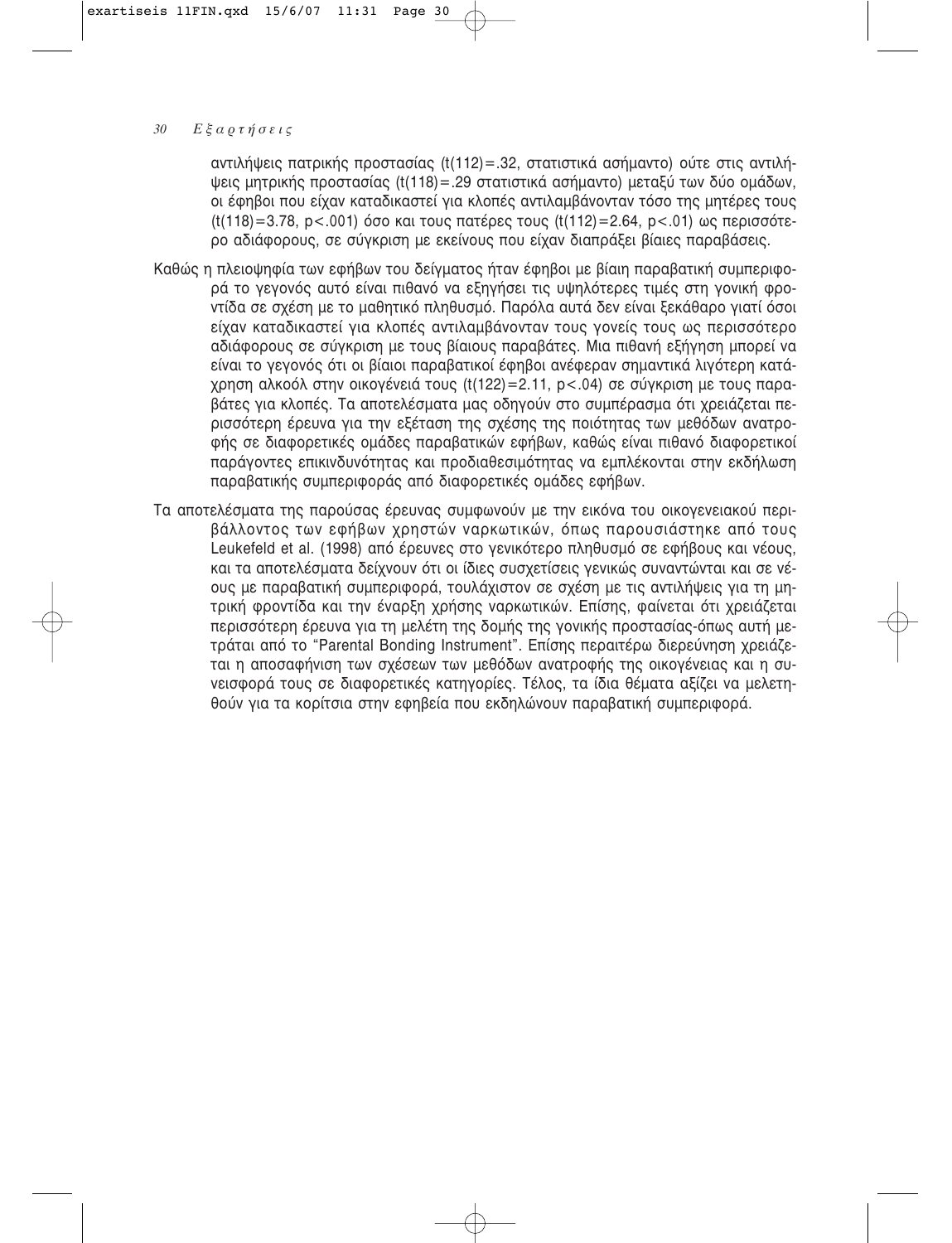#### $30^{\circ}$ Εξαρτήσεις

αντιλήψεις πατρικής προστασίας (t(112) = .32, στατιστικά ασήμαντο) ούτε στις αντιλήψεις μητρικής προστασίας (t(118) = 29 στατιστικά ασήμαντο) μεταξύ των δύο ομάδων, οι έφηβοι που είχαν καταδικαστεί για κλοπές αντιλαμβάνονταν τόσο της μητέρες τους  $(t(118)=3.78, p<.001)$  όσο και τους πατέρες τους  $(t(112)=2.64, p<.01)$  ως περισσότερο αδιάφορους, σε σύγκριση με εκείνους που είχαν διαπράξει βίαιες παραβάσεις.

- Καθώς η πλειοψηφία των εφήβων του δείγματος ήταν έφηβοι με βίαιη παραβατική συμπεριφορά το γενονός αυτό είναι πιθανό να εξηνήσει τις υψηλότερες τιμές στη νονική φροντίδα σε σχέση με το μαθητικό πληθυσμό. Παρόλα αυτά δεν είναι ξεκάθαρο γιατί όσοι είχαν καταδικαστεί για κλοπές αντιλαμβάνονταν τους γονείς τους ως περισσότερο αδιάφορους σε σύγκριση με τους βίαιους παραβάτες. Μια πιθανή εξήγηση μπορεί να είναι το γεγονός ότι οι βίαιοι παραβατικοί έφηβοι ανέφεραν σημαντικά λιγότερη κατάχρηση αλκοόλ στην οικογένειά τους (t(122)=2.11, p<.04) σε σύγκριση με τους παραβάτες για κλοπές. Τα αποτελέσματα μας οδηγούν στο συμπέρασμα ότι χρειάζεται περισσότερη έρευνα για την εξέταση της σχέσης της ποιότητας των μεθόδων ανατροφής σε διαφορετικές ομάδες παραβατικών εφήβων, καθώς είναι πιθανό διαφορετικοί παράγοντες επικινδυνότητας και προδιαθεσιμότητας να εμπλέκονται στην εκδήλωση παραβατικής συμπεριφοράς από διαφορετικές ομάδες εφήβων.
- Τα αποτελέσματα της παρούσας έρευνας συμφωνούν με την εικόνα του οικογενειακού περιβάλλοντος των εφήβων χρηστών ναρκωτικών, όπως παρουσιάστηκε από τους Leukefeld et al. (1998) από έρευνες στο γενικότερο πληθυσμό σε εφήβους και νέους, και τα αποτελέσματα δείχνουν ότι οι ίδιες συσχετίσεις γενικώς συναντώνται και σε νέους με παραβατική συμπεριφορά, τουλάχιστον σε σχέση με τις αντιλήψεις για τη μητρική φροντίδα και την έναρξη χρήσης ναρκωτικών. Επίσης, φαίνεται ότι χρειάζεται περισσότερη έρευνα για τη μελέτη της δομής της γονικής προστασίας-όπως αυτή μετράται από το "Parental Bonding Instrument". Επίσης περαιτέρω διερεύνηση χρειάζεται η αποσαφήνιση των σχέσεων των μεθόδων ανατροφής της οικογένειας και η συνεισφορά τους σε διαφορετικές κατηγορίες. Τέλος, τα ίδια θέματα αξίζει να μελετηθούν για τα κορίτσια στην εφηβεία που εκδηλώνουν παραβατική συμπεριφορά.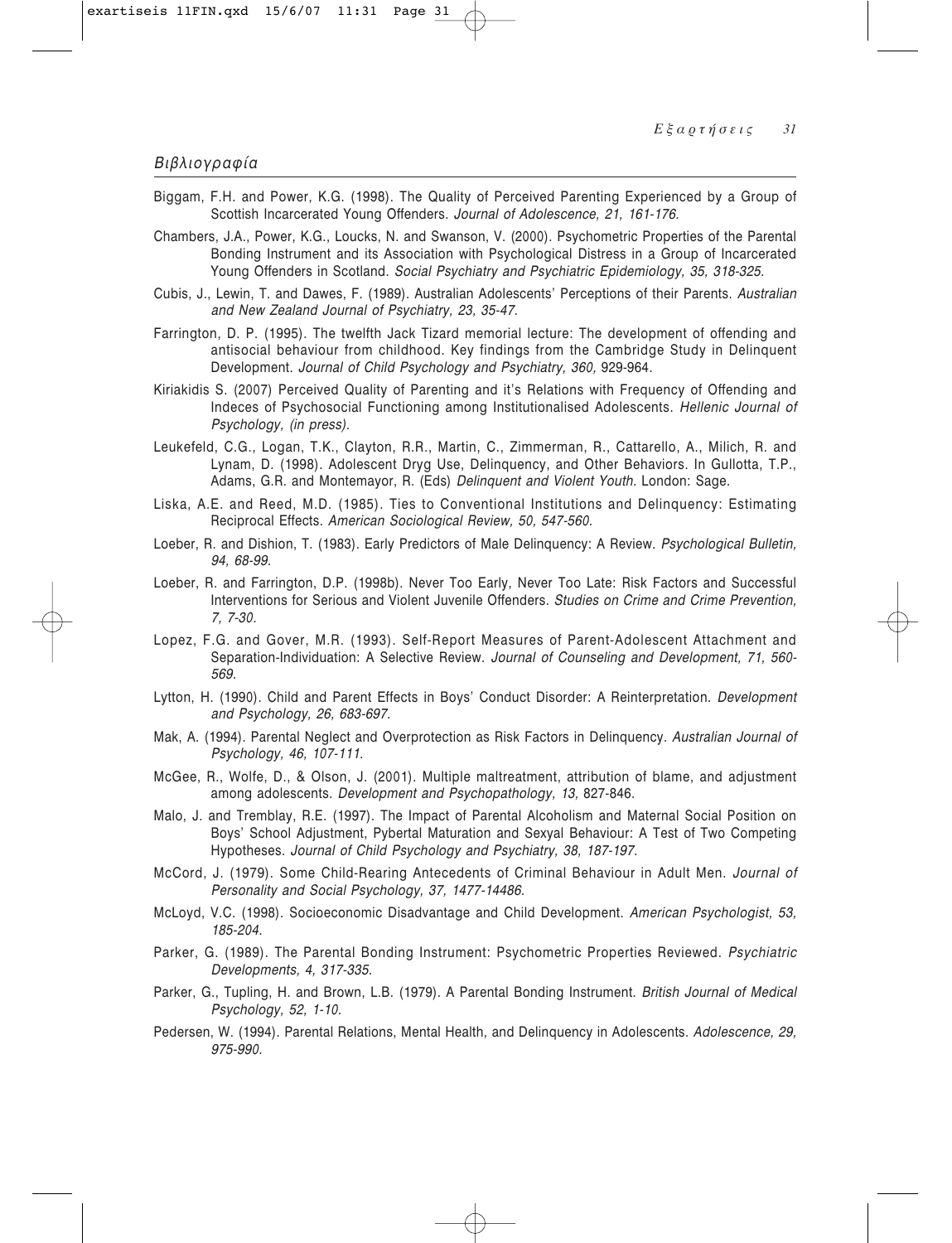#### exartiseis 11FIN.qxd Page 31  $15/6/07$  $11:31$

#### Βιβλιογραφία

- Biggam, F.H. and Power, K.G. (1998). The Quality of Perceived Parenting Experienced by a Group of Scottish Incarcerated Young Offenders. Journal of Adolescence, 21, 161-176.
- Chambers, J.A., Power, K.G., Loucks, N. and Swanson, V. (2000). Psychometric Properties of the Parental Bonding Instrument and its Association with Psychological Distress in a Group of Incarcerated Young Offenders in Scotland. Social Psychiatry and Psychiatric Epidemiology, 35, 318-325.
- Cubis, J., Lewin, T. and Dawes, F. (1989). Australian Adolescents' Perceptions of their Parents. Australian and New Zealand Journal of Psychiatry, 23, 35-47.
- Farrington, D. P. (1995). The twelfth Jack Tizard memorial lecture: The development of offending and antisocial behaviour from childhood. Key findings from the Cambridge Study in Delinquent Development. Journal of Child Psychology and Psychiatry, 360, 929-964.
- Kiriakidis S. (2007) Perceived Quality of Parenting and it's Relations with Frequency of Offending and Indeces of Psychosocial Functioning among Institutionalised Adolescents. Hellenic Journal of Psychology, (in press).
- Leukefeld, C.G., Logan, T.K., Clayton, R.R., Martin, C., Zimmerman, R., Cattarello, A., Milich, R. and Lynam, D. (1998). Adolescent Dryg Use, Delinquency, and Other Behaviors. In Gullotta, T.P., Adams, G.R. and Montemayor, R. (Eds) Delinquent and Violent Youth. London: Sage.
- Liska, A.E. and Reed, M.D. (1985). Ties to Conventional Institutions and Delinguency: Estimating Reciprocal Effects. American Sociological Review, 50, 547-560.
- Loeber, R. and Dishion, T. (1983). Early Predictors of Male Delinquency: A Review. Psychological Bulletin, 94, 68-99.
- Loeber, R. and Farrington, D.P. (1998b). Never Too Early, Never Too Late: Risk Factors and Successful Interventions for Serious and Violent Juvenile Offenders. Studies on Crime and Crime Prevention.  $7.7 - 30.$
- Lopez, F.G. and Gover, M.R. (1993). Self-Report Measures of Parent-Adolescent Attachment and Separation-Individuation: A Selective Review. Journal of Counseling and Development, 71, 560-569.
- Lytton, H. (1990). Child and Parent Effects in Boys' Conduct Disorder: A Reinterpretation. Development and Psychology, 26, 683-697.
- Mak, A. (1994). Parental Neglect and Overprotection as Risk Factors in Delinguency. Australian Journal of Psychology, 46, 107-111.
- McGee, R., Wolfe, D., & Olson, J. (2001). Multiple maltreatment, attribution of blame, and adjustment among adolescents. Development and Psychopathology, 13, 827-846.
- Malo, J. and Tremblay, R.E. (1997). The Impact of Parental Alcoholism and Maternal Social Position on Boys' School Adjustment, Pybertal Maturation and Sexyal Behaviour: A Test of Two Competing Hypotheses. Journal of Child Psychology and Psychiatry, 38, 187-197.
- McCord, J. (1979). Some Child-Rearing Antecedents of Criminal Behaviour in Adult Men. Journal of Personality and Social Psychology, 37, 1477-14486.
- McLoyd, V.C. (1998). Socioeconomic Disadvantage and Child Development. American Psychologist, 53, 185-204.
- Parker, G. (1989). The Parental Bonding Instrument: Psychometric Properties Reviewed. Psychiatric Developments, 4, 317-335.
- Parker, G., Tupling, H. and Brown, L.B. (1979). A Parental Bonding Instrument. British Journal of Medical Psychology, 52, 1-10.
- Pedersen, W. (1994). Parental Relations, Mental Health, and Delinguency in Adolescents. Adolescence, 29, 975-990.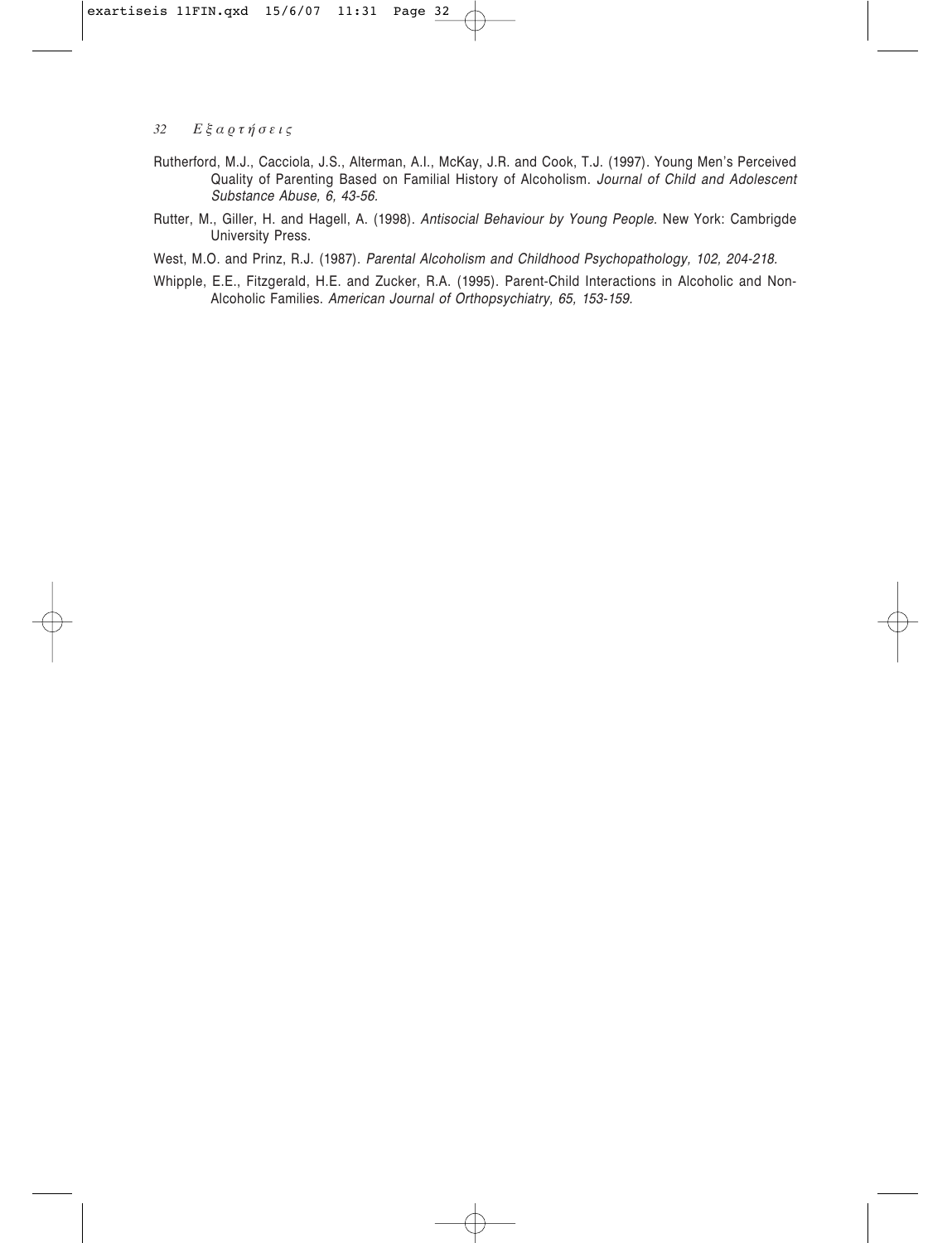- Rutherford, M.J., Cacciola, J.S., Alterman, A.I., McKay, J.R. and Cook, T.J. (1997). Young Men's Perceived Quality of Parenting Based on Familial History of Alcoholism. *Journal of Child and Adolescent Substance Abuse, 6, 43-56.*
- Rutter, M., Giller, H. and Hagell, A. (1998). *Antisocial Behaviour by Young People.* New York: Cambrigde University Press.

West, M.O. and Prinz, R.J. (1987). *Parental Alcoholism and Childhood Psychopathology, 102, 204-218.* 

Whipple, E.E., Fitzgerald, H.E. and Zucker, R.A. (1995). Parent-Child Interactions in Alcoholic and Non-Alcoholic Families. *American Journal of Orthopsychiatry, 65, 153-159.*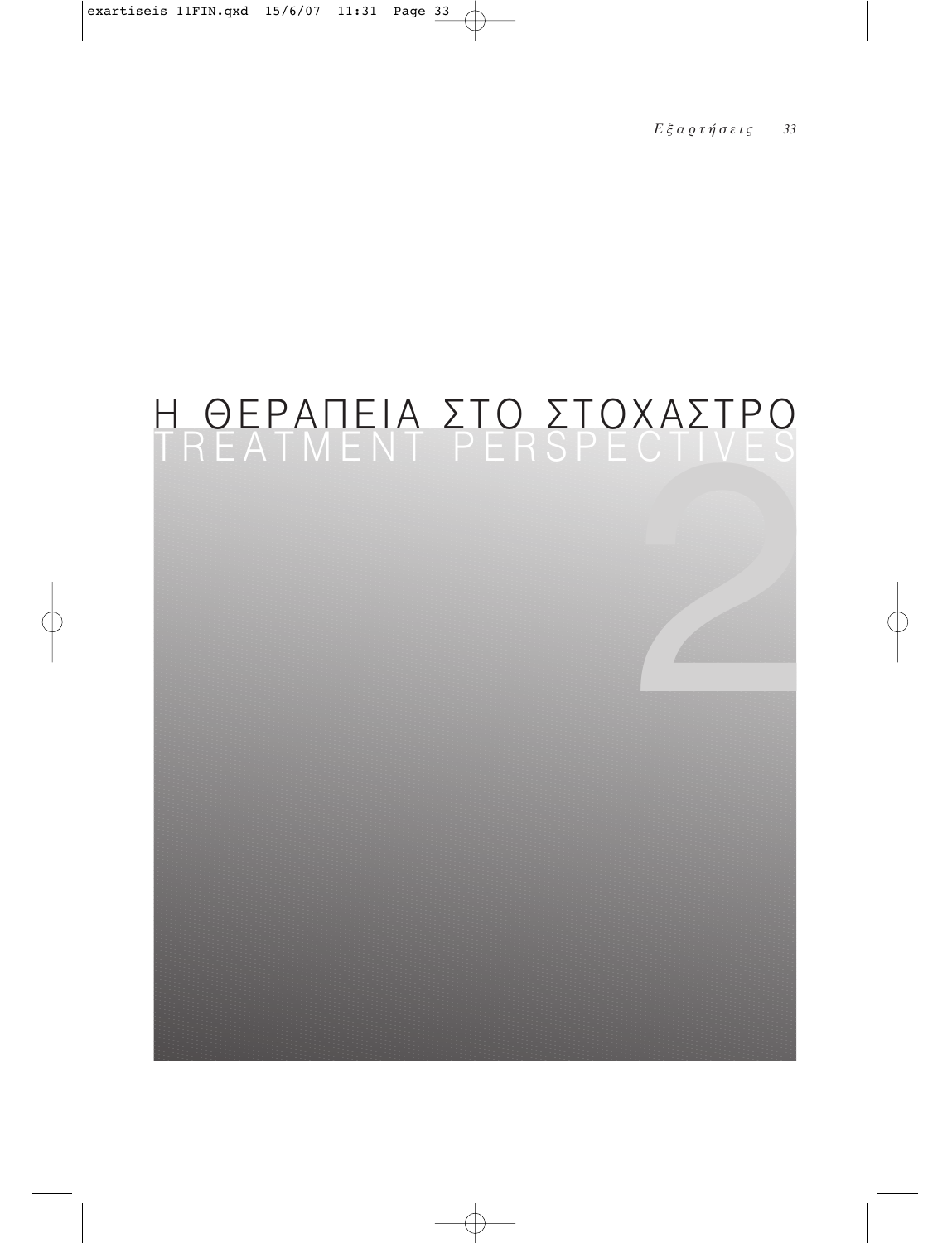$E \xi \alpha \varrho \tau \eta \sigma \varepsilon \iota \varsigma$  33

# <u>Η ΘΕΡΑΠΕΙΑ ΣΤΟ ΣΤΟΧΑΣΤΡΟ</u><br>ΤΡΕΑΤΜΕΝΤ ΡΕ<u>ΒSΡΕΟΤΙ</u>VES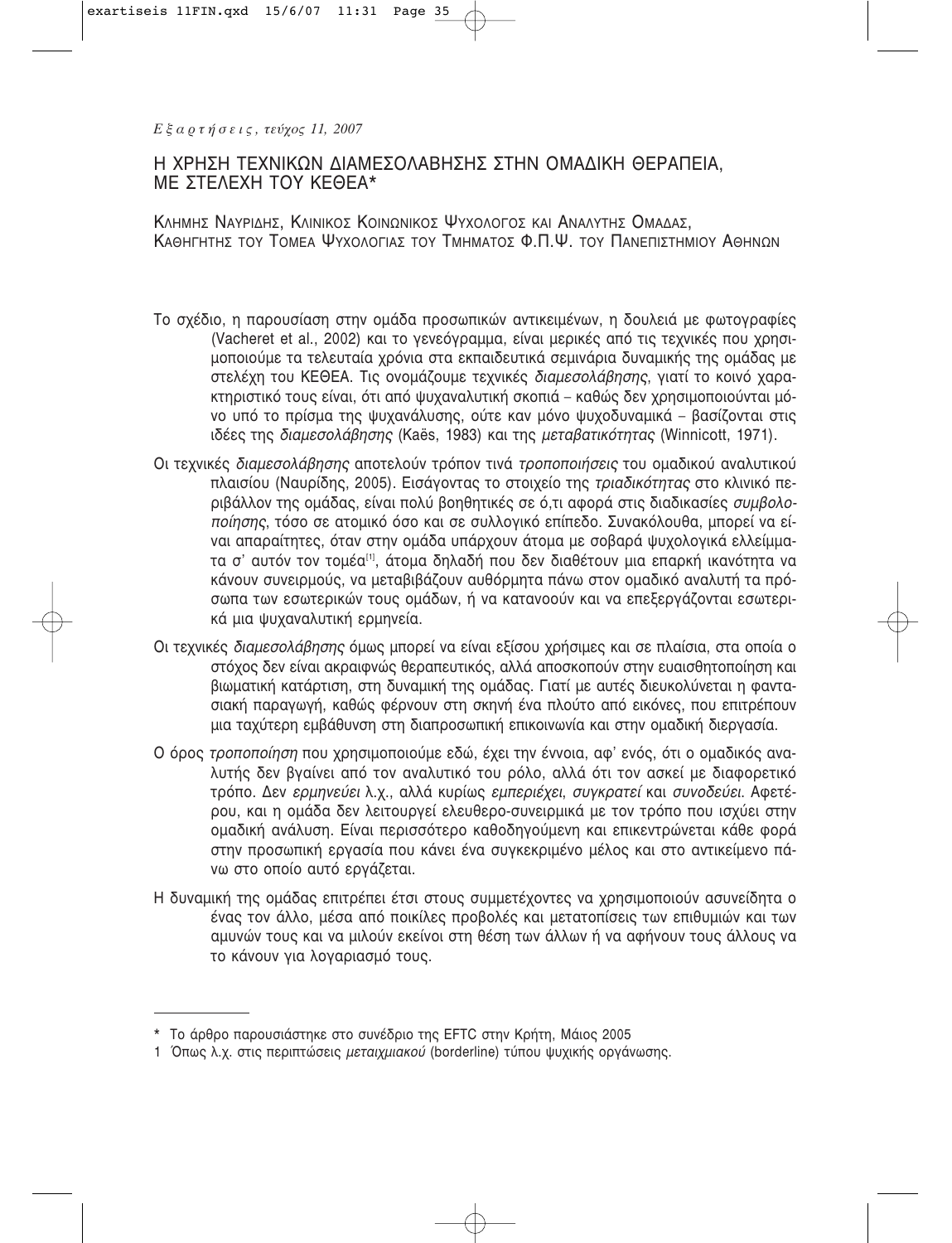*Ε ξ α ρ τ ή σ ε ι ς , τεύχος 11, 2007*

Η ΧΡΗΣΗ ΤΕΧΝΙΚΩΝ ΔΙΑΜΕΣΟΛΑΒΗΣΗΣ ΣΤΗΝ ΟΜΑΔΙΚΗ ΘΕΡΑΠΕΙΑ. ΜΕ ΣΤΕΛΕΧΗ ΤΟΥ ΚΕΘΕΑ<sup>\*</sup>

KAHMH∑ NAYPIAH∑, KAINIKO∑ KOINONIKO∑ ΨYXOAOFO∑ KALANAYTH∑ OMAAA∑, ΚΑΘΗΓΗΤΗΣ ΤΟΥ ΤΟΜΕΑ ΨΥΧΟΛΟΓΙΑΣ ΤΟΥ ΤΜΗΜΑΤΟΣ Φ.Π.Ψ. ΤΟΥ ΠΑΝΕΠΙΣΤΗΜΙΟΥ ΑΘΗΝΩΝ

- Το σχέδιο, η παρουσίαση στην ομάδα προσωπικών αντικειμένων, η δουλειά με φωτογραφίες (Vacheret et al., 2002) και το γενεόνραμμα, είναι μερικές από τις τεχνικές που χρησιμοποιούμε τα τελευταία χρόνια στα εκπαιδευτικά σεμινάρια δυναμικής της ομάδας με οτελέχη του ΚΕΘΕΑ. Τις ονομάζουμε τεχνικές διαμεσολάβησης, γιατί το κοινό χαρα-Κτηριστικό τους είναι, ότι από ψυχαναλυτική σκοπιά – καθώς δεν χρησιμοποιούνται μό-VO UΠΌ ΤΟ Πρίσμα της ψυχανάλυσης, ούτε καν μόνο ψυχοδυναμικά - βασίζονται στις ιδέες της *διαμεσολάβησης* (Kaës, 1983) και της *μεταβατικότητας* (Winnicott, 1971).
- Οι τεχνικές διαμεσολάβησης αποτελούν τρόπον τινά *τροποποιήσεις* του ομαδικού αναλυτικού πλαισίου (Ναυρίδης, 2005). Εισάγοντας το στοιχείο της *τριαδικότητας* στο κλινικό περιβάλλον της ομάδας, είναι πολύ βοηθητικές σε ό,τι αφορά στις διαδικασίες συμβολο*ποίησης, τόσο σε ατομικό όσο και σε συλλογικό επίπεδο. Συνακόλουθα, μπορεί να εί*ναι απαραίτητες, όταν στην ομάδα υπάρχουν άτομα με σοβαρά ψυχολογικά ελλείμματα σ' αυτόν τον τομέα<sup>[1]</sup>, άτομα δηλαδή που δεν διαθέτουν μια επαρκή ικανότητα να κάνουν συνειρμούς, να μεταβιβάζουν αυθόρμητα πάνω στον ομαδικό αναλυτή τα πρόσωπα των εσωτερικών τους ομάδων, ή να κατανοούν και να επεξεργάζονται εσωτερικά μια ψυχαναλυτική ερμηνεία.
- Οι τεχνικές διαμεσολάβησης όμως μπορεί να είναι εξίσου χρήσιμες και σε πλαίσια, στα οποία ο στόχος δεν είναι ακραιφνώς θεραπευτικός, αλλά αποσκοπούν στην ευαισθητοποίηση και βιωματική κατάρτιση, στη δυναμική της ομάδας. Γιατί με αυτές διευκολύνεται η φαντασιακή παραγωγή, καθώς φέρνουν στη σκηνή ένα πλούτο από εικόνες, που επιτρέπουν μια ταχύτερη εμβάθυνση στη διαπροσωπική επικοινωνία και στην ομαδική διεργασία.
- Ο όρος τροποποίηση που χρησιμοποιούμε εδώ, έχει την έννοια, αφ' ενός, ότι ο ομαδικός αναλυτής δεν βγαίνει από τον αναλυτικό του ρόλο, αλλά ότι τον ασκεί με διαφορετικό τρόπο. Δεν *ερμηνεύει* λ.χ., αλλά κυρίως *εμπεριέχει, συγκρατεί* και *συνοδεύει*. Αφετέρου, και η ομάδα δεν λειτουργεί ελευθερο-συνειρμικά με τον τρόπο που ισχύει στην ομαδική ανάλυση. Είναι περισσότερο καθοδηγούμενη και επικεντρώνεται κάθε φορά στην προσωπική εργασία που κάνει ένα συγκεκριμένο μέλος και στο αντικείμενο πάνω στο οποίο αυτό εργάζεται.
- Η δυναμική της ομάδας επιτρέπει έτσι στους συμμετέχοντες να χρησιμοποιούν ασυνείδητα ο ένας τον άλλο, μέσα από ποικίλες προβολές και μετατοπίσεις των επιθυμιών και των αμυνών τους και να μιλούν εκείνοι στη θέση των άλλων ή να αφήνουν τους άλλους να το κάνουν για λογαριασμό τους.

<sup>\*</sup> Το άρθρο παρουσιάστηκε στο συνέδριο της ΕFTC στην Κρήτη, Μάιος 2005

<sup>1</sup> Όπως λ.χ. στις περιπτώσεις *μεταιχμιακού* (borderline) τύπου ψυχικής οργάνωσης.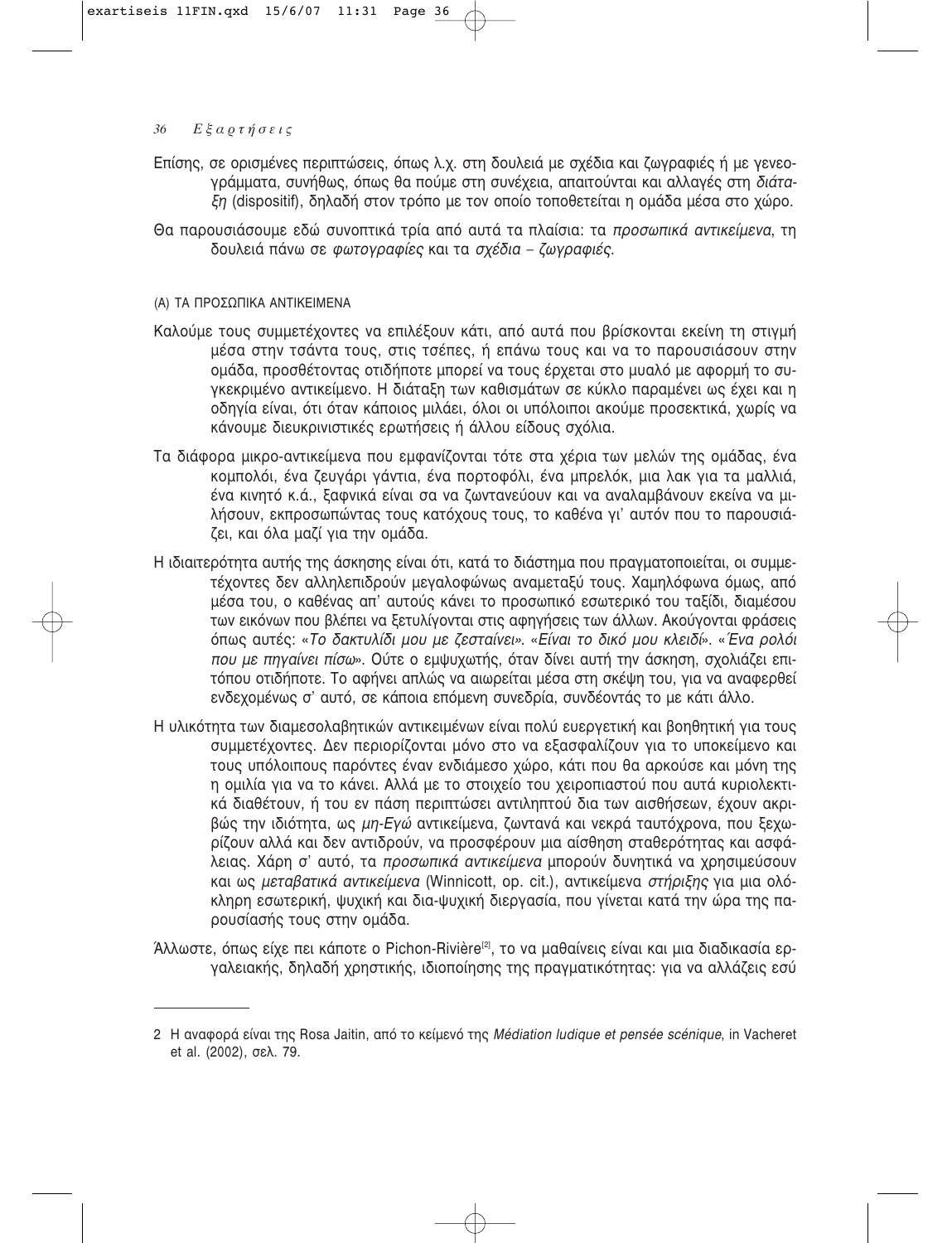- Επίσης, σε ορισμένες περιπτώσεις, όπως λ.χ. στη δουλειά με σχέδια και ζωγραφιές ή με γενεογράμματα, συνήθως, όπως θα πούμε στη συνέχεια, απαιτούνται και αλλαγές στη διάταξη (dispositif), δηλαδή στον τρόπο με τον οποίο τοποθετείται η ομάδα μέσα στο χώρο.
- Θα παρουσιάσουμε εδώ συνοπτικά τρία από αυτά τα πλαίσια: τα προσωπικά αντικείμενα, τη δουλειά πάνω σε φωτογραφίες και τα σχέδια - ζωγραφιές.

#### (Α) ΤΑ ΠΡΟΣΩΠΙΚΑ ΑΝΤΙΚΕΙΜΕΝΑ

- Καλούμε τους συμμετέχοντες να επιλέξουν κάτι, από αυτά που βρίσκονται εκείνη τη στιγμή μέσα στην τσάντα τους, στις τσέπες, ή επάνω τους και να το παρουσιάσουν στην ομάδα, προσθέτοντας οτιδήποτε μπορεί να τους έρχεται στο μυαλό με αφορμή το συγκεκριμένο αντικείμενο. Η διάταξη των καθισμάτων σε κύκλο παραμένει ως έχει και η οδηγία είναι, ότι όταν κάποιος μιλάει, όλοι οι υπόλοιποι ακούμε προσεκτικά, χωρίς να κάνουμε διευκρινιστικές ερωτήσεις ή άλλου είδους σχόλια.
- Τα διάφορα μικρο-αντικείμενα που εμφανίζονται τότε στα χέρια των μελών της ομάδας, ένα κομπολόι, ένα ζευγάρι γάντια, ένα πορτοφόλι, ένα μπρελόκ, μια λακ για τα μαλλιά, ένα κινητό κ.ά., ξαφνικά είναι σα να ζωντανεύουν και να αναλαμβάνουν εκείνα να μιλήσουν, εκπροσωπώντας τους κατόχους τους, το καθένα γι' αυτόν που το παρουσιάζει, και όλα μαζί νια την ομάδα.
- Η ιδιαιτερότητα αυτής της άσκησης είναι ότι, κατά το διάστημα που πραγματοποιείται, οι συμμετέχοντες δεν αλληλεπιδρούν μεγαλοφώνως αναμεταξύ τους. Χαμηλόφωνα όμως, από μέσα του, ο καθένας απ' αυτούς κάνει το προσωπικό εσωτερικό του ταξίδι, διαμέσου των εικόνων που βλέπει να ξετυλίνονται στις αφηνήσεις των άλλων. Ακούνονται φράσεις όπως αυτές: «Το δακτυλίδι μου με ζεσταίνει». «Είναι το δικό μου κλειδί». «Ένα ρολόι που με πηγαίνει πίσω». Ούτε ο εμψυχωτής, όταν δίνει αυτή την άσκηση, σχολιάζει επιτόπου οτιδήποτε. Το αφήνει απλώς να αιωρείται μέσα στη σκέψη του, για να αναφερθεί ενδεχομένως σ' αυτό, σε κάποια επόμενη συνεδρία, συνδέοντάς το με κάτι άλλο.
- Η υλικότητα των διαμεσολαβητικών αντικειμένων είναι πολύ ευεργετική και βοηθητική για τους συμμετέχοντες. Δεν περιορίζονται μόνο στο να εξασφαλίζουν για το υποκείμενο και τους υπόλοιπους παρόντες έναν ενδιάμεσο χώρο, κάτι που θα αρκούσε και μόνη της η ομιλία για να το κάνει. Αλλά με το στοιχείο του χειροπιαστού που αυτά κυριολεκτικά διαθέτουν, ή του εν πάση περιπτώσει αντιληπτού δια των αισθήσεων, έχουν ακριβώς την ιδιότητα, ως μη-Εγώ αντικείμενα, ζωντανά και νεκρά ταυτόχρονα, που ξεχωρίζουν αλλά και δεν αντιδρούν, να προσφέρουν μια αίσθηση σταθερότητας και ασφάλειας. Χάρη σ' αυτό, τα προσωπικά αντικείμενα μπορούν δυνητικά να χρησιμεύσουν και ως μεταβατικά αντικείμενα (Winnicott, op. cit.), αντικείμενα στήριξης για μια ολόκληρη εσωτερική, ψυχική και δια-ψυχική διεργασία, που γίνεται κατά την ώρα της παρουσίασής τους στην ομάδα.
- Άλλωστε, όπως είχε πει κάποτε ο Pichon-Rivière<sup>12</sup>, το να μαθαίνεις είναι και μια διαδικασία εργαλειακής, δηλαδή χρηστικής, ιδιοποίησης της πραγματικότητας: για να αλλάζεις εσύ

<sup>2</sup> Η αναφορά είναι της Rosa Jaitin, από το κείμενό της Médiation ludique et pensée scénique, in Vacheret et al. (2002), σελ. 79.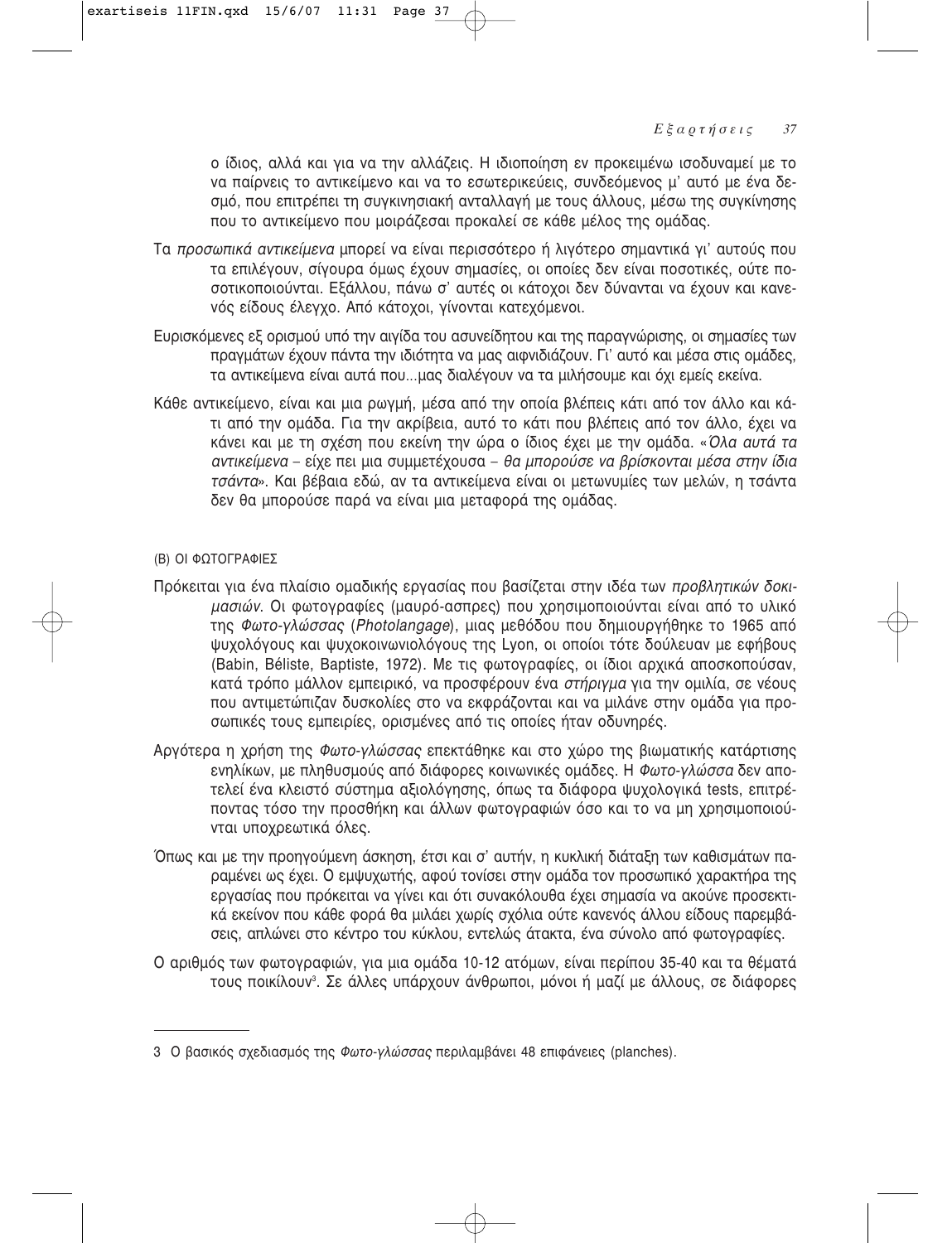ο ίδιος, αλλά και για να την αλλάζεις. Η ιδιοποίηση εν προκειμένω ισοδυναμεί με το να παίρνεις το αντικείμενο και να το εσωτερικεύεις, συνδεόμενος μ' αυτό με ένα δεσμό, που επιτρέπει τη συγκινησιακή ανταλλαγή με τους άλλους, μέσω της συγκίνησης που το αντικείμενο που μοιράζεσαι προκαλεί σε κάθε μέλος της ομάδας.

Τα προσωπικά αντικείμενα μπορεί να είναι περισσότερο ή λιγότερο σημαντικά γι' αυτούς που τα επιλέγουν, σίγουρα όμως έχουν σημασίες, οι οποίες δεν είναι ποσοτικές, ούτε ποσοτικοποιούνται. Εξάλλου, πάνω σ' αυτές οι κάτοχοι δεν δύνανται να έχουν και κανενός είδους έλεγχο. Από κάτοχοι, γίνονται κατεχόμενοι.

11:31 Page 37

- Ευρισκόμενες εξ ορισμού υπό την αιγίδα του ασυνείδητου και της παραγνώρισης, οι σημασίες των πραγμάτων έχουν πάντα την ιδιότητα να μας αιφνιδιάζουν. Γι' αυτό και μέσα στις ομάδες, τα αντικείμενα είναι αυτά που...μας διαλένουν να τα μιλήσουμε και όχι εμείς εκείνα.
- Κάθε αντικείμενο, είναι και μια ρωγμή, μέσα από την οποία βλέπεις κάτι από τον άλλο και κάτι από την ομάδα. Για την ακρίβεια, αυτό το κάτι που βλέπεις από τον άλλο, έχει να κάνει και με τη σχέση που εκείνη την ώρα ο ίδιος έχει με την ομάδα. «Όλα αυτά τα αντικείμενα - είχε πει μια συμμετέχουσα - θα μπορούσε να βρίσκονται μέσα στην ίδια τσάντα». Και βέβαια εδώ, αν τα αντικείμενα είναι οι μετωνυμίες των μελών, η τσάντα δεν θα μπορούσε παρά να είναι μια μεταφορά της ομάδας.

### (Β) ΟΙ ΦΩΤΟΓΡΑΦΙΕΣ

exartiseis 11FIN.qxd 15/6/07

- Πρόκειται για ένα πλαίσιο ομαδικής εργασίας που βασίζεται στην ιδέα των προβλητικών δοκιμασιών. Οι φωτογραφίες (μαυρό-ασπρες) που χρησιμοποιούνται είναι από το υλικό της Φωτο-γλώσσας (Photolangage), μιας μεθόδου που δημιουργήθηκε το 1965 από ψυχολόγους και ψυχοκοινωνιολόγους της Lyon, οι οποίοι τότε δούλευαν με εφήβους (Babin, Béliste, Baptiste, 1972). Με τις φωτογραφίες, οι ίδιοι αρχικά αποσκοπούσαν, κατά τρόπο μάλλον εμπειρικό, να προσφέρουν ένα στήριγμα για την ομιλία, σε νέους που αντιμετώπιζαν δυσκολίες στο να εκφράζονται και να μιλάνε στην ομάδα για προσωπικές τους εμπειρίες, ορισμένες από τις οποίες ήταν οδυνηρές.
- Αργότερα η χρήση της Φωτο-γλώσσας επεκτάθηκε και στο χώρο της βιωματικής κατάρτισης ενηλίκων, με πληθυσμούς από διάφορες κοινωνικές ομάδες. Η Φωτο-γλώσσα δεν αποτελεί ένα κλειστό σύστημα αξιολόγησης, όπως τα διάφορα ψυχολογικά tests, επιτρέποντας τόσο την προσθήκη και άλλων φωτογραφιών όσο και το να μη χρησιμοποιούνται υποχρεωτικά όλες.
- Όπως και με την προηγούμενη άσκηση, έτσι και σ' αυτήν, η κυκλική διάταξη των καθισμάτων παραμένει ως έχει. Ο εμψυχωτής, αφού τονίσει στην ομάδα τον προσωπικό χαρακτήρα της εργασίας που πρόκειται να γίνει και ότι συνακόλουθα έχει σημασία να ακούνε προσεκτικά εκείνον που κάθε φορά θα μιλάει χωρίς σχόλια ούτε κανενός άλλου είδους παρεμβάσεις, απλώνει στο κέντρο του κύκλου, εντελώς άτακτα, ένα σύνολο από φωτογραφίες.
- Ο αριθμός των φωτογραφιών, για μια ομάδα 10-12 ατόμων, είναι περίπου 35-40 και τα θέματά τους ποικίλουν<sup>3</sup>. Σε άλλες υπάρχουν άνθρωποι, μόνοι ή μαζί με άλλους, σε διάφορες

<sup>3</sup> Ο βασικός σχεδιασμός της Φωτο-γλώσσας περιλαμβάνει 48 επιφάνειες (planches).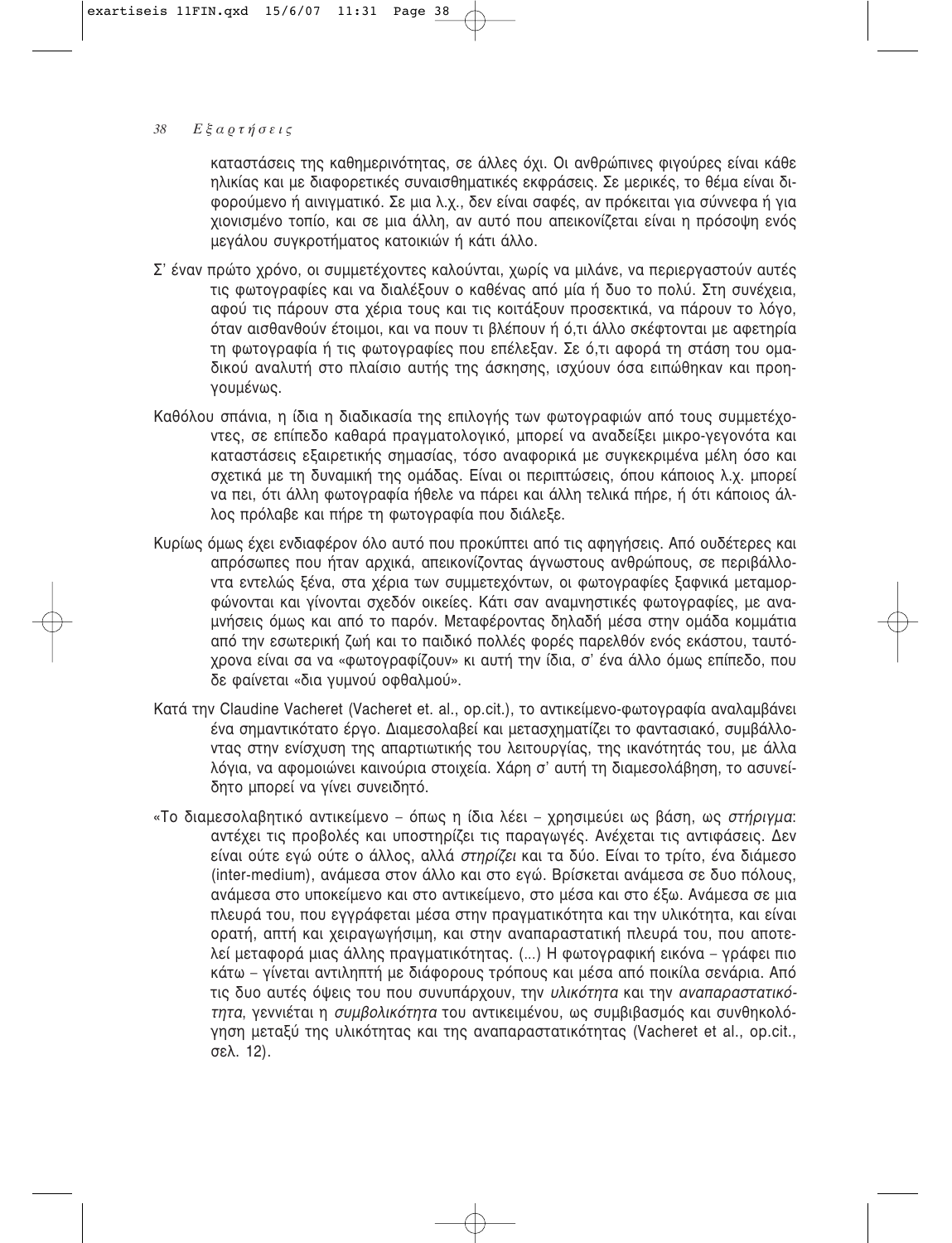καταστάσεις της καθημερινότητας, σε άλλες όχι. Οι ανθρώπινες φιγούρες είναι κάθε ηλικίας και με διαφορετικές συναισθηματικές εκφράσεις. Σε μερικές, το θέμα είναι διφορούμενο ή αινιγματικό. Σε μια λ.χ., δεν είναι σαφές, αν πρόκειται για σύννεφα ή για χιονισμένο τοπίο, και σε μια άλλη, αν αυτό που απεικονίζεται είναι η πρόσοψη ενός μενάλου συνκροτήματος κατοικιών ή κάτι άλλο.

- Σ' έναν πρώτο χρόνο, οι συμμετέχοντες καλούνται, χωρίς να μιλάνε, να περιεργαστούν αυτές τις φωτογραφίες και να διαλέξουν ο καθένας από μία ή δυο το πολύ. Στη συνέχεια, αφού τις πάρουν στα χέρια τους και τις κοιτάξουν προσεκτικά, να πάρουν το λόγο, όταν αισθανθούν έτοιμοι, και να πουν τι βλέπουν ή ό,τι άλλο σκέφτονται με αφετηρία τη φωτογραφία ή τις φωτογραφίες που επέλεξαν. Σε ό,τι αφορά τη στάση του ομαδικού αναλυτή στο πλαίσιο αυτής της άσκησης, ισχύουν όσα ειπώθηκαν και προηγουμένως.
- Καθόλου σπάνια, η ίδια η διαδικασία της επιλονής των φωτονραφιών από τους συμμετέχοντες, σε επίπεδο καθαρά πραγματολογικό, μπορεί να αναδείξει μικρο-γεγονότα και καταστάσεις εξαιρετικής σημασίας, τόσο αναφορικά με συγκεκριμένα μέλη όσο και σχετικά με τη δυναμική της ομάδας. Είναι οι περιπτώσεις, όπου κάποιος λ.χ. μπορεί να πει, ότι άλλη φωτογραφία ήθελε να πάρει και άλλη τελικά πήρε, ή ότι κάποιος άλλος πρόλαβε και πήρε τη φωτογραφία που διάλεξε.
- Κυρίως όμως έχει ενδιαφέρον όλο αυτό που προκύπτει από τις αφηγήσεις. Από ουδέτερες και απρόσωπες που ήταν αρχικά, απεικονίζοντας άγνωστους ανθρώπους, σε περιβάλλοντα εντελώς ξένα, στα χέρια των συμμετεχόντων, οι φωτογραφίες ξαφνικά μεταμορφώνονται και γίνονται σχεδόν οικείες. Κάτι σαν αναμνηστικές φωτογραφίες, με αναμνήσεις όμως και από το παρόν. Μεταφέροντας δηλαδή μέσα στην ομάδα κομμάτια από την εσωτερική ζωή και το παιδικό πολλές φορές παρελθόν ενός εκάστου, ταυτόχρονα είναι σα να «φωτογραφίζουν» κι αυτή την ίδια, σ' ένα άλλο όμως επίπεδο, που δε φαίνεται «δια γυμνού οφθαλμού».
- Κατά την Claudine Vacheret (Vacheret et. al., op.cit.), το αντικείμενο-φωτογραφία αναλαμβάνει ένα σημαντικότατο έργο. Διαμεσολαβεί και μετασχηματίζει το φαντασιακό, συμβάλλοντας στην ενίσχυση της απαρτιωτικής του λειτουργίας, της ικανότητάς του, με άλλα λόγια, να αφομοιώνει καινούρια στοιχεία. Χάρη σ' αυτή τη διαμεσολάβηση, το ασυνείδητο μπορεί να γίνει συνειδητό.
- «Το διαμεσολαβητικό αντικείμενο όπως η ίδια λέει χρησιμεύει ως βάση, ως στήριγμα: αντέχει τις προβολές και υποστηρίζει τις παραγωγές. Ανέχεται τις αντιφάσεις. Δεν είναι ούτε εγώ ούτε ο άλλος, αλλά στηρίζει και τα δύο. Είναι το τρίτο, ένα διάμεσο (inter-medium), ανάμεσα στον άλλο και στο εγώ. Βρίσκεται ανάμεσα σε δυο πόλους, ανάμεσα στο υποκείμενο και στο αντικείμενο, στο μέσα και στο έξω. Ανάμεσα σε μια πλευρά του, που εγγράφεται μέσα στην πραγματικότητα και την υλικότητα, και είναι ορατή, απτή και χειραγωγήσιμη, και στην αναπαραστατική πλευρά του, που αποτελεί μεταφορά μιας άλλης πραγματικότητας. (...) Η φωτογραφική εικόνα – γράφει πιο κάτω - γίνεται αντιληπτή με διάφορους τρόπους και μέσα από ποικίλα σενάρια. Από τις δυο αυτές όψεις του που συνυπάρχουν, την υλικότητα και την αναπαραστατικότητα, γεννιέται η συμβολικότητα του αντικειμένου, ως συμβιβασμός και συνθηκολόγηση μεταξύ της υλικότητας και της αναπαραστατικότητας (Vacheret et al., op.cit., σελ. 12).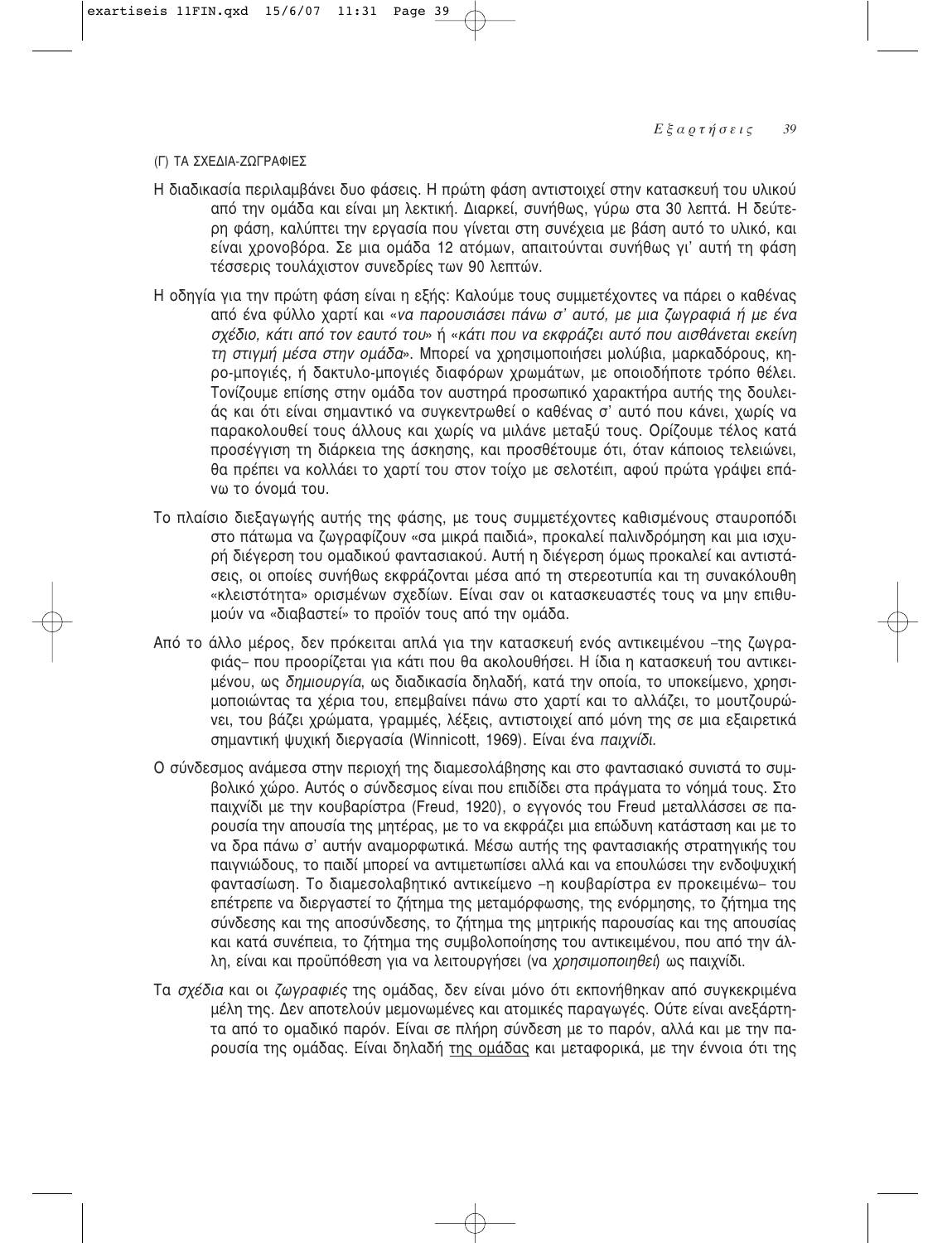### (Γ) ΤΑ ΣΧΕΔΙΑ-ΖΩΓΡΑΦΙΕΣ

- Η διαδικασία περιλαμβάνει δυο φάσεις. Η πρώτη φάση αντιστοιχεί στην κατασκευή του υλικού από την ομάδα και είναι μη λεκτική. Διαρκεί, συνήθως, γύρω στα 30 λεπτά. Η δεύτερη φάση, καλύπτει την εργασία που γίνεται στη συνέχεια με βάση αυτό το υλικό, και είναι χρονοβόρα. Σε μια ομάδα 12 ατόμων, απαιτούνται συνήθως γι' αυτή τη φάση τέσσερις τουλάχιστον συνεδρίες των 90 λεπτών.
- Η οδηγία για την πρώτη φάση είναι η εξής: Καλούμε τους συμμετέχοντες να πάρει ο καθένας από ένα φύλλο χαρτί και «να παρουσιάσει πάνω σ' αυτό, με μια ζωγραφιά ή με ένα σχέδιο, κάτι από τον εαυτό του» ή «κάτι που να εκφράζει αυτό που αισθάνεται εκείνη τη στιγμή μέσα στην ομάδα». Μπορεί να χρησιμοποιήσει μολύβια, μαρκαδόρους, κηρο-μπογιές, ή δακτυλο-μπογιές διαφόρων χρωμάτων, με οποιοδήποτε τρόπο θέλει. Τονίζουμε επίσης στην ομάδα τον αυστηρά προσωπικό χαρακτήρα αυτής της δουλειάς και ότι είναι σημαντικό να συγκεντρωθεί ο καθένας σ' αυτό που κάνει, χωρίς να παρακολουθεί τους άλλους και χωρίς να μιλάνε μεταξύ τους. Ορίζουμε τέλος κατά προσέγγιση τη διάρκεια της άσκησης, και προσθέτουμε ότι, όταν κάποιος τελειώνει, θα πρέπει να κολλάει το χαρτί του στον τοίχο με σελοτέιπ, αφού πρώτα γράψει επάνω το όνομά του.
- Το πλαίσιο διεξαγωγής αυτής της φάσης, με τους συμμετέχοντες καθισμένους σταυροπόδι στο πάτωμα να ζωγραφίζουν «σα μικρά παιδιά», προκαλεί παλινδρόμηση και μια ισχυρή διέγερση του ομαδικού φαντασιακού. Αυτή η διέγερση όμως προκαλεί και αντιστάσεις, οι οποίες συνήθως εκφράζονται μέσα από τη στερεοτυπία και τη συνακόλουθη «κλειστότητα» ορισμένων σχεδίων. Είναι σαν οι κατασκευαστές τους να μην επιθυμούν να «διαβαστεί» το προϊόν τους από την ομάδα.
- Από το άλλο μέρος, δεν πρόκειται απλά για την κατασκευή ενός αντικειμένου -της ζωγραφιάς – που προορίζεται για κάτι που θα ακολουθήσει. Η ίδια η κατασκευή του αντικειμένου, ως δημιουργία, ως διαδικασία δηλαδή, κατά την οποία, το υποκείμενο, χρησιμοποιώντας τα χέρια του, επεμβαίνει πάνω στο χαρτί και το αλλάζει, το μουτζουρώνει, του βάζει χρώματα, γραμμές, λέξεις, αντιστοιχεί από μόνη της σε μια εξαιρετικά σημαντική ψυχική διεργασία (Winnicott, 1969). Είναι ένα παιχνίδι.
- Ο σύνδεσμος ανάμεσα στην περιοχή της διαμεσολάβησης και στο φαντασιακό συνιστά το συμβολικό χώρο. Αυτός ο σύνδεσμος είναι που επιδίδει στα πράγματα το νόημά τους. Στο παιχνίδι με την κουβαρίστρα (Freud, 1920), ο εγγονός του Freud μεταλλάσσει σε παρουσία την απουσία της μητέρας, με το να εκφράζει μια επώδυνη κατάσταση και με το να δρα πάνω σ' αυτήν αναμορφωτικά. Μέσω αυτής της φαντασιακής στρατηγικής του παιγνιώδους, το παιδί μπορεί να αντιμετωπίσει αλλά και να επουλώσει την ενδοψυχική φαντασίωση. Το διαμεσολαβητικό αντικείμενο -η κουβαρίστρα εν προκειμένω- του επέτρεπε να διεργαστεί το ζήτημα της μεταμόρφωσης, της ενόρμησης, το ζήτημα της σύνδεσης και της αποσύνδεσης, το ζήτημα της μητρικής παρουσίας και της απουσίας και κατά συνέπεια, το ζήτημα της συμβολοποίησης του αντικειμένου, που από την άλλη, είναι και προϋπόθεση για να λειτουργήσει (να χρησιμοποιηθεί) ως παιχνίδι.
- Τα σχέδια και οι ζωγραφιές της ομάδας, δεν είναι μόνο ότι εκπονήθηκαν από συγκεκριμένα μέλη της. Δεν αποτελούν μεμονωμένες και ατομικές παραγωγές. Ούτε είναι ανεξάρτητα από το ομαδικό παρόν. Είναι σε πλήρη σύνδεση με το παρόν, αλλά και με την παρουσία της ομάδας. Είναι δηλαδή της ομάδας και μεταφορικά, με την έννοια ότι της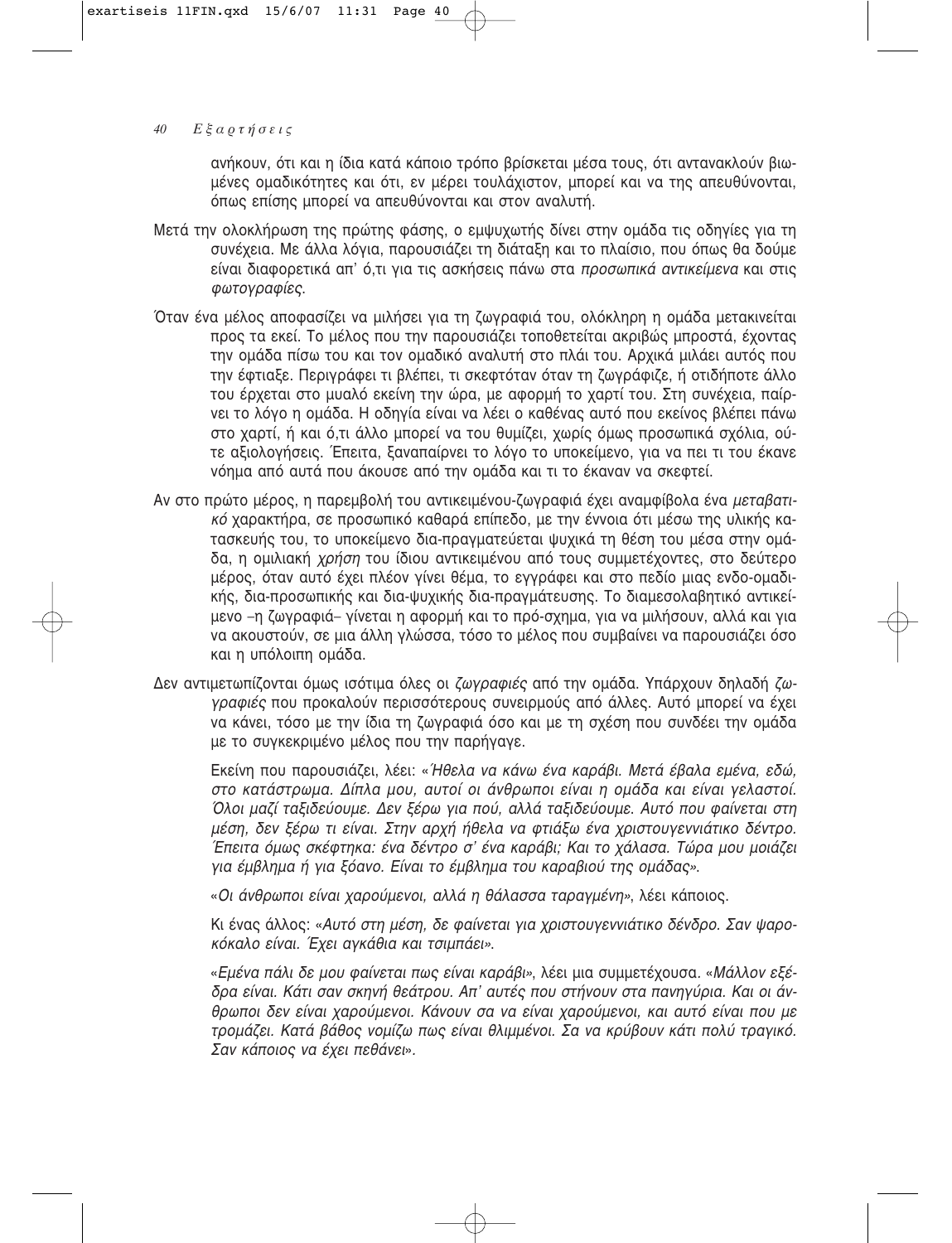### $\Delta$ 0 Εξαρτήσεις

ανήκουν, ότι και η ίδια κατά κάποιο τρόπο βρίσκεται μέσα τους, ότι αντανακλούν βιωμένες ομαδικότητες και ότι, εν μέρει τουλάχιστον, μπορεί και να της απευθύνονται, όπως επίσης μπορεί να απευθύνονται και στον αναλυτή.

- Μετά την ολοκλήρωση της πρώτης φάσης, ο εμψυχωτής δίνει στην ομάδα τις οδηγίες για τη συνέχεια. Με άλλα λόγια, παρουσιάζει τη διάταξη και το πλαίσιο, που όπως θα δούμε είναι διαφορετικά απ' ό.τι για τις ασκήσεις πάνω στα προσωπικά αντικείμενα και στις Φωτονραφίες.
- Όταν ένα μέλος αποφασίζει να μιλήσει νια τη ζωνραφιά του, ολόκληρη η ομάδα μετακινείται προς τα εκεί. Το μέλος που την παρουσιάζει τοποθετείται ακριβώς μπροστά, έχοντας την ομάδα πίσω του και τον ομαδικό αναλυτή στο πλάι του. Αρχικά μιλάει αυτός που την έφτιαξε. Περινράφει τι βλέπει, τι σκεφτόταν όταν τη ζωνράφιζε, ή οτιδήποτε άλλο του έρχεται στο μυαλό εκείνη την ώρα, με αφορμή το χαρτί του. Στη συνέχεια, παίρνει το λόγο η ομάδα. Η οδηγία είναι να λέει ο καθένας αυτό που εκείνος βλέπει πάνω στο χαρτί, ή και ό,τι άλλο μπορεί να του θυμίζει, χωρίς όμως προσωπικά σχόλια, ούτε αξιολογήσεις. Έπειτα, ξαναπαίρνει το λόγο το υποκείμενο, για να πει τι του έκανε νόημα από αυτά που άκουσε από την ομάδα και τι το έκαναν να σκεφτεί.
- Αν στο πρώτο μέρος, η παρεμβολή του αντικειμένου-ζωγραφιά έχει αναμφίβολα ένα μεταβατικό χαρακτήρα, σε προσωπικό καθαρά επίπεδο, με την έννοια ότι μέσω της υλικής κατασκευής του, το υποκείμενο δια-πραγματεύεται ψυχικά τη θέση του μέσα στην ομάδα, η ομιλιακή χρήση του ίδιου αντικειμένου από τους συμμετέχοντες, στο δεύτερο μέρος, όταν αυτό έχει πλέον γίνει θέμα, το εγγράφει και στο πεδίο μιας ενδο-ομαδικής, δια-προσωπικής και δια-ψυχικής δια-πραγμάτευσης. Το διαμεσολαβητικό αντικείμενο –η ζωγραφιά– γίνεται η αφορμή και το πρό-σχημα, για να μιλήσουν, αλλά και για να ακουστούν, σε μια άλλη γλώσσα, τόσο το μέλος που συμβαίνει να παρουσιάζει όσο και η υπόλοιπη ομάδα.
- Δεν αντιμετωπίζονται όμως ισότιμα όλες οι ζωγραφιές από την ομάδα. Υπάρχουν δηλαδή ζωγραφιές που προκαλούν περισσότερους συνειρμούς από άλλες. Αυτό μπορεί να έχει να κάνει, τόσο με την ίδια τη ζωγραφιά όσο και με τη σχέση που συνδέει την ομάδα με το συγκεκριμένο μέλος που την παρήγαγε.

Εκείνη που παρουσιάζει, λέει: «Ήθελα να κάνω ένα καράβι. Μετά έβαλα εμένα, εδώ, στο κατάστρωμα. Δίπλα μου, αυτοί οι άνθρωποι είναι η ομάδα και είναι γελαστοί. Όλοι μαζί ταξιδεύουμε. Δεν ξέρω για πού, αλλά ταξιδεύουμε. Αυτό που φαίνεται στη μέση, δεν ξέρω τι είναι. Στην αρχή ήθελα να φτιάξω ένα χριστουγεννιάτικο δέντρο. Έπειτα όμως σκέφτηκα: ένα δέντρο σ' ένα καράβι; Και το χάλασα. Τώρα μου μοιάζει για έμβλημα ή για ξόανο. Είναι το έμβλημα του καραβιού της ομάδας».

«Οι άνθρωποι είναι χαρούμενοι, αλλά η θάλασσα ταραγμένη», λέει κάποιος.

Κι ένας άλλος: «Αυτό στη μέση, δε φαίνεται για χριστουγεννιάτικο δένδρο. Σαν ψαροκόκαλο είναι. Έχει αγκάθια και τσιμπάει».

«Εμένα πάλι δε μου φαίνεται πως είναι καράβι», λέει μια συμμετέχουσα. «Μάλλον εξέδρα είναι. Κάτι σαν σκηνή θεάτρου. Απ' αυτές που στήνουν στα πανηγύρια. Και οι άνθρωποι δεν είναι χαρούμενοι. Κάνουν σα να είναι χαρούμενοι, και αυτό είναι που με τρομάζει. Κατά βάθος νομίζω πως είναι θλιμμένοι. Σα να κρύβουν κάτι πολύ τραγικό. Σαν κάποιος να έχει πεθάνει».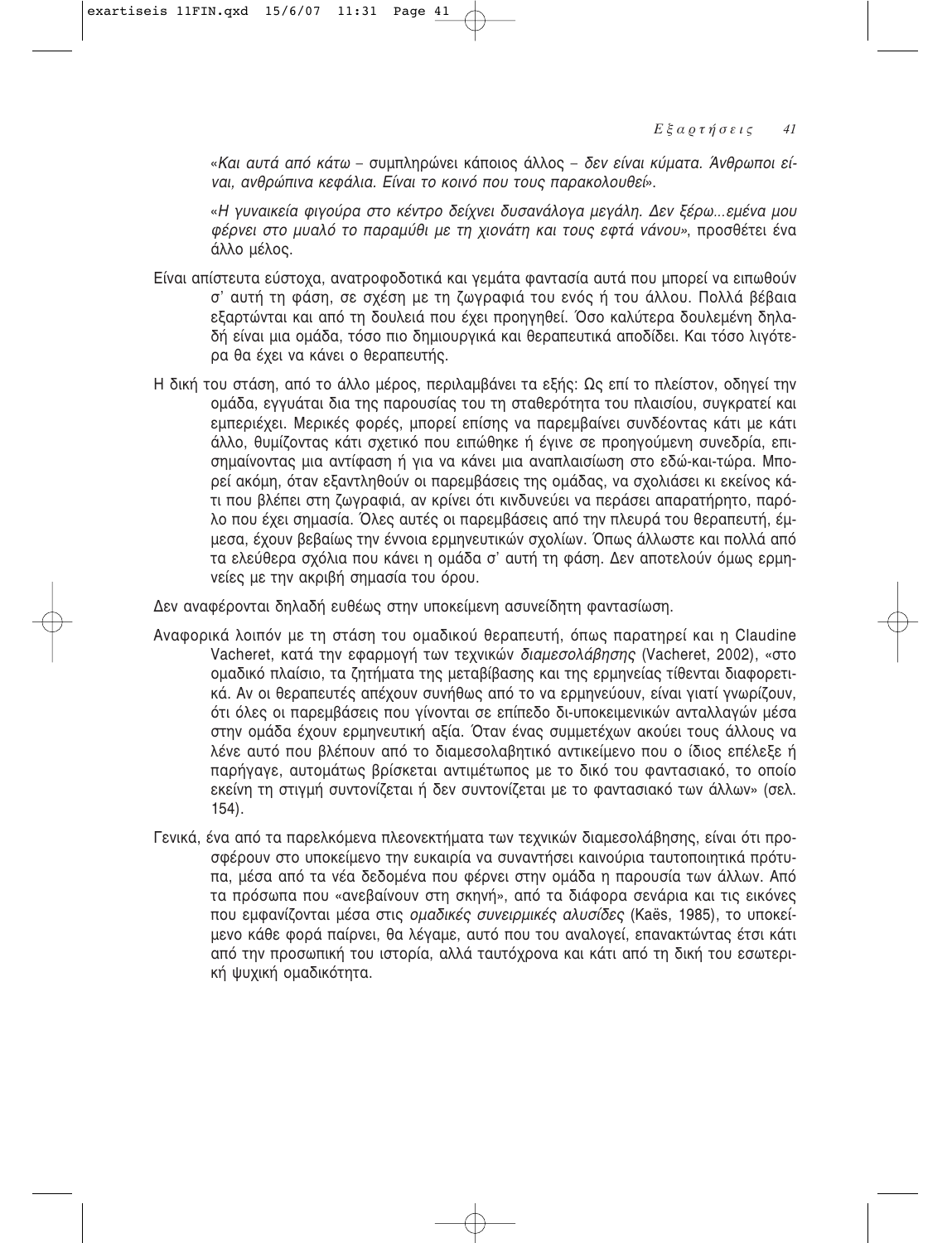### Εξαρτήσεις  $\Delta$ 1

exartiseis 11FIN.qxd 15/6/07  $11:31$  Page

> «Και αυτά από κάτω – συμπληρώνει κάποιος άλλος – δεν είναι κύματα. Άνθρωποι είναι, ανθρώπινα κεφάλια. Είναι το κοινό που τους παρακολουθεί».

> «Η γυναικεία φιγούρα στο κέντρο δείχνει δυσανάλογα μεγάλη. Δεν ξέρω...εμένα μου φέρνει στο μυαλό το παραμύθι με τη χιονάτη και τους εφτά νάνου», προσθέτει ένα άλλο μέλος.

- Είναι απίστευτα εύστοχα, ανατροφοδοτικά και γεμάτα φαντασία αυτά που μπορεί να ειπωθούν σ' αυτή τη φάση, σε σχέση με τη ζωγραφιά του ενός ή του άλλου. Πολλά βέβαια εξαρτώνται και από τη δουλειά που έχει προηγηθεί. Όσο καλύτερα δουλεμένη δηλαδή είναι μια ομάδα, τόσο πιο δημιουργικά και θεραπευτικά αποδίδει. Και τόσο λιγότερα θα έχει να κάνει ο θεραπευτής.
- Η δική του στάση, από το άλλο μέρος, περιλαμβάνει τα εξής: Ως επί το πλείστον, οδηγεί την ομάδα, εγγυάται δια της παρουσίας του τη σταθερότητα του πλαισίου, συγκρατεί και εμπεριέχει. Μερικές φορές, μπορεί επίσης να παρεμβαίνει συνδέοντας κάτι με κάτι άλλο, θυμίζοντας κάτι σχετικό που ειπώθηκε ή έγινε σε προηγούμενη συνεδρία, επισημαίνοντας μια αντίφαση ή για να κάνει μια αναπλαισίωση στο εδώ-και-τώρα. Μπορεί ακόμη, όταν εξαντληθούν οι παρεμβάσεις της ομάδας, να σχολιάσει κι εκείνος κάτι που βλέπει στη ζωγραφιά, αν κρίνει ότι κινδυνεύει να περάσει απαρατήρητο, παρόλο που έχει σημασία. Όλες αυτές οι παρεμβάσεις από την πλευρά του θεραπευτή, έμμεσα, έχουν βεβαίως την έννοια ερμηνευτικών σχολίων. Όπως άλλωστε και πολλά από τα ελεύθερα σχόλια που κάνει η ομάδα σ' αυτή τη φάση. Δεν αποτελούν όμως ερμηνείες με την ακριβή σημασία του όρου.

Δεν αναφέρονται δηλαδή ευθέως στην υποκείμενη ασυνείδητη φαντασίωση.

- Αναφορικά λοιπόν με τη στάση του ομαδικού θεραπευτή, όπως παρατηρεί και η Claudine Vacheret, κατά την εφαρμογή των τεχνικών διαμεσολάβησης (Vacheret, 2002), «στο ομαδικό πλαίσιο, τα ζητήματα της μεταβίβασης και της ερμηνείας τίθενται διαφορετικά. Αν οι θεραπευτές απέχουν συνήθως από το να ερμηνεύουν, είναι γιατί γνωρίζουν, ότι όλες οι παρεμβάσεις που γίνονται σε επίπεδο δι-υποκειμενικών ανταλλαγών μέσα στην ομάδα έχουν ερμηνευτική αξία. Όταν ένας συμμετέχων ακούει τους άλλους να λένε αυτό που βλέπουν από το διαμεσολαβητικό αντικείμενο που ο ίδιος επέλεξε ή παρήγαγε, αυτομάτως βρίσκεται αντιμέτωπος με το δικό του φαντασιακό, το οποίο εκείνη τη στιγμή συντονίζεται ή δεν συντονίζεται με το φαντασιακό των άλλων» (σελ.  $154$ .
- Γενικά, ένα από τα παρελκόμενα πλεονεκτήματα των τεχνικών διαμεσολάβησης, είναι ότι προσφέρουν στο υποκείμενο την ευκαιρία να συναντήσει καινούρια ταυτοποιητικά πρότυπα, μέσα από τα νέα δεδομένα που φέρνει στην ομάδα η παρουσία των άλλων. Από τα πρόσωπα που «ανεβαίνουν στη σκηνή», από τα διάφορα σενάρια και τις εικόνες που εμφανίζονται μέσα στις *ομαδικές συνειρμικές αλυσίδες* (Kaës, 1985), το υποκείμενο κάθε φορά παίρνει, θα λέγαμε, αυτό που του αναλογεί, επανακτώντας έτσι κάτι από την προσωπική του ιστορία, αλλά ταυτόχρονα και κάτι από τη δική του εσωτερική ψυχική ομαδικότητα.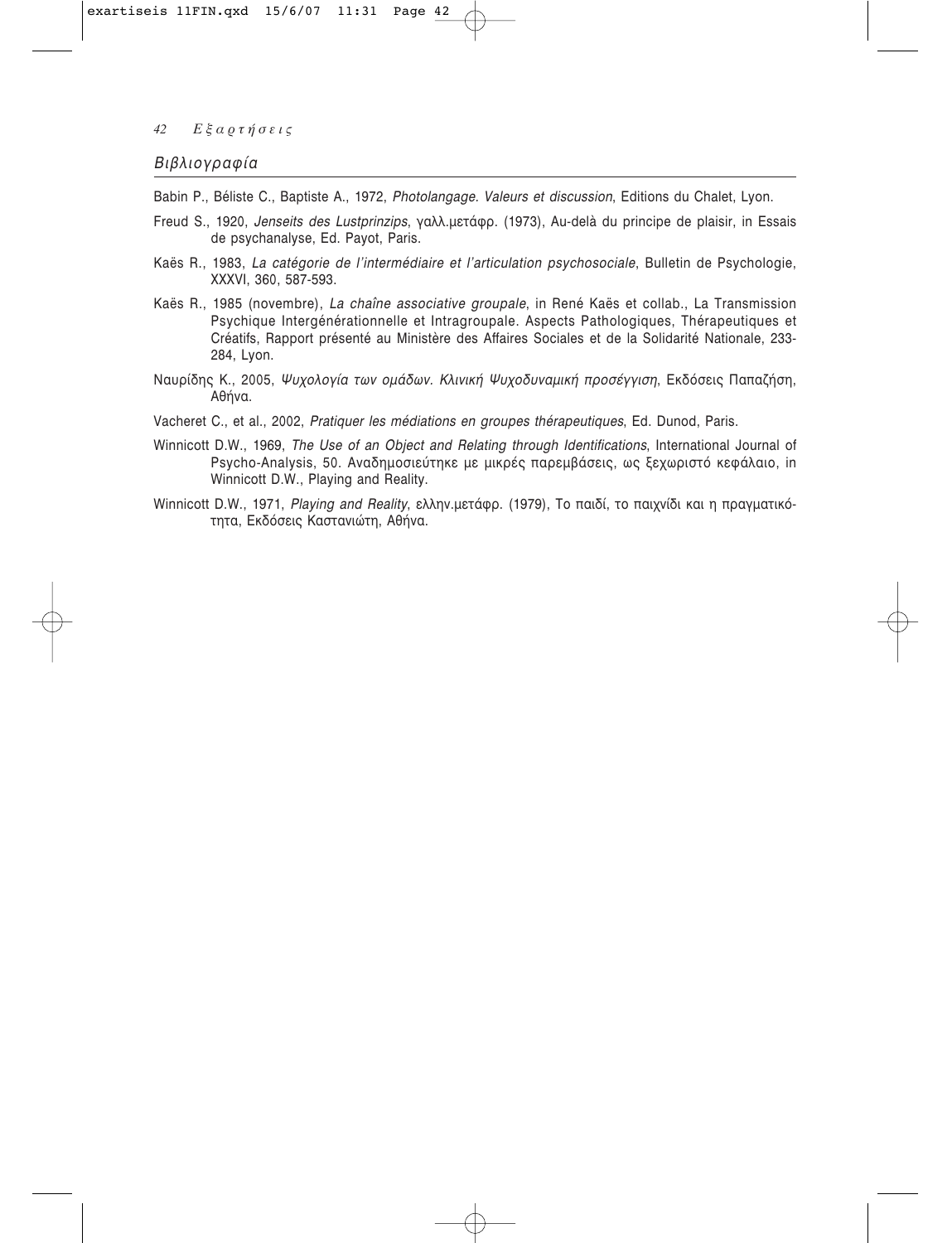### Βιβλιογραφία

Babin P., Béliste C., Baptiste A., 1972, Photolangage. Valeurs et discussion, Editions du Chalet, Lyon.

- Freud S., 1920, Jenseits des Lustprinzips, γαλλ.μετάφρ. (1973), Au-delà du principe de plaisir, in Essais de psychanalyse, Ed. Payot, Paris.
- Kaës R., 1983, La catégorie de l'intermédiaire et l'articulation psychosociale, Bulletin de Psychologie, XXXVI, 360, 587-593.
- Kaës R., 1985 (novembre), La chaîne associative groupale, in René Kaës et collab., La Transmission Psychique Intergénérationnelle et Intragroupale. Aspects Pathologiques, Thérapeutiques et Créatifs, Rapport présenté au Ministère des Affaires Sociales et de la Solidarité Nationale, 233-284, Lyon.
- Ναυρίδης Κ., 2005, Ψυχολογία των ομάδων. Κλινική Ψυχοδυναμική προσέγγιση, Εκδόσεις Παπαζήση, Αθήνα.
- Vacheret C., et al., 2002, Pratiquer les médiations en groupes thérapeutiques, Ed. Dunod, Paris.
- Winnicott D.W., 1969, The Use of an Object and Relating through Identifications, International Journal of Psycho-Analysis, 50. Αναδημοσιεύτηκε με μικρές παρεμβάσεις, ως ξεχωριστό κεφάλαιο, in Winnicott D.W., Playing and Reality.
- Winnicott D.W., 1971, Playing and Reality, ελλην.μετάφρ. (1979), Το παιδί, το παιχνίδι και η πραγματικότητα, Εκδόσεις Καστανιώτη, Αθήνα.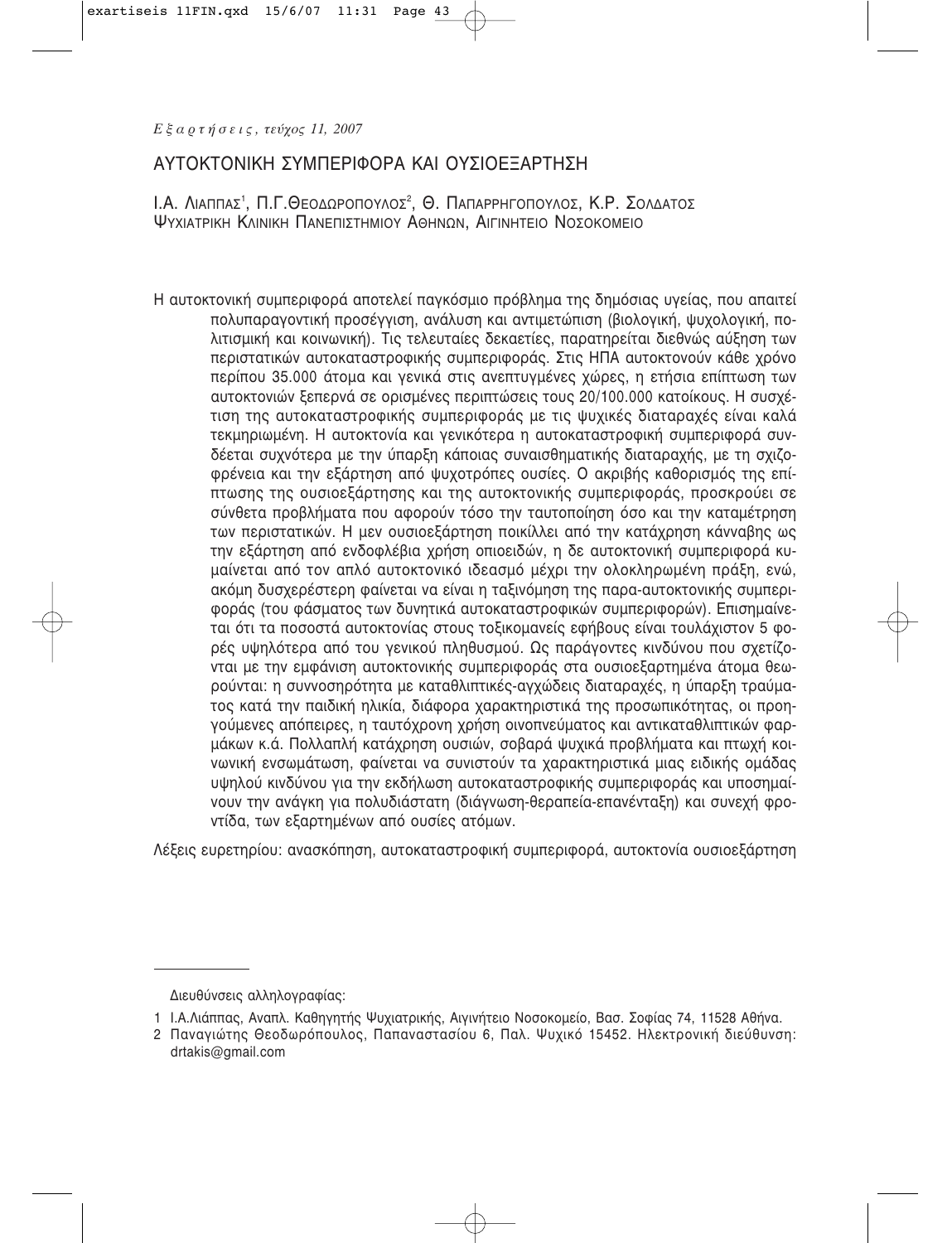Εξαρτήσεις, τεύγος 11, 2007

# ΑΥΤΟΚΤΟΝΙΚΗ ΣΥΜΠΕΡΙΦΟΡΑ ΚΑΙ ΟΥΣΙΟΕΞΑΡΤΗΣΗ

Ι.Α. ΛΙΑΠΠΑΣ<sup>1</sup>, Π.Γ.ΘΕΟΔΩΡΟΠΟΥΛΟΣ<sup>2</sup>, Θ. ΠΑΠΑΡΡΗΓΟΠΟΥΛΟΣ, Κ.Ρ. ΣΟΛΔΑΤΟΣ WYXIATPIKH KAINIKH HANFHISTHMIOY AOHNON, AIFINHTFIO NOSOKOMFIO

Η αυτοκτονική συμπεριφορά αποτελεί παγκόσμιο πρόβλημα της δημόσιας υγείας, που απαιτεί πολυπαραγοντική προσέγγιση, ανάλυση και αντιμετώπιση (βιολογική, ψυχολογική, πολιτισμική και κοινωνική). Τις τελευταίες δεκαετίες, παρατηρείται διεθνώς αύξηση των περιστατικών αυτοκαταστροφικής συμπεριφοράς. Στις ΗΠΑ αυτοκτονούν κάθε χρόνο περίπου 35.000 άτομα και γενικά στις ανεπτυγμένες χώρες, η ετήσια επίπτωση των αυτοκτονιών ξεπερνά σε ορισμένες περιπτώσεις τους 20/100.000 κατοίκους. Η συσχέτιση της αυτοκαταστροφικής συμπεριφοράς με τις ψυχικές διαταραχές είναι καλά τεκμηριωμένη. Η αυτοκτονία και γενικότερα η αυτοκαταστροφική συμπεριφορά συνδέεται συχνότερα με την ύπαρξη κάποιας συναισθηματικής διαταραχής, με τη σχιζοφρένεια και την εξάρτηση από ψυχοτρόπες ουσίες. Ο ακριβής καθορισμός της επίπτωσης της ουσιοεξάρτησης και της αυτοκτονικής συμπεριφοράς, προσκρούει σε σύνθετα προβλήματα που αφορούν τόσο την ταυτοποίηση όσο και την καταμέτρηση των περιστατικών. Η μεν ουσιοεξάρτηση ποικίλλει από την κατάχρηση κάνναβης ως την εξάρτηση από ενδοφλέβια χρήση οπιοειδών, η δε αυτοκτονική συμπεριφορά κυμαίνεται από τον απλό αυτοκτονικό ιδεασμό μέχρι την ολοκληρωμένη πράξη, ενώ, ακόμη δυσχερέστερη φαίνεται να είναι η ταξινόμηση της παρα-αυτοκτονικής συμπεριφοράς (του φάσματος των δυνητικά αυτοκαταστροφικών συμπεριφορών). Επισημαίνεται ότι τα ποσοστά αυτοκτονίας στους τοξικομανείς εφήβους είναι τουλάχιστον 5 φορές υψηλότερα από του γενικού πληθυσμού. Ως παράγοντες κινδύνου που σχετίζονται με την εμφάνιση αυτοκτονικής συμπεριφοράς στα ουσιοεξαρτημένα άτομα θεωρούνται: η συννοσηρότητα με καταθλιπτικές-αγχώδεις διαταραχές, η ύπαρξη τραύματος κατά την παιδική ηλικία, διάφορα χαρακτηριστικά της προσωπικότητας, οι προηγούμενες απόπειρες, η ταυτόχρονη χρήση οινοπνεύματος και αντικαταθλιπτικών φαρμάκων κ.ά. Πολλαπλή κατάχρηση ουσιών, σοβαρά ψυχικά προβλήματα και πτωχή κοινωνική ενσωμάτωση, φαίνεται να συνιστούν τα χαρακτηριστικά μιας ειδικής ομάδας υψηλού κινδύνου για την εκδήλωση αυτοκαταστροφικής συμπεριφοράς και υποσημαίνουν την ανάγκη για πολυδιάστατη (διάγνωση-θεραπεία-επανένταξη) και συνεχή φροντίδα, των εξαρτημένων από ουσίες ατόμων.

Λέξεις ευρετηρίου: ανασκόπηση, αυτοκαταστροφική συμπεριφορά, αυτοκτονία ουσιοεξάρτηση

Διευθύνσεις αλληλογραφίας:

<sup>1</sup> Ι.Α.Λιάππας, Αναπλ. Καθηγητής Ψυχιατρικής, Αιγινήτειο Νοσοκομείο, Βασ. Σοφίας 74, 11528 Αθήνα.

<sup>2</sup> Παναγιώτης Θεοδωρόπουλος, Παπαναστασίου 6, Παλ. Ψυχικό 15452. Ηλεκτρονική διεύθυνση: drtakis@gmail.com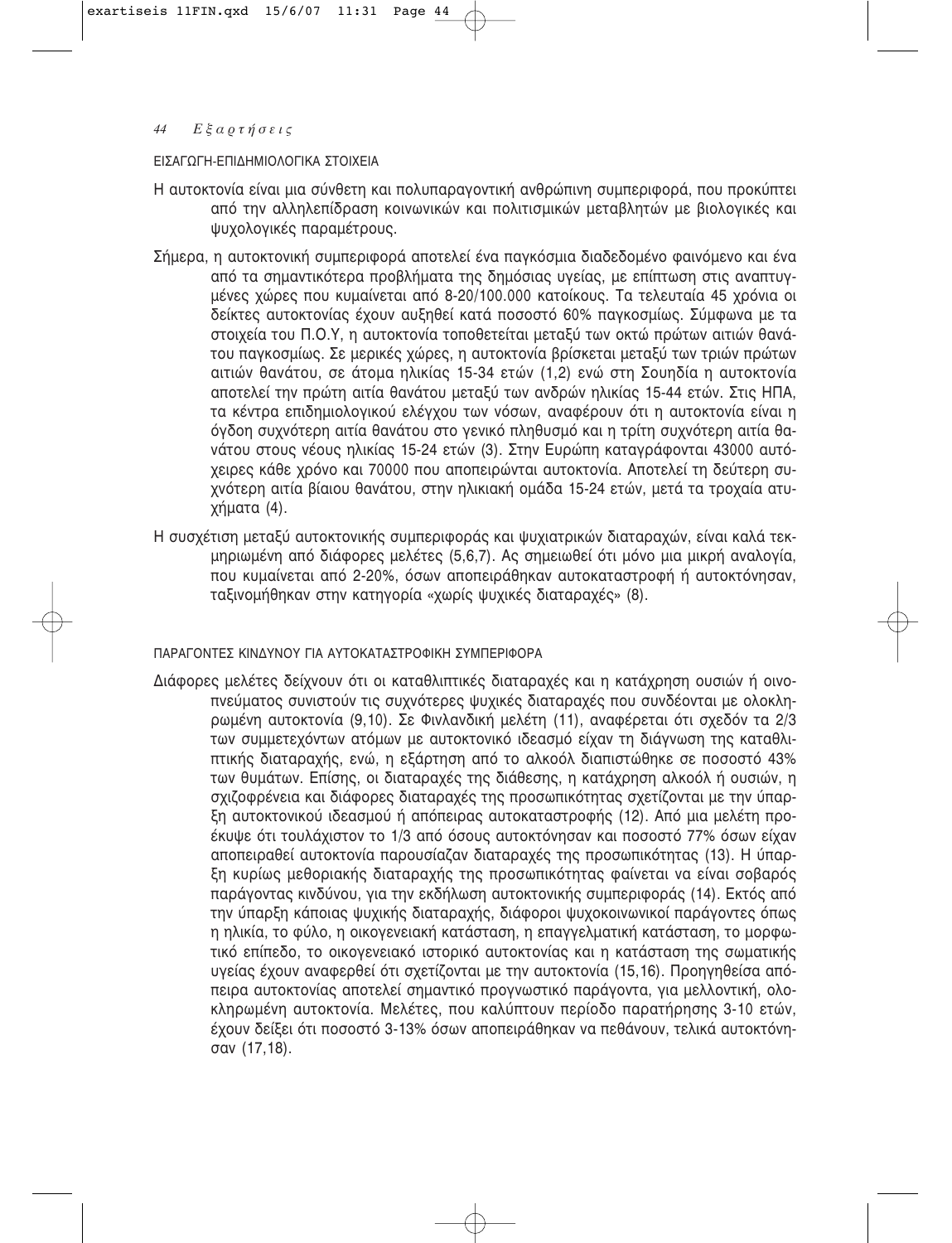$\overline{44}$ Εξαρτήσεις

ΕΙΣΑΓΩΓΗ-ΕΠΙΔΗΜΙΟΛΟΓΙΚΑ ΣΤΟΙΧΕΙΑ

- Η αυτοκτονία είναι μια σύνθετη και πολυπαραγοντική ανθρώπινη συμπεριφορά, που προκύπτει από την αλληλεπίδραση κοινωνικών και πολιτισμικών μεταβλητών με βιολονικές και ψυχολονικές παραμέτρους.
- Σήμερα, η αυτοκτονική συμπεριφορά αποτελεί ένα πανκόσμια διαδεδομένο φαινόμενο και ένα από τα σημαντικότερα προβλήματα της δημόσιας υγείας, με επίπτωση στις αναπτυγμένες χώρες που κυμαίνεται από 8-20/100.000 κατοίκους. Τα τελευταία 45 χρόνια οι δείκτες αυτοκτονίας έχουν αυξηθεί κατά ποσοστό 60% παγκοσμίως. Σύμφωνα με τα στοιχεία του Π.Ο.Υ, η αυτοκτονία τοποθετείται μεταξύ των οκτώ πρώτων αιτιών θανάτου παγκοσμίως. Σε μερικές χώρες, η αυτοκτονία βρίσκεται μεταξύ των τριών πρώτων αιτιών θανάτου, σε άτομα ηλικίας 15-34 ετών (1,2) ενώ στη Σουηδία η αυτοκτονία αποτελεί την πρώτη αιτία θανάτου μεταξύ των ανδρών ηλικίας 15-44 ετών. Στις ΗΠΑ, τα κέντρα επιδημιολογικού ελέγχου των νόσων, αναφέρουν ότι η αυτοκτονία είναι η όγδοη συχνότερη αιτία θανάτου στο γενικό πληθυσμό και η τρίτη συχνότερη αιτία θανάτου στους νέους ηλικίας 15-24 ετών (3). Στην Ευρώπη καταγράφονται 43000 αυτόχειρες κάθε χρόνο και 70000 που αποπειρώνται αυτοκτονία. Αποτελεί τη δεύτερη συχνότερη αιτία βίαιου θανάτου, στην ηλικιακή ομάδα 15-24 ετών, μετά τα τροχαία ατυχήματα (4).
- Η συσχέτιση μεταξύ αυτοκτονικής συμπεριφοράς και ψυχιατρικών διαταραχών, είναι καλά τεκμηριωμένη από διάφορες μελέτες (5,6,7). Ας σημειωθεί ότι μόνο μια μικρή αναλογία, που κυμαίνεται από 2-20%, όσων αποπειράθηκαν αυτοκαταστροφή ή αυτοκτόνησαν, ταξινομήθηκαν στην κατηγορία «χωρίς ψυχικές διαταραχές» (8).

# ΠΑΡΑΓΟΝΤΕΣ ΚΙΝΔΥΝΟΥ ΓΙΑ ΑΥΤΟΚΑΤΑΣΤΡΟΦΙΚΗ ΣΥΜΠΕΡΙΦΟΡΑ

Διάφορες μελέτες δείχνουν ότι οι καταθλιπτικές διαταραχές και η κατάχρηση ουσιών ή οινοπνεύματος συνιστούν τις συχνότερες ψυχικές διαταραχές που συνδέονται με ολοκληρωμένη αυτοκτονία (9.10). Σε Φινλανδική μελέτη (11), αναφέρεται ότι σχεδόν τα 2/3 των συμμετεχόντων ατόμων με αυτοκτονικό ιδεασμό είχαν τη διάγνωση της καταθλιπτικής διαταραχής, ενώ, η εξάρτηση από το αλκοόλ διαπιστώθηκε σε ποσοστό 43% των θυμάτων. Επίσης, οι διαταραχές της διάθεσης, η κατάχρηση αλκοόλ ή ουσιών, η σχιζοφρένεια και διάφορες διαταραχές της προσωπικότητας σχετίζονται με την ύπαρξη αυτοκτονικού ιδεασμού ή απόπειρας αυτοκαταστροφής (12). Από μια μελέτη προέκυψε ότι τουλάχιστον το 1/3 από όσους αυτοκτόνησαν και ποσοστό 77% όσων είχαν αποπειραθεί αυτοκτονία παρουσίαζαν διαταραχές της προσωπικότητας (13). Η ύπαρξη κυρίως μεθοριακής διαταραχής της προσωπικότητας φαίνεται να είναι σοβαρός παράγοντας κινδύνου, για την εκδήλωση αυτοκτονικής συμπεριφοράς (14). Εκτός από την ύπαρξη κάποιας ψυχικής διαταραχής, διάφοροι ψυχοκοινωνικοί παράγοντες όπως η ηλικία, το φύλο, η οικογενειακή κατάσταση, η επαγγελματική κατάσταση, το μορφωτικό επίπεδο, το οικογενειακό ιστορικό αυτοκτονίας και η κατάσταση της σωματικής υγείας έχουν αναφερθεί ότι σχετίζονται με την αυτοκτονία (15,16). Προηγηθείσα απόπειρα αυτοκτονίας αποτελεί σημαντικό προγνωστικό παράγοντα, για μελλοντική, ολοκληρωμένη αυτοκτονία. Μελέτες, που καλύπτουν περίοδο παρατήρησης 3-10 ετών, έχουν δείξει ότι ποσοστό 3-13% όσων αποπειράθηκαν να πεθάνουν, τελικά αυτοκτόνησαν (17,18).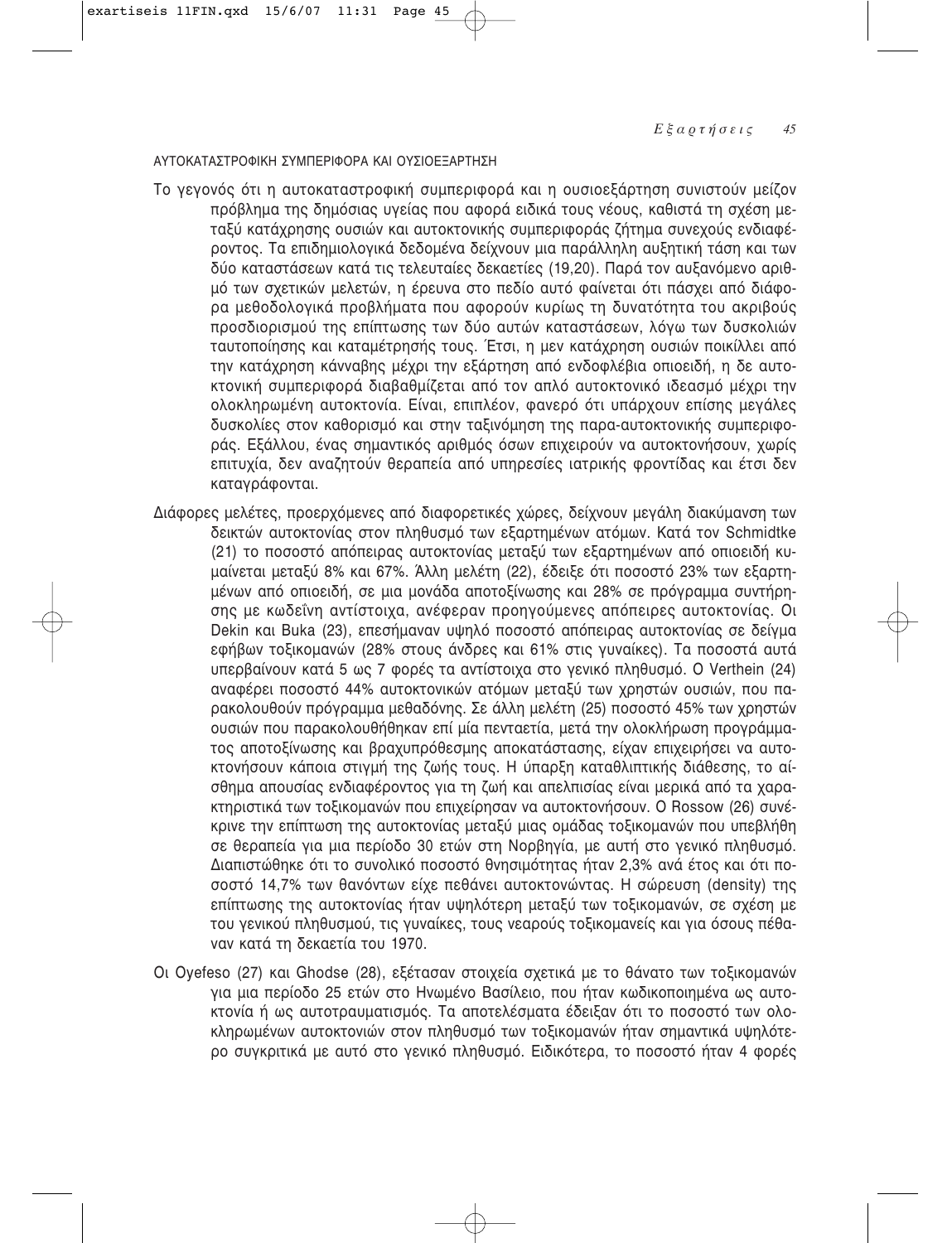ΑΥΤΟΚΑΤΑΣΤΡΟΦΙΚΗ ΣΥΜΠΕΡΙΦΟΡΑ ΚΑΙ ΟΥΣΙΟΕΞΑΡΤΗΣΗ

- Το νενονός ότι η αυτοκαταστροφική συμπεριφορά και η ουσιοεξάρτηση συνιστούν μείζον πρόβλημα της δημόσιας υγείας που αφορά ειδικά τους νέους, καθιστά τη σχέση μεταξύ κατάχρησης ουσιών και αυτοκτονικής συμπεριφοράς ζήτημα συνεχούς ενδιαφέροντος. Τα επιδημιολογικά δεδομένα δείχνουν μια παράλληλη αυξητική τάση και των δύο καταστάσεων κατά τις τελευταίες δεκαετίες (19,20). Παρά τον αυξανόμενο αριθμό των σχετικών μελετών, η έρευνα στο πεδίο αυτό φαίνεται ότι πάσχει από διάφορα μεθοδολογικά προβλήματα που αφορούν κυρίως τη δυνατότητα του ακριβούς προσδιορισμού της επίπτωσης των δύο αυτών καταστάσεων, λόγω των δυσκολιών ταυτοποίησης και καταμέτρησής τους. Έτσι, η μεν κατάχρηση ουσιών ποικίλλει από την κατάχρηση κάνναβης μέχρι την εξάρτηση από ενδοφλέβια οπιοειδή, η δε αυτοκτονική συμπεριφορά διαβαθμίζεται από τον απλό αυτοκτονικό ιδεασμό μέχρι την ολοκληρωμένη αυτοκτονία. Είναι, επιπλέον, φανερό ότι υπάρχουν επίσης μενάλες δυσκολίες στον καθορισμό και στην ταξινόμηση της παρα-αυτοκτονικής συμπεριφοράς. Εξάλλου, ένας σημαντικός αριθμός όσων επιχειρούν να αυτοκτονήσουν, χωρίς επιτυχία, δεν αναζητούν θεραπεία από υπηρεσίες ιατρικής φροντίδας και έτσι δεν καταγράφονται.
- Διάφορες μελέτες, προερχόμενες από διαφορετικές χώρες, δείχνουν μεγάλη διακύμανση των δεικτών αυτοκτονίας στον πληθυσμό των εξαρτημένων ατόμων. Κατά τον Schmidtke (21) το ποσοστό απόπειρας αυτοκτονίας μεταξύ των εξαρτημένων από οπιοειδή κυμαίνεται μεταξύ 8% και 67%. Άλλη μελέτη (22), έδειξε ότι ποσοστό 23% των εξαρτημένων από οπιοειδή, σε μια μονάδα αποτοξίνωσης και 28% σε πρόγραμμα συντήρησης με κωδεΐνη αντίστοιχα, ανέφεραν προηγούμενες απόπειρες αυτοκτονίας. Οι Dekin και Buka (23), επεσήμαναν υψηλό ποσοστό απόπειρας αυτοκτονίας σε δείγμα εφήβων τοξικομανών (28% στους άνδρες και 61% στις γυναίκες). Τα ποσοστά αυτά υπερβαίνουν κατά 5 ως 7 φορές τα αντίστοιχα στο γενικό πληθυσμό. Ο Verthein (24) αναφέρει ποσοστό 44% αυτοκτονικών ατόμων μεταξύ των χρηστών ουσιών, που παρακολουθούν πρόγραμμα μεθαδόνης. Σε άλλη μελέτη (25) ποσοστό 45% των χρηστών ουσιών που παρακολουθήθηκαν επί μία πενταετία, μετά την ολοκλήρωση προγράμματος αποτοξίνωσης και βραχυπρόθεσμης αποκατάστασης, είχαν επιχειρήσει να αυτοκτονήσουν κάποια στιγμή της ζωής τους. Η ύπαρξη καταθλιπτικής διάθεσης, το αίσθημα απουσίας ενδιαφέροντος για τη ζωή και απελπισίας είναι μερικά από τα χαρακτηριστικά των τοξικομανών που επιχείρησαν να αυτοκτονήσουν. Ο Rossow (26) συνέκρινε την επίπτωση της αυτοκτονίας μεταξύ μιας ομάδας τοξικομανών που υπεβλήθη σε θεραπεία για μια περίοδο 30 ετών στη Νορβηγία, με αυτή στο γενικό πληθυσμό. Διαπιστώθηκε ότι το συνολικό ποσοστό θνησιμότητας ήταν 2,3% ανά έτος και ότι ποσοστό 14,7% των θανόντων είχε πεθάνει αυτοκτονώντας. Η σώρευση (density) της επίπτωσης της αυτοκτονίας ήταν υψηλότερη μεταξύ των τοξικομανών, σε σχέση με του γενικού πληθυσμού, τις γυναίκες, τους νεαρούς τοξικομανείς και για όσους πέθαναν κατά τη δεκαετία του 1970.
- Οι Oyefeso (27) και Ghodse (28), εξέτασαν στοιχεία σχετικά με το θάνατο των τοξικομανών για μια περίοδο 25 ετών στο Ηνωμένο Βασίλειο, που ήταν κωδικοποιημένα ως αυτοκτονία ή ως αυτοτραυματισμός. Τα αποτελέσματα έδειξαν ότι το ποσοστό των ολοκληρωμένων αυτοκτονιών στον πληθυσμό των τοξικομανών ήταν σημαντικά υψηλότερο συγκριτικά με αυτό στο γενικό πληθυσμό. Ειδικότερα, το ποσοστό ήταν 4 φορές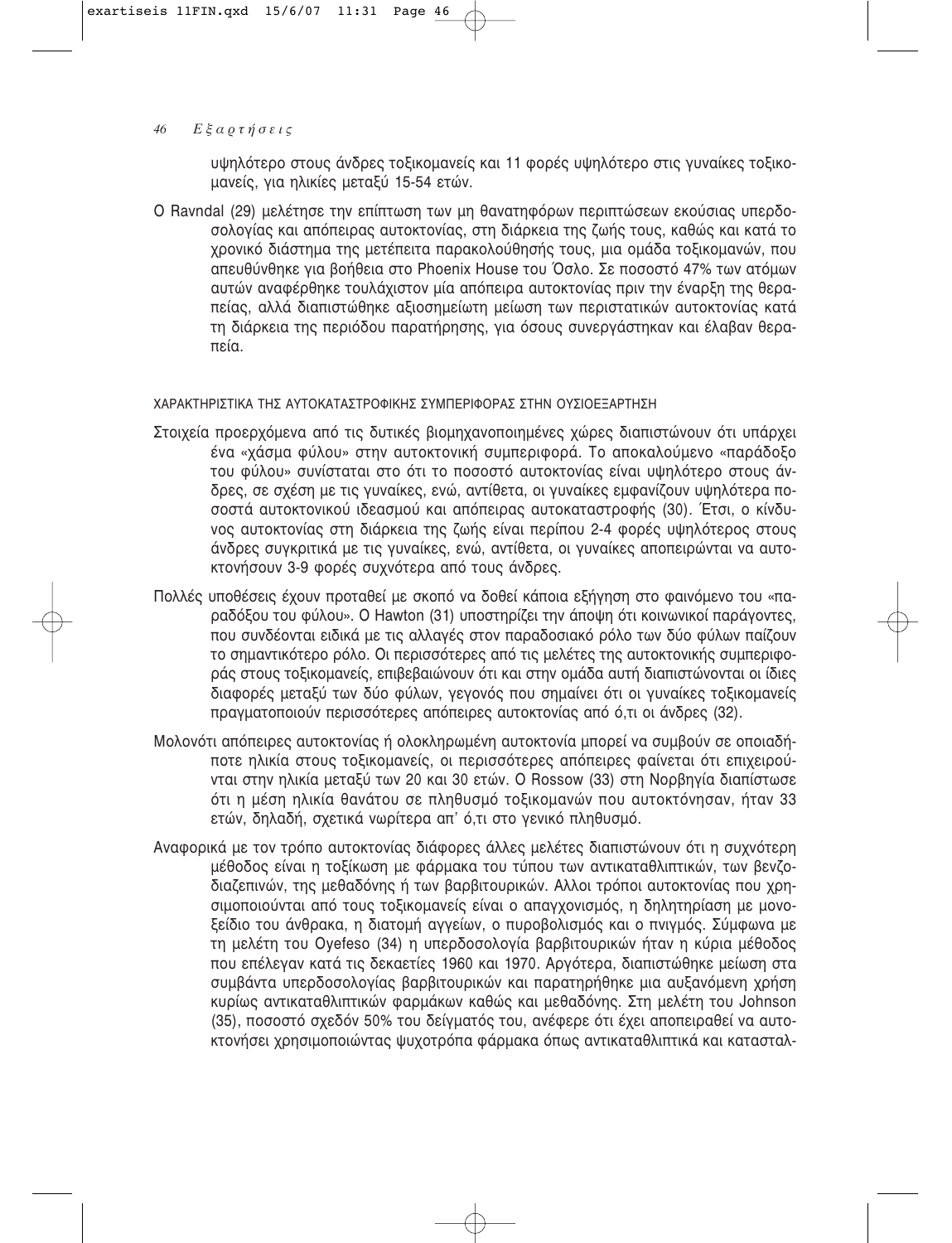υψηλότερο στους άνδρες τοξικομανείς και 11 φορές υψηλότερο στις γυναίκες τοξικομανείς, για ηλικίες μεταξύ 15-54 ετών.

Ο Ravndal (29) μελέτησε την επίπτωση των μη θανατηφόρων περιπτώσεων εκούσιας υπερδοσολογίας και απόπειρας αυτοκτογίας, στη διάρκεια της ζωής τους, καθώς και κατά το χρονικό διάστημα της μετέπειτα παρακολούθησής τους, μια ομάδα τοξικομανών, που απευθύνθηκε για βοήθεια στο Phoenix House του Όσλο. Σε ποσοστό 47% των ατόμων αυτών αναφέρθηκε τουλάχιστον μία απόπειρα αυτοκτονίας πριν την έναρξη της θεραπείας, αλλά διαπιστώθηκε αξιοσημείωτη μείωση των περιστατικών αυτοκτονίας κατά τη διάρκεια της περιόδου παρατήρησης, για όσους συνεργάστηκαν και έλαβαν θεραπεία.

# ΧΑΡΑΚΤΗΡΙΣΤΙΚΑ ΤΗΣ ΑΥΤΟΚΑΤΑΣΤΡΟΦΙΚΗΣ ΣΥΜΠΕΡΙΦΟΡΑΣ ΣΤΗΝ ΟΥΣΙΟΕΞΑΡΤΗΣΗ

- Στοιχεία προερχόμενα από τις δυτικές βιομηχανοποιημένες χώρες διαπιστώνουν ότι υπάρχει ένα «χάσμα φύλου» στην αυτοκτονική συμπεριφορά. Το αποκαλούμενο «παράδοξο του φύλου» συνίσταται στο ότι το ποσοστό αυτοκτονίας είναι υψηλότερο στους άνδρες, σε σχέση με τις γυναίκες, ενώ, αντίθετα, οι γυναίκες εμφανίζουν υψηλότερα ποσοστά αυτοκτονικού ιδεασμού και απόπειρας αυτοκαταστροφής (30). Έτσι, ο κίνδυ-VOC αυτοκτονίας στη διάρκεια της ζωής είναι περίπου 2-4 φορές υψηλότερος στους άνδρες συγκριτικά με τις γυναίκες, ενώ, αντίθετα, οι γυναίκες αποπειρώνται να αυτο-Κτονήσουν 3-9 φορές συχνότερα από τους άνδρες.
- Πολλές υποθέσεις έχουν προταθεί με σκοπό να δοθεί κάποια εξήγηση στο φαινόμενο του «παραδόξου του φύλου». Ο Hawton (31) υποστηρίζει την άποψη ότι κοινωνικοί παράγοντες, που συνδέονται ειδικά με τις αλλαγές στον παραδοσιακό ρόλο των δύο φύλων παίζουν το σημαντικότερο ρόλο. Οι περισσότερες από τις μελέτες της αυτοκτονικής συμπεριφοράς στους τοξικομανείς, επιβεβαιώνουν ότι και στην ομάδα αυτή διαπιστώνονται οι ίδιες διαφορές μεταξύ των δύο φύλων, γεγονός που σημαίνει ότι οι γυναίκες τοξικομανείς πραγματοποιούν περισσότερες απόπειρες αυτοκτονίας από ό,τι οι άνδρες (32).
- Μολονότι απόπειρες αυτοκτονίας ή ολοκληρωμένη αυτοκτονία μπορεί να συμβούν σε οποιαδήποτε ηλικία στους τοξικομανείς, οι περισσότερες απόπειρες φαίνεται ότι επιχειρούνται στην ηλικία μεταξύ των 20 και 30 ετών. Ο Rossow (33) στη Νορβηγία διαπίστωσε ότι η μέση ηλικία θανάτου σε πληθυσμό τοξικομανών που αυτοκτόνησαν, ήταν 33 ετών, δηλαδή, σχετικά νωρίτερα απ' ό,τι στο γενικό πληθυσμό.
- Αναφορικά με τον τρόπο αυτοκτονίας διάφορες άλλες μελέτες διαπιστώνουν ότι η συχνότερη μέθοδος είναι η τοξίκωση με φάρμακα του τύπου των αντικαταθλιπτικών, των βενζοδιαζεπινών, της μεθαδόνης ή των βαρβιτουρικών. Αλλοι τρόποι αυτοκτονίας που χρησιμοποιούνται από τους τοξικομανείς είναι ο απαγχονισμός, η δηλητηρίαση με μονοξείδιο του άνθρακα, η διατομή αγγείων, ο πυροβολισμός και ο πνιγμός. Σύμφωνα με τη μελέτη του Ovefeso (34) η υπερδοσολογία βαρβιτουρικών ήταν η κύρια μέθοδος που επέλεγαν κατά τις δεκαετίες 1960 και 1970. Αργότερα, διαπιστώθηκε μείωση στα συμβάντα υπερδοσολογίας βαρβιτουρικών και παρατηρήθηκε μια αυξανόμενη χρήση κυρίως αντικαταθλιπτικών φαρμάκων καθώς και μεθαδόνης. Στη μελέτη του Johnson (35), ποσοστό σχεδόν 50% του δείγματός του, ανέφερε ότι έχει αποπειραθεί να αυτο-Κτονήσει χρησιμοποιώντας ψυχοτρόπα φάρμακα όπως αντικαταθλιπτικά και κατασταλ-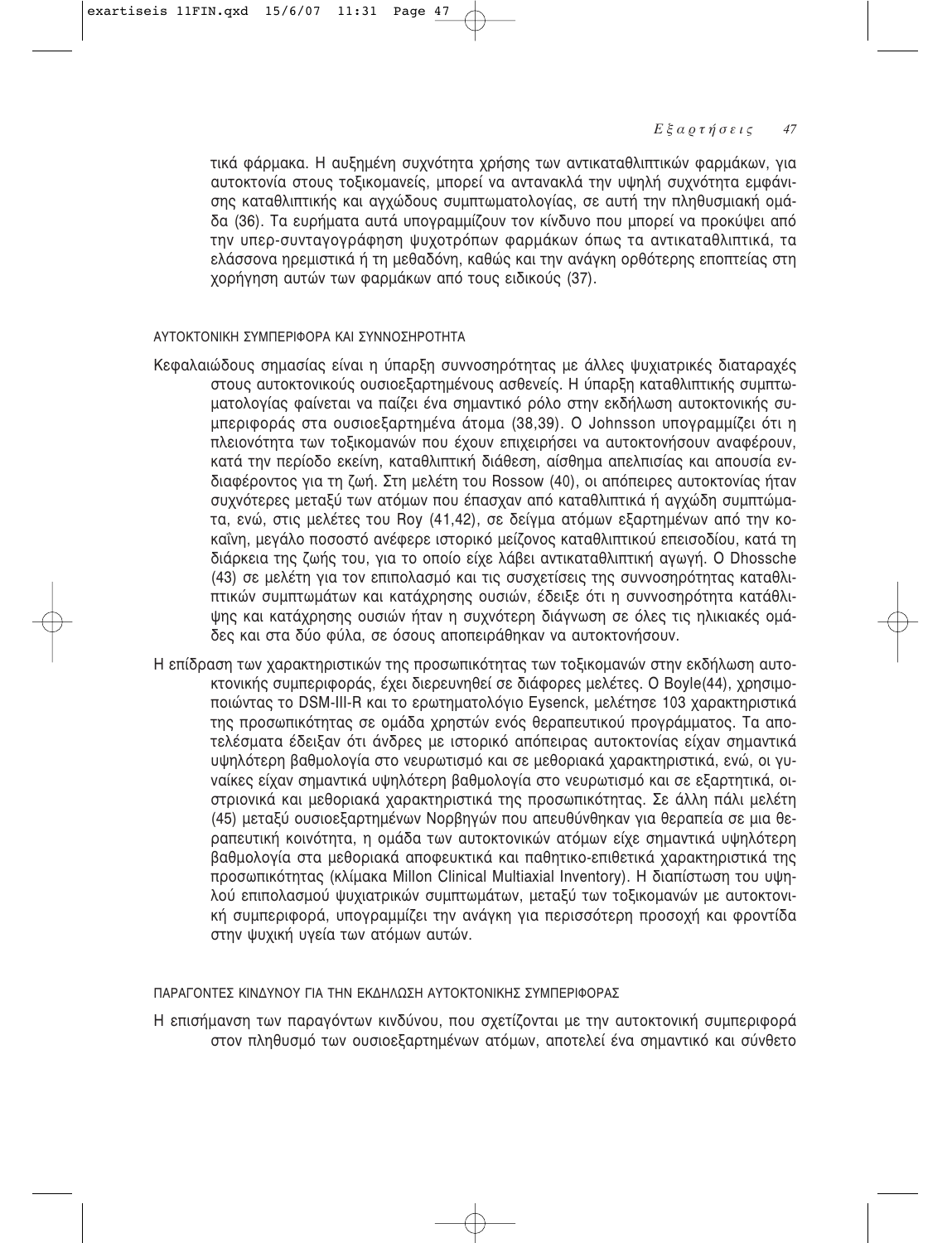τικά φάρμακα. Η αυξημένη συχνότητα χρήσης των αντικαταθλιπτικών φαρμάκων, για αυτοκτονία στους τοξικομανείς, μπορεί να αντανακλά την υψηλή συχνότητα εμφάνισης καταθλιπτικής και αγχώδους συμπτωματολογίας, σε αυτή την πληθυσμιακή ομάδα (36). Τα ευρήματα αυτά υπογραμμίζουν τον κίνδυνο που μπορεί να προκύψει από την υπερ-συνταγογράφηση ψυχοτρόπων φαρμάκων όπως τα αντικαταθλιπτικά, τα ελάσσονα ηρεμιστικά ή τη μεθαδόνη, καθώς και την ανάγκη ορθότερης εποπτείας στη χορήγηση αυτών των φαρμάκων από τους ειδικούς (37).

# ΑΥΤΟΚΤΟΝΙΚΗ ΣΥΜΠΕΡΙΦΩΡΑ ΚΑΙ ΣΥΝΝΟΣΗΡΟΤΗΤΑ

exartiseis  $11$ FIN.qxd  $15/6/07$   $11:31$  Page

- Κεφαλαιώδους σημασίας είναι η ύπαρξη συννοσηρότητας με άλλες ψυχιατρικές διαταραχές στους αυτοκτονικούς ουσιοεξαρτημένους ασθενείς. Η ύπαρξη καταθλιπτικής συμπτωματολογίας φαίνεται να παίζει ένα σημαντικό ρόλο στην εκδήλωση αυτοκτονικής συμπεριφοράς στα ουσιοεξαρτημένα άτομα (38,39). Ο Johnsson υπογραμμίζει ότι η τιλειονότητα των τοξικομανών που έχουν επιχειρήσει να αυτοκτονήσουν αναφέρουν, κατά την περίοδο εκείνη, καταθλιπτική διάθεση, αίσθημα απελπισίας και απουσία ενδιαφέροντος για τη ζωή. Στη μελέτη του Rossow (40), οι απόπειρες αυτοκτονίας ήταν συχνότερες μεταξύ των ατόμων που έπασχαν από καταθλιπτικά ή αγχώδη συμπτώματα, ενώ, στις μελέτες του Roy (41,42), σε δείγμα ατόμων εξαρτημένων από την κοκαΐνη, μενάλο ποσοστό ανέφερε ιστορικό μείζονος καταθλιπτικού επεισοδίου, κατά τη διάρκεια της ζωής του, για το οποίο είχε λάβει αντικαταθλιπτική αγωγή. Ο Dhossche (43) σε μελέτη για τον επιπολασμό και τις συσχετίσεις της συννοσηρότητας καταθλιπτικών συμπτωμάτων και κατάχρησης ουσιών, έδειξε ότι η συννοσηρότητα κατάθλιψης και κατάχρησης ουσιών ήταν η συχνότερη διάγνωση σε όλες τις ηλικιακές ομάδες και στα δύο φύλα, σε όσους αποπειράθηκαν να αυτοκτονήσουν.
- Η επίδραση των χαρακτηριστικών της προσωπικότητας των τοξικομανών στην εκδήλωση αυτο-Κτονικής συμπεριφοράς, έχει διερευνηθεί σε διάφορες μελέτες. Ο Boyle(44), χρησιμοποιώντας το DSM-III-R και το ερωτηματολόγιο Eysenck, μελέτησε 103 χαρακτηριστικά της προσωπικότητας σε ομάδα χρηστών ενός θεραπευτικού προγράμματος. Τα αποτελέσματα έδειξαν ότι άνδρες με ιστορικό απόπειρας αυτοκτονίας είχαν σημαντικά υψηλότερη βαθμολογία στο νευρωτισμό και σε μεθοριακά χαρακτηριστικά, ενώ, οι γυναίκες είχαν σημαντικά υψηλότερη βαθμολογία στο νευρωτισμό και σε εξαρτητικά, οιστριονικά και μεθοριακά χαρακτηριστικά της προσωπικότητας. Σε άλλη πάλι μελέτη (45) μεταξύ ουσιοεξαρτημένων Νορβηγών που απευθύνθηκαν για θεραπεία σε μια θεραπευτική κοινότητα, η ομάδα των αυτοκτονικών ατόμων είχε σημαντικά υψηλότερη βαθμολογία στα μεθοριακά αποφευκτικά και παθητικο-επιθετικά χαρακτηριστικά της προσωπικότητας (κλίμακα Millon Clinical Multiaxial Inventory). Η διαπίστωση του υψηλού επιπολασμού ψυχιατρικών συμπτωμάτων, μεταξύ των τοξικομανών με αυτοκτονική συμπεριφορά, υπογραμμίζει την ανάγκη για περισσότερη προσοχή και φροντίδα στην ψυχική υγεία των ατόμων αυτών.

# ΠΑΡΑΓΟΝΤΕΣ ΚΙΝΔΥΝΟΥ ΓΙΑ ΤΗΝ ΕΚΔΗΛΩΣΗ ΑΥΤΟΚΤΟΝΙΚΗΣ ΣΥΜΠΕΡΙΦΟΡΑΣ

Η επισήμανση των παραγόντων κινδύνου, που σχετίζονται με την αυτοκτονική συμπεριφορά στον πληθυσμό των ουσιοεξαρτημένων ατόμων, αποτελεί ένα σημαντικό και σύνθετο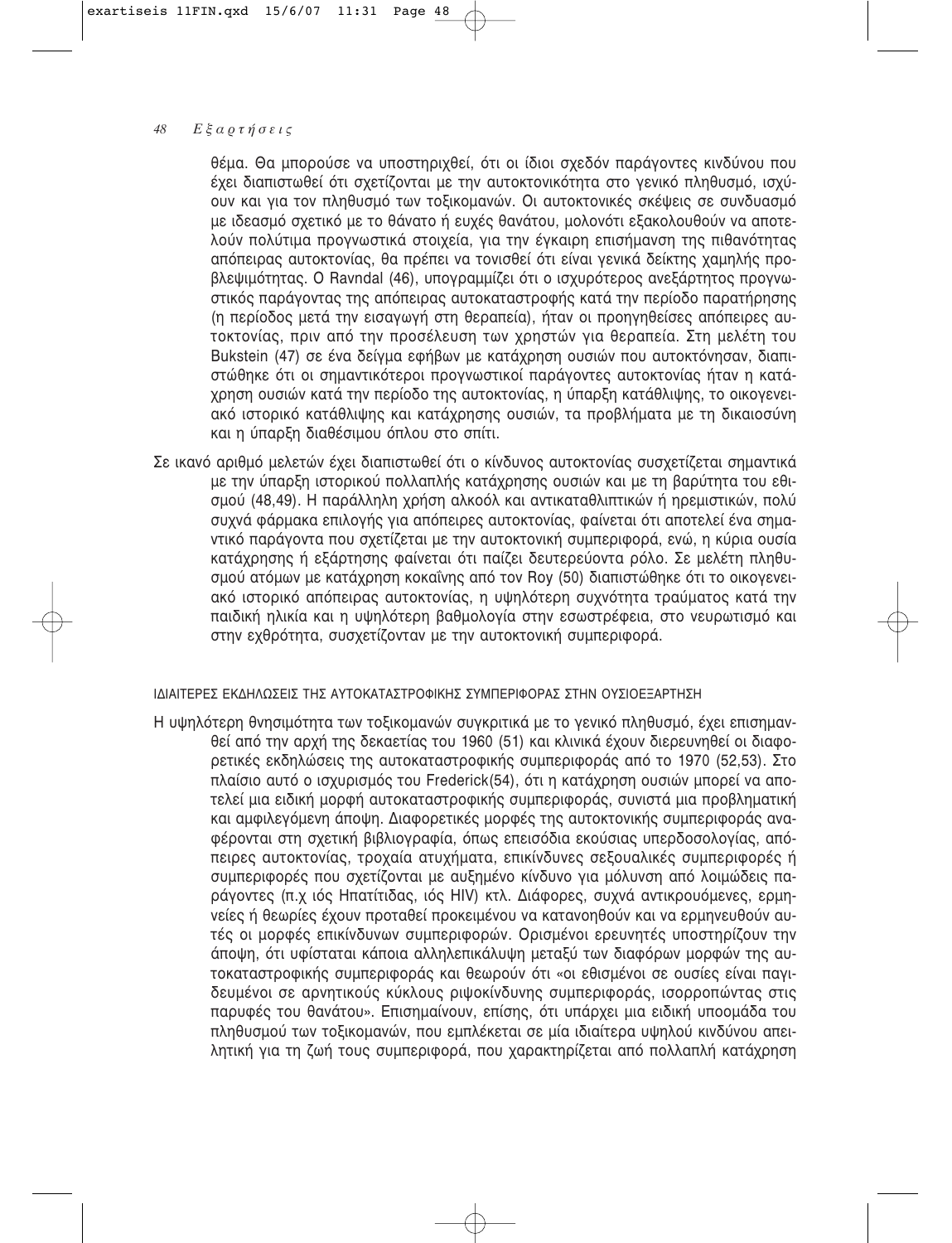### $\overline{48}$ Εξαρτήσεις

θέμα. Θα μπορούσε να υποστηριχθεί, ότι οι ίδιοι σχεδόν παράγοντες κινδύνου που έχει διαπιστωθεί ότι σχετίζονται με την αυτοκτονικότητα στο γενικό πληθυσμό, ισχύουν και για τον πληθυσμό των τοξικομανών. Οι αυτοκτονικές σκέψεις σε συνδυασμό με ιδεασμό σχετικό με το θάνατο ή ευχές θανάτου, μολονότι εξακολουθούν να αποτελούν πολύτιμα προννωστικά στοιχεία, για την ένκαιρη επισήμανση της πιθανότητας απόπειρας αυτοκτονίας, θα πρέπει να τονισθεί ότι είναι γενικά δείκτης χαμηλής προβλεψιμότητας. Ο Ravndal (46), υπογραμμίζει ότι ο ισχυρότερος ανεξάρτητος προγνωστικός παράγοντας της απόπειρας αυτοκαταστροφής κατά την περίοδο παρατήρησης (η περίοδος μετά την εισαγωγή στη θεραπεία), ήταν οι προηγηθείσες απόπειρες αυτοκτονίας, πριν από την προσέλευση των χρηστών για θεραπεία. Στη μελέτη του Bukstein (47) σε ένα δείγμα εφήβων με κατάχρηση ουσιών που αυτοκτόνησαν, διαπιστώθηκε ότι οι σημαντικότεροι προγνωστικοί παράγοντες αυτοκτονίας ήταν η κατάχρηση ουσιών κατά την περίοδο της αυτοκτονίας, η ύπαρξη κατάθλιψης, το οικογενειακό ιστορικό κατάθλιψης και κατάχρησης ουσιών, τα προβλήματα με τη δικαιοσύνη και η ύπαρξη διαθέσιμου όπλου στο σπίτι.

Σε ικανό αριθμό μελετών έχει διαπιστωθεί ότι ο κίνδυνος αυτοκτονίας συσχετίζεται σημαντικά με την ύπαρξη ιστορικού πολλαπλής κατάχρησης ουσιών και με τη βαρύτητα του εθισμού (48,49). Η παράλληλη χρήση αλκοόλ και αντικαταθλιπτικών ή ηρεμιστικών, πολύ συχνά φάρμακα επιλογής για απόπειρες αυτοκτονίας, φαίνεται ότι αποτελεί ένα σημαντικό παράνοντα που σχετίζεται με την αυτοκτονική συμπεριφορά, ενώ, η κύρια ουσία κατάχρησης ή εξάρτησης φαίνεται ότι παίζει δευτερεύοντα ρόλο. Σε μελέτη πληθυσμού ατόμων με κατάχρηση κοκαΐνης από τον Roy (50) διαπιστώθηκε ότι το οικογενειακό ιστορικό απόπειρας αυτοκτονίας, η υψηλότερη συχνότητα τραύματος κατά την παιδική ηλικία και η υψηλότερη βαθμολογία στην εσωστρέφεια, στο νευρωτισμό και στην εχθρότητα, συσχετίζονταν με την αυτοκτονική συμπεριφορά.

# ΙΔΙΑΙΤΕΡΕΣ ΕΚΔΗΛΩΣΕΙΣ ΤΗΣ ΑΥΤΟΚΑΤΑΣΤΡΟΦΙΚΗΣ ΣΥΜΠΕΡΙΦΟΡΑΣ ΣΤΗΝ ΟΥΣΙΟΕΞΑΡΤΗΣΗ

Η υψηλότερη θνησιμότητα των τοξικομανών συγκριτικά με το γενικό πληθυσμό, έχει επισημανθεί από την αρχή της δεκαετίας του 1960 (51) και κλινικά έχουν διερευνηθεί οι διαφορετικές εκδηλώσεις της αυτοκαταστροφικής συμπεριφοράς από το 1970 (52,53). Στο πλαίσιο αυτό ο ισχυρισμός του Frederick(54), ότι η κατάχρηση ουσιών μπορεί να αποτελεί μια ειδική μορφή αυτοκαταστροφικής συμπεριφοράς, συνιστά μια προβληματική και αμφιλεγόμενη άποψη. Διαφορετικές μορφές της αυτοκτονικής συμπεριφοράς αναφέρονται στη σχετική βιβλιογραφία, όπως επεισόδια εκούσιας υπερδοσολογίας, απόπειρες αυτοκτονίας, τροχαία ατυχήματα, επικίνδυνες σεξουαλικές συμπεριφορές ή συμπεριφορές που σχετίζονται με αυξημένο κίνδυνο για μόλυνση από λοιμώδεις παράγοντες (π.χ ιός Ηπατίτιδας, ιός HIV) κτλ. Διάφορες, συχνά αντικρουόμενες, ερμηνείες ή θεωρίες έχουν προταθεί προκειμένου να κατανοηθούν και να ερμηνευθούν αυτές οι μορφές επικίνδυνων συμπεριφορών. Ορισμένοι ερευνητές υποστηρίζουν την άποψη, ότι υφίσταται κάποια αλληλεπικάλυψη μεταξύ των διαφόρων μορφών της αυτοκαταστροφικής συμπεριφοράς και θεωρούν ότι «οι εθισμένοι σε ουσίες είναι πανιδευμένοι σε αρνητικούς κύκλους ριψοκίνδυνης συμπεριφοράς, ισορροπώντας στις παρυφές του θανάτου». Επισημαίνουν, επίσης, ότι υπάρχει μια ειδική υποομάδα του πληθυσμού των τοξικομανών, που εμπλέκεται σε μία ιδιαίτερα υψηλού κινδύνου απειλητική για τη ζωή τους συμπεριφορά, που χαρακτηρίζεται από πολλαπλή κατάχρηση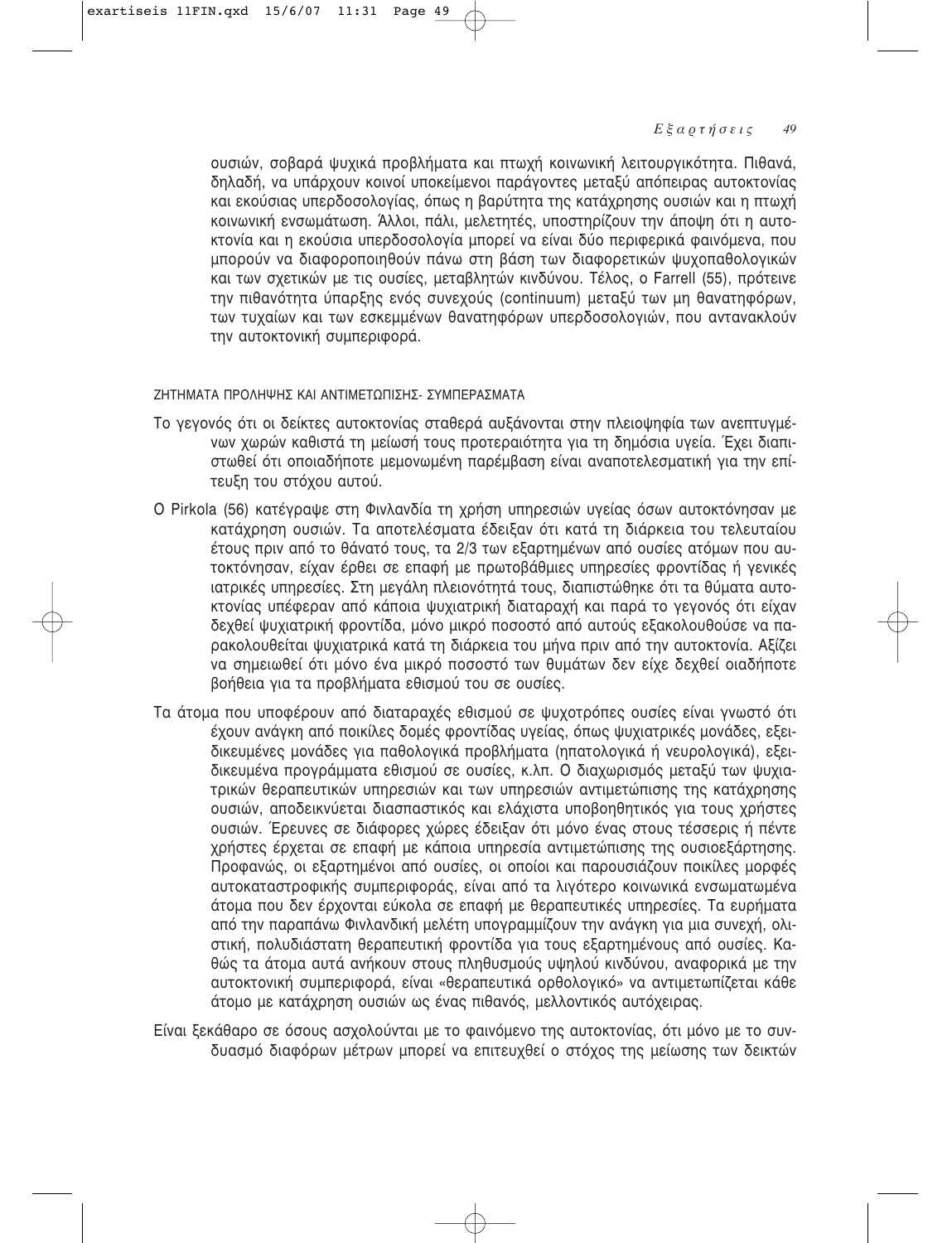ουσιών, σοβαρά ψυχικά προβλήματα και πτωχή κοινωνική λειτουργικότητα. Πιθανά, δηλαδή, να υπάρχουν κοινοί υποκείμενοι παράγοντες μεταξύ απόπειρας αυτοκτονίας και εκούσιας υπερδοσολογίας, όπως η βαρύτητα της κατάχρησης ουσιών και η πτωχή κοινωνική ενσωμάτωση. Άλλοι, πάλι, μελετητές, υποστηρίζουν την άποψη ότι η αυτοκτονία και η εκούσια υπερδοσολογία μπορεί να είναι δύο περιφερικά φαινόμενα, που μπορούν να διαφοροποιηθούν πάνω στη βάση των διαφορετικών ψυχοπαθολογικών και των σχετικών με τις ουσίες, μεταβλητών κινδύνου. Τέλος, ο Farrell (55), πρότεινε την πιθανότητα ύπαρξης ενός συνεχούς (continuum) μεταξύ των μη θανατηφόρων, των τυχαίων και των εσκεμμένων θανατηφόρων υπερδοσολογιών, που αντανακλούν την αυτοκτονική συμπεριφορά.

# ΖΗΤΗΜΑΤΑ ΠΡΟΛΗΨΗΣ ΚΑΙ ΑΝΤΙΜΕΤΩΠΙΣΗΣ- ΣΥΜΠΕΡΑΣΜΑΤΑ

11:31 Page 49

exartiseis 11FIN.qxd 15/6/07

- Το γεγονός ότι οι δείκτες αυτοκτονίας σταθερά αυξάνονται στην πλειοψηφία των ανεπτυγμένων χωρών καθιστά τη μείωσή τους προτεραιότητα για τη δημόσια υγεία. Έχει διαπιστωθεί ότι οποιαδήποτε μεμονωμένη παρέμβαση είναι αναποτελεσματική για την επίτευξη του στόχου αυτού.
- Ο Pirkola (56) κατέγραψε στη Φινλανδία τη χρήση υπηρεσιών υγείας όσων αυτοκτόνησαν με κατάχρηση ουσιών. Τα αποτελέσματα έδειξαν ότι κατά τη διάρκεια του τελευταίου έτους πριν από το θάνατό τους, τα 2/3 των εξαρτημένων από ουσίες ατόμων που αυτοκτόνησαν, είχαν έρθει σε επαφή με πρωτοβάθμιες υπηρεσίες φροντίδας ή νενικές ιατρικές υπηρεσίες. Στη μεγάλη πλειονότητά τους, διαπιστώθηκε ότι τα θύματα αυτοκτονίας υπέφεραν από κάποια ψυχιατρική διαταραχή και παρά το γεγονός ότι είχαν δεχθεί ψυχιατρική φροντίδα, μόνο μικρό ποσοστό από αυτούς εξακολουθούσε να παρακολουθείται ψυχιατρικά κατά τη διάρκεια του μήνα πριν από την αυτοκτονία. Αξίζει να σημειωθεί ότι μόνο ένα μικρό ποσοστό των θυμάτων δεν είχε δεχθεί οιαδήποτε βοήθεια για τα προβλήματα εθισμού του σε ουσίες.
- Τα άτομα που υποφέρουν από διαταραχές εθισμού σε ψυχοτρόπες ουσίες είναι γνωστό ότι έχουν ανάγκη από ποικίλες δομές φροντίδας υγείας, όπως ψυχιατρικές μονάδες, εξειδικευμένες μονάδες για παθολογικά προβλήματα (ηπατολογικά ή νευρολογικά), εξειδικευμένα προγράμματα εθισμού σε ουσίες, κ.λπ. Ο διαχωρισμός μεταξύ των ψυχιατρικών θεραπευτικών υπηρεσιών και των υπηρεσιών αντιμετώπισης της κατάχρησης ουσιών, αποδεικνύεται διασπαστικός και ελάχιστα υποβοηθητικός για τους χρήστες ουσιών. Έρευνες σε διάφορες χώρες έδειξαν ότι μόνο ένας στους τέσσερις ή πέντε χρήστες έρχεται σε επαφή με κάποια υπηρεσία αντιμετώπισης της ουσιοεξάρτησης. Προφανώς, οι εξαρτημένοι από ουσίες, οι οποίοι και παρουσιάζουν ποικίλες μορφές αυτοκαταστροφικής συμπεριφοράς, είναι από τα λινότερο κοινωνικά ενσωματωμένα άτομα που δεν έρχονται εύκολα σε επαφή με θεραπευτικές υπηρεσίες. Τα ευρήματα από την παραπάνω Φινλανδική μελέτη υπογραμμίζουν την ανάγκη για μια συνεχή, ολιστική, πολυδιάστατη θεραπευτική φροντίδα για τους εξαρτημένους από ουσίες. Καθώς τα άτομα αυτά ανήκουν στους πληθυσμούς υψηλού κινδύνου, αναφορικά με την αυτοκτονική συμπεριφορά, είναι «θεραπευτικά ορθολογικό» να αντιμετωπίζεται κάθε άτομο με κατάχρηση ουσιών ως ένας πιθανός, μελλοντικός αυτόχειρας.
- Είναι ξεκάθαρο σε όσους ασχολούνται με το φαινόμενο της αυτοκτονίας, ότι μόνο με το συνδυασμό διαφόρων μέτρων μπορεί να επιτευχθεί ο στόχος της μείωσης των δεικτών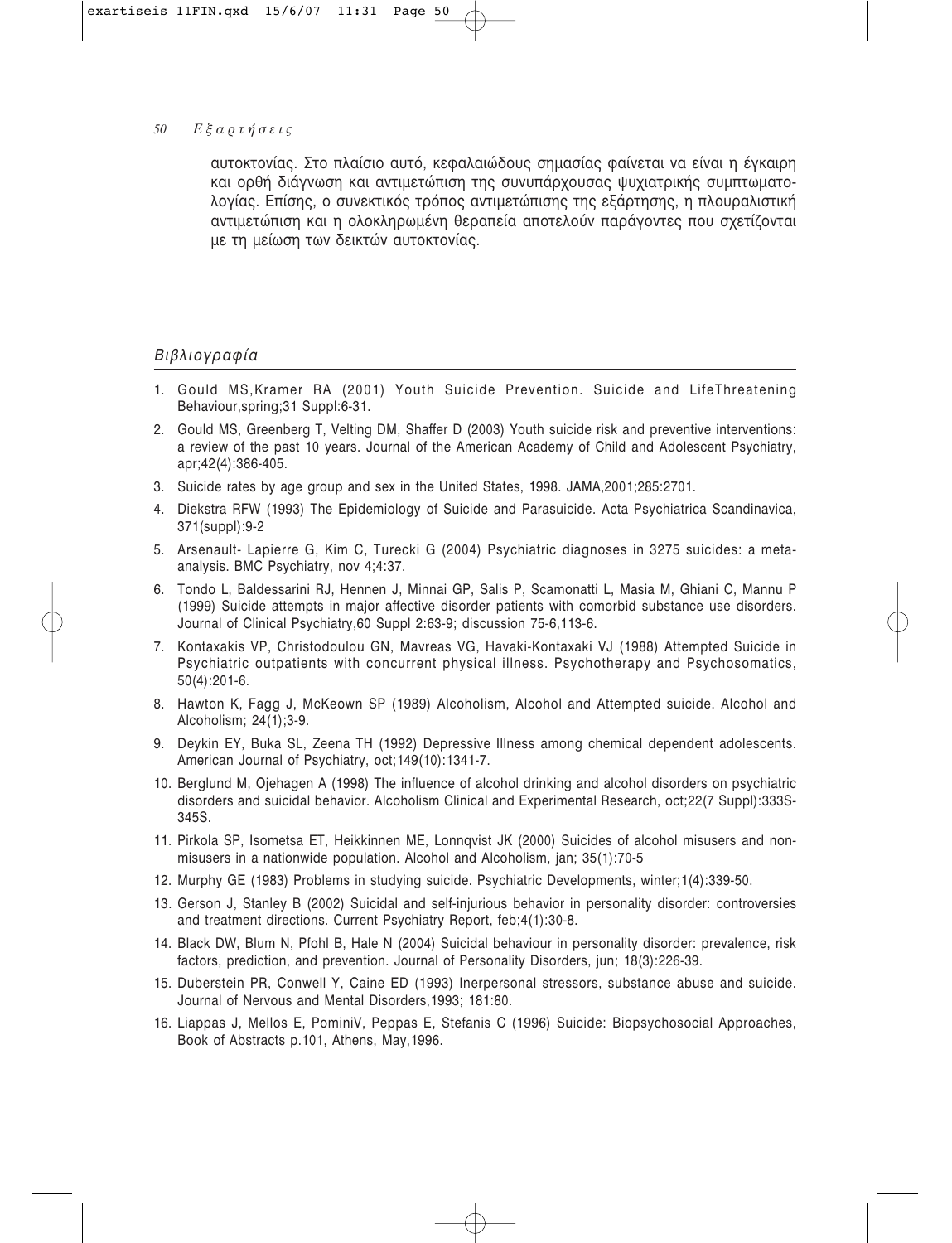αυτοκτονίας. Στο πλαίσιο αυτό, κεφαλαιώδους σημασίας φαίνεται να είναι η έγκαιρη και ορθή διάγνωση και αντιμετώπιση της συνυπάρχουσας ψυχιατρικής συμπτωματολογίας. Επίσης, ο συνεκτικός τρόπος αντιμετώπισης της εξάρτησης, η πλουραλιστική αντιμετώπιση και η ολοκληρωμένη θεραπεία αποτελούν παράγοντες που σχετίζονται με τη μείωση των δεικτών αυτοκτονίας.

### *Bιβλιογραφία*

- 1. Gould MS,Kramer RA (2001) Youth Suicide Prevention. Suicide and LifeThreatening Behaviour,spring;31 Suppl:6-31.
- 2. Gould MS, Greenberg T, Velting DM, Shaffer D (2003) Youth suicide risk and preventive interventions: a review of the past 10 years. Journal of the American Academy of Child and Adolescent Psychiatry, apr;42(4):386-405.
- 3. Suicide rates by age group and sex in the United States, 1998. JAMA,2001;285:2701.
- 4. Diekstra RFW (1993) The Epidemiology of Suicide and Parasuicide. Acta Psychiatrica Scandinavica, 371(suppl):9-2
- 5. Arsenault- Lapierre G, Kim C, Turecki G (2004) Psychiatric diagnoses in 3275 suicides: a metaanalysis. BMC Psychiatry, nov 4;4:37.
- 6. Tondo L, Baldessarini RJ, Hennen J, Minnai GP, Salis P, Scamonatti L, Masia M, Ghiani C, Mannu P (1999) Suicide attempts in major affective disorder patients with comorbid substance use disorders. Journal of Clinical Psychiatry,60 Suppl 2:63-9; discussion 75-6,113-6.
- 7. Kontaxakis VP, Christodoulou GN, Mavreas VG, Havaki-Kontaxaki VJ (1988) Attempted Suicide in Psychiatric outpatients with concurrent physical illness. Psychotherapy and Psychosomatics, 50(4):201-6.
- 8. Hawton K, Fagg J, McKeown SP (1989) Alcoholism, Alcohol and Attempted suicide. Alcohol and Alcoholism; 24(1);3-9.
- 9. Deykin EY, Buka SL, Zeena TH (1992) Depressive Illness among chemical dependent adolescents. American Journal of Psychiatry, oct;149(10):1341-7.
- 10. Berglund M, Ojehagen A (1998) The influence of alcohol drinking and alcohol disorders on psychiatric disorders and suicidal behavior. Alcoholism Clinical and Experimental Research, oct;22(7 Suppl):333S-345S.
- 11. Pirkola SP, Isometsa ET, Heikkinnen ME, Lonnqvist JK (2000) Suicides of alcohol misusers and nonmisusers in a nationwide population. Alcohol and Alcoholism, jan; 35(1):70-5
- 12. Murphy GE (1983) Problems in studying suicide. Psychiatric Developments, winter;1(4):339-50.
- 13. Gerson J, Stanley B (2002) Suicidal and self-injurious behavior in personality disorder: controversies and treatment directions. Current Psychiatry Report, feb;4(1):30-8.
- 14. Black DW, Blum N, Pfohl B, Hale N (2004) Suicidal behaviour in personality disorder: prevalence, risk factors, prediction, and prevention. Journal of Personality Disorders, jun; 18(3):226-39.
- 15. Duberstein PR, Conwell Y, Caine ED (1993) Inerpersonal stressors, substance abuse and suicide. Journal of Nervous and Mental Disorders,1993; 181:80.
- 16. Liappas J, Mellos E, PominiV, Peppas E, Stefanis C (1996) Suicide: Biopsychosocial Approaches, Book of Abstracts p.101, Athens, May,1996.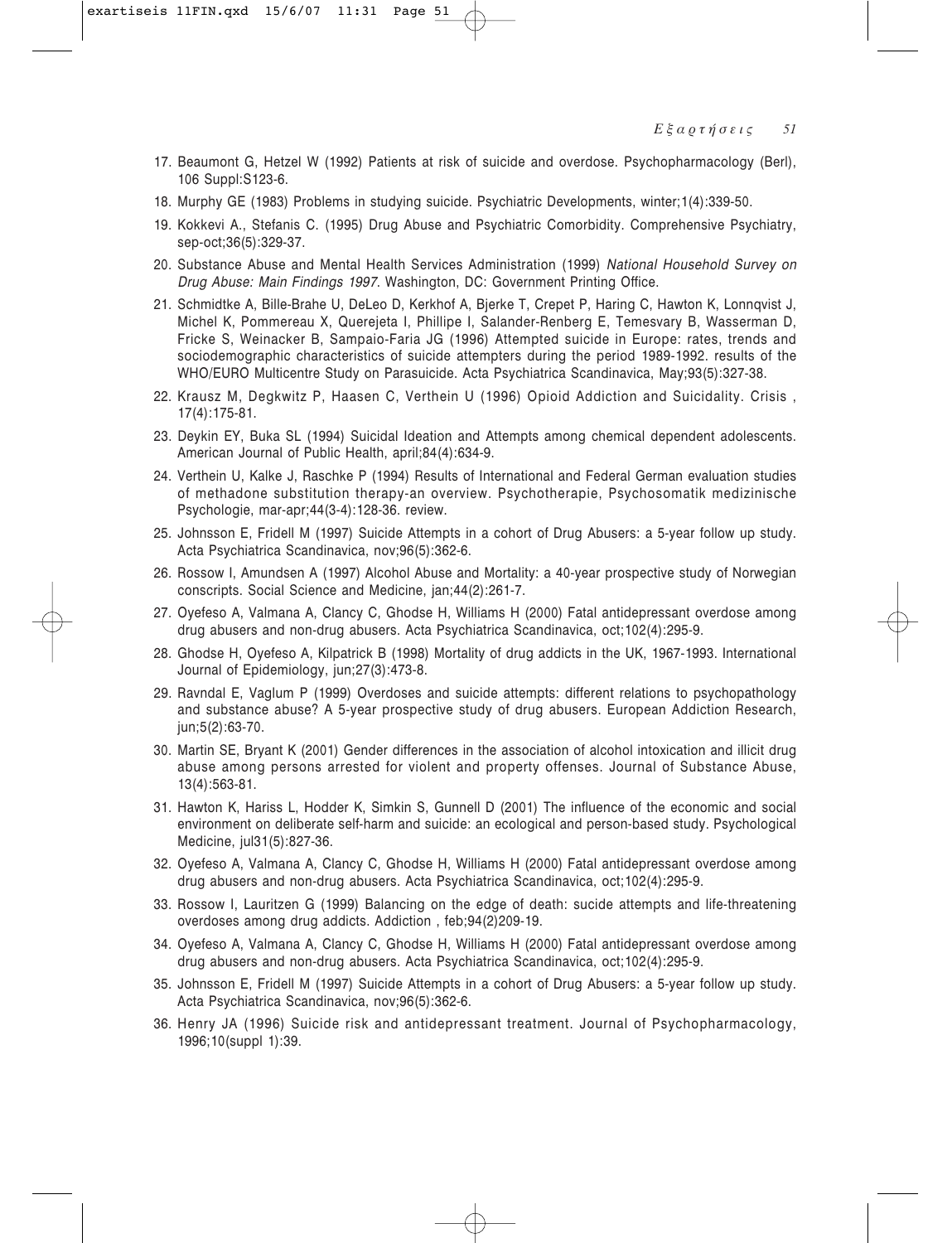- 17. Beaumont G, Hetzel W (1992) Patients at risk of suicide and overdose. Psychopharmacology (Berl), 106 Suppl:S123-6.
- 18. Murphy GE (1983) Problems in studying suicide. Psychiatric Developments, winter;1(4):339-50.
- 19. Kokkevi A., Stefanis C. (1995) Drug Abuse and Psychiatric Comorbidity. Comprehensive Psychiatry, sep-oct;36(5):329-37.
- 20. Substance Abuse and Mental Health Services Administration (1999) *National Household Survey on Drug Abuse: Main Findings 1997*. Washington, DC: Government Printing Office.
- 21. Schmidtke A, Bille-Brahe U, DeLeo D, Kerkhof A, Bjerke T, Crepet P, Haring C, Hawton K, Lonnqvist J, Michel K, Pommereau X, Querejeta I, Phillipe I, Salander-Renberg E, Temesvary B, Wasserman D, Fricke S, Weinacker B, Sampaio-Faria JG (1996) Attempted suicide in Europe: rates, trends and sociodemographic characteristics of suicide attempters during the period 1989-1992. results of the WHO/EURO Multicentre Study on Parasuicide. Acta Psychiatrica Scandinavica, May;93(5):327-38.
- 22. Krausz M, Degkwitz P, Haasen C, Verthein U (1996) Opioid Addiction and Suicidality. Crisis , 17(4):175-81.
- 23. Deykin EY, Buka SL (1994) Suicidal Ideation and Attempts among chemical dependent adolescents. American Journal of Public Health, april;84(4):634-9.
- 24. Verthein U, Kalke J, Raschke P (1994) Results of International and Federal German evaluation studies of methadone substitution therapy-an overview. Psychotherapie, Psychosomatik medizinische Psychologie, mar-apr;44(3-4):128-36. review.
- 25. Johnsson E, Fridell M (1997) Suicide Attempts in a cohort of Drug Abusers: a 5-year follow up study. Acta Psychiatrica Scandinavica, nov;96(5):362-6.
- 26. Rossow I, Amundsen A (1997) Alcohol Abuse and Mortality: a 40-year prospective study of Norwegian conscripts. Social Science and Medicine, jan;44(2):261-7.
- 27. Oyefeso A, Valmana A, Clancy C, Ghodse H, Williams H (2000) Fatal antidepressant overdose among drug abusers and non-drug abusers. Acta Psychiatrica Scandinavica, oct;102(4):295-9.
- 28. Ghodse H, Oyefeso A, Kilpatrick B (1998) Mortality of drug addicts in the UK, 1967-1993. International Journal of Epidemiology, jun;27(3):473-8.
- 29. Ravndal E, Vaglum P (1999) Overdoses and suicide attempts: different relations to psychopathology and substance abuse? A 5-year prospective study of drug abusers. European Addiction Research, jun;5(2):63-70.
- 30. Martin SE, Bryant K (2001) Gender differences in the association of alcohol intoxication and illicit drug abuse among persons arrested for violent and property offenses. Journal of Substance Abuse, 13(4):563-81.
- 31. Hawton K, Hariss L, Hodder K, Simkin S, Gunnell D (2001) The influence of the economic and social environment on deliberate self-harm and suicide: an ecological and person-based study. Psychological Medicine, jul31(5):827-36.
- 32. Oyefeso A, Valmana A, Clancy C, Ghodse H, Williams H (2000) Fatal antidepressant overdose among drug abusers and non-drug abusers. Acta Psychiatrica Scandinavica, oct;102(4):295-9.
- 33. Rossow I, Lauritzen G (1999) Balancing on the edge of death: sucide attempts and life-threatening overdoses among drug addicts. Addiction , feb;94(2)209-19.
- 34. Oyefeso A, Valmana A, Clancy C, Ghodse H, Williams H (2000) Fatal antidepressant overdose among drug abusers and non-drug abusers. Acta Psychiatrica Scandinavica, oct;102(4):295-9.
- 35. Johnsson E, Fridell M (1997) Suicide Attempts in a cohort of Drug Abusers: a 5-year follow up study. Acta Psychiatrica Scandinavica, nov;96(5):362-6.
- 36. Henry JA (1996) Suicide risk and antidepressant treatment. Journal of Psychopharmacology, 1996;10(suppl 1):39.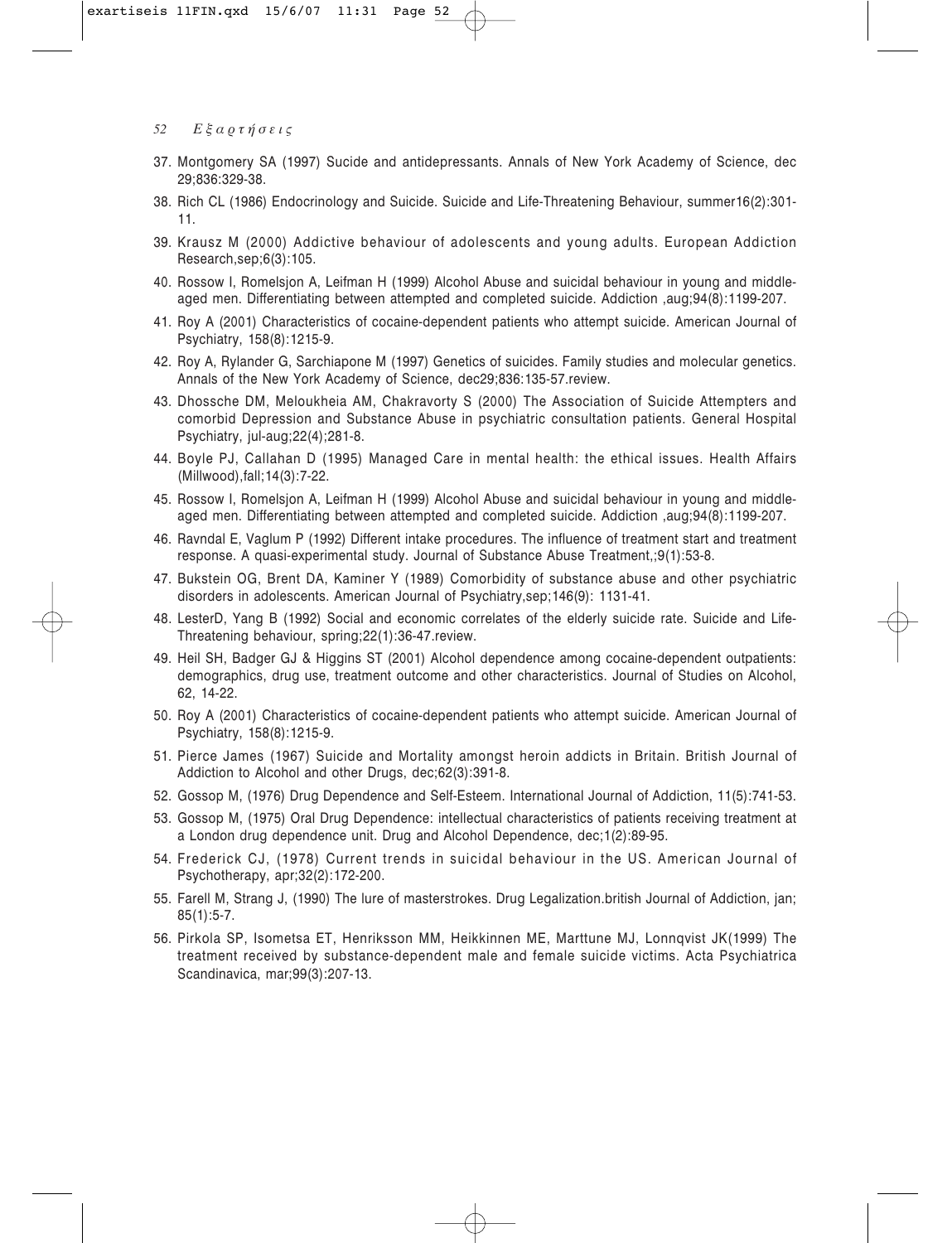- 37. Montgomery SA (1997) Sucide and antidepressants. Annals of New York Academy of Science, dec 29;836:329-38.
- 38. Rich CL (1986) Endocrinology and Suicide. Suicide and Life-Threatening Behaviour, summer16(2):301- 11.
- 39. Krausz M (2000) Addictive behaviour of adolescents and young adults. European Addiction Research,sep;6(3):105.
- 40. Rossow I, Romelsjon A, Leifman H (1999) Alcohol Abuse and suicidal behaviour in young and middleaged men. Differentiating between attempted and completed suicide. Addiction ,aug;94(8):1199-207.
- 41. Roy A (2001) Characteristics of cocaine-dependent patients who attempt suicide. American Journal of Psychiatry, 158(8):1215-9.
- 42. Roy A, Rylander G, Sarchiapone M (1997) Genetics of suicides. Family studies and molecular genetics. Annals of the New York Academy of Science, dec29;836:135-57.review.
- 43. Dhossche DM, Meloukheia AM, Chakravorty S (2000) The Association of Suicide Attempters and comorbid Depression and Substance Abuse in psychiatric consultation patients. General Hospital Psychiatry, jul-aug;22(4);281-8.
- 44. Boyle PJ, Callahan D (1995) Managed Care in mental health: the ethical issues. Health Affairs (Millwood),fall;14(3):7-22.
- 45. Rossow I, Romelsjon A, Leifman H (1999) Alcohol Abuse and suicidal behaviour in young and middleaged men. Differentiating between attempted and completed suicide. Addiction ,aug;94(8):1199-207.
- 46. Ravndal E, Vaglum P (1992) Different intake procedures. The influence of treatment start and treatment response. A quasi-experimental study. Journal of Substance Abuse Treatment,;9(1):53-8.
- 47. Bukstein OG, Brent DA, Kaminer Y (1989) Comorbidity of substance abuse and other psychiatric disorders in adolescents. American Journal of Psychiatry,sep;146(9): 1131-41.
- 48. LesterD, Yang B (1992) Social and economic correlates of the elderly suicide rate. Suicide and Life-Threatening behaviour, spring;22(1):36-47.review.
- 49. Heil SH, Badger GJ & Higgins ST (2001) Alcohol dependence among cocaine-dependent outpatients: demographics, drug use, treatment outcome and other characteristics. Journal of Studies on Alcohol, 62, 14-22.
- 50. Roy A (2001) Characteristics of cocaine-dependent patients who attempt suicide. American Journal of Psychiatry, 158(8):1215-9.
- 51. Pierce James (1967) Suicide and Mortality amongst heroin addicts in Britain. British Journal of Addiction to Alcohol and other Drugs, dec;62(3):391-8.
- 52. Gossop M, (1976) Drug Dependence and Self-Esteem. International Journal of Addiction, 11(5):741-53.
- 53. Gossop M, (1975) Oral Drug Dependence: intellectual characteristics of patients receiving treatment at a London drug dependence unit. Drug and Alcohol Dependence, dec;1(2):89-95.
- 54. Frederick CJ, (1978) Current trends in suicidal behaviour in the US. American Journal of Psychotherapy, apr;32(2):172-200.
- 55. Farell M, Strang J, (1990) The lure of masterstrokes. Drug Legalization.british Journal of Addiction, jan; 85(1):5-7.
- 56. Pirkola SP, Isometsa ET, Henriksson MM, Heikkinnen ME, Marttune MJ, Lonnqvist JK(1999) The treatment received by substance-dependent male and female suicide victims. Acta Psychiatrica Scandinavica, mar;99(3):207-13.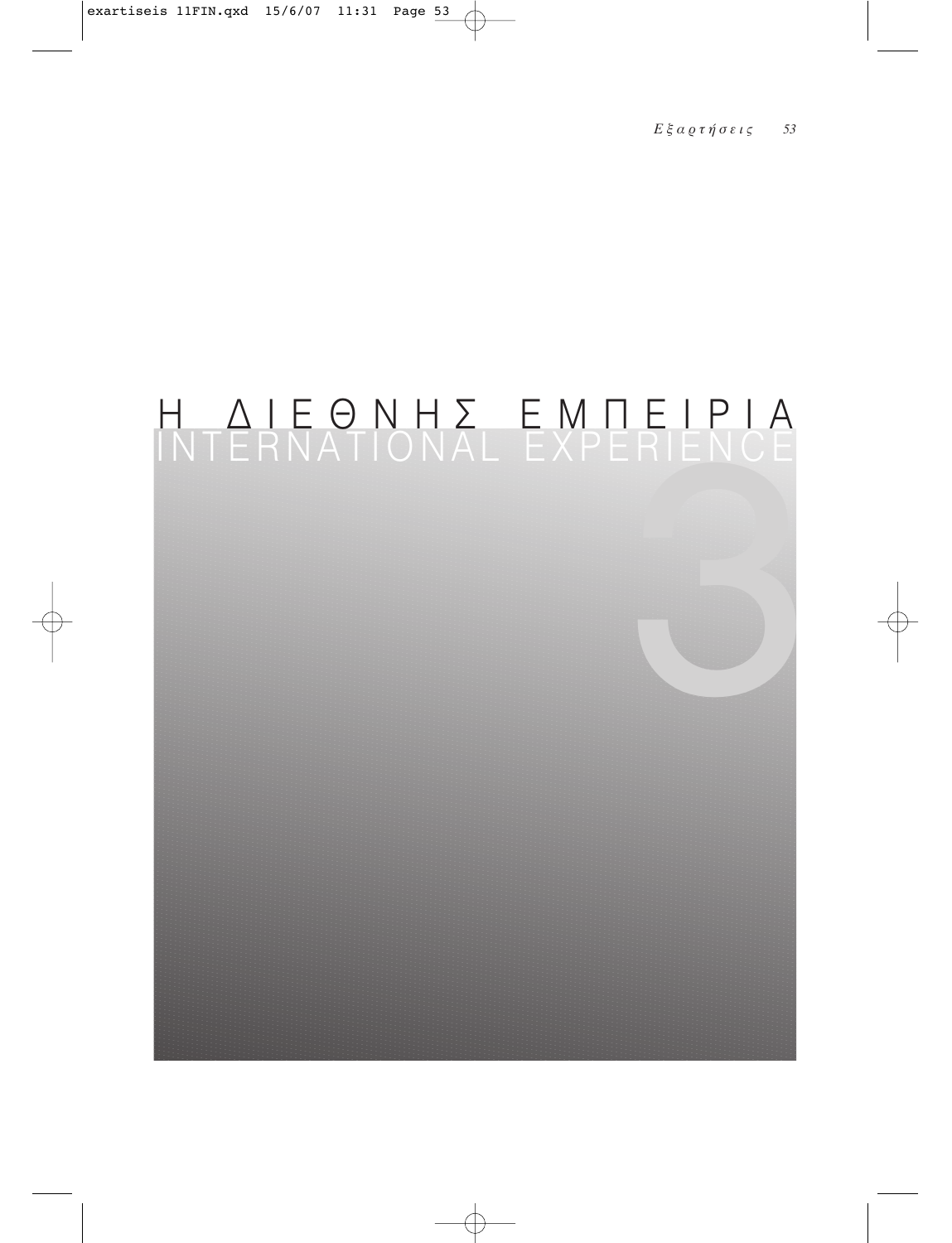$E \xi \alpha \varrho \tau \eta \sigma \varepsilon \iota \varsigma$  53

# H AIEONH E EMMEIPIA<br>INTERNATIONAL EXPERIENCE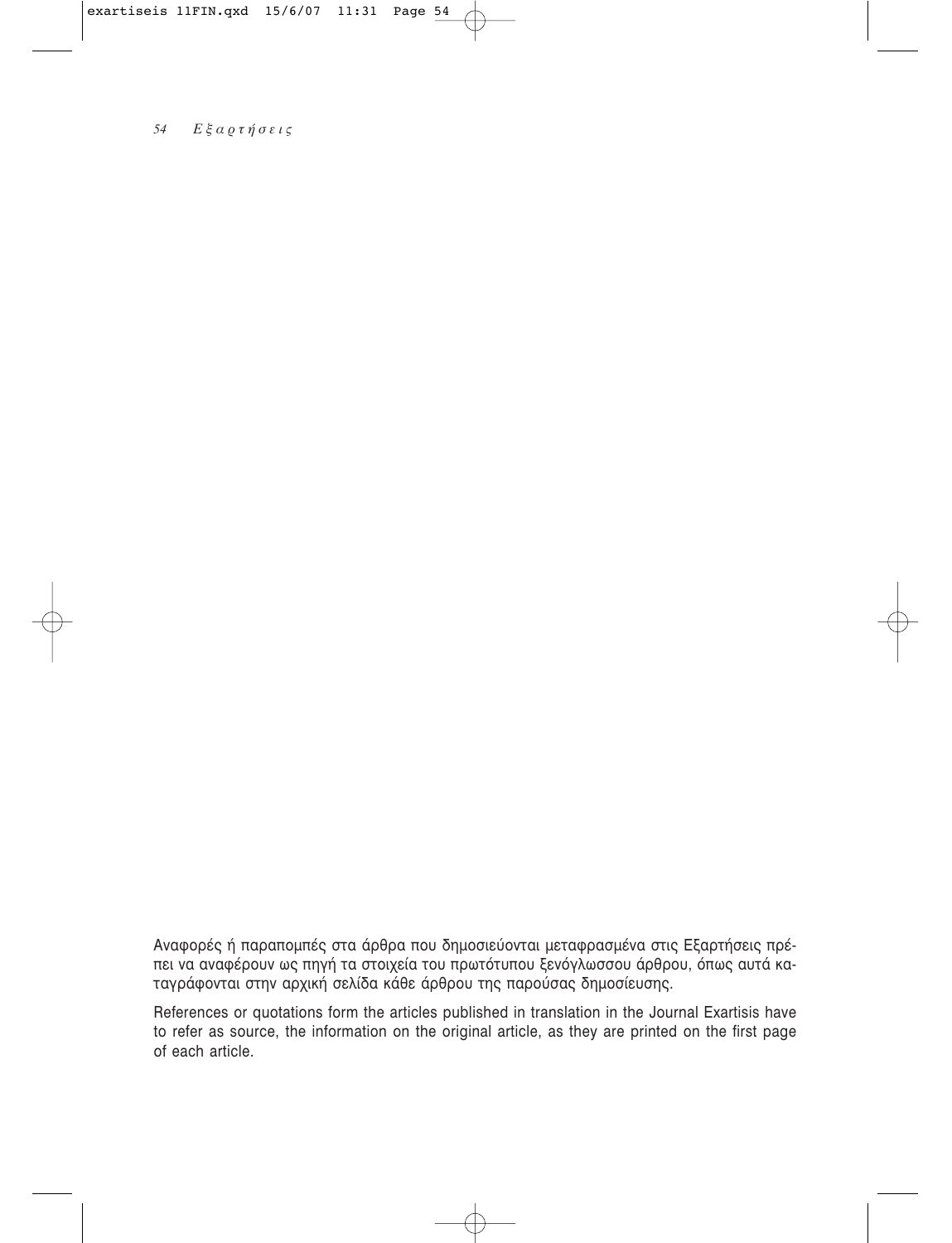54  $E$ ξαρτήσεις

Αναφορές ή παραπομπές στα άρθρα που δημοσιεύονται μεταφρασμένα στις Εξαρτήσεις πρέπει να αναφέρουν ως πηγή τα στοιχεία του πρωτότυπου ξενόγλωσσου άρθρου, όπως αυτά καταγράφονται στην αρχική σελίδα κάθε άρθρου της παρούσας δημοσίευσης.

References or quotations form the articles published in translation in the Journal Exartisis have to refer as source, the information on the original article, as they are printed on the first page of each article.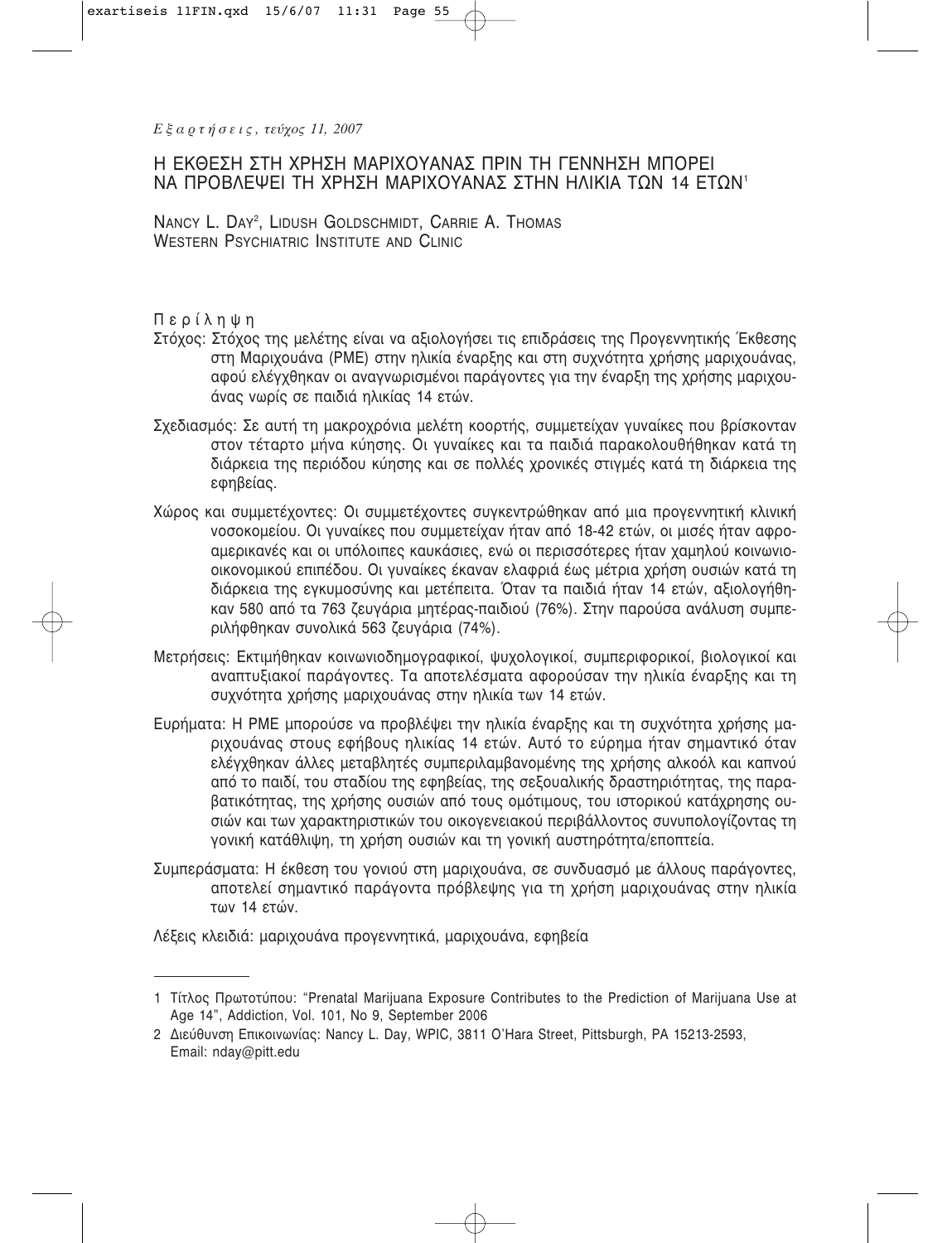Εξαρτήσεις, τεύγος 11, 2007

# Η ΕΚΘΕΣΗ ΣΤΗ ΧΡΗΣΗ ΜΑΡΙΧΟΥΑΝΑΣ ΠΡΙΝ ΤΗ ΓΕΝΝΗΣΗ ΜΠΟΡΕΙ ΝΑ ΠΡΟΒΛΕΨΕΙ ΤΗ ΧΡΗΣΗ ΜΑΡΙΧΟΥΑΝΑΣ ΣΤΗΝ ΗΛΙΚΙΑ ΤΩΝ 14 ΕΤΩΝ'

NANCY L. DAY<sup>2</sup>, LIDUSH GOLDSCHMIDT, CARRIF A. THOMAS **WESTERN PSYCHIATRIC INSTITUTE AND CLINIC** 

Περίληψη

- Στόχος: Στόχος της μελέτης είναι να αξιολογήσει τις επιδράσεις της Προγεννητικής Έκθεσης στη Μαριχουάνα (PME) στην ηλικία έναρξης και στη συχνότητα χρήσης μαριχουάνας, αφού ελέγχθηκαν οι αναγνωρισμένοι παράγοντες για την έναρξη της χρήσης μαριχουάνας νωρίς σε παιδιά ηλικίας 14 ετών.
- Σχεδιασμός: Σε αυτή τη μακροχρόνια μελέτη κοορτής, συμμετείχαν γυναίκες που βρίσκονταν στον τέταρτο μήνα κύησης. Οι γυναίκες και τα παιδιά παρακολουθήθηκαν κατά τη διάρκεια της περιόδου κύησης και σε πολλές χρονικές στιγμές κατά τη διάρκεια της εφηβείας.
- Χώρος και συμμετέχοντες: Οι συμμετέχοντες συγκεντρώθηκαν από μια προγεννητική κλινική νοσοκομείου. Οι γυναίκες που συμμετείχαν ήταν από 18-42 ετών, οι μισές ήταν αφροαμερικανές και οι υπόλοιπες καυκάσιες, ενώ οι περισσότερες ήταν χαμηλού κοινωνιοοικονομικού επιπέδου. Οι γυναίκες έκαναν ελαφριά έως μέτρια χρήση ουσιών κατά τη διάρκεια της εγκυμοσύνης και μετέπειτα. Όταν τα παιδιά ήταν 14 ετών, αξιολογήθηκαν 580 από τα 763 ζευγάρια μητέρας-παιδιού (76%). Στην παρούσα ανάλυση συμπεριλήφθηκαν συνολικά 563 ζευγάρια (74%).
- Μετρήσεις: Εκτιμήθηκαν κοινωνιοδημογραφικοί, ψυχολογικοί, συμπεριφορικοί, βιολογικοί και αναπτυξιακοί παράγοντες. Τα αποτελέσματα αφορούσαν την ηλικία έναρξης και τη συχνότητα χρήσης μαριχουάνας στην ηλικία των 14 ετών.
- Ευρήματα: Η PME μπορούσε να προβλέψει την ηλικία έναρξης και τη συχνότητα χρήσης μαριχουάνας στους εφήβους ηλικίας 14 ετών. Αυτό το εύρημα ήταν σημαντικό όταν ελέγχθηκαν άλλες μεταβλητές συμπεριλαμβανομένης της χρήσης αλκοόλ και καπνού από το παιδί, του σταδίου της εφηβείας, της σεξουαλικής δραστηριότητας, της παραβατικότητας, της χρήσης ουσιών από τους ομότιμους, του ιστορικού κατάχρησης ουσιών και των χαρακτηριστικών του οικογενειακού περιβάλλοντος συνυπολογίζοντας τη γονική κατάθλιψη, τη χρήση ουσιών και τη γονική αυστηρότητα/εποπτεία.
- Συμπεράσματα: Η έκθεση του γονιού στη μαριχουάνα, σε συνδυασμό με άλλους παράγοντες, αποτελεί σημαντικό παράγοντα πρόβλεψης για τη χρήση μαριχουάνας στην ηλικία των 14 ετών.

Λέξεις κλειδιά: μαριχουάνα προγεννητικά, μαριχουάνα, εφηβεία

<sup>1</sup> Τίτλος Πρωτοτύπου: "Prenatal Marijuana Exposure Contributes to the Prediction of Marijuana Use at Age 14", Addiction, Vol. 101, No 9, September 2006

<sup>2</sup> Διεύθυνση Επικοινωνίας: Nancy L. Day, WPIC, 3811 O'Hara Street, Pittsburgh, PA 15213-2593, Email: nday@pitt.edu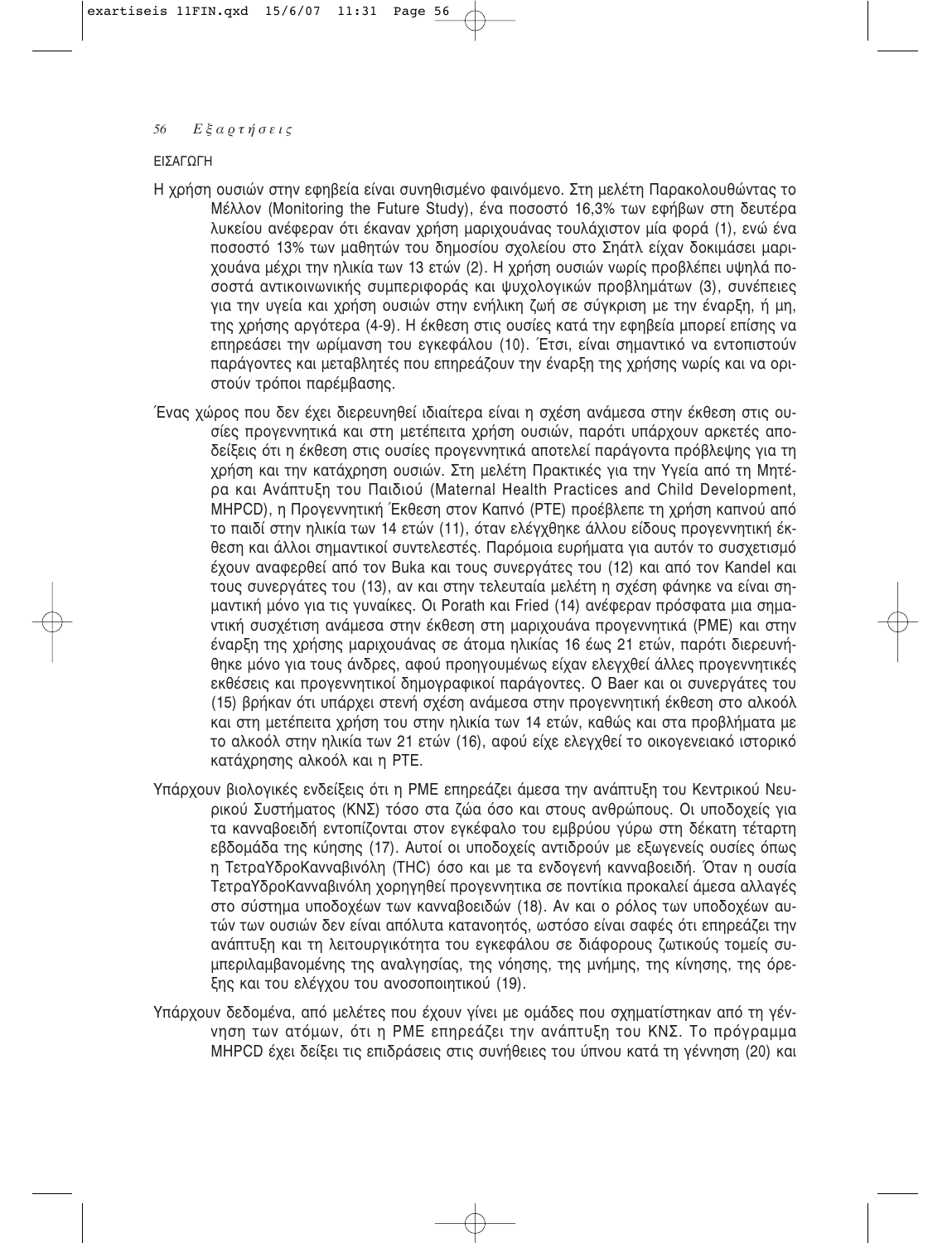### ΕΙΣΑΓΩΓΗ

- Η χρήση ουσιών στην εφηβεία είναι συνηθισμένο φαινόμενο. Στη μελέτη Παρακολουθώντας το Mέλλον (Monitoring the Future Study), ένα ποσοστό 16,3% των εφήβων στη δευτέρα λυκείου ανέφεραν ότι έκαναν χρήση μαριχουάνας τουλάχιστον μία φορά (1), ενώ ένα ποσοστό 13% των μαθητών του δημοσίου σχολείου στο Σηάτλ είχαν δοκιμάσει μαριχουάνα μέχρι την ηλικία των 13 ετών (2). Η χρήση ουσιών νωρίς προβλέπει υψηλά ποσοστά αντικοινωνικής συμπεριφοράς και ψυχολογικών προβλημάτων (3), συνέπειες για την υγεία και χρήση ουσιών στην ενήλικη ζωή σε σύγκριση με την έναρξη, ή μη, της χρήσης αργότερα (4-9). Η έκθεση στις ουσίες κατά την εφηβεία μπορεί επίσης να επηρεάσει την ωρίμανση του εγκεφάλου (10). Έτσι, είναι σημαντικό να εντοπιστούν παράνοντες και μεταβλητές που επηρεάζουν την έναρξη της χρήσης νωρίς και να οριστούν τρόποι παρέμβασης.
- Ένας χώρος που δεν έχει διερευνηθεί ιδιαίτερα είναι η σχέση ανάμεσα στην έκθεση στις ουσίες προγεννητικά και στη μετέπειτα χρήση ουσιών, παρότι υπάρχουν αρκετές αποδείξεις ότι η έκθεση στις ουσίες προνεννητικά αποτελεί παράνοντα πρόβλεψης για τη χρήση και την κατάχρηση ουσιών. Στη μελέτη Πρακτικές για την Υγεία από τη Μητέρα και Ανάπτυξη του Παιδιού (Maternal Health Practices and Child Development, MHPCD), η Προγεννητική Έκθεση στον Καπνό (PTE) προέβλεπε τη χρήση καπνού από το παιδί στην ηλικία των 14 ετών (11), όταν ελένχθηκε άλλου είδους προνεννητική έκθεση και άλλοι σημαντικοί συντελεστές. Παρόμοια ευρήματα για αυτόν το συσχετισμό έχουν αναφερθεί από τον Buka και τους συνεργάτες του (12) και από τον Kandel και τους συνεργάτες του (13), αν και στην τελευταία μελέτη η σχέση φάνηκε να είναι σημαντική μόνο για τις γυναίκες. Οι Porath και Fried (14) ανέφεραν πρόσφατα μια σημα-Vτική συσχέτιση ανάμεσα στην έκθεση στη μαριχουάνα προγεννητικά (PME) και στην έναρξη της χρήσης μαριχουάνας σε άτομα ηλικίας 16 έως 21 ετών, παρότι διερευνήθηκε μόνο για τους άνδρες, αφού προηγουμένως είχαν ελεγχθεί άλλες προγεννητικές εκθέσεις και προγεννητικοί δημογραφικοί παράγοντες. Ο Baer και οι συνεργάτες του (15) βρήκαν ότι υπάρχει στενή σχέση ανάμεσα στην προγεννητική έκθεση στο αλκοόλ και στη μετέπειτα χρήση του στην ηλικία των 14 ετών, καθώς και στα προβλήματα με το αλκοόλ στην ηλικία των 21 ετών (16), αφού είχε ελεγχθεί το οικογενειακό ιστορικό κατάχρησης αλκοόλ και η PTE.
- Υπάρχουν βιολογικές ενδείξεις ότι η PME επηρεάζει άμεσα την ανάπτυξη του Κεντρικού Νευρικού Συστήματος (ΚΝΣ) τόσο στα ζώα όσο και στους ανθρώπους. Οι υποδοχείς για τα κανναβοειδή εντοπίζονται στον εγκέφαλο του εμβρύου γύρω στη δέκατη τέταρτη εβδομάδα της κύησης (17). Αυτοί οι υποδοχείς αντιδρούν με εξωγενείς ουσίες όπως η ΤετραΥδροΚανναβινόλη (THC) όσο και με τα ενδογενή κανναβοειδή. Όταν η ουσία ΤετραΥδροΚανναβινόλη χορηγηθεί προγεννητικα σε ποντίκια προκαλεί άμεσα αλλαγές στο σύστημα υποδοχέων των κανναβοειδών (18). Αν και ο ρόλος των υποδοχέων αυτών των ουσιών δεν είναι απόλυτα κατανοητός, ωστόσο είναι σαφές ότι επηρεάζει την ανάπτυξη και τη λειτουργικότητα του εγκεφάλου σε διάφορους ζωτικούς τομείς συμπεριλαμβανομένης της αναλγησίας, της νόησης, της μνήμης, της κίνησης, της όρεξης και του ελέγχου του ανοσοποιητικού (19).
- Υπάρχουν δεδομένα, από μελέτες που έχουν γίνει με ομάδες που σχηματίστηκαν από τη γέννηση των ατόμων, ότι η PME επηρεάζει την ανάπτυξη του ΚΝΣ. Το πρόγραμμα MHPCD έχει δείξει τις επιδράσεις στις συνήθειες του ύπνου κατά τη γέννηση (20) και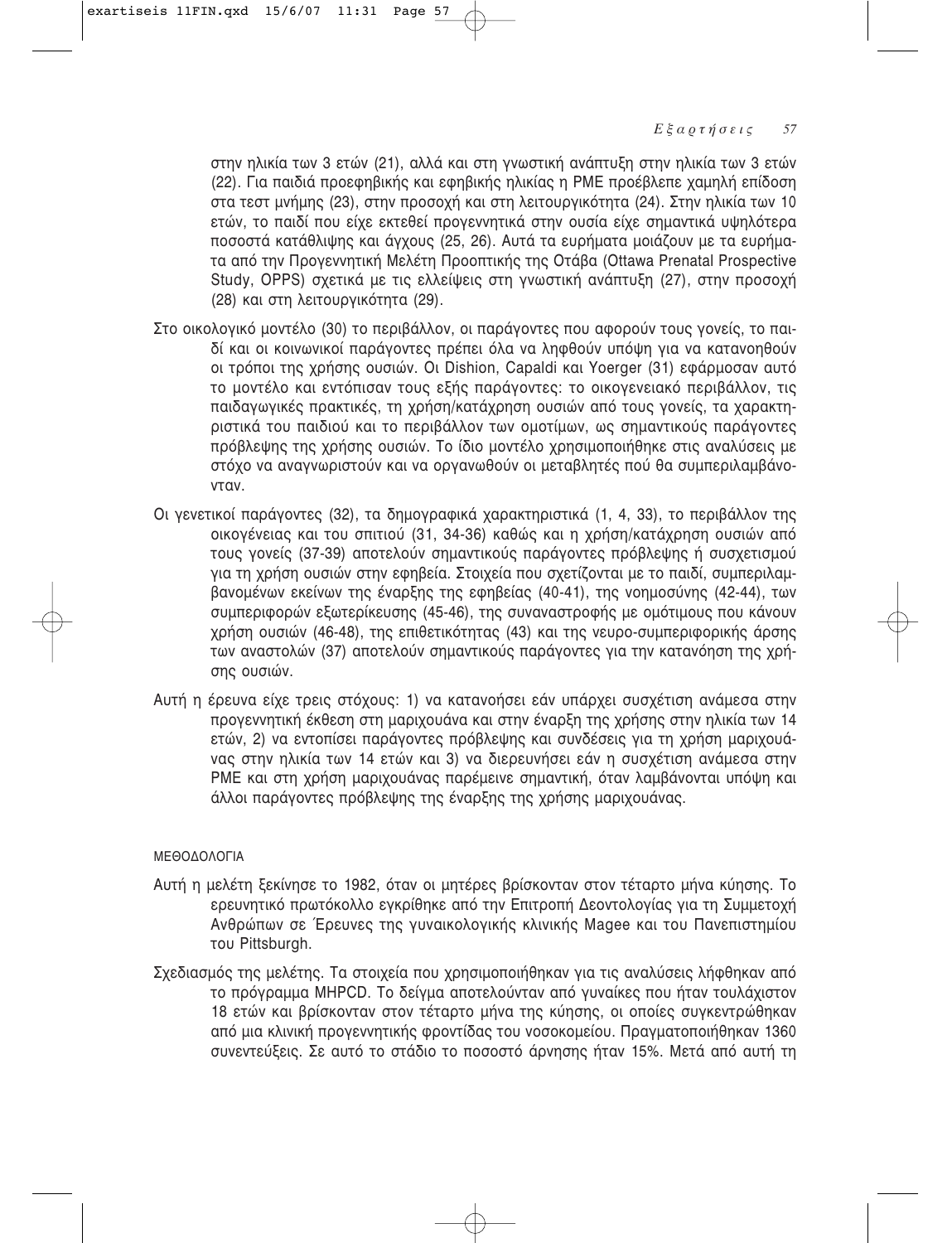στην ηλικία των 3 ετών (21), αλλά και στη γνωστική ανάπτυξη στην ηλικία των 3 ετών (22). Για παιδιά προεφηβικής και εφηβικής ηλικίας η PME προέβλεπε χαμηλή επίδοση στα τεστ μνήμης (23), στην προσοχή και στη λειτουργικότητα (24). Στην ηλικία των 10 ετών, το παιδί που είχε εκτεθεί προγεννητικά στην ουσία είχε σημαντικά υψηλότερα ποσοστά κατάθλιψης και άγχους (25, 26). Αυτά τα ευρήματα μοιάζουν με τα ευρήματα από την Προγεννητική Μελέτη Προοπτικής της Οτάβα (Ottawa Prenatal Prospective Study, OPPS) σχετικά με τις ελλείψεις στη γνωστική ανάπτυξη (27), στην προσοχή (28) και στη λειτουργικότητα (29).

- Στο οικολογικό μοντέλο (30) το περιβάλλον, οι παράγοντες που αφορούν τους γονείς, το παιδί και οι κοινωνικοί παράγοντες πρέπει όλα να ληφθούν υπόψη για να κατανοηθούν οι τρόποι της χρήσης ουσιών. Οι Dishion, Capaldi και Yoerger (31) εφάρμοσαν αυτό το μοντέλο και εντόπισαν τους εξής παράγοντες: το οικογενειακό περιβάλλον, τις παιδαγωγικές πρακτικές, τη χρήση/κατάχρηση ουσιών από τους γονείς, τα χαρακτηριστικά του παιδιού και το περιβάλλον των ομοτίμων, ως σημαντικούς παράνοντες πρόβλεψης της χρήσης ουσιών. Το ίδιο μοντέλο χρησιμοποιήθηκε στις αναλύσεις με στόχο να αναγνωριστούν και να οργανωθούν οι μεταβλητές πού θα συμπεριλαμβάνοvtav.
- Οι γενετικοί παράγοντες (32), τα δημογραφικά χαρακτηριστικά (1, 4, 33), το περιβάλλον της οικονένειας και του σπιτιού (31, 34-36) καθώς και η χρήση/κατάχρηση ουσιών από τους γονείς (37-39) αποτελούν σημαντικούς παράγοντες πρόβλεψης ή συσχετισμού για τη χρήση ουσιών στην εφηβεία. Στοιχεία που σχετίζονται με το παιδί, συμπεριλαμβανομένων εκείνων της έναρξης της εφηβείας (40-41), της νοημοσύνης (42-44), των συμπεριφορών εξωτερίκευσης (45-46), της συναναστροφής με ομότιμους που κάνουν χρήση ουσιών (46-48), της επιθετικότητας (43) και της νευρο-συμπεριφορικής άρσης των αναστολών (37) αποτελούν σημαντικούς παράγοντες για την κατανόηση της χρήσης ουσιών.
- Aυτή η έρευνα είχε τρεις στόχους: 1) να κατανοήσει εάν υπάρχει συσχέτιση ανάμεσα στην προγεννητική έκθεση στη μαριχουάνα και στην έναρξη της χρήσης στην ηλικία των 14 ετών, 2) να εντοπίσει παράγοντες πρόβλεψης και συνδέσεις για τη χρήση μαριχουάνας στην ηλικία των 14 ετών και 3) να διερευνήσει εάν η συσχέτιση ανάμεσα στην PME και στη χρήση μαριχουάνας παρέμεινε σημαντική, όταν λαμβάνονται υπόψη και άλλοι παράγοντες πρόβλεψης της έναρξης της χρήσης μαριχουάνας.

# ΜΕΘΟΔΟΛΟΓΙΑ

exartiseis  $11$ FIN.qxd  $15/6/07$   $11:31$  Page

- Aυτή η μελέτη ξεκίνησε το 1982, όταν οι μητέρες βρίσκονταν στον τέταρτο μήνα κύησης. Το ερευνητικό πρωτόκολλο εγκρίθηκε από την Επιτροπή Δεοντολογίας για τη Συμμετοχή Ανθρώπων σε Έρευνες της γυναικολογικής κλινικής Magee και του Πανεπιστημίου του Pittsburgh.
- Σχεδιασμός της μελέτης. Τα στοιχεία που χρησιμοποιήθηκαν για τις αναλύσεις λήφθηκαν από το πρόγραμμα MHPCD. Το δείγμα αποτελούνταν από γυναίκες που ήταν τουλάχιστον 18 ετών και βρίσκονταν στον τέταρτο μήνα της κύησης, οι οποίες συγκεντρώθηκαν από μια κλινική προγεννητικής φροντίδας του νοσοκομείου. Πραγματοποιήθηκαν 1360 συνεντεύξεις. Σε αυτό το στάδιο το ποσοστό άρνησης ήταν 15%. Μετά από αυτή τη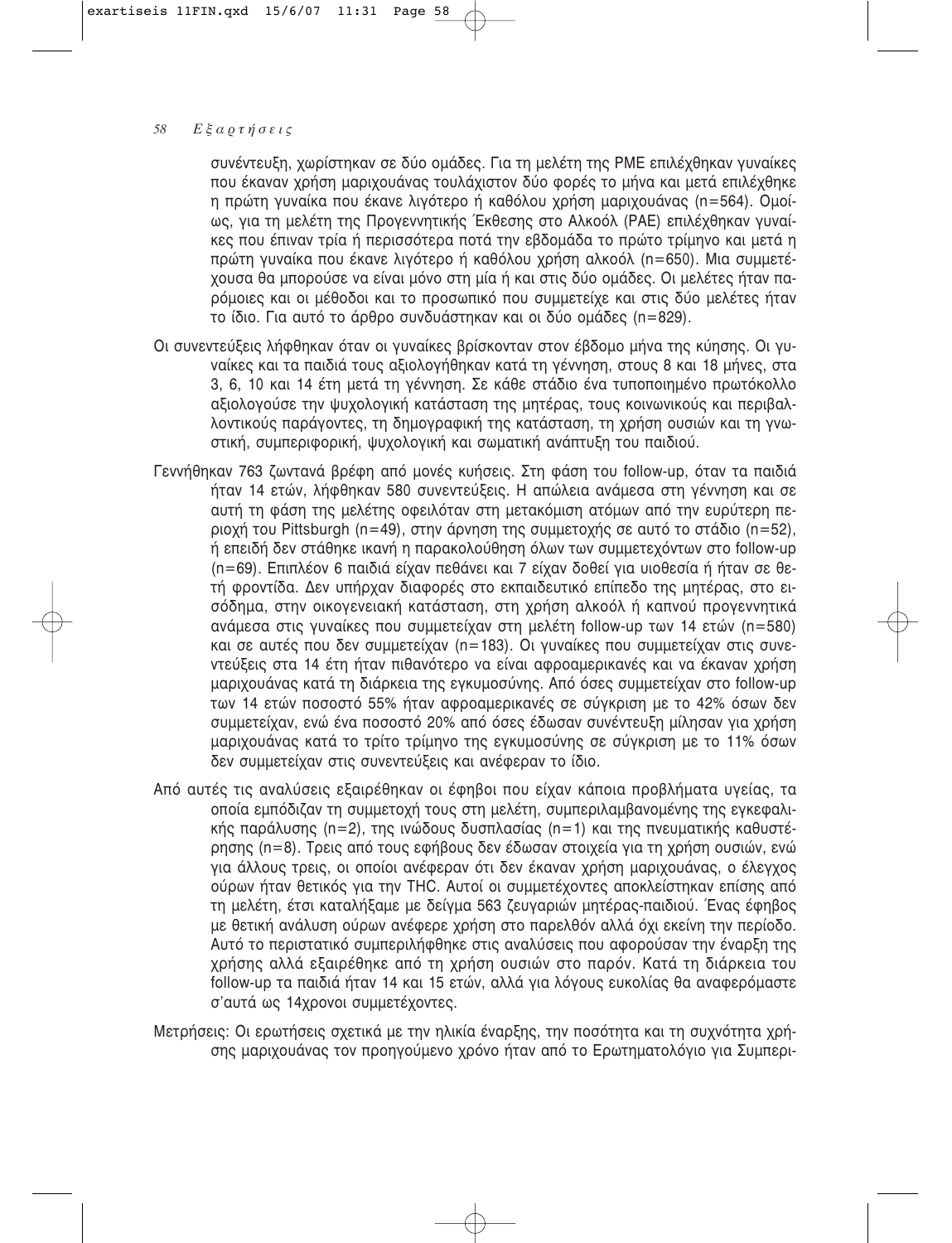συνέντευξη, χωρίστηκαν σε δύο ομάδες. Για τη μελέτη της PME επιλέχθηκαν γυναίκες που έκαναν χρήση μαριχουάνας τουλάχιστον δύο φορές το μήνα και μετά επιλέχθηκε η πρώτη γυναίκα που έκανε λιγότερο ή καθόλου χρήση μαριχουάνας (n=564). Ομοίως, για τη μελέτη της Προγεννητικής Έκθεσης στο Αλκοόλ (PAE) επιλέχθηκαν γυναίκες που έπιναν τρία ή περισσότερα ποτά την εβδομάδα το πρώτο τρίμηνο και μετά η πρώτη γυναίκα που έκανε λιγότερο ή καθόλου χρήση αλκοόλ (n=650). Μια συμμετέχουσα θα μπορούσε να είναι μόνο στη μία ή και στις δύο ομάδες. Οι μελέτες ήταν παρόμοιες και οι μέθοδοι και το προσωπικό που συμμετείχε και στις δύο μελέτες ήταν το ίδιο. Για αυτό το άρθρο συνδυάστηκαν και οι δύο ομάδες (n=829).

- Οι συνεντεύξεις λήφθηκαν όταν οι γυναίκες βρίσκονταν στον έβδομο μήνα της κύησης. Οι γυναίκες και τα παιδιά τους αξιολογήθηκαν κατά τη γέννηση, στους 8 και 18 μήνες, στα 3, 6, 10 και 14 έτη μετά τη γέννηση. Σε κάθε στάδιο ένα τυποποιημένο πρωτόκολλο αξιολογούσε την ψυχολογική κατάσταση της μητέρας, τους κοινωνικούς και περιβαλλοντικούς παράγοντες, τη δημογραφική της κατάσταση, τη χρήση ουσιών και τη γνωστική, συμπεριφορική, ψυχολογική και σωματική ανάπτυξη του παιδιού.
- Γεννήθηκαν 763 ζωντανά βρέφη από μονές κυήσεις. Στη φάση του follow-up, όταν τα παιδιά ήταν 14 ετών, λήφθηκαν 580 συνεντεύξεις. Η απώλεια ανάμεσα στη γέννηση και σε αυτή τη φάση της μελέτης οφειλόταν στη μετακόμιση ατόμων από την ευρύτερη πε- $\mu$ οιοχή του Pittsburgh (n=49), στην άρνηση της συμμετοχής σε αυτό το στάδιο (n=52), ή επειδή δεν στάθηκε ικανή η παρακολούθηση όλων των συμμετεχόντων στο follow-up (n=69). Επιπλέον 6 παιδιά είχαν πεθάνει και 7 είχαν δοθεί για υιοθεσία ή ήταν σε θετή φροντίδα. Δεν υπήρχαν διαφορές στο εκπαιδευτικό επίπεδο της μητέρας, στο εισόδημα, στην οικογενειακή κατάσταση, στη χρήση αλκοόλ ή καπνού προγεννητικά ανάμεσα στις γυναίκες που συμμετείχαν στη μελέτη follow-up των 14 ετών (n=580) και σε αυτές που δεν συμμετείχαν (n=183). Οι γυναίκες που συμμετείχαν στις συνεντεύξεις στα 14 έτη ήταν πιθανότερο να είναι αφροαμερικανές και να έκαναν χρήση μαριχουάνας κατά τη διάρκεια της εγκυμοσύνης. Από όσες συμμετείχαν στο follow-up των 14 ετών ποσοστό 55% ήταν αφροαμερικανές σε σύγκριση με το 42% όσων δεν συμμετείχαν, ενώ ένα ποσοστό 20% από όσες έδωσαν συνέντευξη μίλησαν για χρήση μαριχουάνας κατά το τρίτο τρίμηνο της εγκυμοσύνης σε σύγκριση με το 11% όσων δεν συμμετείχαν στις συνεντεύξεις και ανέφεραν το ίδιο.
- Aπό αυτές τις αναλύσεις εξαιρέθηκαν οι έφηβοι που είχαν κάποια προβλήματα υγείας, τα οποία εμπόδιζαν τη συμμετοχή τους στη μελέτη, συμπεριλαμβανομένης της εγκεφαλι- $\kappa$ ής παράλυσης (n=2), της ινώδους δυσπλασίας (n=1) και της πνευματικής καθυστέpησης (n=8). Τρεις από τους εφήβους δεν έδωσαν στοιχεία για τη χρήση ουσιών, ενώ για άλλους τρεις, οι οποίοι ανέφεραν ότι δεν έκαναν χρήση μαριχουάνας, ο έλεγχος ούρων ήταν θετικός για την THC. Αυτοί οι συμμετέχοντες αποκλείστηκαν επίσης από τη μελέτη, έτσι καταλήξαμε με δείγμα 563 ζευγαριών μητέρας-παιδιού. Ένας έφηβος με θετική ανάλυση ούρων ανέφερε χρήση στο παρελθόν αλλά όχι εκείνη την περίοδο. Aυτό το περιστατικό συμπεριλήφθηκε στις αναλύσεις που αφορούσαν την έναρξη της χρήσης αλλά εξαιρέθηκε από τη χρήση ουσιών στο παρόν. Κατά τη διάρκεια του follow-up τα παιδιά ήταν 14 και 15 ετών, αλλά για λόγους ευκολίας θα αναφερόμαστε σ' αυτά ως 14χρονοι συμμετέχοντες.
- Μετρήσεις: Οι ερωτήσεις σχετικά με την ηλικία έναρξης, την ποσότητα και τη συχνότητα χρήσης μαριχουάνας τον προηγούμενο χρόνο ήταν από το Ερωτηματολόγιο για Συμπερι-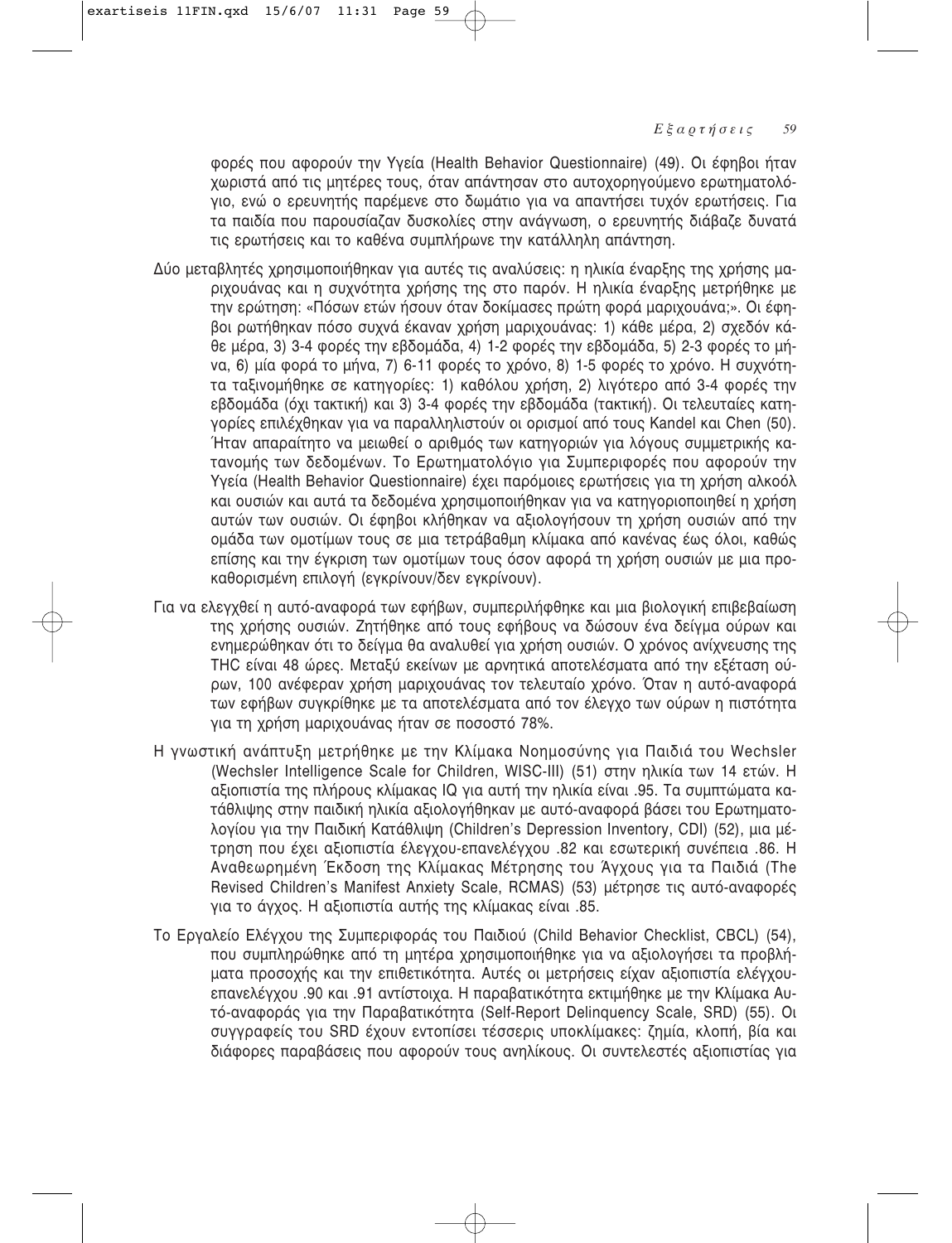exartiseis 11FIN.qxd 15/6/07 11:31 Page 59

> φορές που αφορούν την Υγεία (Health Behavior Questionnaire) (49). Οι έφηβοι ήταν χωριστά από τις μητέρες τους, όταν απάντησαν στο αυτοχορηγούμενο ερωτηματολόγιο, ενώ ο ερευνητής παρέμενε στο δωμάτιο για να απαντήσει τυχόν ερωτήσεις. Για τα παιδία που παρουσίαζαν δυσκολίες στην ανάγνωση, ο ερευνητής διάβαζε δυνατά τις ερωτήσεις και το καθένα συμπλήρωνε την κατάλληλη απάντηση.

- Δύο μεταβλητές χρησιμοποιήθηκαν για αυτές τις αναλύσεις: η ηλικία έναρξης της χρήσης μαριχουάνας και η συχνότητα χρήσης της στο παρόν. Η ηλικία έναρξης μετρήθηκε με την ερώτηση: «Πόσων ετών ήσουν όταν δοκίμασες πρώτη φορά μαριχουάνα;». Οι έφηβοι ρωτήθηκαν πόσο συχνά έκαναν χρήση μαριχουάνας: 1) κάθε μέρα, 2) σχεδόν κάθε μέρα, 3) 3-4 φορές την εβδομάδα, 4) 1-2 φορές την εβδομάδα, 5) 2-3 φορές το μήνα, 6) μία φορά το μήνα, 7) 6-11 φορές το χρόνο, 8) 1-5 φορές το χρόνο. Η συχνότητα ταξινομήθηκε σε κατηγορίες: 1) καθόλου χρήση, 2) λιγότερο από 3-4 φορές την εβδομάδα (όχι τακτική) και 3) 3-4 φορές την εβδομάδα (τακτική). Οι τελευταίες κατηγορίες επιλέχθηκαν για να παραλληλιστούν οι ορισμοί από τους Kandel και Chen (50). Ήταν απαραίτητο να μειωθεί ο αριθμός των κατηγοριών για λόγους συμμετρικής κατανομής των δεδομένων. Το Ερωτηματολόγιο για Συμπεριφορές που αφορούν την Υγεία (Health Behavior Questionnaire) έχει παρόμοιες ερωτήσεις για τη χρήση αλκοόλ και ουσιών και αυτά τα δεδομένα χρησιμοποιήθηκαν για να κατηγοριοποιηθεί η χρήση αυτών των ουσιών. Οι έφηβοι κλήθηκαν να αξιολογήσουν τη χρήση ουσιών από την ομάδα των ομοτίμων τους σε μια τετράβαθμη κλίμακα από κανένας έως όλοι, καθώς επίσης και την έγκριση των ομοτίμων τους όσον αφορά τη χρήση ουσιών με μια προκαθορισμένη επιλογή (εγκρίνουν/δεν εγκρίνουν).
- Για να ελεγχθεί η αυτό-αναφορά των εφήβων, συμπεριλήφθηκε και μια βιολογική επιβεβαίωση της χρήσης ουσιών. Ζητήθηκε από τους εφήβους να δώσουν ένα δείγμα ούρων και ενημερώθηκαν ότι το δείνμα θα αναλυθεί νια χρήση ουσιών. Ο χρόνος ανίχνευσης της ΤΗΣ είναι 48 ώρες. Μεταξύ εκείνων με αρνητικά αποτελέσματα από την εξέταση ούρων, 100 ανέφεραν χρήση μαριχουάνας τον τελευταίο χρόνο. Όταν η αυτό-αναφορά των εφήβων συνκρίθηκε με τα αποτελέσματα από τον έλενχο των ούρων η πιστότητα για τη χρήση μαριχουάνας ήταν σε ποσοστό 78%.
- Η γνωστική ανάπτυξη μετρήθηκε με την Κλίμακα Νοημοσύνης για Παιδιά του Wechsler (Wechsler Intelligence Scale for Children, WISC-III) (51) στην ηλικία των 14 ετών. Η αξιοπιστία της πλήρους κλίμακας IQ για αυτή την ηλικία είναι .95. Τα συμπτώματα κατάθλιψης στην παιδική ηλικία αξιολογήθηκαν με αυτό-αναφορά βάσει του Ερωτηματολογίου για την Παιδική Κατάθλιψη (Children's Depression Inventory, CDI) (52), μια μέτρηση που έχει αξιοπιστία έλεγχου-επανελέγχου .82 και εσωτερική συνέπεια .86. Η Αναθεωρημένη Έκδοση της Κλίμακας Μέτρησης του Άγχους για τα Παιδιά (The Revised Children's Manifest Anxiety Scale, RCMAS) (53) μέτρησε τις αυτό-αναφορές για το άγχος. Η αξιοπιστία αυτής της κλίμακας είναι .85.
- Το Εργαλείο Ελέγχου της Συμπεριφοράς του Παιδιού (Child Behavior Checklist, CBCL) (54), που συμπληρώθηκε από τη μητέρα χρησιμοποιήθηκε για να αξιολογήσει τα προβλήματα προσοχής και την επιθετικότητα. Αυτές οι μετρήσεις είχαν αξιοπιστία ελέγχουεπανελέγχου .90 και .91 αντίστοιχα. Η παραβατικότητα εκτιμήθηκε με την Κλίμακα Αυτό-αναφοράς για την Παραβατικότητα (Self-Report Delinguency Scale, SRD) (55). Οι συγγραφείς του SRD έχουν εντοπίσει τέσσερις υποκλίμακες: ζημία, κλοπή, βία και διάφορες παραβάσεις που αφορούν τους ανηλίκους. Οι συντελεστές αξιοπιστίας για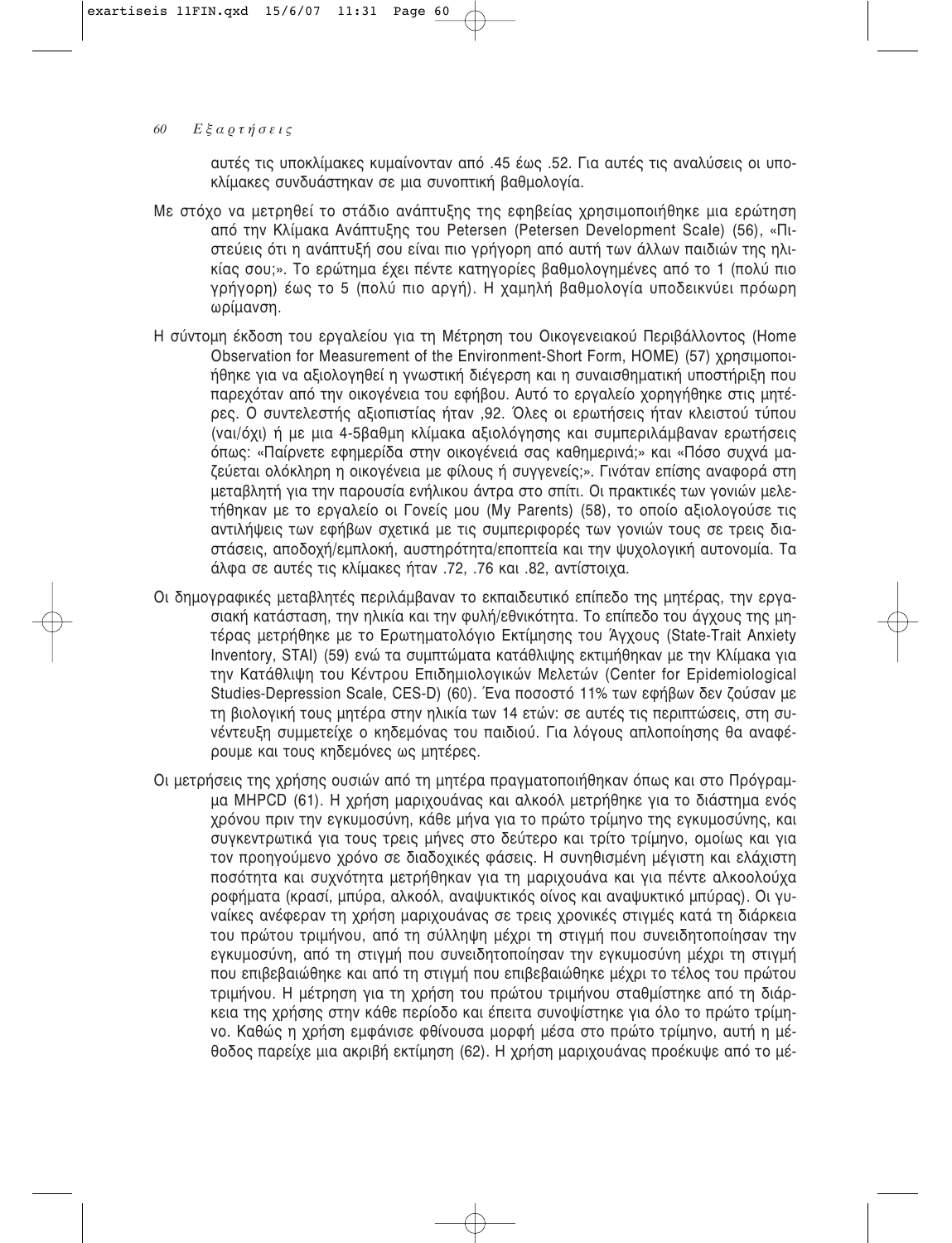αυτές τις υποκλίμακες κυμαίνονταν από .45 έως .52. Για αυτές τις αναλύσεις οι υποκλίμακες συνδυάστηκαν σε μια συνοπτική βαθμολογία.

- Με στόχο να μετρηθεί το στάδιο ανάπτυξης της εφηβείας χρησιμοποιήθηκε μια ερώτηση από την Κλίμακα Ανάπτυξης του Petersen (Petersen Development Scale) (56), «Πιστεύεις ότι η ανάπτυξή σου είναι πιο γρήγορη από αυτή των άλλων παιδιών της ηλικίας σου;». Το ερώτημα έχει πέντε κατηγορίες βαθμολογημένες από το 1 (πολύ πιο γρήγορη) έως το 5 (πολύ πιο αργή). Η χαμηλή βαθμολογία υποδεικνύει πρόωρη ωρίμανση.
- Η σύντομη έκδοση του εργαλείου για τη Μέτρηση του Οικογενειακού Περιβάλλοντος (Home Observation for Measurement of the Environment-Short Form, HOME) (57) χρησιμοποιήθηκε για να αξιολογηθεί η γνωστική διέγερση και η συναισθηματική υποστήριξη που παρεχόταν από την οικογένεια του εφήβου. Αυτό το εργαλείο χορηγήθηκε στις μητέρες. Ο συντελεστής αξιοπιστίας ήταν ,92. Όλες οι ερωτήσεις ήταν κλειστού τύπου (val/όχι) ή με μια 4-5βαθμη κλίμακα αξιολόγησης και συμπεριλάμβαναν ερωτήσεις όπως: «Παίρνετε εφημερίδα στην οικογένειά σας καθημερινά;» και «Πόσο συχνά μαζεύεται ολόκληρη η οικογένεια με φίλους ή συγγενείς;». Γινόταν επίσης αναφορά στη μεταβλητή για την παρουσία ενήλικου άντρα στο σπίτι. Οι πρακτικές των γονιών μελετήθηκαν με το εργαλείο οι Γονείς μου (My Parents) (58), το οποίο αξιολογούσε τις αντιλήψεις των εφήβων σχετικά με τις συμπεριφορές των γονιών τους σε τρεις διαστάσεις, αποδοχή/εμπλοκή, αυστηρότητα/εποπτεία και την ψυχολογική αυτονομία. Τα άλφα σε αυτές τις κλίμακες ήταν .72, .76 και .82, αντίστοιχα.
- Οι δημογραφικές μεταβλητές περιλάμβαναν το εκπαιδευτικό επίπεδο της μητέρας, την εργασιακή κατάσταση, την ηλικία και την φυλή/εθνικότητα. Το επίπεδο του άγχους της μητέρας μετρήθηκε με το Ερωτηματολόγιο Εκτίμησης του Άγχους (State-Trait Anxiety Inventory, STAI) (59) ενώ τα συμπτώματα κατάθλιψης εκτιμήθηκαν με την Κλίμακα για την Κατάθλιψη του Κέντρου Επιδημιολογικών Μελετών (Center for Epidemiological Studies-Depression Scale, CES-D) (60). Ένα ποσοστό 11% των εφήβων δεν ζούσαν με τη βιολογική τους μητέρα στην ηλικία των 14 ετών: σε αυτές τις περιπτώσεις, στη συ-Vέντευξη συμμετείχε ο κηδεμόνας του παιδιού. Για λόνους απλοποίησης θα αναφέρουμε και τους κηδεμόνες ως μητέρες.
- Οι μετρήσεις της χρήσης ουσιών από τη μητέρα πραγματοποιήθηκαν όπως και στο Πρόγραμμα ΜΗΡCD (61). Η χρήση μαριχουάνας και αλκοόλ μετρήθηκε για το διάστημα ενός χρόνου πριν την εγκυμοσύνη, κάθε μήνα για το πρώτο τρίμηνο της εγκυμοσύνης, και συγκεντρωτικά για τους τρεις μήνες στο δεύτερο και τρίτο τρίμηνο, ομοίως και για τον προηγούμενο χρόνο σε διαδοχικές φάσεις. Η συνηθισμένη μέγιστη και ελάχιστη ποσότητα και συχνότητα μετρήθηκαν για τη μαριχουάνα και για πέντε αλκοολούχα ροφήματα (κρασί, μπύρα, αλκοόλ, αναψυκτικός οίνος και αναψυκτικό μπύρας). Οι γυvαίκες ανέφεραν τη χρήση μαριχουάνας σε τρεις χρονικές στιγμές κατά τη διάρκεια του πρώτου τριμήνου, από τη σύλληψη μέχρι τη στιγμή που συνειδητοποίησαν την εγκυμοσύνη, από τη στιγμή που συνειδητοποίησαν την εγκυμοσύνη μέχρι τη στιγμή που επιβεβαιώθηκε και από τη στιγμή που επιβεβαιώθηκε μέχρι το τέλος του πρώτου τριμήνου. Η μέτρηση για τη χρήση του πρώτου τριμήνου σταθμίστηκε από τη διάρ-Κεια της χρήσης στην κάθε περίοδο και έπειτα συνοψίστηκε για όλο το πρώτο τρίμηνο. Καθώς η χρήση εμφάνισε φθίνουσα μορφή μέσα στο πρώτο τρίμηνο, αυτή η μέθοδος παρείχε μια ακριβή εκτίμηση (62). Η χρήση μαριχουάνας προέκυψε από το μέ-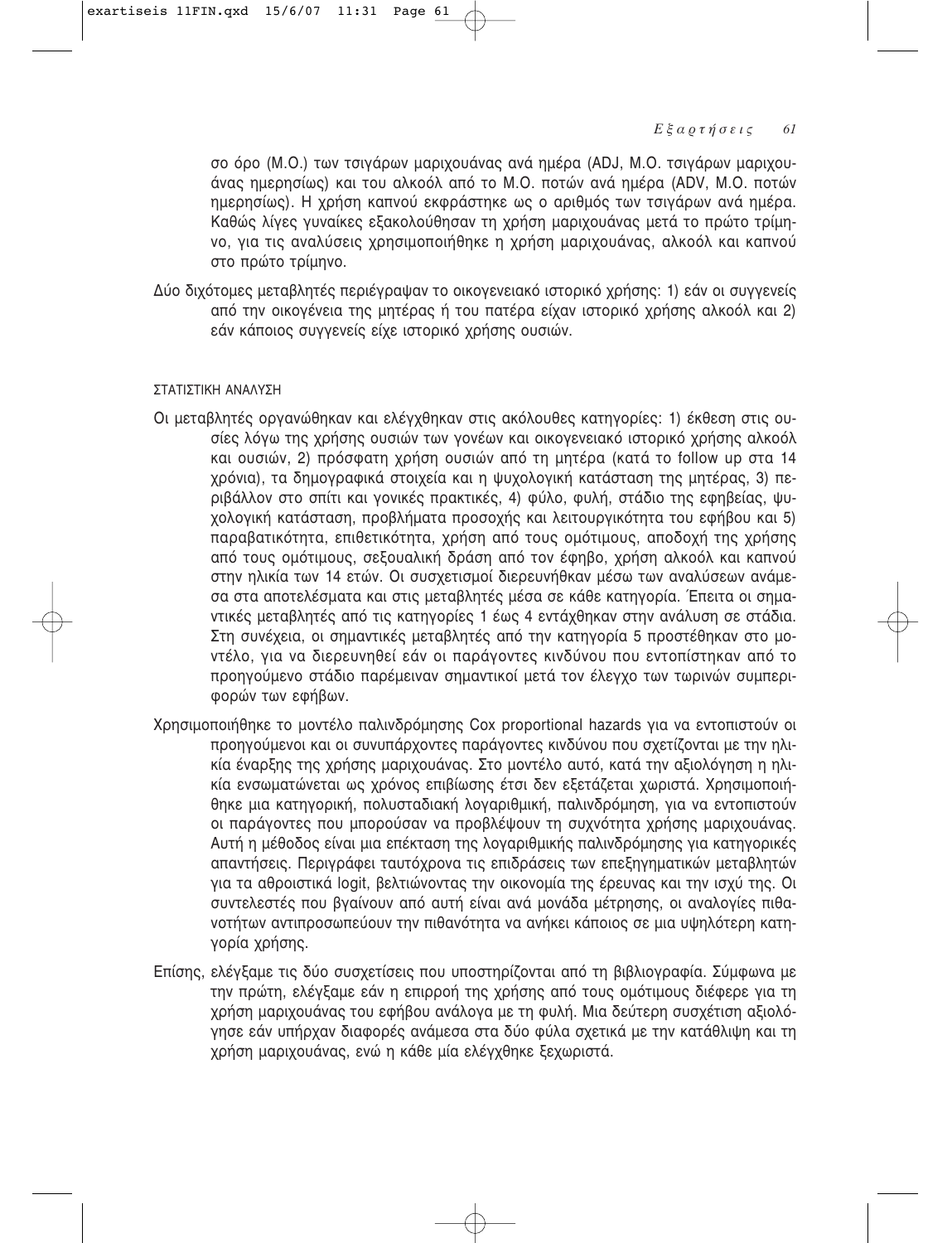σο όρο (Μ.Ο.) των τσιγάρων μαριχουάνας ανά ημέρα (ADJ, M.Ο. τσιγάρων μαριχουάνας ημερησίως) και του αλκοόλ από το Μ.Ο. ποτών ανά ημέρα (ADV, M.O. ποτών ημερησίως). Η χρήση καπνού εκφράστηκε ως ο αριθμός των τσιγάρων ανά ημέρα. Καθώς λίγες γυναίκες εξακολούθησαν τη χρήση μαριχουάνας μετά το πρώτο τρίμηνο, για τις αναλύσεις χρησιμοποιήθηκε η χρήση μαριχουάνας, αλκοόλ και καπνού στο πρώτο τρίμηνο.

Δύο διχότομες μεταβλητές περιέγραψαν το οικογενειακό ιστορικό χρήσης: 1) εάν οι συγγενείς από την οικογένεια της μητέρας ή του πατέρα είχαν ιστορικό χρήσης αλκοόλ και 2) εάν κάποιος συγγενείς είχε ιστορικό χρήσης ουσιών.

# ΣΤΑΤΙΣΤΙΚΗ ΑΝΑΛΥΣΗ

exartiseis 11FIN.qxd 15/6/07 11:31 Page 61

- Οι μεταβλητές οργανώθηκαν και ελέγχθηκαν στις ακόλουθες κατηγορίες: 1) έκθεση στις ουσίες λόγω της χρήσης ουσιών των γονέων και οικογενειακό ιστορικό χρήσης αλκοόλ και ουσιών, 2) πρόσφατη χρήση ουσιών από τη μητέρα (κατά το follow up στα 14 χρόνια), τα δημογραφικά στοιχεία και η ψυχολογική κατάσταση της μητέρας, 3) περιβάλλον στο σπίτι και γονικές πρακτικές, 4) φύλο, φυλή, στάδιο της εφηβείας, ψυχολογική κατάσταση, προβλήματα προσοχής και λειτουργικότητα του εφήβου και 5) παραβατικότητα, επιθετικότητα, χρήση από τους ομότιμους, αποδοχή της χρήσης από τους ομότιμους, σεξουαλική δράση από τον έφηβο, χρήση αλκοόλ και καπνού στην ηλικία των 14 ετών. Οι συσχετισμοί διερευνήθκαν μέσω των αναλύσεων ανάμεσα στα αποτελέσματα και στις μεταβλητές μέσα σε κάθε κατηγορία. Έπειτα οι σημα-Vτικές μεταβλητές από τις κατηγορίες 1 έως 4 εντάχθηκαν στην ανάλυση σε στάδια. Στη συνέχεια, οι σημαντικές μεταβλητές από την κατηγορία 5 προστέθηκαν στο μοντέλο, για να διερευνηθεί εάν οι παράγοντες κινδύνου που εντοπίστηκαν από το προηγούμενο στάδιο παρέμειναν σημαντικοί μετά τον έλεγχο των τωρινών συμπεριφορών των εφήβων.
- Χρησιμοποιήθηκε το μοντέλο παλινδρόμησης Cox proportional hazards για να εντοπιστούν οι προηγούμενοι και οι συνυπάρχοντες παράγοντες κινδύνου που σχετίζονται με την ηλικία έναρξης της χρήσης μαριχουάνας. Στο μοντέλο αυτό, κατά την αξιολόγηση η ηλικία ενσωματώνεται ως χρόνος επιβίωσης έτσι δεν εξετάζεται χωριστά. Χρησιμοποιήθηκε μια κατηγορική, πολυσταδιακή λογαριθμική, παλινδρόμηση, για να εντοπιστούν οι παράγοντες που μπορούσαν να προβλέψουν τη συχνότητα χρήσης μαριχουάνας. Aυτή η μέθοδος είναι μια επέκταση της λογαριθμικής παλινδρόμησης για κατηγορικές απαντήσεις. Περιγράφει ταυτόχρονα τις επιδράσεις των επεξηγηματικών μεταβλητών για τα αθροιστικά logit, βελτιώνοντας την οικονομία της έρευνας και την ισχύ της. Οι συντελεστές που βγαίνουν από αυτή είναι ανά μονάδα μέτρησης, οι αναλογίες πιθανοτήτων αντιπροσωπεύουν την πιθανότητα να ανήκει κάποιος σε μια υψηλότερη κατηγορία χρήσης.
- Επίσης, ελέγξαμε τις δύο συσχετίσεις που υποστηρίζονται από τη βιβλιογραφία. Σύμφωνα με την πρώτη, ελέγξαμε εάν η επιρροή της χρήσης από τους ομότιμους διέφερε για τη χρήση μαριχουάνας του εφήβου ανάλογα με τη φυλή. Μια δεύτερη συσχέτιση αξιολόγησε εάν υπήρχαν διαφορές ανάμεσα στα δύο φύλα σχετικά με την κατάθλιψη και τη χρήση μαριχουάνας, ενώ η κάθε μία ελέγχθηκε ξεχωριστά.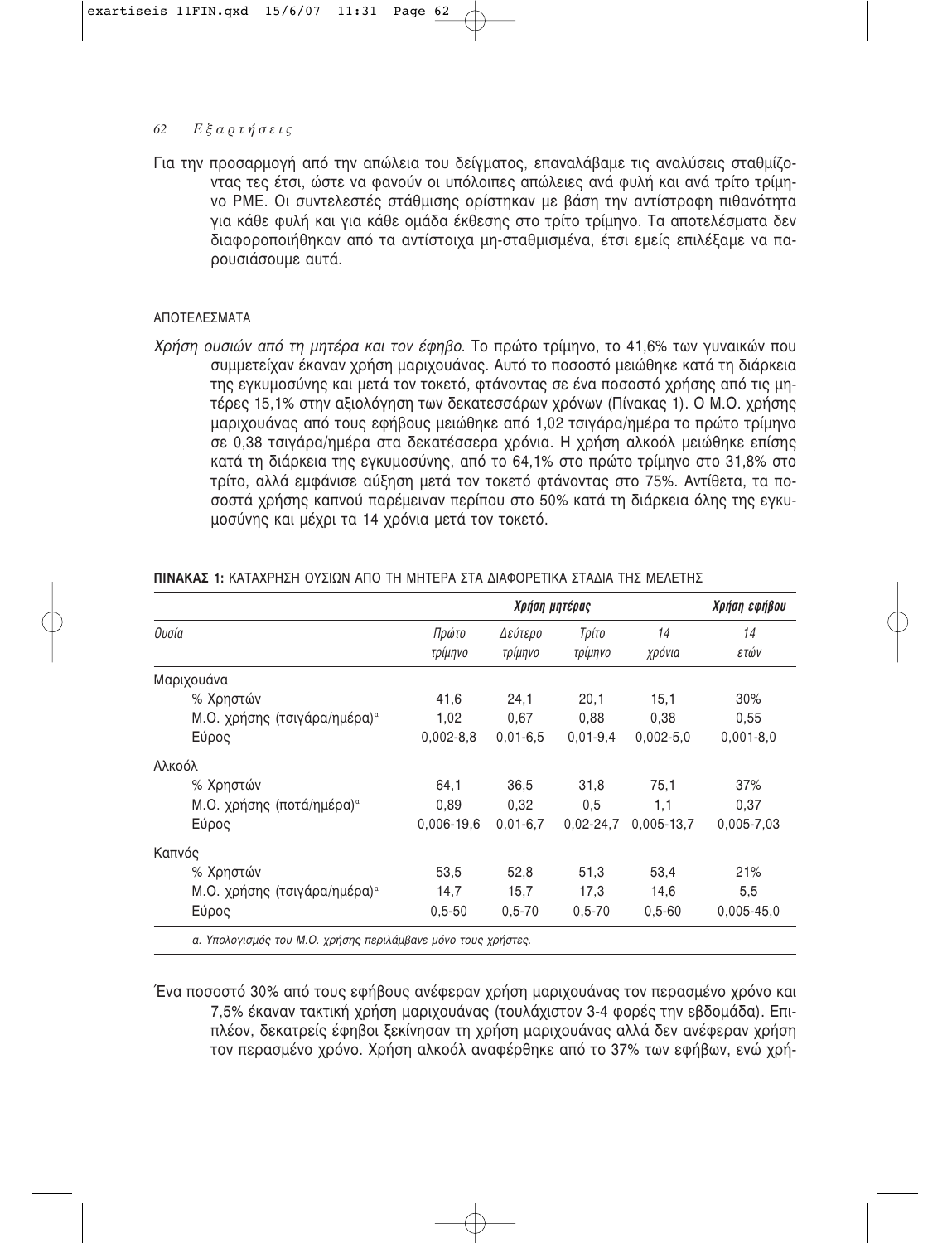Για την προσαρμογή από την απώλεια του δείγματος, επαναλάβαμε τις αναλύσεις σταθμίζοντας τες έτσι, ώστε να φανούν οι υπόλοιπες απώλειες ανά φυλή και ανά τρίτο τρίμη-VO PME. Οι συντελεστές στάθμισης ορίστηκαν με βάση την αντίστροφη πιθανότητα για κάθε φυλή και για κάθε ομάδα έκθεσης στο τρίτο τρίμηνο. Τα αποτελέσματα δεν διαφοροποιήθηκαν από τα αντίστοιχα μη-σταθμισμένα, έτσι εμείς επιλέξαμε να παρουσιάσουμε αυτά.

# ∞¶√Δ∂§∂™ª∞Δ∞

*Χρήση ουσιών από τη μητέρα και τον έφηβο*. Το πρώτο τρίμηνο, το 41,6% των γυναικών που συμμετείχαν έκαναν χρήση μαριχουάνας. Αυτό το ποσοστό μειώθηκε κατά τη διάρκεια της εγκυμοσύνης και μετά τον τοκετό, φτάνοντας σε ένα ποσοστό χρήσης από τις μητέρες 15,1% στην αξιολόγηση των δεκατεσσάρων χρόνων (Πίνακας 1). Ο Μ.Ο. χρήσης μαριχουάνας από τους εφήβους μειώθηκε από 1,02 τσιγάρα/ημέρα το πρώτο τρίμηνο σε 0,38 τσιγάρα/ημέρα στα δεκατέσσερα χρόνια. Η χρήση αλκοόλ μειώθηκε επίσης κατά τη διάρκεια της εγκυμοσύνης, από το 64,1% στο πρώτο τρίμηνο στο 31,8% στο τρίτο, αλλά εμφάνισε αύξηση μετά τον τοκετό φτάνοντας στο 75%. Αντίθετα, τα ποσοστά χρήσης καπνού παρέμειναν περίπου στο 50% κατά τη διάρκεια όλης της εγκυμοσύνης και μέχρι τα 14 χρόνια μετά τον τοκετό.

|                                          | Χρήση μητέρας    |                    |                  |               | Χρήση εφήβου   |
|------------------------------------------|------------------|--------------------|------------------|---------------|----------------|
| Ουσία                                    | Πρώτο<br>τρίμηνο | Δεύτερο<br>τρίμηνο | Τρίτο<br>τρίμηνο | 14<br>χρόνια  | 14<br>ετών     |
| Μαριχουάνα                               |                  |                    |                  |               |                |
| % Χρηστών                                | 41,6             | 24,1               | 20,1             | 15,1          | 30%            |
| M.O. χρήσης (τσιγάρα/ημέρα) <sup>α</sup> | 1,02             | 0,67               | 0,88             | 0,38          | 0,55           |
| Εύρος                                    | $0.002 - 8.8$    | $0,01-6,5$         | $0,01-9,4$       | $0,002 - 5,0$ | $0,001 - 8,0$  |
| Αλκοόλ                                   |                  |                    |                  |               |                |
| % Χρηστών                                | 64,1             | 36,5               | 31,8             | 75,1          | 37%            |
| M.O. χρήσης (ποτά/ημέρα) <sup>α</sup>    | 0,89             | 0,32               | 0,5              | 1,1           | 0,37           |
| Εύρος                                    | 0,006-19,6       | $0.01 - 6.7$       | $0.02 - 24.7$    | $0,005-13,7$  | $0,005 - 7,03$ |
| Καπνός                                   |                  |                    |                  |               |                |
| % Χρηστών                                | 53,5             | 52,8               | 51,3             | 53,4          | 21%            |
| M.Ο. χρήσης (τσιγάρα/ημέρα) <sup>α</sup> | 14,7             | 15,7               | 17,3             | 14,6          | 5,5            |
| Εύρος                                    | $0,5 - 50$       | $0,5 - 70$         | $0, 5 - 70$      | $0,5 - 60$    | 0,005-45,0     |

**ΠΙΝΑΚΑΣ 1:** ΚΑΤΑΧΡΗΣΗ ΟΥΣΙΩΝ ΑΠΟ ΤΗ ΜΗΤΕΡΑ ΣΤΑ ΔΙΑΦΟΡΕΤΙΚΑ ΣΤΑΔΙΑ ΤΗΣ ΜΕΛΕΤΗΣ

Ένα ποσοστό 30% από τους εφήβους ανέφεραν χρήση μαριχουάνας τον περασμένο χρόνο και 7,5% έκαναν τακτική χρήση μαριχουάνας (τουλάχιστον 3-4 φορές την εβδομάδα). Επιπλέον, δεκατρείς έφηβοι ξεκίνησαν τη χρήση μαριχουάνας αλλά δεν ανέφεραν χρήση τον περασμένο χρόνο. Χρήση αλκοόλ αναφέρθηκε από το 37% των εφήβων, ενώ χρή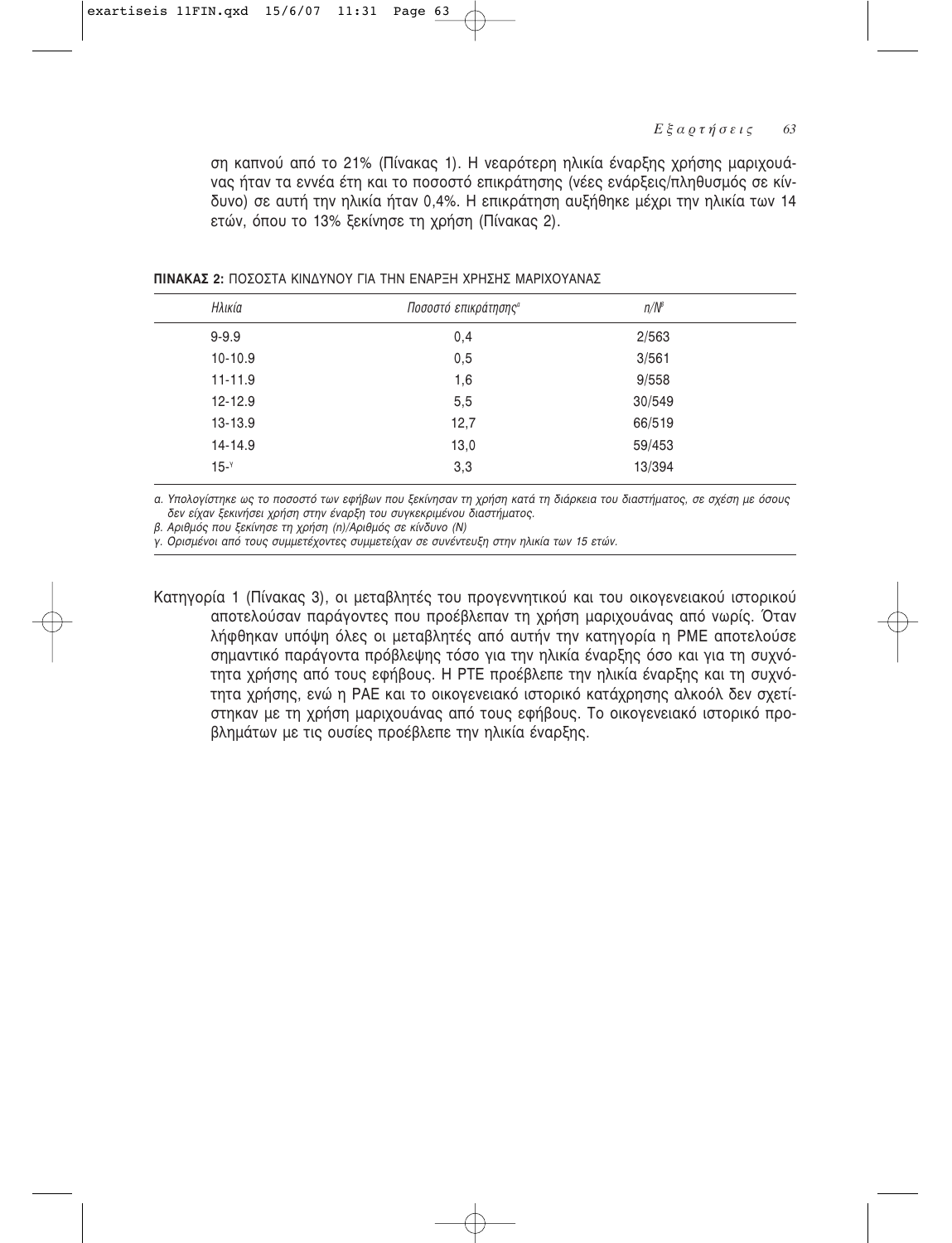ση καπνού από το 21% (Πίνακας 1). Η νεαρότερη ηλικία έναρξης χρήσης μαριχουάνας ήταν τα εννέα έτη και το ποσοστό επικράτησης (νέες ενάρξεις/πληθυσμός σε κίνδυνο) σε αυτή την ηλικία ήταν 0,4%. Η επικράτηση αυξήθηκε μέχρι την ηλικία των 14 ετών, όπου το 13% ξεκίνησε τη χρήση (Πίνακας 2).

# **ΠΙΝΑΚΑΣ 2: ΠΟΣΟΣΤΑ ΚΙΝΔΥΝΟΥ ΓΙΑ ΤΗΝ ΕΝΑΡΞΗ ΧΡΗΣΗΣ ΜΑΡΙΧΟΥΑΝΑΣ**

| Ηλικία          | Ποσοστό επικράτησης <sup>®</sup> | $n/N^s$ |  |
|-----------------|----------------------------------|---------|--|
| $9 - 9.9$       | 0,4                              | 2/563   |  |
| $10 - 10.9$     | 0,5                              | 3/561   |  |
| $11 - 11.9$     | 1,6                              | 9/558   |  |
| $12 - 12.9$     | 5,5                              | 30/549  |  |
| 13-13.9         | 12,7                             | 66/519  |  |
| 14-14.9         | 13,0                             | 59/453  |  |
| 15 <sup>1</sup> | 3,3                              | 13/394  |  |
|                 |                                  |         |  |

*a. Υπολογίστηκε ως το ποσοστό των εφήβων που ξεκίνησαν τη χρήση κατά τη διάρκεια του διαστήματος, σε σχέση με όσους* δεν είχαν ξεκινήσει χρήση στην έναρξη του συγκεκριμένου διαστήματος.

β. Αριθμός που ξεκίνησε τη χρήση (n)/Αριθμός σε κίνδυνο (N)

γ. Ορισμένοι από τους συμμετέχοντες συμμετείχαν σε συνέντευξη στην ηλικία των 15 ετών.

Κατηγορία 1 (Πίνακας 3), οι μεταβλητές του προγεννητικού και του οικογενειακού ιστορικού αποτελούσαν παράγοντες που προέβλεπαν τη χρήση μαριχουάνας από νωρίς. Όταν λήφθηκαν υπόψη όλες οι μεταβλητές από αυτήν την κατηγορία η PME αποτελούσε σημαντικό παράγοντα πρόβλεψης τόσο για την ηλικία έναρξης όσο και για τη συχνότητα χρήσης από τους εφήβους. Η PTE προέβλεπε την ηλικία έναρξης και τη συχνότητα χρήσης, ενώ η PAE και το οικογενειακό ιστορικό κατάχρησης αλκοόλ δεν σχετίστηκαν με τη χρήση μαριχουάνας από τους εφήβους. Το οικογενειακό ιστορικό προβλημάτων με τις ουσίες προέβλεπε την ηλικία έναρξης.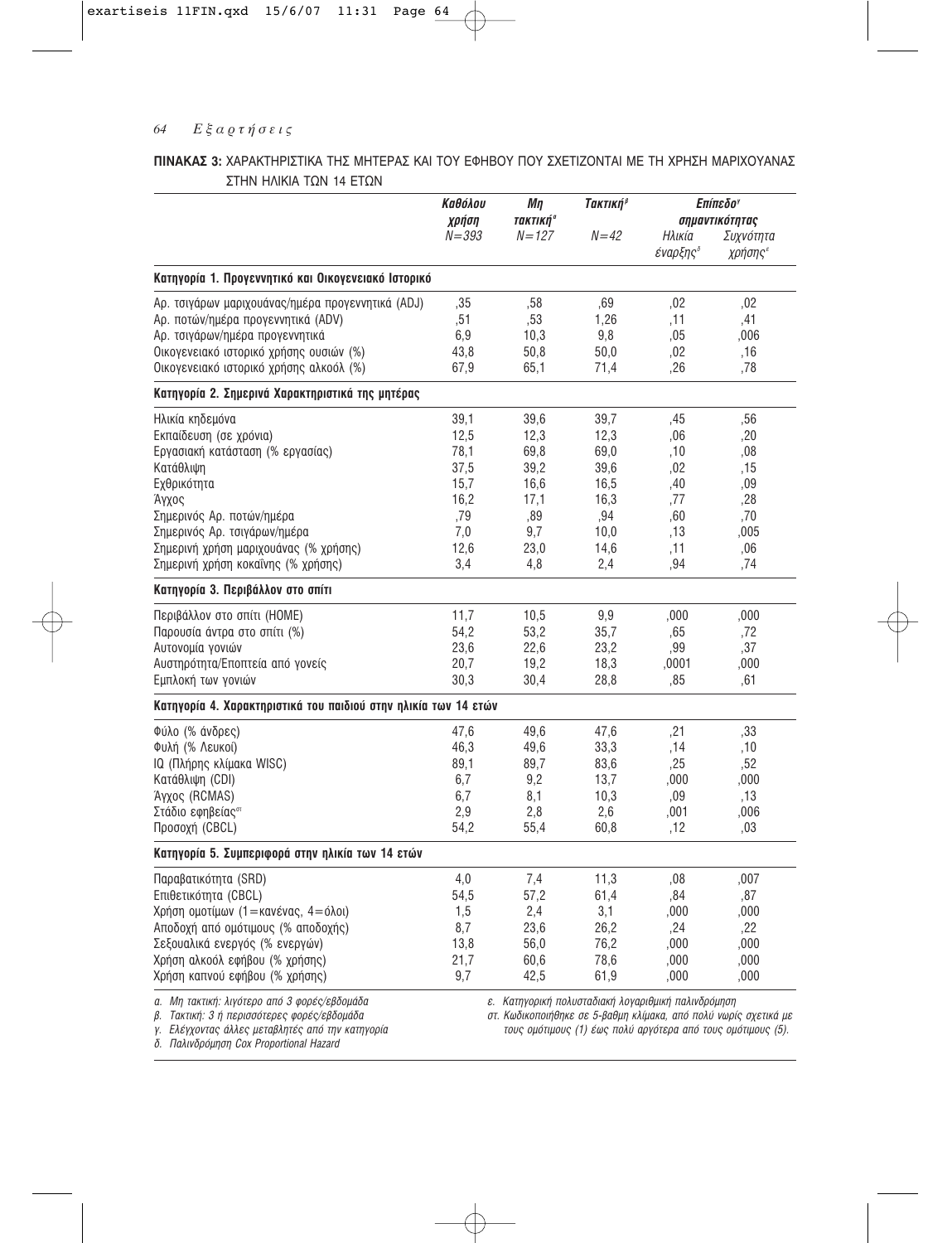# **ΠΙΝΑΚΑΣ 3: ΧΑΡΑΚΤΗΡΙΣΤΙΚΑ ΤΗΣ ΜΗΤΕΡΑΣ ΚΑΙ ΤΟΥ ΕΦΗΒΟΥ ΠΟΥ ΣΧΕΤΙΖΟΝΤΑΙ ΜΕ ΤΗ ΧΡΗΣΗ ΜΑΡΙΧΟΥΑΝΑΣ** ΣΤΗΝ ΗΛΙΚΙΑ ΤΩΝ 14 ΕΤΩΝ

|                                                                 | Καθόλου            | Мη                          | <b>Taktikή<sup>β</sup></b>                          | Επίπεδο <sup>ν</sup>           |                     |
|-----------------------------------------------------------------|--------------------|-----------------------------|-----------------------------------------------------|--------------------------------|---------------------|
|                                                                 | χρήση<br>$N = 393$ | <b>TAKTIKÝ</b><br>$N = 127$ | $N = 42$                                            | σημαντικότητας                 |                     |
|                                                                 |                    |                             |                                                     | Ηλικία<br>έναρξης <sup>δ</sup> | Συχνότητα<br>χρήσης |
| Κατηγορία 1. Προγεννητικό και Οικογενειακό Ιστορικό             |                    |                             |                                                     |                                |                     |
| Αρ. τσιγάρων μαριχουάνας/ημέρα προγεννητικά (ADJ)               | ,35                | ,58                         | ,69                                                 | .02                            | ,02                 |
| Αρ. ποτών/ημέρα προγεννητικά (ADV)                              | , 51               | ,53                         | 1,26                                                | .11                            | ,41                 |
| Αρ. τσιγάρων/ημέρα προγεννητικά                                 | 6,9                | 10,3                        | 9,8                                                 | .05                            | ,006                |
| Οικογενειακό ιστορικό χρήσης ουσιών (%)                         | 43,8               | 50,8                        | 50,0                                                | 02                             | ,16                 |
| Οικογενειακό ιστορικό χρήσης αλκοόλ (%)                         | 67,9               | 65,1                        | 71,4                                                | .26                            | ,78                 |
| Κατηγορία 2. Σημερινά Χαρακτηριστικά της μητέρας                |                    |                             |                                                     |                                |                     |
| Ηλικία κηδεμόνα                                                 | 39,1               | 39,6                        | 39,7                                                | .45                            | ,56                 |
| Εκπαίδευση (σε χρόνια)                                          | 12,5               | 12,3                        | 12,3                                                | 06                             | ,20                 |
| Εργασιακή κατάσταση (% εργασίας)                                | 78,1               | 69,8                        | 69,0                                                | , 10                           | ,08                 |
| Κατάθλιψη                                                       | 37,5               | 39,2                        | 39,6                                                | ,02                            | ,15                 |
| Εχθρικότητα                                                     | 15,7               | 16,6                        | 16,5                                                | ,40                            | ,09                 |
| Άγχος                                                           | 16,2               | 17,1                        | 16,3                                                | ,77                            | ,28                 |
| Σημερινός Αρ. ποτών/ημέρα                                       | ,79                | ,89                         | ,94                                                 | .60                            | ,70                 |
| Σημερινός Αρ. τσιγάρων/ημέρα                                    | 7,0                | 9,7                         | 10,0                                                | .13                            | ,005                |
| Σημερινή χρήση μαριχουάνας (% χρήσης)                           | 12,6               | 23,0                        | 14,6                                                | .11                            | ,06                 |
| Σημερινή χρήση κοκαΐνης (% χρήσης)                              | 3,4                | 4,8                         | 2,4                                                 | .94                            | .74                 |
| Κατηγορία 3. Περιβάλλον στο σπίτι                               |                    |                             |                                                     |                                |                     |
| Περιβάλλον στο σπίτι (HOME)                                     | 11,7               | 10,5                        | 9,9                                                 | 000,                           | ,000                |
| Παρουσία άντρα στο σπίτι (%)                                    | 54,2               | 53,2                        | 35,7                                                | .65                            | .72                 |
| Αυτονομία γονιών                                                | 23,6               | 22.6                        | 23,2                                                | .99                            | .37                 |
| Αυστηρότητα/Εποπτεία από γονείς                                 | 20,7               | 19,2                        | 18,3                                                | ,0001                          | ,000                |
| Εμπλοκή των γονιών                                              | 30,3               | 30,4                        | 28,8                                                | .85                            | .61                 |
| Κατηγορία 4. Χαρακτηριστικά του παιδιού στην ηλικία των 14 ετών |                    |                             |                                                     |                                |                     |
| Φύλο (% άνδρες)                                                 | 47,6               | 49,6                        | 47,6                                                | .21                            | ,33                 |
| Φυλή (% Λευκοί)                                                 | 46,3               | 49,6                        | 33,3                                                | .14                            | ,10                 |
| ΙQ (Πλήρης κλίμακα WISC)                                        | 89,1               | 89.7                        | 83,6                                                | ,25                            | ,52                 |
| Κατάθλιψη (CDI)                                                 | 6,7                | 9,2                         | 13,7                                                | ,000                           | ,000                |
| Άγχος (RCMAS)                                                   | 6,7                | 8,1                         | 10,3                                                | ,09                            | , 13                |
| Στάδιο εφηβείας <sup>στ</sup>                                   | 2,9                | 2,8                         | 2,6                                                 | ,001                           | ,006                |
| Προσοχή (CBCL)                                                  | 54,2               | 55,4                        | 60,8                                                | ,12                            | ,03                 |
| Κατηγορία 5. Συμπεριφορά στην ηλικία των 14 ετών                |                    |                             |                                                     |                                |                     |
| Παραβατικότητα (SRD)                                            | 4,0                | 7,4                         | 11,3                                                | ,08                            | ,007                |
| Επιθετικότητα (CBCL)                                            | 54,5               | 57,2                        | 61,4                                                | ,84                            | ,87                 |
| Χρήση ομοτίμων (1=κανένας, 4=όλοι)                              | 1,5                | 2,4                         | 3,1                                                 | ,000                           | ,000                |
| Αποδοχή από ομότιμους (% αποδοχής)                              | 8,7                | 23,6                        | 26,2                                                | .24                            | ,22                 |
| Σεξουαλικά ενεργός (% ενεργών)                                  | 13,8               | 56,0                        | 76,2                                                | ,000                           | ,000                |
| Χρήση αλκοόλ εφήβου (% χρήσης)                                  | 21,7               | 60,6                        | 78,6                                                | ,000                           | ,000                |
| Χρήση καπνού εφήβου (% χρήσης)                                  | 9,7                | 42,5                        | 61,9                                                | ,000                           | ,000                |
| α. Μη τακτική: λιγότερο από 3 φορές/εβδομάδα                    |                    |                             | ε. Κατηγορική πολυσταδιακή λογαριθμική παλινδρόμηση |                                |                     |

β. <sup>-</sup> Τακτική: 3 ή περισσότερες φορές/εβδομάδα

γ. Ελέγχοντας άλλες μεταβλητές από την κατηγορία

στ. Κωδικοποιήθηκε σε 5-βαθμη κλίμακα, από πολύ νωρίς σχετικά με *ÙÔ˘˜ ÔÌfiÙÈÌÔ˘˜ (1) ¤ˆ˜ Ôχ ·ÚÁfiÙÂÚ· ·fi ÙÔ˘˜ ÔÌfiÙÈÌÔ˘˜ (5).*

 $δ$ . Παλινδρόμηση Cox Proportional Hazard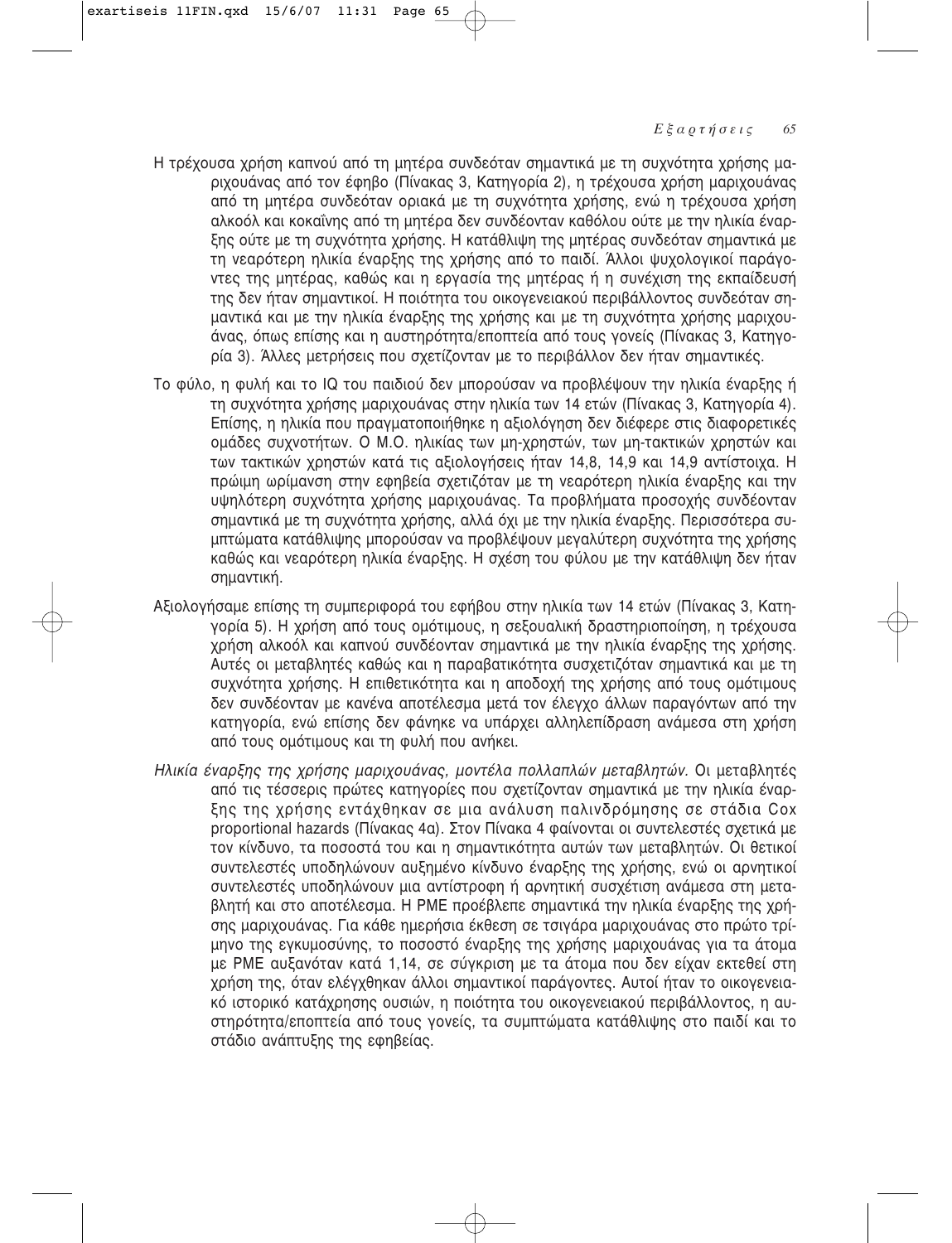- Η τρέχουσα χρήση καπνού από τη μητέρα συνδεόταν σημαντικά με τη συχνότητα χρήσης μαριχουάνας από τον έφηβο (Πίνακας 3, Κατηγορία 2), η τρέχουσα χρήση μαριχουάνας από τη μητέρα συνδεόταν οριακά με τη συχνότητα χρήσης, ενώ η τρέχουσα χρήση αλκοόλ και κοκαΐνης από τη μητέρα δεν συνδέονταν καθόλου ούτε με την ηλικία έναρξης ούτε με τη συχνότητα χρήσης. Η κατάθλιψη της μητέρας συνδεόταν σημαντικά με τη νεαρότερη ηλικία έναρξης της χρήσης από το παιδί. Άλλοι ψυχολογικοί παράγοντες της μητέρας, καθώς και η εργασία της μητέρας ή η συνέχιση της εκπαίδευσή της δεν ήταν σημαντικοί. Η ποιότητα του οικογενειακού περιβάλλοντος συνδεόταν σημαντικά και με την ηλικία έναρξης της χρήσης και με τη συχνότητα χρήσης μαριχουάνας, όπως επίσης και η αυστηρότητα/εποπτεία από τους γονείς (Πίνακας 3, Κατηγορία 3). Άλλες μετρήσεις που σχετίζονταν με το περιβάλλον δεν ήταν σημαντικές.
- Το φύλο, η φυλή και το IQ του παιδιού δεν μπορούσαν να προβλέψουν την ηλικία έναρξης ή τη συχνότητα χρήσης μαριχουάνας στην ηλικία των 14 ετών (Πίνακας 3, Κατηγορία 4). Επίσης, η ηλικία που πραγματοποιήθηκε η αξιολόγηση δεν διέφερε στις διαφορετικές ομάδες συχνοτήτων. Ο Μ.Ο. ηλικίας των μη-χρηστών, των μη-τακτικών χρηστών και των τακτικών χρηστών κατά τις αξιολογήσεις ήταν 14,8, 14,9 και 14,9 αντίστοιχα. Η πρώιμη ωρίμανση στην εφηβεία σχετιζόταν με τη νεαρότερη ηλικία έναρξης και την υψηλότερη συχνότητα χρήσης μαριχουάνας. Τα προβλήματα προσοχής συνδέονταν σημαντικά με τη συχνότητα χρήσης, αλλά όχι με την ηλικία έναρξης. Περισσότερα συμπτώματα κατάθλιψης μπορούσαν να προβλέψουν μεγαλύτερη συχνότητα της χρήσης καθώς και νεαρότερη ηλικία έναρξης. Η σχέση του φύλου με την κατάθλιψη δεν ήταν σημαντική.
- Αξιολογήσαμε επίσης τη συμπεριφορά του εφήβου στην ηλικία των 14 ετών (Πίνακας 3, Κατηγορία 5). Η χρήση από τους ομότιμους, η σεξουαλική δραστηριοποίηση, η τρέχουσα χρήση αλκοόλ και καπνού συνδέονταν σημαντικά με την ηλικία έναρξης της χρήσης. Αυτές οι μεταβλητές καθώς και η παραβατικότητα συσχετιζόταν σημαντικά και με τη συχνότητα χρήσης. Η επιθετικότητα και η αποδοχή της χρήσης από τους ομότιμους δεν συνδέονταν με κανένα αποτέλεσμα μετά τον έλεγχο άλλων παραγόντων από την κατηγορία, ενώ επίσης δεν φάνηκε να υπάρχει αλληλεπίδραση ανάμεσα στη χρήση από τους ομότιμους και τη φυλή που ανήκει.
- *Ηλικία έναρξης της χρήσης μαριχουάνας, μοντέλα πολλαπλών μεταβλητών. Οι μεταβλητές* από τις τέσσερις πρώτες κατηγορίες που σχετίζονταν σημαντικά με την ηλικία έναρξης της χρήσης εντάχθηκαν σε μια ανάλυση παλινδρόμησης σε στάδια Cox proportional hazards (Πίνακας 4α). Στον Πίνακα 4 φαίνονται οι συντελεστές σχετικά με τον κίνδυνο, τα ποσοστά του και η σημαντικότητα αυτών των μεταβλητών. Οι θετικοί συντελεστές υποδηλώνουν αυξημένο κίνδυνο έναρξης της χρήσης, ενώ οι αρνητικοί συντελεστές υποδηλώνουν μια αντίστροφη ή αρνητική συσχέτιση ανάμεσα στη μεταβλητή και στο αποτέλεσμα. Η PME προέβλεπε σημαντικά την ηλικία έναρξης της χρήσης μαριχουάνας. Για κάθε ημερήσια έκθεση σε τσιγάρα μαριχουάνας στο πρώτο τρίμηνο της εγκυμοσύνης, το ποσοστό έναρξης της χρήσης μαριχουάνας για τα άτομα με PME αυξανόταν κατά 1,14, σε σύγκριση με τα άτομα που δεν είχαν εκτεθεί στη χρήση της, όταν ελέγχθηκαν άλλοι σημαντικοί παράγοντες. Αυτοί ήταν το οικογενεια-KÓ Ιστορικό κατάχρησης ουσιών, η ποιότητα του οικογενειακού περιβάλλοντος, η αυστηρότητα/εποπτεία από τους γονείς, τα συμπτώματα κατάθλιψης στο παιδί και το στάδιο ανάπτυξης της εφηβείας.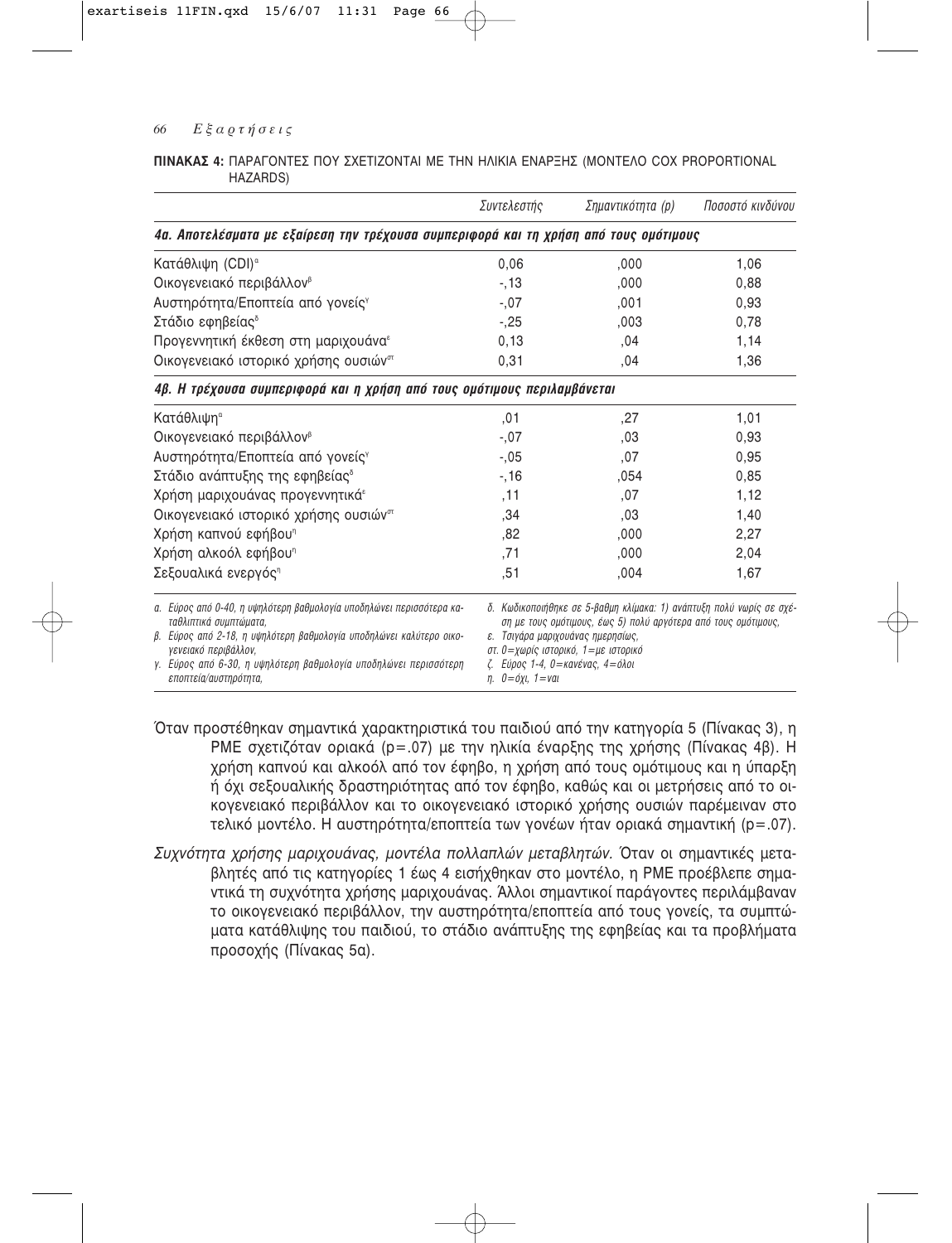# **ΠΙΝΑΚΑΣ 4:** ΠΑΡΑΓΟΝΤΕΣ ΠΟΥ ΣΧΕΤΙΖΟΝΤΑΙ ΜΕ ΤΗΝ ΗΛΙΚΙΑ ΕΝΑΡΞΗΣ (MONTEΛΟ COX PROPORTIONAL HAZARDS)

|                                                                                                                                                                                                                                                                                            | Συντελεστής                                                                                                                                                                                                                                                                                                             | Σημαντικότητα (p) | Ποσοστό κινδύνου |  |
|--------------------------------------------------------------------------------------------------------------------------------------------------------------------------------------------------------------------------------------------------------------------------------------------|-------------------------------------------------------------------------------------------------------------------------------------------------------------------------------------------------------------------------------------------------------------------------------------------------------------------------|-------------------|------------------|--|
| 4α. Αποτελέσματα με εξαίρεση την τρέχουσα συμπεριφορά και τη χρήση από τους ομότιμους                                                                                                                                                                                                      |                                                                                                                                                                                                                                                                                                                         |                   |                  |  |
| Κατάθλιψη (CDI) <sup>a</sup>                                                                                                                                                                                                                                                               | 0.06                                                                                                                                                                                                                                                                                                                    | ,000              | 1,06             |  |
| Οικογενειακό περιβάλλον <sup>β</sup>                                                                                                                                                                                                                                                       | $-13$                                                                                                                                                                                                                                                                                                                   | ,000              | 0,88             |  |
| Αυστηρότητα/Εποπτεία από γονείς"                                                                                                                                                                                                                                                           | $-.07$                                                                                                                                                                                                                                                                                                                  | ,001              | 0,93             |  |
| Στάδιο εφηβείας <sup>δ</sup>                                                                                                                                                                                                                                                               | $-25$                                                                                                                                                                                                                                                                                                                   | ,003              | 0,78             |  |
| Προγεννητική έκθεση στη μαριχουάνα <sup>ε</sup>                                                                                                                                                                                                                                            | 0, 13                                                                                                                                                                                                                                                                                                                   | 0.04              | 1,14             |  |
| Οικογενειακό ιστορικό χρήσης ουσιών <sup>στ</sup>                                                                                                                                                                                                                                          | 0,31                                                                                                                                                                                                                                                                                                                    | ,04               | 1,36             |  |
| 4β. Η τρέχουσα συμπεριφορά και η χρήση από τους ομότιμους περιλαμβάνεται                                                                                                                                                                                                                   |                                                                                                                                                                                                                                                                                                                         |                   |                  |  |
| Κατάθλιψη <sup>α</sup>                                                                                                                                                                                                                                                                     | ,01                                                                                                                                                                                                                                                                                                                     | ,27               | 1,01             |  |
| Οικογενειακό περιβάλλον <sup>β</sup>                                                                                                                                                                                                                                                       | $-.07$                                                                                                                                                                                                                                                                                                                  | 03                | 0,93             |  |
| Αυστηρότητα/Εποπτεία από γονείς"                                                                                                                                                                                                                                                           | $-.05$                                                                                                                                                                                                                                                                                                                  | ,07               | 0,95             |  |
| Στάδιο ανάπτυξης της εφηβείας <sup>δ</sup>                                                                                                                                                                                                                                                 | $-16$                                                                                                                                                                                                                                                                                                                   | ,054              | 0,85             |  |
| Χρήση μαριχουάνας προγεννητικά <sup>ε</sup>                                                                                                                                                                                                                                                | , 11                                                                                                                                                                                                                                                                                                                    | .07               | 1,12             |  |
| Οικογενειακό ιστορικό χρήσης ουσιών <sup>στ</sup>                                                                                                                                                                                                                                          | , 34                                                                                                                                                                                                                                                                                                                    | ,03               | 1,40             |  |
| Χρήση καπνού εφήβου <sup>η</sup>                                                                                                                                                                                                                                                           | ,82                                                                                                                                                                                                                                                                                                                     | ,000              | 2,27             |  |
| Χρήση αλκοόλ εφήβου"                                                                                                                                                                                                                                                                       | ,71                                                                                                                                                                                                                                                                                                                     | ,000              | 2,04             |  |
| Σεξουαλικά ενεργός"                                                                                                                                                                                                                                                                        | .51                                                                                                                                                                                                                                                                                                                     | 004               | 1,67             |  |
| α. Εύρος από 0-40, η υψηλότερη βαθμολογία υποδηλώνει περισσότερα κα-<br>ταθλιπτικά συμπτώματα,<br>β. Εύρος από 2-18, η υψηλότερη βαθμολογία υποδηλώνει καλύτερο οικο-<br>γενειακό περιβάλλον,<br>γ. Εύρος από 6-30, η υψηλότερη βαθμολογία υποδηλώνει περισσότερη<br>εποπτεία/αυστηρότητα, | δ. Κωδικοποιήθηκε σε 5-βαθμη κλίμακα: 1) ανάπτυξη πολύ νωρίς σε σχέ-<br>ση με τους ομότιμους, έως 5) πολύ αργότερα από τους ομότιμους,<br>ε. Τσιγάρα μαριχουάνας ημερησίως,<br>στ. 0=χωρίς ιστορικό, 1=με ιστορικό<br>ζ. Εύρος 1-4, $0 = \kappa a$ νένας, $4 = 6\lambda$ οι<br>$\eta$ . $0 = \delta \chi$ , $1 = \nu a$ |                   |                  |  |

Όταν προστέθηκαν σημαντικά χαρακτηριστικά του παιδιού από την κατηγορία 5 (Πίνακας 3), η PME σχετιζόταν οριακά (p=.07) με την ηλικία έναρξης της χρήσης (Πίνακας 4β). Η χρήση καπνού και αλκοόλ από τον έφηβο, η χρήση από τους ομότιμους και η ύπαρξη ή όχι σεξουαλικής δραστηριότητας από τον έφηβο, καθώς και οι μετρήσεις από το οικογενειακό περιβάλλον και το οικογενειακό ιστορικό χρήσης ουσιών παρέμειναν στο τελικό μοντέλο. Η αυστηρότητα/εποπτεία των γονέων ήταν οριακά σημαντική (p=.07).

*Συχνότητα χρήσης μαριχουάνας, μοντέλα πολλαπλών μεταβλητών.* Όταν οι σημαντικές μεταβλητές από τις κατηγορίες 1 έως 4 εισήχθηκαν στο μοντέλο, η PME προέβλεπε σημαντικά τη συχνότητα χρήσης μαριχουάνας. Άλλοι σημαντικοί παράγοντες περιλάμβαναν το οικογενειακό περιβάλλον, την αυστηρότητα/εποπτεία από τους γονείς, τα συμπτώματα κατάθλιψης του παιδιού, το στάδιο ανάπτυξης της εφηβείας και τα προβλήματα προσοχής (Πίνακας 5α).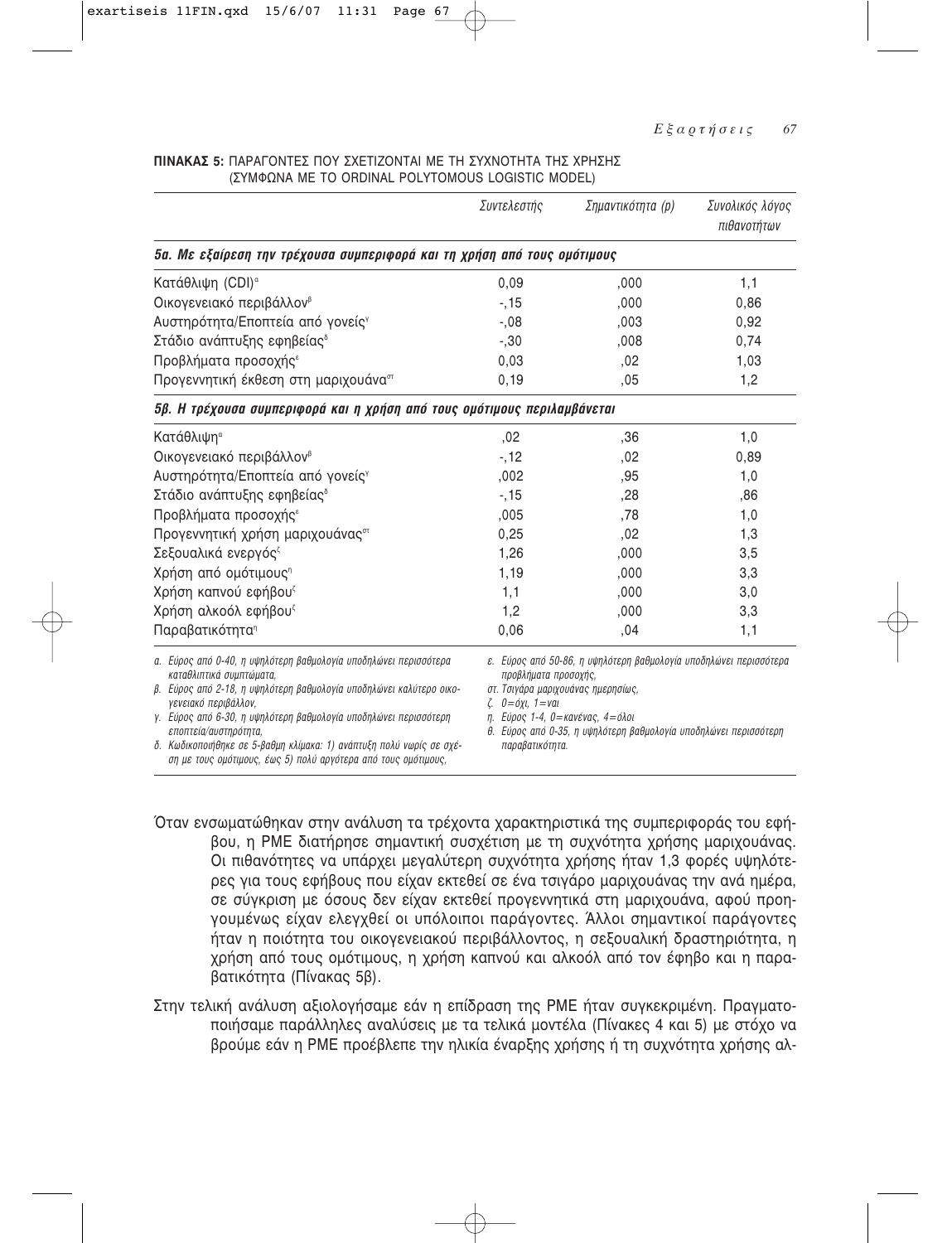# ΠΙΝΑΚΑΣ 5: ΠΑΡΑΓΟΝΤΕΣ ΠΟΥ ΣΧΕΤΙΖΟΝΤΑΙ ΜΕ ΤΗ ΣΥΧΝΟΤΗΤΑ ΤΗΣ ΧΡΗΣΗΣ (ΣΥΜΦΩΝΑ ΜΕ ΤΟ ORDINAL POLYTOMOUS LOGISTIC MODEL)

|                                                                                                                                                                     | Συντελεστής                                                | Σημαντικότητα (p)                                                 | Συνολικός λόγος<br>πιθανοτήτων |
|---------------------------------------------------------------------------------------------------------------------------------------------------------------------|------------------------------------------------------------|-------------------------------------------------------------------|--------------------------------|
| 5α. Με εξαίρεση την τρέχουσα συμπεριφορά και τη χρήση από τους ομότιμους                                                                                            |                                                            |                                                                   |                                |
| Κατάθλιψη (CDI) <sup>a</sup>                                                                                                                                        | 0,09                                                       | ,000                                                              | 1,1                            |
| Οικογενειακό περιβάλλον <sup>β</sup>                                                                                                                                | $-15$                                                      | ,000                                                              | 0,86                           |
| Αυστηρότητα/Εποπτεία από γονείς"                                                                                                                                    | $-0.08$                                                    | ,003                                                              | 0,92                           |
| Στάδιο ανάπτυξης εφηβείας <sup>8</sup>                                                                                                                              | $-.30$                                                     | ,008                                                              | 0,74                           |
| Προβλήματα προσοχής                                                                                                                                                 | 0,03                                                       | ,02                                                               | 1,03                           |
| Προγεννητική έκθεση στη μαριχουάνα <sup>στ</sup>                                                                                                                    | 0, 19                                                      | ,05                                                               | 1,2                            |
| 5β. Η τρέχουσα συμπεριφορά και η χρήση από τους ομότιμους περιλαμβάνεται                                                                                            |                                                            |                                                                   |                                |
| Κατάθλιψη <sup>α</sup>                                                                                                                                              | ,02                                                        | ,36                                                               | 1,0                            |
| Οικογενειακό περιβάλλον <sup>β</sup>                                                                                                                                | $-12$                                                      | ,02                                                               | 0,89                           |
| Αυστηρότητα/Εποπτεία από γονείς"                                                                                                                                    | ,002                                                       | ,95                                                               | 1,0                            |
| Στάδιο ανάπτυξης εφηβείας <sup>δ</sup>                                                                                                                              | $-15$                                                      | ,28                                                               | ,86                            |
| Προβλήματα προσοχής <sup>®</sup>                                                                                                                                    | ,005                                                       | ,78                                                               | 1,0                            |
| Προγεννητική χρήση μαριχουάνας <sup>στ</sup>                                                                                                                        | 0,25                                                       | ,02                                                               | 1,3                            |
| Σεξουαλικά ενεργός <sup>ζ</sup>                                                                                                                                     | 1,26                                                       | ,000                                                              | 3,5                            |
| Χρήση από ομότιμους"                                                                                                                                                | 1,19                                                       | ,000                                                              | 3,3                            |
| Χρήση καπνού εφήβου <sup>ζ</sup>                                                                                                                                    | 1,1                                                        | ,000                                                              | 3,0                            |
| Χρήση αλκοόλ εφήβου <sup>ζ</sup>                                                                                                                                    | 1,2                                                        | 000,                                                              | 3,3                            |
| Παραβατικότητα <sup>η</sup>                                                                                                                                         | 0,06                                                       | ,04                                                               | 1,1                            |
| α. Εύρος από 0-40, η υψηλότερη βαθμολογία υποδηλώνει περισσότερα<br>καταθλιπτικά συμπτώματα,<br>β. Εύρος από 2-18, η υψηλότερη βαθμολογία υποδηλώνει καλύτερο οικο- | προβλήματα προσοχής,<br>στ. Τσιγάρα μαριχουάνας ημερησίως, | ε. Εύρος από 50-86, η υψηλότερη βαθμολογία υποδηλώνει περισσότερα |                                |

γενειακό περιβάλλον,

γ. Εύρος από 6-30, η υψηλότερη βαθμολογία υποδηλώνει περισσότερη εποπτεία/αυστηρότητα.

δ. Κωδικοποιήθηκε σε 5-βαθμη κλίμακα: 1) ανάπτυξη πολύ νωρίς σε σχέση με τους ομότιμους, έως 5) πολύ αργότερα από τους ομότιμους,

 $ζ. 0=óχι, 1=vaι$ 

η. Εύρος 1-4, 0=κανένας, 4=όλοι

θ. Εύρος από 0-35, η υψηλότερη βαθμολογία υποδηλώνει περισσότερη παραβατικότητα.

Όταν ενσωματώθηκαν στην ανάλυση τα τρέχοντα χαρακτηριστικά της συμπεριφοράς του εφήβου, η PME διατήρησε σημαντική συσχέτιση με τη συχνότητα χρήσης μαριχουάνας. Οι πιθανότητες να υπάρχει μεγαλύτερη συχνότητα χρήσης ήταν 1,3 φορές υψηλότερες για τους εφήβους που είχαν εκτεθεί σε ένα τσιγάρο μαριχουάνας την ανά ημέρα, σε σύγκριση με όσους δεν είχαν εκτεθεί προγεννητικά στη μαριχουάνα, αφού προηγουμένως είχαν ελεγχθεί οι υπόλοιποι παράγοντες. Άλλοι σημαντικοί παράγοντες ήταν η ποιότητα του οικογενειακού περιβάλλοντος, η σεξουαλική δραστηριότητα, η χρήση από τους ομότιμους, η χρήση καπνού και αλκοόλ από τον έφηβο και η παραβατικότητα (Πίνακας 5β).

Στην τελική ανάλυση αξιολογήσαμε εάν η επίδραση της ΡΜΕ ήταν συγκεκριμένη. Πραγματοποιήσαμε παράλληλες αναλύσεις με τα τελικά μοντέλα (Πίνακες 4 και 5) με στόχο να βρούμε εάν η PME προέβλεπε την ηλικία έναρξης χρήσης ή τη συχνότητα χρήσης αλ-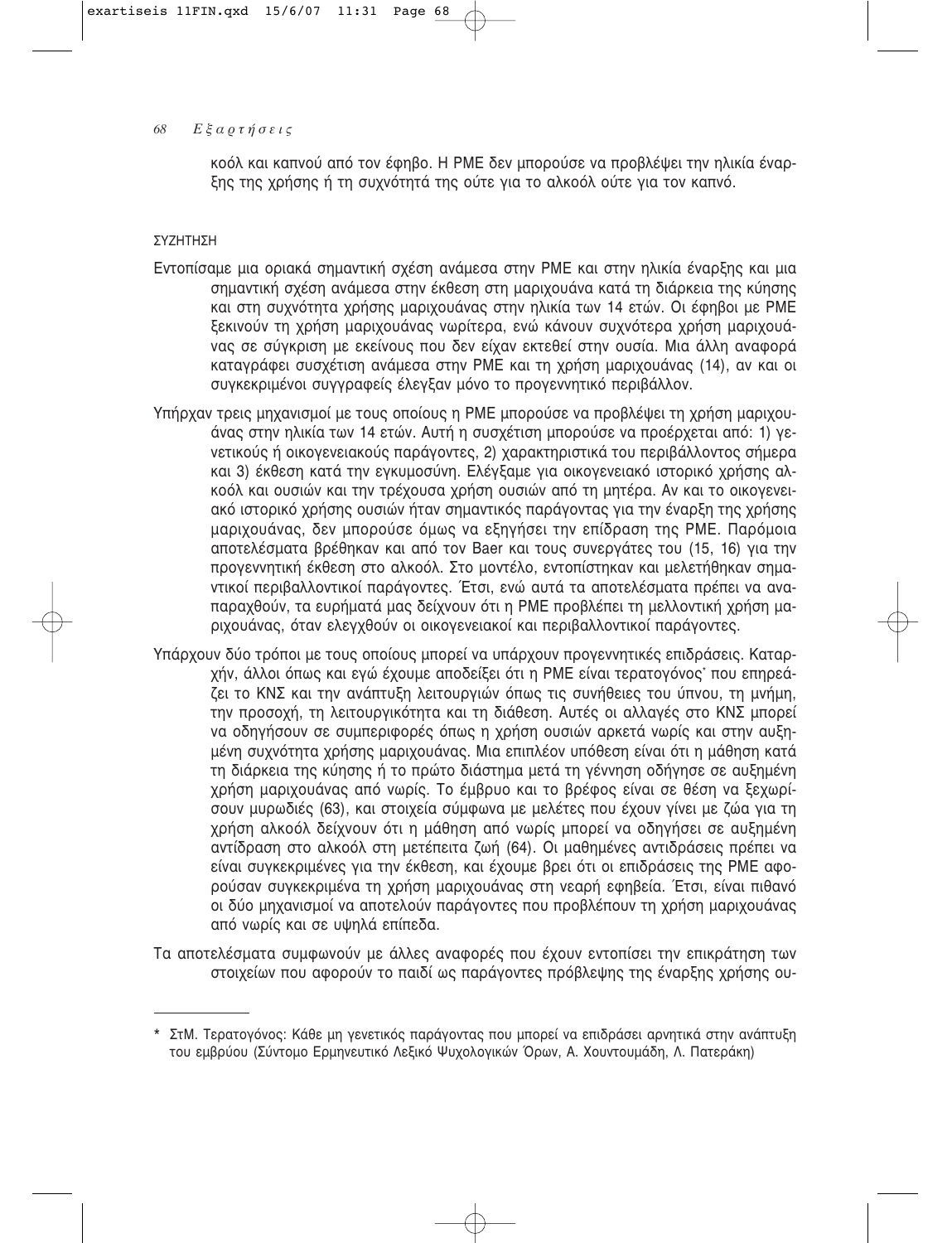κοόλ και καπνού από τον έφηβο. Η PME δεν μπορούσε να προβλέψει την ηλικία έναρξης της χρήσης ή τη συχνότητά της ούτε για το αλκοόλ ούτε για τον καπνό.

### ΣΥΖΗΤΗΣΗ

- Εντοπίσαμε μια οριακά σημαντική σχέση ανάμεσα στην PME και στην ηλικία έναρξης και μια σημαντική σχέση ανάμεσα στην έκθεση στη μαριχουάνα κατά τη διάρκεια της κύησης και στη συχνότητα χρήσης μαριχουάνας στην ηλικία των 14 ετών. Οι έφηβοι με PME ξεκινούν τη χρήση μαριχουάνας νωρίτερα, ενώ κάνουν συχνότερα χρήση μαριχουάνας σε σύγκριση με εκείνους που δεν είχαν εκτεθεί στην ουσία. Μια άλλη αναφορά καταγράφει συσχέτιση ανάμεσα στην PME και τη χρήση μαριχουάνας (14), αν και οι συγκεκριμένοι συγγραφείς έλεγξαν μόνο το προγεννητικό περιβάλλον.
- Υπήρχαν τρεις μηχανισμοί με τους οποίους η PME μπορούσε να προβλέψει τη χρήση μαριχουάνας στην ηλικία των 14 ετών. Αυτή η συσχέτιση μπορούσε να προέρχεται από: 1) γενετικούς ή οικογενειακούς παράγοντες, 2) χαρακτηριστικά του περιβάλλοντος σήμερα και 3) έκθεση κατά την εγκυμοσύνη. Ελέγξαμε για οικογενειακό ιστορικό χρήσης αλκοόλ και ουσιών και την τρέχουσα χρήση ουσιών από τη μητέρα. Αν και το οικογενειακό ιστορικό χρήσης ουσιών ήταν σημαντικός παράγοντας για την έναρξη της χρήσης μαριχουάνας, δεν μπορούσε όμως να εξηγήσει την επίδραση της ΡΜΕ. Παρόμοια αποτελέσματα βρέθηκαν και από τον Baer και τους συνεργάτες του (15, 16) για την προγεννητική έκθεση στο αλκοόλ. Στο μοντέλο, εντοπίστηκαν και μελετήθηκαν σημαντικοί περιβαλλοντικοί παράγοντες. Έτσι, ενώ αυτά τα αποτελέσματα πρέπει να αναπαραχθούν, τα ευρήματά μας δείχνουν ότι η ΡΜΕ προβλέπει τη μελλοντική χρήση μαριχουάνας, όταν ελεγχθούν οι οικογενειακοί και περιβαλλοντικοί παράγοντες.
- Υπάρχουν δύο τρόποι με τους οποίους μπορεί να υπάρχουν προγεννητικές επιδράσεις. Καταρχήν, άλλοι όπως και εγώ έχουμε αποδείξει ότι η PME είναι τερατογόνος<sup>\*</sup> που επηρεάζει το ΚΝΣ και την ανάπτυξη λειτουργιών όπως τις συνήθειες του ύπνου, τη μνήμη, την προσοχή, τη λειτουργικότητα και τη διάθεση. Αυτές οι αλλαγές στο ΚΝΣ μπορεί να οδηγήσουν σε συμπεριφορές όπως η χρήση ουσιών αρκετά νωρίς και στην αυξημένη συχνότητα χρήσης μαριχουάνας. Μια επιπλέον υπόθεση είναι ότι η μάθηση κατά τη διάρκεια της κύησης ή το πρώτο διάστημα μετά τη γέννηση οδήγησε σε αυξημένη χρήση μαριχουάνας από νωρίς. Το έμβρυο και το βρέφος είναι σε θέση να ξεχωρίσουν μυρωδιές (63), και στοιχεία σύμφωνα με μελέτες που έχουν γίνει με ζώα για τη χρήση αλκοόλ δείχνουν ότι η μάθηση από νωρίς μπορεί να οδηγήσει σε αυξημένη αντίδραση στο αλκοόλ στη μετέπειτα ζωή (64). Οι μαθημένες αντιδράσεις πρέπει να είναι συγκεκριμένες για την έκθεση, και έχουμε βρει ότι οι επιδράσεις της PME αφορούσαν συγκεκριμένα τη χρήση μαριχουάνας στη νεαρή εφηβεία. Έτσι, είναι πιθανό οι δύο μηχανισμοί να αποτελούν παράγοντες που προβλέπουν τη χρήση μαριχουάνας από νωρίς και σε υψηλά επίπεδα.
- Τα αποτελέσματα συμφωνούν με άλλες αναφορές που έχουν εντοπίσει την επικράτηση των στοιχείων που αφορούν το παιδί ως παράγοντες πρόβλεψης της έναρξης χρήσης ου-

<sup>\*</sup> ΣτΜ. Τερατογόνος: Κάθε μη γενετικός παράγοντας που μπορεί να επιδράσει αρνητικά στην ανάπτυξη του εμβρύου (Σύντομο Ερμηνευτικό Λεξικό Ψυχολογικών Όρων, Α. Χουντουμάδη, Λ. Πατεράκη)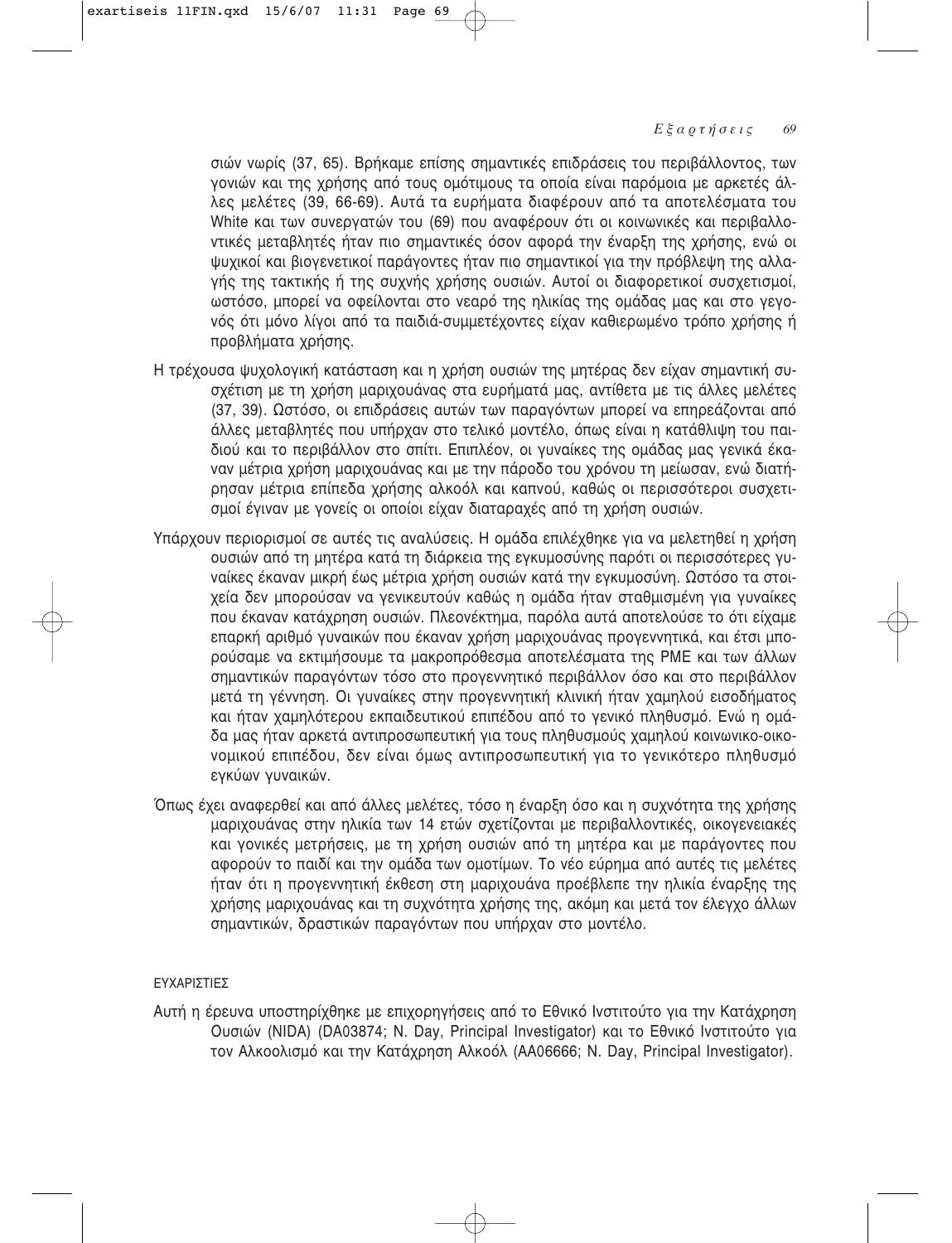σιών νωρίς (37, 65). Βρήκαμε επίσης σημαντικές επιδράσεις του περιβάλλοντος, των VOVIών και της χρήσης από τους ομότιμους τα οποία είναι παρόμοια με αρκετές άλλες μελέτες (39, 66-69). Αυτά τα ευρήματα διαφέρουν από τα αποτελέσματα του White και των συνεργατών του (69) που αναφέρουν ότι οι κοινωνικές και περιβαλλοντικές μεταβλητές ήταν πιο σημαντικές όσον αφορά την έναρξη της χρήσης, ενώ οι ψυχικοί και βιογενετικοί παράγοντες ήταν πιο σημαντικοί για την πρόβλεψη της αλλαγής της τακτικής ή της συχνής χρήσης ουσιών. Αυτοί οι διαφορετικοί συσχετισμοί, ωστόσο, μπορεί να οφείλονται στο νεαρό της ηλικίας της ομάδας μας και στο γεγονός ότι μόνο λίγοι από τα παιδιά-συμμετέχοντες είχαν καθιερωμένο τρόπο χρήσης ή προβλήματα χρήσης.

- Η τρέχουσα ψυχολογική κατάσταση και η χρήση ουσιών της μητέρας δεν είχαν σημαντική συσχέτιση με τη χρήση μαριχουάνας στα ευρήματά μας, αντίθετα με τις άλλες μελέτες (37, 39). Ωστόσο, οι επιδράσεις αυτών των παραγόντων μπορεί να επηρεάζονται από άλλες μεταβλητές που υπήρχαν στο τελικό μοντέλο, όπως είναι η κατάθλιψη του παιδιού και το περιβάλλον στο σπίτι. Επιπλέον, οι γυναίκες της ομάδας μας γενικά έκαvαν μέτρια χρήση μαριχουάνας και με την πάροδο του χρόνου τη μείωσαν, ενώ διατήρησαν μέτρια επίπεδα χρήσης αλκοόλ και καπνού, καθώς οι περισσότεροι συσχετισμοί έγιναν με γονείς οι οποίοι είχαν διαταραχές από τη χρήση ουσιών.
- Υπάρχουν περιορισμοί σε αυτές τις αναλύσεις. Η ομάδα επιλέχθηκε για να μελετηθεί η χρήση ουσιών από τη μητέρα κατά τη διάρκεια της εγκυμοσύνης παρότι οι περισσότερες γυναίκες έκαναν μικρή έως μέτρια χρήση ουσιών κατά την εγκυμοσύνη. Ωστόσο τα στοιχεία δεν μπορούσαν να γενικευτούν καθώς η ομάδα ήταν σταθμισμένη για γυναίκες που έκαναν κατάχρηση ουσιών. Πλεονέκτημα, παρόλα αυτά αποτελούσε το ότι είχαμε επαρκή αριθμό γυναικών που έκαναν χρήση μαριχουάνας προγεννητικά, και έτσι μπορούσαμε να εκτιμήσουμε τα μακροπρόθεσμα αποτελέσματα της PME και των άλλων σημαντικών παραγόντων τόσο στο προγεννητικό περιβάλλον όσο και στο περιβάλλον μετά τη γέννηση. Οι γυναίκες στην προγεννητική κλινική ήταν χαμηλού εισοδήματος και ήταν χαμηλότερου εκπαιδευτικού επιπέδου από το νενικό πληθυσμό. Ενώ η ομάδα μας ήταν αρκετά αντιπροσωπευτική για τους πληθυσμούς χαμηλού κοινωνικο-οικο-VΟμικού επιπέδου, δεν είναι όμως αντιπροσωπευτική για το γενικότερο πληθυσμό ενκύων νυναικών.
- Όπως έχει αναφερθεί και από άλλες μελέτες, τόσο η έναρξη όσο και η συχνότητα της χρήσης μαριχουάνας στην ηλικία των 14 ετών σχετίζονται με περιβαλλοντικές, οικογενειακές και νονικές μετρήσεις, με τη χρήση ουσιών από τη μητέρα και με παράνοντες που αφορούν το παιδί και την ομάδα των ομοτίμων. Το νέο εύρημα από αυτές τις μελέτες ήταν ότι η προγεννητική έκθεση στη μαριχουάνα προέβλεπε την ηλικία έναρξης της χρήσης μαριχουάνας και τη συχνότητα χρήσης της, ακόμη και μετά τον έλεγχο άλλων σημαντικών, δραστικών παραγόντων που υπήρχαν στο μοντέλο.

# ΕΥΧΑΡΙΣΤΙΕΣ

Aυτή η έρευνα υποστηρίχθηκε με επιχορηγήσεις από το Εθνικό Ινστιτούτο για την Κατάχρηση Ουσιών (NIDA) (DA03874; N. Day, Principal Investigator) και το Εθνικό Ινστιτούτο για τον Αλκοολισμό και την Κατάχρηση Αλκοόλ (AA06666; N. Day, Principal Investigator).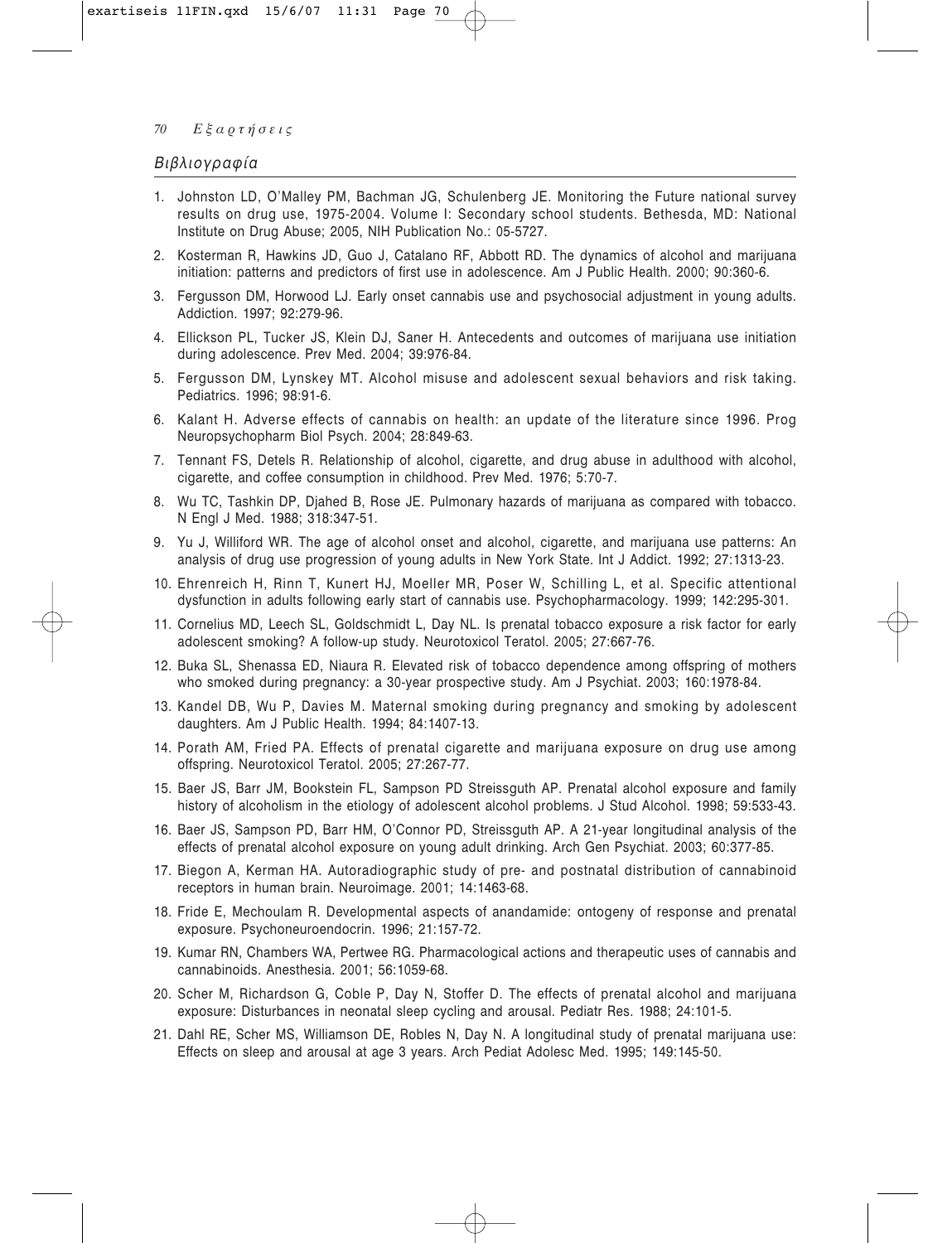### *Bιβλιογραφία*

- 1. Johnston LD, O'Malley PM, Bachman JG, Schulenberg JE. Monitoring the Future national survey results on drug use, 1975-2004. Volume I: Secondary school students. Bethesda, MD: National Institute on Drug Abuse; 2005, NIH Publication No.: 05-5727.
- 2. Kosterman R, Hawkins JD, Guo J, Catalano RF, Abbott RD. The dynamics of alcohol and marijuana initiation: patterns and predictors of first use in adolescence. Am J Public Health. 2000; 90:360-6.
- 3. Fergusson DM, Horwood LJ. Early onset cannabis use and psychosocial adjustment in young adults. Addiction. 1997; 92:279-96.
- 4. Ellickson PL, Tucker JS, Klein DJ, Saner H. Antecedents and outcomes of marijuana use initiation during adolescence. Prev Med. 2004; 39:976-84.
- 5. Fergusson DM, Lynskey MT. Alcohol misuse and adolescent sexual behaviors and risk taking. Pediatrics. 1996; 98:91-6.
- 6. Kalant H. Adverse effects of cannabis on health: an update of the literature since 1996. Prog Neuropsychopharm Biol Psych. 2004; 28:849-63.
- 7. Tennant FS, Detels R. Relationship of alcohol, cigarette, and drug abuse in adulthood with alcohol, cigarette, and coffee consumption in childhood. Prev Med. 1976; 5:70-7.
- 8. Wu TC, Tashkin DP, Djahed B, Rose JE. Pulmonary hazards of marijuana as compared with tobacco. N Engl J Med. 1988; 318:347-51.
- 9. Yu J, Williford WR. The age of alcohol onset and alcohol, cigarette, and marijuana use patterns: An analysis of drug use progression of young adults in New York State. Int J Addict. 1992; 27:1313-23.
- 10. Ehrenreich H, Rinn T, Kunert HJ, Moeller MR, Poser W, Schilling L, et al. Specific attentional dysfunction in adults following early start of cannabis use. Psychopharmacology. 1999; 142:295-301.
- 11. Cornelius MD, Leech SL, Goldschmidt L, Day NL. Is prenatal tobacco exposure a risk factor for early adolescent smoking? A follow-up study. Neurotoxicol Teratol. 2005; 27:667-76.
- 12. Buka SL, Shenassa ED, Niaura R. Elevated risk of tobacco dependence among offspring of mothers who smoked during pregnancy: a 30-year prospective study. Am J Psychiat. 2003; 160:1978-84.
- 13. Kandel DB, Wu P, Davies M. Maternal smoking during pregnancy and smoking by adolescent daughters. Am J Public Health. 1994; 84:1407-13.
- 14. Porath AM, Fried PA. Effects of prenatal cigarette and marijuana exposure on drug use among offspring. Neurotoxicol Teratol. 2005; 27:267-77.
- 15. Baer JS, Barr JM, Bookstein FL, Sampson PD Streissguth AP. Prenatal alcohol exposure and family history of alcoholism in the etiology of adolescent alcohol problems. J Stud Alcohol. 1998; 59:533-43.
- 16. Baer JS, Sampson PD, Barr HM, O'Connor PD, Streissguth AP. A 21-year longitudinal analysis of the effects of prenatal alcohol exposure on young adult drinking. Arch Gen Psychiat. 2003; 60:377-85.
- 17. Biegon A, Kerman HA. Autoradiographic study of pre- and postnatal distribution of cannabinoid receptors in human brain. Neuroimage. 2001; 14:1463-68.
- 18. Fride E, Mechoulam R. Developmental aspects of anandamide: ontogeny of response and prenatal exposure. Psychoneuroendocrin. 1996; 21:157-72.
- 19. Kumar RN, Chambers WA, Pertwee RG. Pharmacological actions and therapeutic uses of cannabis and cannabinoids. Anesthesia. 2001; 56:1059-68.
- 20. Scher M, Richardson G, Coble P, Day N, Stoffer D. The effects of prenatal alcohol and marijuana exposure: Disturbances in neonatal sleep cycling and arousal. Pediatr Res. 1988; 24:101-5.
- 21. Dahl RE, Scher MS, Williamson DE, Robles N, Day N. A longitudinal study of prenatal marijuana use: Effects on sleep and arousal at age 3 years. Arch Pediat Adolesc Med. 1995; 149:145-50.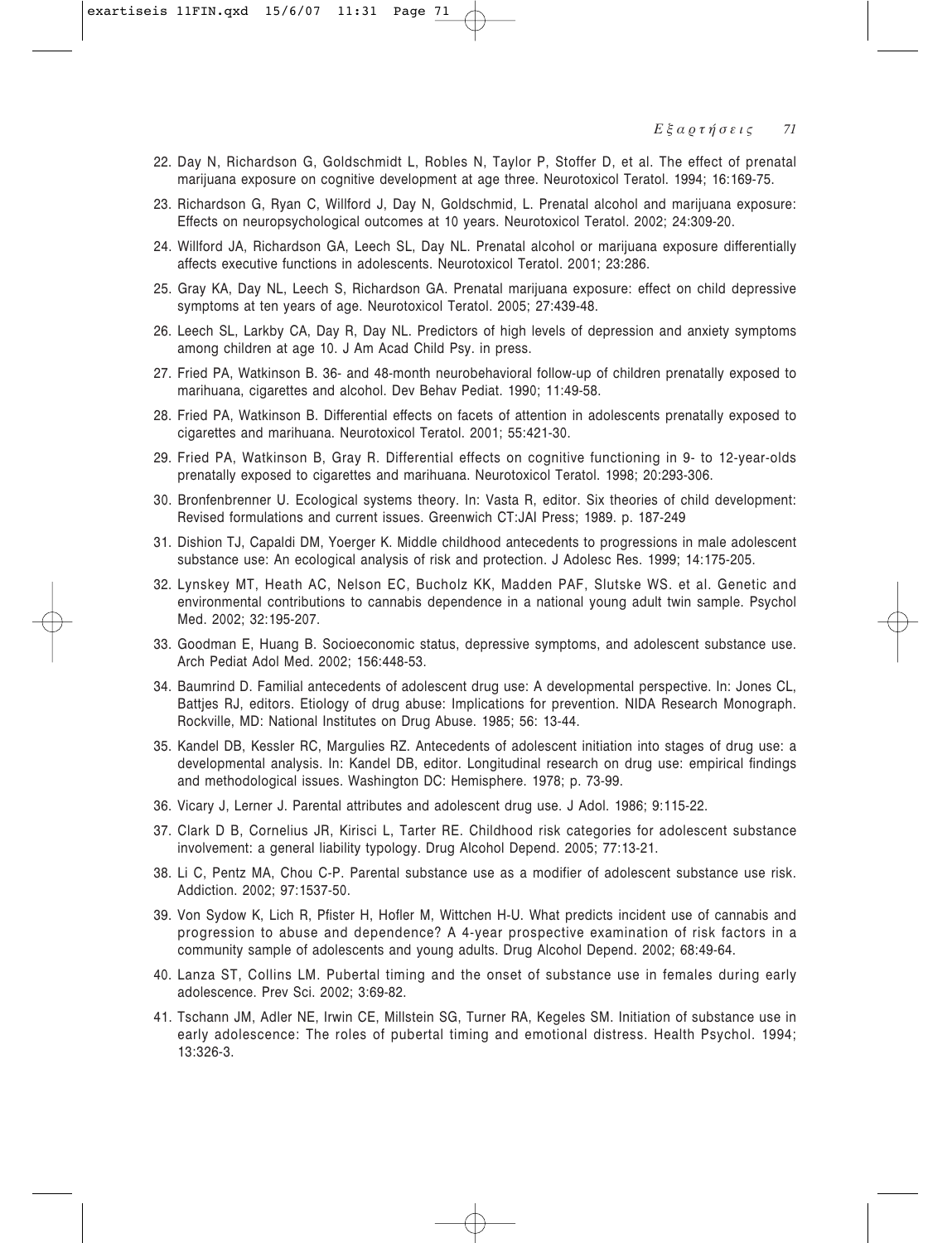exartiseis  $11FIN.qxd$   $15/6/07$   $11:31$  Page

- 22. Day N, Richardson G, Goldschmidt L, Robles N, Taylor P, Stoffer D, et al. The effect of prenatal marijuana exposure on cognitive development at age three. Neurotoxicol Teratol. 1994; 16:169-75.
- 23. Richardson G, Ryan C, Willford J, Day N, Goldschmid, L. Prenatal alcohol and marijuana exposure: Effects on neuropsychological outcomes at 10 years. Neurotoxicol Teratol. 2002; 24:309-20.
- 24. Willford JA, Richardson GA, Leech SL, Day NL. Prenatal alcohol or marijuana exposure differentially affects executive functions in adolescents. Neurotoxicol Teratol. 2001; 23:286.
- 25. Gray KA, Day NL, Leech S, Richardson GA. Prenatal marijuana exposure: effect on child depressive symptoms at ten years of age. Neurotoxicol Teratol. 2005; 27:439-48.
- 26. Leech SL, Larkby CA, Day R, Day NL. Predictors of high levels of depression and anxiety symptoms among children at age 10. J Am Acad Child Psy. in press.
- 27. Fried PA, Watkinson B. 36- and 48-month neurobehavioral follow-up of children prenatally exposed to marihuana, cigarettes and alcohol. Dev Behav Pediat. 1990; 11:49-58.
- 28. Fried PA, Watkinson B. Differential effects on facets of attention in adolescents prenatally exposed to cigarettes and marihuana. Neurotoxicol Teratol. 2001; 55:421-30.
- 29. Fried PA, Watkinson B, Gray R. Differential effects on cognitive functioning in 9- to 12-year-olds prenatally exposed to cigarettes and marihuana. Neurotoxicol Teratol. 1998; 20:293-306.
- 30. Bronfenbrenner U. Ecological systems theory. In: Vasta R, editor. Six theories of child development: Revised formulations and current issues. Greenwich CT:JAI Press; 1989. p. 187-249
- 31. Dishion TJ, Capaldi DM, Yoerger K. Middle childhood antecedents to progressions in male adolescent substance use: An ecological analysis of risk and protection. J Adolesc Res. 1999; 14:175-205.
- 32. Lynskey MT, Heath AC, Nelson EC, Bucholz KK, Madden PAF, Slutske WS. et al. Genetic and environmental contributions to cannabis dependence in a national young adult twin sample. Psychol Med. 2002; 32:195-207.
- 33. Goodman E, Huang B. Socioeconomic status, depressive symptoms, and adolescent substance use. Arch Pediat Adol Med. 2002; 156:448-53.
- 34. Baumrind D. Familial antecedents of adolescent drug use: A developmental perspective. In: Jones CL, Battjes RJ, editors. Etiology of drug abuse: Implications for prevention. NIDA Research Monograph. Rockville, MD: National Institutes on Drug Abuse. 1985; 56: 13-44.
- 35. Kandel DB, Kessler RC, Margulies RZ. Antecedents of adolescent initiation into stages of drug use: a developmental analysis. In: Kandel DB, editor. Longitudinal research on drug use: empirical findings and methodological issues. Washington DC: Hemisphere. 1978; p. 73-99.
- 36. Vicary J, Lerner J. Parental attributes and adolescent drug use. J Adol. 1986; 9:115-22.
- 37. Clark D B, Cornelius JR, Kirisci L, Tarter RE. Childhood risk categories for adolescent substance involvement: a general liability typology. Drug Alcohol Depend. 2005; 77:13-21.
- 38. Li C, Pentz MA, Chou C-P. Parental substance use as a modifier of adolescent substance use risk. Addiction. 2002; 97:1537-50.
- 39. Von Sydow K, Lich R, Pfister H, Hofler M, Wittchen H-U. What predicts incident use of cannabis and progression to abuse and dependence? A 4-year prospective examination of risk factors in a community sample of adolescents and young adults. Drug Alcohol Depend. 2002; 68:49-64.
- 40. Lanza ST, Collins LM. Pubertal timing and the onset of substance use in females during early adolescence. Prev Sci. 2002; 3:69-82.
- 41. Tschann JM, Adler NE, Irwin CE, Millstein SG, Turner RA, Kegeles SM. Initiation of substance use in early adolescence: The roles of pubertal timing and emotional distress. Health Psychol. 1994; 13:326-3.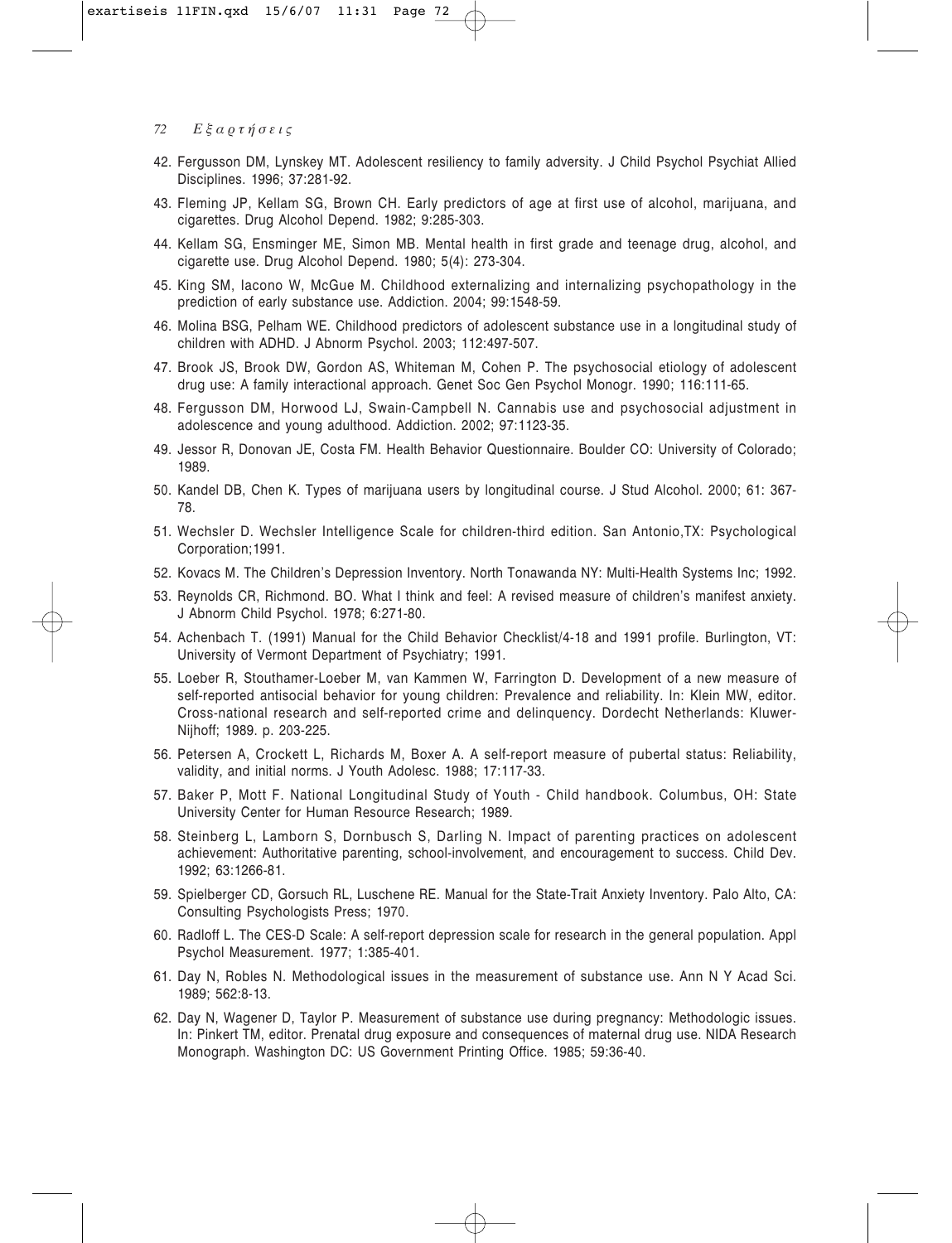- *72 Εξαρτήσεις*
- 42. Fergusson DM, Lynskey MT. Adolescent resiliency to family adversity. J Child Psychol Psychiat Allied Disciplines. 1996; 37:281-92.
- 43. Fleming JP, Kellam SG, Brown CH. Early predictors of age at first use of alcohol, marijuana, and cigarettes. Drug Alcohol Depend. 1982; 9:285-303.
- 44. Kellam SG, Ensminger ME, Simon MB. Mental health in first grade and teenage drug, alcohol, and cigarette use. Drug Alcohol Depend. 1980; 5(4): 273-304.
- 45. King SM, Iacono W, McGue M. Childhood externalizing and internalizing psychopathology in the prediction of early substance use. Addiction. 2004; 99:1548-59.
- 46. Molina BSG, Pelham WE. Childhood predictors of adolescent substance use in a longitudinal study of children with ADHD. J Abnorm Psychol. 2003; 112:497-507.
- 47. Brook JS, Brook DW, Gordon AS, Whiteman M, Cohen P. The psychosocial etiology of adolescent drug use: A family interactional approach. Genet Soc Gen Psychol Monogr. 1990; 116:111-65.
- 48. Fergusson DM, Horwood LJ, Swain-Campbell N. Cannabis use and psychosocial adjustment in adolescence and young adulthood. Addiction. 2002; 97:1123-35.
- 49. Jessor R, Donovan JE, Costa FM. Health Behavior Questionnaire. Boulder CO: University of Colorado; 1989.
- 50. Kandel DB, Chen K. Types of marijuana users by longitudinal course. J Stud Alcohol. 2000; 61: 367- 78.
- 51. Wechsler D. Wechsler Intelligence Scale for children-third edition. San Antonio,TX: Psychological Corporation;1991.
- 52. Kovacs M. The Children's Depression Inventory. North Tonawanda NY: Multi-Health Systems Inc; 1992.
- 53. Reynolds CR, Richmond. BO. What I think and feel: A revised measure of children's manifest anxiety. J Abnorm Child Psychol. 1978; 6:271-80.
- 54. Achenbach T. (1991) Manual for the Child Behavior Checklist/4-18 and 1991 profile. Burlington, VT: University of Vermont Department of Psychiatry; 1991.
- 55. Loeber R, Stouthamer-Loeber M, van Kammen W, Farrington D. Development of a new measure of self-reported antisocial behavior for young children: Prevalence and reliability. In: Klein MW, editor. Cross-national research and self-reported crime and delinquency. Dordecht Netherlands: Kluwer-Nijhoff; 1989. p. 203-225.
- 56. Petersen A, Crockett L, Richards M, Boxer A. A self-report measure of pubertal status: Reliability, validity, and initial norms. J Youth Adolesc. 1988; 17:117-33.
- 57. Baker P, Mott F. National Longitudinal Study of Youth Child handbook. Columbus, OH: State University Center for Human Resource Research; 1989.
- 58. Steinberg L, Lamborn S, Dornbusch S, Darling N. Impact of parenting practices on adolescent achievement: Authoritative parenting, school-involvement, and encouragement to success. Child Dev. 1992; 63:1266-81.
- 59. Spielberger CD, Gorsuch RL, Luschene RE. Manual for the State-Trait Anxiety Inventory. Palo Alto, CA: Consulting Psychologists Press; 1970.
- 60. Radloff L. The CES-D Scale: A self-report depression scale for research in the general population. Appl Psychol Measurement. 1977; 1:385-401.
- 61. Day N, Robles N. Methodological issues in the measurement of substance use. Ann N Y Acad Sci. 1989; 562:8-13.
- 62. Day N, Wagener D, Taylor P. Measurement of substance use during pregnancy: Methodologic issues. In: Pinkert TM, editor. Prenatal drug exposure and consequences of maternal drug use. NIDA Research Monograph. Washington DC: US Government Printing Office. 1985; 59:36-40.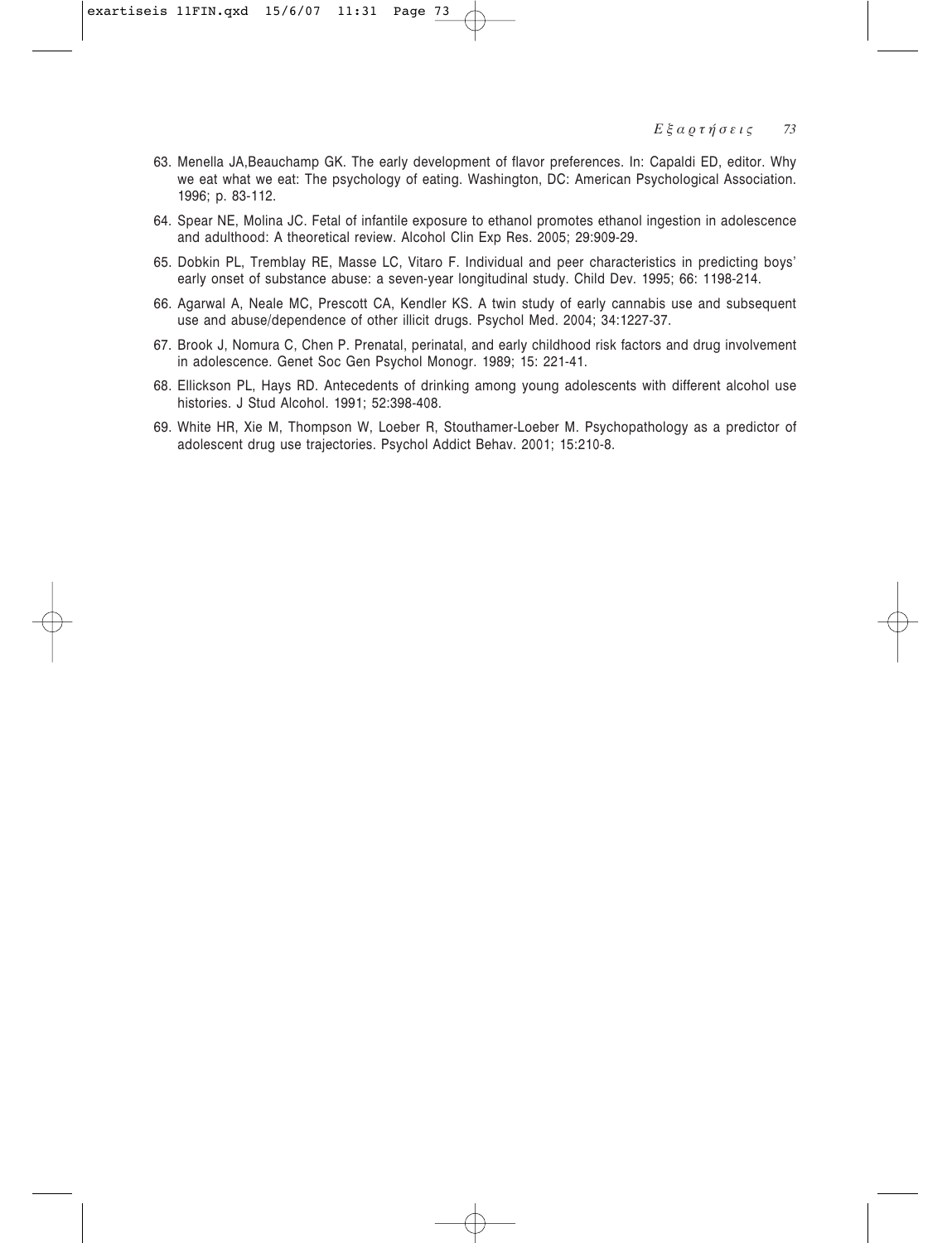exartiseis 11FIN.qxd 15/6/07 11:31 Page 73

- 63. Menella JA,Beauchamp GK. The early development of flavor preferences. In: Capaldi ED, editor. Why we eat what we eat: The psychology of eating. Washington, DC: American Psychological Association. 1996; p. 83-112.
- 64. Spear NE, Molina JC. Fetal of infantile exposure to ethanol promotes ethanol ingestion in adolescence and adulthood: A theoretical review. Alcohol Clin Exp Res. 2005; 29:909-29.
- 65. Dobkin PL, Tremblay RE, Masse LC, Vitaro F. Individual and peer characteristics in predicting boys' early onset of substance abuse: a seven-year longitudinal study. Child Dev. 1995; 66: 1198-214.
- 66. Agarwal A, Neale MC, Prescott CA, Kendler KS. A twin study of early cannabis use and subsequent use and abuse/dependence of other illicit drugs. Psychol Med. 2004; 34:1227-37.
- 67. Brook J, Nomura C, Chen P. Prenatal, perinatal, and early childhood risk factors and drug involvement in adolescence. Genet Soc Gen Psychol Monogr. 1989; 15: 221-41.
- 68. Ellickson PL, Hays RD. Antecedents of drinking among young adolescents with different alcohol use histories. J Stud Alcohol. 1991; 52:398-408.
- 69. White HR, Xie M, Thompson W, Loeber R, Stouthamer-Loeber M. Psychopathology as a predictor of adolescent drug use trajectories. Psychol Addict Behav. 2001; 15:210-8.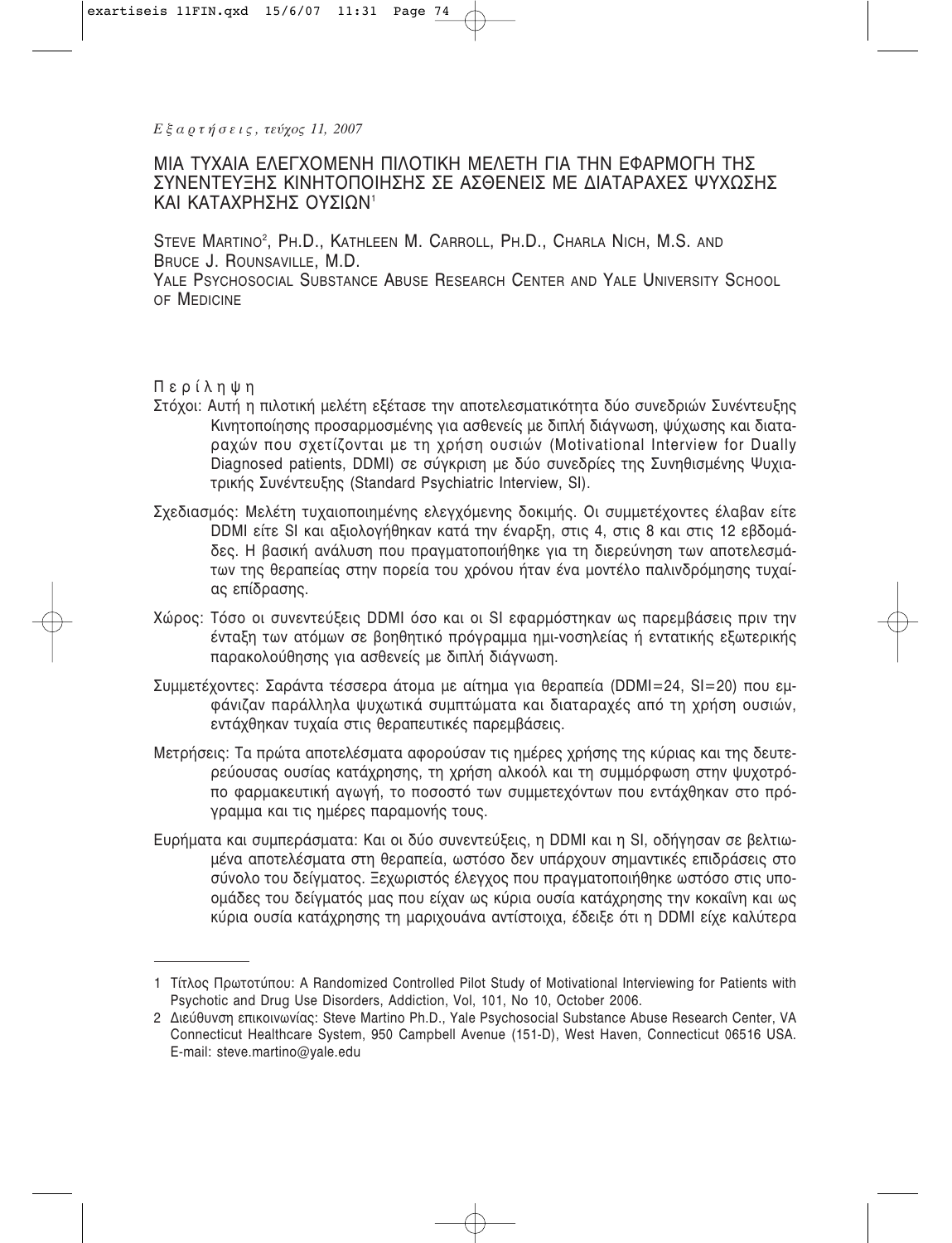*Ε ξ α ρ τ ή σ ε ι ς , τεύχος 11, 2007*

# ΜΙΑ ΤΥΧΑΙΑ ΕΛΕΓΧΟΜΕΝΗ ΠΙΛΟΤΙΚΗ ΜΕΛΕΤΗ ΓΙΑ ΤΗΝ ΕΦΑΡΜΟΓΗ ΤΗΣ ΣΥΝΕΝΤΕΥΞΗΣ ΚΙΝΗΤΟΠΟΙΗΣΗΣ ΣΕ ΑΣΘΕΝΕΙΣ ΜΕ ΔΙΑΤΑΡΑΧΕΣ ΨΥΧΩΣΗΣ ΚΑΙ ΚΑΤΑΧΡΗΣΗΣ ΟΥΣΙΩΝ1

STEVE MARTINO2 , PH.D., KATHLEEN M. CARROLL, PH.D., CHARLA NICH, M.S. AND BRUCE J. ROUNSAVILLE, M.D.

YALE PSYCHOSOCIAL SUBSTANCE ABUSE RESEARCH CENTER AND YALE UNIVERSITY SCHOOL OF MEDICINE

Περίληψη

- Στόχοι: Αυτή η πιλοτική μελέτη εξέτασε την αποτελεσματικότητα δύο συνεδριών Συνέντευξης Κινητοποίησης προσαρμοσμένης για ασθενείς με διπλή διάγνωση, ψύχωσης και διαταραχών που σχετίζονται με τη χρήση ουσιών (Motivational Interview for Dually Diagnosed patients, DDMI) σε σύγκριση με δύο συνεδρίες της Συνηθισμένης Ψυχιατρικής Συνέντευξης (Standard Psychiatric Interview, SI).
- Σχεδιασμός: Μελέτη τυχαιοποιημένης ελεγχόμενης δοκιμής. Οι συμμετέχοντες έλαβαν είτε DDMI είτε SI και αξιολογήθηκαν κατά την έναρξη, στις 4, στις 8 και στις 12 εβδομάδες. Η βασική ανάλυση που πραγματοποιήθηκε για τη διερεύνηση των αποτελεσμάτων της θεραπείας στην πορεία του χρόνου ήταν ένα μοντέλο παλινδρόμησης τυχαίας επίδρασης.
- Χώρος: Τόσο οι συνεντεύξεις DDMI όσο και οι SI εφαρμόστηκαν ως παρεμβάσεις πριν την ένταξη των ατόμων σε βοηθητικό πρόγραμμα ημι-νοσηλείας ή εντατικής εξωτερικής παρακολούθησης για ασθενείς με διπλή διάγνωση.
- Συμμετέχοντες: Σαράντα τέσσερα άτομα με αίτημα για θεραπεία (DDMI=24, SI=20) που εμφάνιζαν παράλληλα ψυχωτικά συμπτώματα και διαταραχές από τη χρήση ουσιών, εντάχθηκαν τυχαία στις θεραπευτικές παρεμβάσεις.
- Μετρήσεις: Τα πρώτα αποτελέσματα αφορούσαν τις ημέρες χρήσης της κύριας και της δευτερεύουσας ουσίας κατάχρησης, τη χρήση αλκοόλ και τη συμμόρφωση στην ψυχοτρόπο φαρμακευτική αγωγή, το ποσοστό των συμμετεχόντων που εντάχθηκαν στο πρόγραμμα και τις ημέρες παραμονής τους.
- Ευρήματα και συμπεράσματα: Και οι δύο συνεντεύξεις, η DDMI και η SI, οδήγησαν σε βελτιωμένα αποτελέσματα στη θεραπεία, ωστόσο δεν υπάρχουν σημαντικές επιδράσεις στο σύνολο του δείγματος. Ξεχωριστός έλεγχος που πραγματοποιήθηκε ωστόσο στις υποομάδες του δείγματός μας που είχαν ως κύρια ουσία κατάχρησης την κοκαΐνη και ως κύρια ουσία κατάχρησης τη μαριχουάνα αντίστοιχα, έδειξε ότι η DDMI είχε καλύτερα

<sup>1</sup> Τίτλος Πρωτοτύπου: A Randomized Controlled Pilot Study of Motivational Interviewing for Patients with Psychotic and Drug Use Disorders, Addiction, Vol, 101, No 10, October 2006.

<sup>2</sup> Διεύθυνση επικοινωνίας: Steve Martino Ph.D., Yale Psychosocial Substance Abuse Research Center, VA Connecticut Healthcare System, 950 Campbell Avenue (151-D), West Haven, Connecticut 06516 USA. E-mail: steve.martino@yale.edu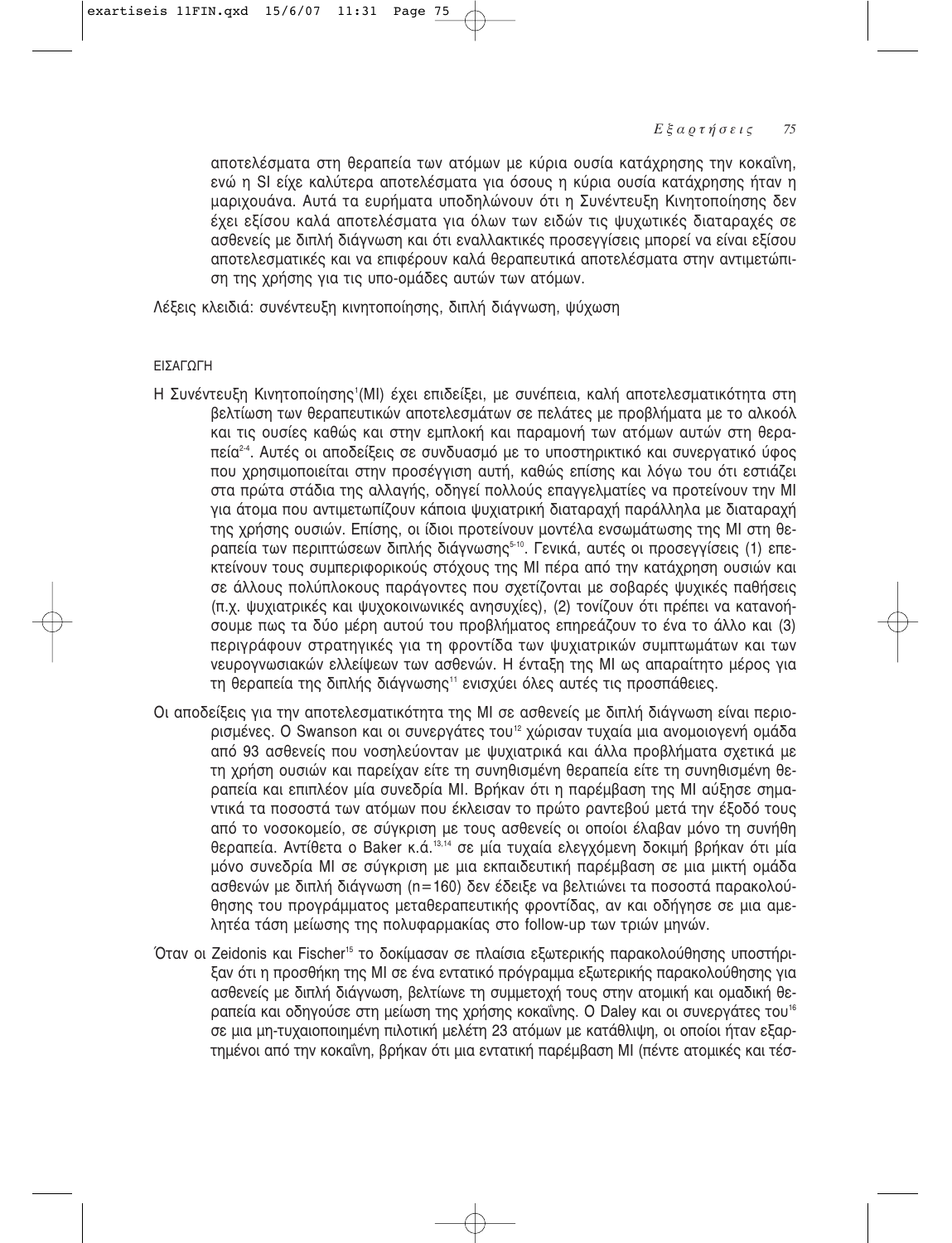αποτελέσματα στη θεραπεία των ατόμων με κύρια ουσία κατάχρησης την κοκαΐνη, ενώ η SI είχε καλύτερα αποτελέσματα για όσους η κύρια ουσία κατάχρησης ήταν η μαριχουάνα. Αυτά τα ευρήματα υποδηλώνουν ότι η Συνέντευξη Κινητοποίησης δεν έχει εξίσου καλά αποτελέσματα για όλων των ειδών τις ψυχωτικές διαταραχές σε ασθενείς με διπλή διάγνωση και ότι εναλλακτικές προσεγγίσεις μπορεί να είναι εξίσου αποτελεσματικές και να επιφέρουν καλά θεραπευτικά αποτελέσματα στην αντιμετώπιση της χρήσης για τις υπο-ομάδες αυτών των ατόμων.

Λέξεις κλειδιά: συνέντευξη κινητοποίησης, διπλή διάγνωση, ψύχωση

# ΕΙΣΑΓΩΓΗ

- Η Συνέντευξη Κινητοποίησης'(MI) έχει επιδείξει, με συνέπεια, καλή αποτελεσματικότητα στη βελτίωση των θεραπευτικών αποτελεσμάτων σε πελάτες με προβλήματα με το αλκοόλ και τις ουσίες καθώς και στην εμπλοκή και παραμονή των ατόμων αυτών στη θεραπεία<sup>24</sup>. Αυτές οι αποδείξεις σε συνδυασμό με το υποστηρικτικό και συνεργατικό ύφος που χρησιμοποιείται στην προσέγγιση αυτή, καθώς επίσης και λόγω του ότι εστιάζει στα πρώτα στάδια της αλλαγής, οδηγεί πολλούς επαγγελματίες να προτείνουν την MI για άτομα που αντιμετωπίζουν κάποια ψυχιατρική διαταραχή παράλληλα με διαταραχή της χρήσης ουσιών. Επίσης, οι ίδιοι προτείνουν μοντέλα ενσωμάτωσης της ΜΙ στη θεραπεία των περιπτώσεων διπλής διάγνωσης<sup>5-10</sup>. Γενικά, αυτές οι προσεγγίσεις (1) επε-Κτείνουν τους συμπεριφορικούς στόχους της ΜΙ πέρα από την κατάχρηση ουσιών και σε άλλους πολύπλοκους παράγοντες που σχετίζονται με σοβαρές ψυχικές παθήσεις (π.χ. ψυχιατρικές και ψυχοκοινωνικές ανησυχίες), (2) τονίζουν ότι πρέπει να κατανοήσουμε πως τα δύο μέρη αυτού του προβλήματος επηρεάζουν το ένα το άλλο και (3) περιγράφουν στρατηγικές για τη φροντίδα των ψυχιατρικών συμπτωμάτων και των νευρογνωσιακών ελλείψεων των ασθενών. Η ένταξη της ΜΙ ως απαραίτητο μέρος για τη θεραπεία της διπλής διάγνωσης<sup>11</sup> ενισχύει όλες αυτές τις προσπάθειες.
- Οι αποδείξεις για την αποτελεσματικότητα της MI σε ασθενείς με διπλή διάγνωση είναι περιορισμένες. Ο Swanson και οι συνεργάτες του<sup>12</sup> χώρισαν τυχαία μια ανομοιογενή ομάδα από 93 ασθενείς που νοσηλεύονταν με ψυχιατρικά και άλλα προβλήματα σχετικά με τη χρήση ουσιών και παρείχαν είτε τη συνηθισμένη θεραπεία είτε τη συνηθισμένη θεραπεία και επιπλέον μία συνεδρία ΜΙ. Βρήκαν ότι η παρέμβαση της ΜΙ αύξησε σημα-Vτικά τα ποσοστά των ατόμων που έκλεισαν το πρώτο ραντεβού μετά την έξοδό τους από το νοσοκομείο, σε σύγκριση με τους ασθενείς οι οποίοι έλαβαν μόνο τη συνήθη θεραπεία. Αντίθετα ο Baker κ.ά.<sup>13,14</sup> σε μία τυχαία ελεγχόμενη δοκιμή βρήκαν ότι μία μόνο συνεδρία MI σε σύγκριση με μια εκπαιδευτική παρέμβαση σε μια μικτή ομάδα ασθενών με διπλή διάννωση (n=160) δεν έδειξε να βελτιώνει τα ποσοστά παρακολούθησης του προγράμματος μεταθεραπευτικής φροντίδας, αν και οδήγησε σε μια αμελητέα τάση μείωσης της πολυφαρμακίας στο follow-up των τριών μηνών.
- Όταν οι Zeidonis και Fischer<sup>15</sup> το δοκίμασαν σε πλαίσια εξωτερικής παρακολούθησης υποστήριξαν ότι η προσθήκη της MI σε ένα εντατικό πρόγραμμα εξωτερικής παρακολούθησης για ασθενείς με διπλή διάγνωση, βελτίωνε τη συμμετοχή τους στην ατομική και ομαδική θεραπεία και οδηγούσε στη μείωση της χρήσης κοκαΐνης. Ο Daley και οι συνεργάτες του<sup>16</sup> σε μια μη-τυχαιοποιημένη πιλοτική μελέτη 23 ατόμων με κατάθλιψη, οι οποίοι ήταν εξαρτημένοι από την κοκαΐνη, βρήκαν ότι μια εντατική παρέμβαση ΜΙ (πέντε ατομικές και τέσ-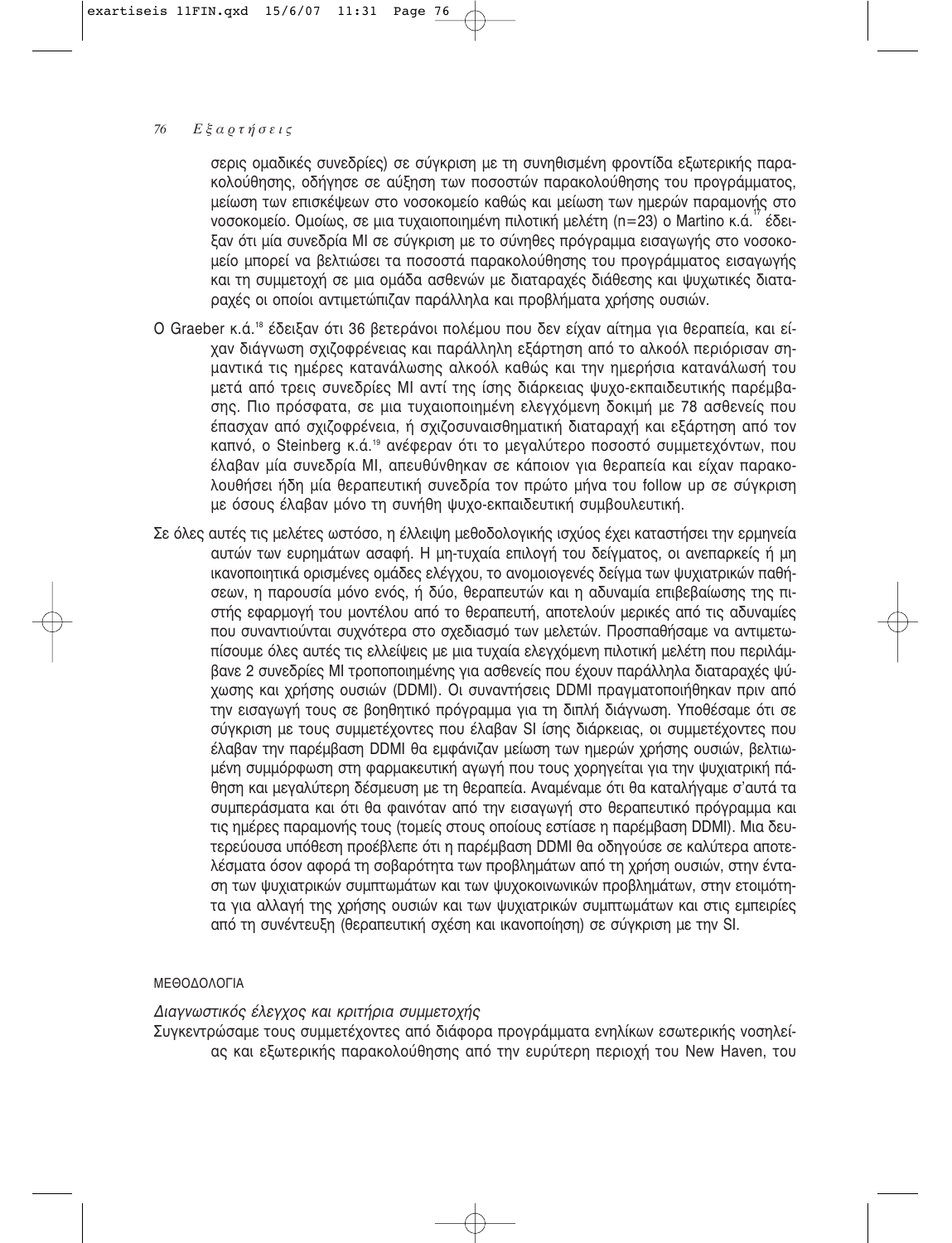σερις ομαδικές συνεδρίες) σε σύγκριση με τη συνηθισμένη φροντίδα εξωτερικής παρα-Κολούθησης, οδήνησε σε αύξηση των ποσοστών παρακολούθησης του προνράμματος, μείωση των επισκέψεων στο νοσοκομείο καθώς και μείωση των ημερών παραμονής στο VΟσοκομείο. Ομοίως, σε μια τυχαιοποιημένη πιλοτική μελέτη (n=23) ο Martino κ.ά.<sup>"</sup> έδειξαν ότι μία συνεδρία MI σε σύγκριση με το σύνηθες πρόγραμμα εισαγωγής στο νοσοκομείο μπορεί να βελτιώσει τα ποσοστά παρακολούθησης του προγράμματος εισαγωγής και τη συμμετοχή σε μια ομάδα ασθενών με διαταραχές διάθεσης και ψυχωτικές διαταραχές οι οποίοι αντιμετώπιζαν παράλληλα και προβλήματα χρήσης ουσιών.

- Ο Graeber κ.ά.<sup>18</sup> έδειξαν ότι 36 βετεράνοι πολέμου που δεν είχαν αίτημα για θεραπεία, και είχαν διάγνωση σχιζοφρένειας και παράλληλη εξάρτηση από το αλκοόλ περιόρισαν σημαντικά τις ημέρες κατανάλωσης αλκοόλ καθώς και την ημερήσια κατανάλωσή του μετά από τρεις συνεδρίες MI αντί της ίσης διάρκειας ψυχο-εκπαιδευτικής παρέμβασης. Πιο πρόσφατα, σε μια τυχαιοποιημένη ελεγχόμενη δοκιμή με 78 ασθενείς που έπασχαν από σχιζοφρένεια, ή σχιζοσυναισθηματική διαταραχή και εξάρτηση από τον καπνό, ο Steinberg κ.ά.<sup>19</sup> ανέφεραν ότι το μεγαλύτερο ποσοστό συμμετεχόντων, που έλαβαν μία συνεδρία ΜΙ, απευθύνθηκαν σε κάποιον για θεραπεία και είχαν παρακολουθήσει ήδη μία θεραπευτική συνεδρία τον πρώτο μήνα του follow up σε σύγκριση με όσους έλαβαν μόνο τη συνήθη ψυχο-εκπαιδευτική συμβουλευτική.
- Σε όλες αυτές τις μελέτες ωστόσο, η έλλειψη μεθοδολογικής ισχύος έχει καταστήσει την ερμηνεία αυτών των ευρημάτων ασαφή. Η μη-τυχαία επιλογή του δείγματος, οι ανεπαρκείς ή μη ικανοποιητικά ορισμένες ομάδες ελέγχου, το ανομοιογενές δείγμα των ψυχιατρικών παθήσεων, η παρουσία μόνο ενός, ή δύο, θεραπευτών και η αδυναμία επιβεβαίωσης της πιστής εφαρμογή του μοντέλου από το θεραπευτή, αποτελούν μερικές από τις αδυναμίες που συναντιούνται συχνότερα στο σχεδιασμό των μελετών. Προσπαθήσαμε να αντιμετωπίσουμε όλες αυτές τις ελλείψεις με μια τυχαία ελεγχόμενη πιλοτική μελέτη που περιλάμβανε 2 συνεδρίες MI τροποποιημένης για ασθενείς που έχουν παράλληλα διαταραχές ψύχωσης και χρήσης ουσιών (DDMI). Οι συναντήσεις DDMI πραγματοποιήθηκαν πριν από την εισαγωγή τους σε βοηθητικό πρόγραμμα για τη διπλή διάγνωση. Υποθέσαμε ότι σε σύγκριση με τους συμμετέχοντες που έλαβαν SI ίσης διάρκειας, οι συμμετέχοντες που έλαβαν την παρέμβαση DDMI θα εμφάνιζαν μείωση των ημερών χρήσης ουσιών, βελτιωμένη συμμόρφωση στη φαρμακευτική αγωγή που τους χορηγείται για την ψυχιατρική πάθηση και μεγαλύτερη δέσμευση με τη θεραπεία. Αναμέναμε ότι θα καταλήγαμε σ'αυτά τα συμπεράσματα και ότι θα φαινόταν από την εισαγωγή στο θεραπευτικό πρόγραμμα και τις ημέρες παραμονής τους (τομείς στους οποίους εστίασε η παρέμβαση DDMI). Μια δευτερεύουσα υπόθεση προέβλεπε ότι η παρέμβαση DDMI θα οδηγούσε σε καλύτερα αποτελέσματα όσον αφορά τη σοβαρότητα των προβλημάτων από τη χρήση ουσιών, στην ένταση των ψυχιατρικών συμπτωμάτων και των ψυχοκοινωνικών προβλημάτων, στην ετοιμότητα για αλλαγή της χρήσης ουσιών και των ψυχιατρικών συμπτωμάτων και στις εμπειρίες από τη συνέντευξη (θεραπευτική σχέση και ικανοποίηση) σε σύγκριση με την SI.

#### ΜΕΘΟΔΟΛΟΓΙΑ

 $\Delta$ ιαγνωστικός έλεγχος και κριτήρια συμμετοχής Συγκεντρώσαμε τους συμμετέχοντες από διάφορα προγράμματα ενηλίκων εσωτερικής νοσηλεί-

ας και εξωτερικής παρακολούθησης από την ευρύτερη περιοχή του New Haven, του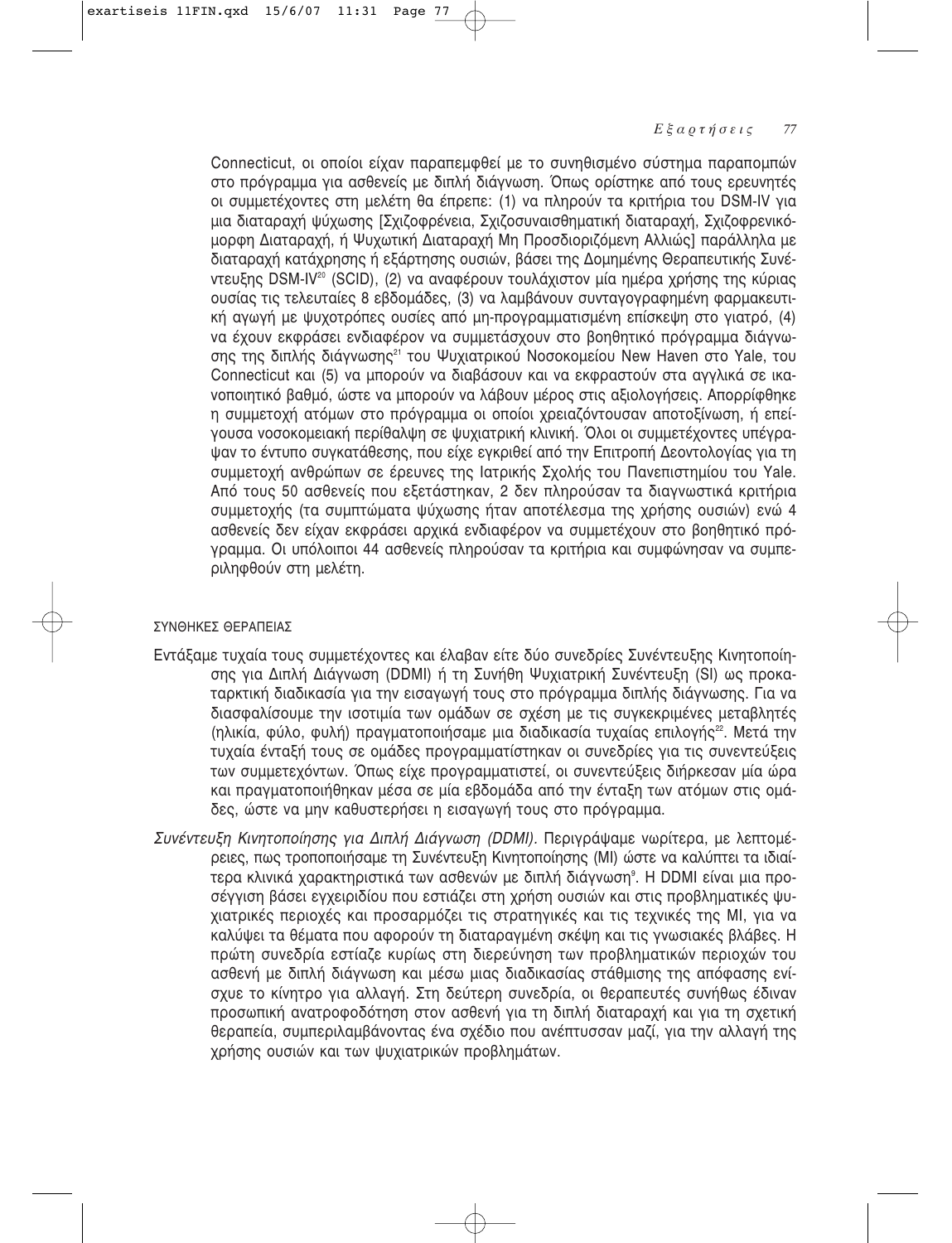Connecticut, οι οποίοι είχαν παραπεμφθεί με το συνηθισμένο σύστημα παραπομπών στο πρόγραμμα για ασθενείς με διπλή διάγνωση. Όπως ορίστηκε από τους ερευνητές οι συμμετέχοντες στη μελέτη θα έπρεπε: (1) να πληρούν τα κριτήρια του DSM-IV για μια διαταραχή ψύχωσης [Σχιζοφρένεια, Σχιζοσυναισθηματική διαταραχή, Σχιζοφρενικόμορφη Διαταραχή, ή Ψυχωτική Διαταραχή Μη Προσδιοριζόμενη Αλλιώς] παράλληλα με διαταραχή κατάχρησης ή εξάρτησης ουσιών, βάσει της Δομημένης Θεραπευτικής Συνέ-VΤευξης DSM-IV<sup>20</sup> (SCID), (2) να αναφέρουν τουλάχιστον μία ημέρα χρήσης της κύριας ουσίας τις τελευταίες 8 εβδομάδες, (3) να λαμβάνουν συνταγογραφημένη φαρμακευτική αγωγή με ψυχοτρόπες ουσίες από μη-προγραμματισμένη επίσκεψη στο γιατρό, (4) να έχουν εκφράσει ενδιαφέρον να συμμετάσχουν στο βοηθητικό πρόγραμμα διάγνωσης της διπλής διάγνωσης<sup>21</sup> του Ψυχιατρικού Νοσοκομείου New Haven στο Yale, του Connecticut και (5) να μπορούν να διαβάσουν και να εκφραστούν στα αγγλικά σε ικανοποιητικό βαθμό, ώστε να μπορούν να λάβουν μέρος στις αξιολογήσεις. Απορρίφθηκε η συμμετοχή ατόμων στο πρόγραμμα οι οποίοι χρειαζόντουσαν αποτοξίνωση, ή επείγουσα νοσοκομειακή περίθαλψη σε ψυχιατρική κλινική. Όλοι οι συμμετέχοντες υπέγραψαν το έντυπο συγκατάθεσης, που είχε εγκριθεί από την Επιτροπή Δεοντολογίας για τη συμμετοχή ανθρώπων σε έρευνες της Ιατρικής Σχολής του Πανεπιστημίου του Yale. Aπό τους 50 ασθενείς που εξετάστηκαν, 2 δεν πληρούσαν τα διαγνωστικά κριτήρια συμμετοχής (τα συμπτώματα ψύχωσης ήταν αποτέλεσμα της χρήσης ουσιών) ενώ 4 ασθενείς δεν είχαν εκφράσει αρχικά ενδιαφέρον να συμμετέχουν στο βοηθητικό πρόγραμμα. Οι υπόλοιποι 44 ασθενείς πληρούσαν τα κριτήρια και συμφώνησαν να συμπεριληφθούν στη μελέτη.

#### ΣΥΝΘΗΚΕΣ ΘΕΡΑΠΕΙΑΣ

- Εντάξαμε τυχαία τους συμμετέχοντες και έλαβαν είτε δύο συνεδρίες Συνέντευξης Κινητοποίησης για Διπλή Διάγνωση (DDMI) ή τη Συνήθη Ψυχιατρική Συνέντευξη (SI) ως προκαταρκτική διαδικασία για την εισαγωγή τους στο πρόγραμμα διπλής διάγνωσης. Για να διασφαλίσουμε την ισοτιμία των ομάδων σε σχέση με τις συγκεκριμένες μεταβλητές (ηλικία, φύλο, φυλή) πραγματοποιήσαμε μια διαδικασία τυχαίας επιλογής<sup>22</sup>. Μετά την τυχαία ένταξή τους σε ομάδες προγραμματίστηκαν οι συνεδρίες για τις συνεντεύξεις των συμμετεχόντων. Όπως είχε προγραμματιστεί, οι συνεντεύξεις διήρκεσαν μία ώρα και πραγματοποιήθηκαν μέσα σε μία εβδομάδα από την ένταξη των ατόμων στις ομάδες, ώστε να μην καθυστερήσει η εισαγωγή τους στο πρόγραμμα.
- *Συνέντευξη Κινητοποίησης για Διπλή Διάγνωση (DDMI).* Περιγράψαμε νωρίτερα, με λεπτομέρειες, πως τροποποιήσαμε τη Συνέντευξη Κινητοποίησης (ΜΙ) ώστε να καλύπτει τα ιδιαίτερα κλινικά χαρακτηριστικά των ασθενών με διπλή διάγνωση°. Η DDMI είναι μια προσέγγιση βάσει εγχειριδίου που εστιάζει στη χρήση ουσιών και στις προβληματικές ψυχιατρικές περιοχές και προσαρμόζει τις στρατηγικές και τις τεχνικές της MI, για να καλύψει τα θέματα που αφορούν τη διαταραγμένη σκέψη και τις γνωσιακές βλάβες. Η πρώτη συνεδρία εστίαζε κυρίως στη διερεύνηση των προβληματικών περιοχών του ασθενή με διπλή διάγνωση και μέσω μιας διαδικασίας στάθμισης της απόφασης ενίσχυε το κίνητρο για αλλαγή. Στη δεύτερη συνεδρία, οι θεραπευτές συνήθως έδιναν προσωπική ανατροφοδότηση στον ασθενή για τη διπλή διαταραχή και για τη σχετική θεραπεία, συμπεριλαμβάνοντας ένα σχέδιο που ανέπτυσσαν μαζί, για την αλλαγή της χρήσης ουσιών και των ψυχιατρικών προβλημάτων.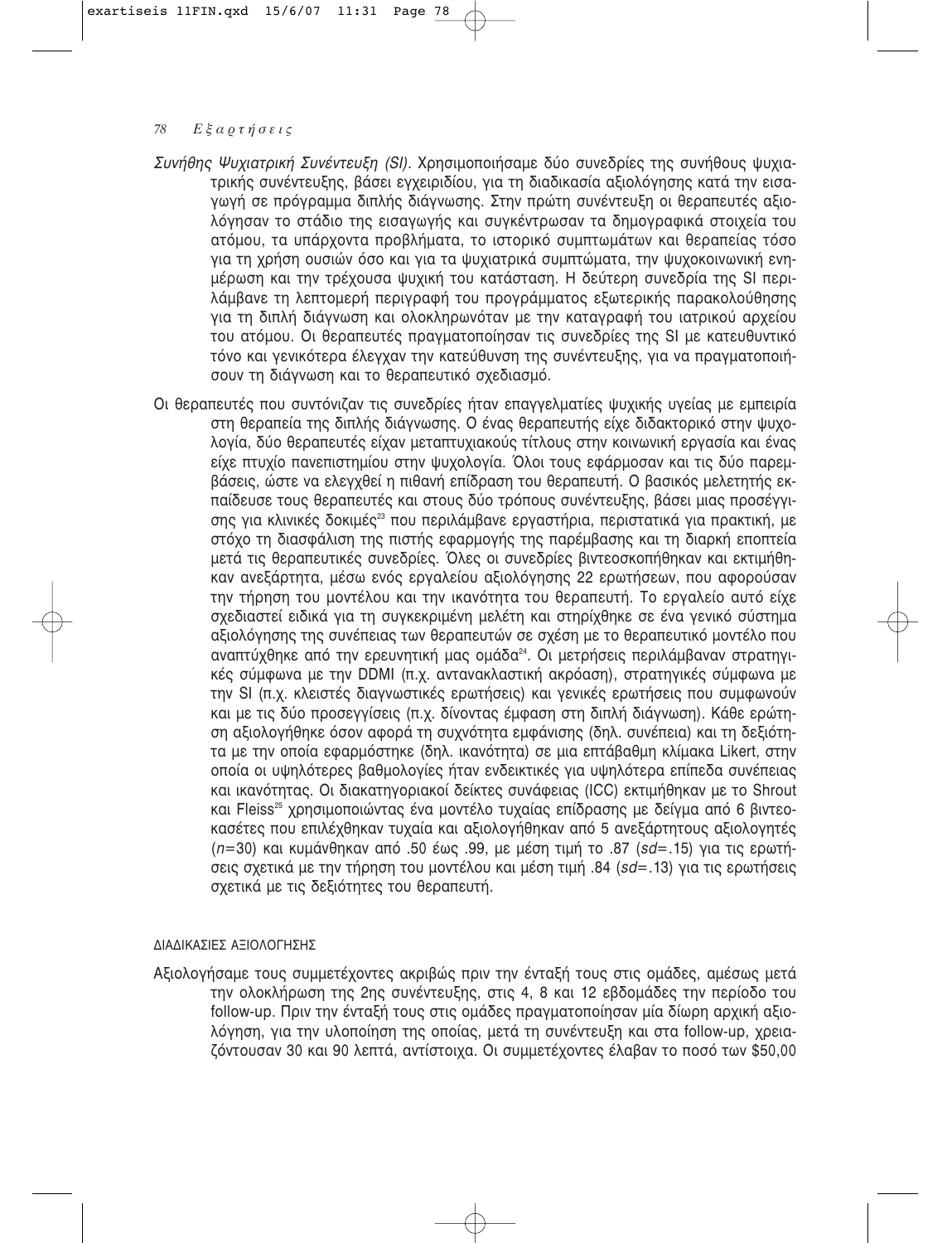- Συνήθης Ψυχιατρική Συνέντευξη (SI). Χρησιμοποιήσαμε δύο συνεδρίες της συνήθους ψυχιατρικής συνέντευξης, βάσει εγχειριδίου, για τη διαδικασία αξιολόγησης κατά την εισαγωγή σε πρόγραμμα διπλής διάγνωσης. Στην πρώτη συνέντευξη οι θεραπευτές αξιολόγησαν το στάδιο της εισαγωγής και συγκέντρωσαν τα δημογραφικά στοιχεία του ατόμου, τα υπάρχοντα προβλήματα, το ιστορικό συμπτωμάτων και θεραπείας τόσο για τη χρήση ουσιών όσο και για τα ψυχιατρικά συμπτώματα, την ψυχοκοινωνική ενημέρωση και την τρέχουσα ψυχική του κατάσταση. Η δεύτερη συνεδρία της SI περιλάμβανε τη λεπτομερή περιγραφή του προγράμματος εξωτερικής παρακολούθησης για τη διπλή διάγνωση και ολοκληρωνόταν με την καταγραφή του ιατρικού αρχείου του ατόμου. Οι θεραπευτές πραγματοποίησαν τις συνεδρίες της SI με κατευθυντικό τόνο και γενικότερα έλεγχαν την κατεύθυνση της συνέντευξης, για να πραγματοποιήσουν τη διάγνωση και το θεραπευτικό σχεδιασμό.
- Οι θεραπευτές που συντόνιζαν τις συνεδρίες ήταν επαγγελματίες ψυχικής υγείας με εμπειρία στη θεραπεία της διπλής διάγνωσης. Ο ένας θεραπευτής είχε διδακτορικό στην ψυχολογία, δύο θεραπευτές είχαν μεταπτυχιακούς τίτλους στην κοινωνική εργασία και ένας είχε πτυχίο πανεπιστημίου στην ψυχολογία. Όλοι τους εφάρμοσαν και τις δύο παρεμβάσεις, ώστε να ελεγχθεί η πιθανή επίδραση του θεραπευτή. Ο βασικός μελετητής εκπαίδευσε τους θεραπευτές και στους δύο τρόπους συνέντευξης, βάσει μιας προσέγγισης για κλινικές δοκιμές<sup>23</sup> που περιλάμβανε εργαστήρια, περιστατικά για πρακτική, με στόχο τη διασφάλιση της πιστής εφαρμογής της παρέμβασης και τη διαρκή εποπτεία μετά τις θεραπευτικές συνεδρίες. Όλες οι συνεδρίες βιντεοσκοπήθηκαν και εκτιμήθηκαν ανεξάρτητα, μέσω ενός εργαλείου αξιολόγησης 22 ερωτήσεων, που αφορούσαν την τήρηση του μοντέλου και την ικανότητα του θεραπευτή. Το εργαλείο αυτό είχε σχεδιαστεί ειδικά για τη συγκεκριμένη μελέτη και στηρίχθηκε σε ένα γενικό σύστημα αξιολόγησης της συνέπειας των θεραπευτών σε σχέση με το θεραπευτικό μοντέλο που αναπτύχθηκε από την ερευνητική μας ομάδα<sup>24</sup>. Οι μετρήσεις περιλάμβαναν στρατηγικές σύμφωνα με την DDMI (π.χ. αντανακλαστική ακρόαση), στρατηγικές σύμφωνα με την SI (π.χ. κλειστές διαγνωστικές ερωτήσεις) και γενικές ερωτήσεις που συμφωνούν και με τις δύο προσεγγίσεις (π.χ. δίνοντας έμφαση στη διπλή διάγνωση). Κάθε ερώτηση αξιολογήθηκε όσον αφορά τη συχνότητα εμφάνισης (δηλ. συνέπεια) και τη δεξιότητα με την οποία εφαρμόστηκε (δηλ. ικανότητα) σε μια επτάβαθμη κλίμακα Likert, στην οποία οι υψηλότερες βαθμολογίες ήταν ενδεικτικές για υψηλότερα επίπεδα συνέπειας και ικανότητας. Οι διακατηγοριακοί δείκτες συνάφειας (ICC) εκτιμήθηκαν με το Shrout Kαι Fleiss<sup>25</sup> χρησιμοποιώντας ένα μοντέλο τυχαίας επίδρασης με δείγμα από 6 βιντεοκασέτες που επιλέχθηκαν τυχαία και αξιολογήθηκαν από 5 ανεξάρτητους αξιολογητές (*n*=30) και κυμάνθηκαν από .50 έως .99, με μέση τιμή το .87 (sd=.15) για τις ερωτήσεις σχετικά με την τήρηση του μοντέλου και μέση τιμή .84 (sd=.13) για τις ερωτήσεις σχετικά με τις δεξιότητες του θεραπευτή.

## ΔΙΑΔΙΚΑΣΙΕΣ ΑΞΙΟΛΟΓΗΣΗΣ

Αξιολογήσαμε τους συμμετέχοντες ακριβώς πριν την ένταξή τους στις ομάδες, αμέσως μετά την ολοκλήρωση της 2ης συνέντευξης, στις 4, 8 και 12 εβδομάδες την περίοδο του follow-up. Πριν την ένταξή τους στις ομάδες πραγματοποίησαν μία δίωρη αρχική αξιολόγηση, για την υλοποίηση της οποίας, μετά τη συνέντευξη και στα follow-up, χρειαζόντουσαν 30 και 90 λεπτά, αντίστοιχα. Οι συμμετέχοντες έλαβαν το ποσό των \$50,00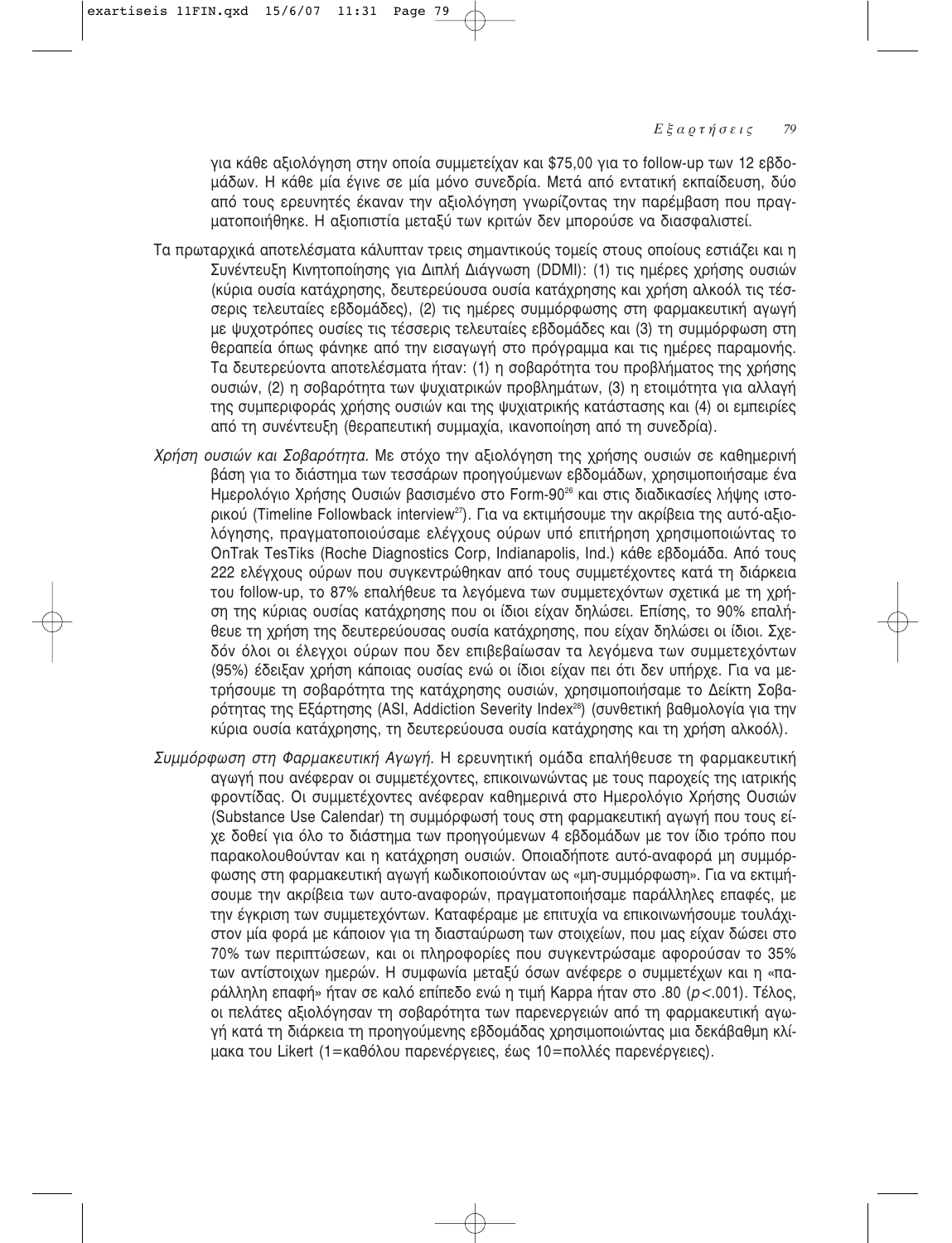$11:31$ 

Page 79

15/6/07

για κάθε αξιολόγηση στην οποία συμμετείχαν και \$75,00 για το follow-up των 12 εβδομάδων. Η κάθε μία ένινε σε μία μόνο συνεδρία. Μετά από εντατική εκπαίδευση, δύο από τους ερευνητές έκαναν την αξιολόγηση γνωρίζοντας την παρέμβαση που πραγματοποιήθηκε. Η αξιοπιστία μεταξύ των κριτών δεν μπορούσε να διασφαλιστεί.

- Τα πρωταρχικά αποτελέσματα κάλυπταν τρεις σημαντικούς τομείς στους οποίους εστιάζει και η Συνέντευξη Κινητοποίησης για Διπλή Διάγνωση (DDMI): (1) τις ημέρες χρήσης ουσιών (κύρια ουσία κατάχρησης, δευτερεύουσα ουσία κατάχρησης και χρήση αλκοόλ τις τέσσερις τελευταίες εβδομάδες), (2) τις ημέρες συμμόρφωσης στη φαρμακευτική αγωγή με ψυχοτρόπες ουσίες τις τέσσερις τελευταίες εβδομάδες και (3) τη συμμόρφωση στη θεραπεία όπως φάνηκε από την εισαγωγή στο πρόγραμμα και τις ημέρες παραμονής. Τα δευτερεύοντα αποτελέσματα ήταν: (1) η σοβαρότητα του προβλήματος της χρήσης ουσιών, (2) η σοβαρότητα των ψυχιατρικών προβλημάτων, (3) η ετοιμότητα για αλλαγή της συμπεριφοράς χρήσης ουσιών και της ψυχιατρικής κατάστασης και (4) οι εμπειρίες από τη συνέντευξη (θεραπευτική συμμαχία, ικανοποίηση από τη συνεδρία).
- Χρήση ουσιών και Σοβαρότητα. Με στόχο την αξιολόγηση της χρήσης ουσιών σε καθημερινή βάση για το διάστημα των τεσσάρων προηγούμενων εβδομάδων, χρησιμοποιήσαμε ένα Ημερολόγιο Χρήσης Ουσιών βασισμένο στο Form-90<sup>26</sup> και στις διαδικασίες λήψης ιστορικού (Timeline Followback interview<sup>27</sup>). Για να εκτιμήσουμε την ακρίβεια της αυτό-αξιολόγησης, πραγματοποιούσαμε ελέγχους ούρων υπό επιτήρηση χρησιμοποιώντας το OnTrak TesTiks (Roche Diagnostics Corp, Indianapolis, Ind.) κάθε εβδομάδα. Από τους 222 ελέγχους ούρων που συγκεντρώθηκαν από τους συμμετέχοντες κατά τη διάρκεια του follow-up, το 87% επαλήθευε τα λεγόμενα των συμμετεχόντων σχετικά με τη χρήση της κύριας ουσίας κατάχρησης που οι ίδιοι είχαν δηλώσει. Επίσης, το 90% επαλήθευε τη χρήση της δευτερεύουσας ουσία κατάχρησης, που είχαν δηλώσει οι ίδιοι. Σχεδόν όλοι οι έλενχοι ούρων που δεν επιβεβαίωσαν τα λενόμενα των συμμετεχόντων (95%) έδειξαν χρήση κάποιας ουσίας ενώ οι ίδιοι είχαν πει ότι δεν υπήρχε. Για να μετρήσουμε τη σοβαρότητα της κατάχρησης ουσιών, χρησιμοποιήσαμε το Δείκτη Σοβαρότητας της Εξάρτησης (ASI, Addiction Severity Index<sup>28</sup>) (συνθετική βαθμολογία για την κύρια ουσία κατάχρησης, τη δευτερεύουσα ουσία κατάχρησης και τη χρήση αλκοόλ).
- Συμμόρφωση στη Φαρμακευτική Αγωγή. Η ερευνητική ομάδα επαλήθευσε τη φαρμακευτική αγωγή που ανέφεραν οι συμμετέχοντες, επικοινωνώντας με τους παροχείς της ιατρικής φροντίδας. Οι συμμετέχοντες ανέφεραν καθημερινά στο Ημερολόγιο Χρήσης Ουσιών (Substance Use Calendar) τη συμμόρφωσή τους στη φαρμακευτική αγωγή που τους είχε δοθεί για όλο το διάστημα των προηγούμενων 4 εβδομάδων με τον ίδιο τρόπο που παρακολουθούνταν και η κατάχρηση ουσιών. Οποιαδήποτε αυτό-αναφορά μη συμμόρφωσης στη φαρμακευτική αγωγή κωδικοποιούνταν ως «μη-συμμόρφωση». Για να εκτιμήσουμε την ακρίβεια των αυτο-αναφορών, πραγματοποιήσαμε παράλληλες επαφές, με την έγκριση των συμμετεχόντων. Καταφέραμε με επιτυχία να επικοινωνήσουμε τουλάχιστον μία φορά με κάποιον για τη διασταύρωση των στοιχείων, που μας είχαν δώσει στο 70% των περιπτώσεων, και οι πληροφορίες που συγκεντρώσαμε αφορούσαν το 35% των αντίστοιχων ημερών. Η συμφωνία μεταξύ όσων ανέφερε ο συμμετέχων και η «παράλληλη επαφή» ήταν σε καλό επίπεδο ενώ η τιμή Kappa ήταν στο .80 (p<.001). Τέλος, οι πελάτες αξιολόγησαν τη σοβαρότητα των παρενεργειών από τη φαρμακευτική αγωγή κατά τη διάρκεια τη προηγούμενης εβδομάδας χρησιμοποιώντας μια δεκάβαθμη κλίμακα του Likert (1=καθόλου παρενέργειες, έως 10=πολλές παρενέργειες).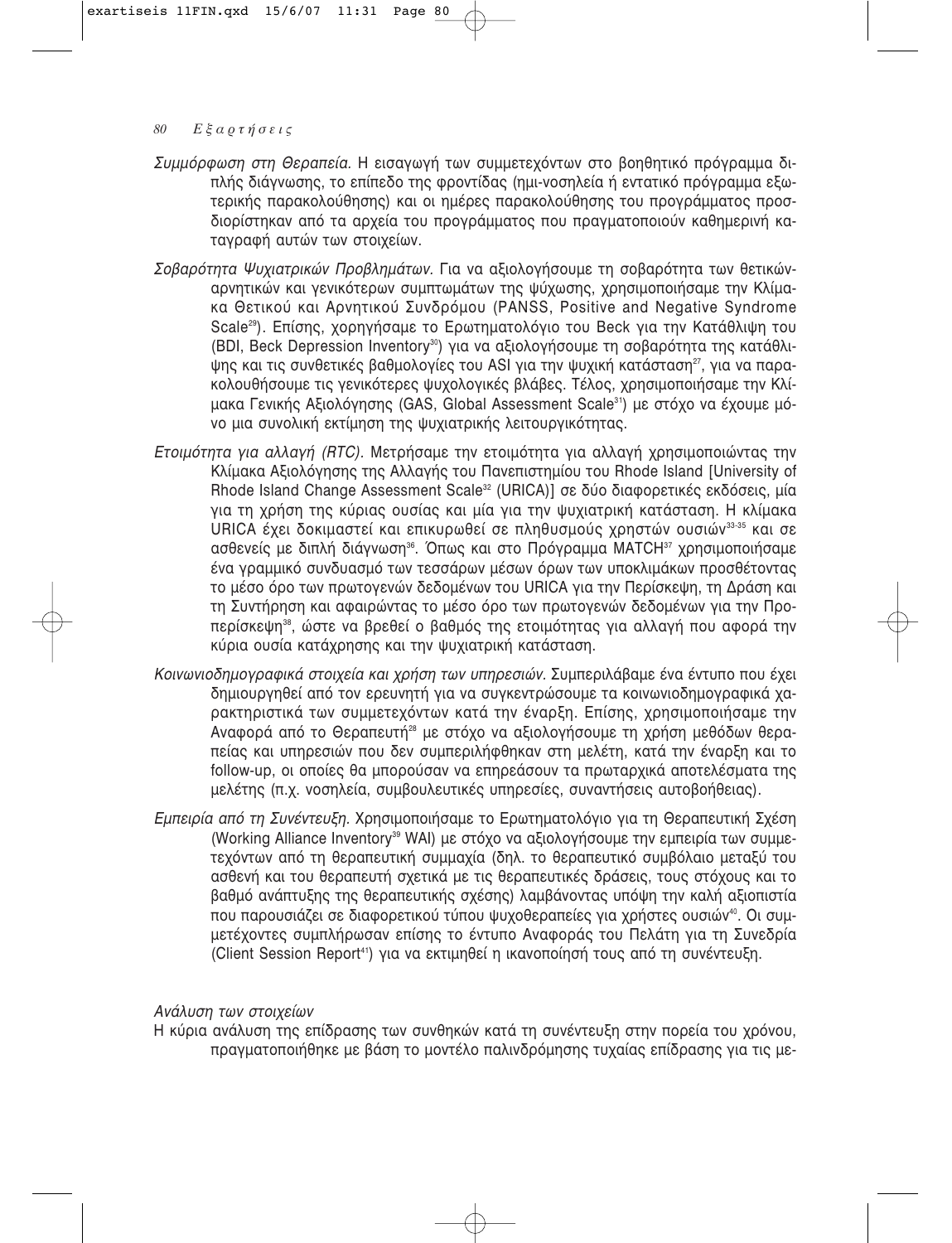- $\Sigma$ *υμμόρφωση στη Θεραπεία.* Η εισαγωγή των συμμετεχόντων στο βοηθητικό πρόγραμμα διπλής διάγνωσης, το επίπεδο της φροντίδας (ημι-νοσηλεία ή εντατικό πρόγραμμα εξωτερικής παρακολούθησης) και οι ημέρες παρακολούθησης του προγράμματος προσδιορίστηκαν από τα αρχεία του προγράμματος που πραγματοποιούν καθημερινή κατανοαφή αυτών των στοιχείων.
- *Σοβαρότητα Ψυχιατρικών Προβλημάτων.* Για να αξιολογήσουμε τη σοβαρότητα των θετικώναρνητικών και νενικότερων συμπτωμάτων της ψύχωσης, χρησιμοποιήσαμε την Κλίμακα Θετικού και Αρνητικού Συνδρόμου (PANSS, Positive and Negative Syndrome Scale<sup>29</sup>). Επίσης, χορηγήσαμε το Ερωτηματολόγιο του Beck για την Κατάθλιψη του (BDI, Beck Depression Inventory<sup>30</sup>) για να αξιολογήσουμε τη σοβαρότητα της κατάθλιψης και τις συνθετικές βαθμολογίες του ASI για την ψυχική κατάσταση<sup>27</sup>, για να παρακολουθήσουμε τις γενικότερες ψυχολογικές βλάβες. Τέλος, χρησιμοποιήσαμε την Κλίμακα Γενικής Αξιολόγησης (GAS, Global Assessment Scale<sup>31</sup>) με στόχο να έχουμε μόνο μια συνολική εκτίμηση της ψυχιατρικής λειτουργικότητας.
- *Eτοιμότητα για αλλαγή (RTC).* Μετρήσαμε την ετοιμότητα για αλλαγή χρησιμοποιώντας την Kλίμακα Αξιολόγησης της Αλλαγής του Πανεπιστημίου του Rhode Island [University of Rhode Island Change Assessment Scale<sup>32</sup> (URICA)] σε δύο διαφορετικές εκδόσεις, μία νια τη χρήση της κύριας ουσίας και μία για την ψυχιατρική κατάσταση. Η κλίμακα URICA έχει δοκιμαστεί και επικυρωθεί σε πληθυσμούς χρηστών ουσιών<sup>33-35</sup> και σε ασθενείς με διπλή διάγνωση<sup>36</sup>. Όπως και στο Πρόγραμμα MATCH<sup>37</sup> χρησιμοποιήσαμε ένα γραμμικό συνδυασμό των τεσσάρων μέσων όρων των υποκλιμάκων προσθέτοντας το μέσο όρο των πρωτογενών δεδομένων του URICA για την Περίσκεψη, τη Δράση και τη Συντήρηση και αφαιρώντας το μέσο όρο των πρωτογενών δεδομένων για την Προπερίσκεψη<sup>38</sup>, ώστε να βρεθεί ο βαθμός της ετοιμότητας για αλλαγή που αφορά την κύρια ουσία κατάχρησης και την ψυχιατρική κατάσταση.
- *Κοινωνιοδημογραφικά στοιχεία και χρήση των υπηρεσιών.* Συμπεριλάβαμε ένα έντυπο που έχει δημιουργηθεί από τον ερευνητή για να συγκεντρώσουμε τα κοινωνιοδημογραφικά χαρακτηριστικά των συμμετεχόντων κατά την έναρξη. Επίσης, χρησιμοποιήσαμε την Αναφορά από το Θεραπευτή<sup>28</sup> με στόχο να αξιολογήσουμε τη χρήση μεθόδων θεραπείας και υπηρεσιών που δεν συμπεριλήφθηκαν στη μελέτη, κατά την έναρξη και το follow-up, οι οποίες θα μπορούσαν να επηρεάσουν τα πρωταρχικά αποτελέσματα της μελέτης (π.χ. νοσηλεία, συμβουλευτικές υπηρεσίες, συναντήσεις αυτοβοήθειας).
- *Εμπειρία από τη Συνέντευξη. Χρησιμοποιήσαμε το Ερωτηματολόγιο για τη Θεραπευτική Σχέση* (Working Alliance Inventory<sup>39</sup> WAI) με στόχο να αξιολογήσουμε την εμπειρία των συμμετεχόντων από τη θεραπευτική συμμαχία (δηλ. το θεραπευτικό συμβόλαιο μεταξύ του ασθενή και του θεραπευτή σχετικά με τις θεραπευτικές δράσεις, τους στόχους και το βαθμό ανάπτυξης της θεραπευτικής σχέσης) λαμβάνοντας υπόψη την καλή αξιοπιστία του παρουσιάζει σε διαφορετικού τύπου ψυχοθεραπείες για χρήστες ουσιών<sup>40</sup>. Οι συμμετέχοντες συμπλήρωσαν επίσης το έντυπο Αναφοράς του Πελάτη για τη Συνεδρία (Client Session Report<sup>41</sup>) για να εκτιμηθεί η ικανοποίησή τους από τη συνέντευξη.

# *Ανάλυση των στοιχείων*

Η κύρια ανάλυση της επίδρασης των συνθηκών κατά τη συνέντευξη στην πορεία του χρόνου, πραγματοποιήθηκε με βάση το μοντέλο παλινδρόμησης τυχαίας επίδρασης για τις με-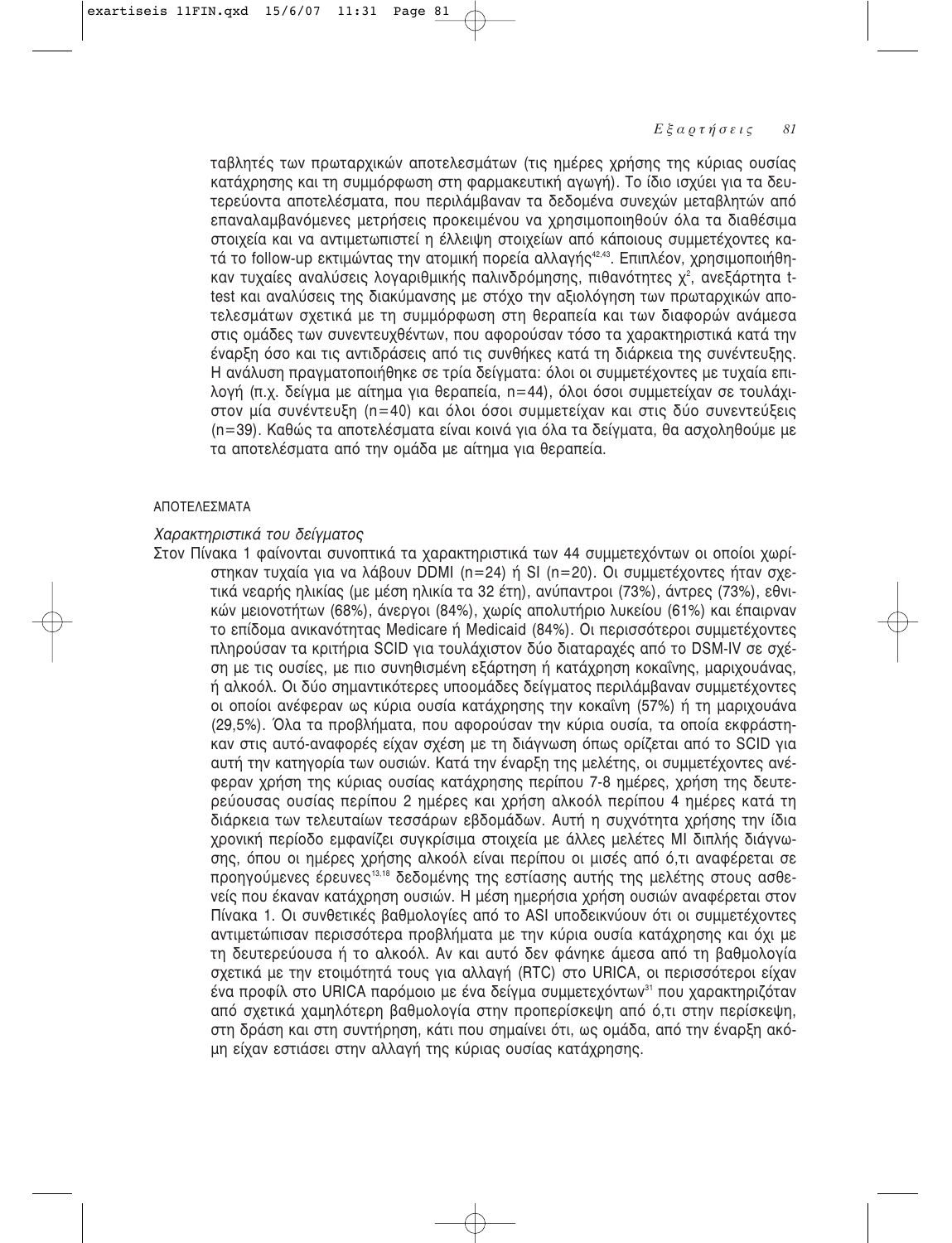ταβλητές των πρωταρχικών αποτελεσμάτων (τις ημέρες χρήσης της κύριας ουσίας κατάχρησης και τη συμμόρφωση στη φαρμακευτική ανωνή). Το ίδιο ισχύει για τα δευτερεύοντα αποτελέσματα, που περιλάμβαναν τα δεδομένα συνεχών μεταβλητών από επαναλαμβανόμενες μετρήσεις προκειμένου να χρησιμοποιηθούν όλα τα διαθέσιμα στοιχεία και να αντιμετωπιστεί η έλλειψη στοιχείων από κάποιους συμμετέχοντες κατά το follow-up εκτιμώντας την ατομική πορεία αλλαγής<sup>42,43</sup>. Επιπλέον, χρησιμοποιήθηκαν τυχαίες αναλύσεις λογαριθμικής παλινδρόμησης, πιθανότητες χ<sup>2</sup>, ανεξάρτητα ttest και αναλύσεις της διακύμανσης με στόχο την αξιολόγηση των πρωταρχικών αποτελεσμάτων σχετικά με τη συμμόρφωση στη θεραπεία και των διαφορών ανάμεσα στις ομάδες των συνεντευχθέντων, που αφορούσαν τόσο τα χαρακτηριστικά κατά την έναρξη όσο και τις αντιδράσεις από τις συνθήκες κατά τη διάρκεια της συνέντευξης. Η ανάλυση πραγματοποιήθηκε σε τρία δείγματα: όλοι οι συμμετέχοντες με τυχαία επιλογή (π.χ. δείγμα με αίτημα για θεραπεία, n=44), όλοι όσοι συμμετείχαν σε τουλάχιστον μία συνέντευξη (n=40) και όλοι όσοι συμμετείχαν και στις δύο συνεντεύξεις (n=39). Καθώς τα αποτελέσματα είναι κοινά για όλα τα δείγματα, θα ασχοληθούμε με τα αποτελέσματα από την ομάδα με αίτημα για θεραπεία.

## ΑΠΟΤΕΛΕΣΜΑΤΑ

# Χαρακτηριστικά του δείνματος

Στον Πίνακα 1 φαίνονται συνοπτικά τα χαρακτηριστικά των 44 συμμετεχόντων οι οποίοι χωρίστηκαν τυχαία για να λάβουν DDMI (n=24) ή SI (n=20). Οι συμμετέχοντες ήταν σχετικά νεαρής ηλικίας (με μέση ηλικία τα 32 έτη), ανύπαντροι (73%), άντρες (73%), εθνικών μειονοτήτων (68%), άνεργοι (84%), χωρίς απολυτήριο λυκείου (61%) και έπαιρναν το επίδομα ανικανότητας Medicare ή Medicaid (84%). Οι περισσότεροι συμμετέχοντες πληρούσαν τα κριτήρια SCID για τουλάχιστον δύο διαταραχές από το DSM-IV σε σχέση με τις ουσίες, με πιο συνηθισμένη εξάρτηση ή κατάχρηση κοκαΐνης, μαριχουάνας, ή αλκοόλ. Οι δύο σημαντικότερες υποομάδες δείγματος περιλάμβαναν συμμετέχοντες οι οποίοι ανέφεραν ως κύρια ουσία κατάχρησης την κοκαΐνη (57%) ή τη μαριχουάνα (29,5%). Όλα τα προβλήματα, που αφορούσαν την κύρια ουσία, τα οποία εκφράστηκαν στις αυτό-αναφορές είχαν σχέση με τη διάγνωση όπως ορίζεται από το SCID για αυτή την κατηγορία των ουσιών. Κατά την έναρξη της μελέτης, οι συμμετέχοντες ανέφεραν χρήση της κύριας ουσίας κατάχρησης περίπου 7-8 ημέρες, χρήση της δευτερεύουσας ουσίας περίπου 2 ημέρες και χρήση αλκοόλ περίπου 4 ημέρες κατά τη διάρκεια των τελευταίων τεσσάρων εβδομάδων. Αυτή η συχνότητα χρήσης την ίδια χρονική περίοδο εμφανίζει συγκρίσιμα στοιχεία με άλλες μελέτες ΜΙ διπλής διάγνωσης, όπου οι ημέρες χρήσης αλκοόλ είναι περίπου οι μισές από ό,τι αναφέρεται σε προηγούμενες έρευνες<sup>13,18</sup> δεδομένης της εστίασης αυτής της μελέτης στους ασθενείς που έκαναν κατάχρηση ουσιών. Η μέση ημερήσια χρήση ουσιών αναφέρεται στον Πίνακα 1. Οι συνθετικές βαθμολογίες από το ASI υποδεικνύουν ότι οι συμμετέχοντες αντιμετώπισαν περισσότερα προβλήματα με την κύρια ουσία κατάχρησης και όχι με τη δευτερεύουσα ή το αλκοόλ. Αν και αυτό δεν φάνηκε άμεσα από τη βαθμολογία σχετικά με την ετοιμότητά τους για αλλαγή (RTC) στο URICA, οι περισσότεροι είχαν ένα προφίλ στο URICA παρόμοιο με ένα δείγμα συμμετεχόντων<sup>31</sup> που χαρακτηριζόταν από σχετικά χαμηλότερη βαθμολογία στην προπερίσκεψη από ό,τι στην περίσκεψη, στη δράση και στη συντήρηση, κάτι που σημαίνει ότι, ως ομάδα, από την έναρξη ακόμη είχαν εστιάσει στην αλλαγή της κύριας ουσίας κατάχρησης.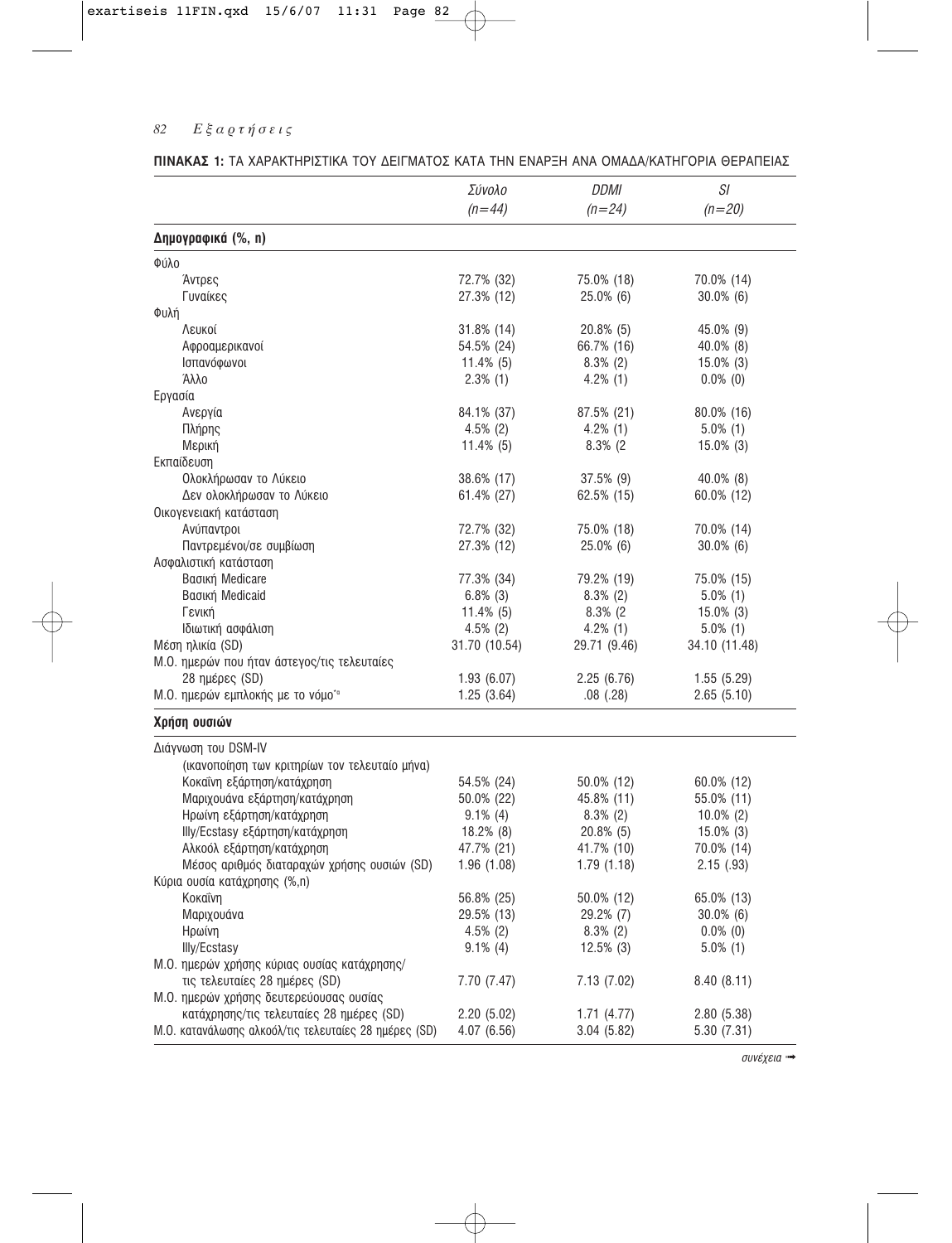# **ΠΙΝΑΚΑΣ 1:** ΤΑ ΧΑΡΑΚΤΗΡΙΣΤΙΚΑ ΤΟΥ ΔΕΙΓΜΑΤΟΣ ΚΑΤΑ ΤΗΝ ΕΝΑΡΞΗ ΑΝΑ ΟΜΑΔΑ/ΚΑΤΗΓΟΡΙΑ ΘΕΡΑΠΕΙΑΣ

|                                                              | Σύνολο        | DDMI         | SI            |
|--------------------------------------------------------------|---------------|--------------|---------------|
|                                                              | $(n=44)$      | $(n=24)$     | $(n=20)$      |
| Δημογραφικά (%, n)                                           |               |              |               |
| Φύλο                                                         |               |              |               |
| Άντρες                                                       | 72.7% (32)    | 75.0% (18)   | 70.0% (14)    |
| Γυναίκες                                                     | 27.3% (12)    | $25.0\%$ (6) | $30.0\%$ (6)  |
| Φυλή                                                         |               |              |               |
| Λευκοί                                                       | 31.8% (14)    | $20.8\%$ (5) | 45.0% (9)     |
| Αφροαμερικανοί                                               | 54.5% (24)    | 66.7% (16)   | 40.0% (8)     |
| Ισπανόφωνοι                                                  | $11.4\%$ (5)  | $8.3\%$ (2)  | $15.0\%$ (3)  |
| Άλλο                                                         | $2.3\%$ (1)   | $4.2\%$ (1)  | $0.0\%$ (0)   |
| Εργασία                                                      |               |              |               |
| Ανεργία                                                      | 84.1% (37)    | 87.5% (21)   | 80.0% (16)    |
| Πλήρης                                                       | $4.5\%$ (2)   | $4.2\%$ (1)  | $5.0\%$ (1)   |
| Μερική                                                       | $11.4\%$ (5)  | $8.3\%$ (2)  | $15.0\%$ (3)  |
| Εκπαίδευση                                                   |               |              |               |
| Ολοκλήρωσαν το Λύκειο                                        | 38.6% (17)    | 37.5% (9)    | 40.0% (8)     |
| Δεν ολοκλήρωσαν το Λύκειο                                    | 61.4% (27)    | 62.5% (15)   | 60.0% (12)    |
| Οικογενειακή κατάσταση                                       |               |              |               |
| Ανύπαντροι                                                   | 72.7% (32)    | 75.0% (18)   | 70.0% (14)    |
| Παντρεμένοι/σε συμβίωση                                      | 27.3% (12)    | $25.0\%$ (6) | $30.0\%$ (6)  |
| Ασφαλιστική κατάσταση                                        |               |              |               |
| Βασική Medicare                                              | 77.3% (34)    | 79.2% (19)   | 75.0% (15)    |
| Βασική Medicaid                                              | $6.8\%$ (3)   | $8.3\%$ (2)  | $5.0\%$ (1)   |
| Γενική                                                       | $11.4\%$ (5)  | 8.3% (2      | 15.0% (3)     |
| Ιδιωτική ασφάλιση                                            | $4.5\%$ (2)   | $4.2\%$ (1)  | $5.0\%$ (1)   |
| Μέση ηλικία (SD)                                             | 31.70 (10.54) | 29.71 (9.46) | 34.10 (11.48) |
| Μ.Ο. ημερών που ήταν άστεγος/τις τελευταίες                  |               |              |               |
| 28 ημέρες (SD)                                               | 1.93(6.07)    | 2.25(6.76)   | 1.55(5.29)    |
| M.O. ημερών εμπλοκής με το νόμο <sup>*α</sup>                | 1.25(3.64)    | .08(.28)     | 2.65(5.10)    |
| Χρήση ουσιών                                                 |               |              |               |
| Διάγνωση του DSM-IV                                          |               |              |               |
| (ικανοποίηση των κριτηρίων τον τελευταίο μήνα)               |               |              |               |
| Κοκαΐνη εξάρτηση/κατάχρηση                                   | 54.5% (24)    | 50.0% (12)   | 60.0% (12)    |
| Μαριχουάνα εξάρτηση/κατάχρηση                                | 50.0% (22)    | 45.8% (11)   | 55.0% (11)    |
| Ηρωίνη εξάρτηση/κατάχρηση                                    | $9.1\%$ (4)   | $8.3\%$ (2)  | $10.0\%$ (2)  |
| Illy/Ecstasy εξάρτηση/κατάχρηση                              | 18.2% (8)     | $20.8\%$ (5) | $15.0\%$ (3)  |
| Αλκοόλ εξάρτηση/κατάχρηση                                    | 47.7% (21)    | 41.7% (10)   | 70.0% (14)    |
| Μέσος αριθμός διαταραχών χρήσης ουσιών (SD)                  | 1.96(1.08)    | 1.79(1.18)   | 2.15(.93)     |
| Κύρια ουσία κατάχρησης (%, η)                                |               |              |               |
| Κοκαΐνη                                                      | 56.8% (25)    | 50.0% (12)   | 65.0% (13)    |
| Μαριχουάνα                                                   | 29.5% (13)    | 29.2% (7)    | $30.0\%$ (6)  |
| Ηρωίνη                                                       | $4.5\%$ (2)   | $8.3\%$ (2)  | $0.0\%$ (0)   |
| Illy/Ecstasy<br>Μ.Ο. ημερών χρήσης κύριας ουσίας κατάχρησης/ | $9.1\%$ (4)   | $12.5\%$ (3) | $5.0\%$ (1)   |
| τις τελευταίες 28 ημέρες (SD)                                | 7.70 (7.47)   | 7.13 (7.02)  | 8.40(8.11)    |
| Μ.Ο. ημερών χρήσης δευτερεύουσας ουσίας                      |               |              |               |
| κατάχρησης/τις τελευταίες 28 ημέρες (SD)                     | 2.20(5.02)    | 1.71(4.77)   | 2.80(5.38)    |
| Μ.Ο. κατανάλωσης αλκοόλ/τις τελευταίες 28 ημέρες (SD)        | 4.07 (6.56)   | 3.04(5.82)   | 5.30(7.31)    |
|                                                              |               |              |               |

συνέχεια <u>→</u>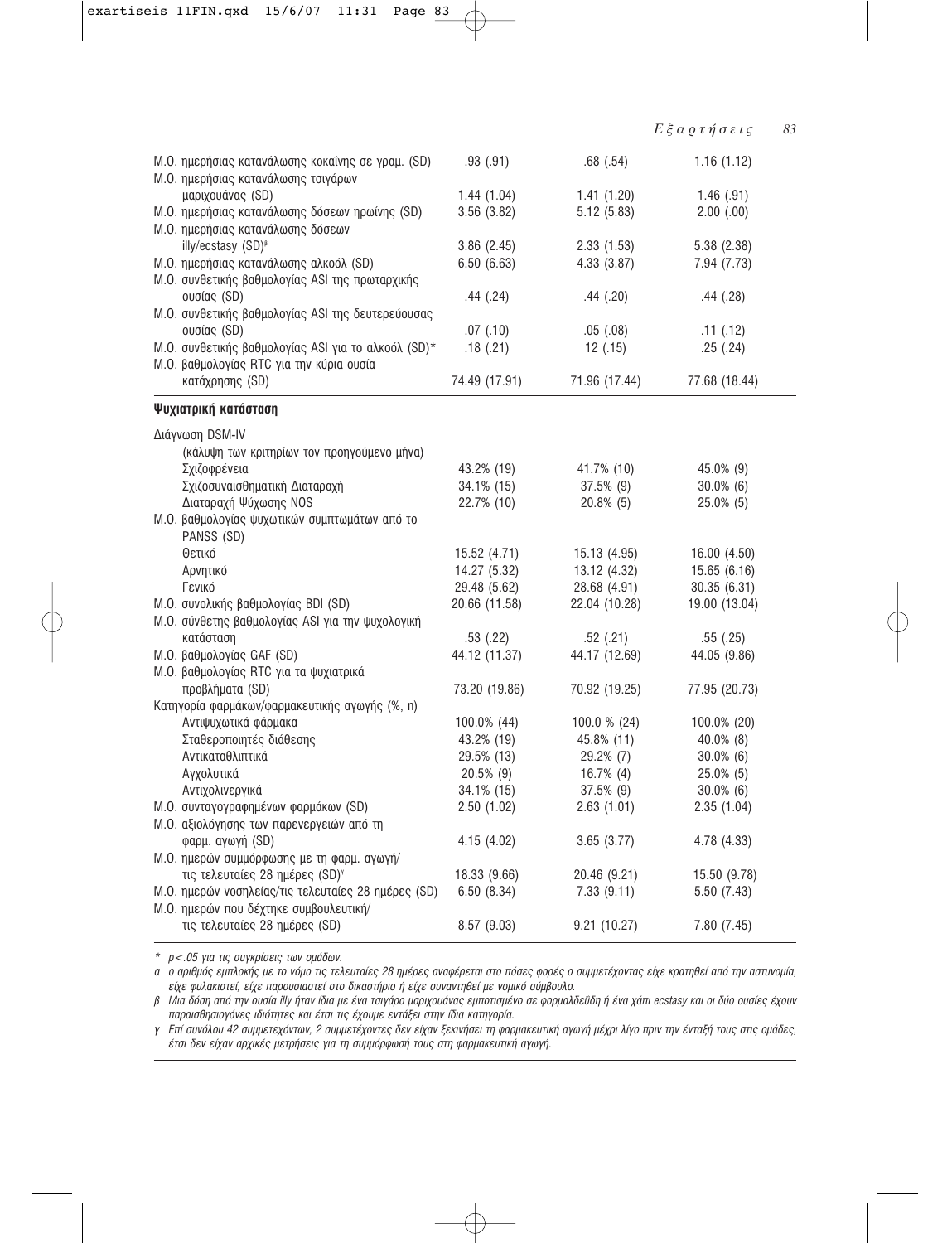|                                                                                                 |                          |                              | <i>Εξαρτήσεις</i>            | 83 |
|-------------------------------------------------------------------------------------------------|--------------------------|------------------------------|------------------------------|----|
| M.O. ημερήσιας κατανάλωσης κοκαΐνης σε γραμ. (SD)<br>Μ.Ο. ημερήσιας κατανάλωσης τσιγάρων        | .93(.91)                 | .68(.54)                     | 1.16(1.12)                   |    |
| μαριχουάνας (SD)                                                                                | 1.44(1.04)               | 1.41(1.20)                   | 1.46(.91)                    |    |
| M.O. ημερήσιας κατανάλωσης δόσεων ηρωίνης (SD)<br>Μ.Ο. ημερήσιας κατανάλωσης δόσεων             | 3.56(3.82)               | 5.12(5.83)                   | 2.00(0.00)                   |    |
| illy/ecstasy (SD) <sup>8</sup>                                                                  | 3.86(2.45)               | 2.33(1.53)                   | 5.38 (2.38)                  |    |
| Μ.Ο. ημερήσιας κατανάλωσης αλκοόλ (SD)<br>Μ.Ο. συνθετικής βαθμολογίας ASI της πρωταρχικής       | 6.50(6.63)               | 4.33(3.87)                   | 7.94 (7.73)                  |    |
| ουσίας (SD)<br>M.Ο. συνθετικής βαθμολογίας ASI της δευτερεύουσας                                | .44(.24)                 | $.44$ $(.20)$                | .44(.28)                     |    |
| ουσίας (SD)                                                                                     | .07(0.10)                | .05(.08)                     | .11(.12)                     |    |
| Μ.Ο. συνθετικής βαθμολογίας ASI για το αλκοόλ (SD)*<br>Μ.Ο. βαθμολογίας RTC για την κύρια ουσία | .18(.21)                 | 12(.15)                      | .25(.24)                     |    |
| κατάχρησης (SD)                                                                                 | 74.49 (17.91)            | 71.96 (17.44)                | 77.68 (18.44)                |    |
| Ψυχιατρική κατάσταση                                                                            |                          |                              |                              |    |
| Διάγνωση DSM-IV                                                                                 |                          |                              |                              |    |
| (κάλυψη των κριτηρίων τον προηγούμενο μήνα)                                                     |                          |                              |                              |    |
| Σχιζοφρένεια<br>Σχιζοσυναισθηματική Διαταραχή                                                   | 43.2% (19)               | 41.7% (10)                   | 45.0% (9)                    |    |
| Διαταραχή Ψύχωσης NOS                                                                           | 34.1% (15)<br>22.7% (10) | $37.5\%$ (9)<br>$20.8\%$ (5) | $30.0\%$ (6)<br>$25.0\%$ (5) |    |
| Μ.Ο. βαθμολογίας ψυχωτικών συμπτωμάτων από το<br>PANSS (SD)                                     |                          |                              |                              |    |
| Θετικό                                                                                          | 15.52 (4.71)             | 15.13 (4.95)                 | 16.00 (4.50)                 |    |
| Αρνητικό                                                                                        | 14.27 (5.32)             | 13.12 (4.32)                 | 15.65 (6.16)                 |    |
| Γενικό                                                                                          | 29.48 (5.62)             | 28.68 (4.91)                 | 30.35 (6.31)                 |    |
| Μ.Ο. συνολικής βαθμολογίας BDI (SD)                                                             | 20.66 (11.58)            | 22.04 (10.28)                | 19.00 (13.04)                |    |
| Μ.Ο. σύνθετης βαθμολογίας ASI για την ψυχολογική                                                |                          |                              |                              |    |
| κατάσταση                                                                                       | .53(.22)                 | .52(.21)                     | .55(.25)                     |    |
| Μ.Ο. βαθμολογίας GAF (SD)                                                                       | 44.12 (11.37)            | 44.17 (12.69)                | 44.05 (9.86)                 |    |
| Μ.Ο. βαθμολογίας RTC για τα ψυχιατρικά                                                          |                          |                              |                              |    |
| προβλήματα (SD)                                                                                 | 73.20 (19.86)            | 70.92 (19.25)                | 77.95 (20.73)                |    |
| Κατηγορία φαρμάκων/φαρμακευτικής αγωγής (%, n)                                                  |                          |                              |                              |    |
| Αντιψυχωτικά φάρμακα                                                                            | 100.0% (44)              | 100.0 % (24)                 | 100.0% (20)                  |    |
| Σταθεροποιητές διάθεσης                                                                         | 43.2% (19)               | 45.8% (11)                   | 40.0% (8)                    |    |
| Αντικαταθλιπτικά                                                                                | 29.5% (13)               | $29.2\%$ (7)                 | $30.0\%$ (6)                 |    |
| Αγχολυτικά                                                                                      | $20.5\%$ (9)             | $16.7\%$ (4)                 | 25.0% (5)                    |    |
| Αντιχολινεργικά                                                                                 | 34.1% (15)               | $37.5\%$ (9)                 | $30.0\%$ (6)                 |    |
| Μ.Ο. συνταγογραφημένων φαρμάκων (SD)                                                            | 2.50(1.02)               | 2.63(1.01)                   | 2.35(1.04)                   |    |
| Μ.Ο. αξιολόγησης των παρενεργειών από τη                                                        |                          |                              |                              |    |
| φαρμ. αγωγή (SD)                                                                                | 4.15(4.02)               | 3.65(3.77)                   | 4.78 (4.33)                  |    |
| Μ.Ο. ημερών συμμόρφωσης με τη φαρμ. αγωγή/                                                      |                          |                              |                              |    |
| τις τελευταίες 28 ημέρες (SD) <sup>γ</sup>                                                      | 18.33 (9.66)             | 20.46 (9.21)                 | 15.50 (9.78)                 |    |
| Μ.Ο. ημερών νοσηλείας/τις τελευταίες 28 ημέρες (SD)                                             | 6.50(8.34)               | 7.33(9.11)                   | 5.50 (7.43)                  |    |
| Μ.Ο. ημερών που δέχτηκε συμβουλευτική/                                                          |                          |                              |                              |    |

*\* p <.05 για τις συγκρίσεις των ομάδων.* 

*a* o aριθμός εμπλοκής με το νόμο τις τελευταίες 28 ημέρες αναφέρεται στο πόσες φορές ο συμμετέχοντας είχε κρατηθεί από την αστυνομία, είχε φυλακιστεί, είχε παρουσιαστεί στο δικαστήριο ή είχε συναντηθεί με νομικό σύμβουλο.

β Μια δόση από την ουσία illy ήταν ίδια με ένα τσιγάρο μαριχουάνας εμποτισμένο σε φορμαλδεΰδη ή ένα χάπι ecstasy και οι δύο ουσίες έχουν *τιαραισθησιογόνες ιδιότητες και έτσι τις έχουμε εντάξει στην ίδια κατηγορία.* 

γ Επί συνόλου 42 συμμετεχόντων, 2 συμμετέχοντες δεν είχαν ξεκινήσει τη φαρμακευτική αγωγή μέχρι λίγο πριν την ένταξή τους στις ομάδες, έτσι δεν είχαν αρχικές μετρήσεις για τη συμμόρφωσή τους στη φαρμακευτική αγωγή.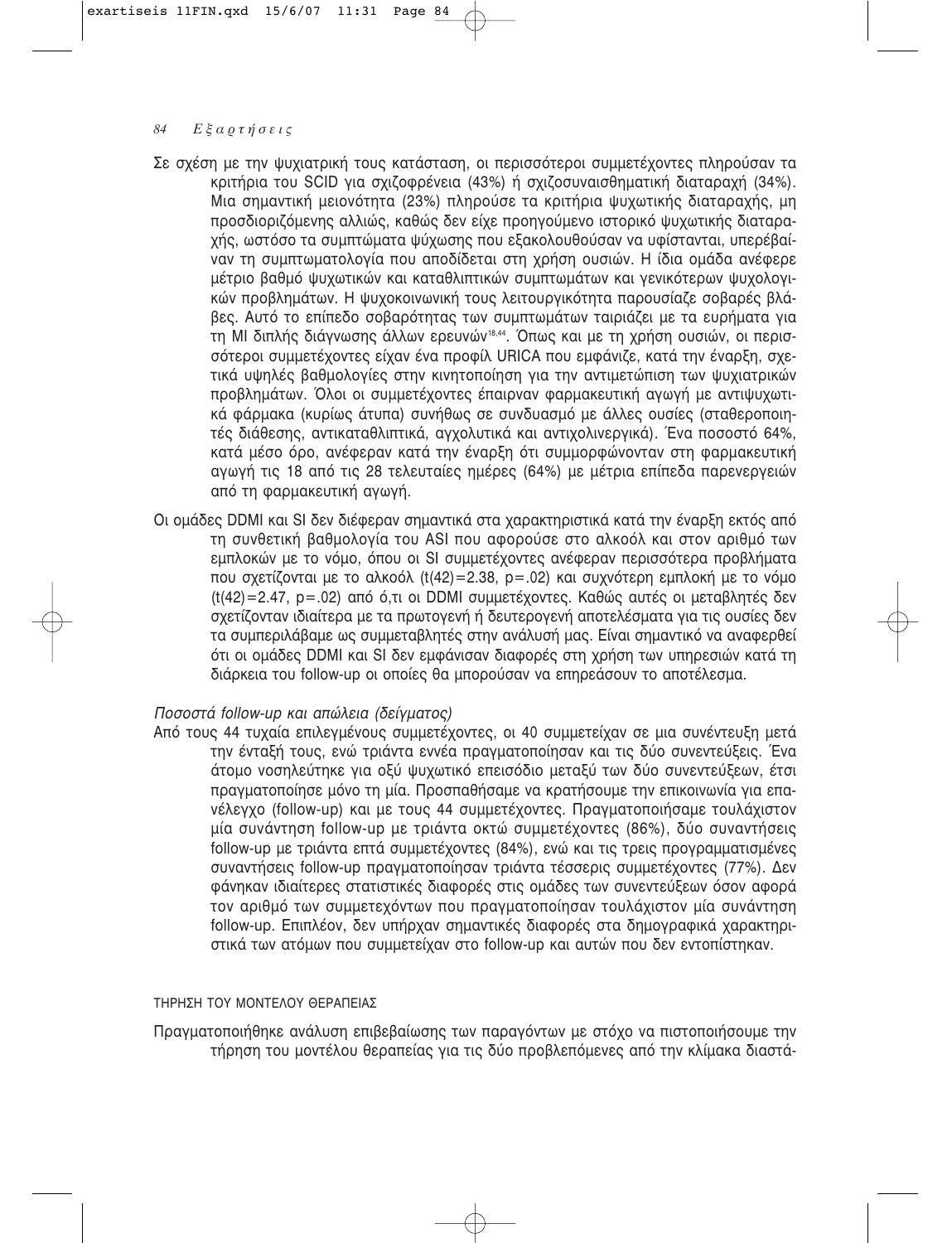- Σε σχέση με την ψυχιατρική τους κατάσταση, οι περισσότεροι συμμετέχοντες πληρούσαν τα κριτήρια του SCID για σχιζοφρένεια (43%) ή σχιζοσυναισθηματική διαταραχή (34%). Μια σημαντική μειονότητα (23%) πληρούσε τα κριτήρια ψυχωτικής διαταραχής, μη προσδιοριζόμενης αλλιώς, καθώς δεν είχε προηγούμενο ιστορικό ψυχωτικής διαταραχής, ωστόσο τα συμπτώματα ψύχωσης που εξακολουθούσαν να υφίστανται, υπερέβαίναν τη συμπτωματολογία που αποδίδεται στη χρήση ουσιών. Η ίδια ομάδα ανέφερε μέτριο βαθμό ψυχωτικών και καταθλιπτικών συμπτωμάτων και γενικότερων ψυχολογικών προβλημάτων. Η ψυχοκοινωνική τους λειτουργικότητα παρουσίαζε σοβαρές βλάβες. Αυτό το επίπεδο σοβαρότητας των συμπτωμάτων ταιριάζει με τα ευρήματα για τη ΜΙ διπλής διάγνωσης άλλων ερευνών<sup>18,44</sup>. Όπως και με τη χρήση ουσιών, οι περισσότεροι συμμετέχοντες είχαν ένα προφίλ URICA που εμφάνιζε, κατά την έναρξη, σχετικά υψηλές βαθμολογίες στην κινητοποίηση για την αντιμετώπιση των ψυχιατρικών προβλημάτων. Όλοι οι συμμετέχοντες έπαιρναν φαρμακευτική αγωγή με αντιψυχωτικά φάρμακα (κυρίως άτυπα) συνήθως σε συνδυασμό με άλλες ουσίες (σταθεροποιητές διάθεσης, αντικαταθλιπτικά, αγχολυτικά και αντιχολινεργικά). Ένα ποσοστό 64%, κατά μέσο όρο, ανέφεραν κατά την έναρξη ότι συμμορφώνονταν στη φαρμακευτική αγωγή τις 18 από τις 28 τελευταίες ημέρες (64%) με μέτρια επίπεδα παρενεργειών από τη φαρμακευτική αγωγή.
- Οι ομάδες DDMI και SI δεν διέφεραν σημαντικά στα χαρακτηριστικά κατά την έναρξη εκτός από τη συνθετική βαθμολογία του ASI που αφορούσε στο αλκοόλ και στον αριθμό των εμπλοκών με το νόμο, όπου οι SI συμμετέχοντες ανέφεραν περισσότερα προβλήματα που σχετίζονται με το αλκοόλ (t(42)=2.38, p=.02) και συχνότερη εμπλοκή με το νόμο (t(42)=2.47, p=.02) από ό,τι οι DDMI συμμετέχοντες. Καθώς αυτές οι μεταβλητές δεν σχετίζονταν ιδιαίτερα με τα πρωτογενή ή δευτερογενή αποτελέσματα για τις ουσίες δεν τα συμπεριλάβαμε ως συμμεταβλητές στην ανάλυσή μας. Είναι σημαντικό να αναφερθεί ότι οι ομάδες DDMI και SI δεν εμφάνισαν διαφορές στη χρήση των υπηρεσιών κατά τη διάρκεια του follow-up οι οποίες θα μπορούσαν να επηρεάσουν το αποτέλεσμα.

# Ποσοστά follow-up και απώλεια (δείγματος)

Από τους 44 τυχαία επιλεγμένους συμμετέχοντες, οι 40 συμμετείχαν σε μια συνέντευξη μετά την ένταξή τους, ενώ τριάντα εννέα πραγματοποίησαν και τις δύο συνεντεύξεις. Ένα άτομο νοσηλεύτηκε για οξύ ψυχωτικό επεισόδιο μεταξύ των δύο συνεντεύξεων, έτσι πραγματοποίησε μόνο τη μία. Προσπαθήσαμε να κρατήσουμε την επικοινωνία για επανέλεγχο (follow-up) και με τους 44 συμμετέχοντες. Πραγματοποιήσαμε τουλάχιστον μία συνάντηση follow-up με τριάντα οκτώ συμμετέχοντες (86%), δύο συναντήσεις follow-up με τριάντα επτά συμμετέχοντες (84%), ενώ και τις τρεις προγραμματισμένες συναντήσεις follow-up πραγματοποίησαν τριάντα τέσσερις συμμετέχοντες (77%). Δεν φάνηκαν ιδιαίτερες στατιστικές διαφορές στις ομάδες των συνεντεύξεων όσον αφορά τον αριθμό των συμμετεχόντων που πραγματοποίησαν τουλάχιστον μία συνάντηση follow-up. Επιπλέον, δεν υπήρχαν σημαντικές διαφορές στα δημογραφικά χαρακτηριστικά των ατόμων που συμμετείχαν στο follow-up και αυτών που δεν εντοπίστηκαν.

#### ΤΗΡΗΣΗ ΤΟΥ ΜΟΝΤΕΛΟΥ ΘΕΡΑΠΕΙΑΣ

Πραγματοποιήθηκε ανάλυση επιβεβαίωσης των παραγόντων με στόχο να πιστοποιήσουμε την τήρηση του μοντέλου θεραπείας για τις δύο προβλεπόμενες από την κλίμακα διαστά-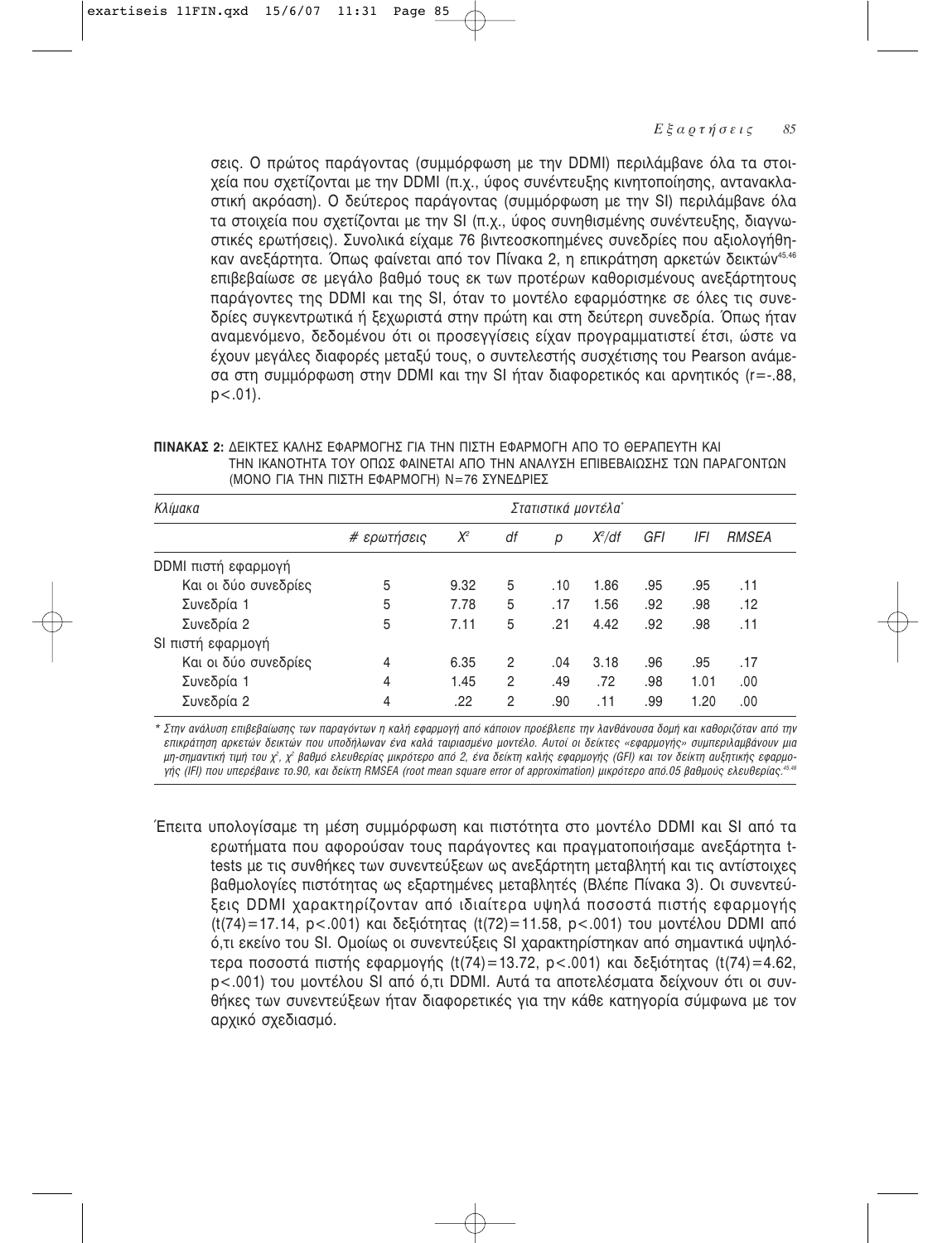σεις. Ο πρώτος παράγοντας (συμμόρφωση με την DDMI) περιλάμβανε όλα τα στοιχεία που σχετίζονται με την DDMI (π.χ., ύφος συνέντευξης κινητοποίησης, αντανακλαστική ακρόαση). Ο δεύτερος παράγοντας (συμμόρφωση με την SI) περιλάμβανε όλα τα στοιχεία που σχετίζονται με την SI (π.χ., ύφος συνηθισμένης συνέντευξης, διαγνωστικές ερωτήσεις). Συνολικά είχαμε 76 βιντεοσκοπημένες συνεδρίες που αξιολογήθη-Καν ανεξάρτητα. Όπως φαίνεται από τον Πίνακα 2, η επικράτηση αρκετών δεικτών<sup>45,46</sup> επιβεβαίωσε σε μεγάλο βαθμό τους εκ των προτέρων καθορισμένους ανεξάρτητους παράγοντες της DDMI και της SI, όταν το μοντέλο εφαρμόστηκε σε όλες τις συνεδρίες συγκεντρωτικά ή ξεχωριστά στην πρώτη και στη δεύτερη συνεδρία. Όπως ήταν αναμενόμενο, δεδομένου ότι οι προσεγγίσεις είχαν προγραμματιστεί έτσι, ώστε να έχουν μεγάλες διαφορές μεταξύ τους, ο συντελεστής συσχέτισης του Pearson ανάμεσα στη συμμόρφωση στην DDMI και την SI ήταν διαφορετικός και αρνητικός (r=-.88,  $p < .01$ ).

| ΠΙΝΑΚΑΣ 2: ΔΕΙΚΤΕΣ ΚΑΛΗΣ ΕΦΑΡΜΟΓΗΣ ΓΙΑ ΤΗΝ ΠΙΣΤΗ ΕΦΑΡΜΟΓΗ ΑΠΟ ΤΟ ΘΕΡΑΠΕΥΤΗ ΚΑΙ |                                                                             |  |  |
|--------------------------------------------------------------------------------|-----------------------------------------------------------------------------|--|--|
|                                                                                | ΤΗΝ ΙΚΑΝΟΤΗΤΑ ΤΟΥ ΟΠΩΣ ΦΑΙΝΕΤΑΙ ΑΠΟ ΤΗΝ ΑΝΑΛΥΣΗ ΕΠΙΒΕΒΑΙΩΣΗΣ ΤΩΝ ΠΑΡΑΓΟΝΤΩΝ |  |  |
|                                                                                | (ΜΟΝΟ ΓΙΑ ΤΗΝ ΠΙΣΤΗ ΕΦΑΡΜΟΓΗ) Ν=76 ΣΥΝΕΔΡΙΕΣ                                |  |  |

| Клі́цака                   | Στατιστικά μοντέλα* |       |    |     |          |     |      |              |  |
|----------------------------|---------------------|-------|----|-----|----------|-----|------|--------------|--|
|                            | # ερωτήσεις         | $X^2$ | df | р   | $X^2/df$ | GFI | IFI  | <b>RMSEA</b> |  |
| <b>DDMI</b> πιστή εφαρμογή |                     |       |    |     |          |     |      |              |  |
| Και οι δύο συνεδρίες       | 5                   | 9.32  | 5  | .10 | 1.86     | .95 | .95  | .11          |  |
| Συνεδρία 1                 | 5                   | 7.78  | 5  | .17 | 1.56     | .92 | .98  | .12          |  |
| Συνεδρία 2                 | 5                   | 7.11  | 5  | .21 | 4.42     | .92 | .98  | .11          |  |
| SI πιστή εφαρμογή          |                     |       |    |     |          |     |      |              |  |
| Και οι δύο συνεδρίες       | 4                   | 6.35  | 2  | .04 | 3.18     | .96 | .95  | .17          |  |
| Συνεδρία 1                 | 4                   | 1.45  | 2  | .49 | .72      | .98 | 1.01 | .00          |  |
| Συνεδρία 2                 | 4                   | .22   | 2  | .90 | .11      | .99 | 1.20 | .00          |  |

\* Στην ανάλυση επιβεβαίωσης των παραγόντων η καλή εφαρμογή από κάποιον προέβλεπε την λανθάνουσα δομή και καθοριζόταν από την επικράτηση αρκετών δεικτών που υποδήλωναν ένα καλά ταιριασμένο μοντέλο. Αυτοί οι δείκτες «εφαρμογής» συμπεριλαμβάνουν μια μη-σημαντική τιμή του χ<sup>2</sup>, χ<sup>2</sup> βαθμό ελευθερίας μικρότερο από 2, ένα δείκτη καλής εφαρμογής (GFI) και τον δείκτη αυξητικής εφαρμο*γής (IFI) που υπερέβαινε το.90, και δείκτη RMSEA (root mean square error of approximation) μικρότερο από.05 βαθμούς ελευθερίας.<sup>45,46</sup>* 

Έπειτα υπολογίσαμε τη μέση συμμόρφωση και πιστότητα στο μοντέλο DDMI και SI από τα ερωτήματα που αφορούσαν τους παράγοντες και πραγματοποιήσαμε ανεξάρτητα ttests με τις συνθήκες των συνεντεύξεων ως ανεξάρτητη μεταβλητή και τις αντίστοιχες βαθμολογίες πιστότητας ως εξαρτημένες μεταβλητές (Βλέπε Πίνακα 3). Οι συνεντεύξεις DDMI χαρακτηρίζονταν από ιδιαίτερα υψηλά ποσοστά πιστής εφαρμογής (t(74)=17.14, p<.001) και δεξιότητας (t(72)=11.58, p<.001) του μοντέλου DDMI από ό,τι εκείνο του SI. Ομοίως οι συνεντεύξεις SI χαρακτηρίστηκαν από σημαντικά υψηλότερα ποσοστά πιστής εφαρμογής (t(74)=13.72, p<.001) και δεξιότητας (t(74)=4.62, p<.001) του μοντέλου SI από ό,τι DDMI. Αυτά τα αποτελέσματα δείχνουν ότι οι συνθήκες των συνεντεύξεων ήταν διαφορετικές για την κάθε κατηγορία σύμφωνα με τον αρχικό σχεδιασμό.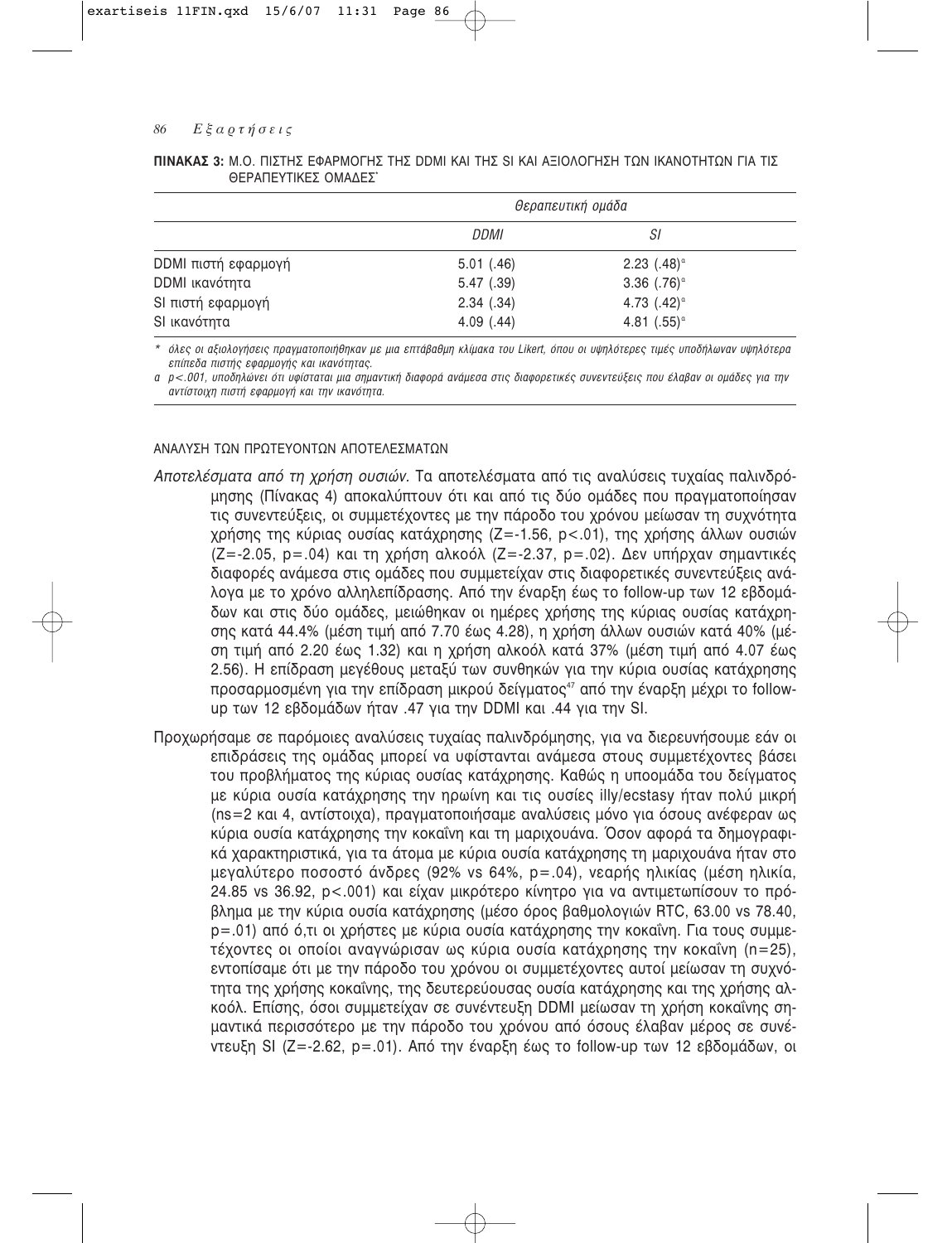#### **ΠΙΝΑΚΑΣ 3: Μ.Ο. ΠΙΣΤΗΣ ΕΦΑΡΜΟΓΗΣ ΤΗΣ DDMI ΚΑΙ ΤΗΣ SI ΚΑΙ ΑΞΙΟΛΟΓΗΣΗ ΤΩΝ ΙΚΑΝΟΤΗΤΩΝ ΓΙΑ ΤΙΣ** ΘΕΡΑΠΕΥΤΙΚΕΣ ΟΜΑΔΕΣ<sup>\*</sup>

|                     | Θεραπευτική ομάδα |                             |  |  |
|---------------------|-------------------|-----------------------------|--|--|
|                     | DDMI              | SI                          |  |  |
| DDMI πιστή εφαρμογή | 5.01(0.46)        | $2.23$ $(.48)$ <sup>a</sup> |  |  |
| DDMI ικανότητα      | 5.47(0.39)        | $3.36$ $(.76)^{a}$          |  |  |
| SI πιστή εφαρμογή   | 2.34(0.34)        | 4.73 $(.42)$ <sup>a</sup>   |  |  |
| SI ικανότητα        | 4.09(0.44)        | 4.81 $(.55)^{\circ}$        |  |  |

όλες οι αξιολογήσεις πραγματοποιήθηκαν με μια επτάβαθμη κλίμακα του Likert, όπου οι υψηλότερες τιμές υποδήλωναν υψηλότερα  $\epsilon$ πίπεδα πιστής εφαρμογής και ικανότητας.

*a p<.001, υποδηλώνει ότι νφίσταται μια σημαντική διαφορά ανάμεσα στις διαφορετικές συνεντεύξεις που έλαβαν οι ομάδες για την αντίστοιχη πιστή εφαρμογή και την ικανότητα.* 

# ΑΝΑΛΥΣΗ ΤΩΝ ΠΡΩΤΕΥΟΝΤΩΝ ΑΠΟΤΕΛΕΣΜΑΤΩΝ

- Αποτελέσματα από τη χρήση ουσιών. Τα αποτελέσματα από τις αναλύσεις τυχαίας παλινδρόμησης (Πίνακας 4) αποκαλύπτουν ότι και από τις δύο ομάδες που πραγματοποίησαν τις συνεντεύξεις, οι συμμετέχοντες με την πάροδο του χρόνου μείωσαν τη συχνότητα  $Y$ ρήσης της κύριας ουσίας κατάχρησης (Z=-1.56, p<.01), της χρήσης άλλων ουσιών  $(Z=-2.05, p=.04)$  και τη χρήση αλκοόλ (Z=-2.37, p=.02). Δεν υπήρχαν σημαντικές διαφορές ανάμεσα στις ομάδες που συμμετείχαν στις διαφορετικές συνεντεύξεις ανάλογα με το χρόνο αλληλεπίδρασης. Από την έναρξη έως το follow-up των 12 εβδομάδων και στις δύο ομάδες, μειώθηκαν οι ημέρες χρήσης της κύριας ουσίας κατάχρησης κατά 44.4% (μέση τιμή από 7.70 έως 4.28), η χρήση άλλων ουσιών κατά 40% (μέση τιμή από 2.20 έως 1.32) και η χρήση αλκοόλ κατά 37% (μέση τιμή από 4.07 έως 2.56). Η επίδραση μεγέθους μεταξύ των συνθηκών για την κύρια ουσίας κατάχρησης προσαρμοσμένη για την επίδραση μικρού δείγματος<sup>47</sup> από την έναρξη μέχρι το followup των 12 εβδομάδων ήταν .47 για την DDMI και .44 για την SI.
- Προχωρήσαμε σε παρόμοιες αναλύσεις τυχαίας παλινδρόμησης, για να διερευνήσουμε εάν οι επιδράσεις της ομάδας μπορεί να υφίστανται ανάμεσα στους συμμετέχοντες βάσει του προβλήματος της κύριας ουσίας κατάχρησης. Καθώς η υποομάδα του δείγματος με κύρια ουσία κατάχρησης την ηρωίνη και τις ουσίες illy/ecstasy ήταν πολύ μικρή (ns=2 και 4, αντίστοιχα), πραγματοποιήσαμε αναλύσεις μόνο για όσους ανέφεραν ως κύρια ουσία κατάχρησης την κοκαΐνη και τη μαριχουάνα. Όσον αφορά τα δημογραφικά χαρακτηριστικά, για τα άτομα με κύρια ουσία κατάχρησης τη μαριχουάνα ήταν στο μεγαλύτερο ποσοστό άνδρες (92% vs 64%, p=.04), νεαρής ηλικίας (μέση ηλικία,  $24.85$  vs 36.92, p<.001) και είχαν μικρότερο κίνητρο για να αντιμετωπίσουν το πρόβλημα με την κύρια ουσία κατάχρησης (μέσο όρος βαθμολογιών RTC, 63.00 vs 78.40,  $p = .01$ ) από ό,τι οι χρήστες με κύρια ουσία κατάχρησης την κοκαΐνη. Για τους συμμετέχοντες οι οποίοι αναγνώρισαν ως κύρια ουσία κατάχρησης την κοκαΐνη (n=25), εντοπίσαμε ότι με την πάροδο του χρόνου οι συμμετέχοντες αυτοί μείωσαν τη συχνότητα της χρήσης κοκαΐνης, της δευτερεύουσας ουσία κατάχρησης και της χρήσης αλ-Κοόλ. Επίσης, όσοι συμμετείχαν σε συνέντευξη DDMI μείωσαν τη χρήση κοκαΐνης σημαντικά περισσότερο με την πάροδο του χρόνου από όσους έλαβαν μέρος σε συνέ-Vτευξη SI (Z=-2.62, p=.01). Από την έναρξη έως το follow-up των 12 εβδομάδων, οι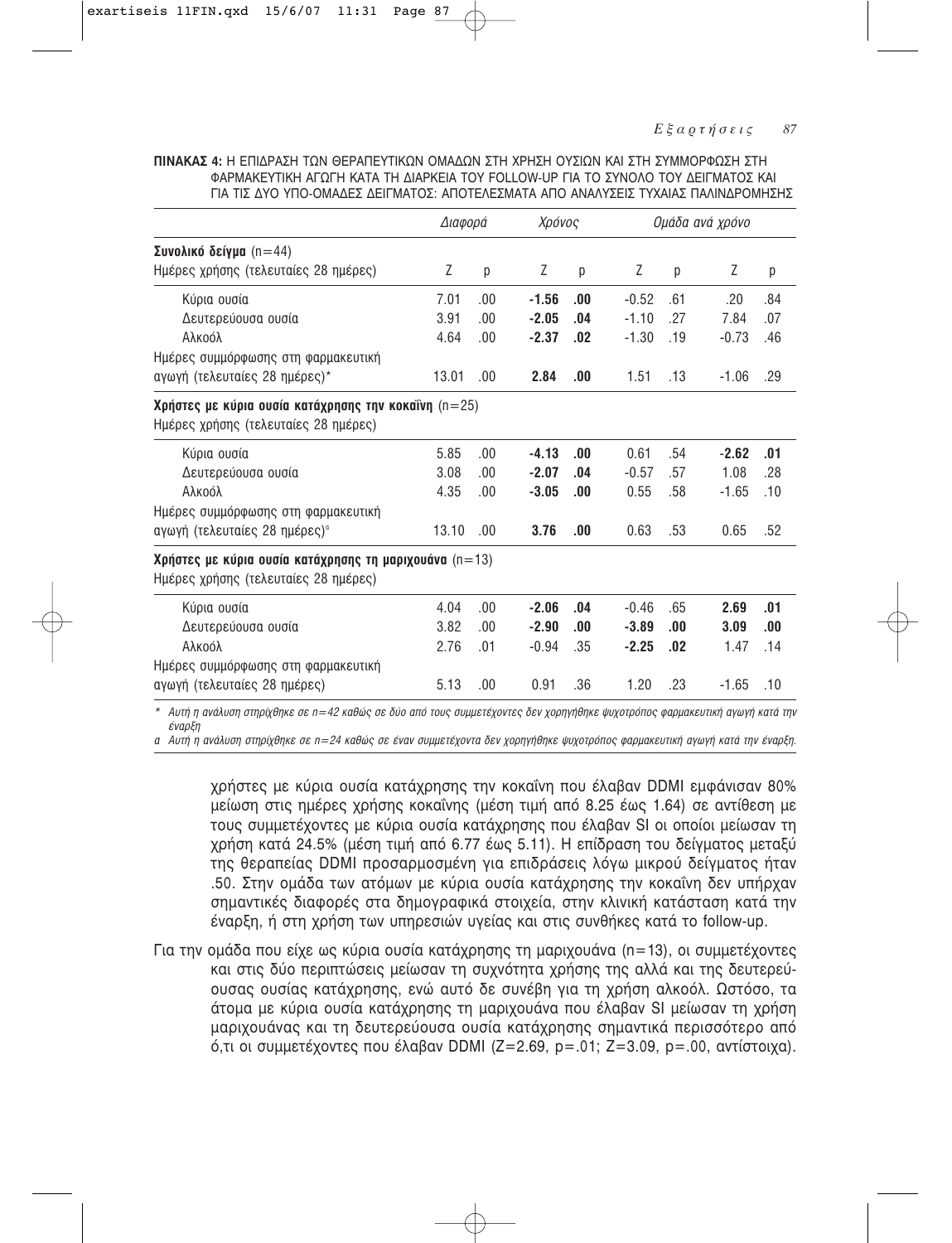ΠΙΝΑΚΑΣ 4: Η ΕΠΙΔΡΑΣΗ ΤΩΝ ΘΕΡΑΠΕΥΤΙΚΩΝ ΟΜΑΔΩΝ ΣΤΗ ΧΡΗΣΗ ΟΥΣΙΩΝ ΚΑΙ ΣΤΗ ΣΥΜΜΟΡΦΩΣΗ ΣΤΗ ©ΑΡΜΑΚΕΥΤΙΚΗ ΑΓΩΓΗ ΚΑΤΑ ΤΗ ΔΙΑΡΚΕΙΑ ΤΟΥ FOLLOW-UP ΓΙΑ ΤΟ ΣΥΝΟΛΟ ΤΟΥ ΔΕΙΓΜΑΤΟΣ ΚΑΙ ΓΙΑ ΤΙΣ ΔΥΟ ΥΠΟ-ΟΜΑΔΕΣ ΔΕΙΓΜΑΤΟΣ: ΑΠΟΤΕΛΕΣΜΑΤΑ ΑΠΟ ΑΝΑΛΥΣΕΙΣ ΤΥΧΑΙΑΣ ΠΑΛΙΝΔΡΟΜΗΣΗΣ

|                                                        | Χρόνος<br>Διαφορά |      |         | Ομάδα ανά χρόνο |         |     |         |     |
|--------------------------------------------------------|-------------------|------|---------|-----------------|---------|-----|---------|-----|
| Συνολικό δείγμα (n=44)                                 |                   |      |         |                 |         |     |         |     |
| Ημέρες χρήσης (τελευταίες 28 ημέρες)                   | Ζ                 | p    | Ζ       | p               | Ζ       | p   | Z       | р   |
| Κύρια ουσία                                            | 7.01              | .00  | $-1.56$ | .00             | $-0.52$ | .61 | .20     | .84 |
| Δευτερεύουσα ουσία                                     | 3.91              | .00  | $-2.05$ | .04             | $-1.10$ | .27 | 7.84    | .07 |
| Αλκοόλ                                                 | 4.64              | .00. | $-2.37$ | .02             | $-1.30$ | .19 | $-0.73$ | .46 |
| Ημέρες συμμόρφωσης στη φαρμακευτική                    |                   |      |         |                 |         |     |         |     |
| αγωγή (τελευταίες 28 ημέρες)*                          | 13.01             | .00  | 2.84    | .00             | 1.51    | .13 | $-1.06$ | .29 |
| Χρήστες με κύρια ουσία κατάχρησης την κοκαΐνη (n=25)   |                   |      |         |                 |         |     |         |     |
| Ημέρες χρήσης (τελευταίες 28 ημέρες)                   |                   |      |         |                 |         |     |         |     |
| Κύρια ουσία                                            | 5.85              | .00  | $-4.13$ | .00             | 0.61    | .54 | $-2.62$ | .01 |
| Δευτερεύουσα ουσία                                     | 3.08              | .00. | $-2.07$ | .04             | $-0.57$ | .57 | 1.08    | .28 |
| Αλκοόλ                                                 | 4.35              | .00  | $-3.05$ | .00             | 0.55    | .58 | $-1.65$ | .10 |
| Ημέρες συμμόρφωσης στη φαρμακευτική                    |                   |      |         |                 |         |     |         |     |
| αγωγή (τελευταίες 28 ημέρες) <sup></sup>               | 13.10             | .00  | 3.76    | .00             | 0.63    | .53 | 0.65    | .52 |
| Χρήστες με κύρια ουσία κατάχρησης τη μαριχουάνα (n=13) |                   |      |         |                 |         |     |         |     |
| Ημέρες χρήσης (τελευταίες 28 ημέρες)                   |                   |      |         |                 |         |     |         |     |
| Κύρια ουσία                                            | 4.04              | .00  | $-2.06$ | .04             | $-0.46$ | .65 | 2.69    | .01 |
| Δευτερεύουσα ουσία                                     | 3.82              | .00. | $-2.90$ | .00             | $-3.89$ | .00 | 3.09    | .00 |
| Αλκοόλ                                                 | 2.76              | .01  | $-0.94$ | .35             | $-2.25$ | .02 | 1.47    | .14 |
| Ημέρες συμμόρφωσης στη φαρμακευτική                    |                   |      |         |                 |         |     |         |     |
| αγωγή (τελευταίες 28 ημέρες)                           | 5.13              | .00  | 0.91    | .36             | 1.20    | .23 | $-1.65$ | .10 |
|                                                        |                   |      |         |                 |         |     |         |     |

*Αυτή η ανάλυση στηρίχθηκε σε n=42 καθώς σε δύο από τους συμμετέχοντες δεν χορηγήθηκε ψυχοτρόπος φαρμακευτική αγωγή κατά την*  $ε$ ναρ*ξ*η

*a* Αυτή η ανάλυση στηρίχθηκε σε n=24 καθώς σε έναν συμμετέχοντα δεν χορηγήθηκε ψυχοτρόπος φαρμακευτική αγωγή κατά την έναρξη.

χρήστες με κύρια ουσία κατάχρησης την κοκαΐνη που έλαβαν DDMI εμφάνισαν 80% μείωση στις ημέρες χρήσης κοκαΐνης (μέση τιμή από 8.25 έως 1.64) σε αντίθεση με τους συμμετέχοντες με κύρια ουσία κατάχρησης που έλαβαν SI οι οποίοι μείωσαν τη γρήση κατά 24.5% (μέση τιμή από 6.77 έως 5.11). Η επίδραση του δείγματος μεταξύ της θεραπείας DDMI προσαρμοσμένη για επιδράσεις λόγω μικρού δείγματος ήταν .50. Στην ομάδα των ατόμων με κύρια ουσία κατάχρησης την κοκαΐνη δεν υπήρχαν σημαντικές διαφορές στα δημογραφικά στοιχεία, στην κλινική κατάσταση κατά την έναρξη, ή στη χρήση των υπηρεσιών υγείας και στις συνθήκες κατά το follow-up.

Για την ομάδα που είχε ως κύρια ουσία κατάχρησης τη μαριχουάνα (n=13), οι συμμετέχοντες και στις δύο περιπτώσεις μείωσαν τη συχνότητα χρήσης της αλλά και της δευτερεύουσας ουσίας κατάχρησης, ενώ αυτό δε συνέβη για τη χρήση αλκοόλ. Ωστόσο, τα άτομα με κύρια ουσία κατάχρησης τη μαριχουάνα που έλαβαν SI μείωσαν τη χρήση μαριχουάνας και τη δευτερεύουσα ουσία κατάχρησης σημαντικά περισσότερο από ό,τι οι συμμετέχοντες που έλαβαν DDMI (Z=2.69, p=.01; Z=3.09, p=.00, αντίστοιχα).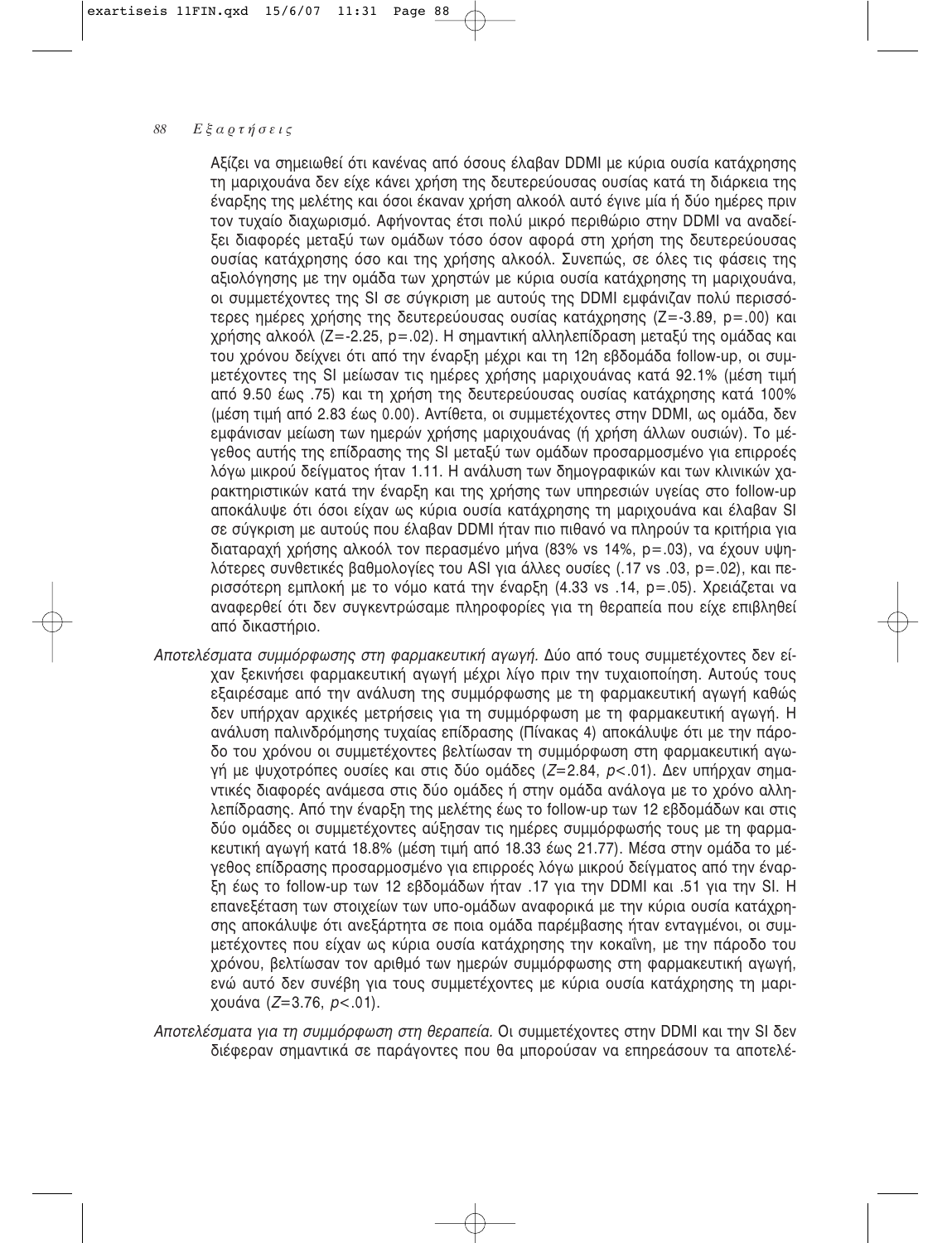Αξίζει να σημειωθεί ότι κανένας από όσους έλαβαν DDMI με κύρια ουσία κατάχρησης τη μαριχουάνα δεν είχε κάνει χρήση της δευτερεύουσας ουσίας κατά τη διάρκεια της έναρξης της μελέτης και όσοι έκαναν χρήση αλκοόλ αυτό έγινε μία ή δύο ημέρες πριν τον τυχαίο διαχωρισμό. Αφήνοντας έτσι πολύ μικρό περιθώριο στην DDMI να αναδείξει διαφορές μεταξύ των ομάδων τόσο όσον αφορά στη χρήση της δευτερεύουσας ουσίας κατάχρησης όσο και της χρήσης αλκοόλ. Συνεπώς, σε όλες τις φάσεις της αξιολόγησης με την ομάδα των χρηστών με κύρια ουσία κατάχρησης τη μαριχουάνα, οι συμμετέχοντες της SI σε σύγκριση με αυτούς της DDMI εμφάνιζαν πολύ περισσότερες ημέρες χρήσης της δευτερεύουσας ουσίας κατάχρησης (Z=-3.89, p=.00) και χρήσης αλκοόλ (Z=-2.25, p=.02). Η σημαντική αλληλεπίδραση μεταξύ της ομάδας και του χρόνου δείχνει ότι από την έναρξη μέχρι και τη 12η εβδομάδα follow-up, οι συμμετέχοντες της SI μείωσαν τις ημέρες χρήσης μαριχουάνας κατά 92.1% (μέση τιμή από 9.50 έως .75) και τη χρήση της δευτερεύουσας ουσίας κατάχρησης κατά 100% (μέση τιμή από 2.83 έως 0.00). Αντίθετα, οι συμμετέχοντες στην DDMI, ως ομάδα, δεν εμφάνισαν μείωση των ημερών χρήσης μαριχουάνας (ή χρήση άλλων ουσιών). Το μέγεθος αυτής της επίδρασης της SI μεταξύ των ομάδων προσαρμοσμένο για επιρροές λόγω μικρού δείγματος ήταν 1.11. Η ανάλυση των δημογραφικών και των κλινικών χαρακτηριστικών κατά την έναρξη και της χρήσης των υπηρεσιών υγείας στο follow-up αποκάλυψε ότι όσοι είχαν ως κύρια ουσία κατάχρησης τη μαριχουάνα και έλαβαν SI σε σύγκριση με αυτούς που έλαβαν DDMI ήταν πιο πιθανό να πληρούν τα κριτήρια για διαταραχή χρήσης αλκοόλ τον περασμένο μήνα (83% vs 14%, p=.03), να έχουν υψηλότερες συνθετικές βαθμολογίες του ASI για άλλες ουσίες (.17 vs .03, p=.02), και πε- $\alpha$ ισσότερη εμπλοκή με το νόμο κατά την έναρξη (4.33 vs .14, p=.05). Χρειάζεται να αναφερθεί ότι δεν συγκεντρώσαμε πληροφορίες για τη θεραπεία που είχε επιβληθεί από δικαστήριο.

- Αποτελέσματα συμμόρφωσης στη φαρμακευτική αγωγή. Δύο από τους συμμετέχοντες δεν είγαν ξεκινήσει φαρμακευτική αγωγή μέχρι λίγο πριν την τυχαιοποίηση. Αυτούς τους εξαιρέσαμε από την ανάλυση της συμμόρφωσης με τη φαρμακευτική αγωγή καθώς δεν υπήρχαν αρχικές μετρήσεις για τη συμμόρφωση με τη φαρμακευτική αγωγή. Η ανάλυση παλινδρόμησης τυχαίας επίδρασης (Πίνακας 4) αποκάλυψε ότι με την πάροδο του χρόνου οι συμμετέχοντες βελτίωσαν τη συμμόρφωση στη φαρμακευτική αγωγή με ψυχοτρόπες ουσίες και στις δύο ομάδες (*Z*=2.84, *p*<.01). Δεν υπήρχαν σημα-Vτικές διαφορές ανάμεσα στις δύο ομάδες ή στην ομάδα ανάλογα με το χρόνο αλληλεπίδρασης. Από την έναρξη της μελέτης έως το follow-up των 12 εβδομάδων και στις δύο ομάδες οι συμμετέχοντες αύξησαν τις ημέρες συμμόρφωσής τους με τη φαρμακευτική αγωγή κατά 18.8% (μέση τιμή από 18.33 έως 21.77). Μέσα στην ομάδα το μέγεθος επίδρασης προσαρμοσμένο για επιρροές λόγω μικρού δείγματος από την έναρξη έως το follow-up των 12 εβδομάδων ήταν .17 για την DDMI και .51 για την SI. Η επανεξέταση των στοιχείων των υπο-ομάδων αναφορικά με την κύρια ουσία κατάχρησης αποκάλυψε ότι ανεξάρτητα σε ποια ομάδα παρέμβασης ήταν ενταγμένοι, οι συμμετέχοντες που είχαν ως κύρια ουσία κατάχρησης την κοκαΐνη, με την πάροδο του χρόνου, βελτίωσαν τον αριθμό των ημερών συμμόρφωσης στη φαρμακευτική αγωγή, ενώ αυτό δεν συνέβη για τους συμμετέχοντες με κύρια ουσία κατάχρησης τη μαριχουάνα (*Z*=3.76, *p*<.01).
- *Αποτελέσματα για τη συμμόρφωση στη θεραπεία.* Οι συμμετέχοντες στην DDMI και την SI δεν διέφεραν σημαντικά σε παράγοντες που θα μπορούσαν να επηρεάσουν τα αποτελέ-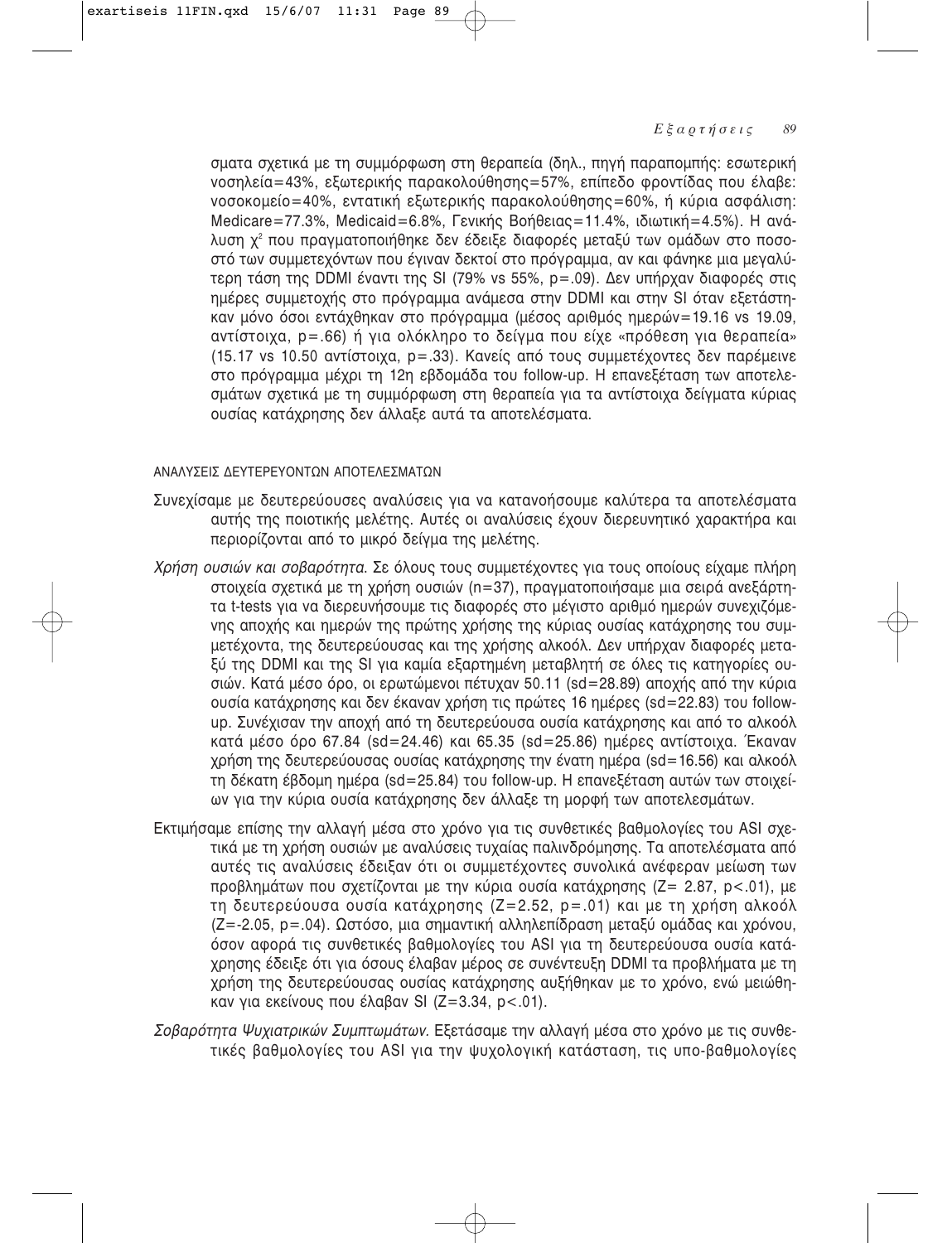σματα σχετικά με τη συμμόρφωση στη θεραπεία (δηλ., πηγή παραπομπής: εσωτερική νοσηλεία=43%, εξωτερικής παρακολούθησης=57%, επίπεδο φροντίδας που έλαβε: vοσοκομείο=40%, εντατική εξωτερικής παρακολούθησης=60%, ή κύρια ασφάλιση:  $Medicare = 77.3\%$ , Medicaid=6.8%, Γενικής Βοήθειας=11.4%, ιδιωτική=4.5%). Η ανάλυση χ<sup>2</sup> που πραγματοποιήθηκε δεν έδειξε διαφορές μεταξύ των ομάδων στο ποσοστό των συμμετεχόντων που έγιναν δεκτοί στο πρόγραμμα, αν και φάνηκε μια μεγαλύτερη τάση της DDMI έναντι της SI (79% vs 55%, p=.09). Δεν υπήρχαν διαφορές στις ημέρες συμμετοχής στο πρόγραμμα ανάμεσα στην DDMI και στην SI όταν εξετάστη-Kαν μόνο όσοι εντάχθηκαν στο πρόγραμμα (μέσος αριθμός ημερών=19.16 vs 19.09, αντίστοιχα, p=.66) ή για ολόκληρο το δείγμα που είχε «πρόθεση για θεραπεία»  $(15.17 \text{ vs } 10.50 \text{ avrí}$ στοιχα, p=.33). Κανείς από τους συμμετέχοντες δεν παρέμεινε στο πρόγραμμα μέχρι τη 12η εβδομάδα του follow-up. Η επανεξέταση των αποτελεσμάτων σχετικά με τη συμμόρφωση στη θεραπεία για τα αντίστοιχα δείγματα κύριας ουσίας κατάχρησης δεν άλλαξε αυτά τα αποτελέσματα.

# ΑΝΑΛΥΣΕΙΣ ΔΕΥΤΕΡΕΥΟΝΤΩΝ ΑΠΟΤΕΛΕΣΜΑΤΩΝ

- Συνεχίσαμε με δευτερεύουσες αναλύσεις για να κατανοήσουμε καλύτερα τα αποτελέσματα αυτής της ποιοτικής μελέτης. Αυτές οι αναλύσεις έχουν διερευνητικό χαρακτήρα και περιορίζονται από το μικρό δείνμα της μελέτης.
- *Χρήση ουσιών και σοβαρότητα.* Σε όλους τους συμμετέχοντες για τους οποίους είχαμε πλήρη στοιχεία σχετικά με τη χρήση ουσιών (n=37), πραγματοποιήσαμε μια σειρά ανεξάρτητα t-tests για να διερευνήσουμε τις διαφορές στο μέγιστο αριθμό ημερών συνεχιζόμενης αποχής και ημερών της πρώτης χρήσης της κύριας ουσίας κατάχρησης του συμμετέχοντα, της δευτερεύουσας και της χρήσης αλκοόλ. Δεν υπήρχαν διαφορές μεταξύ της DDMI και της SI για καμία εξαρτημένη μεταβλητή σε όλες τις κατηγορίες ουσιών. Κατά μέσο όρο, οι ερωτώμενοι πέτυχαν 50.11 (sd=28.89) αποχής από την κύρια ουσία κατάχρησης και δεν έκαναν χρήση τις πρώτες 16 ημέρες (sd=22.83) του followup. Συνέχισαν την αποχή από τη δευτερεύουσα ουσία κατάχρησης και από το αλκοόλ κατά μέσο όρο 67.84 (sd=24.46) και 65.35 (sd=25.86) ημέρες αντίστοιχα. Έκαναν χρήση της δευτερεύουσας ουσίας κατάχρησης την ένατη ημέρα (sd=16.56) και αλκοόλ τη δέκατη έβδομη ημέρα (sd=25.84) του follow-up. Η επανεξέταση αυτών των στοιχείων για την κύρια ουσία κατάχρησης δεν άλλαξε τη μορφή των αποτελεσμάτων.
- Εκτιμήσαμε επίσης την αλλαγή μέσα στο χρόνο για τις συνθετικές βαθμολογίες του ASI σχετικά με τη χρήση ουσιών με αναλύσεις τυχαίας παλινδρόμησης. Τα αποτελέσματα από αυτές τις αναλύσεις έδειξαν ότι οι συμμετέχοντες συνολικά ανέφεραν μείωση των προβλημάτων που σχετίζονται με την κύρια ουσία κατάχρησης (Z= 2.87, p<.01), με τη δευτερεύουσα ουσία κατάχρησης (Z=2.52, p=.01) και με τη χρήση αλκοόλ (Z=-2.05, p=.04). Ωστόσο, μια σημαντική αλληλεπίδραση μεταξύ ομάδας και χρόνου, όσον αφορά τις συνθετικές βαθμολογίες του ASI για τη δευτερεύουσα ουσία κατάχρησης έδειξε ότι για όσους έλαβαν μέρος σε συνέντευξη DDMI τα προβλήματα με τη χρήση της δευτερεύουσας ουσίας κατάχρησης αυξήθηκαν με το χρόνο, ενώ μειώθη-Kαν για εκείνους που έλαβαν SI (Z=3.34, p<.01).
- *Σοβαρότητα Ψυχιατρικών Συμπτωμάτων.* Εξετάσαμε την αλλαγή μέσα στο χρόνο με τις συνθετικές βαθμολογίες του ASI για την ψυχολογική κατάσταση, τις υπο-βαθμολογίες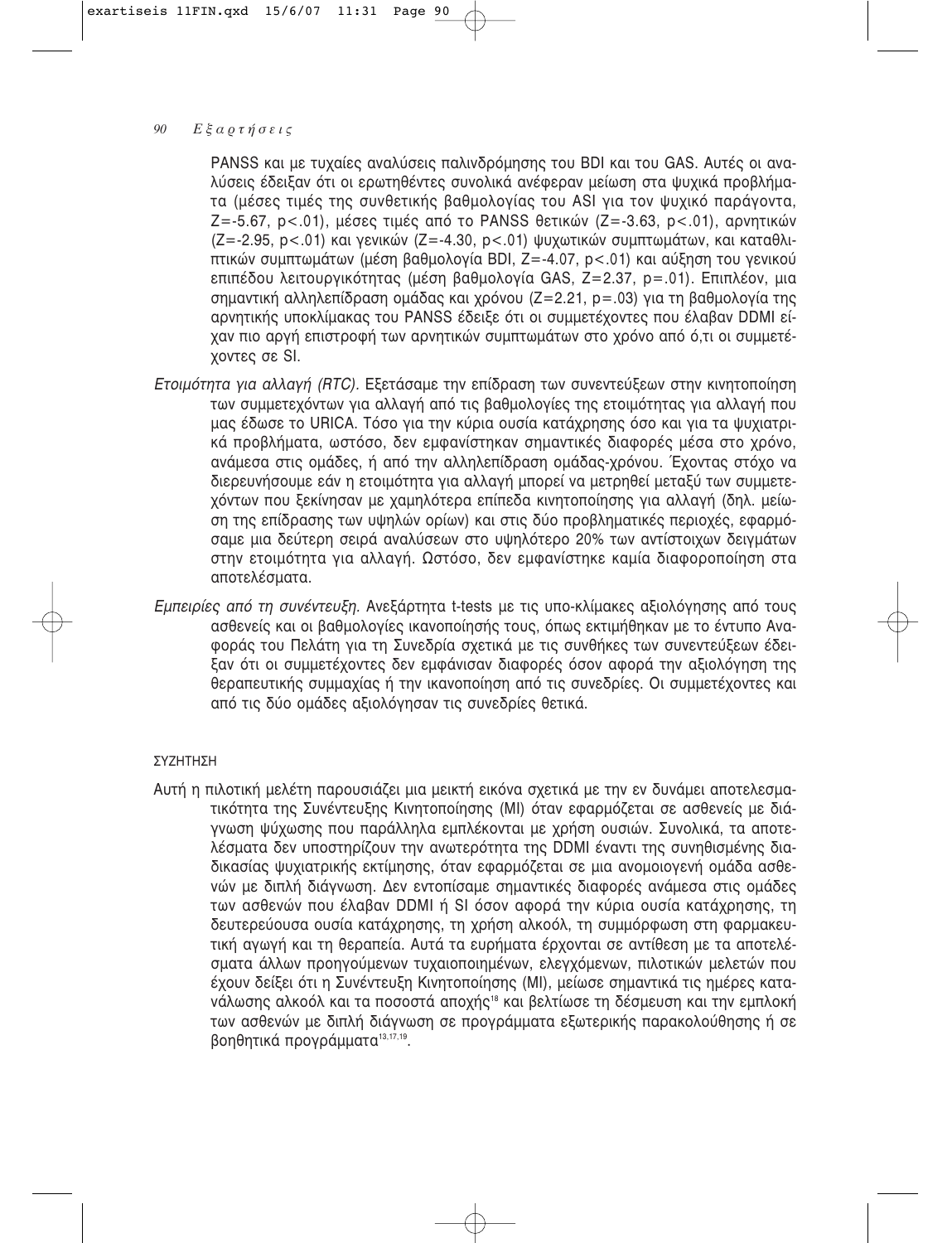#### $90<sup>°</sup>$ Εξαρτήσεις

PANSS και με τυχαίες αναλύσεις παλινδρόμησης του BDI και του GAS. Αυτές οι αναλύσεις έδειξαν ότι οι ερωτηθέντες συνολικά ανέφεραν μείωση στα ψυχικά προβλήματα (μέσες τιμές της συνθετικής βαθμολογίας του ASI για τον ψυχικό παράγοντα, Z=-5.67, p<.01), μέσες τιμές από το PANSS θετικών (Z=-3.63, p<.01), αρνητικών  $(Z=-2.95, p<0.01)$  και γενικών (Z=-4.30, p<.01) ψυχωτικών συμπτωμάτων, και καταθλιπτικών συμπτωμάτων (μέση βαθμολογία BDI, Z=-4.07, p<.01) και αύξηση του γενικού επιπέδου λειτουργικότητας (μέση βαθμολογία GAS, Z=2.37, p=.01). Επιπλέον, μια σημαντική αλληλεπίδραση ομάδας και χρόνου (Z=2.21, p=.03) για τη βαθμολογία της αρνητικής υποκλίμακας του PANSS έδειξε ότι οι συμμετέχοντες που έλαβαν DDMI είχαν πιο αργή επιστροφή των αρνητικών συμπτωμάτων στο χρόνο από ό,τι οι συμμετέχοντες σε SI.

- Ετοιμότητα για αλλαγή (RTC). Εξετάσαμε την επίδραση των συνεντεύξεων στην κινητοποίηση των συμμετεχόντων για αλλαγή από τις βαθμολογίες της ετοιμότητας για αλλαγή που μας έδωσε το URICA. Τόσο για την κύρια ουσία κατάχρησης όσο και για τα ψυχιατρικά προβλήματα, ωστόσο, δεν εμφανίστηκαν σημαντικές διαφορές μέσα στο χρόνο, ανάμεσα στις ομάδες, ή από την αλληλεπίδραση ομάδας-χρόνου. Έχοντας στόχο να διερευνήσουμε εάν η ετοιμότητα για αλλαγή μπορεί να μετρηθεί μεταξύ των συμμετεχόντων που ξεκίνησαν με χαμηλότερα επίπεδα κινητοποίησης για αλλαγή (δηλ. μείωση της επίδρασης των υψηλών ορίων) και στις δύο προβληματικές περιοχές, εφαρμόσαμε μια δεύτερη σειρά αναλύσεων στο υψηλότερο 20% των αντίστοιχων δεινμάτων στην ετοιμότητα για αλλαγή. Ωστόσο, δεν εμφανίστηκε καμία διαφοροποίηση στα αποτελέσματα.
- Εμπειρίες από τη συνέντευξη. Ανεξάρτητα t-tests με τις υπο-κλίμακες αξιολόγησης από τους ασθενείς και οι βαθμολογίες ικανοποίησής τους, όπως εκτιμήθηκαν με το έντυπο Αναφοράς του Πελάτη για τη Συνεδρία σχετικά με τις συνθήκες των συνεντεύξεων έδειξαν ότι οι συμμετέχοντες δεν εμφάνισαν διαφορές όσον αφορά την αξιολόγηση της θεραπευτικής συμμαχίας ή την ικανοποίηση από τις συνεδρίες. Οι συμμετέχοντες και από τις δύο ομάδες αξιολόγησαν τις συνεδρίες θετικά.

#### ΣΥΖΗΤΗΣΗ

Αυτή η πιλοτική μελέτη παρουσιάζει μια μεικτή εικόνα σχετικά με την εν δυνάμει αποτελεσματικότητα της Συνέντευξης Κινητοποίησης (MI) όταν εφαρμόζεται σε ασθενείς με διάγνωση ψύχωσης που παράλληλα εμπλέκονται με χρήση ουσιών. Συνολικά, τα αποτελέσματα δεν υποστηρίζουν την ανωτερότητα της DDMI έναντι της συνηθισμένης διαδικασίας ψυχιατρικής εκτίμησης, όταν εφαρμόζεται σε μια ανομοιογενή ομάδα ασθενών με διπλή διάννωση. Δεν εντοπίσαμε σημαντικές διαφορές ανάμεσα στις ομάδες των ασθενών που έλαβαν DDMI ή SI όσον αφορά την κύρια ουσία κατάχρησης, τη δευτερεύουσα ουσία κατάχρησης, τη χρήση αλκοόλ, τη συμμόρφωση στη φαρμακευτική αγωγή και τη θεραπεία. Αυτά τα ευρήματα έρχονται σε αντίθεση με τα αποτελέσματα άλλων προηγούμενων τυχαιοποιημένων, ελεγχόμενων, πιλοτικών μελετών που έχουν δείξει ότι η Συνέντευξη Κινητοποίησης (MI), μείωσε σημαντικά τις ημέρες κατανάλωσης αλκοόλ και τα ποσοστά αποχής<sup>18</sup> και βελτίωσε τη δέσμευση και την εμπλοκή των ασθενών με διπλή διάγνωση σε προγράμματα εξωτερικής παρακολούθησης ή σε βοηθητικά προγράμματα<sup>13,17,19</sup>.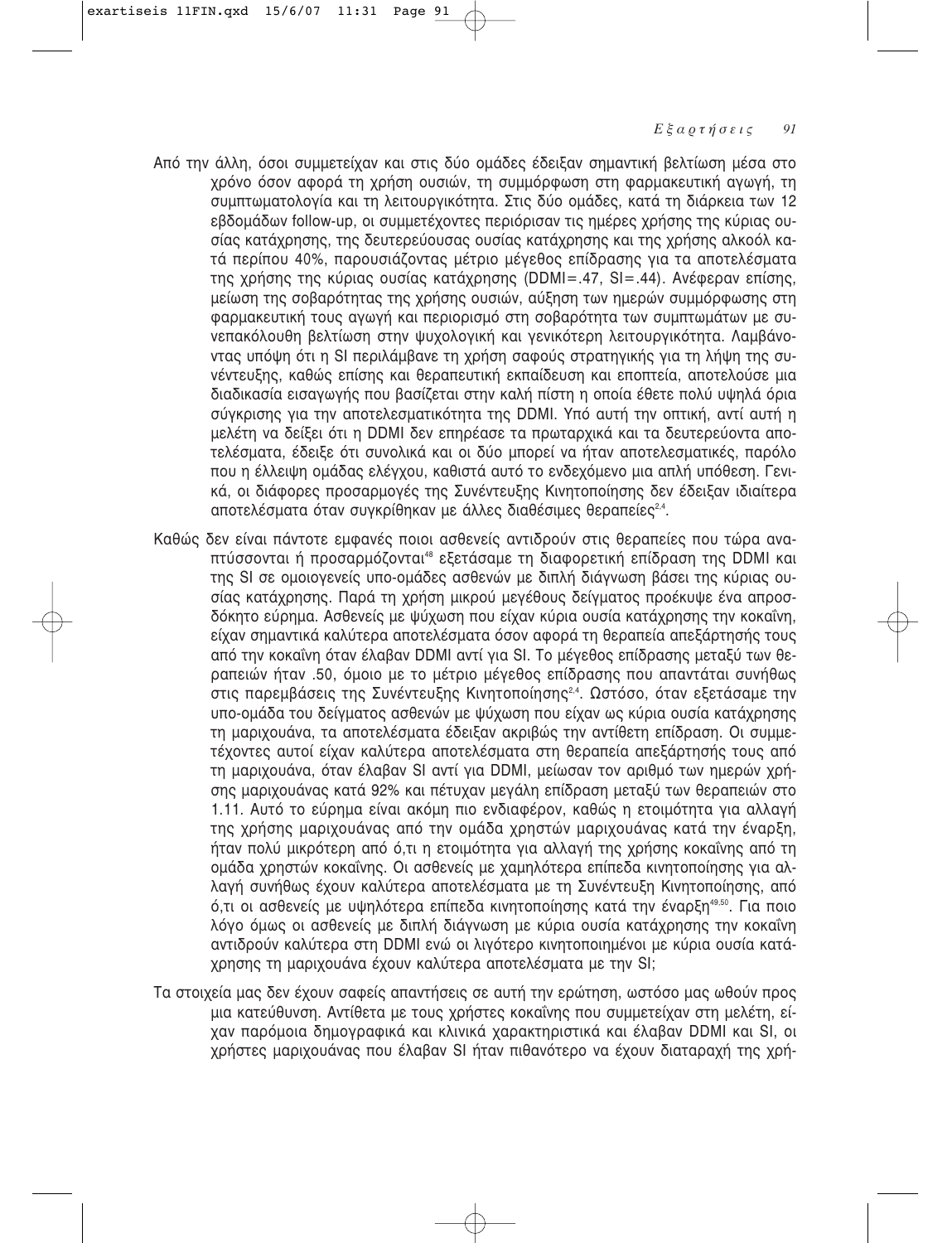- Aπό την άλλη, όσοι συμμετείχαν και στις δύο ομάδες έδειξαν σημαντική βελτίωση μέσα στο χρόνο όσον αφορά τη χρήση ουσιών, τη συμμόρφωση στη φαρμακευτική αγωγή, τη συμπτωματολογία και τη λειτουργικότητα. Στις δύο ομάδες, κατά τη διάρκεια των 12 εβδομάδων follow-up, οι συμμετέχοντες περιόρισαν τις ημέρες χρήσης της κύριας ουσίας κατάχρησης, της δευτερεύουσας ουσίας κατάχρησης και της χρήσης αλκοόλ κατά περίπου 40%, παρουσιάζοντας μέτριο μέγεθος επίδρασης για τα αποτελέσματα της χρήσης της κύριας ουσίας κατάχρησης (DDMI=.47, SI=.44). Ανέφεραν επίσης, μείωση της σοβαρότητας της χρήσης ουσιών, αύξηση των ημερών συμμόρφωσης στη φαρμακευτική τους αγωγή και περιορισμό στη σοβαρότητα των συμπτωμάτων με συνεπακόλουθη βελτίωση στην ψυχολογική και γενικότερη λειτουργικότητα. Λαμβάνοντας υπόψη ότι η SI περιλάμβανε τη χρήση σαφούς στρατηγικής για τη λήψη της συνέντευξης, καθώς επίσης και θεραπευτική εκπαίδευση και εποπτεία, αποτελούσε μια διαδικασία εισαγωγής που βασίζεται στην καλή πίστη η οποία έθετε πολύ υψηλά όρια σύγκρισης για την αποτελεσματικότητα της DDMI. Υπό αυτή την οπτική, αντί αυτή η μελέτη να δείξει ότι η DDMI δεν επηρέασε τα πρωταρχικά και τα δευτερεύοντα αποτελέσματα, έδειξε ότι συνολικά και οι δύο μπορεί να ήταν αποτελεσματικές, παρόλο που η έλλειψη ομάδας ελέγχου, καθιστά αυτό το ενδεχόμενο μια απλή υπόθεση. Γενικά, οι διάφορες προσαρμογές της Συνέντευξης Κινητοποίησης δεν έδειξαν ιδιαίτερα αποτελέσματα όταν συγκρίθηκαν με άλλες διαθέσιμες θεραπείες<sup>2,4</sup>.
- Καθώς δεν είναι πάντοτε εμφανές ποιοι ασθενείς αντιδρούν στις θεραπείες που τώρα αναπτύσσονται ή προσαρμόζονται<sup>48</sup> εξετάσαμε τη διαφορετική επίδραση της DDMI και της SI σε ομοιογενείς υπο-ομάδες ασθενών με διπλή διάγνωση βάσει της κύριας ουσίας κατάχρησης. Παρά τη χρήση μικρού μεγέθους δείγματος προέκυψε ένα απροσδόκητο εύρημα. Ασθενείς με ψύχωση που είχαν κύρια ουσία κατάχρησης την κοκαΐνη, είχαν σημαντικά καλύτερα αποτελέσματα όσον αφορά τη θεραπεία απεξάρτησής τους από την κοκαΐνη όταν έλαβαν DDMI αντί για SI. Το μέγεθος επίδρασης μεταξύ των θεραπειών ήταν .50, όμοιο με το μέτριο μέγεθος επίδρασης που απαντάται συνήθως στις παρεμβάσεις της Συνέντευξης Κινητοποίησης<sup>2,4</sup>. Ωστόσο, όταν εξετάσαμε την υπο-ομάδα του δείγματος ασθενών με ψύχωση που είχαν ως κύρια ουσία κατάχρησης τη μαριχουάνα, τα αποτελέσματα έδειξαν ακριβώς την αντίθετη επίδραση. Οι συμμετέχοντες αυτοί είχαν καλύτερα αποτελέσματα στη θεραπεία απεξάρτησής τους από τη μαριχουάνα, όταν έλαβαν SI αντί για DDMI, μείωσαν τον αριθμό των ημερών χρήσης μαριχουάνας κατά 92% και πέτυχαν μεγάλη επίδραση μεταξύ των θεραπειών στο 1.11. Αυτό το εύρημα είναι ακόμη πιο ενδιαφέρον, καθώς η ετοιμότητα για αλλαγή της χρήσης μαριχουάνας από την ομάδα χρηστών μαριχουάνας κατά την έναρξη. ήταν πολύ μικρότερη από ό,τι η ετοιμότητα για αλλαγή της χρήσης κοκαΐνης από τη ομάδα χρηστών κοκαΐνης. Οι ασθενείς με χαμηλότερα επίπεδα κινητοποίησης για αλλαγή συνήθως έχουν καλύτερα αποτελέσματα με τη Συνέντευξη Κινητοποίησης, από ό,τι οι ασθενείς με υψηλότερα επίπεδα κινητοποίησης κατά την έναρξη<sup>49,50</sup>. Για ποιο λόγο όμως οι ασθενείς με διπλή διάγνωση με κύρια ουσία κατάχρησης την κοκαΐνη αντιδρούν καλύτερα στη DDMI ενώ οι λιγότερο κινητοποιημένοι με κύρια ουσία κατάχρησης τη μαριχουάνα έχουν καλύτερα αποτελέσματα με την SI;
- Τα στοιχεία μας δεν έχουν σαφείς απαντήσεις σε αυτή την ερώτηση, ωστόσο μας ωθούν προς μια κατεύθυνση. Αντίθετα με τους χρήστες κοκαΐνης που συμμετείχαν στη μελέτη, είχαν παρόμοια δημογραφικά και κλινικά χαρακτηριστικά και έλαβαν DDMI και SI, οι χρήστες μαριχουάνας που έλαβαν SI ήταν πιθανότερο να έχουν διαταραχή της χρή-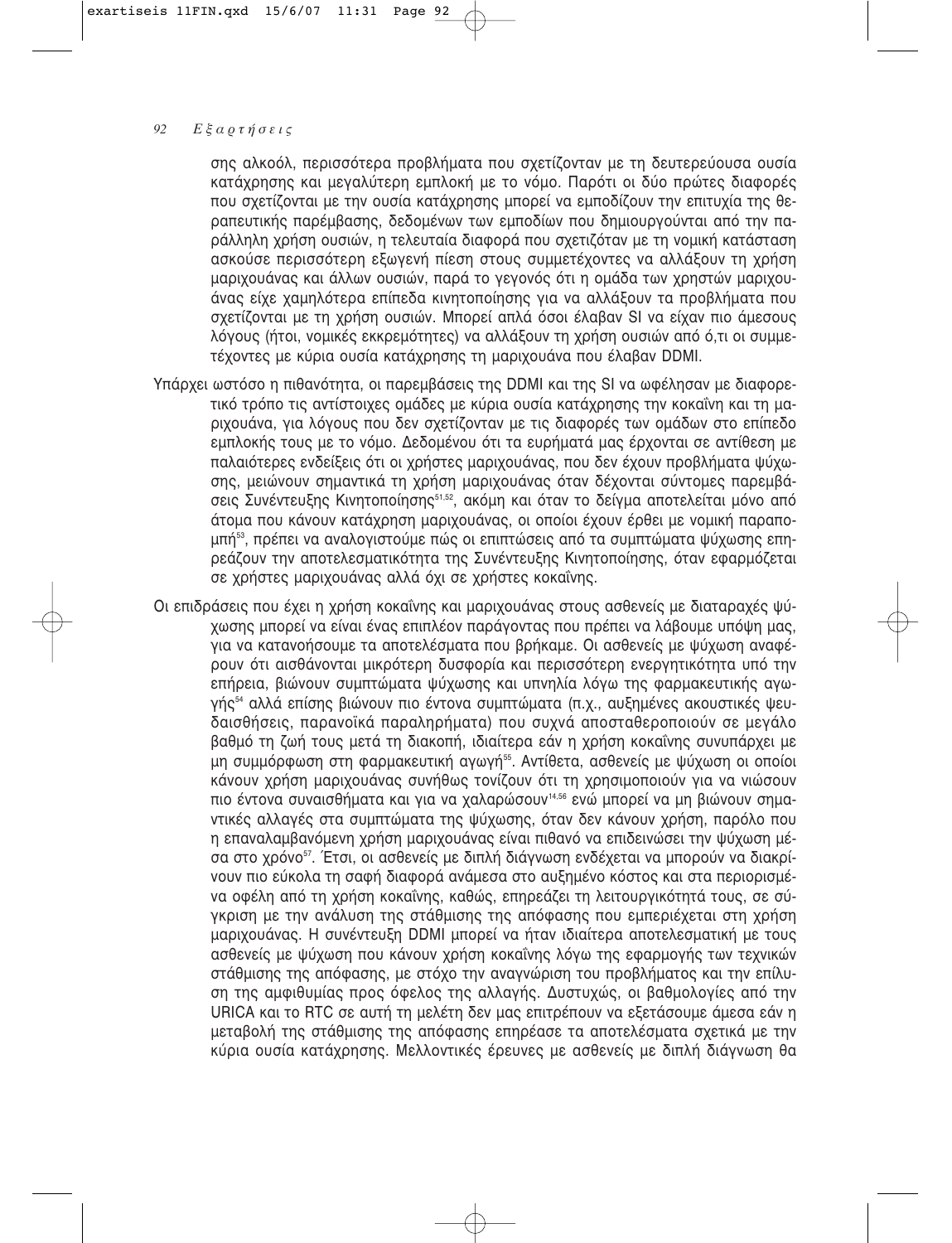σης αλκοόλ, περισσότερα προβλήματα που σχετίζονταν με τη δευτερεύουσα ουσία κατάχρησης και μεγαλύτερη εμπλοκή με το νόμο. Παρότι οι δύο πρώτες διαφορές που σχετίζονται με την ουσία κατάχρησης μπορεί να εμποδίζουν την επιτυχία της θεραπευτικής παρέμβασης, δεδομένων των εμποδίων που δημιουργούνται από την παράλληλη χρήση ουσιών, η τελευταία διαφορά που σχετιζόταν με τη νομική κατάσταση ασκούσε περισσότερη εξωγενή πίεση στους συμμετέχοντες να αλλάξουν τη χρήση μαριχουάνας και άλλων ουσιών, παρά το γεγονός ότι η ομάδα των χρηστών μαριχουάνας είχε χαμηλότερα επίπεδα κινητοποίησης για να αλλάξουν τα προβλήματα που σχετίζονται με τη χρήση ουσιών. Μπορεί απλά όσοι έλαβαν SI να είχαν πιο άμεσους λόγους (ήτοι, νομικές εκκρεμότητες) να αλλάξουν τη χρήση ουσιών από ό,τι οι συμμετέχοντες με κύρια ουσία κατάχρησης τη μαριχουάνα που έλαβαν DDMI.

- Υπάρχει ωστόσο η πιθανότητα, οι παρεμβάσεις της DDMI και της SI να ωφέλησαν με διαφορετικό τρόπο τις αντίστοιχες ομάδες με κύρια ουσία κατάχρησης την κοκαΐνη και τη μαριχουάνα, για λόγους που δεν σχετίζονταν με τις διαφορές των ομάδων στο επίπεδο εμπλοκής τους με το νόμο. Δεδομένου ότι τα ευρήματά μας έρχονται σε αντίθεση με παλαιότερες ενδείξεις ότι οι χρήστες μαριχουάνας, που δεν έχουν προβλήματα ψύχωσης, μειώνουν σημαντικά τη χρήση μαριχουάνας όταν δέχονται σύντομες παρεμβάσεις Συνέντευξης Κινητοποίησης<sup>51,52</sup>, ακόμη και όταν το δείγμα αποτελείται μόνο από άτομα που κάνουν κατάχρηση μαριχουάνας, οι οποίοι έχουν έρθει με νομική παραπομπή<sup>53</sup>, πρέπει να αναλογιστούμε πώς οι επιπτώσεις από τα συμπτώματα ψύχωσης επηρεάζουν την αποτελεσματικότητα της Συνέντευξης Κινητοποίησης, όταν εφαρμόζεται σε χρήστες μαριχουάνας αλλά όχι σε χρήστες κοκαΐνης.
- Οι επιδράσεις που έχει η χρήση κοκαΐνης και μαριχουάνας στους ασθενείς με διαταραχές ψύχωσης μπορεί να είναι ένας επιπλέον παράγοντας που πρέπει να λάβουμε υπόψη μας, για να κατανοήσουμε τα αποτελέσματα που βρήκαμε. Οι ασθενείς με ψύχωση αναφέρουν ότι αισθάνονται μικρότερη δυσφορία και περισσότερη ενεργητικότητα υπό την επήρεια, βιώνουν συμπτώματα ψύχωσης και υπνηλία λόγω της φαρμακευτικής αγωγής<sup>54</sup> αλλά επίσης βιώνουν πιο έντονα συμπτώματα (π.χ., αυξημένες ακουστικές ψευδαισθήσεις, παρανοϊκά παραληρήματα) που συχνά αποσταθεροποιούν σε μεγάλο βαθμό τη ζωή τους μετά τη διακοπή, ιδιαίτερα εάν η χρήση κοκαΐνης συνυπάρχει με μη συμμόρφωση στη φαρμακευτική αγωγή<sup>55</sup>. Αντίθετα, ασθενείς με ψύχωση οι οποίοι κάνουν χρήση μαριχουάνας συνήθως τονίζουν ότι τη χρησιμοποιούν για να νιώσουν πιο έντονα συναισθήματα και για να χαλαρώσουν<sup>14,56</sup> ενώ μπορεί να μη βιώνουν σημαντικές αλλαγές στα συμπτώματα της ψύχωσης, όταν δεν κάνουν χρήση, παρόλο που η επαναλαμβανόμενη χρήση μαριχουάνας είναι πιθανό να επιδεινώσει την ψύχωση μέσα στο χρόνο<sup>57</sup>. Έτσι, οι ασθενείς με διπλή διάγνωση ενδέχεται να μπορούν να διακρίνουν πιο εύκολα τη σαφή διαφορά ανάμεσα στο αυξημένο κόστος και στα περιορισμένα οφέλη από τη χρήση κοκαΐνης, καθώς, επηρεάζει τη λειτουργικότητά τους, σε σύγκριση με την ανάλυση της στάθμισης της απόφασης που εμπεριέχεται στη χρήση μαριχουάνας. Η συνέντευξη DDMI μπορεί να ήταν ιδιαίτερα αποτελεσματική με τους ασθενείς με ψύχωση που κάνουν χρήση κοκαΐνης λόγω της εφαρμογής των τεχνικών στάθμισης της απόφασης, με στόχο την αναγνώριση του προβλήματος και την επίλυση της αμφιθυμίας προς όφελος της αλλαγής. Δυστυχώς, οι βαθμολογίες από την URICA και το RTC σε αυτή τη μελέτη δεν μας επιτρέπουν να εξετάσουμε άμεσα εάν η μεταβολή της στάθμισης της απόφασης επηρέασε τα αποτελέσματα σχετικά με την κύρια ουσία κατάχρησης. Μελλοντικές έρευνες με ασθενείς με διπλή διάγνωση θα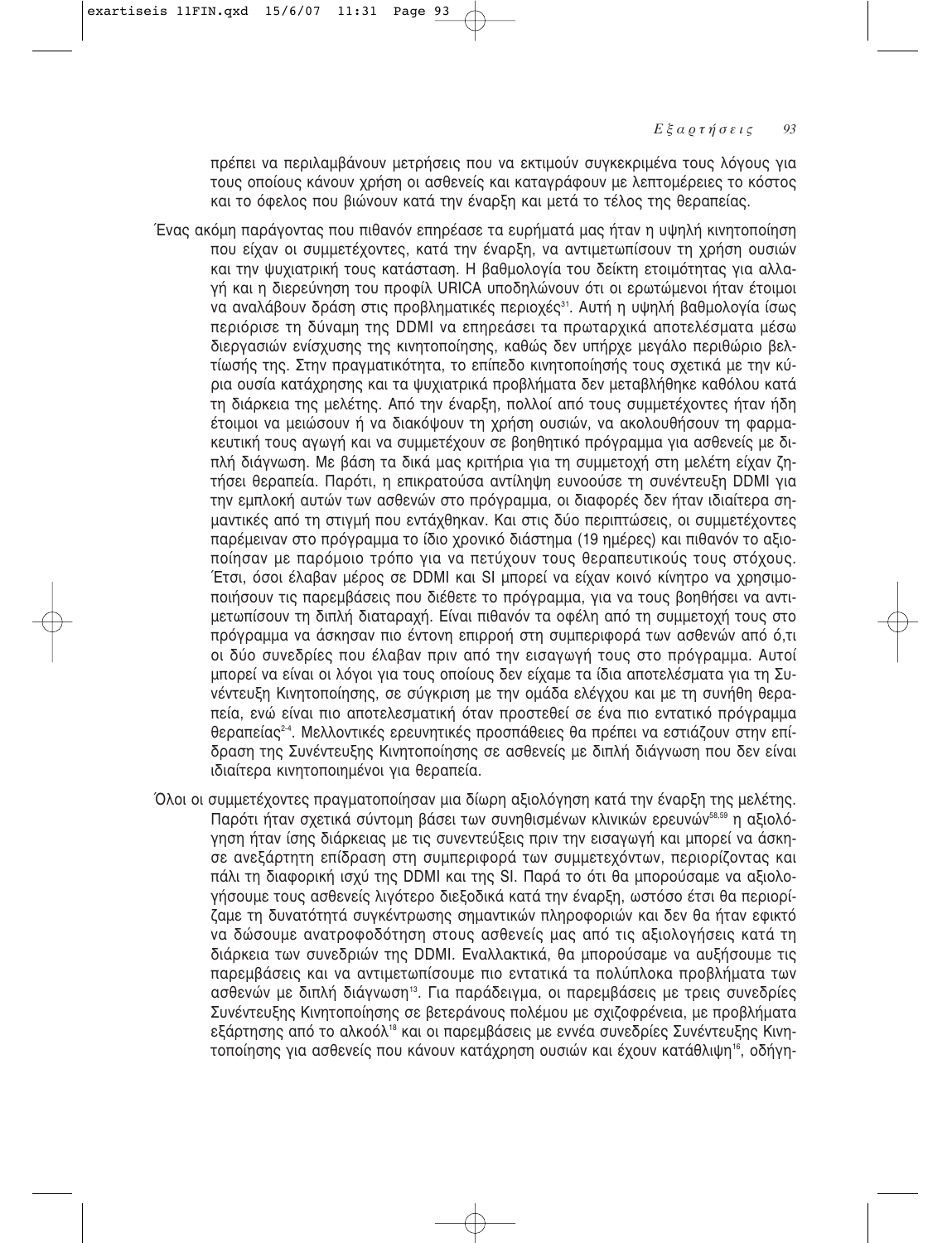πρέπει να περιλαμβάνουν μετρήσεις που να εκτιμούν συγκεκριμένα τους λόγους για τους οποίους κάνουν χρήση οι ασθενείς και καταγράφουν με λεπτομέρειες το κόστος και το όφελος που βιώνουν κατά την έναρξη και μετά το τέλος της θεραπείας.

Ένας ακόμη παράνοντας που πιθανόν επηρέασε τα ευρήματά μας ήταν η υψηλή κινητοποίηση που είχαν οι συμμετέχοντες, κατά την έναρξη, να αντιμετωπίσουν τη χρήση ουσιών και την ψυχιατρική τους κατάσταση. Η βαθμολογία του δείκτη ετοιμότητας για αλλαγή και η διερεύνηση του προφίλ URICA υποδηλώνουν ότι οι ερωτώμενοι ήταν έτοιμοι να αναλάβουν δράση στις προβληματικές περιοχές<sup>31</sup>. Αυτή η υψηλή βαθμολογία ίσως περιόρισε τη δύναμη της DDMI να επηρεάσει τα πρωταρχικά αποτελέσματα μέσω διεργασιών ενίσχυσης της κινητοποίησης, καθώς δεν υπήρχε μεγάλο περιθώριο βελτίωσής της. Στην πραγματικότητα, το επίπεδο κινητοποίησής τους σχετικά με την κύρια ουσία κατάχρησης και τα ψυχιατρικά προβλήματα δεν μεταβλήθηκε καθόλου κατά τη διάρκεια της μελέτης. Από την έναρξη, πολλοί από τους συμμετέχοντες ήταν ήδη έτοιμοι να μειώσουν ή να διακόψουν τη χρήση ουσιών, να ακολουθήσουν τη φαρμακευτική τους αγωγή και να συμμετέχουν σε βοηθητικό πρόγραμμα για ασθενείς με διπλή διάγνωση. Με βάση τα δικά μας κριτήρια για τη συμμετοχή στη μελέτη είχαν ζητήσει θεραπεία. Παρότι, η επικρατούσα αντίληψη ευνοούσε τη συνέντευξη DDMI για την εμπλοκή αυτών των ασθενών στο πρόγραμμα, οι διαφορές δεν ήταν ιδιαίτερα σημαντικές από τη στιγμή που εντάχθηκαν. Και στις δύο περιπτώσεις, οι συμμετέχοντες παρέμειναν στο πρόγραμμα το ίδιο χρονικό διάστημα (19 ημέρες) και πιθανόν το αξιοποίησαν με παρόμοιο τρόπο για να πετύχουν τους θεραπευτικούς τους στόχους. Έτσι, όσοι έλαβαν μέρος σε DDMI και SI μπορεί να είχαν κοινό κίνητρο να χρησιμοποιήσουν τις παρεμβάσεις που διέθετε το πρόγραμμα, για να τους βοηθήσει να αντιμετωπίσουν τη διπλή διαταραχή. Είναι πιθανόν τα οφέλη από τη συμμετοχή τους στο πρόγραμμα να άσκησαν πιο έντονη επιρροή στη συμπεριφορά των ασθενών από ό,τι οι δύο συνεδρίες που έλαβαν πριν από την εισαγωγή τους στο πρόγραμμα. Αυτοί μπορεί να είναι οι λόγοι για τους οποίους δεν είχαμε τα ίδια αποτελέσματα για τη Συνέντευξη Κινητοποίησης, σε σύγκριση με την ομάδα ελέγχου και με τη συνήθη θεραπεία, ενώ είναι πιο αποτελεσματική όταν προστεθεί σε ένα πιο εντατικό πρόγραμμα θεραπείας<sup>24</sup>. Μελλοντικές ερευνητικές προσπάθειες θα πρέπει να εστιάζουν στην επίδραση της Συνέντευξης Κινητοποίησης σε ασθενείς με διπλή διάγνωση που δεν είναι ιδιαίτερα κινητοποιημένοι για θεραπεία.

Όλοι οι συμμετέχοντες πραγματοποίησαν μια δίωρη αξιολόγηση κατά την έναρξη της μελέτης. Παρότι ήταν σχετικά σύντομη βάσει των συνηθισμένων κλινικών ερευνών<sup>58,59</sup> η αξιολόγηση ήταν ίσης διάρκειας με τις συνεντεύξεις πριν την εισαγωγή και μπορεί να άσκησε ανεξάρτητη επίδραση στη συμπεριφορά των συμμετεχόντων, περιορίζοντας και πάλι τη διαφορική ισχύ της DDMI και της SI. Παρά το ότι θα μπορούσαμε να αξιολογήσουμε τους ασθενείς λιγότερο διεξοδικά κατά την έναρξη, ωστόσο έτσι θα περιορίζαμε τη δυνατότητά συγκέντρωσης σημαντικών πληροφοριών και δεν θα ήταν εφικτό να δώσουμε ανατροφοδότηση στους ασθενείς μας από τις αξιολογήσεις κατά τη διάρκεια των συνεδριών της DDMI. Εναλλακτικά, θα μπορούσαμε να αυξήσουμε τις παρεμβάσεις και να αντιμετωπίσουμε πιο εντατικά τα πολύπλοκα προβλήματα των ασθενών με διπλή διάγνωση<sup>13</sup>. Για παράδειγμα, οι παρεμβάσεις με τρεις συνεδρίες Συνέντευξης Κινητοποίησης σε βετεράνους πολέμου με σχιζοφρένεια, με προβλήματα εξάρτησης από το αλκοόλ<sup>18</sup> και οι παρεμβάσεις με εννέα συνεδρίες Συνέντευξης Κινητοποίησης για ασθενείς που κάνουν κατάχρηση ουσιών και έχουν κατάθλιψη<sup>16</sup>, οδήγη-

#### exartiseis 11FIN.qxd 15/6/07 11:31 Page 93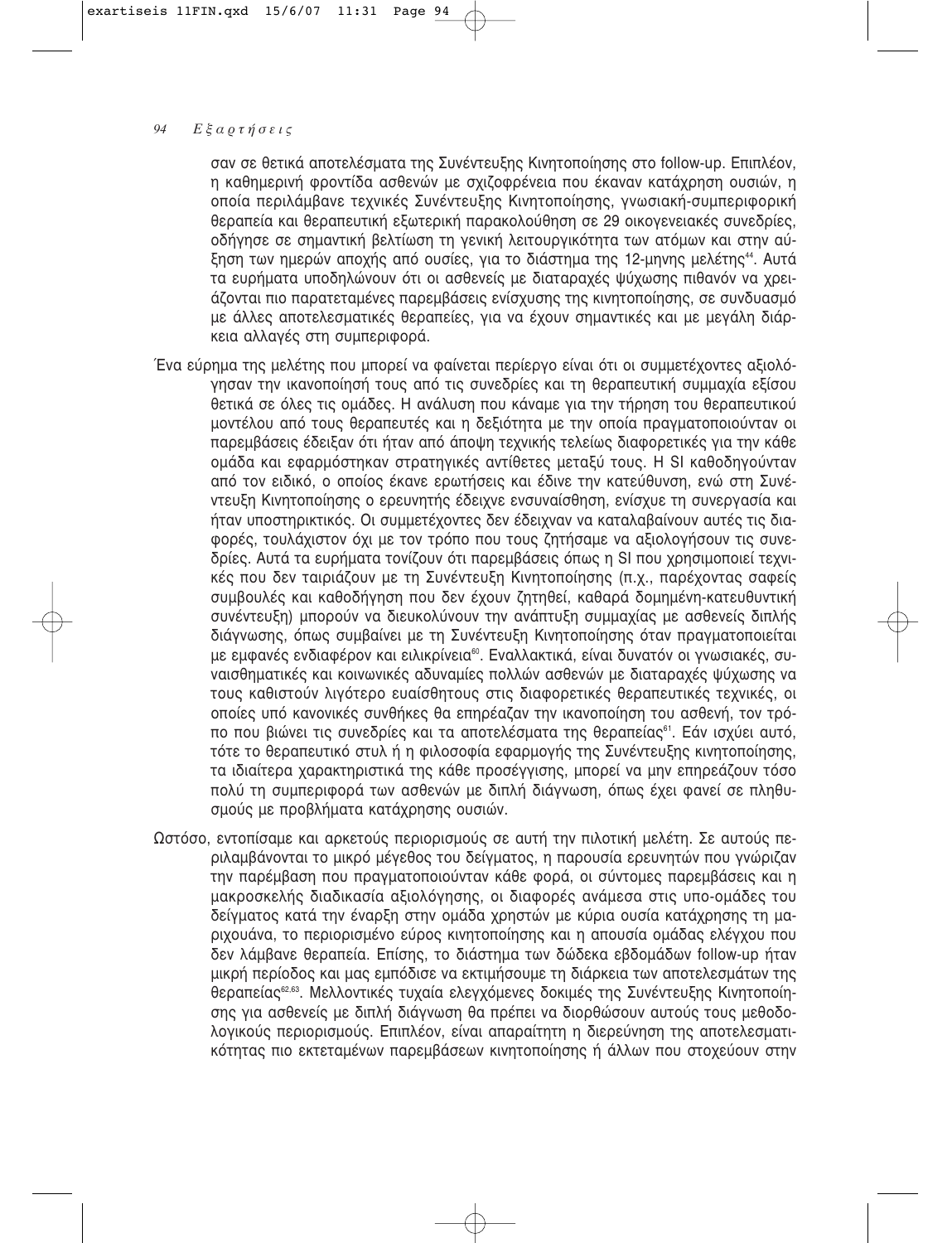σαν σε θετικά αποτελέσματα της Συνέντευξης Κινητοποίησης στο follow-up. Επιπλέον, η καθημερινή φροντίδα ασθενών με σχιζοφρένεια που έκαναν κατάχρηση ουσιών, η οποία περιλάμβανε τεχνικές Συνέντευξης Κινητοποίησης, γνωσιακή-συμπεριφορική θεραπεία και θεραπευτική εξωτερική παρακολούθηση σε 29 οικογενειακές συνεδρίες, οδήνησε σε σημαντική βελτίωση τη νενική λειτουργικότητα των ατόμων και στην αύξηση των ημερών αποχής από ουσίες, για το διάστημα της 12-μηνης μελέτης<sup>44</sup>. Αυτά τα ευρήματα υποδηλώνουν ότι οι ασθενείς με διαταραχές ψύχωσης πιθανόν να χρειάζονται πιο παρατεταμένες παρεμβάσεις ενίσχυσης της κινητοποίησης, σε συνδυασμό με άλλες αποτελεσματικές θεραπείες, για να έχουν σημαντικές και με μεγάλη διάρκεια αλλαγές στη συμπεριφορά.

- Ένα εύρημα της μελέτης που μπορεί να φαίνεται περίεργο είναι ότι οι συμμετέχοντες αξιολόγησαν την ικανοποίησή τους από τις συνεδρίες και τη θεραπευτική συμμαχία εξίσου θετικά σε όλες τις ομάδες. Η ανάλυση που κάναμε νια την τήρηση του θεραπευτικού μοντέλου από τους θεραπευτές και η δεξιότητα με την οποία πραγματοποιούνταν οι παρεμβάσεις έδειξαν ότι ήταν από άποψη τεχνικής τελείως διαφορετικές για την κάθε ομάδα και εφαρμόστηκαν στρατηγικές αντίθετες μεταξύ τους. Η SI καθοδηγούνταν από τον ειδικό, ο οποίος έκανε ερωτήσεις και έδινε την κατεύθυνση, ενώ στη Συνέντευξη Κινητοποίησης ο ερευνητής έδειχνε ενσυναίσθηση, ενίσχυε τη συνεργασία και ήταν υποστηρικτικός. Οι συμμετέχοντες δεν έδειχναν να καταλαβαίνουν αυτές τις δια-ΦΟρές, τουλάχιστον όχι με τον τρόπο που τους ζητήσαμε να αξιολογήσουν τις συνεδρίες. Αυτά τα ευρήματα τονίζουν ότι παρεμβάσεις όπως η SI που χρησιμοποιεί τεχνικές που δεν ταιριάζουν με τη Συνέντευξη Κινητοποίησης (π.χ., παρέχοντας σαφείς συμβουλές και καθοδήγηση που δεν έχουν ζητηθεί, καθαρά δομημένη-κατευθυντική συνέντευξη) μπορούν να διευκολύνουν την ανάπτυξη συμμαχίας με ασθενείς διπλής διάγνωσης, όπως συμβαίνει με τη Συνέντευξη Κινητοποίησης όταν πραγματοποιείται με εμφανές ενδιαφέρον και ειλικρίνεια<sup>60</sup>. Εναλλακτικά, είναι δυνατόν οι γνωσιακές, συναισθηματικές και κοινωνικές αδυναμίες πολλών ασθενών με διαταραχές ψύχωσης να τους καθιστούν λιγότερο ευαίσθητους στις διαφορετικές θεραπευτικές τεχνικές, οι οποίες υπό κανονικές συνθήκες θα επηρέαζαν την ικανοποίηση του ασθενή, τον τρόπο που βιώνει τις συνεδρίες και τα αποτελέσματα της θεραπείας<sup>61</sup>. Εάν ισχύει αυτό, τότε το θεραπευτικό στυλ ή η φιλοσοφία εφαρμογής της Συνέντευξης κινητοποίησης, τα ιδιαίτερα χαρακτηριστικά της κάθε προσέγγισης, μπορεί να μην επηρεάζουν τόσο πολύ τη συμπεριφορά των ασθενών με διπλή διάγνωση, όπως έχει φανεί σε πληθυσμούς με προβλήματα κατάχρησης ουσιών.
- Ωστόσο, εντοπίσαμε και αρκετούς περιορισμούς σε αυτή την πιλοτική μελέτη. Σε αυτούς περιλαμβάνονται το μικρό μέγεθος του δείγματος, η παρουσία ερευνητών που γνώριζαν την παρέμβαση που πραγματοποιούνταν κάθε φορά, οι σύντομες παρεμβάσεις και η μακροσκελής διαδικασία αξιολόγησης, οι διαφορές ανάμεσα στις υπο-ομάδες του δείγματος κατά την έναρξη στην ομάδα χρηστών με κύρια ουσία κατάχρησης τη μαριχουάνα, το περιορισμένο εύρος κινητοποίησης και η απουσία ομάδας ελέγχου που δεν λάμβανε θεραπεία. Επίσης, το διάστημα των δώδεκα εβδομάδων follow-up ήταν μικρή περίοδος και μας εμπόδισε να εκτιμήσουμε τη διάρκεια των αποτελεσμάτων της θεραπείας<sup>82,63</sup>. Μελλοντικές τυχαία ελεγχόμενες δοκιμές της Συνέντευξης Κινητοποίησης για ασθενείς με διπλή διάγνωση θα πρέπει να διορθώσουν αυτούς τους μεθοδολογικούς περιορισμούς. Επιπλέον, είναι απαραίτητη η διερεύνηση της αποτελεσματικότητας πιο εκτεταμένων παρεμβάσεων κινητοποίησης ή άλλων που στοχεύουν στην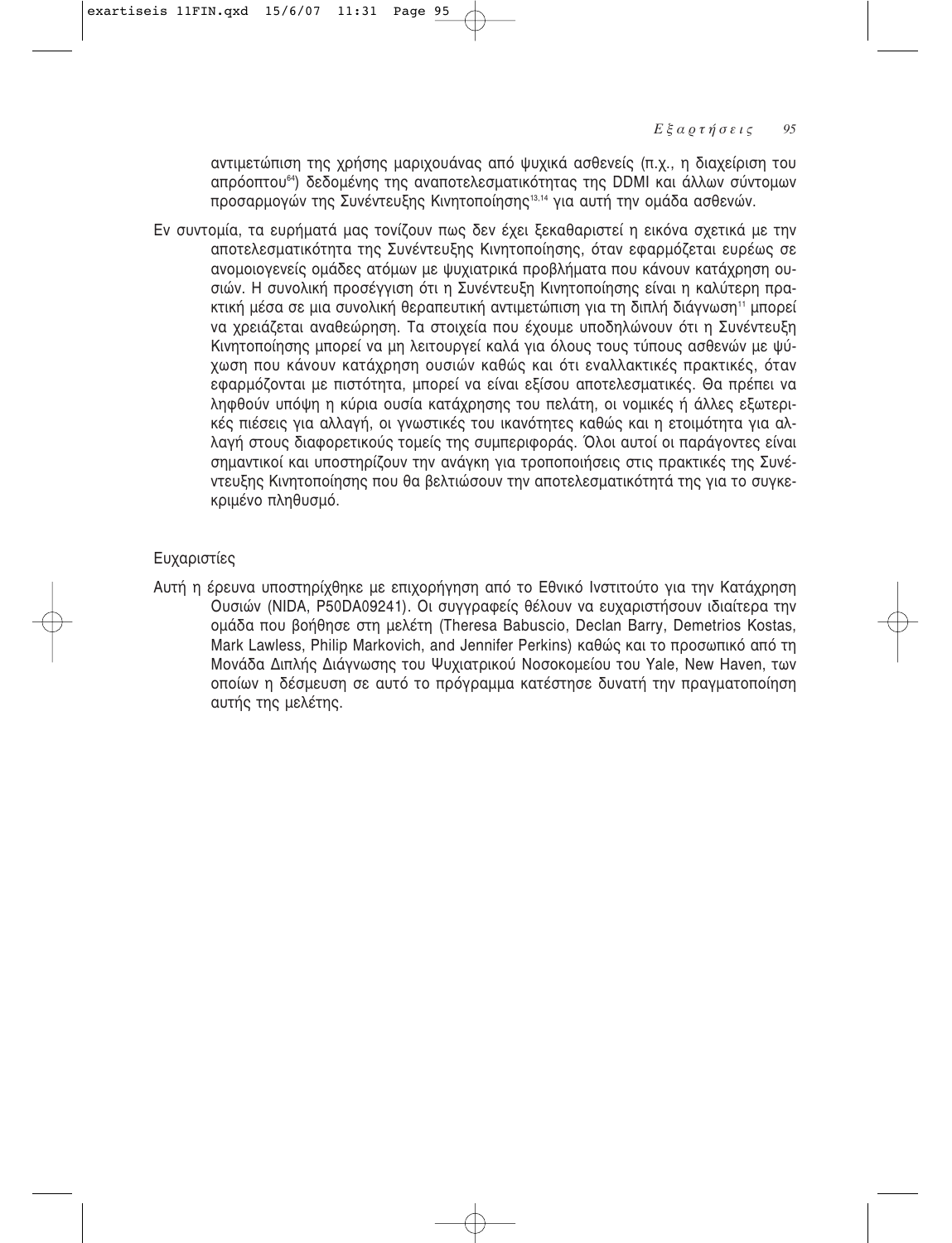αντιμετώπιση της χρήσης μαριχουάνας από ψυχικά ασθενείς (π.χ., η διαχείριση του απρόοπτου<sup>64</sup>) δεδομένης της αναποτελεσματικότητας της DDMI και άλλων σύντομων προσαρμογών της Συνέντευξης Κινητοποίησης<sup>13,14</sup> για αυτή την ομάδα ασθενών.

Εν συντομία, τα ευρήματά μας τονίζουν πως δεν έχει ξεκαθαριστεί η εικόνα σχετικά με την αποτελεσματικότητα της Συνέντευξης Κινητοποίησης, όταν εφαρμόζεται ευρέως σε ανομοιογενείς ομάδες ατόμων με ψυχιατρικά προβλήματα που κάνουν κατάχρηση ουσιών. Η συνολική προσέννιση ότι η Συνέντευξη Κινητοποίησης είναι η καλύτερη πρακτική μέσα σε μια συνολική θεραπευτική αντιμετώπιση για τη διπλή διάγνωση<sup>11</sup> μπορεί να χρειάζεται αναθεώρηση. Τα στοιχεία που έχουμε υποδηλώνουν ότι η Συνέντευξη Κινητοποίησης μπορεί να μη λειτουργεί καλά για όλους τους τύπους ασθενών με ψύχωση που κάνουν κατάχρηση ουσιών καθώς και ότι εναλλακτικές πρακτικές, όταν εφαρμόζονται με πιστότητα, μπορεί να είναι εξίσου αποτελεσματικές. Θα πρέπει να ληφθούν υπόψη η κύρια ουσία κατάχρησης του πελάτη, οι νομικές ή άλλες εξωτερικές πιέσεις για αλλαγή, οι γνωστικές του ικανότητες καθώς και η ετοιμότητα για αλλαγή στους διαφορετικούς τομείς της συμπεριφοράς. Όλοι αυτοί οι παράγοντες είναι σημαντικοί και υποστηρίζουν την ανάγκη για τροποποιήσεις στις πρακτικές της Συνέ-Vτευξης Κινητοποίησης που θα βελτιώσουν την αποτελεσματικότητά της για το συγκεκριμένο πληθυσμό.

## Ευχαριστίες

exartiseis 11FIN.qxd 15/6/07 11:31 Page 95

Αυτή η έρευνα υποστηρίχθηκε με επιχορήγηση από το Εθνικό Ινστιτούτο για την Κατάχρηση Ουσιών (NIDA, P50DA09241). Οι συγγραφείς θέλουν να ευχαριστήσουν ιδιαίτερα την ομάδα που βοήθησε στη μελέτη (Theresa Babuscio, Declan Barry, Demetrios Kostas, Mark Lawless, Philip Markovich, and Jennifer Perkins) καθώς και το προσωπικό από τη Μονάδα Διπλής Διάγνωσης του Ψυχιατρικού Νοσοκομείου του Yale, New Haven, των οποίων η δέσμευση σε αυτό το πρόγραμμα κατέστησε δυνατή την πραγματοποίηση αυτής της μελέτης.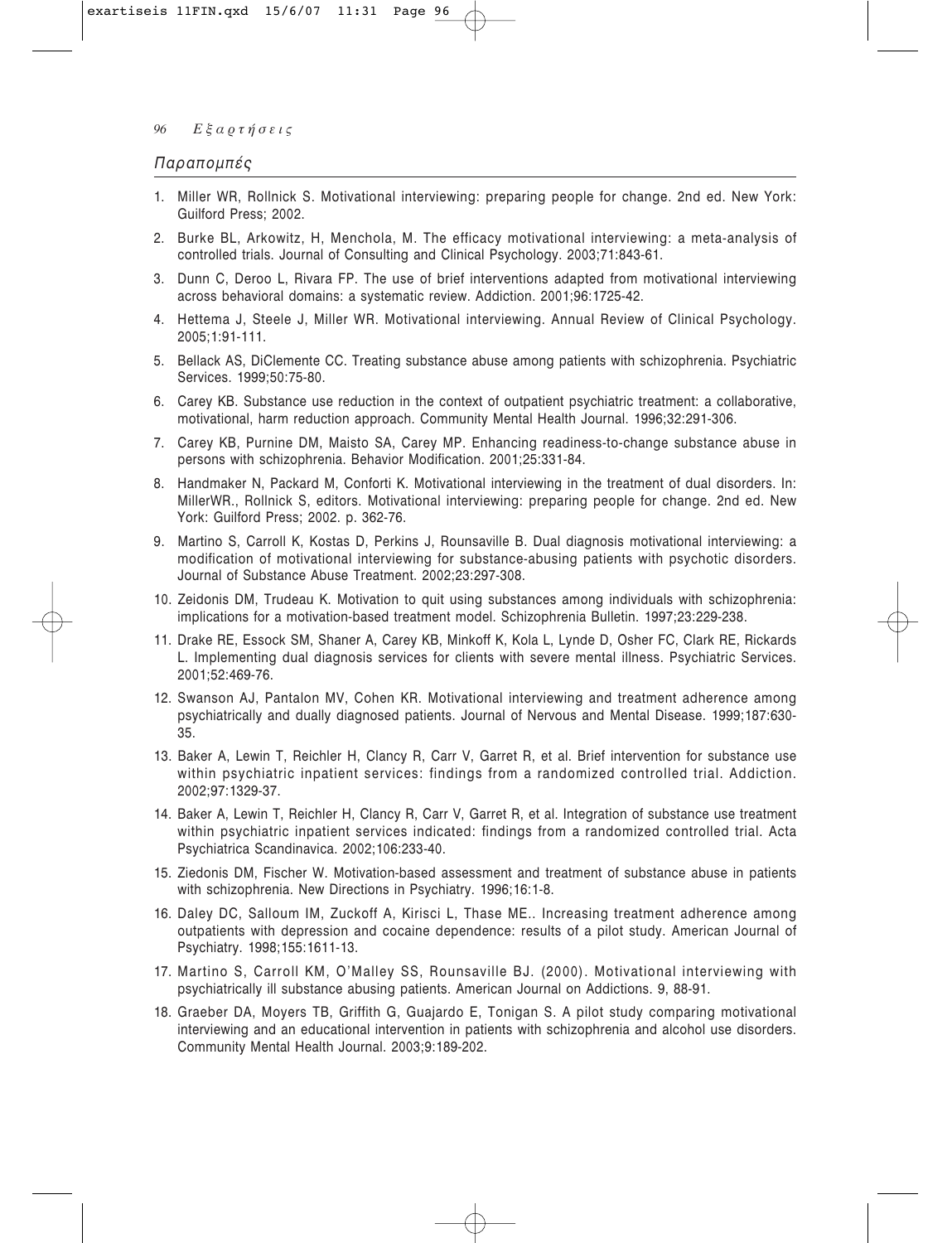#### *Παραπομπές*

- 1. Miller WR, Rollnick S. Motivational interviewing: preparing people for change. 2nd ed. New York: Guilford Press; 2002.
- 2. Burke BL, Arkowitz, H, Menchola, M. The efficacy motivational interviewing: a meta-analysis of controlled trials. Journal of Consulting and Clinical Psychology. 2003;71:843-61.
- 3. Dunn C, Deroo L, Rivara FP. The use of brief interventions adapted from motivational interviewing across behavioral domains: a systematic review. Addiction. 2001;96:1725-42.
- 4. Hettema J, Steele J, Miller WR. Motivational interviewing. Annual Review of Clinical Psychology. 2005;1:91-111.
- 5. Bellack AS, DiClemente CC. Treating substance abuse among patients with schizophrenia. Psychiatric Services. 1999;50:75-80.
- 6. Carey KB. Substance use reduction in the context of outpatient psychiatric treatment: a collaborative, motivational, harm reduction approach. Community Mental Health Journal. 1996;32:291-306.
- 7. Carey KB, Purnine DM, Maisto SA, Carey MP. Enhancing readiness-to-change substance abuse in persons with schizophrenia. Behavior Modification. 2001;25:331-84.
- 8. Handmaker N, Packard M, Conforti K. Motivational interviewing in the treatment of dual disorders. In: MillerWR., Rollnick S, editors. Motivational interviewing: preparing people for change. 2nd ed. New York: Guilford Press; 2002. p. 362-76.
- 9. Martino S, Carroll K, Kostas D, Perkins J, Rounsaville B. Dual diagnosis motivational interviewing: a modification of motivational interviewing for substance-abusing patients with psychotic disorders. Journal of Substance Abuse Treatment. 2002;23:297-308.
- 10. Zeidonis DM, Trudeau K. Motivation to quit using substances among individuals with schizophrenia: implications for a motivation-based treatment model. Schizophrenia Bulletin. 1997;23:229-238.
- 11. Drake RE, Essock SM, Shaner A, Carey KB, Minkoff K, Kola L, Lynde D, Osher FC, Clark RE, Rickards L. Implementing dual diagnosis services for clients with severe mental illness. Psychiatric Services. 2001;52:469-76.
- 12. Swanson AJ, Pantalon MV, Cohen KR. Motivational interviewing and treatment adherence among psychiatrically and dually diagnosed patients. Journal of Nervous and Mental Disease. 1999;187:630- 35.
- 13. Baker A, Lewin T, Reichler H, Clancy R, Carr V, Garret R, et al. Brief intervention for substance use within psychiatric inpatient services: findings from a randomized controlled trial. Addiction. 2002;97:1329-37.
- 14. Baker A, Lewin T, Reichler H, Clancy R, Carr V, Garret R, et al. Integration of substance use treatment within psychiatric inpatient services indicated: findings from a randomized controlled trial. Acta Psychiatrica Scandinavica. 2002;106:233-40.
- 15. Ziedonis DM, Fischer W. Motivation-based assessment and treatment of substance abuse in patients with schizophrenia. New Directions in Psychiatry. 1996;16:1-8.
- 16. Daley DC, Salloum IM, Zuckoff A, Kirisci L, Thase ME.. Increasing treatment adherence among outpatients with depression and cocaine dependence: results of a pilot study. American Journal of Psychiatry. 1998;155:1611-13.
- 17. Martino S, Carroll KM, O'Malley SS, Rounsaville BJ. (2000). Motivational interviewing with psychiatrically ill substance abusing patients. American Journal on Addictions. 9, 88-91.
- 18. Graeber DA, Moyers TB, Griffith G, Guajardo E, Tonigan S. A pilot study comparing motivational interviewing and an educational intervention in patients with schizophrenia and alcohol use disorders. Community Mental Health Journal. 2003;9:189-202.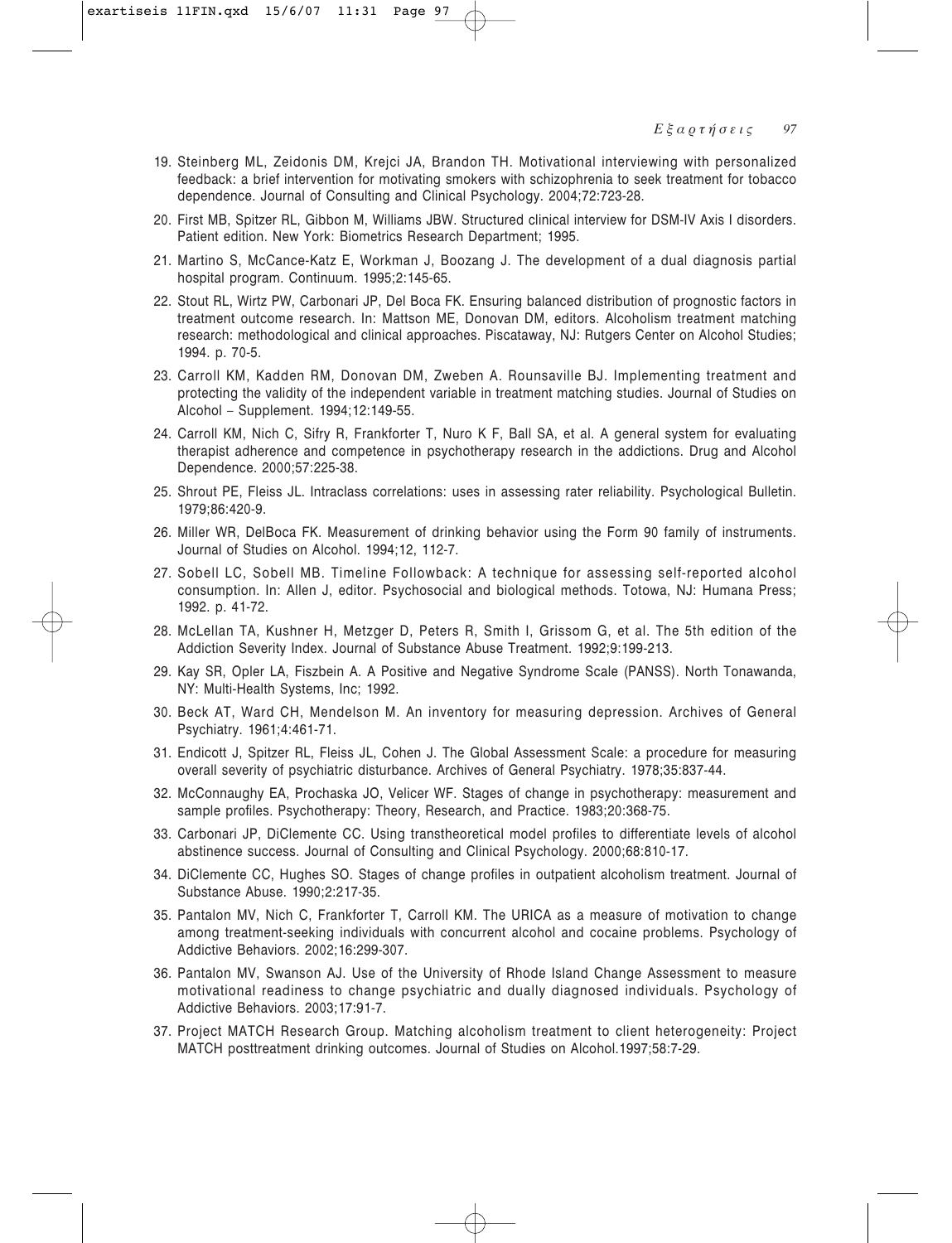- 19. Steinberg ML, Zeidonis DM, Krejci JA, Brandon TH. Motivational interviewing with personalized feedback: a brief intervention for motivating smokers with schizophrenia to seek treatment for tobacco dependence. Journal of Consulting and Clinical Psychology. 2004;72:723-28.
- 20. First MB, Spitzer RL, Gibbon M, Williams JBW. Structured clinical interview for DSM-IV Axis I disorders. Patient edition. New York: Biometrics Research Department; 1995.
- 21. Martino S, McCance-Katz E, Workman J, Boozang J. The development of a dual diagnosis partial hospital program. Continuum. 1995;2:145-65.
- 22. Stout RL, Wirtz PW, Carbonari JP, Del Boca FK. Ensuring balanced distribution of prognostic factors in treatment outcome research. In: Mattson ME, Donovan DM, editors. Alcoholism treatment matching research: methodological and clinical approaches. Piscataway, NJ: Rutgers Center on Alcohol Studies; 1994. p. 70-5.
- 23. Carroll KM, Kadden RM, Donovan DM, Zweben A. Rounsaville BJ. Implementing treatment and protecting the validity of the independent variable in treatment matching studies. Journal of Studies on Alcohol – Supplement. 1994;12:149-55.
- 24. Carroll KM, Nich C, Sifry R, Frankforter T, Nuro K F, Ball SA, et al. A general system for evaluating therapist adherence and competence in psychotherapy research in the addictions. Drug and Alcohol Dependence. 2000;57:225-38.
- 25. Shrout PE, Fleiss JL. Intraclass correlations: uses in assessing rater reliability. Psychological Bulletin. 1979;86:420-9.
- 26. Miller WR, DelBoca FK. Measurement of drinking behavior using the Form 90 family of instruments. Journal of Studies on Alcohol. 1994;12, 112-7.
- 27. Sobell LC, Sobell MB. Timeline Followback: A technique for assessing self-reported alcohol consumption. In: Allen J, editor. Psychosocial and biological methods. Totowa, NJ: Humana Press; 1992. p. 41-72.
- 28. McLellan TA, Kushner H, Metzger D, Peters R, Smith I, Grissom G, et al. The 5th edition of the Addiction Severity Index. Journal of Substance Abuse Treatment. 1992;9:199-213.
- 29. Kay SR, Opler LA, Fiszbein A. A Positive and Negative Syndrome Scale (PANSS). North Tonawanda, NY: Multi-Health Systems, Inc; 1992.
- 30. Beck AT, Ward CH, Mendelson M. An inventory for measuring depression. Archives of General Psychiatry. 1961;4:461-71.
- 31. Endicott J, Spitzer RL, Fleiss JL, Cohen J. The Global Assessment Scale: a procedure for measuring overall severity of psychiatric disturbance. Archives of General Psychiatry. 1978;35:837-44.
- 32. McConnaughy EA, Prochaska JO, Velicer WF. Stages of change in psychotherapy: measurement and sample profiles. Psychotherapy: Theory, Research, and Practice. 1983;20:368-75.
- 33. Carbonari JP, DiClemente CC. Using transtheoretical model profiles to differentiate levels of alcohol abstinence success. Journal of Consulting and Clinical Psychology. 2000;68:810-17.
- 34. DiClemente CC, Hughes SO. Stages of change profiles in outpatient alcoholism treatment. Journal of Substance Abuse. 1990;2:217-35.
- 35. Pantalon MV, Nich C, Frankforter T, Carroll KM. The URICA as a measure of motivation to change among treatment-seeking individuals with concurrent alcohol and cocaine problems. Psychology of Addictive Behaviors. 2002;16:299-307.
- 36. Pantalon MV, Swanson AJ. Use of the University of Rhode Island Change Assessment to measure motivational readiness to change psychiatric and dually diagnosed individuals. Psychology of Addictive Behaviors. 2003;17:91-7.
- 37. Project MATCH Research Group. Matching alcoholism treatment to client heterogeneity: Project MATCH posttreatment drinking outcomes. Journal of Studies on Alcohol.1997;58:7-29.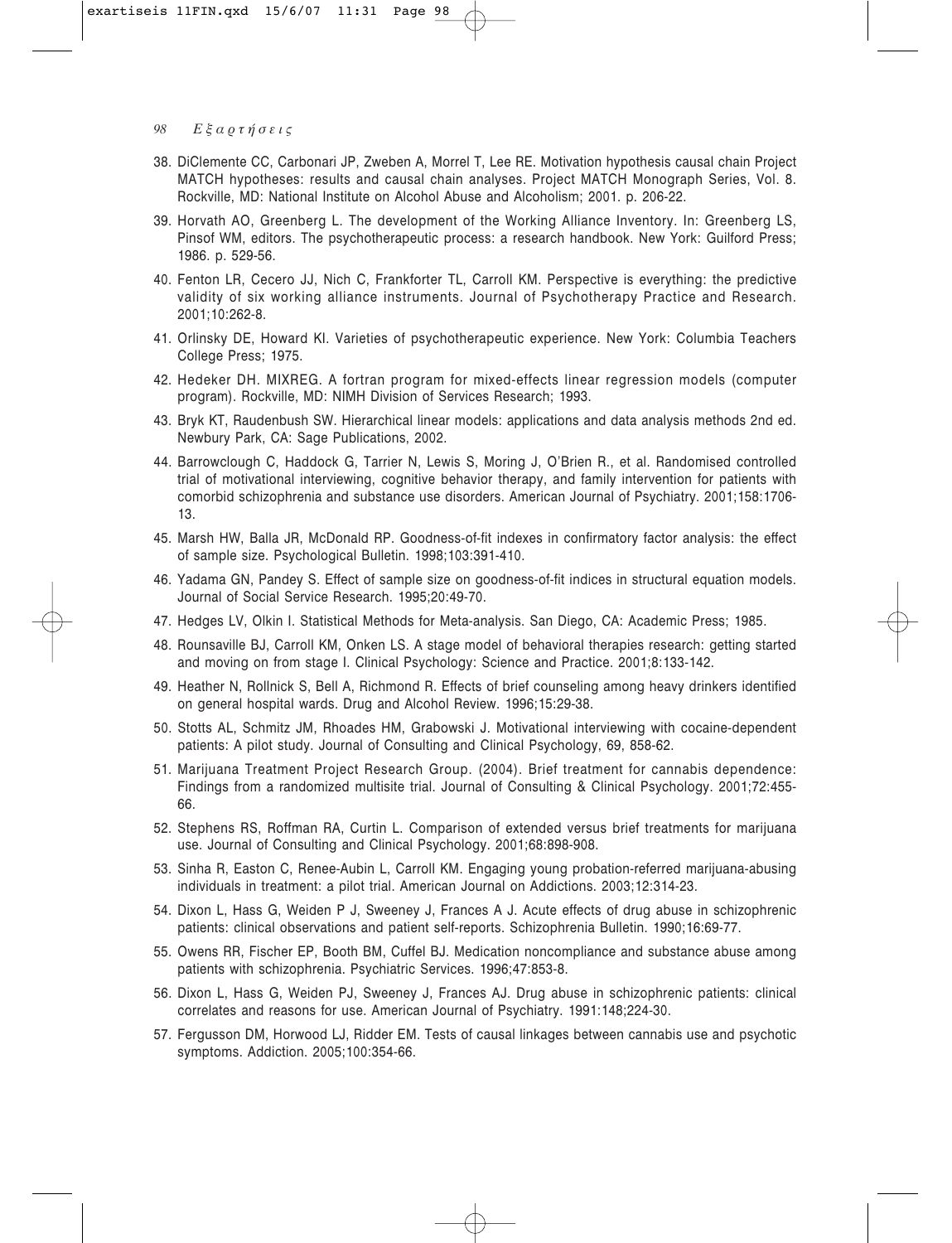- *98 Εξαρτήσεις*
- 38. DiClemente CC, Carbonari JP, Zweben A, Morrel T, Lee RE. Motivation hypothesis causal chain Project MATCH hypotheses: results and causal chain analyses. Project MATCH Monograph Series, Vol. 8. Rockville, MD: National Institute on Alcohol Abuse and Alcoholism; 2001. p. 206-22.
- 39. Horvath AO, Greenberg L. The development of the Working Alliance Inventory. In: Greenberg LS, Pinsof WM, editors. The psychotherapeutic process: a research handbook. New York: Guilford Press; 1986. p. 529-56.
- 40. Fenton LR, Cecero JJ, Nich C, Frankforter TL, Carroll KM. Perspective is everything: the predictive validity of six working alliance instruments. Journal of Psychotherapy Practice and Research. 2001;10:262-8.
- 41. Orlinsky DE, Howard KI. Varieties of psychotherapeutic experience. New York: Columbia Teachers College Press; 1975.
- 42. Hedeker DH. MIXREG. A fortran program for mixed-effects linear regression models (computer program). Rockville, MD: NIMH Division of Services Research; 1993.
- 43. Bryk KT, Raudenbush SW. Hierarchical linear models: applications and data analysis methods 2nd ed. Newbury Park, CA: Sage Publications, 2002.
- 44. Barrowclough C, Haddock G, Tarrier N, Lewis S, Moring J, O'Brien R., et al. Randomised controlled trial of motivational interviewing, cognitive behavior therapy, and family intervention for patients with comorbid schizophrenia and substance use disorders. American Journal of Psychiatry. 2001;158:1706- 13.
- 45. Marsh HW, Balla JR, McDonald RP. Goodness-of-fit indexes in confirmatory factor analysis: the effect of sample size. Psychological Bulletin. 1998;103:391-410.
- 46. Yadama GN, Pandey S. Effect of sample size on goodness-of-fit indices in structural equation models. Journal of Social Service Research. 1995;20:49-70.
- 47. Hedges LV, Olkin I. Statistical Methods for Meta-analysis. San Diego, CA: Academic Press; 1985.
- 48. Rounsaville BJ, Carroll KM, Onken LS. A stage model of behavioral therapies research: getting started and moving on from stage I. Clinical Psychology: Science and Practice. 2001;8:133-142.
- 49. Heather N, Rollnick S, Bell A, Richmond R. Effects of brief counseling among heavy drinkers identified on general hospital wards. Drug and Alcohol Review. 1996;15:29-38.
- 50. Stotts AL, Schmitz JM, Rhoades HM, Grabowski J. Motivational interviewing with cocaine-dependent patients: A pilot study. Journal of Consulting and Clinical Psychology, 69, 858-62.
- 51. Marijuana Treatment Project Research Group. (2004). Brief treatment for cannabis dependence: Findings from a randomized multisite trial. Journal of Consulting & Clinical Psychology. 2001;72:455- 66.
- 52. Stephens RS, Roffman RA, Curtin L. Comparison of extended versus brief treatments for marijuana use. Journal of Consulting and Clinical Psychology. 2001;68:898-908.
- 53. Sinha R, Easton C, Renee-Aubin L, Carroll KM. Engaging young probation-referred marijuana-abusing individuals in treatment: a pilot trial. American Journal on Addictions. 2003;12:314-23.
- 54. Dixon L, Hass G, Weiden P J, Sweeney J, Frances A J. Acute effects of drug abuse in schizophrenic patients: clinical observations and patient self-reports. Schizophrenia Bulletin. 1990;16:69-77.
- 55. Owens RR, Fischer EP, Booth BM, Cuffel BJ. Medication noncompliance and substance abuse among patients with schizophrenia. Psychiatric Services. 1996;47:853-8.
- 56. Dixon L, Hass G, Weiden PJ, Sweeney J, Frances AJ. Drug abuse in schizophrenic patients: clinical correlates and reasons for use. American Journal of Psychiatry. 1991:148;224-30.
- 57. Fergusson DM, Horwood LJ, Ridder EM. Tests of causal linkages between cannabis use and psychotic symptoms. Addiction. 2005;100:354-66.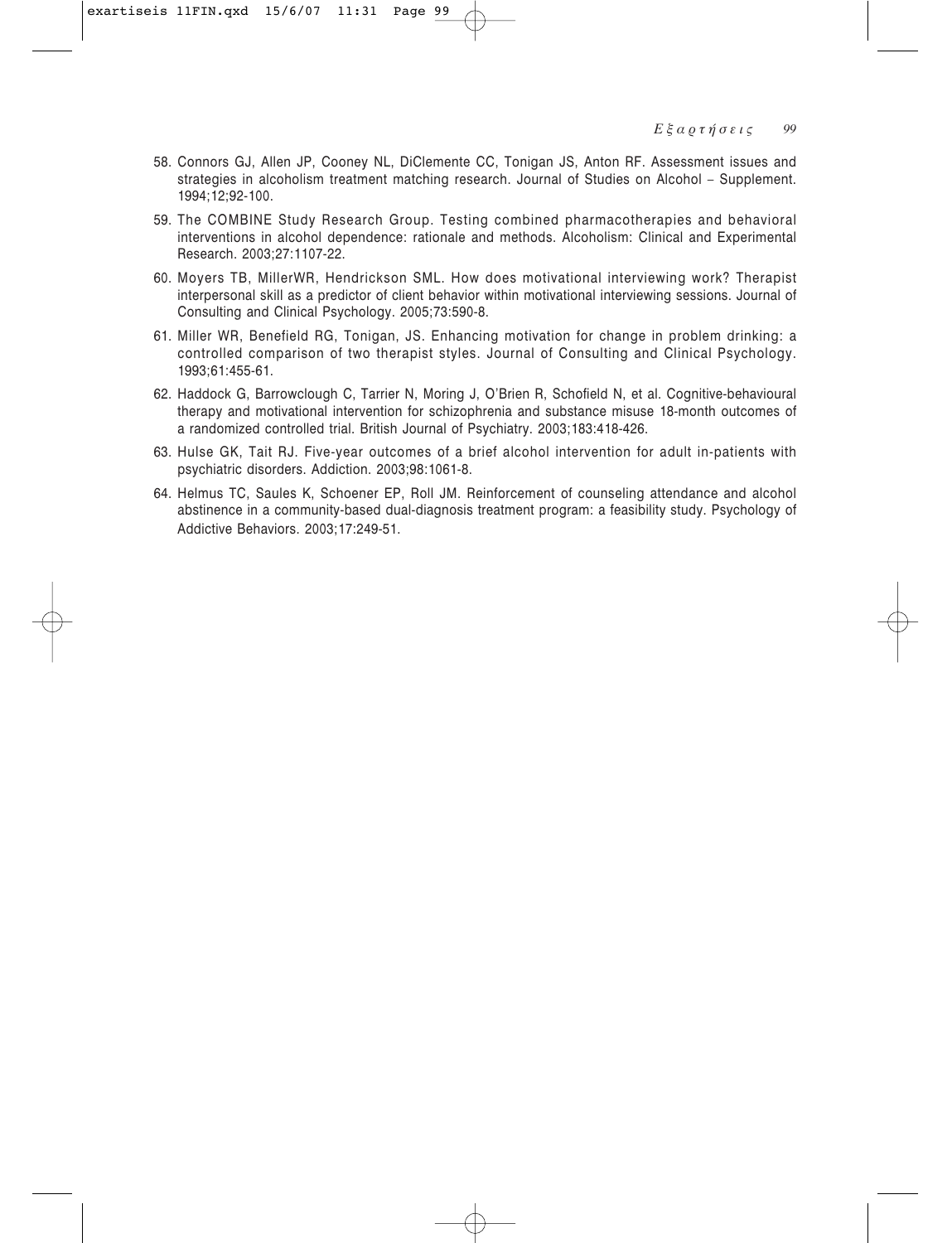exartiseis 11FIN.qxd 15/6/07 11:31 Page 99

- 58. Connors GJ, Allen JP, Cooney NL, DiClemente CC, Tonigan JS, Anton RF. Assessment issues and strategies in alcoholism treatment matching research. Journal of Studies on Alcohol – Supplement. 1994;12;92-100.
- 59. The COMBINE Study Research Group. Testing combined pharmacotherapies and behavioral interventions in alcohol dependence: rationale and methods. Alcoholism: Clinical and Experimental Research. 2003;27:1107-22.
- 60. Moyers TB, MillerWR, Hendrickson SML. How does motivational interviewing work? Therapist interpersonal skill as a predictor of client behavior within motivational interviewing sessions. Journal of Consulting and Clinical Psychology. 2005;73:590-8.
- 61. Miller WR, Benefield RG, Tonigan, JS. Enhancing motivation for change in problem drinking: a controlled comparison of two therapist styles. Journal of Consulting and Clinical Psychology. 1993;61:455-61.
- 62. Haddock G, Barrowclough C, Tarrier N, Moring J, O'Brien R, Schofield N, et al. Cognitive-behavioural therapy and motivational intervention for schizophrenia and substance misuse 18-month outcomes of a randomized controlled trial. British Journal of Psychiatry. 2003;183:418-426.
- 63. Hulse GK, Tait RJ. Five-year outcomes of a brief alcohol intervention for adult in-patients with psychiatric disorders. Addiction. 2003;98:1061-8.
- 64. Helmus TC, Saules K, Schoener EP, Roll JM. Reinforcement of counseling attendance and alcohol abstinence in a community-based dual-diagnosis treatment program: a feasibility study. Psychology of Addictive Behaviors. 2003;17:249-51.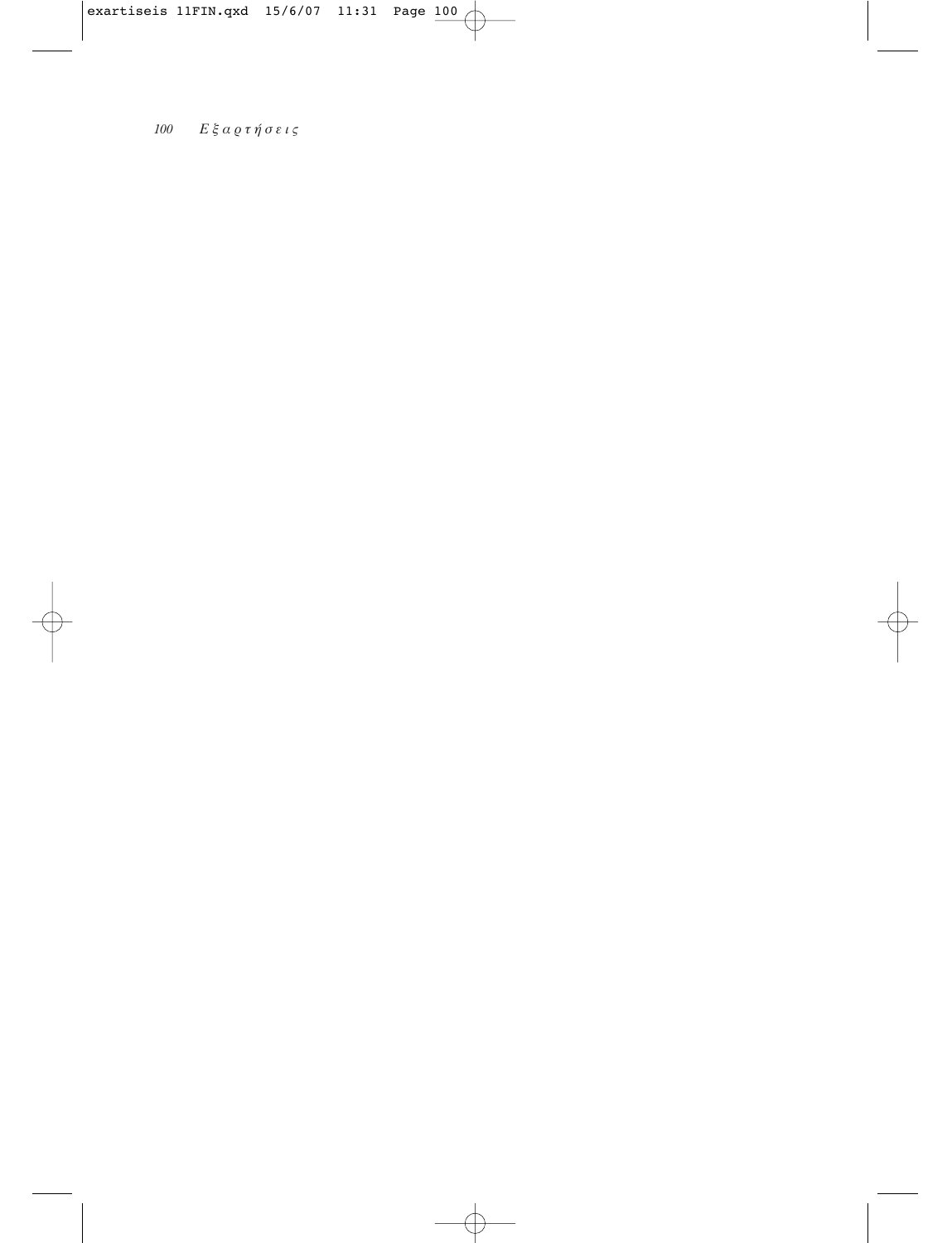$E$ ξαρτήσεις  $100\,$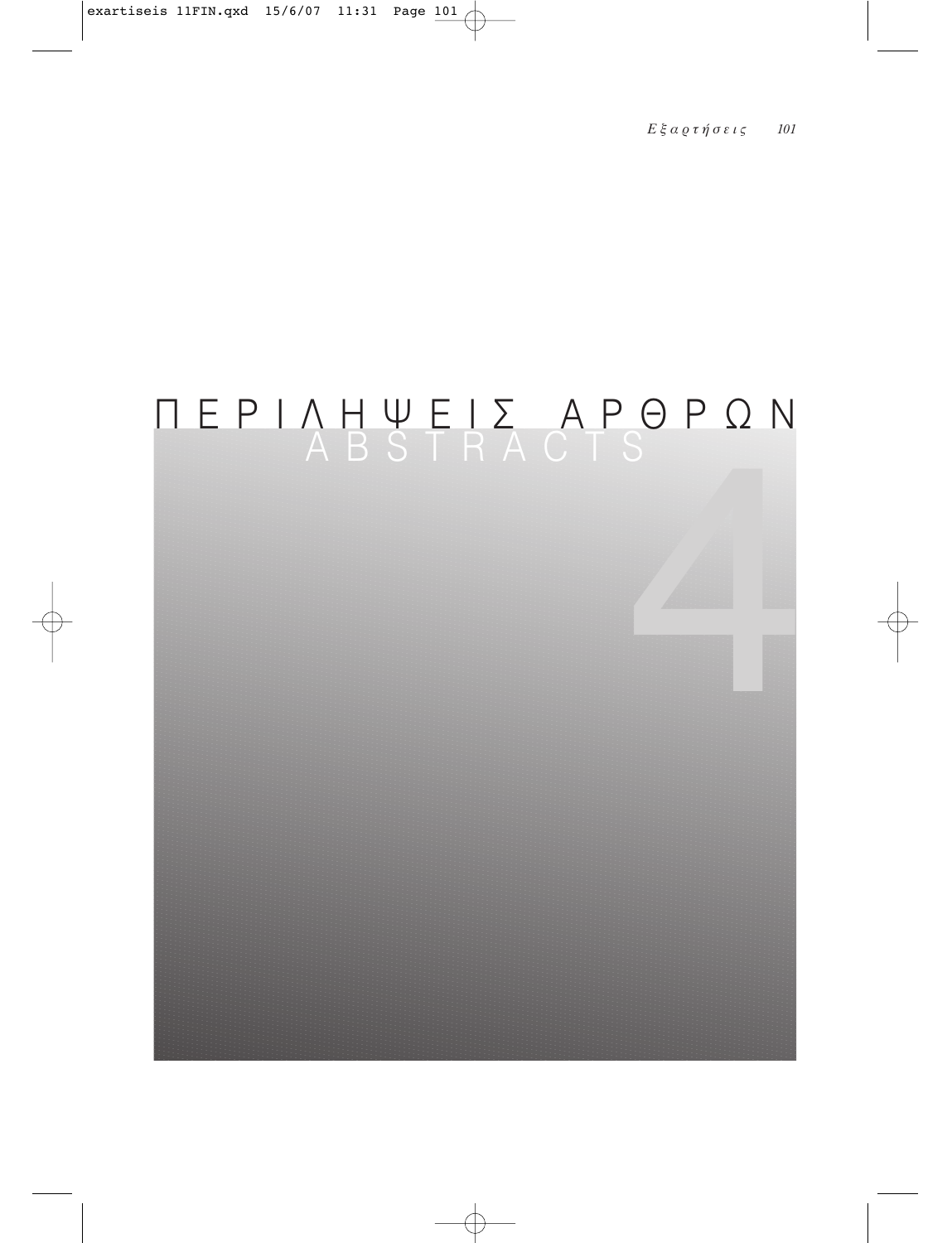$E \xi \alpha \varrho \tau \eta \sigma \varepsilon \iota$ ς 101

# ΠΕΡΙΛΗΨΕΙΣ ΑΡΘΡΩΝ<br>ABSTRACTS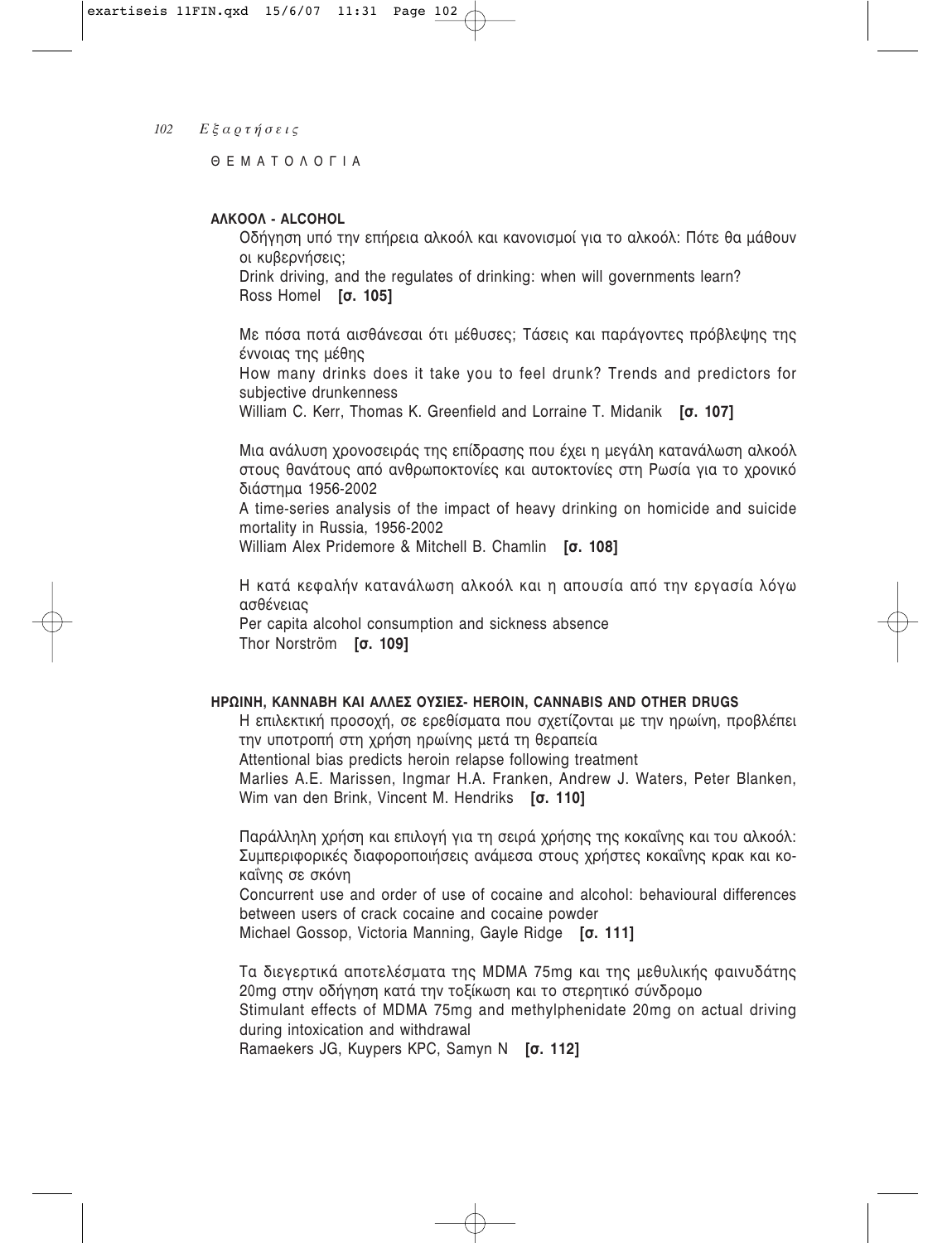**OEMATO A O FIA** 

# ANKOON - ALCOHOL

Οδήγηση υπό την επήρεια αλκοόλ και κανονισμοί για το αλκοόλ: Πότε θα μάθουν οι κυβερνήσεις:

Drink driving, and the regulates of drinking: when will governments learn? Ross Homel [o. 105]

Με πόσα ποτά αισθάνεσαι ότι μέθυσες; Τάσεις και παράγοντες πρόβλεψης της έννοιας της μέθης

How many drinks does it take you to feel drunk? Trends and predictors for subjective drunkenness

William C. Kerr, Thomas K. Greenfield and Lorraine T. Midanik [o. 107]

Μια ανάλυση χρονοσειράς της επίδρασης που έχει η μενάλη κατανάλωση αλκοόλ στους θανάτους από ανθρωποκτονίες και αυτοκτονίες στη Ρωσία για το χρονικό διάστημα 1956-2002

A time-series analysis of the impact of heavy drinking on homicide and suicide mortality in Russia, 1956-2002

William Alex Pridemore & Mitchell B. Chamlin [o. 108]

Η κατά κεφαλήν κατανάλωση αλκοόλ και η απουσία από την εργασία λόγω ασθένειας

Per capita alcohol consumption and sickness absence Thor Norström [o. 109]

## ΗΡΩΙΝΗ, ΚΑΝΝΑΒΗ ΚΑΙ ΑΛΛΕΣ ΟΥΣΙΕΣ- HEROIN, CANNABIS AND OTHER DRUGS

Η επιλεκτική προσοχή, σε ερεθίσματα που σχετίζονται με την ηρωίνη, προβλέπει την υποτροπή στη χρήση ηρωίνης μετά τη θεραπεία Attentional bias predicts heroin relapse following treatment Marlies A.E. Marissen, Ingmar H.A. Franken, Andrew J. Waters, Peter Blanken,

Wim van den Brink, Vincent M. Hendriks [o. 110]

Παράλληλη χρήση και επιλογή για τη σειρά χρήσης της κοκαΐνης και του αλκοόλ: Συμπεριφορικές διαφοροποιήσεις ανάμεσα στους χρήστες κοκαΐνης κρακ και κοκαΐνης σε σκόνη

Concurrent use and order of use of cocaine and alcohol: behavioural differences between users of crack cocaine and cocaine powder

Michael Gossop, Victoria Manning, Gayle Ridge [o. 111]

Τα διεγερτικά αποτελέσματα της MDMA 75mg και της μεθυλικής φαινυδάτης 20mg στην οδήγηση κατά την τοξίκωση και το στερητικό σύνδρομο Stimulant effects of MDMA 75mg and methylphenidate 20mg on actual driving during intoxication and withdrawal Ramaekers JG, Kuypers KPC, Samyn N [o. 112]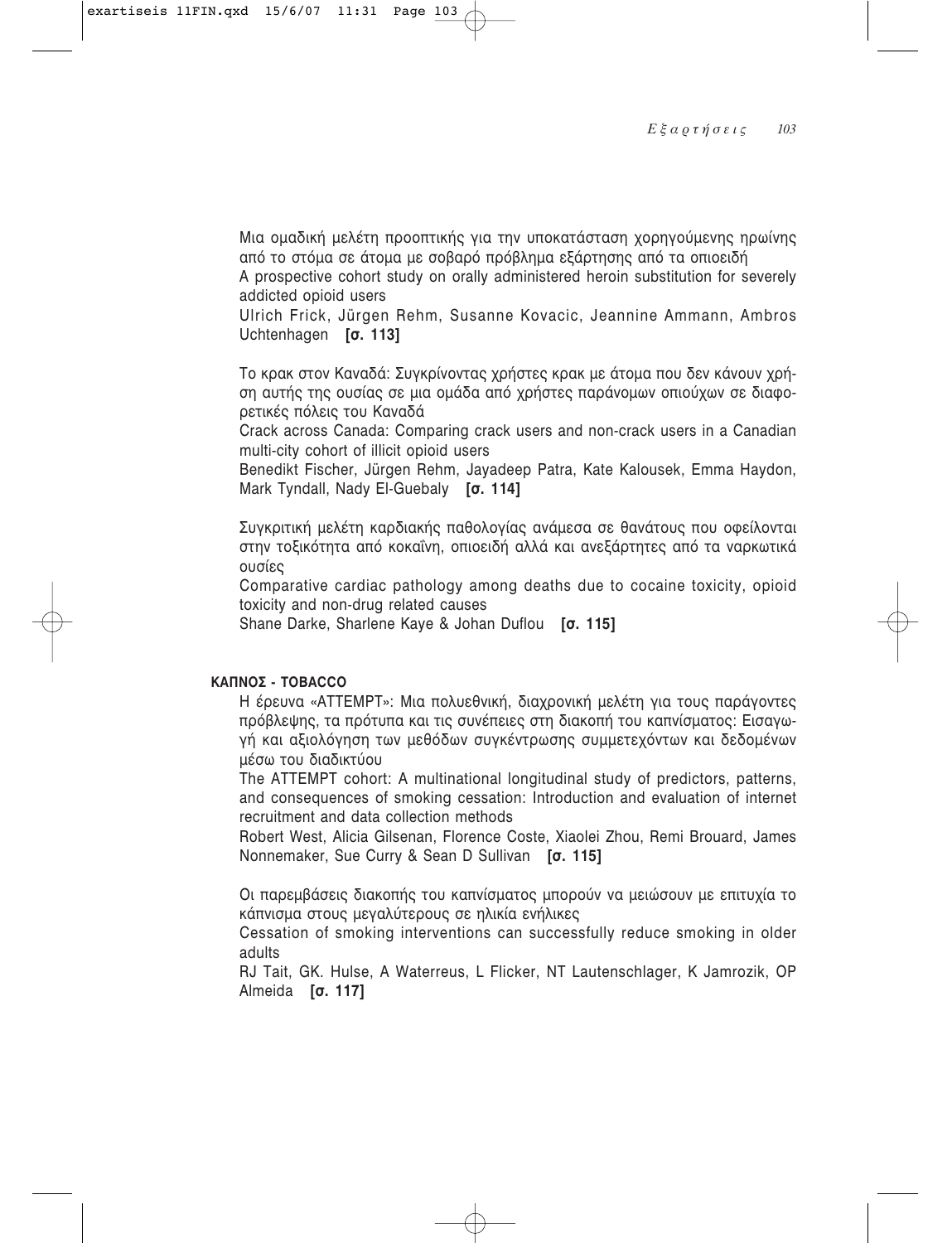exartiseis 11FIN.qxd 15/6/07 11:31 Page 103

> Μια ομαδική μελέτη προοπτικής για την υποκατάσταση χορηγούμενης ηρωίνης από το στόμα σε άτομα με σοβαρό πρόβλημα εξάρτησης από τα οπιοειδή

> A prospective cohort study on orally administered heroin substitution for severely addicted opioid users

> Ulrich Frick, Jürgen Rehm, Susanne Kovacic, Jeannine Ammann, Ambros Uchtenhagen [o. 113]

> Το κρακ στον Καναδά: Συγκρίνοντας χρήστες κρακ με άτομα που δεν κάνουν χρήση αυτής της ουσίας σε μια ομάδα από χρήστες παράνομων οπιούχων σε διαφορετικές πόλεις του Καναδά

> Crack across Canada: Comparing crack users and non-crack users in a Canadian multi-city cohort of illicit opioid users

> Benedikt Fischer, Jürgen Rehm, Jayadeep Patra, Kate Kalousek, Emma Haydon, Mark Tyndall, Nady El-Guebaly [o. 114]

> Συγκριτική μελέτη καρδιακής παθολογίας ανάμεσα σε θανάτους που οφείλονται στην τοξικότητα από κοκαΐνη, οπιοειδή αλλά και ανεξάρτητες από τα ναρκωτικά ουσίες

> Comparative cardiac pathology among deaths due to cocaine toxicity, opioid toxicity and non-drug related causes

Shane Darke, Sharlene Kaye & Johan Duflou [o. 115]

## ΚΑΠΝΟΣ - TOBACCO

Η έρευνα «ATTEMPT»: Μια πολυεθνική, διαχρονική μελέτη για τους παράγοντες πρόβλεψης, τα πρότυπα και τις συνέπειες στη διακοπή του καπνίσματος: Εισαγωγή και αξιολόγηση των μεθόδων συγκέντρωσης συμμετεχόντων και δεδομένων μέσω του διαδικτύου

The ATTEMPT cohort: A multinational longitudinal study of predictors, patterns, and consequences of smoking cessation: Introduction and evaluation of internet recruitment and data collection methods

Robert West, Alicia Gilsenan, Florence Coste, Xiaolei Zhou, Remi Brouard, James Nonnemaker, Sue Curry & Sean D Sullivan [o. 115]

Οι παρεμβάσεις διακοπής του καπνίσματος μπορούν να μειώσουν με επιτυχία το κάπνισμα στους μεγαλύτερους σε ηλικία ενήλικες

Cessation of smoking interventions can successfully reduce smoking in older adults

RJ Tait, GK. Hulse, A Waterreus, L Flicker, NT Lautenschlager, K Jamrozik, OP Almeida [o. 117]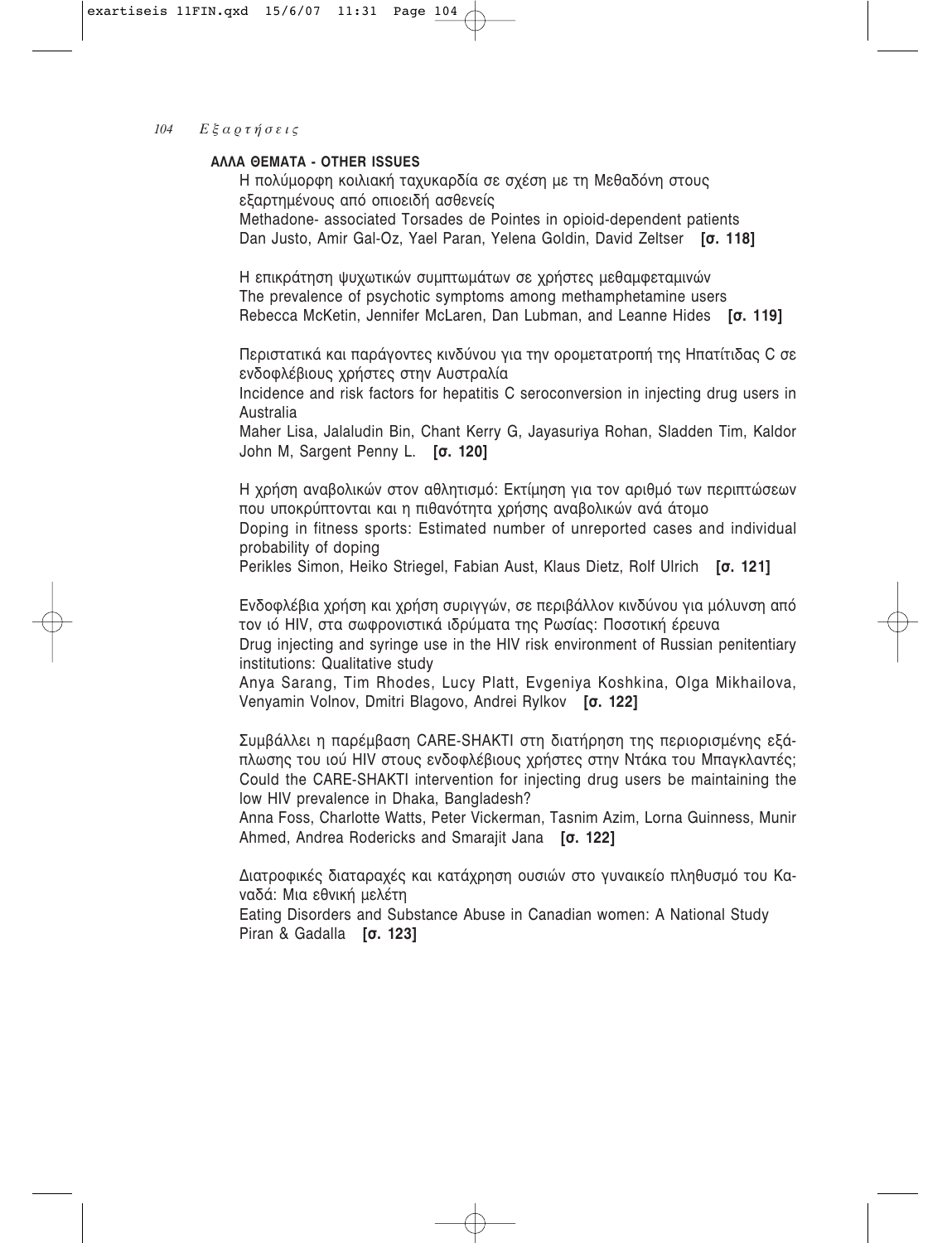# **AAAA GEMATA - OTHER ISSUES**

Η πολύμορφη κοιλιακή ταχυκαρδία σε σχέση με τη Μεθαδόνη στους εξαρτημένους από οπιοειδή ασθενείς

Methadone- associated Torsades de Pointes in opioid-dependent patients Dan Justo, Amir Gal-Oz, Yael Paran, Yelena Goldin, David Zeltser [o. 118]

Η επικράτηση ψυχωτικών συμπτωμάτων σε χρήστες μεθαμφεταμινών The prevalence of psychotic symptoms among methamphetamine users Rebecca McKetin, Jennifer McLaren, Dan Lubman, and Leanne Hides [o. 1191]

Περιστατικά και παράγοντες κινδύνου για την ορομετατροπή της Ηπατίτιδας C σε ενδοφλέβιους χρήστες στην Αυστραλία

Incidence and risk factors for hepatitis C seroconversion in injecting drug users in Australia

Maher Lisa, Jalaludin Bin, Chant Kerry G, Jayasuriya Rohan, Sladden Tim, Kaldor John M. Sargent Penny L. [o. 120]

Η χρήση αναβολικών στον αθλητισμό: Εκτίμηση για τον αριθμό των περιπτώσεων που υποκρύπτονται και η πιθανότητα χρήσης αναβολικών ανά άτομο Doping in fitness sports: Estimated number of unreported cases and individual probability of doping

Perikles Simon, Heiko Striegel, Fabian Aust, Klaus Dietz, Rolf Ulrich [o. 121]

Ενδοφλέβια χρήση και χρήση συριγγών, σε περιβάλλον κινδύνου για μόλυνση από τον ιό HIV, στα σωφρονιστικά ιδρύματα της Ρωσίας: Ποσοτική έρευνα

Drug injecting and syringe use in the HIV risk environment of Russian penitentiary institutions: Qualitative study

Anya Sarang, Tim Rhodes, Lucy Platt, Evgeniya Koshkina, Olga Mikhailova, Venyamin Volnov, Dmitri Blagovo, Andrei Rylkov [o. 122]

Συμβάλλει η παρέμβαση CARE-SHAKTI στη διατήρηση της περιορισμένης εξάπλωσης του ιού HIV στους ενδοφλέβιους χρήστες στην Ντάκα του Μπαγκλαντές; Could the CARE-SHAKTI intervention for injecting drug users be maintaining the low HIV prevalence in Dhaka, Bangladesh?

Anna Foss, Charlotte Watts, Peter Vickerman, Tasnim Azim, Lorna Guinness, Munir Ahmed, Andrea Rodericks and Smarajit Jana [o. 122]

Διατροφικές διαταραχές και κατάχρηση ουσιών στο γυναικείο πληθυσμό του Καναδά: Μια εθνική μελέτη

Eating Disorders and Substance Abuse in Canadian women: A National Study Piran & Gadalla [o. 123]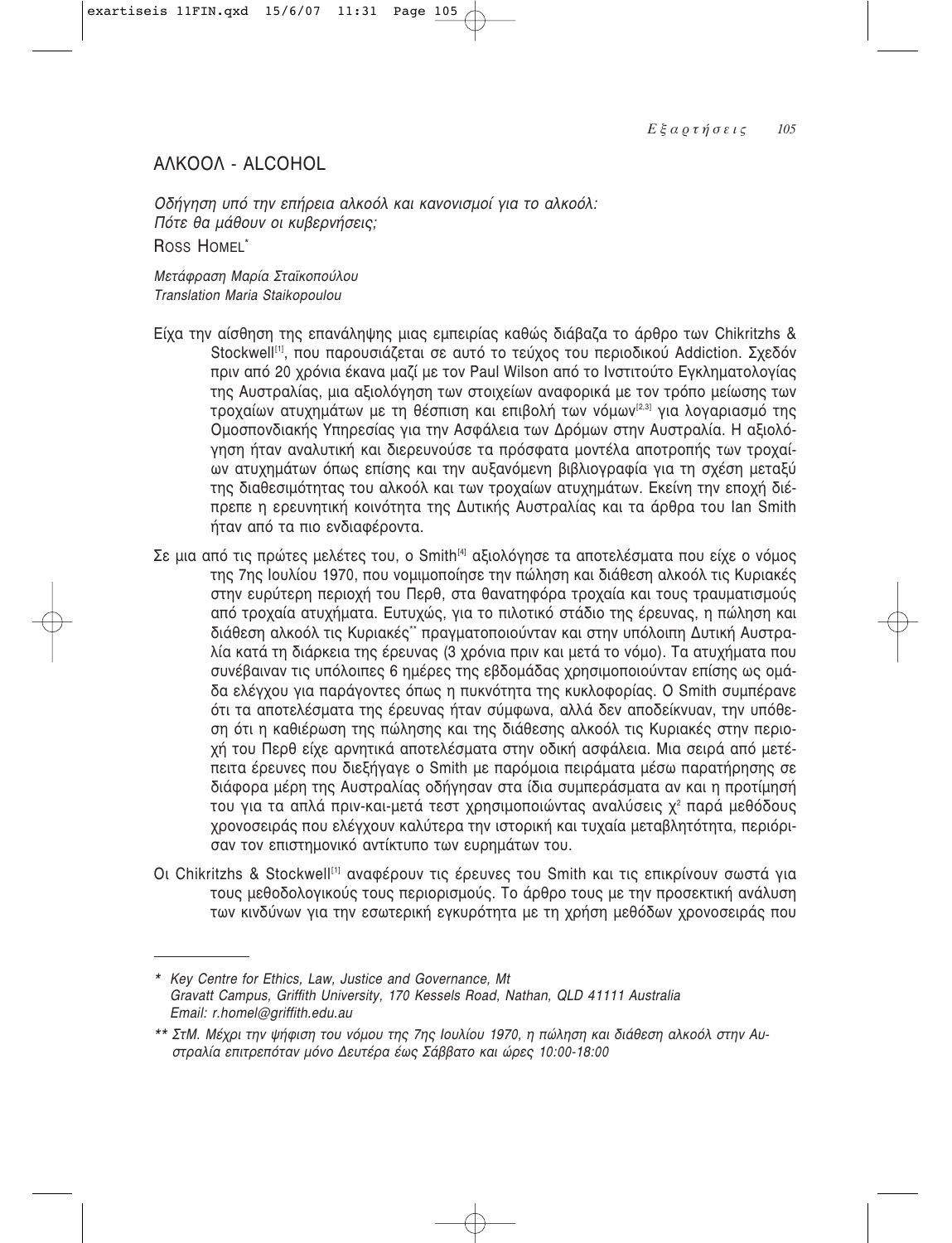# AAKOOA - ALCOHOL

Οδήγηση υπό την επήρεια αλκοόλ και κανονισμοί για το αλκοόλ: Πότε θα μάθουν οι κυβερνήσεις: ROSS HOMEL<sup>\*</sup>

Μετάφραση Μαρία Σταϊκοπούλου Translation Maria Staikopoulou

- Eίχα την αίσθηση της επανάληψης μιας εμπειρίας καθώς διάβαζα το άρθρο των Chikritzhs & Stockwell<sup>[1]</sup>, που παρουσιάζεται σε αυτό το τεύχος του περιοδικού Addiction. Σχεδόν πριν από 20 χρόνια έκανα μαζί με τον Paul Wilson από το Ινστιτούτο Εγκληματολογίας της Αυστραλίας, μια αξιολόγηση των στοιχείων αναφορικά με τον τρόπο μείωσης των τροχαίων ατυχημάτων με τη θέσπιση και επιβολή των νόμων<sup>12,31</sup> για λογαριασμό της Ομοσπονδιακής Υπηρεσίας για την Ασφάλεια των Δρόμων στην Αυστραλία. Η αξιολόγηση ήταν αναλυτική και διερευνούσε τα πρόσφατα μοντέλα αποτροπής των τροχαίων ατυχημάτων όπως επίσης και την αυξανόμενη βιβλιογραφία για τη σχέση μεταξύ της διαθεσιμότητας του αλκοόλ και των τροχαίων ατυχημάτων. Εκείνη την εποχή διέπρεπε η ερευνητική κοινότητα της Δυτικής Αυστραλίας και τα άρθρα του lan Smith ήταν από τα πιο ενδιαφέροντα.
- Σε μια από τις πρώτες μελέτες του, ο Smith<sup>[4]</sup> αξιολόγησε τα αποτελέσματα που είχε ο νόμος της 7ης Ιουλίου 1970, που νομιμοποίησε την πώληση και διάθεση αλκοόλ τις Κυριακές στην ευρύτερη περιοχή του Περθ, στα θανατηφόρα τροχαία και τους τραυματισμούς από τροχαία ατυχήματα. Ευτυχώς, για το πιλοτικό στάδιο της έρευνας, η πώληση και διάθεση αλκοόλ τις Κυριακές\*\* πραγματοποιούνταν και στην υπόλοιπη Δυτική Αυστραλία κατά τη διάρκεια της έρευνας (3 χρόνια πριν και μετά το νόμο). Τα ατυχήματα που συνέβαιναν τις υπόλοιπες 6 ημέρες της εβδομάδας χρησιμοποιούνταν επίσης ως ομάδα ελέγχου για παράγοντες όπως η πυκνότητα της κυκλοφορίας. Ο Smith συμπέρανε ότι τα αποτελέσματα της έρευνας ήταν σύμφωνα, αλλά δεν αποδείκνυαν, την υπόθεση ότι η καθιέρωση της πώλησης και της διάθεσης αλκοόλ τις Κυριακές στην περιοχή του Περθ είχε αρνητικά αποτελέσματα στην οδική ασφάλεια. Μια σειρά από μετέπειτα έρευνες που διεξήγαγε ο Smith με παρόμοια πειράματα μέσω παρατήρησης σε διάφορα μέρη της Αυστραλίας οδήγησαν στα ίδια συμπεράσματα αν και η προτίμησή του για τα απλά πριν-και-μετά τεστ χρησιμοποιώντας αναλύσεις χ<sup>2</sup> παρά μεθόδους χρονοσειράς που ελέγχουν καλύτερα την ιστορική και τυχαία μεταβλητότητα, περιόρισαν τον επιστημονικό αντίκτυπο των ευρημάτων του.
- Oι Chikritzhs & Stockwell<sup>[1]</sup> αναφέρουν τις έρευνες του Smith και τις επικρίνουν σωστά για τους μεθοδολογικούς τους περιορισμούς. Το άρθρο τους με την προσεκτική ανάλυση των κινδύνων για την εσωτερική εγκυρότητα με τη χρήση μεθόδων χρονοσειράς που

<sup>\*</sup> Key Centre for Ethics, Law, Justice and Governance, Mt Gravatt Campus, Griffith University, 170 Kessels Road, Nathan, QLD 41111 Australia Email: r.homel@griffith.edu.au

<sup>\*\*</sup> ΣτΜ. Μέχρι την ψήφιση του νόμου της 7ης Ιουλίου 1970, η πώληση και διάθεση αλκοόλ στην Auστραλία επιτρεπόταν μόνο Δευτέρα έως Σάββατο και ώρες 10:00-18:00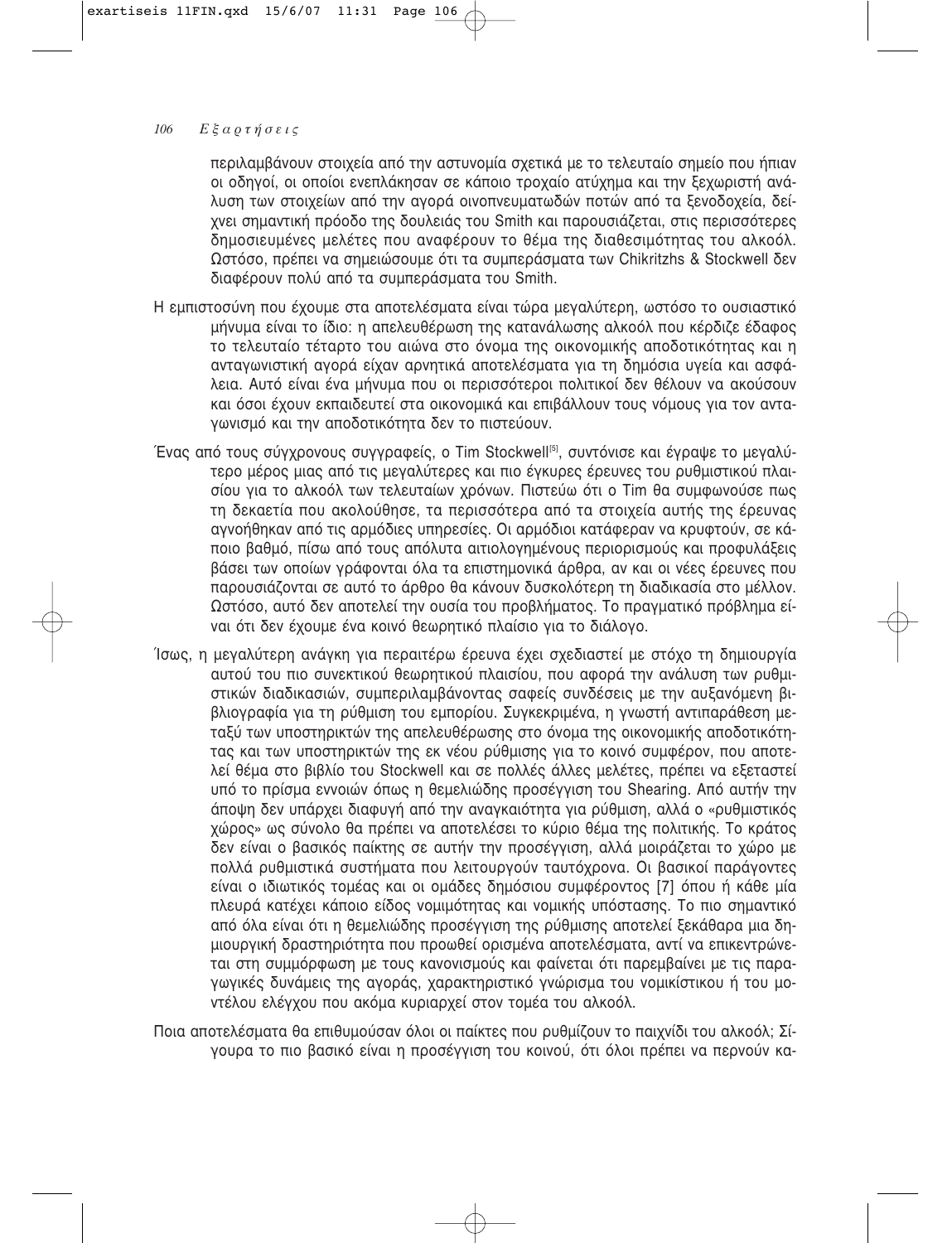περιλαμβάνουν στοιχεία από την αστυνομία σχετικά με το τελευταίο σημείο που ήπιαν οι οδηγοί, οι οποίοι ενεπλάκησαν σε κάποιο τροχαίο ατύχημα και την ξεχωριστή ανάλυση των στοιχείων από την αγορά οινοπνευματωδών ποτών από τα ξενοδοχεία, δείχνει σημαντική πρόοδο της δουλειάς του Smith και παρουσιάζεται, στις περισσότερες δημοσιευμένες μελέτες που αναφέρουν το θέμα της διαθεσιμότητας του αλκοόλ. Ωστόσο, πρέπει να σημειώσουμε ότι τα συμπεράσματα των Chikritzhs & Stockwell δεν διαφέρουν πολύ από τα συμπεράσματα του Smith.

- Η εμπιστοσύνη που έχουμε στα αποτελέσματα είναι τώρα μεγαλύτερη, ωστόσο το ουσιαστικό μήνυμα είναι το ίδιο: η απελευθέρωση της κατανάλωσης αλκοόλ που κέρδιζε έδαφος το τελευταίο τέταρτο του αιώνα στο όνομα της οικονομικής αποδοτικότητας και η ανταγωνιστική αγορά είχαν αρνητικά αποτελέσματα για τη δημόσια υγεία και ασφάλεια. Αυτό είναι ένα μήνυμα που οι περισσότεροι πολιτικοί δεν θέλουν να ακούσουν και όσοι έχουν εκπαιδευτεί στα οικονομικά και επιβάλλουν τους νόμους για τον ανταγωνισμό και την αποδοτικότητα δεν το πιστεύουν.
- Ένας από τους σύγχρονους συγγραφείς, ο Tim Stockwell<sup>[5]</sup>, συντόνισε και έγραψε το μεγαλύτερο μέρος μιας από τις μεγαλύτερες και πιο έγκυρες έρευνες του ρυθμιστικού πλαισίου για το αλκοόλ των τελευταίων χρόνων. Πιστεύω ότι ο Tim θα συμφωνούσε πως τη δεκαετία που ακολούθησε, τα περισσότερα από τα στοιχεία αυτής της έρευνας αγνοήθηκαν από τις αρμόδιες υπηρεσίες. Οι αρμόδιοι κατάφεραν να κρυφτούν, σε κάποιο βαθμό, πίσω από τους απόλυτα αιτιολογημένους περιορισμούς και προφυλάξεις βάσει των οποίων γράφονται όλα τα επιστημονικά άρθρα, αν και οι νέες έρευνες που παρουσιάζονται σε αυτό το άρθρο θα κάνουν δυσκολότερη τη διαδικασία στο μέλλον. Ωστόσο, αυτό δεν αποτελεί την ουσία του προβλήματος. Το πραγματικό πρόβλημα είναι ότι δεν έχουμε ένα κοινό θεωρητικό πλαίσιο για το διάλογο.
- <u>Ίσως, η μεγαλύτερη ανάγκη για περαιτέρω έρευνα έχει σχεδιαστεί με στόχο τη δημιουργία</u> αυτού του πιο συνεκτικού θεωρητικού πλαισίου, που αφορά την ανάλυση των ρυθμιστικών διαδικασιών, συμπεριλαμβάνοντας σαφείς συνδέσεις με την αυξανόμενη βιβλιογραφία για τη ρύθμιση του εμπορίου. Συγκεκριμένα, η γνωστή αντιπαράθεση μεταξύ των υποστηρικτών της απελευθέρωσης στο όνομα της οικονομικής αποδοτικότητας και των υποστηρικτών της εκ νέου ρύθμισης για το κοινό συμφέρον, που αποτελεί θέμα στο βιβλίο του Stockwell και σε πολλές άλλες μελέτες, πρέπει να εξεταστεί υπό το πρίσμα εννοιών όπως η θεμελιώδης προσέγγιση του Shearing. Από αυτήν την άποψη δεν υπάρχει διαφυγή από την αναγκαιότητα για ρύθμιση, αλλά ο «ρυθμιστικός χώρος» ως σύνολο θα πρέπει να αποτελέσει το κύριο θέμα της πολιτικής. Το κράτος δεν είναι ο βασικός παίκτης σε αυτήν την προσέγγιση, αλλά μοιράζεται το χώρο με πολλά ρυθμιστικά συστήματα που λειτουργούν ταυτόχρονα. Οι βασικοί παράγοντες είναι ο ιδιωτικός τομέας και οι ομάδες δημόσιου συμφέροντος [7] όπου ή κάθε μία πλευρά κατέχει κάποιο είδος νομιμότητας και νομικής υπόστασης. Το πιο σημαντικό από όλα είναι ότι η θεμελιώδης προσέγγιση της ρύθμισης αποτελεί ξεκάθαρα μια δημιουργική δραστηριότητα που προωθεί ορισμένα αποτελέσματα, αντί να επικεντρώνεται στη συμμόρφωση με τους κανονισμούς και φαίνεται ότι παρεμβαίνει με τις παραγωγικές δυνάμεις της αγοράς, χαρακτηριστικό γνώρισμα του νομικίστικου ή του μοντέλου ελέγχου που ακόμα κυριαρχεί στον τομέα του αλκοόλ.
- Ποια αποτελέσματα θα επιθυμούσαν όλοι οι παίκτες που ρυθμίζουν το παιχνίδι του αλκοόλ: Σίγουρα το πιο βασικό είναι η προσέγγιση του κοινού, ότι όλοι πρέπει να περνούν κα-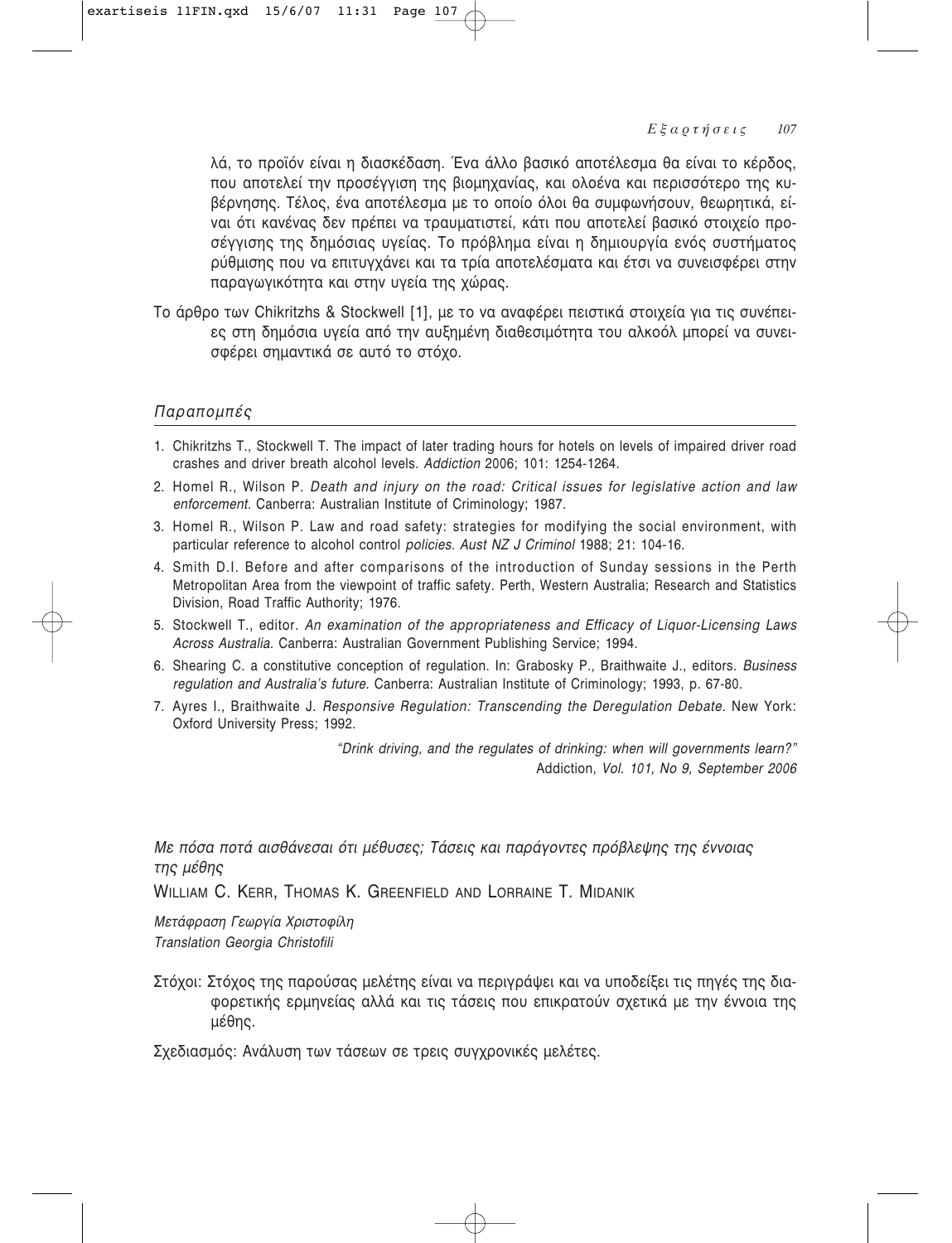λά, το προϊόν είναι η διασκέδαση. Ένα άλλο βασικό αποτέλεσμα θα είναι το κέρδος, που αποτελεί την προσέγγιση της βιομηχανίας, και ολοένα και περισσότερο της κυβέρνησης. Τέλος, ένα αποτέλεσμα με το οποίο όλοι θα συμφωνήσουν, θεωρητικά, είναι ότι κανένας δεν πρέπει να τραυματιστεί, κάτι που αποτελεί βασικό στοιχείο προσέγγισης της δημόσιας υγείας. Το πρόβλημα είναι η δημιουργία ενός συστήματος ρύθμισης που να επιτυγχάνει και τα τρία αποτελέσματα και έτσι να συνεισφέρει στην παραγωγικότητα και στην υγεία της χώρας.

Το άρθρο των Chikritzhs & Stockwell [1], με το να αναφέρει πειστικά στοιχεία για τις συνέπειες στη δημόσια υγεία από την αυξημένη διαθεσιμότητα του αλκοόλ μπορεί να συνεισφέρει σημαντικά σε αυτό το στόχο.

## Παραπομπές

exartiseis 11FIN.qxd

 $15/6/07$ 

 $11:31$ 

Page 107

- 1. Chikritzhs T., Stockwell T. The impact of later trading hours for hotels on levels of impaired driver road crashes and driver breath alcohol levels. Addiction 2006; 101: 1254-1264.
- 2. Homel R., Wilson P. Death and injury on the road: Critical issues for legislative action and law enforcement. Canberra: Australian Institute of Criminology; 1987.
- 3. Homel R., Wilson P. Law and road safety: strategies for modifying the social environment, with particular reference to alcohol control policies. Aust NZ J Criminol 1988; 21: 104-16.
- 4. Smith D.I. Before and after comparisons of the introduction of Sunday sessions in the Perth Metropolitan Area from the viewpoint of traffic safety. Perth, Western Australia; Research and Statistics Division, Road Traffic Authority; 1976.
- 5. Stockwell T., editor. An examination of the appropriateness and Efficacy of Liguor-Licensing Laws Across Australia. Canberra: Australian Government Publishing Service; 1994.
- 6. Shearing C. a constitutive conception of regulation. In: Grabosky P., Braithwaite J., editors. Business regulation and Australia's future. Canberra: Australian Institute of Criminology; 1993, p. 67-80.
- 7. Ayres I., Braithwaite J. Responsive Regulation: Transcending the Deregulation Debate. New York: Oxford University Press; 1992.

"Drink driving, and the regulates of drinking: when will governments learn?" Addiction, Vol. 101, No 9, September 2006

Με πόσα ποτά αισθάνεσαι ότι μέθυσες; Τάσεις και παράγοντες πρόβλεψης της έννοιας της μέθης

WILLIAM C. KERR, THOMAS K. GREENFIELD AND LORRAINE T. MIDANIK

Μετάφραση Γεωργία Χριστοφίλη Translation Georgia Christofili

Στόχοι: Στόχος της παρούσας μελέτης είναι να περιγράψει και να υποδείξει τις πηγές της διαφορετικής ερμηνείας αλλά και τις τάσεις που επικρατούν σχετικά με την έννοια της μέθης.

Σχεδιασμός: Ανάλυση των τάσεων σε τρεις συγχρονικές μελέτες.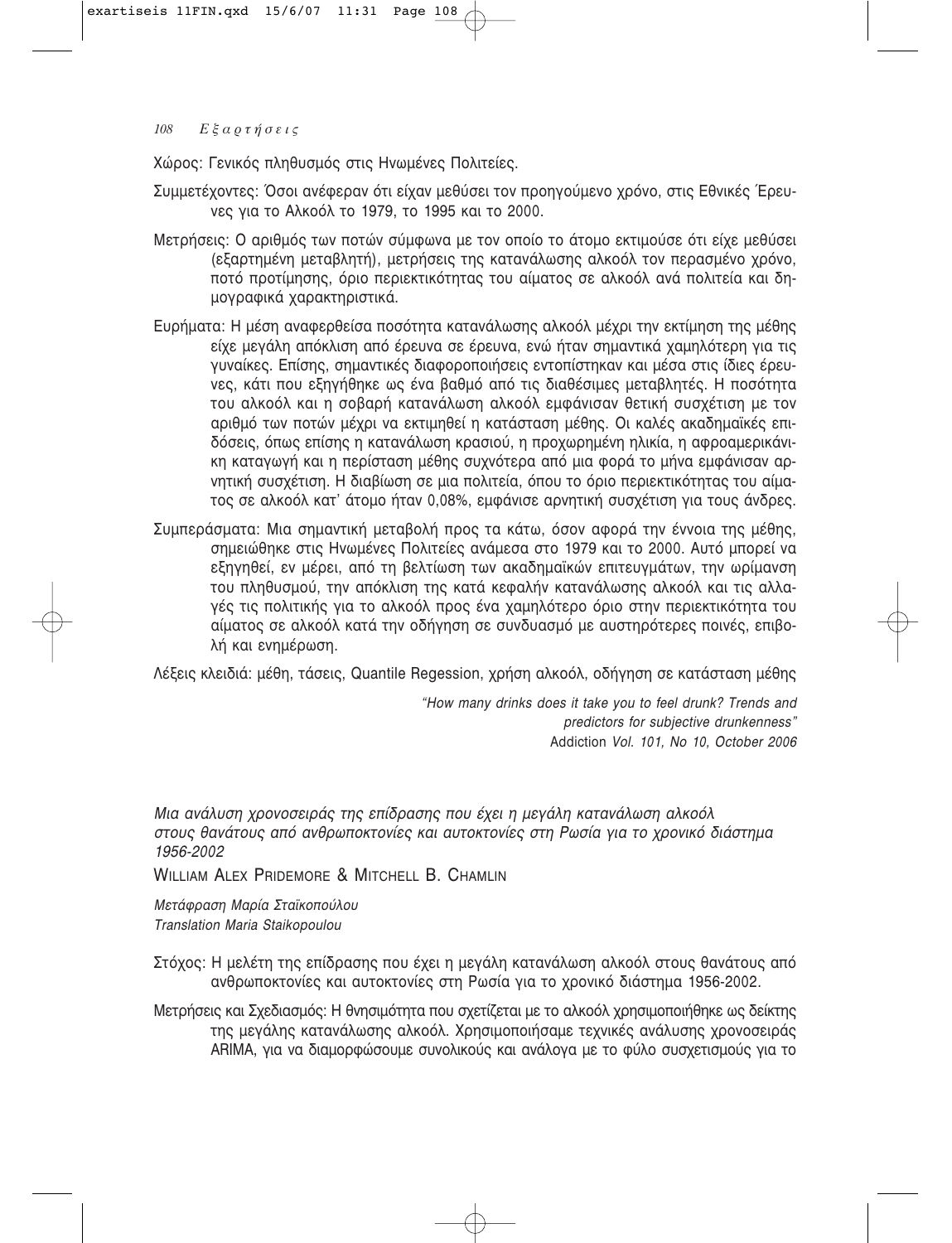Χώρος: Γενικός πληθυσμός στις Ηνωμένες Πολιτείες.

- Συμμετέχοντες: Όσοι ανέφεραν ότι είχαν μεθύσει τον προηγούμενο χρόνο, στις Εθνικές Έρευ-VEC VID ΤΟ Αλκοόλ το 1979, το 1995 και το 2000.
- Μετρήσεις: Ο αριθμός των ποτών σύμφωνα με τον οποίο το άτομο εκτιμούσε ότι είχε μεθύσει (εξαρτημένη μεταβλητή), μετρήσεις της κατανάλωσης αλκοόλ τον περασμένο χρόνο, ποτό προτίμησης, όριο περιεκτικότητας του αίματος σε αλκοόλ ανά πολιτεία και δημογραφικά χαρακτηριστικά.
- Ευρήματα: Η μέση αναφερθείσα ποσότητα κατανάλωσης αλκοόλ μέχρι την εκτίμηση της μέθης είχε μεγάλη απόκλιση από έρευνα σε έρευνα, ενώ ήταν σημαντικά χαμηλότερη για τις γυναίκες. Επίσης, σημαντικές διαφοροποιήσεις εντοπίστηκαν και μέσα στις ίδιες έρευνες, κάτι που εξηγήθηκε ως ένα βαθμό από τις διαθέσιμες μεταβλητές. Η ποσότητα του αλκοόλ και η σοβαρή κατανάλωση αλκοόλ εμφάνισαν θετική συσχέτιση με τον αριθμό των ποτών μέχρι να εκτιμηθεί η κατάσταση μέθης. Οι καλές ακαδημαϊκές επιδόσεις, όπως επίσης η κατανάλωση κρασιού, η προχωρημένη ηλικία, η αφροαμερικάνικη καταγωγή και η περίσταση μέθης συχνότερα από μια φορά το μήνα εμφάνισαν αρνητική συσχέτιση. Η διαβίωση σε μια πολιτεία, όπου το όριο περιεκτικότητας του αίματος σε αλκοόλ κατ' άτομο ήταν 0,08%, εμφάνισε αρνητική συσχέτιση για τους άνδρες.
- Συμπεράσματα: Μια σημαντική μεταβολή προς τα κάτω, όσον αφορά την έννοια της μέθης, σημειώθηκε στις Ηνωμένες Πολιτείες ανάμεσα στο 1979 και το 2000. Αυτό μπορεί να εξηγηθεί, εν μέρει, από τη βελτίωση των ακαδημαϊκών επιτευγμάτων, την ωρίμανση του πληθυσμού, την απόκλιση της κατά κεφαλήν κατανάλωσης αλκοόλ και τις αλλαγές τις πολιτικής για το αλκοόλ προς ένα χαμηλότερο όριο στην περιεκτικότητα του αίματος σε αλκοόλ κατά την οδήγηση σε συνδυασμό με αυστηρότερες ποινές, επιβολή και ενημέρωση.

Λέξεις κλειδιά: μέθη, τάσεις, Quantile Regession, χρήση αλκοόλ, οδήγηση σε κατάσταση μέθης

*"How many drinks does it take you to feel drunk? Trends and predictors for subjective drunkenness"* Addiction *Vol. 101, No 10, October 2006*

*Μια ανάλυση χρονοσειράς της επίδρασης που έχει η μεγάλη κατανάλωση αλκοόλ* στους θανάτους από ανθρωποκτονίες και αυτοκτονίες στη Ρωσία για το χρονικό διάστημα *1956-2002*

WILLIAM ALEX PRIDEMORE & MITCHELL B. CHAMLIN

*Μετάφραση Μαρία Σταϊκοπούλου Translation Maria Staikopoulou*

Στόχος: Η μελέτη της επίδρασης που έχει η μεγάλη κατανάλωση αλκοόλ στους θανάτους από ανθρωποκτονίες και αυτοκτονίες στη Ρωσία για το χρονικό διάστημα 1956-2002.

Μετρήσεις και Σχεδιασμός: Η θνησιμότητα που σχετίζεται με το αλκοόλ χρησιμοποιήθηκε ως δείκτης της μεγάλης κατανάλωσης αλκοόλ. Χρησιμοποιήσαμε τεχνικές ανάλυσης χρονοσειράς ARIMA, για να διαμορφώσουμε συνολικούς και ανάλογα με το φύλο συσχετισμούς για το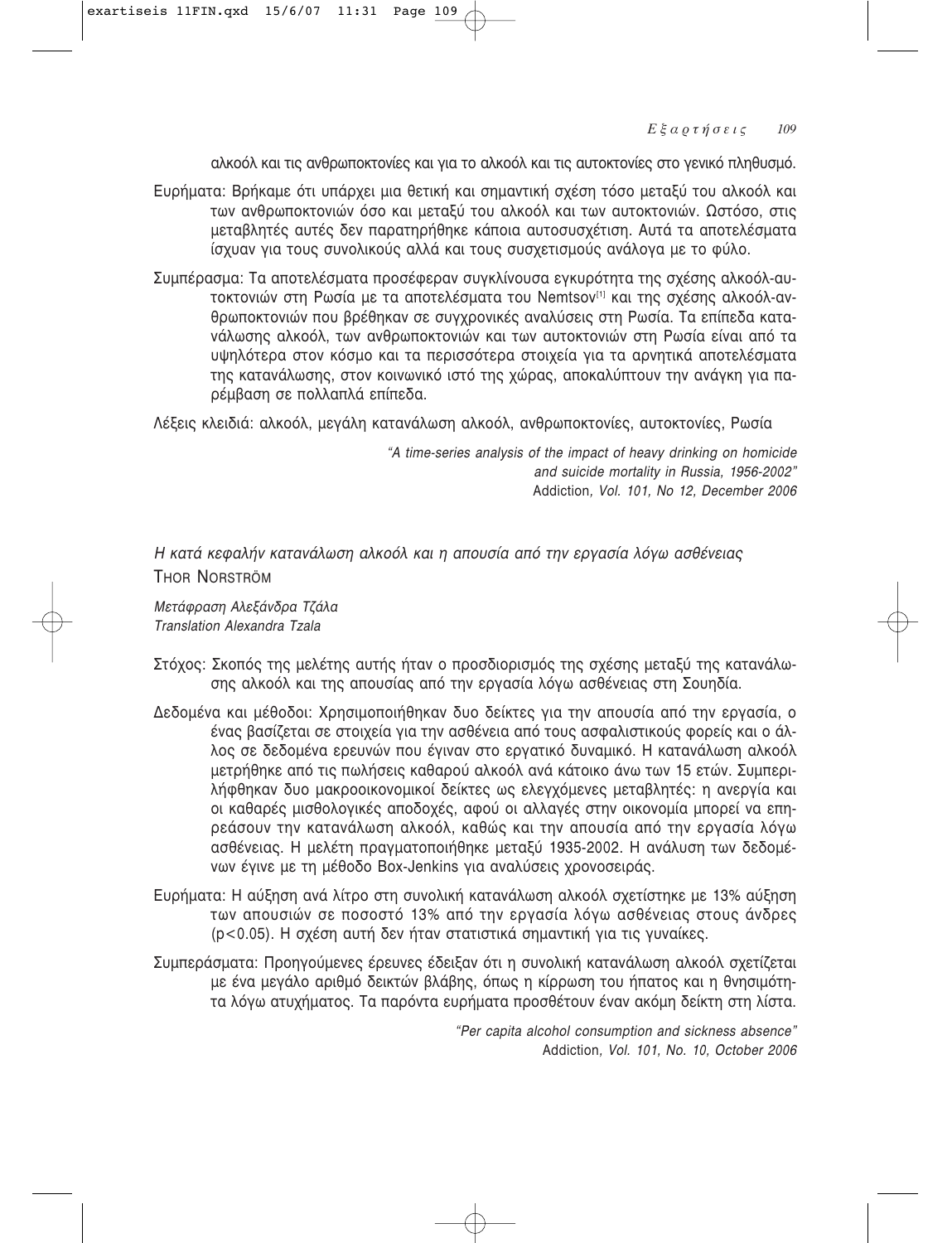αλκοόλ και τις ανθρωποκτονίες και για το αλκοόλ και τις αυτοκτονίες στο γενικό πληθυσμό.

Ευρήματα: Βρήκαμε ότι υπάρχει μια θετική και σημαντική σχέση τόσο μεταξύ του αλκοόλ και των ανθρωποκτονιών όσο και μεταξύ του αλκοόλ και των αυτοκτονιών. Ωστόσο, στις μεταβλητές αυτές δεν παρατηρήθηκε κάποια αυτοσυσχέτιση. Αυτά τα αποτελέσματα ίσχυαν για τους συνολικούς αλλά και τους συσχετισμούς ανάλογα με το φύλο.

11:31 Page 109

Συμπέρασμα: Τα αποτελέσματα προσέφεραν συγκλίνουσα εγκυρότητα της σχέσης αλκοόλ-αυτοκτονιών στη Ρωσία με τα αποτελέσματα του Nemtsov<sup>[1]</sup> και της σχέσης αλκοόλ-ανθρωποκτονιών που βρέθηκαν σε συγχρονικές αναλύσεις στη Ρωσία. Τα επίπεδα κατανάλωσης αλκοόλ, των ανθρωποκτονιών και των αυτοκτονιών στη Ρωσία είναι από τα υψηλότερα στον κόσμο και τα περισσότερα στοιχεία για τα αρνητικά αποτελέσματα της κατανάλωσης, στον κοινωνικό ιστό της χώρας, αποκαλύπτουν την ανάγκη για παρέμβαση σε πολλαπλά επίπεδα.

Λέξεις κλειδιά: αλκοόλ, μεγάλη κατανάλωση αλκοόλ, ανθρωποκτονίες, αυτοκτονίες, Ρωσία

"A time-series analysis of the impact of heavy drinking on homicide and suicide mortality in Russia, 1956-2002" Addiction, Vol. 101, No 12, December 2006

Η κατά κεφαλήν κατανάλωση αλκοόλ και η απουσία από την εργασία λόγω ασθένειας **THOR NORSTRÖM** 

Μετάφραση Αλεξάνδρα Τζάλα **Translation Alexandra Tzala** 

exartiseis 11FIN.qxd 15/6/07

- Στόχος: Σκοπός της μελέτης αυτής ήταν ο προσδιορισμός της σχέσης μεταξύ της κατανάλωσης αλκοόλ και της απουσίας από την εργασία λόγω ασθένειας στη Σουηδία.
- Δεδομένα και μέθοδοι: Χρησιμοποιήθηκαν δυο δείκτες για την απουσία από την εργασία, ο ένας βασίζεται σε στοιχεία για την ασθένεια από τους ασφαλιστικούς φορείς και ο άλλος σε δεδομένα ερευνών που έγιναν στο εργατικό δυναμικό. Η κατανάλωση αλκοόλ μετρήθηκε από τις πωλήσεις καθαρού αλκοόλ ανά κάτοικο άνω των 15 ετών. Συμπεριλήφθηκαν δυο μακροοικονομικοί δείκτες ως ελεγχόμενες μεταβλητές: η ανεργία και οι καθαρές μισθολογικές αποδοχές, αφού οι αλλαγές στην οικονομία μπορεί να επηρεάσουν την κατανάλωση αλκοόλ, καθώς και την απουσία από την εργασία λόγω ασθένειας. Η μελέτη πραγματοποιήθηκε μεταξύ 1935-2002. Η ανάλυση των δεδομένων έγινε με τη μέθοδο Box-Jenkins για αναλύσεις χρονοσειράς.
- Ευρήματα: Η αύξηση ανά λίτρο στη συνολική κατανάλωση αλκοόλ σχετίστηκε με 13% αύξηση των απουσιών σε ποσοστό 13% από την εργασία λόγω ασθένειας στους άνδρες (p<0.05). Η σχέση αυτή δεν ήταν στατιστικά σημαντική για τις γυναίκες.
- Συμπεράσματα: Προηγούμενες έρευνες έδειξαν ότι η συνολική κατανάλωση αλκοόλ σχετίζεται με ένα μεγάλο αριθμό δεικτών βλάβης, όπως η κίρρωση του ήπατος και η θνησιμότητα λόγω ατυχήματος. Τα παρόντα ευρήματα προσθέτουν έναν ακόμη δείκτη στη λίστα.

"Per capita alcohol consumption and sickness absence" Addiction, Vol. 101, No. 10, October 2006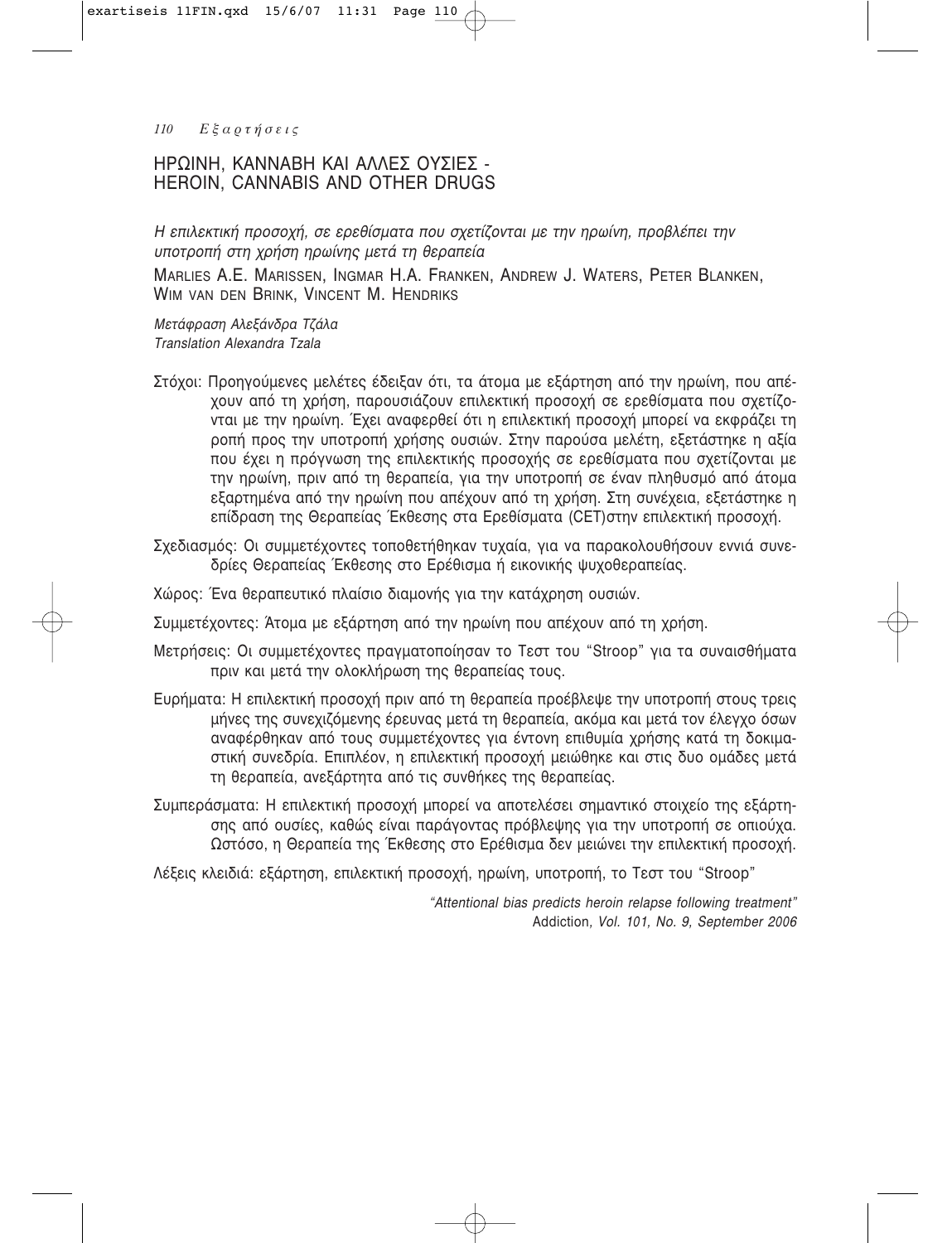# ΗΡΩΙΝΗ, ΚΑΝΝΑΒΗ ΚΑΙ ΑΛΛΕΣ ΟΥΣΙΕΣ -HEROIN, CANNABIS AND OTHER DRUGS

Η επιλεκτική προσοχή, σε ερεθίσματα που σχετίζονται με την ηρωίνη, προβλέπει την **υποτροπή στη χρήση ηρωίνης μετά τη θεραπεία** 

MARLIES A.E. MARISSEN, INGMAR H.A. FRANKEN, ANDREW J. WATERS, PETER BLANKEN, WIM VAN DEN BRINK, VINCENT M. HENDRIKS

 $M$ ετάφραση Αλεξάνδρα Τζάλα *Translation Alexandra Tzala*

- Στόχοι: Προηγούμενες μελέτες έδειξαν ότι, τα άτομα με εξάρτηση από την ηρωίνη, που απέχουν από τη χρήση, παρουσιάζουν επιλεκτική προσοχή σε ερεθίσματα που σχετίζονται με την ηρωίνη. Έχει αναφερθεί ότι η επιλεκτική προσοχή μπορεί να εκφράζει τη ροπή προς την υποτροπή χρήσης ουσιών. Στην παρούσα μελέτη, εξετάστηκε η αξία που έχει η πρόγνωση της επιλεκτικής προσοχής σε ερεθίσματα που σχετίζονται με την ηρωίνη, πριν από τη θεραπεία, για την υποτροπή σε έναν πληθυσμό από άτομα εξαρτημένα από την ηρωίνη που απέχουν από τη χρήση. Στη συνέχεια, εξετάστηκε η επίδραση της Θεραπείας Έκθεσης στα Ερεθίσματα (CET) στην επιλεκτική προσοχή.
- Σχεδιασμός: Οι συμμετέχοντες τοποθετήθηκαν τυχαία, για να παρακολουθήσουν εννιά συνεδρίες Θεραπείας Έκθεσης στο Ερέθισμα ή εικονικής ψυχοθεραπείας.
- Χώρος: Ένα θεραπευτικό πλαίσιο διαμονής για την κατάχρηση ουσιών.

Συμμετέχοντες: Άτομα με εξάρτηση από την ηρωίνη που απέχουν από τη χρήση.

- Μετρήσεις: Οι συμμετέχοντες πραγματοποίησαν το Τεστ του "Stroop" για τα συναισθήματα πριν και μετά την ολοκλήρωση της θεραπείας τους.
- Ευρήματα: Η επιλεκτική προσοχή πριν από τη θεραπεία προέβλεψε την υποτροπή στους τρεις μήνες της συνεχιζόμενης έρευνας μετά τη θεραπεία, ακόμα και μετά τον έλεγχο όσων αναφέρθηκαν από τους συμμετέχοντες για έντονη επιθυμία χρήσης κατά τη δοκιμαστική συνεδρία. Επιπλέον, η επιλεκτική προσοχή μειώθηκε και στις δυο ομάδες μετά τη θεραπεία, ανεξάρτητα από τις συνθήκες της θεραπείας.
- Συμπεράσματα: Η επιλεκτική προσοχή μπορεί να αποτελέσει σημαντικό στοιχείο της εξάρτησης από ουσίες, καθώς είναι παράγοντας πρόβλεψης για την υποτροπή σε οπιούχα. Ωστόσο, η Θεραπεία της Έκθεσης στο Ερέθισμα δεν μειώνει την επιλεκτική προσοχή.

Λέξεις κλειδιά: εξάρτηση, επιλεκτική προσοχή, ηρωίνη, υποτροπή, το Τεστ του "Stroop"

*"Attentional bias predicts heroin relapse following treatment"* Addiction*, Vol. 101, No. 9, September 2006*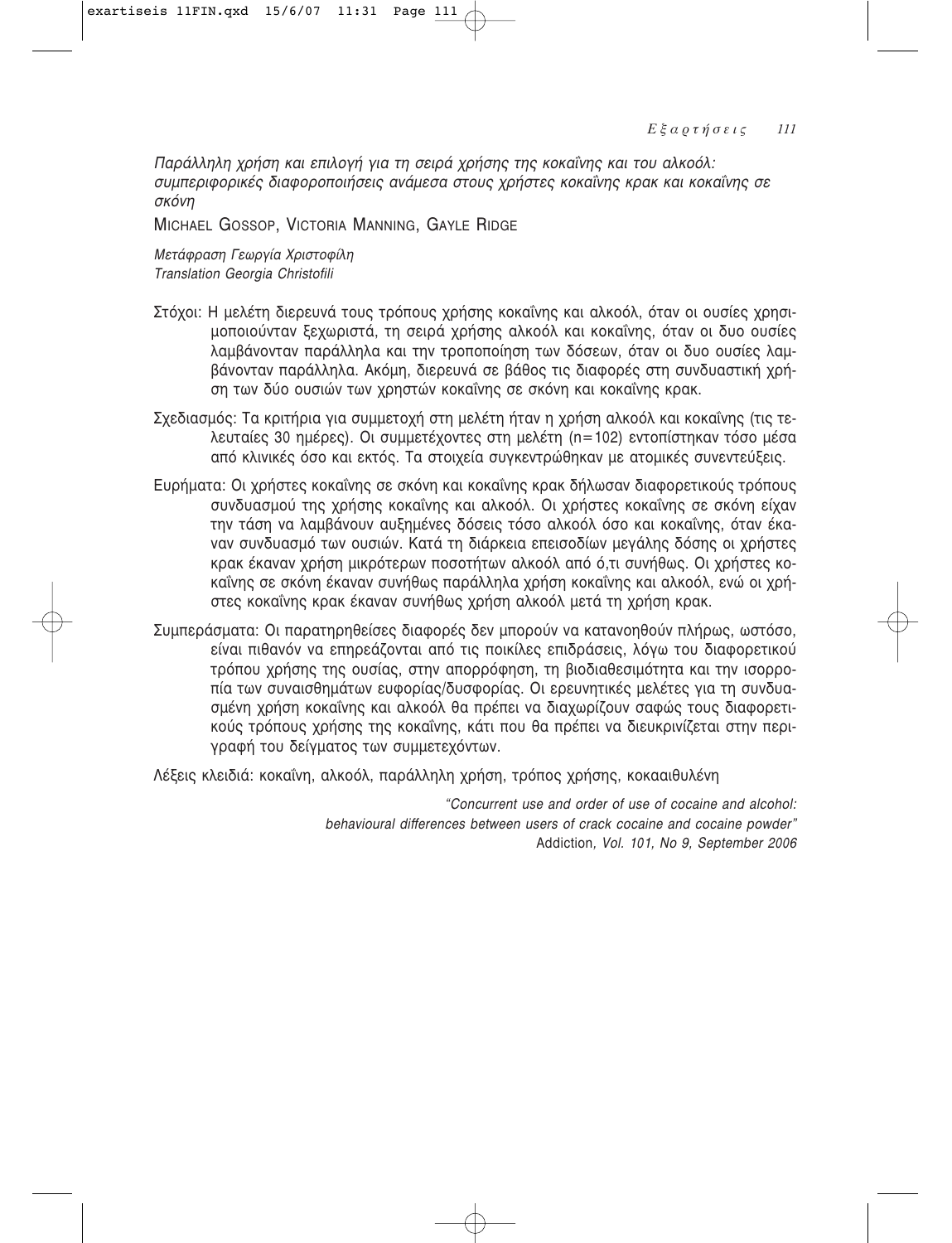exartiseis  $11$ FIN.qxd  $15/6/07$  11:31 Page

*Παράλληλη χρήση και επιλογή για τη σειρά χρήσης της κοκαΐνης και του αλκοόλ:* συμπεριφορικές διαφοροποιήσεις ανάμεσα στους χρήστες κοκαΐνης κρακ και κοκαΐνης σε *ÛÎfiÓË*

MICHAEL GOSSOP, VICTORIA MANNING, GAYLE RIDGE

*Μετάφραση Γεωργία Χριστοφίλη Translation Georgia Christofili*

- Στόχοι: Η μελέτη διερευνά τους τρόπους χρήσης κοκαΐνης και αλκοόλ, όταν οι ουσίες χρησιμοποιούνταν ξεχωριστά, τη σειρά χρήσης αλκοόλ και κοκαΐνης, όταν οι δυο ουσίες λαμβάνονταν παράλληλα και την τροποποίηση των δόσεων, όταν οι δυο ουσίες λαμβάνονταν παράλληλα. Ακόμη, διερευνά σε βάθος τις διαφορές στη συνδυαστική χρήση των δύο ουσιών των χρηστών κοκαΐνης σε σκόνη και κοκαΐνης κρακ.
- Σχεδιασμός: Τα κριτήρια για συμμετοχή στη μελέτη ήταν η χρήση αλκοόλ και κοκαΐνης (τις τελευταίες 30 ημέρες). Οι συμμετέχοντες στη μελέτη (n=102) εντοπίστηκαν τόσο μέσα από κλινικές όσο και εκτός. Τα στοιχεία συγκεντρώθηκαν με ατομικές συνεντεύξεις.
- Ευρήματα: Οι χρήστες κοκαΐνης σε σκόνη και κοκαΐνης κρακ δήλωσαν διαφορετικούς τρόπους συνδυασμού της χρήσης κοκαΐνης και αλκοόλ. Οι χρήστες κοκαΐνης σε σκόνη είχαν την τάση να λαμβάνουν αυξημένες δόσεις τόσο αλκοόλ όσο και κοκαΐνης, όταν έκαναν συνδυασμό των ουσιών. Κατά τη διάρκεια επεισοδίων μεγάλης δόσης οι χρήστες κρακ έκαναν χρήση μικρότερων ποσοτήτων αλκοόλ από ό,τι συνήθως. Οι χρήστες κοκαΐνης σε σκόνη έκαναν συνήθως παράλληλα χρήση κοκαΐνης και αλκοόλ, ενώ οι χρήστες κοκαΐνης κρακ έκαναν συνήθως χρήση αλκοόλ μετά τη χρήση κρακ.
- Συμπεράσματα: Οι παρατηρηθείσες διαφορές δεν μπορούν να κατανοηθούν πλήρως, ωστόσο, είναι πιθανόν να επηρεάζονται από τις ποικίλες επιδράσεις, λόγω του διαφορετικού τρόπου χρήσης της ουσίας, στην απορρόφηση, τη βιοδιαθεσιμότητα και την ισορροπία των συναισθημάτων ευφορίας/δυσφορίας. Οι ερευνητικές μελέτες για τη συνδυασμένη χρήση κοκαΐνης και αλκοόλ θα πρέπει να διαχωρίζουν σαφώς τους διαφορετι-Κούς τρόπους χρήσης της κοκαΐνης, κάτι που θα πρέπει να διευκρινίζεται στην περιγραφή του δείγματος των συμμετεχόντων.

Λέξεις κλειδιά: κοκαΐνη, αλκοόλ, παράλληλη χρήση, τρόπος χρήσης, κοκααιθυλένη

*"Concurrent use and order of use of cocaine and alcohol: behavioural differences between users of crack cocaine and cocaine powder"* Addiction*, Vol. 101, No 9, September 2006*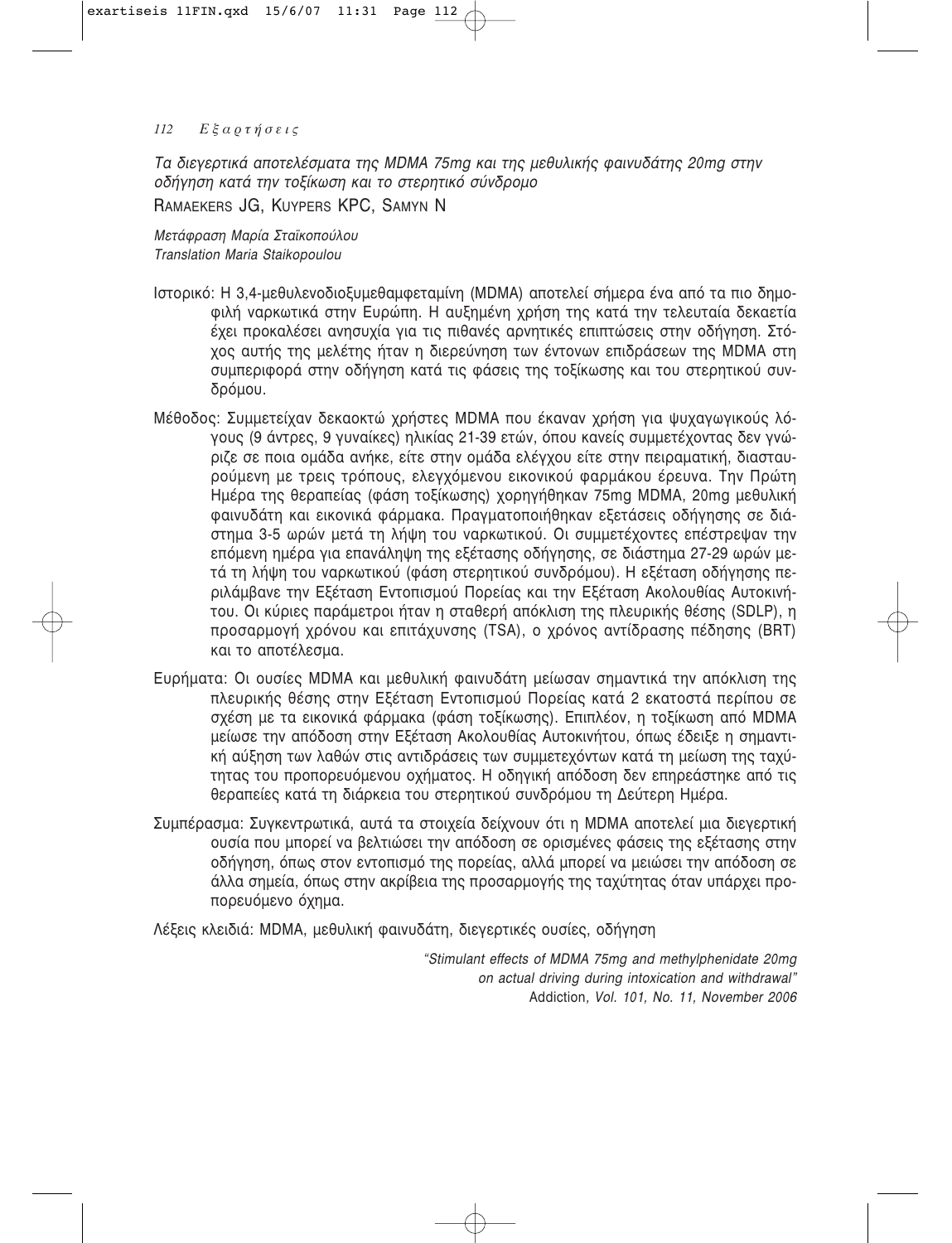*Τα διεγερτικά αποτελέσματα της MDMA 75mg και της μεθυλικής φαινυδάτης 20mg στην* οδήγηση κατά την τοξίκωση και το στερητικό σύνδρομο RAMAEKERS JG, KUYPERS KPC, SAMYN N

*Μετάφραση Μαρία Σταϊκοπούλου Translation Maria Staikopoulou*

- Ιστορικό: Η 3,4-μεθυλενοδιοξυμεθαμφεταμίνη (MDMA) αποτελεί σήμερα ένα από τα πιο δημοφιλή ναρκωτικά στην Ευρώπη. Η αυξημένη χρήση της κατά την τελευταία δεκαετία έχει προκαλέσει ανησυχία για τις πιθανές αρνητικές επιπτώσεις στην οδήγηση. Στόγος αυτής της μελέτης ήταν η διερεύνηση των έντονων επιδράσεων της MDMA στη συμπεριφορά στην οδήγηση κατά τις φάσεις της τοξίκωσης και του στερητικού συνδρόμου.
- Μέθοδος: Συμμετείχαν δεκαοκτώ χρήστες MDMA που έκαναν χρήση για ψυχαγωγικούς λόγους (9 άντρες, 9 γυναίκες) ηλικίας 21-39 ετών, όπου κανείς συμμετέχοντας δεν γνώριζε σε ποια ομάδα ανήκε, είτε στην ομάδα ελέγχου είτε στην πειραματική, διασταυρούμενη με τρεις τρόπους, ελεγχόμενου εικονικού φαρμάκου έρευνα. Την Πρώτη Ημέρα της θεραπείας (φάση τοξίκωσης) χορηγήθηκαν 75mg MDMA, 20mg μεθυλική φαινυδάτη και εικονικά φάρμακα. Πραγματοποιήθηκαν εξετάσεις οδήγησης σε διάστημα 3-5 ωρών μετά τη λήψη του ναρκωτικού. Οι συμμετέχοντες επέστρεψαν την επόμενη ημέρα για επανάληψη της εξέτασης οδήγησης, σε διάστημα 27-29 ωρών μετά τη λήψη του ναρκωτικού (φάση στερητικού συνδρόμου). Η εξέταση οδήγησης περιλάμβανε την Εξέταση Εντοπισμού Πορείας και την Εξέταση Ακολουθίας Αυτοκινήτου. Οι κύριες παράμετροι ήταν η σταθερή απόκλιση της πλευρικής θέσης (SDLP), η προσαρμογή χρόνου και επιτάχυνσης (TSA), ο χρόνος αντίδρασης πέδησης (BRT) και το αποτέλεσμα.
- Ευρήματα: Οι ουσίες MDMA και μεθυλική φαινυδάτη μείωσαν σημαντικά την απόκλιση της πλευρικής θέσης στην Εξέταση Εντοπισμού Πορείας κατά 2 εκατοστά περίπου σε σχέση με τα εικονικά φάρμακα (φάση τοξίκωσης). Επιπλέον, η τοξίκωση από MDMA μείωσε την απόδοση στην Εξέταση Ακολουθίας Αυτοκινήτου, όπως έδειξε η σημαντική αύξηση των λαθών στις αντιδράσεις των συμμετεχόντων κατά τη μείωση της ταχύτητας του προπορευόμενου οχήματος. Η οδηγική απόδοση δεν επηρεάστηκε από τις θεραπείες κατά τη διάρκεια του στερητικού συνδρόμου τη Δεύτερη Ημέρα.
- Συμπέρασμα: Συγκεντρωτικά, αυτά τα στοιχεία δείχνουν ότι η MDMA αποτελεί μια διεγερτική ουσία που μπορεί να βελτιώσει την απόδοση σε ορισμένες φάσεις της εξέτασης στην οδήγηση, όπως στον εντοπισμό της πορείας, αλλά μπορεί να μειώσει την απόδοση σε άλλα σημεία, όπως στην ακρίβεια της προσαρμογής της ταχύτητας όταν υπάρχει προπορευόμενο όχημα.

Λέξεις κλειδιά: MDMA, μεθυλική φαινυδάτη, διεγερτικές ουσίες, οδήγηση

*"Stimulant effects of MDMA 75mg and methylphenidate 20mg on actual driving during intoxication and withdrawal"* Addiction*, Vol. 101, No. 11, November 2006*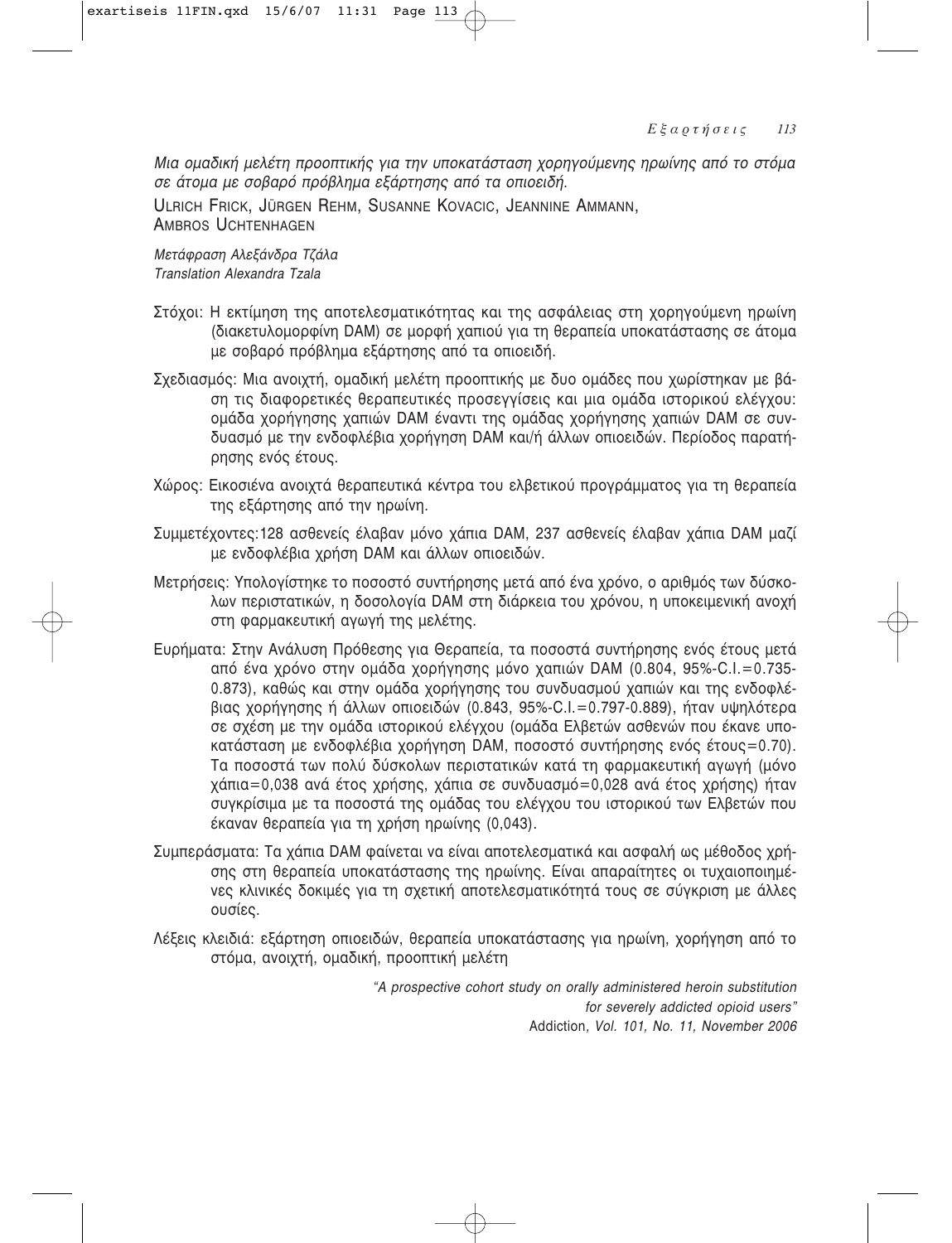exartiseis  $11$ FIN.qxd  $15/6/07$  11:31 Page

*Μια ομαδική μελέτη προοπτικής για την υποκατάσταση χορηγούμενης ηρωίνης από το στόμα* σε άτομα με σοβαρό πρόβλημα εξάρτησης από τα οπιοειδή.

ULRICH FRICK, JÜRGEN REHM, SUSANNE KOVACIC, JEANNINE AMMANN, AMBROS UCHTENHAGEN

*Μετάφραση Αλεξάνδρα Τζάλα Translation Alexandra Tzala*

- Στόχοι: Η εκτίμηση της αποτελεσματικότητας και της ασφάλειας στη χορηγούμενη ηρωίνη (διακετυλομορφίνη DAM) σε μορφή χαπιού για τη θεραπεία υποκατάστασης σε άτομα με σοβαρό πρόβλημα εξάρτησης από τα οπιοειδή.
- Σχεδιασμός: Μια ανοιχτή, ομαδική μελέτη προοπτικής με δυο ομάδες που χωρίστηκαν με βάση τις διαφορετικές θεραπευτικές προσεγγίσεις και μια ομάδα ιστορικού ελέγχου: ομάδα χορήγησης χαπιών DAM έναντι της ομάδας χορήγησης χαπιών DAM σε συνδυασμό με την ενδοφλέβια χορήγηση DAM και/ή άλλων οπιοειδών. Περίοδος παρατήρησης ενός έτους.
- Χώρος: Εικοσιένα ανοιχτά θεραπευτικά κέντρα του ελβετικού προγράμματος για τη θεραπεία της εξάρτησης από την ηρωίνη.
- Συμμετέχοντες:128 ασθενείς έλαβαν μόνο χάπια DAM, 237 ασθενείς έλαβαν χάπια DAM μαζί με ενδοφλέβια χρήση DAM και άλλων οπιοειδών.
- Μετρήσεις: Υπολογίστηκε το ποσοστό συντήρησης μετά από ένα χρόνο, ο αριθμός των δύσκολων περιστατικών, η δοσολογία DAM στη διάρκεια του χρόνου, η υποκειμενική ανοχή στη φαρμακευτική αγωγή της μελέτης.
- Ευρήματα: Στην Ανάλυση Πρόθεσης για Θεραπεία, τα ποσοστά συντήρησης ενός έτους μετά από ένα χρόνο στην ομάδα χορήγησης μόνο χαπιών DAM (0.804, 95%-C.I.=0.735-0.873), καθώς και στην ομάδα χορήγησης του συνδυασμού χαπιών και της ενδοφλέβιας χορήγησης ή άλλων οπιοειδών (0.843, 95%-C.I.=0.797-0.889), ήταν υψηλότερα σε σχέση με την ομάδα ιστορικού ελέγχου (ομάδα Ελβετών ασθενών που έκανε υποκατάσταση με ενδοφλέβια χορήγηση DAM, ποσοστό συντήρησης ενός έτους=0.70). Τα ποσοστά των πολύ δύσκολων περιστατικών κατά τη φαρμακευτική αγωγή (μόνο  $x$ άπια=0,038 ανά έτος χρήσης, χάπια σε συνδυασμό=0,028 ανά έτος χρήσης) ήταν συγκρίσιμα με τα ποσοστά της ομάδας του ελέγχου του ιστορικού των Ελβετών που έκαναν θεραπεία για τη χρήση ηρωίνης (0,043).
- Συμπεράσματα: Τα χάπια DAM φαίνεται να είναι αποτελεσματικά και ασφαλή ως μέθοδος χρήσης στη θεραπεία υποκατάστασης της ηρωίνης. Είναι απαραίτητες οι τυχαιοποιημέ-VEÇ Kλινικές δοκιμές για τη σχετική αποτελεσματικότητά τους σε σύγκριση με άλλες ουσίες.
- Λέξεις κλειδιά: εξάρτηση οπιοειδών, θεραπεία υποκατάστασης για ηρωίνη, χορήγηση από το στόμα, ανοιχτή, ομαδική, προοπτική μελέτη

*"A prospective cohort study on orally administered heroin substitution for severely addicted opioid users"* Addiction*, Vol. 101, No. 11, November 2006*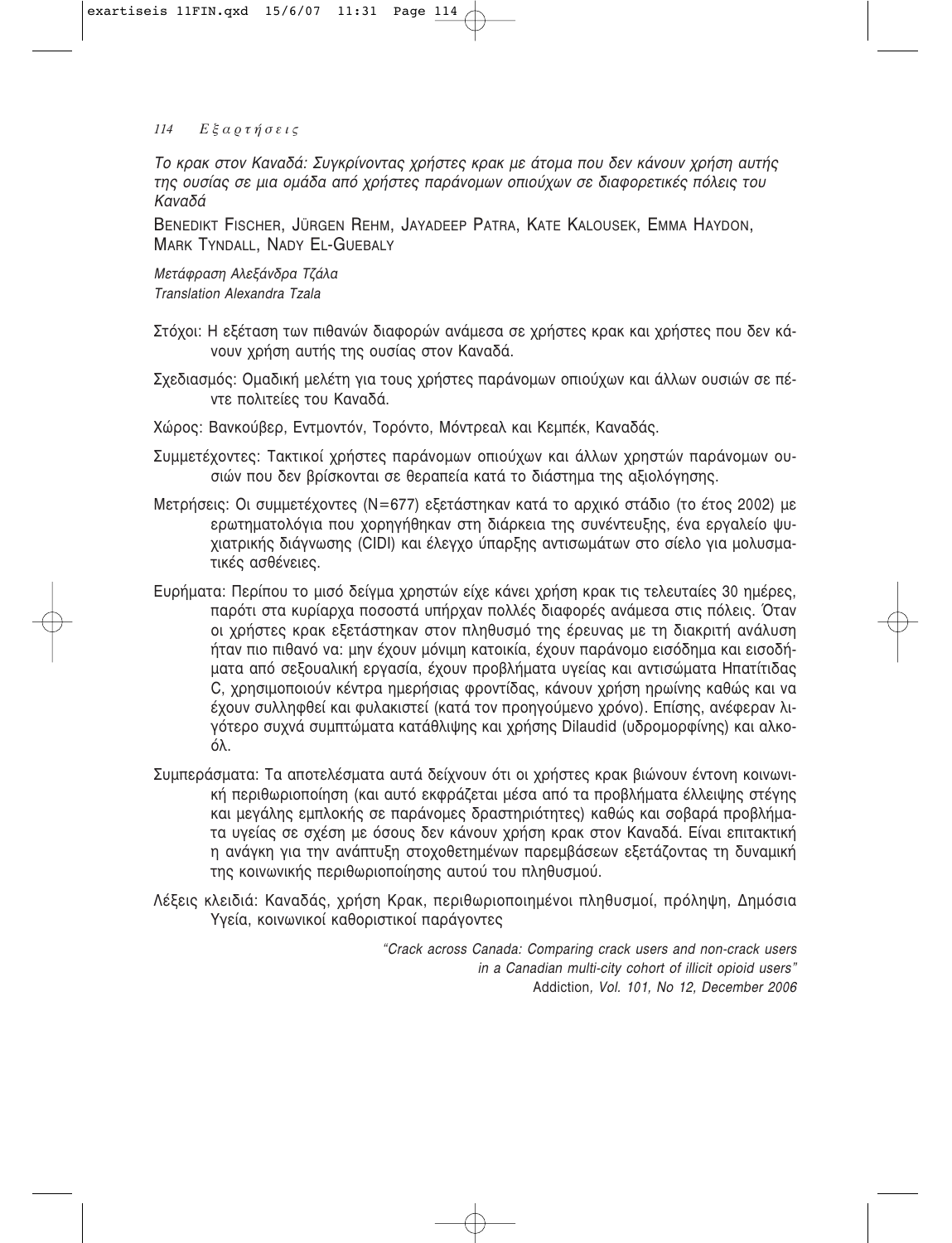*Το κρακ στον Καναδά: Συγκρίνοντας χρήστες κρακ με άτομα που δεν κάνουν χρήση αυτής της ουσίας σε μια ομάδα από χρήστες παράνομων οπιούχων σε διαφορετικές πόλεις του ∫·Ó·‰¿*

BENEDIKT FISCHER, JÜRGEN REHM, JAYADEEP PATRA, KATE KALOUSEK, EMMA HAYDON, MARK TYNDALL, NADY EL-GUEBALY

*Μετάφραση Αλεξάνδρα Τζάλα Translation Alexandra Tzala*

- Στόχοι: Η εξέταση των πιθανών διαφορών ανάμεσα σε χρήστες κρακ και χρήστες που δεν κάνουν χρήση αυτής της ουσίας στον Καναδά.
- Σχεδιασμός: Ομαδική μελέτη για τους χρήστες παράνομων οπιούχων και άλλων ουσιών σε πέντε πολιτείες του Καναδά.
- Χώρος: Βανκούβερ, Εντμοντόν, Τορόντο, Μόντρεαλ και Κεμπέκ, Καναδάς.
- Συμμετέχοντες: Τακτικοί χρήστες παράνομων οπιούχων και άλλων χρηστών παράνομων ουσιών που δεν βρίσκονται σε θεραπεία κατά το διάστημα της αξιολόγησης.
- Μετρήσεις: Οι συμμετέχοντες (N=677) εξετάστηκαν κατά το αρχικό στάδιο (το έτος 2002) με ερωτηματολόγια που χορηγήθηκαν στη διάρκεια της συνέντευξης, ένα εργαλείο ψυχιατρικής διάγνωσης (CIDI) και έλεγχο ύπαρξης αντισωμάτων στο σίελο για μολυσματικές ασθένειες.
- Ευρήματα: Περίπου το μισό δείγμα χρηστών είχε κάνει χρήση κρακ τις τελευταίες 30 ημέρες, παρότι στα κυρίαρχα ποσοστά υπήρχαν πολλές διαφορές ανάμεσα στις πόλεις. Όταν οι χρήστες κρακ εξετάστηκαν στον πληθυσμό της έρευνας με τη διακριτή ανάλυση ήταν πιο πιθανό να: μην έχουν μόνιμη κατοικία, έχουν παράνομο εισόδημα και εισοδήματα από σεξουαλική εργασία, έχουν προβλήματα υγείας και αντισώματα Ηπατίτιδας C, χρησιμοποιούν κέντρα ημερήσιας φροντίδας, κάνουν χρήση ηρωίνης καθώς και να έχουν συλληφθεί και φυλακιστεί (κατά τον προηγούμενο χρόνο). Επίσης, ανέφεραν λιγότερο συχνά συμπτώματα κατάθλιψης και χρήσης Dilaudid (υδρομορφίνης) και αλκο- $\acute{o}$  $\lambda$ .
- Συμπεράσματα: Τα αποτελέσματα αυτά δείχνουν ότι οι χρήστες κρακ βιώνουν έντονη κοινωνική περιθωριοποίηση (και αυτό εκφράζεται μέσα από τα προβλήματα έλλειψης στέγης και μεγάλης εμπλοκής σε παράνομες δραστηριότητες) καθώς και σοβαρά προβλήματα υγείας σε σχέση με όσους δεν κάνουν χρήση κρακ στον Καναδά. Είναι επιτακτική η ανάγκη για την ανάπτυξη στοχοθετημένων παρεμβάσεων εξετάζοντας τη δυναμική της κοινωνικής περιθωριοποίησης αυτού του πληθυσμού.
- Λέξεις κλειδιά: Καναδάς, χρήση Κρακ, περιθωριοποιημένοι πληθυσμοί, πρόληψη, Δημόσια Υγεία, κοινωνικοί καθοριστικοί παράγοντες

*"Crack across Canada: Comparing crack users and non-crack users in a Canadian multi-city cohort of illicit opioid users"* Addiction*, Vol. 101, No 12, December 2006*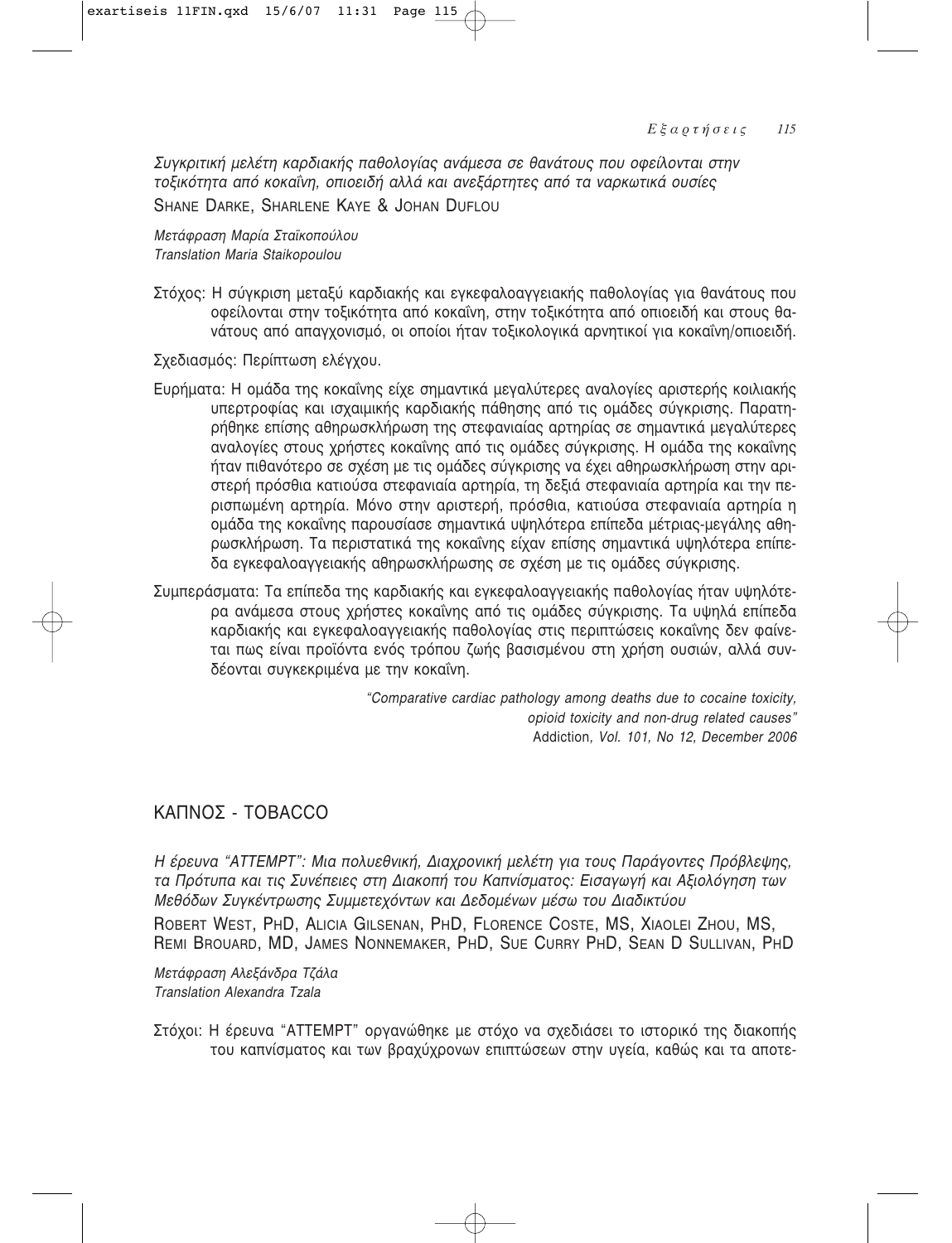exartiseis  $11$ FIN.qxd  $15/6/07$  11:31 Page

Συγκριτική μελέτη καρδιακής παθολογίας ανάμεσα σε θανάτους που οφείλονται στην τοξικότητα από κοκαΐνη, οπιοειδή αλλά και ανεξάρτητες από τα ναρκωτικά ουσίες SHANE DARKE, SHARLENE KAYE & JOHAN DUFLOU

*Μετάφραση Μαρία Σταϊκοπούλου Translation Maria Staikopoulou*

Στόχος: Η σύγκριση μεταξύ καρδιακής και εγκεφαλοαγγειακής παθολογίας για θανάτους που οφείλονται στην τοξικότητα από κοκαΐνη, στην τοξικότητα από οπιοειδή και στους θανάτους από απαγχονισμό, οι οποίοι ήταν τοξικολογικά αρνητικοί για κοκαΐνη/οπιοειδή.

Σχεδιασμός: Περίπτωση ελέγχου.

- Ευρήματα: Η ομάδα της κοκαΐνης είχε σημαντικά μεγαλύτερες αναλογίες αριστερής κοιλιακής υπερτροφίας και ισχαιμικής καρδιακής πάθησης από τις ομάδες σύγκρισης. Παρατηρήθηκε επίσης αθηρωσκλήρωση της στεφανιαίας αρτηρίας σε σημαντικά μεναλύτερες αναλογίες στους χρήστες κοκαΐνης από τις ομάδες σύγκρισης. Η ομάδα της κοκαΐνης ήταν πιθανότερο σε σχέση με τις ομάδες σύγκρισης να έχει αθηρωσκλήρωση στην αριστερή πρόσθια κατιούσα στεφανιαία αρτηρία, τη δεξιά στεφανιαία αρτηρία και την περισπωμένη αρτηρία. Μόνο στην αριστερή, πρόσθια, κατιούσα στεφανιαία αρτηρία η ομάδα της κοκαΐνης παρουσίασε σημαντικά υψηλότερα επίπεδα μέτριας-μεγάλης αθηρωσκλήρωση. Τα περιστατικά της κοκαΐνης είχαν επίσης σημαντικά υψηλότερα επίπεδα εγκεφαλοαγγειακής αθηρωσκλήρωσης σε σχέση με τις ομάδες σύγκρισης.
- Συμπεράσματα: Τα επίπεδα της καρδιακής και εγκεφαλοαγγειακής παθολογίας ήταν υψηλότερα ανάμεσα στους χρήστες κοκαΐνης από τις ομάδες σύγκρισης. Τα υψηλά επίπεδα καρδιακής και εγκεφαλοαγγειακής παθολογίας στις περιπτώσεις κοκαΐνης δεν φαίνεται πως είναι προϊόντα ενός τρόπου ζωής βασισμένου στη χρήση ουσιών, αλλά συνδέονται συγκεκριμένα με την κοκαΐνη.

*"Comparative cardiac pathology among deaths due to cocaine toxicity, opioid toxicity and non-drug related causes"* Addiction*, Vol. 101, No 12, December 2006*

# KAΠNOΣ - TOBACCO

*Η έρευνα "ATTEMPT": Μια πολυεθνική, Διαχρονική μελέτη για τους Παράγοντες Πρόβλεψης,* τα Πρότυπα και τις Συνέπειες στη Διακοπή του Καπνίσματος: Εισαγωγή και Αξιολόγηση των **Μεθόδων Συγκέντρωσης Συμμετεχόντων και Δεδομένων μέσω του Διαδικτύου** ROBERT WEST, PHD, ALICIA GILSENAN, PHD, FLORENCE COSTE, MS, XIAOLEI ZHOU, MS, REMI BROUARD, MD, JAMES NONNEMAKER, PHD, SUE CURRY PHD, SEAN D SULLIVAN, PHD

*Μετάφραση Αλεξάνδρα Τζάλα Translation Alexandra Tzala*

Στόχοι: Η έρευνα "ATTEMPT" οργανώθηκε με στόχο να σχεδιάσει το ιστορικό της διακοπής του καπνίσματος και των βραχύχρονων επιπτώσεων στην υγεία, καθώς και τα αποτε-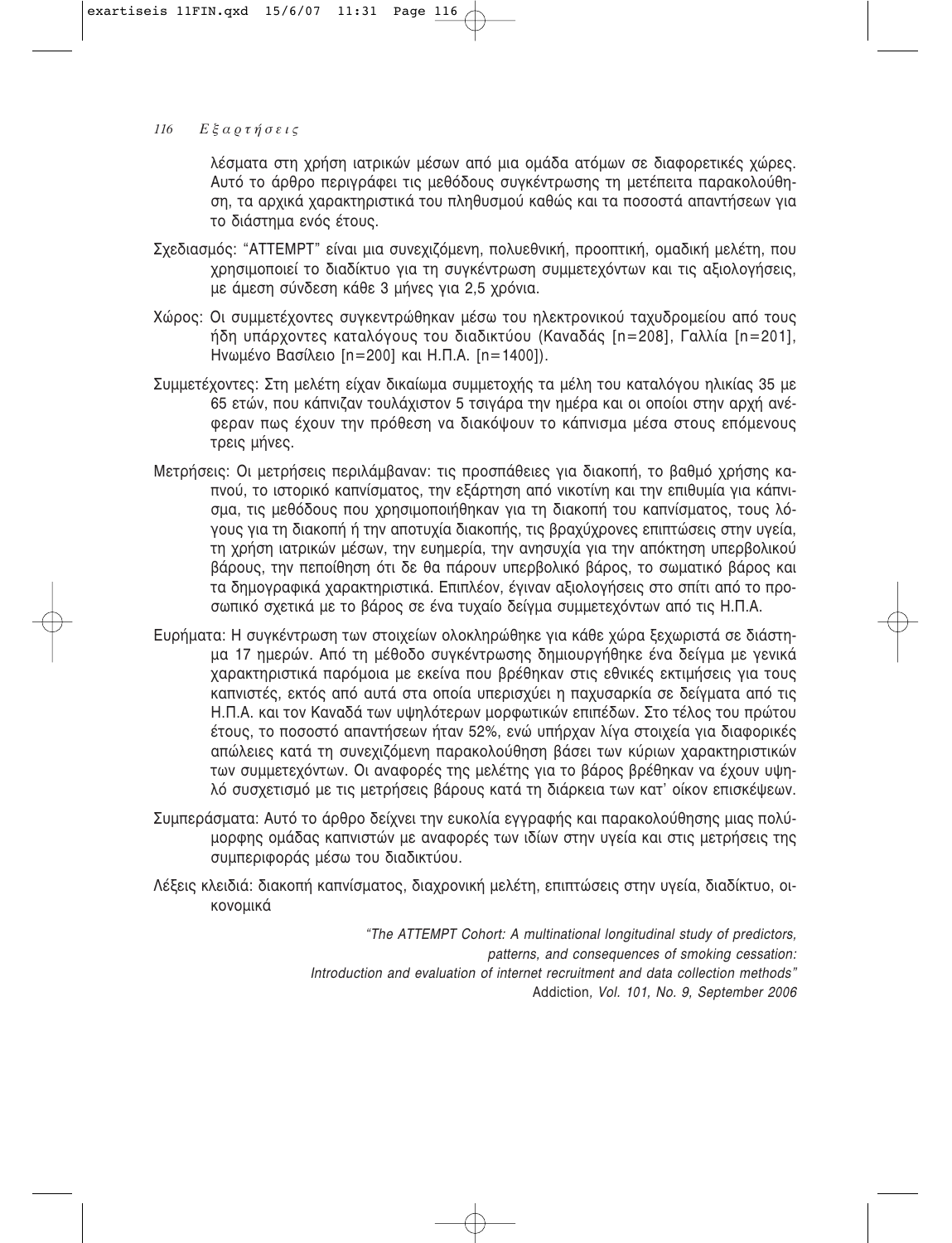> λέσματα στη χρήση ιατρικών μέσων από μια ομάδα ατόμων σε διαφορετικές χώρες. Αυτό το άρθρο περιγράφει τις μεθόδους συγκέντρωσης τη μετέπειτα παρακολούθηση, τα αρχικά χαρακτηριστικά του πληθυσμού καθώς και τα ποσοστά απαντήσεων για το διάστημα ενός έτους.

- Σχεδιασμός: "ATTEMPT" είναι μια συνεχιζόμενη, πολυεθνική, προοπτική, ομαδική μελέτη, που χρησιμοποιεί το διαδίκτυο για τη συγκέντρωση συμμετεχόντων και τις αξιολογήσεις, με άμεση σύνδεση κάθε 3 μήνες για 2.5 χρόνια.
- Χώρος: Οι συμμετέχοντες συγκεντρώθηκαν μέσω του ηλεκτρονικού ταχυδρομείου από τους ήδη υπάρχοντες καταλόγους του διαδικτύου (Καναδάς [n=208], Γαλλία [n=201], Ηνωμένο Βασίλειο [n=200] και Η.Π.Α. [n=1400]).
- Συμμετέχοντες: Στη μελέτη είχαν δικαίωμα συμμετοχής τα μέλη του καταλόγου ηλικίας 35 με 65 ετών, που κάπνιζαν τουλάχιστον 5 τσιγάρα την ημέρα και οι οποίοι στην αρχή ανέφεραν πως έχουν την πρόθεση να διακόψουν το κάπνισμα μέσα στους επόμενους τρεις μήνες.
- Μετρήσεις: Οι μετρήσεις περιλάμβαναν: τις προσπάθειες για διακοπή, το βαθμό χρήσης καπνού, το ιστορικό καπνίσματος, την εξάρτηση από νικοτίνη και την επιθυμία για κάπνισμα, τις μεθόδους που χρησιμοποιήθηκαν για τη διακοπή του καπνίσματος, τους λόγους για τη διακοπή ή την αποτυχία διακοπής, τις βραχύχρονες επιπτώσεις στην υγεία, τη χρήση ιατρικών μέσων, την ευημερία, την ανησυχία για την απόκτηση υπερβολικού βάρους, την πεποίθηση ότι δε θα πάρουν υπερβολικό βάρος, το σωματικό βάρος και τα δημογραφικά χαρακτηριστικά. Επιπλέον, έγιναν αξιολογήσεις στο σπίτι από το προσωπικό σχετικά με το βάρος σε ένα τυχαίο δείγμα συμμετεχόντων από τις Η.Π.Α.
- Ευρήματα: Η συγκέντρωση των στοιχείων ολοκληρώθηκε για κάθε χώρα ξεχωριστά σε διάστημα 17 ημερών. Από τη μέθοδο συγκέντρωσης δημιουργήθηκε ένα δείγμα με γενικά χαρακτηριστικά παρόμοια με εκείνα που βρέθηκαν στις εθνικές εκτιμήσεις για τους καπνιστές, εκτός από αυτά στα οποία υπερισχύει η παχυσαρκία σε δείγματα από τις Η.Π.Α. και τον Καναδά των υψηλότερων μορφωτικών επιπέδων. Στο τέλος του πρώτου έτους, το ποσοστό απαντήσεων ήταν 52%, ενώ υπήρχαν λίγα στοιχεία για διαφορικές απώλειες κατά τη συνεχιζόμενη παρακολούθηση βάσει των κύριων χαρακτηριστικών των συμμετεχόντων. Οι αναφορές της μελέτης για το βάρος βρέθηκαν να έχουν υψηλό συσχετισμό με τις μετρήσεις βάρους κατά τη διάρκεια των κατ' οίκον επισκέψεων.
- Συμπεράσματα: Αυτό το άρθρο δείχνει την ευκολία εγγραφής και παρακολούθησης μιας πολύμορφης ομάδας καπνιστών με αναφορές των ιδίων στην υγεία και στις μετρήσεις της συμπεριφοράς μέσω του διαδικτύου.
- Λέξεις κλειδιά: διακοπή καπνίσματος, διαχρονική μελέτη, επιπτώσεις στην υγεία, διαδίκτυο, οικονομικά

"The ATTEMPT Cohort: A multinational longitudinal study of predictors, patterns, and consequences of smoking cessation: Introduction and evaluation of internet recruitment and data collection methods" Addiction, Vol. 101, No. 9, September 2006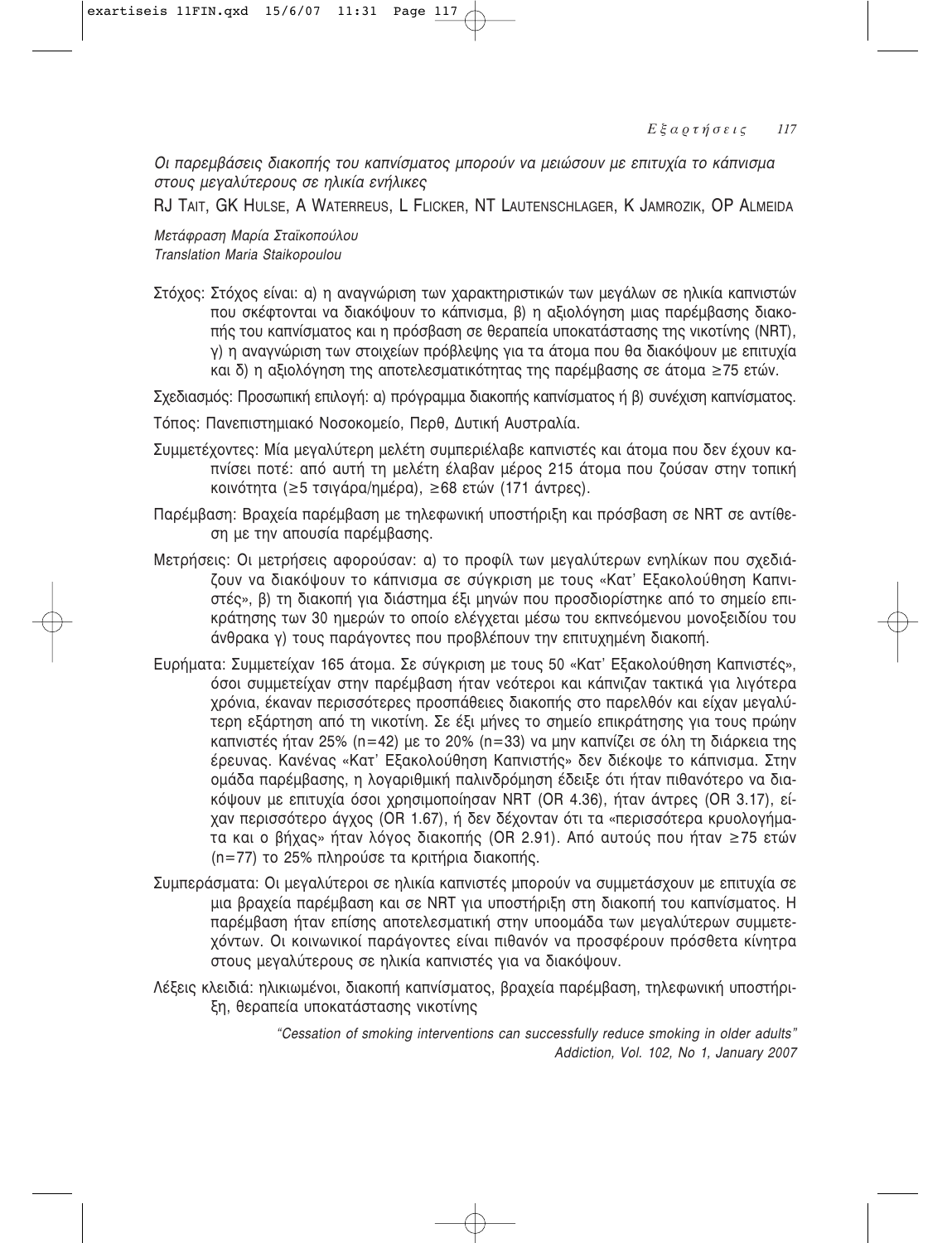Οι παρεμβάσεις διακοπής του καπνίσματος μπορούν να μειώσουν με επιτυχία το κάπνισμα στους μεγαλύτερους σε ηλικία ενήλικες

11:31 Page 117

RJ TAIT, GK HULSE, A WATERREUS, L FLICKER, NT LAUTENSCHLAGER, K JAMROZIK, OP ALMEIDA

Μετάφραση Μαρία Σταϊκοπούλου Translation Maria Staikopoulou

exartiseis 11FIN.qxd 15/6/07

Στόχος: Στόχος είναι: α) η αναγνώριση των χαρακτηριστικών των μεγάλων σε ηλικία καπνιστών που σκέφτονται να διακόψουν το κάπνισμα, β) η αξιολόγηση μιας παρέμβασης διακοπής του καπνίσματος και η πρόσβαση σε θεραπεία υποκατάστασης της νικοτίνης (NRT), γ) η αναγνώριση των στοιχείων πρόβλεψης για τα άτομα που θα διακόψουν με επιτυχία και δ) η αξιολόγηση της αποτελεσματικότητας της παρέμβασης σε άτομα ≥75 ετών.

Σχεδιασμός: Προσωπική επιλογή: α) πρόγραμμα διακοπής καπνίσματος ή β) συνέχιση καπνίσματος.

Τόπος: Πανεπιστημιακό Νοσοκομείο, Περθ, Δυτική Αυστραλία.

- Συμμετέχοντες: Μία μεγαλύτερη μελέτη συμπεριέλαβε καπνιστές και άτομα που δεν έχουν καπνίσει ποτέ: από αυτή τη μελέτη έλαβαν μέρος 215 άτομα που ζούσαν στην τοπική κοινότητα (≥5 τσιγάρα/ημέρα), ≥68 ετών (171 άντρες).
- Παρέμβαση: Βραχεία παρέμβαση με τηλεφωνική υποστήριξη και πρόσβαση σε ΝRT σε αντίθεση με την απουσία παρέμβασης.
- Μετρήσεις: Οι μετρήσεις αφορούσαν: α) το προφίλ των μεγαλύτερων ενηλίκων που σχεδιάζουν να διακόψουν το κάπνισμα σε σύγκριση με τους «Κατ' Εξακολούθηση Καπνιστές». Β) τη διακοπή για διάστημα έξι μηνών που προσδιορίστηκε από το σημείο επικράτησης των 30 ημερών το οποίο ελέγχεται μέσω του εκπνεόμενου μονοξειδίου του άνθρακα γ) τους παράγοντες που προβλέπουν την επιτυχημένη διακοπή.
- Ευρήματα: Συμμετείχαν 165 άτομα. Σε σύγκριση με τους 50 «Κατ' Εξακολούθηση Καπνιστές», όσοι συμμετείχαν στην παρέμβαση ήταν νεότεροι και κάπνιζαν τακτικά για λιγότερα χρόνια, έκαναν περισσότερες προσπάθειες διακοπής στο παρελθόν και είχαν μεγαλύτερη εξάρτηση από τη νικοτίνη. Σε έξι μήνες το σημείο επικράτησης για τους πρώην καπνιστές ήταν 25% (n=42) με το 20% (n=33) να μην καπνίζει σε όλη τη διάρκεια της έρευνας. Κανένας «Κατ' Εξακολούθηση Καπνιστής» δεν διέκοψε το κάπνισμα. Στην ομάδα παρέμβασης, η λογαριθμική παλινδρόμηση έδειξε ότι ήταν πιθανότερο να διακόψουν με επιτυχία όσοι χρησιμοποίησαν NRT (OR 4.36), ήταν άντρες (OR 3.17), είχαν περισσότερο άγχος (ΟR 1.67), ή δεν δέχονταν ότι τα «περισσότερα κρυολογήματα και ο βήχας» ήταν λόγος διακοπής (OR 2.91). Από αυτούς που ήταν ≥75 ετών (n=77) το 25% πληρούσε τα κριτήρια διακοπής.
- Συμπεράσματα: Οι μεγαλύτεροι σε ηλικία καπνιστές μπορούν να συμμετάσχουν με επιτυχία σε μια βραχεία παρέμβαση και σε NRT για υποστήριξη στη διακοπή του καπνίσματος. Η παρέμβαση ήταν επίσης αποτελεσματική στην υποομάδα των μεγαλύτερων συμμετεχόντων. Οι κοινωνικοί παράγοντες είναι πιθανόν να προσφέρουν πρόσθετα κίνητρα στους μεγαλύτερους σε ηλικία καπνιστές για να διακόψουν.
- Λέξεις κλειδιά: ηλικιωμένοι, διακοπή καπνίσματος, βραχεία παρέμβαση, τηλεφωνική υποστήριξη, θεραπεία υποκατάστασης νικοτίνης

"Cessation of smoking interventions can successfully reduce smoking in older adults" Addiction, Vol. 102, No 1, January 2007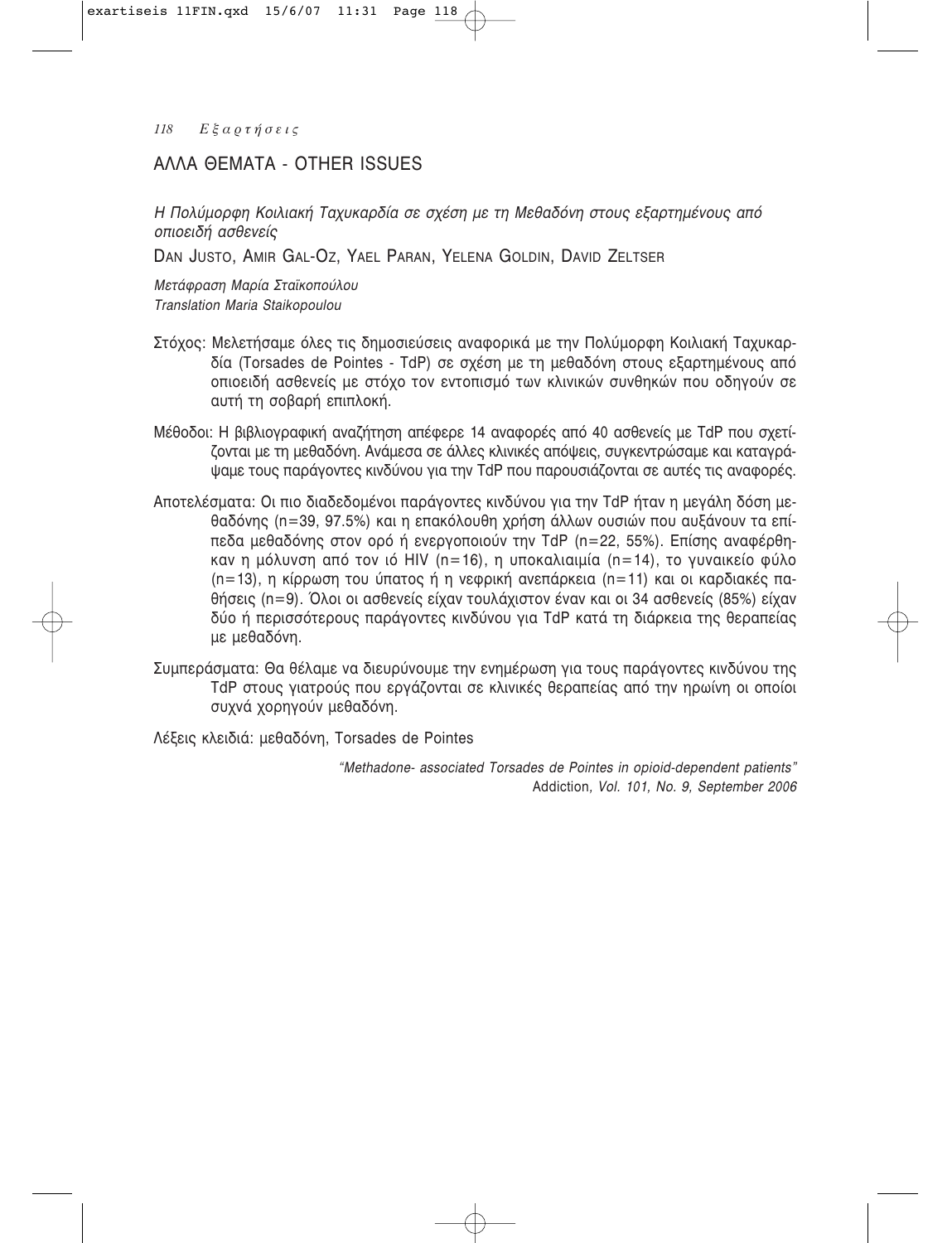# AAAA OEMATA - OTHER ISSUES

Η Πολύμορφη Κοιλιακή Ταχυκαρδία σε σχέση με τη Μεθαδόνη στους εξαρτημένους από οπιοειδή ασθενείς

DAN JUSTO, AMIR GAL-OZ, YAEL PARAN, YELENA GOLDIN, DAVID ZELTSER

Μετάφραση Μαρία Σταϊκοπούλου Translation Maria Staikopoulou

- Στόχος: Μελετήσαμε όλες τις δημοσιεύσεις αναφορικά με την Πολύμορφη Κοιλιακή Ταχυκαρδία (Torsades de Pointes - TdP) σε σχέση με τη μεθαδόνη στους εξαρτημένους από οπιοειδή ασθενείς με στόχο τον εντοπισμό των κλινικών συνθηκών που οδηγούν σε αυτή τη σοβαρή επιπλοκή.
- Μέθοδοι: Η βιβλιογραφική αναζήτηση απέφερε 14 αναφορές από 40 ασθενείς με TdP που σχετίζονται με τη μεθαδόνη. Ανάμεσα σε άλλες κλινικές απόψεις, συγκεντρώσαμε και καταγράψαμε τους παράγοντες κινδύνου για την TdP που παρουσιάζονται σε αυτές τις αναφορές.
- Αποτελέσματα: Οι πιο διαδεδομένοι παράγοντες κινδύνου για την TdP ήταν η μεγάλη δόση μεθαδόνης (n=39, 97.5%) και η επακόλουθη χρήση άλλων ουσιών που αυξάνουν τα επίπεδα μεθαδόνης στον ορό ή ενεργοποιούν την TdP (n=22, 55%). Επίσης αναφέρθηκαν η μόλυνση από τον ιό HIV (n=16), η υποκαλιαιμία (n=14), το γυναικείο φύλο (n=13), η κίρρωση του ύπατος ή η νεφρική ανεπάρκεια (n=11) και οι καρδιακές παθήσεις (n=9). Όλοι οι ασθενείς είχαν τουλάχιστον έναν και οι 34 ασθενείς (85%) είχαν δύο ή περισσότερους παράγοντες κινδύνου για TdP κατά τη διάρκεια της θεραπείας με μεθαδόνη.

Συμπεράσματα: Θα θέλαμε να διευρύνουμε την ενημέρωση για τους παράγοντες κινδύνου της ΤdΡ στους γιατρούς που εργάζονται σε κλινικές θεραπείας από την ηρωίνη οι οποίοι συχνά χορηγούν μεθαδόνη.

Λέξεις κλειδιά: μεθαδόνη, Torsades de Pointes

"Methadone- associated Torsades de Pointes in opioid-dependent patients" Addiction, Vol. 101, No. 9, September 2006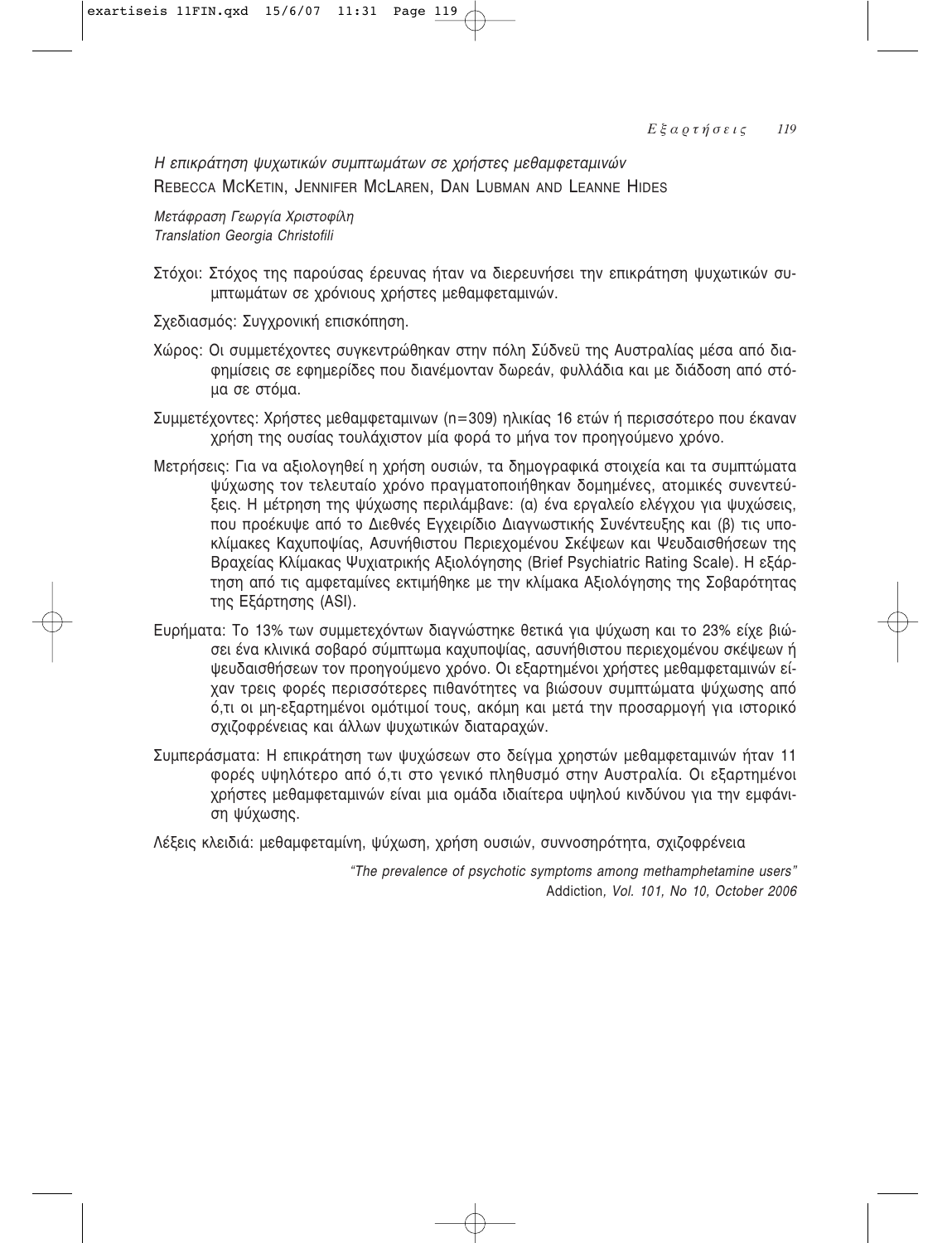$extiseis 11FIN.qxd 15/6/07 11:31 Page$ 

*Η επικράτηση ψυχωτικών συμπτωμάτων σε χρήστες μεθαμφεταμινών* REBECCA MCKETIN, JENNIFER MCLAREN, DAN LUBMAN AND LEANNE HIDES

*Μετάφραση Γεωργία Χριστοφίλη Translation Georgia Christofili*

- Στόχοι: Στόχος της παρούσας έρευνας ήταν να διερευνήσει την επικράτηση ψυχωτικών συμπτωμάτων σε χρόνιους χρήστες μεθαμφεταμινών.
- Σχεδιασμός: Συγχρονική επισκόπηση.
- Χώρος: Οι συμμετέχοντες συγκεντρώθηκαν στην πόλη Σύδνεϋ της Αυστραλίας μέσα από δια-<u>Φημίσεις σε εφημερίδες που διαγέμονταν δωρεάν, φυλλάδια και με διάδοση από στό-</u> μα σε στόμα.
- Συμμετέχοντες: Χρήστες μεθαμφεταμινων (n=309) ηλικίας 16 ετών ή περισσότερο που έκαναν χρήση της ουσίας τουλάχιστον μία φορά το μήνα τον προηγούμενο χρόνο.
- Μετρήσεις: Για να αξιολογηθεί η χρήση ουσιών, τα δημογραφικά στοιχεία και τα συμπτώματα ψύχωσης τον τελευταίο χρόνο πραγματοποιήθηκαν δομημένες, ατομικές συνεντεύξεις. Η μέτρηση της ψύχωσης περιλάμβανε: (α) ένα εργαλείο ελέγχου για ψυχώσεις, που προέκυψε από το Διεθνές Εγχειρίδιο Διαγνωστικής Συνέντευξης και (β) τις υποκλίμακες Καχυποψίας, Ασυνήθιστου Περιεχομένου Σκέψεων και Ψευδαισθήσεων της Βραχείας Κλίμακας Ψυχιατρικής Αξιολόγησης (Brief Psychiatric Rating Scale). Η εξάρτηση από τις αμφεταμίνες εκτιμήθηκε με την κλίμακα Αξιολόγησης της Σοβαρότητας της Εξάρτησης (ASI).
- Ευρήματα: Το 13% των συμμετεχόντων διαγνώστηκε θετικά για ψύχωση και το 23% είχε βιώσει ένα κλινικά σοβαρό σύμπτωμα καχυποψίας, ασυνήθιστου περιεχομένου σκέψεων ή ψευδαισθήσεων τον προηγούμενο χρόνο. Οι εξαρτημένοι χρήστες μεθαμφεταμινών είχαν τρεις φορές περισσότερες πιθανότητες να βιώσουν συμπτώματα ψύχωσης από ό,τι οι μη-εξαρτημένοι ομότιμοί τους, ακόμη και μετά την προσαρμογή για ιστορικό σχιζοφρένειας και άλλων ψυχωτικών διαταραχών.
- Συμπεράσματα: Η επικράτηση των ψυχώσεων στο δείγμα χρηστών μεθαμφεταμινών ήταν 11 Φορές υψηλότερο από ό,τι στο γενικό πληθυσμό στην Αυστραλία. Οι εξαρτημένοι χρήστες μεθαμφεταμινών είναι μια ομάδα ιδιαίτερα υψηλού κινδύνου για την εμφάνιση ψύχωσης.

Λέξεις κλειδιά: μεθαμφεταμίνη, ψύχωση, χρήση ουσιών, συννοσηρότητα, σχιζοφρένεια

*"The prevalence of psychotic symptoms among methamphetamine users"* Addiction*, Vol. 101, No 10, October 2006*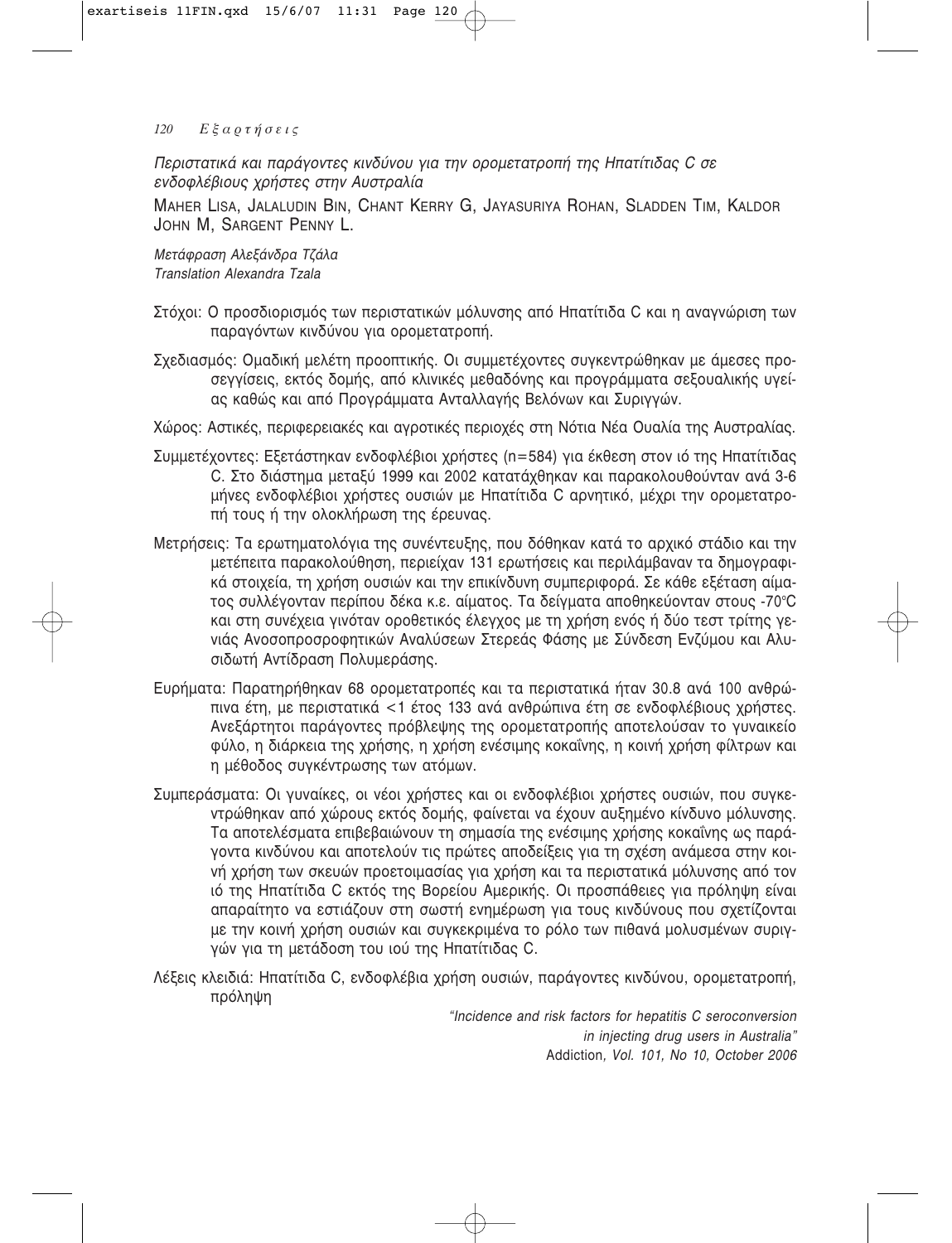*¶ÂÚÈÛÙ·ÙÈο Î·È ·Ú¿ÁÔÓÙ˜ ÎÈÓ‰‡ÓÔ˘ ÁÈ· ÙËÓ ÔÚÔÌÂÙ·ÙÚÔ‹ Ù˘ ∏·Ù›Ùȉ·˜ C ÛÂ* ενδοφλέβιους χρήστες στην Αυστραλία

MAHER LISA, JALALUDIN BIN, CHANT KERRY G, JAYASURIYA ROHAN, SLADDEN TIM, KALDOR JOHN M, SARGENT PENNY L.

*Μετάφραση Αλεξάνδρα Τζάλα Translation Alexandra Tzala*

- Στόχοι: Ο προσδιορισμός των περιστατικών μόλυνσης από Ηπατίτιδα C και η αναγνώριση των παραγόντων κινδύνου για ορομετατροπή.
- Σχεδιασμός: Ομαδική μελέτη προοπτικής. Οι συμμετέχοντες συγκεντρώθηκαν με άμεσες προσεγγίσεις, εκτός δομής, από κλινικές μεθαδόνης και προγράμματα σεξουαλικής υγείας καθώς και από Προγράμματα Ανταλλαγής Βελόνων και Συριγγών.
- Χώρος: Αστικές, περιφερειακές και ανροτικές περιοχές στη Νότια Νέα Ουαλία της Αυστραλίας,
- Συμμετέχοντες: Εξετάστηκαν ενδοφλέβιοι χρήστες (n=584) για έκθεση στον ιό της Ηπατίτιδας C. Στο διάστημα μεταξύ 1999 και 2002 κατατάχθηκαν και παρακολουθούνταν ανά 3-6 μήνες ενδοφλέβιοι χρήστες ουσιών με Ηπατίτιδα C αρνητικό, μέχρι την ορομετατροπή τους ή την ολοκλήρωση της έρευνας.
- Μετρήσεις: Τα ερωτηματολόγια της συνέντευξης, που δόθηκαν κατά το αρχικό στάδιο και την μετέπειτα παρακολούθηση, περιείχαν 131 ερωτήσεις και περιλάμβαναν τα δημογραφικά στοιχεία, τη χρήση ουσιών και την επικίνδυνη συμπεριφορά. Σε κάθε εξέταση αίματος συλλέγονταν περίπου δέκα κ.ε. αίματος. Τα δείγματα αποθηκεύονταν στους -70°C και στη συνέχεια γινόταν οροθετικός έλεγχος με τη χρήση ενός ή δύο τεστ τρίτης γενιάς Ανοσοπροσροφητικών Αναλύσεων Στερεάς Φάσης με Σύνδεση Ενζύμου και Αλυσιδωτή Αντίδραση Πολυμεράσης.
- Ευρήματα: Παρατηρήθηκαν 68 ορομετατροπές και τα περιστατικά ήταν 30.8 ανά 100 ανθρώπινα έτη, με περιστατικά <1 έτος 133 ανά ανθρώπινα έτη σε ενδοφλέβιους χρήστες. Ανεξάρτητοι παράγοντες πρόβλεψης της ορομετατροπής αποτελούσαν το γυναικείο φύλο, η διάρκεια της χρήσης, η χρήση ενέσιμης κοκαΐνης, η κοινή χρήση φίλτρων και η μέθοδος συγκέντρωσης των ατόμων.
- Συμπεράσματα: Οι γυναίκες, οι νέοι χρήστες και οι ενδοφλέβιοι χρήστες ουσιών, που συγκεντρώθηκαν από χώρους εκτός δομής, φαίνεται να έχουν αυξημένο κίνδυνο μόλυνσης. Τα αποτελέσματα επιβεβαιώνουν τη σημασία της ενέσιμης χρήσης κοκαΐνης ως παράγοντα κινδύνου και αποτελούν τις πρώτες αποδείξεις για τη σχέση ανάμεσα στην κοινή χρήση των σκευών προετοιμασίας για χρήση και τα περιστατικά μόλυνσης από τον ιό της Ηπατίτιδα C εκτός της Βορείου Αμερικής. Οι προσπάθειες για πρόληψη είναι απαραίτητο να εστιάζουν στη σωστή ενημέρωση για τους κινδύνους που σχετίζονται με την κοινή χρήση ουσιών και συγκεκριμένα το ρόλο των πιθανά μολυσμένων συριγγών για τη μετάδοση του ιού της Ηπατίτιδας C.
- Λέξεις κλειδιά: Ηπατίτιδα C, ενδοφλέβια χρήση ουσιών, παράγοντες κινδύνου, ορομετατροπή, πρόληψη

*"Incidence and risk factors for hepatitis C seroconversion in injecting drug users in Australia"* Addiction*, Vol. 101, No 10, October 2006*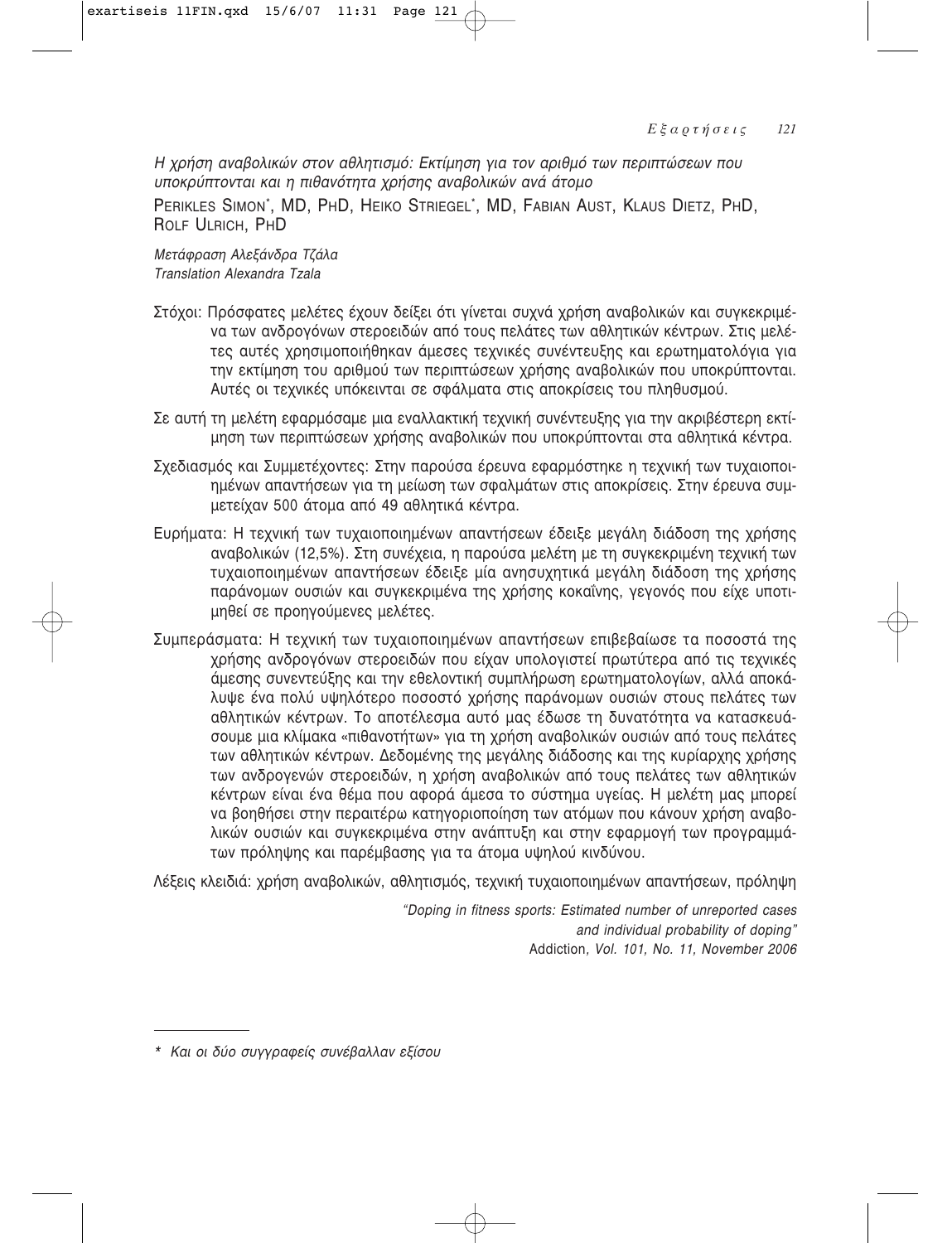exartiseis 11FIN.qxd 15/6/07 11:31 Page 121

*Η χρήση αναβολικών στον αθλητισμό: Εκτίμηση για τον αριθμό των περιπτώσεων που* υποκρύπτονται και η πιθανότητα χρήσης αναβολικών ανά άτομο

Perikles Simon', MD, PhD, Heiko Striegel', MD, Fabian Aust, Klaus Dietz, PhD, ROLF ULRICH, PHD

*Μετάφραση Αλεξάνδρα Τζάλα Translation Alexandra Tzala*

- Στόχοι: Πρόσφατες μελέτες έχουν δείξει ότι γίνεται συχνά χρήση αναβολικών και συγκεκριμένα των ανδρογόνων στεροειδών από τους πελάτες των αθλητικών κέντρων. Στις μελέτες αυτές χρησιμοποιήθηκαν άμεσες τεχνικές συνέντευξης και ερωτηματολόγια για την εκτίμηση του αριθμού των περιπτώσεων χρήσης αναβολικών που υποκρύπτονται. Aυτές οι τεχνικές υπόκεινται σε σφάλματα στις αποκρίσεις του πληθυσμού.
- Σε αυτή τη μελέτη εφαρμόσαμε μια εναλλακτική τεχνική συνέντευξης για την ακριβέστερη εκτίμηση των περιπτώσεων χρήσης αναβολικών που υποκρύπτονται στα αθλητικά κέντρα.
- Σχεδιασμός και Συμμετέχοντες: Στην παρούσα έρευνα εφαρμόστηκε η τεχνική των τυχαιοποιημένων απαντήσεων για τη μείωση των σφαλμάτων στις αποκρίσεις. Στην έρευνα συμμετείχαν 500 άτομα από 49 αθλητικά κέντρα.
- Ευρήματα: Η τεχνική των τυχαιοποιημένων απαντήσεων έδειξε μεγάλη διάδοση της χρήσης αναβολικών (12,5%). Στη συνέχεια, η παρούσα μελέτη με τη συγκεκριμένη τεχνική των τυχαιοποιημένων απαντήσεων έδειξε μία ανησυχητικά μεγάλη διάδοση της χρήσης παράνομων ουσιών και συγκεκριμένα της χρήσης κοκαΐνης, γεγονός που είχε υποτιμηθεί σε προηγούμενες μελέτες.
- Συμπεράσματα: Η τεχνική των τυχαιοποιημένων απαντήσεων επιβεβαίωσε τα ποσοστά της χρήσης ανδρογόνων στεροειδών που είχαν υπολογιστεί πρωτύτερα από τις τεχνικές άμεσης συνεντεύξης και την εθελοντική συμπλήρωση ερωτηματολογίων, αλλά αποκάλυψε ένα πολύ υψηλότερο ποσοστό χρήσης παράνομων ουσιών στους πελάτες των αθλητικών κέντρων. Το αποτέλεσμα αυτό μας έδωσε τη δυνατότητα να κατασκευάσουμε μια κλίμακα «πιθανοτήτων» για τη χρήση αναβολικών ουσιών από τους πελάτες των αθλητικών κέντρων. Δεδομένης της μεγάλης διάδοσης και της κυρίαρχης χρήσης των ανδρογενών στεροειδών, η χρήση αναβολικών από τους πελάτες των αθλητικών κέντρων είναι ένα θέμα που αφορά άμεσα το σύστημα υγείας. Η μελέτη μας μπορεί να βοηθήσει στην περαιτέρω κατηγοριοποίηση των ατόμων που κάνουν χρήση αναβολικών ουσιών και συγκεκριμένα στην ανάπτυξη και στην εφαρμογή των προγραμμάτων πρόληψης και παρέμβασης για τα άτομα υψηλού κινδύνου.

Λέξεις κλειδιά: χρήση αναβολικών, αθλητισμός, τεχνική τυχαιοποιημένων απαντήσεων, πρόληψη

*"Doping in fitness sports: Estimated number of unreported cases and individual probability of doping"* Addiction*, Vol. 101, No. 11, November 2006*

*\* ∫·È ÔÈ ‰‡Ô Û˘ÁÁÚ·Ê›˜ Û˘Ó¤'·ÏÏ·Ó ÂÍ›ÛÔ˘*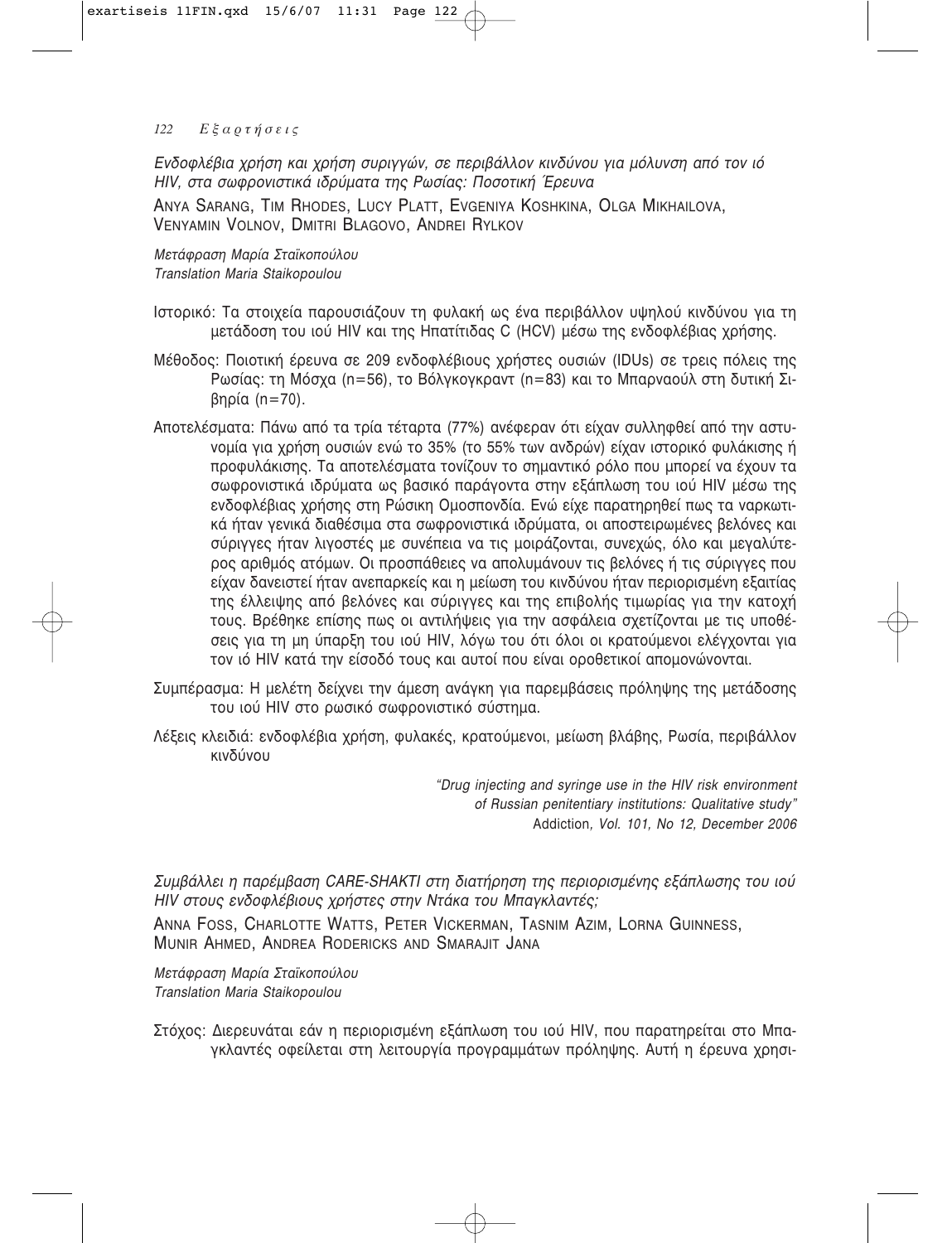*Ενδοφλέβια χρήση και χρήση συριγγών, σε περιβάλλον κινδύνου για μόλυνση από τον ιό HIV, στα σωφρονιστικά ιδρύματα της Ρωσίας: Ποσοτική Έρευνα* ANYA SARANG, TIM RHODES, LUCY PLATT, EVGENIYA KOSHKINA, OLGA MIKHAILOVA, VENYAMIN VOLNOV, DMITRI BLAGOVO, ANDREI RYLKOV

*Μετάφραση Μαρία Σταϊκοπούλου Translation Maria Staikopoulou*

- Ιστορικό: Τα στοιχεία παρουσιάζουν τη φυλακή ως ένα περιβάλλον υψηλού κινδύνου για τη μετάδοση του ιού HIV και της Ηπατίτιδας C (HCV) μέσω της ενδοφλέβιας χρήσης.
- Μέθοδος: Ποιοτική έρευνα σε 209 ενδοφλέβιους χρήστες ουσιών (IDUs) σε τρεις πόλεις της Ρωσίας: τη Μόσχα (n=56), το Βόλγκογκραντ (n=83) και το Μπαρναούλ στη δυτική Σι- $\beta$ ηρία (n=70).
- Αποτελέσματα: Πάνω από τα τρία τέταρτα (77%) ανέφεραν ότι είχαν συλληφθεί από την αστυvομία για χρήση ουσιών ενώ το 35% (το 55% των ανδρών) είχαν ιστορικό φυλάκισης ή προφυλάκισης. Τα αποτελέσματα τονίζουν το σημαντικό ρόλο που μπορεί να έχουν τα σωφρονιστικά ιδρύματα ως βασικό παράγοντα στην εξάπλωση του ιού HIV μέσω της ενδοφλέβιας χρήσης στη Ρώσικη Ομοσπονδία. Ενώ είχε παρατηρηθεί πως τα ναρκωτικά ήταν γενικά διαθέσιμα στα σωφρονιστικά ιδρύματα, οι αποστειρωμένες βελόνες και σύριγγες ήταν λιγοστές με συνέπεια να τις μοιράζονται, συνεχώς, όλο και μεγαλύτερος αριθμός ατόμων. Οι προσπάθειες να απολυμάνουν τις βελόνες ή τις σύριγγες που είχαν δανειστεί ήταν ανεπαρκείς και η μείωση του κινδύνου ήταν περιορισμένη εξαιτίας της έλλειψης από βελόνες και σύριγγες και της επιβολής τιμωρίας για την κατοχή τους. Βρέθηκε επίσης πως οι αντιλήψεις για την ασφάλεια σχετίζονται με τις υποθέσεις για τη μη ύπαρξη του ιού HIV, λόγω του ότι όλοι οι κρατούμενοι ελέγχονται για τον ιό HIV κατά την είσοδό τους και αυτοί που είναι οροθετικοί απομονώνονται.
- Συμπέρασμα: Η μελέτη δείχνει την άμεση ανάγκη για παρεμβάσεις πρόληψης της μετάδοσης του ιού HIV στο ρωσικό σωφρονιστικό σύστημα.
- Λέξεις κλειδιά: ενδοφλέβια χρήση, φυλακές, κρατούμενοι, μείωση βλάβης, Ρωσία, περιβάλλον κινδύνου

*"Drug injecting and syringe use in the HIV risk environment of Russian penitentiary institutions: Qualitative study"* Addiction*, Vol. 101, No 12, December 2006*

 $\Sigma$ υμβάλλει η παρέμβαση CARE-SHAKTI στη διατήρηση της περιορισμένης εξάπλωσης του ιού *HIV στους ενδοφλέβιους χρήστες στην Ντάκα του Μπαγκλαντές;* 

ANNA FOSS, CHARLOTTE WATTS, PETER VICKERMAN, TASNIM AZIM, LORNA GUINNESS, MUNIR AHMED, ANDREA RODERICKS AND SMARAJIT JANA

*Μετάφραση Μαρία Σταϊκοπούλου Translation Maria Staikopoulou*

Στόχος: Διερευνάται εάν η περιορισμένη εξάπλωση του ιού HIV, που παρατηρείται στο Μπαγκλαντές οφείλεται στη λειτουργία προγραμμάτων πρόληψης. Αυτή η έρευνα χρησι-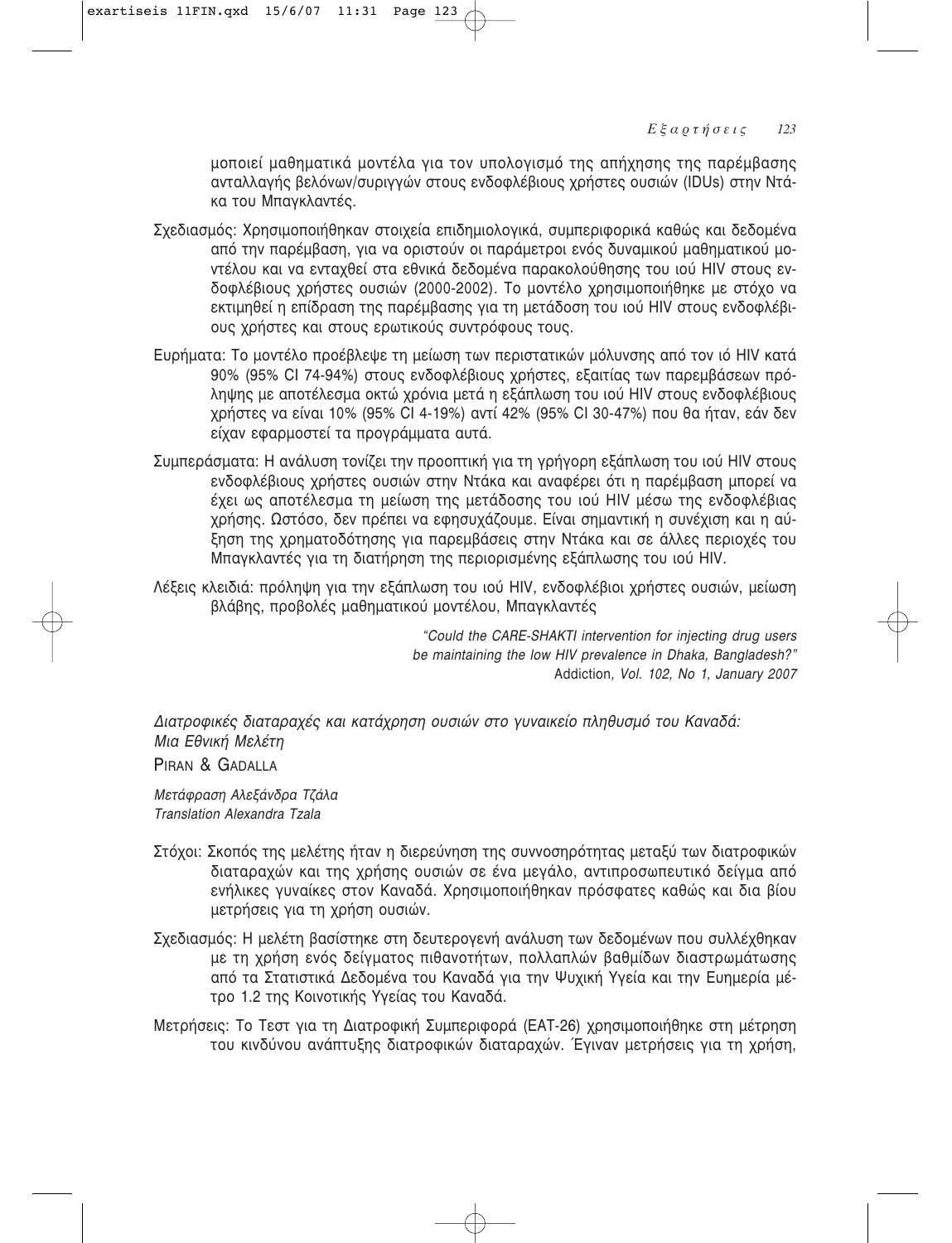μοποιεί μαθηματικά μοντέλα για τον υπολογισμό της απήχησης της παρέμβασης ανταλλαγής βελόνων/συριγγών στους ενδοφλέβιους χρήστες ουσιών (IDUs) στην Ντάκα του Μπαγκλαντές.

- Σχεδιασμός: Χρησιμοποιήθηκαν στοιχεία επιδημιολογικά, συμπεριφορικά καθώς και δεδομένα από την παρέμβαση, για να οριστούν οι παράμετροι ενός δυναμικού μαθηματικού μοντέλου και να ενταχθεί στα εθνικά δεδομένα παρακολούθησης του ιού HIV στους ενδοφλέβιους χρήστες ουσιών (2000-2002). Το μοντέλο χρησιμοποιήθηκε με στόχο να εκτιμηθεί η επίδραση της παρέμβασης για τη μετάδοση του ιού HIV στους ενδοφλέβιους χρήστες και στους ερωτικούς συντρόφους τους.
- Ευρήματα: Το μοντέλο προέβλεψε τη μείωση των περιστατικών μόλυνσης από τον ιό HIV κατά 90% (95% CI 74-94%) στους ενδοφλέβιους χρήστες, εξαιτίας των παρεμβάσεων πρόληψης με αποτέλεσμα οκτώ χρόνια μετά η εξάπλωση του ιού HIV στους ενδοφλέβιους χρήστες να είναι 10% (95% Cl 4-19%) αντί 42% (95% Cl 30-47%) που θα ήταν, εάν δεν είχαν εφαρμοστεί τα προνράμματα αυτά.
- Συμπεράσματα: Η ανάλυση τονίζει την προοπτική για τη γρήγορη εξάπλωση του ιού HIV στους ενδοφλέβιους χρήστες ουσιών στην Ντάκα και αναφέρει ότι η παρέμβαση μπορεί να έχει ως αποτέλεσμα τη μείωση της μετάδοσης του ιού HIV μέσω της ενδοφλέβιας χρήσης. Ωστόσο, δεν πρέπει να εφησυχάζουμε. Είναι σημαντική η συνέχιση και η αύξηση της χρηματοδότησης για παρεμβάσεις στην Ντάκα και σε άλλες περιοχές του Μπαγκλαντές για τη διατήρηση της περιορισμένης εξάπλωσης του ιού HIV.
- Λέξεις κλειδιά: πρόληψη για την εξάπλωση του ιού HIV, ενδοφλέβιοι χρήστες ουσιών, μείωση βλάβης, προβολές μαθηματικού μοντέλου, Μπαγκλαντές

*"Could the CARE-SHAKTI intervention for injecting drug users be maintaining the low HIV prevalence in Dhaka, Bangladesh?"* Addiction*, Vol. 102, No 1, January 2007*

Διατροφικές διαταραχές και κατάχρηση ουσιών στο γυναικείο πληθυσμό του Καναδά: *Μια Εθνική Μελέτη* 

PIRAN & GADALLA

*Μετάφραση Αλεξάνδρα Τζάλα Translation Alexandra Tzala*

exartiseis 11FIN.qxd 15/6/07 11:31 Page 123

- Στόχοι: Σκοπός της μελέτης ήταν η διερεύνηση της συννοσηρότητας μεταξύ των διατροφικών διαταραχών και της χρήσης ουσιών σε ένα μεγάλο, αντιπροσωπευτικό δείγμα από ενήλικες γυναίκες στον Καναδά. Χρησιμοποιήθηκαν πρόσφατες καθώς και δια βίου μετρήσεις για τη χρήση ουσιών.
- Σχεδιασμός: Η μελέτη βασίστηκε στη δευτερογενή ανάλυση των δεδομένων που συλλέχθηκαν με τη χρήση ενός δείγματος πιθανοτήτων, πολλαπλών βαθμίδων διαστρωμάτωσης από τα Στατιστικά Δεδομένα του Καναδά για την Ψυχική Υγεία και την Ευημερία μέτρο 1.2 της Κοινοτικής Υγείας του Καναδά.
- Μετρήσεις: Το Τεστ για τη Διατροφική Συμπεριφορά (ΕΑΤ-26) χρησιμοποιήθηκε στη μέτρηση του κινδύνου ανάπτυξης διατροφικών διαταραχών. Έγιναν μετρήσεις για τη χρήση,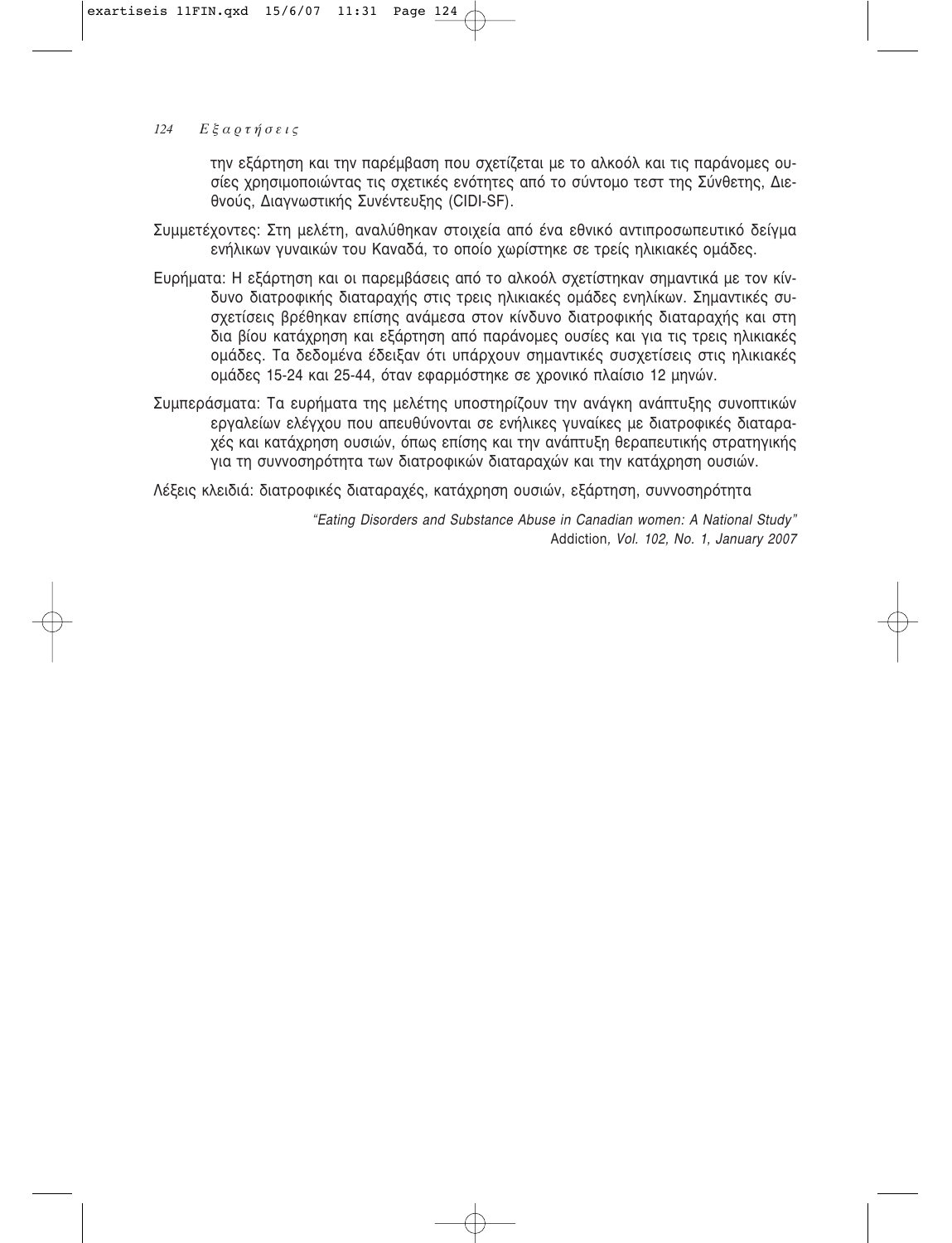την εξάρτηση και την παρέμβαση που σχετίζεται με το αλκοόλ και τις παράνομες ουσίες χρησιμοποιώντας τις σχετικές ενότητες από το σύντομο τεστ της Σύνθετης, Διεθνούς, Διαγνωστικής Συνέντευξης (CIDI-SF).

- Συμμετέχοντες: Στη μελέτη, αναλύθηκαν στοιχεία από ένα εθνικό αντιπροσωπευτικό δείγμα ενήλικων γυναικών του Καναδά, το οποίο χωρίστηκε σε τρείς ηλικιακές ομάδες.
- Ευρήματα: Η εξάρτηση και οι παρεμβάσεις από το αλκοόλ σχετίστηκαν σημαντικά με τον κίνδυνο διατροφικής διαταραχής στις τρεις ηλικιακές ομάδες ενηλίκων. Σημαντικές συσχετίσεις βρέθηκαν επίσης ανάμεσα στον κίνδυνο διατροφικής διαταραχής και στη δια βίου κατάχρηση και εξάρτηση από παράνομες ουσίες και για τις τρεις ηλικιακές ομάδες. Τα δεδομένα έδειξαν ότι υπάρχουν σημαντικές συσχετίσεις στις ηλικιακές ομάδες 15-24 και 25-44, όταν εφαρμόστηκε σε χρονικό πλαίσιο 12 μηνών.
- Συμπεράσματα: Τα ευρήματα της μελέτης υποστηρίζουν την ανάγκη ανάπτυξης συνοπτικών εργαλείων ελέγχου που απευθύνονται σε ενήλικες γυναίκες με διατροφικές διαταραχές και κατάχρηση ουσιών, όπως επίσης και την ανάπτυξη θεραπευτικής στρατηγικής για τη συννοσηρότητα των διατροφικών διαταραχών και την κατάχρηση ουσιών.

Λέξεις κλειδιά: διατροφικές διαταραχές, κατάχρηση ουσιών, εξάρτηση, συννοσηρότητα

*"Eating Disorders and Substance Abuse in Canadian women: A National Study"* Addiction*, Vol. 102, No. 1, January 2007*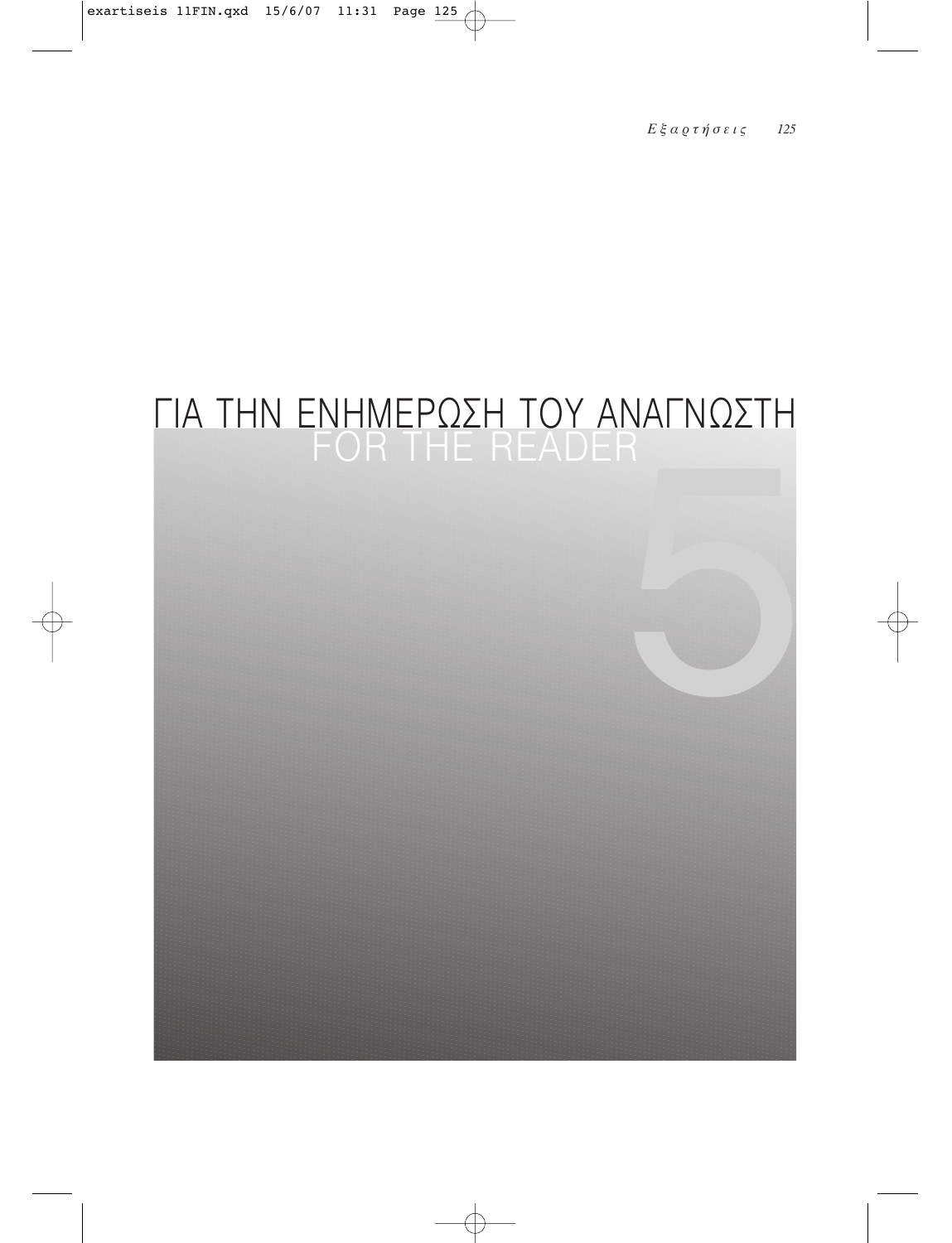exartiseis 11FIN.qxd 15/6/07 11:31 Page 125

 $E$ ξαρτήσεις 125

# ΓΙΑ ΤΗΝ ΕΝΗΜΕΡΩΣΗ ΤΟΥ ΑΝΑΓΝΩΣΤΗ<br>FOR THE READER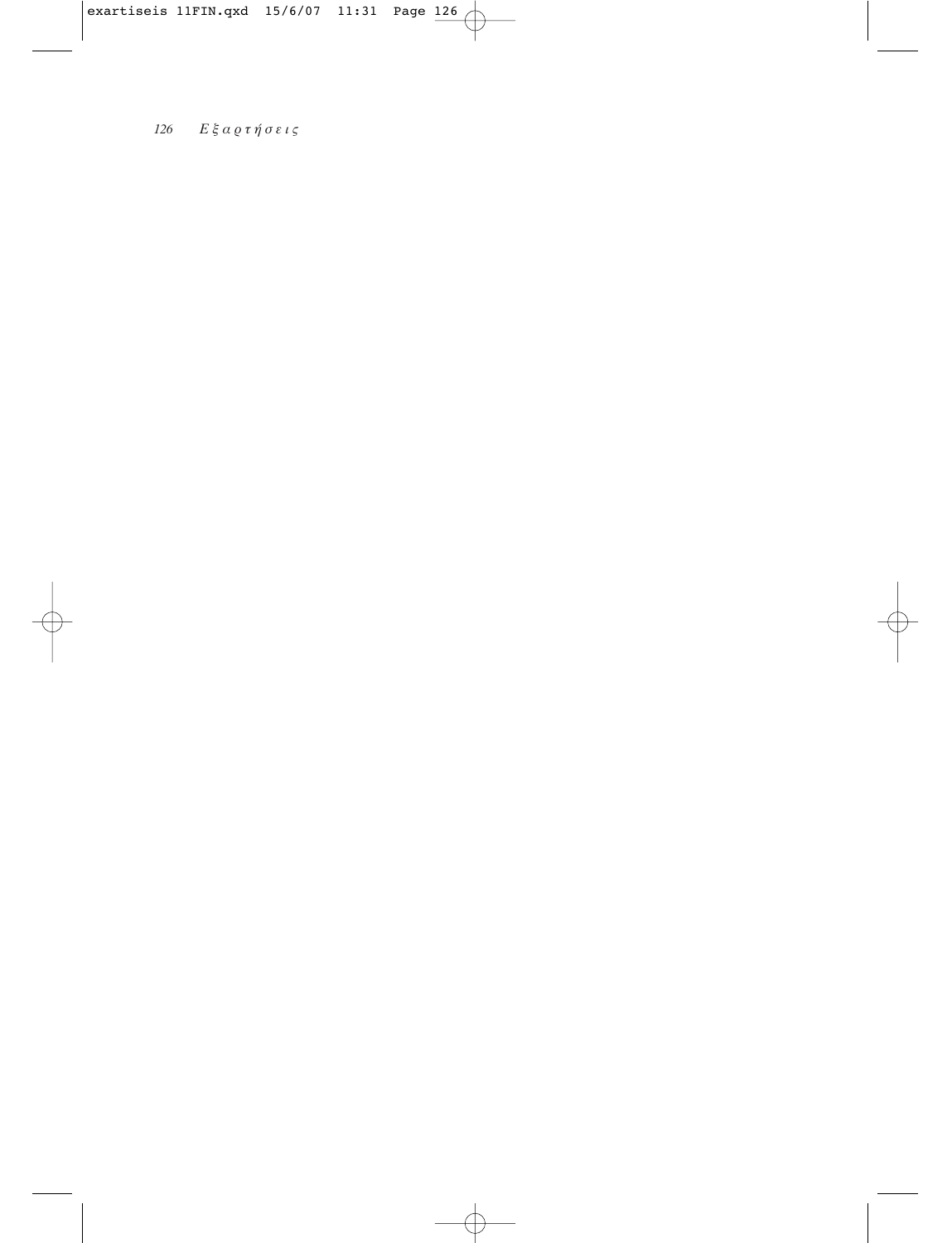$E$ ξαρτήσεις 126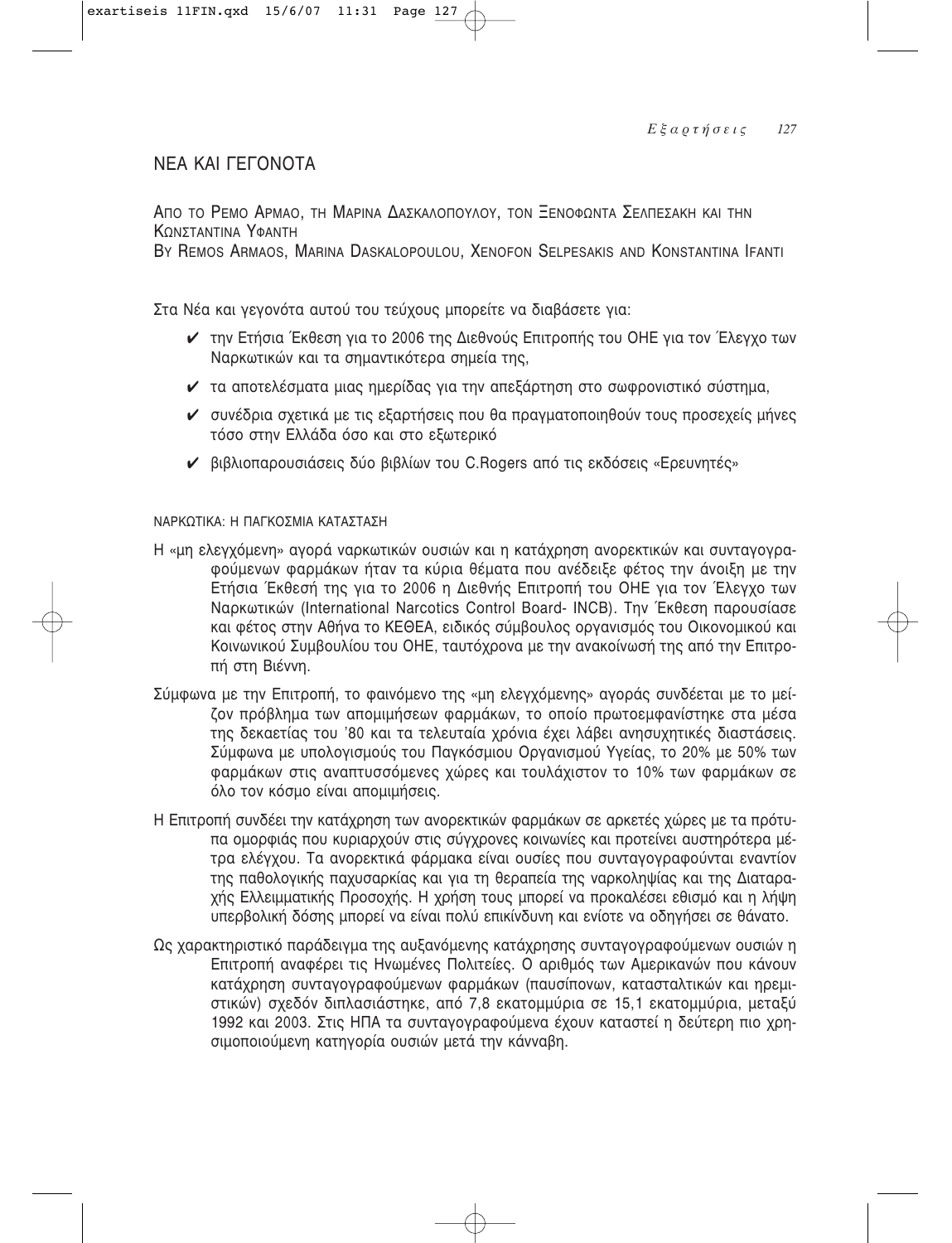# NFA KAI FFFONOTA

ΑΠΟ ΤΟ ΡΕΜΟ ΑΡΜΑΟ, ΤΗ ΜΑΡΙΝΑ ΔΑΣΚΑΛΟΠΟΥΛΟΥ, ΤΟΝ ΞΕΝΟΦΩΝΤΑ ΣΕΛΠΕΣΑΚΗ ΚΑΙ ΤΗΝ **KONSTANTINA YOANTH** 

BY REMOS ARMAOS, MARINA DASKALOPOULOU, XENOFON SELPESAKIS AND KONSTANTINA FANTI

Στα Νέα και νενονότα αυτού του τεύχους μπορείτε να διαβάσετε νια:

- V την Ετήσια Έκθεση για το 2006 της Διεθνούς Επιτροπής του ΟΗΕ για τον Έλεγχο των Ναρκωτικών και τα σημαντικότερα σημεία της,
- τα αποτελέσματα μιας ημερίδας για την απεξάρτηση στο σωφρονιστικό σύστημα,
- ν συνέδρια σχετικά με τις εξαρτήσεις που θα πραγματοποιηθούν τους προσεχείς μήνες τόσο στην Ελλάδα όσο και στο εξωτερικό
- V βιβλιοπαρουσιάσεις δύο βιβλίων του C.Rogers από τις εκδόσεις «Ερευνητές»

# ΝΑΡΚΩΤΙΚΑ: Η ΠΑΓΚΟΣΜΙΑ ΚΑΤΑΣΤΑΣΗ

- H «μη ελεγχόμενη» αγορά ναρκωτικών ουσιών και η κατάχρηση ανορεκτικών και συνταγογραφούμενων φαρμάκων ήταν τα κύρια θέματα που ανέδειξε φέτος την άνοιξη με την Ετήσια Έκθεσή της για το 2006 η Διεθνής Επιτροπή του ΟΗΕ για τον Έλεγχο των Ναρκωτικών (International Narcotics Control Board-INCB). Την Έκθεση παρουσίασε και φέτος στην Αθήνα το ΚΕΘΕΑ, ειδικός σύμβουλος οργανισμός του Οικονομικού και Κοινωνικού Συμβουλίου του ΟΗΕ, ταυτόχρονα με την ανακοίνωσή της από την Επιτροπή στη Βιέννη.
- Σύμφωνα με την Επιτροπή, το φαινόμενο της «μη ελεγχόμενης» αγοράς συνδέεται με το μείζον πρόβλημα των απομιμήσεων φαρμάκων, το οποίο πρωτοεμφανίστηκε στα μέσα της δεκαετίας του '80 και τα τελευταία χρόνια έχει λάβει ανησυχητικές διαστάσεις. Σύμφωνα με υπολογισμούς του Παγκόσμιου Οργανισμού Υγείας, το 20% με 50% των φαρμάκων στις αναπτυσσόμενες χώρες και τουλάχιστον το 10% των φαρμάκων σε όλο τον κόσμο είναι απομιμήσεις.
- Η Επιτροπή συνδέει την κατάχρηση των ανορεκτικών φαρμάκων σε αρκετές χώρες με τα πρότυπα ομορφιάς που κυριαρχούν στις σύγχρονες κοινωνίες και προτείνει αυστηρότερα μέτρα ελέγχου. Τα ανορεκτικά φάρμακα είναι ουσίες που συνταγογραφούνται εναντίον της παθολογικής παχυσαρκίας και για τη θεραπεία της ναρκοληψίας και της Διαταραχής Ελλειμματικής Προσοχής. Η χρήση τους μπορεί να προκαλέσει εθισμό και η λήψη υπερβολική δόσης μπορεί να είναι πολύ επικίνδυνη και ενίοτε να οδηγήσει σε θάνατο.
- Ως χαρακτηριστικό παράδειγμα της αυξανόμενης κατάχρησης συνταγογραφούμενων ουσιών η Επιτροπή αναφέρει τις Ηνωμένες Πολιτείες. Ο αριθμός των Αμερικανών που κάνουν κατάχρηση συνταγογραφούμενων φαρμάκων (παυσίπονων, κατασταλτικών και ηρεμιστικών) σχεδόν διπλασιάστηκε, από 7,8 εκατομμύρια σε 15,1 εκατομμύρια, μεταξύ 1992 και 2003. Στις ΗΠΑ τα συνταγογραφούμενα έχουν καταστεί η δεύτερη πιο χρησιμοποιούμενη κατηγορία ουσιών μετά την κάνναβη.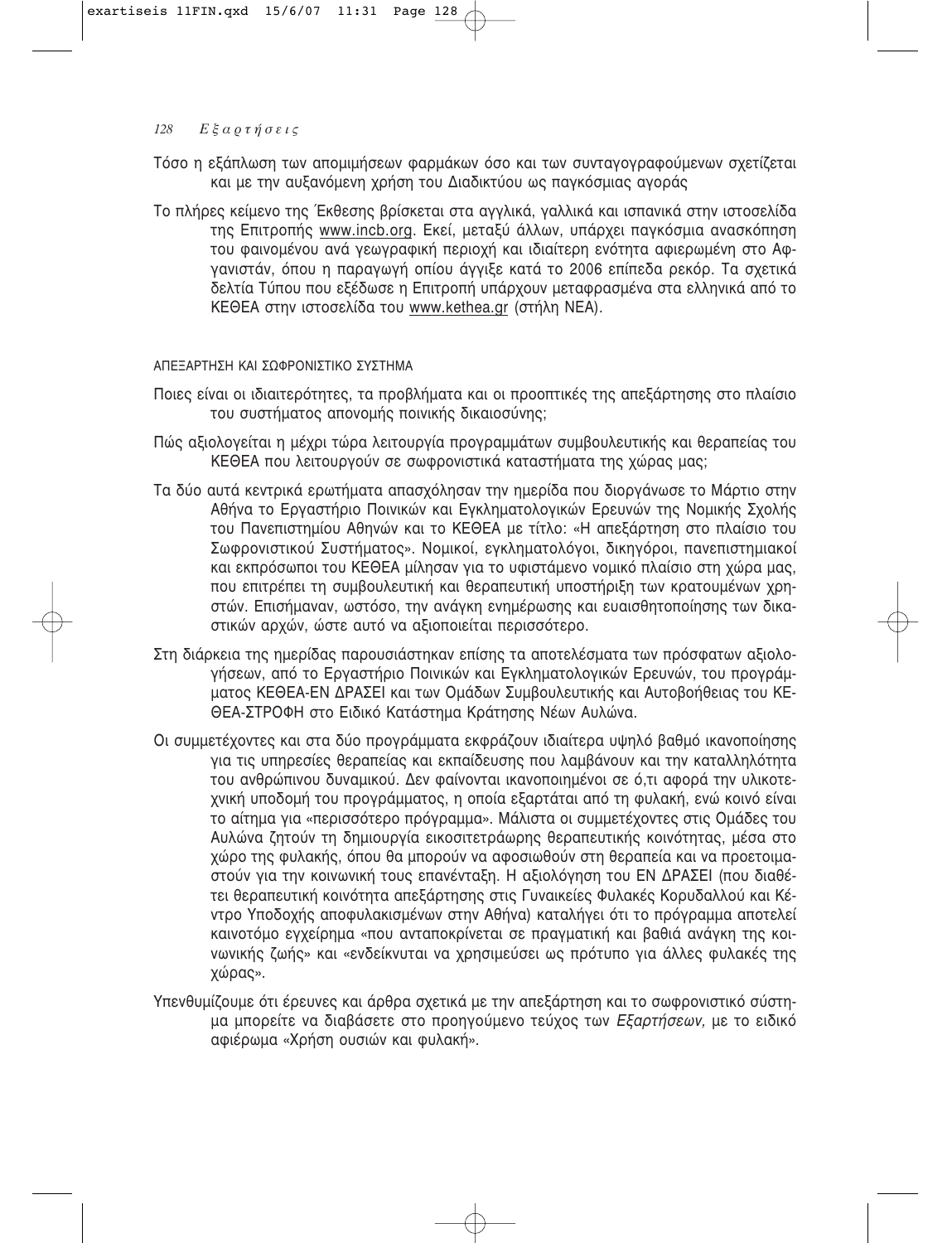- Τόσο η εξάπλωση των απομιμήσεων φαρμάκων όσο και των συνταγογραφούμενων σχετίζεται και με την αυξανόμενη χρήση του Διαδικτύου ως παγκόσμιας αγοράς
- Το πλήρες κείμενο της Έκθεσης βρίσκεται στα αγγλικά, γαλλικά και ισπανικά στην ιστοσελίδα της Επιτροπής www.incb.org. Εκεί, μεταξύ άλλων, υπάρχει παγκόσμια ανασκόπηση του φαινομένου ανά γεωγραφική περιοχή και ιδιαίτερη ενότητα αφιερωμένη στο Αφγανιστάν, όπου η παραγωγή οπίου άγγιξε κατά το 2006 επίπεδα ρεκόρ. Τα σχετικά δελτία Τύπου που εξέδωσε η Επιτροπή υπάρχουν μεταφρασμένα στα ελληνικά από το KEΘEA στην ιστοσελίδα του www.kethea.gr (στήλη ΝΕΑ).

ΔΠΕΞΑΡΤΗΣΗ ΚΑΙ ΣΟΦΡΟΝΙΣΤΙΚΟ ΣΥΣΤΗΜΑ

- Ποιες είναι οι ιδιαιτερότητες, τα προβλήματα και οι προοπτικές της απεξάρτησης στο πλαίσιο του συστήματος απονομής ποινικής δικαιοσύνης;
- Πώς αξιολογείται η μέχρι τώρα λειτουργία προγραμμάτων συμβουλευτικής και θεραπείας του ΚΕΘΕΑ που λειτουργούν σε σωφρονιστικά καταστήματα της χώρας μας;
- Τα δύο αυτά κεντρικά ερωτήματα απασχόλησαν την ημερίδα που διοργάνωσε το Μάρτιο στην Αθήνα το Εργαστήριο Ποινικών και Εγκληματολογικών Ερευνών της Νομικής Σχολής του Πανεπιστημίου Αθηνών και το ΚΕΘΕΑ με τίτλο: «Η απεξάρτηση στο πλαίσιο του Σωφρονιστικού Συστήματος». Νομικοί, εγκληματολόγοι, δικηγόροι, πανεπιστημιακοί και εκπρόσωποι του ΚΕΘΕΑ μίλησαν για το υφιστάμενο νομικό πλαίσιο στη χώρα μας, που επιτρέπει τη συμβουλευτική και θεραπευτική υποστήριξη των κρατουμένων χρηστών. Επισήμαναν, ωστόσο, την ανάγκη ενημέρωσης και ευαισθητοποίησης των δικαστικών αρχών, ώστε αυτό να αξιοποιείται περισσότερο.
- Στη διάρκεια της ημερίδας παρουσιάστηκαν επίσης τα αποτελέσματα των πρόσφατων αξιολογήσεων, από το Εργαστήριο Ποινικών και Εγκληματολογικών Ερευνών, του προγράμματος ΚΕΘΕΑ-ΕΝ ΔΡΑΣΕΙ και των Ομάδων Συμβουλευτικής και Αυτοβοήθειας του ΚΕ-ΘΕΑ-ΣΤΡΟΦΗ στο Ειδικό Κατάστημα Κράτησης Νέων Αυλώνα.
- Οι συμμετέχοντες και στα δύο προγράμματα εκφράζουν ιδιαίτερα υψηλό βαθμό ικανοποίησης για τις υπηρεσίες θεραπείας και εκπαίδευσης που λαμβάνουν και την καταλληλότητα του ανθρώπινου δυναμικού. Δεν φαίνονται ικανοποιημένοι σε ό,τι αφορά την υλικοτεχνική υποδομή του προγράμματος, η οποία εξαρτάται από τη φυλακή, ενώ κοινό είναι το αίτημα για «περισσότερο πρόγραμμα». Μάλιστα οι συμμετέχοντες στις Ομάδες του Αυλώνα ζητούν τη δημιουργία εικοσιτετράωρης θεραπευτικής κοινότητας, μέσα στο χώρο της φυλακής, όπου θα μπορούν να αφοσιωθούν στη θεραπεία και να προετοιμαστούν για την κοινωνική τους επανένταξη. Η αξιολόγηση του ΕΝ ΔΡΑΣΕΙ (που διαθέτει θεραπευτική κοινότητα απεξάρτησης στις Γυναικείες Φυλακές Κορυδαλλού και Κέντρο Υποδοχής αποφυλακισμένων στην Αθήνα) καταλήγει ότι το πρόγραμμα αποτελεί καινοτόμο εγχείρημα «που ανταποκρίνεται σε πραγματική και βαθιά ανάγκη της κοινωνικής ζωής» και «ενδείκνυται να χρησιμεύσει ως πρότυπο για άλλες φυλακές της χώρας».
- Υπενθυμίζουμε ότι έρευνες και άρθρα σχετικά με την απεξάρτηση και το σωφρονιστικό σύστημα μπορείτε να διαβάσετε στο προηγούμενο τεύχος των Εξαρτήσεων, με το ειδικό αφιέρωμα «Χρήση ουσιών και φυλακή».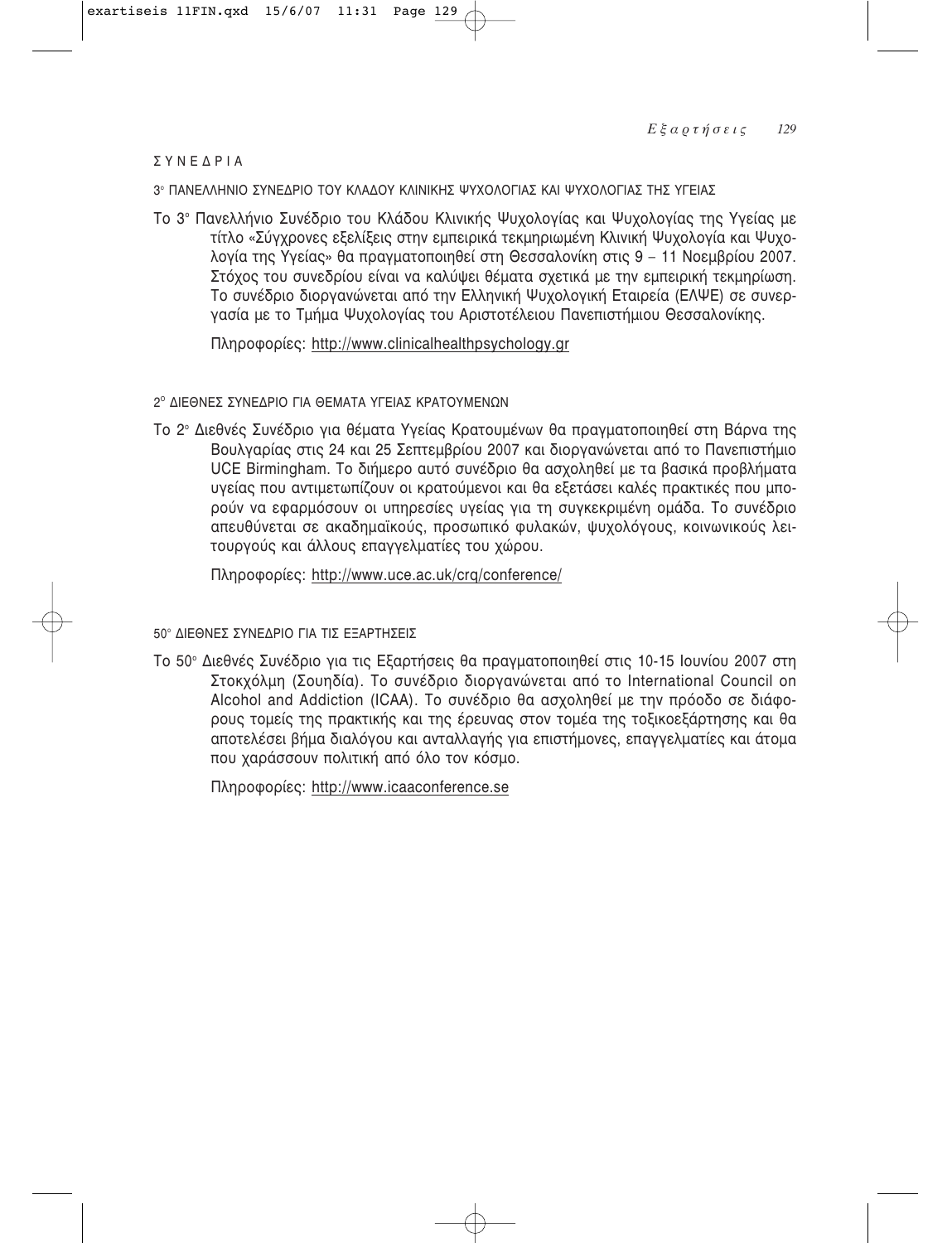ΣΥΝΕΔΡΙΑ

3° ΠΑΝΕΛΛΗΝΙΟ ΣΥΝΕΔΡΙΟ ΤΟΥ ΚΛΑΔΟΥ ΚΛΙΝΙΚΗΣ ΨΥΧΟΛΟΓΙΑΣ ΚΑΙ ΨΥΧΟΛΟΓΙΑΣ ΤΗΣ ΥΓΕΙΑΣ

Το 3° Πανελλήνιο Συνέδριο του Κλάδου Κλινικής Ψυχολογίας και Ψυχολογίας της Υγείας με τίτλο «Σύγχρονες εξελίξεις στην εμπειρικά τεκμηριωμένη Κλινική Ψυχολογία και Ψυχολογία της Υγείας» θα πραγματοποιηθεί στη Θεσσαλογίκη στις 9 – 11 Νοεμβρίου 2007. Στόχος του συνεδρίου είναι να καλύψει θέματα σχετικά με την εμπειρική τεκμηρίωση. Το συνέδριο διοργανώνεται από την Ελληνική Ψυχολογική Εταιρεία (ΕΛΨΕ) σε συνεργασία με το Τμήμα Ψυχολογίας του Αριστοτέλειου Πανεπιστήμιου Θεσσαλονίκης.

Πληροφορίες: http://www.clinicalhealthpsychology.gr

- 2<sup>°</sup> ΔΙΕΘΝΕΣ ΣΥΝΕΔΡΙΟ ΓΙΑ ΘΕΜΑΤΑ ΥΓΕΙΑΣ ΚΡΑΤΟΥΜΕΝΩΝ
- Το 2° Διεθνές Συνέδριο για θέματα Υνείας Κρατουμένων θα πραγματοποιηθεί στη Βάρνα της Βουλγαρίας στις 24 και 25 Σεπτεμβρίου 2007 και διοργανώνεται από το Πανεπιστήμιο UCE Birmingham. Το διήμερο αυτό συνέδριο θα ασχοληθεί με τα βασικά προβλήματα υνείας που αντιμετωπίζουν οι κρατούμενοι και θα εξετάσει καλές πρακτικές που μπορούν να εφαρμόσουν οι υπηρεσίες υγείας για τη συγκεκριμένη ομάδα. Το συνέδριο απευθύνεται σε ακαδημαϊκούς, προσωπικό φυλακών, ψυχολόγους, κοινωνικούς λειτουργούς και άλλους επαγγελματίες του χώρου.

 $\Pi$ ληροφορίες: http://www.uce.ac.uk/crq/conference/

50° ΔΙΕΘΝΕΣ ΣΥΝΕΔΡΙΟ ΓΙΑ ΤΙΣ ΕΞΑΡΤΗΣΕΙΣ

Το 50° Διεθνές Συνέδριο για τις Εξαρτήσεις θα πραγματοποιηθεί στις 10-15 Ιουνίου 2007 στη Στοκχόλμη (Σουηδία). Το συνέδριο διοργανώνεται από το International Council on Alcohol and Addiction (ICAA). Το συνέδριο θα ασχοληθεί με την πρόοδο σε διάφορους τομείς της πρακτικής και της έρευνας στον τομέα της τοξικοεξάρτησης και θα αποτελέσει βήμα διαλόγου και ανταλλαγής για επιστήμονες, επαγγελματίες και άτομα που χαράσσουν πολιτική από όλο τον κόσμο.

Πληροφορίες: http://www.icaaconference.se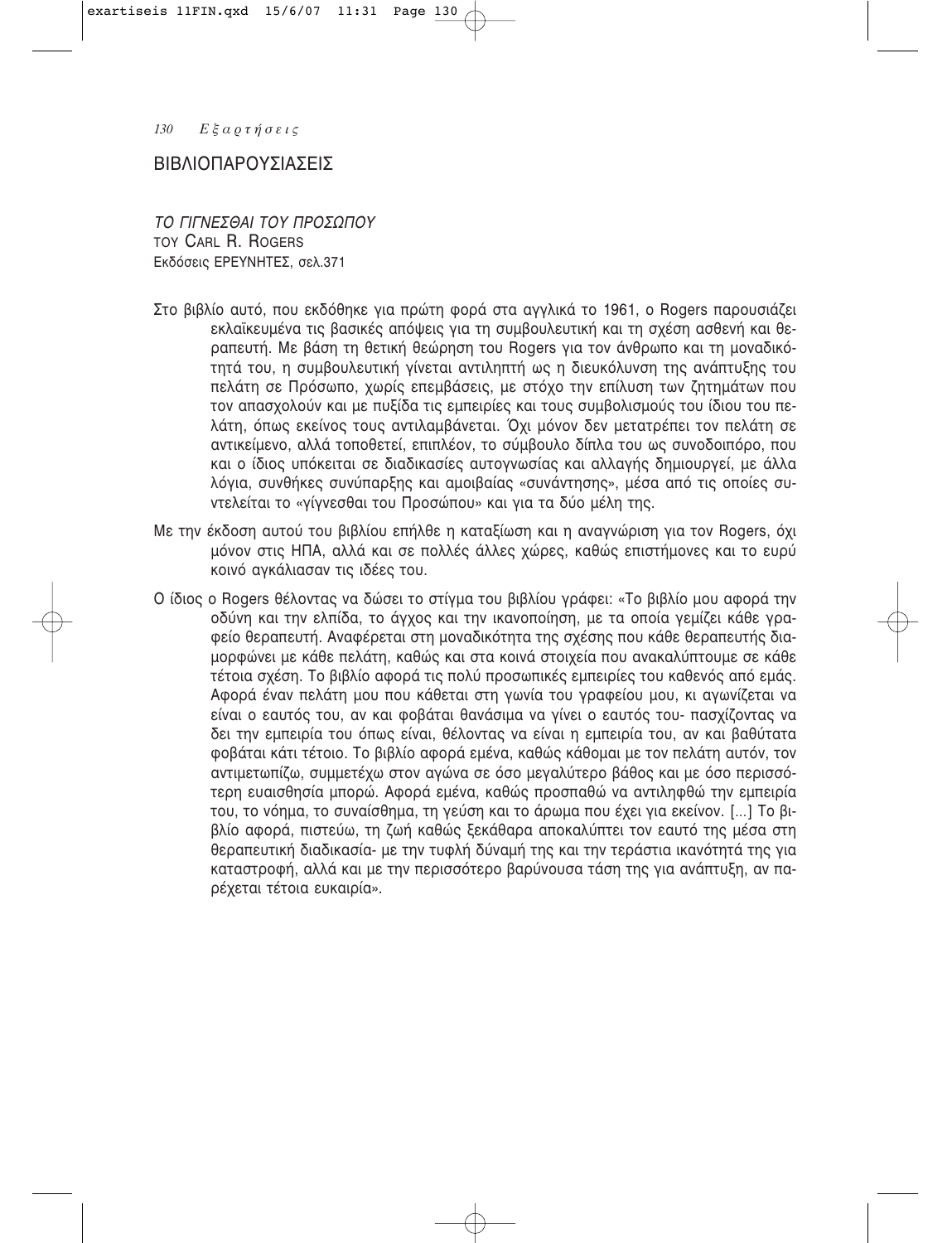# ΒΙΒΛΙΟΠΑΡΟΥΣΙΑΣΕΙΣ

ΤΟ ΓΙΓΝΕΣΘΑΙ ΤΟΥ ΠΡΟΣΩΠΟΥ TOY CARL R. ROGERS Εκδόσεις ΕΡΕΥΝΗΤΕΣ, σελ.371

- Στο βιβλίο αυτό, που εκδόθηκε για πρώτη φορά στα αγγλικά το 1961, ο Rogers παρουσιάζει εκλαϊκευμένα τις βασικές απόψεις για τη συμβουλευτική και τη σχέση ασθενή και θεραπευτή. Με βάση τη θετική θεώρηση του Rogers για τον άνθρωπο και τη μοναδικότητά του, η συμβουλευτική γίνεται αντιληπτή ως η διευκόλυνση της ανάπτυξης του πελάτη σε Πρόσωπο, χωρίς επεμβάσεις, με στόχο την επίλυση των ζητημάτων που τον απασχολούν και με πυξίδα τις εμπειρίες και τους συμβολισμούς του ίδιου του πελάτη, όπως εκείνος τους αντιλαμβάνεται. Όχι μόνον δεν μετατρέπει τον πελάτη σε αντικείμενο, αλλά τοποθετεί, επιπλέον, το σύμβουλο δίπλα του ως συνοδοιπόρο, που και ο ίδιος υπόκειται σε διαδικασίες αυτογνωσίας και αλλαγής δημιουργεί, με άλλα λόγια, συνθήκες συνύπαρξης και αμοιβαίας «συνάντησης», μέσα από τις οποίες συντελείται το «γίγνεσθαι του Προσώπου» και για τα δύο μέλη της.
- Με την έκδοση αυτού του βιβλίου επήλθε η καταξίωση και η αναγνώριση για τον Rogers, όχι μόνον στις ΗΠΑ, αλλά και σε πολλές άλλες χώρες, καθώς επιστήμονες και το ευρύ κοινό αγκάλιασαν τις ιδέες του.
- Ο ίδιος ο Rogers θέλοντας να δώσει το στίγμα του βιβλίου γράφει: «Το βιβλίο μου αφορά την οδύνη και την ελπίδα, το άγχος και την ικανοποίηση, με τα οποία γεμίζει κάθε γραφείο θεραπευτή. Αναφέρεται στη μοναδικότητα της σχέσης που κάθε θεραπευτής διαμορφώνει με κάθε πελάτη, καθώς και στα κοινά στοιχεία που ανακαλύπτουμε σε κάθε τέτοια σχέση. Το βιβλίο αφορά τις πολύ προσωπικές εμπειρίες του καθενός από εμάς. Αφορά έναν πελάτη μου που κάθεται στη γωνία του γραφείου μου, κι αγωνίζεται να είναι ο εαυτός του, αν και φοβάται θανάσιμα να γίνει ο εαυτός του- πασχίζοντας να δει την εμπειρία του όπως είναι, θέλοντας να είναι η εμπειρία του, αν και βαθύτατα φοβάται κάτι τέτοιο. Το βιβλίο αφορά εμένα, καθώς κάθομαι με τον πελάτη αυτόν, τον αντιμετωπίζω, συμμετέχω στον αγώνα σε όσο μεγαλύτερο βάθος και με όσο περισσότερη ευαισθησία μπορώ. Αφορά εμένα, καθώς προσπαθώ να αντιληφθώ την εμπειρία του, το νόημα, το συναίσθημα, τη γεύση και το άρωμα που έχει για εκείνον. [...] Το βιβλίο αφορά, πιστεύω, τη ζωή καθώς ξεκάθαρα αποκαλύπτει τον εαυτό της μέσα στη θεραπευτική διαδικασία- με την τυφλή δύναμή της και την τεράστια ικανότητά της για καταστροφή, αλλά και με την περισσότερο βαρύνουσα τάση της για ανάπτυξη, αν παρέχεται τέτοια ευκαιρία».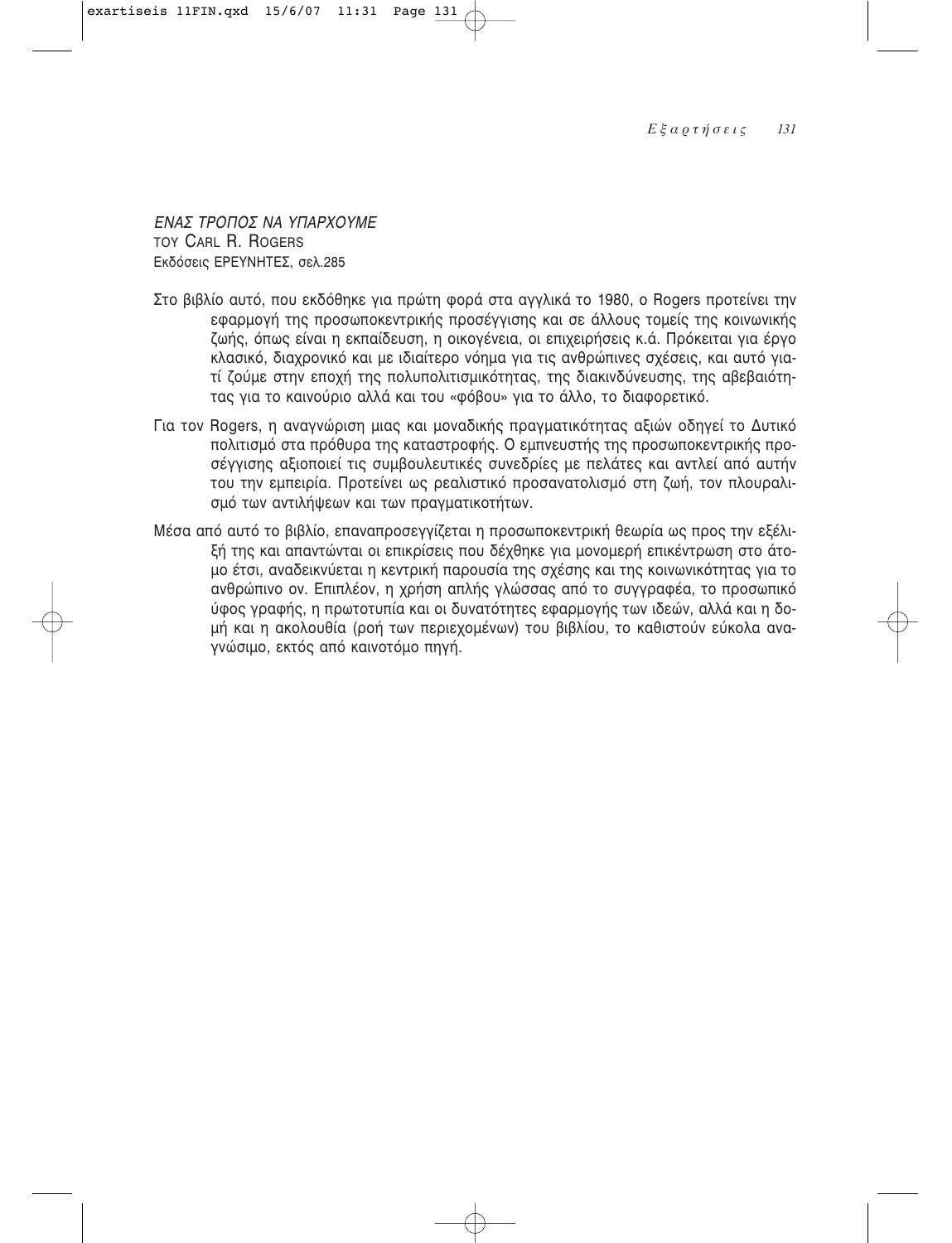ΕΝΑΣ ΤΡΟΠΟΣ ΝΑ ΥΠΑΡΧΟΥΜΕ TOY CARL R. ROGERS Εκδόσεις ΕΡΕΥΝΗΤΕΣ, σελ.285

- Στο βιβλίο αυτό, που εκδόθηκε για πρώτη φορά στα αγγλικά το 1980, ο Rogers προτείνει την εφαρμογή της προσωποκεντρικής προσέγγισης και σε άλλους τομείς της κοινωνικής ζωής, όπως είναι η εκπαίδευση, η οικονένεια, οι επιχειρήσεις κ.ά. Πρόκειται για έργο κλασικό, διαχρονικό και με ιδιαίτερο νόημα για τις ανθρώπινες σχέσεις, και αυτό γιατί ζούμε στην εποχή της πολυπολιτισμικότητας, της διακινδύνευσης, της αβεβαιότητας για το καινούριο αλλά και του «φόβου» για το άλλο, το διαφορετικό.
- Για τον Rogers, η αναγνώριση μιας και μοναδικής πραγματικότητας αξιών οδηγεί το Δυτικό πολιτισμό στα πρόθυρα της καταστροφής. Ο εμπνευστής της προσωποκεντρικής προσέγγισης αξιοποιεί τις συμβουλευτικές συνεδρίες με πελάτες και αντλεί από αυτήν του την εμπειρία. Προτείνει ως ρεαλιστικό προσανατολισμό στη ζωή, τον πλουραλισμό των αντιλήψεων και των πραγματικοτήτων.
- Μέσα από αυτό το βιβλίο, επαναπροσεγγίζεται η προσωποκεντρική θεωρία ως προς την εξέλιξή της και απαντώνται οι επικρίσεις που δέχθηκε για μονομερή επικέντρωση στο άτομο έτσι, αναδεικνύεται η κεντρική παρουσία της σχέσης και της κοινωνικότητας για το ανθρώπινο ον. Επιπλέον, η χρήση απλής γλώσσας από το συγγραφέα, το προσωπικό ύφος γραφής, η πρωτοτυπία και οι δυνατότητες εφαρμογής των ιδεών, αλλά και η δομή και η ακολουθία (ροή των περιεχομένων) του βιβλίου, το καθιστούν εύκολα αναγνώσιμο, εκτός από καινοτόμο πηγή.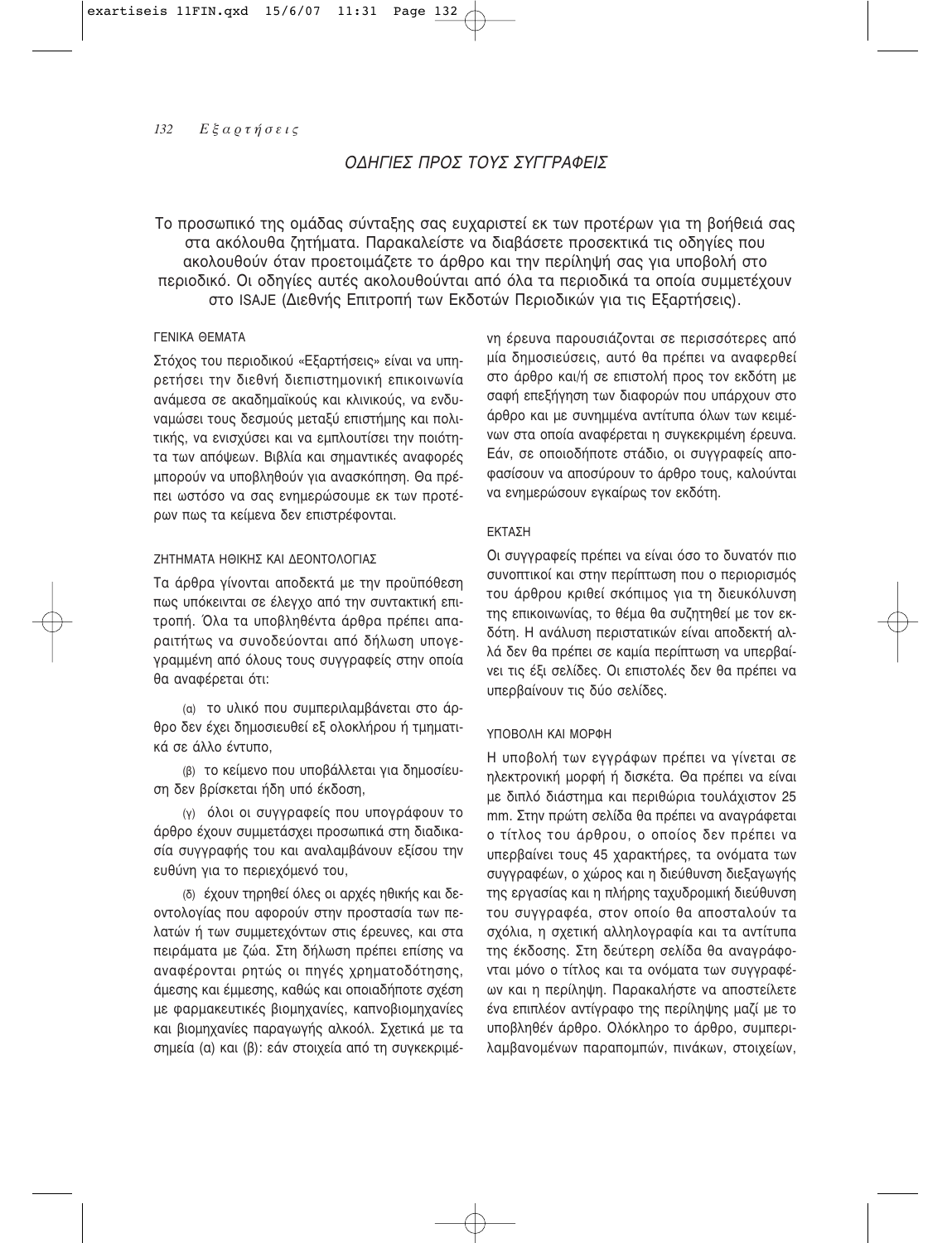# ΟΛΗΓΙΕΣ ΠΡΟΣ ΤΟΥΣ ΣΥΓΓΡΑΦΕΙΣ

Το προσωπικό της ομάδας σύνταξης σας ευχαριστεί εκ των προτέρων για τη βοήθειά σας στα ακόλουθα ζητήματα. Παρακαλείστε να διαβάσετε προσεκτικά τις οδηγίες που ακολουθούν όταν προετοιμάζετε το άρθρο και την περίληψή σας για υποβολή στο περιοδικό. Οι οδηγίες αυτές ακολουθούνται από όλα τα περιοδικά τα οποία συμμετέχουν στο ISAJE (Διεθνής Επιτροπή των Εκδοτών Περιοδικών για τις Εξαρτήσεις).

# *FFNIKA GEMATA*

Στόχος του περιοδικού «Εξαρτήσεις» είναι να υπηρετήσει την διεθνή διεπιστημονική επικοινωνία ανάμεσα σε ακαδημαϊκούς και κλινικούς, να ενδυναμώσει τους δεσμούς μεταξύ επιστήμης και πολιτικής, να ενισχύσει και να εμπλουτίσει την ποιότητα των απόψεων. Βιβλία και σημαντικές αναφορές μπορούν να υποβληθούν για ανασκόπηση. Θα πρέπει ωστόσο να σας ενημερώσουμε εκ των προτέρων πως τα κείμενα δεν επιστρέφονται.

### ΖΗΤΗΜΑΤΑ ΗΘΙΚΗΣ ΚΑΙ ΔΕΟΝΤΟΛΟΓΙΑΣ

Τα άρθρα γίνονται αποδεκτά με την προϋπόθεση πως υπόκεινται σε έλεγχο από την συντακτική επιτροπή. Όλα τα υποβληθέντα άρθρα πρέπει απαραιτήτως να συνοδεύονται από δήλωση υπογεγραμμένη από όλους τους συγγραφείς στην οποία θα αναφέρεται ότι:

(α) το υλικό που συμπεριλαμβάνεται στο άρθρο δεν έχει δημοσιευθεί εξ ολοκλήρου ή τμηματικά σε άλλο έντυπο,

(β) το κείμενο που υποβάλλεται για δημοσίευση δεν βρίσκεται ήδη υπό έκδοση,

(γ) όλοι οι συγγραφείς που υπογράφουν το άρθρο έχουν συμμετάσχει προσωπικά στη διαδικασία συγγραφής του και αναλαμβάνουν εξίσου την ευθύνη για το περιεχόμενό του,

(δ) έχουν τηρηθεί όλες οι αρχές ηθικής και δεοντολογίας που αφορούν στην προστασία των πελατών ή των συμμετεχόντων στις έρευνες, και στα πειράματα με ζώα. Στη δήλωση πρέπει επίσης να αναφέρονται ρητώς οι πηγές χρηματοδότησης, άμεσης και έμμεσης, καθώς και οποιαδήποτε σχέση με φαρμακευτικές βιομηχανίες, καπνοβιομηχανίες και βιομηχανίες παραγωγής αλκοόλ. Σχετικά με τα σημεία (α) και (β): εάν στοιχεία από τη συγκεκριμένη έρευνα παρουσιάζονται σε περισσότερες από μία δημοσιεύσεις, αυτό θα πρέπει να αναφερθεί στο άρθρο και/ή σε επιστολή προς τον εκδότη με σαφή επεξήγηση των διαφορών που υπάρχουν στο άρθρο και με συνημμένα αντίτυπα όλων των κειμένων στα οποία αναφέρεται η συνκεκριμένη έρευνα. Εάν, σε οποιοδήποτε στάδιο, οι συγγραφείς αποφασίσουν να αποσύρουν το άρθρο τους, καλούνται να ενημερώσουν εγκαίρως τον εκδότη.

### ΕΚΤΑΣΗ

Οι συγγραφείς πρέπει να είναι όσο το δυνατόν πιο συνοπτικοί και στην περίπτωση που ο περιορισμός του άρθρου κριθεί σκόπιμος για τη διευκόλυνση της επικοινωνίας, το θέμα θα συζητηθεί με τον εκδότη. Η ανάλυση περιστατικών είναι αποδεκτή αλλά δεν θα πρέπει σε καμία περίπτωση να υπερβαίνει τις έξι σελίδες. Οι επιστολές δεν θα πρέπει να υπερβαίνουν τις δύο σελίδες.

### ҮПОВОЛН КАІ МОРФН

Η υποβολή των εγγράφων πρέπει να γίνεται σε ηλεκτρονική μορφή ή δισκέτα. Θα πρέπει να είναι με διπλό διάστημα και περιθώρια τουλάχιστον 25 mm. Στην πρώτη σελίδα θα πρέπει να αναγράφεται ο τίτλος του άρθρου, ο οποίος δεν πρέπει να υπερβαίνει τους 45 χαρακτήρες, τα ονόματα των συγγραφέων, ο χώρος και η διεύθυνση διεξαγωγής της εργασίας και η πλήρης ταχυδρομική διεύθυνση του συγγραφέα, στον οποίο θα αποσταλούν τα σχόλια, η σχετική αλληλογραφία και τα αντίτυπα της έκδοσης. Στη δεύτερη σελίδα θα αναγράφονται μόνο ο τίτλος και τα ονόματα των συγγραφέων και η περίληψη. Παρακαλήστε να αποστείλετε ένα επιπλέον αντίγραφο της περίληψης μαζί με το υποβληθέν άρθρο. Ολόκληρο το άρθρο, συμπεριλαμβανομένων παραπομπών, πινάκων, στοιχείων,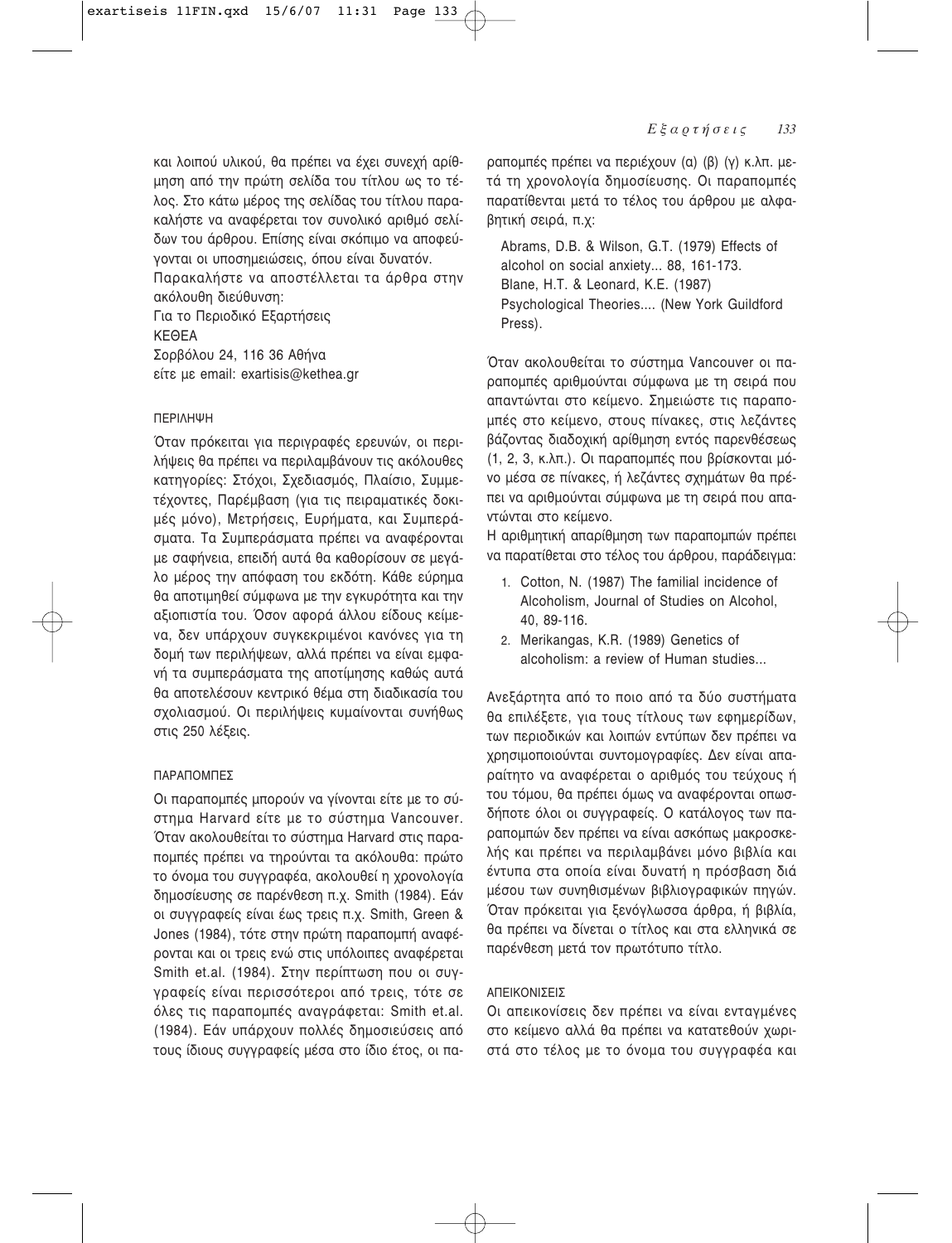και λοιπού υλικού, θα πρέπει να έχει συνεχή αρίθμηση από την πρώτη σελίδα του τίτλου ως το τέλος. Στο κάτω μέρος της σελίδας του τίτλου παρακαλήστε να αναφέρεται τον συνολικό αριθμό σελίδων του άρθρου. Επίσης είναι σκόπιμο να αποφεύγονται οι υποσημειώσεις, όπου είναι δυνατόν.

Παρακαλήστε να αποστέλλεται τα άρθρα στην ακόλουθη διεύθυνση:

Για το Περιοδικό Εξαρτήσεις KEOEA Σορβόλου 24, 116 36 Αθήνα είτε με email: exartisis@kethea.gr

### ПЕРІЛНФН

Όταν πρόκειται για περιγραφές ερευνών, οι περιλήψεις θα πρέπει να περιλαμβάνουν τις ακόλουθες κατηγορίες: Στόχοι, Σχεδιασμός, Πλαίσιο, Συμμετέχοντες, Παρέμβαση (για τις πειραματικές δοκιμές μόνο), Μετρήσεις, Ευρήματα, και Συμπεράσματα. Τα Συμπεράσματα πρέπει να αναφέρονται με σαφήνεια, επειδή αυτά θα καθορίσουν σε μεγάλο μέρος την απόφαση του εκδότη. Κάθε εύρημα θα αποτιμηθεί σύμφωνα με την εγκυρότητα και την αξιοπιστία του. Όσον αφορά άλλου είδους κείμενα, δεν υπάρχουν συγκεκριμένοι κανόνες για τη δομή των περιλήψεων, αλλά πρέπει να είναι εμφανή τα συμπεράσματα της αποτίμησης καθώς αυτά θα αποτελέσουν κεντρικό θέμα στη διαδικασία του σχολιασμού. Οι περιλήψεις κυμαίνονται συνήθως στις 250 λέξεις.

# ΠΑΡΑΠΟΜΠΕΣ

Οι παραπομπές μπορούν να γίνονται είτε με το σύστημα Harvard είτε με το σύστημα Vancouver. Όταν ακολουθείται το σύστημα Harvard στις παραπομπές πρέπει να τηρούνται τα ακόλουθα: πρώτο το όνομα του συγγραφέα, ακολουθεί η χρονολογία δημοσίευσης σε παρένθεση π.χ. Smith (1984). Εάν οι συγγραφείς είναι έως τρεις π.χ. Smith, Green & Jones (1984), τότε στην πρώτη παραπομπή αναφέρονται και οι τρεις ενώ στις υπόλοιπες αναφέρεται Smith et.al. (1984). Στην περίπτωση που οι συγγραφείς είναι περισσότεροι από τρεις, τότε σε όλες τις παραπομπές αναγράφεται: Smith et.al. (1984). Εάν υπάρχουν πολλές δημοσιεύσεις από τους ίδιους συγγραφείς μέσα στο ίδιο έτος, οι πα-

### Εξαρτήσεις 133

ραπομπές πρέπει να περιέχουν (α) (β) (γ) κ.λπ. μετά τη χρονολογία δημοσίευσης. Οι παραπομπές παρατίθενται μετά το τέλος του άρθρου με αλφαβητική σειρά, π.χ:

Abrams, D.B. & Wilson, G.T. (1979) Effects of alcohol on social anxiety... 88, 161-173. Blane, H.T. & Leonard, K.E. (1987) Psychological Theories.... (New York Guildford Press).

Όταν ακολουθείται το σύστημα Vancouver οι παραπομπές αριθμούνται σύμφωνα με τη σειρά που απαντώνται στο κείμενο. Σημειώστε τις παραπομπές στο κείμενο, στους πίνακες, στις λεζάντες βάζοντας διαδοχική αρίθμηση εντός παρενθέσεως (1, 2, 3, κ.λπ.). Οι παραπομπές που βρίσκονται μόνο μέσα σε πίνακες, ή λεζάντες σχημάτων θα πρέπει να αριθμούνται σύμφωνα με τη σειρά που απαντώνται στο κείμενο.

Η αριθμητική απαρίθμηση των παραπομπών πρέπει να παρατίθεται στο τέλος του άρθρου, παράδειγμα:

- 1. Cotton, N. (1987) The familial incidence of Alcoholism, Journal of Studies on Alcohol, 40, 89-116.
- 2. Merikangas, K.R. (1989) Genetics of alcoholism: a review of Human studies...

Ανεξάρτητα από το ποιο από τα δύο συστήματα θα επιλέξετε, για τους τίτλους των εφημερίδων, των περιοδικών και λοιπών εντύπων δεν πρέπει να χρησιμοποιούνται συντομογραφίες. Δεν είναι απαραίτητο να αναφέρεται ο αριθμός του τεύχους ή του τόμου, θα πρέπει όμως να αναφέρονται οπωσδήποτε όλοι οι συγγραφείς. Ο κατάλογος των παραπομπών δεν πρέπει να είναι ασκόπως μακροσκελής και πρέπει να περιλαμβάνει μόνο βιβλία και έντυπα στα οποία είναι δυνατή η πρόσβαση διά μέσου των συνηθισμένων βιβλιογραφικών πηγών. Όταν πρόκειται για ξενόγλωσσα άρθρα, ή βιβλία, θα πρέπει να δίνεται ο τίτλος και στα ελληνικά σε παρένθεση μετά τον πρωτότυπο τίτλο.

# ΑΠΕΙΚΟΝΙΣΕΙΣ

Οι απεικονίσεις δεν πρέπει να είναι ενταγμένες στο κείμενο αλλά θα πρέπει να κατατεθούν χωριστά στο τέλος με το όνομα του συγγραφέα και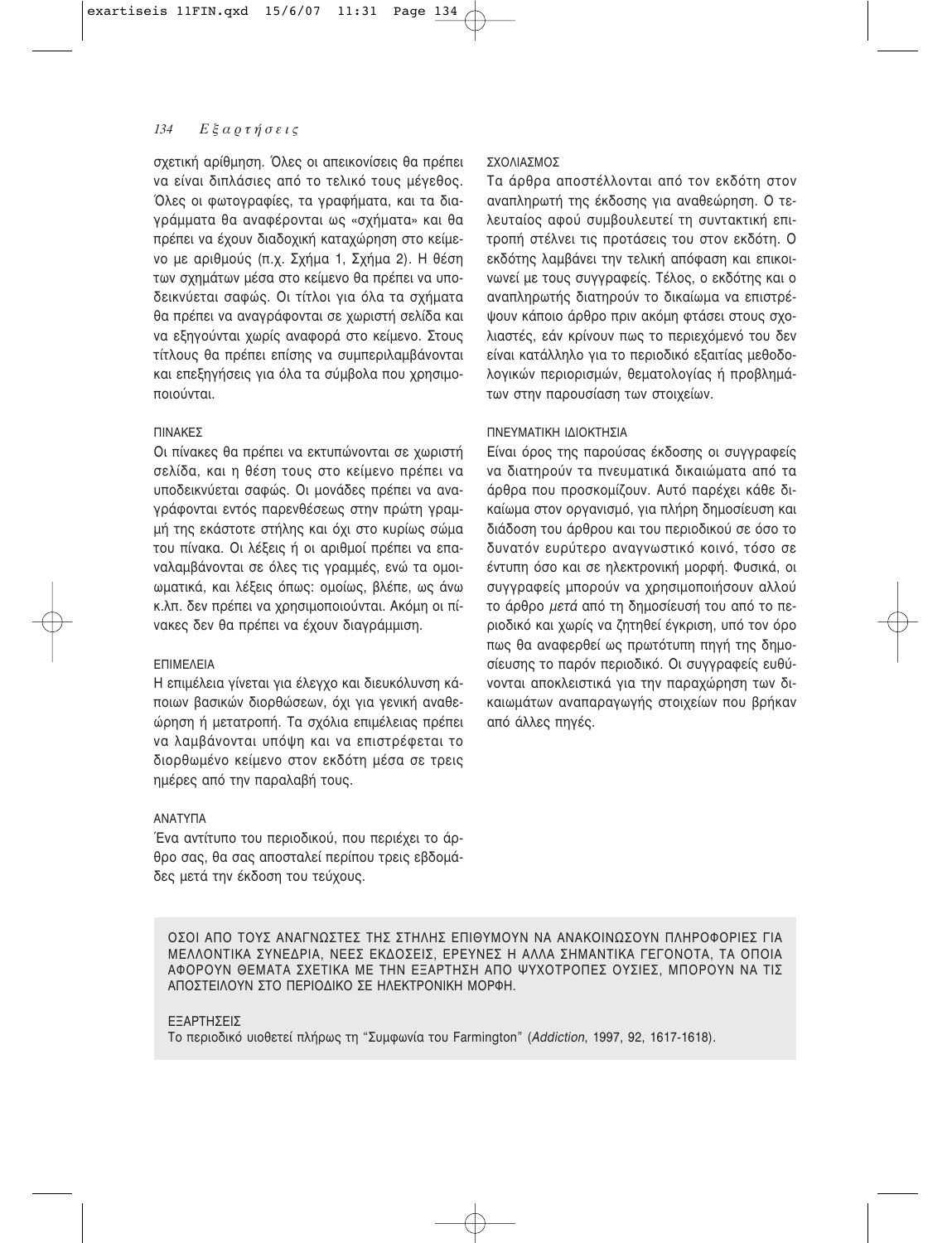σχετική αρίθμηση. Όλες οι απεικονίσεις θα πρέπει να είναι διπλάσιες από το τελικό τους μέγεθος. Όλες οι φωτογραφίες, τα γραφήματα, και τα διαγράμματα θα αναφέρονται ως «σχήματα» και θα πρέπει να έχουν διαδοχική καταχώρηση στο κείμενο με αριθμούς (π.χ. Σχήμα 1, Σχήμα 2). Η θέση των σχημάτων μέσα στο κείμενο θα πρέπει να υποδεικνύεται σαφώς. Οι τίτλοι για όλα τα σχήματα θα πρέπει να αναγράφονται σε χωριστή σελίδα και να εξηγούνται χωρίς αναφορά στο κείμενο. Στους τίτλους θα πρέπει επίσης να συμπεριλαμβάνονται και επεξηγήσεις για όλα τα σύμβολα που χρησιμοποιούνται.

### ΠΙΝΑΚΕΣ

Οι πίνακες θα πρέπει να εκτυπώνονται σε χωριστή σελίδα, και η θέση τους στο κείμενο πρέπει να υποδεικνύεται σαφώς. Οι μονάδες πρέπει να αναγράφονται εντός παρενθέσεως στην πρώτη γραμμή της εκάστοτε στήλης και όχι στο κυρίως σώμα του πίνακα. Οι λέξεις ή οι αριθμοί πρέπει να επαναλαμβάνονται σε όλες τις γραμμές, ενώ τα ομοιωματικά, και λέξεις όπως: ομοίως, βλέπε, ως άνω κ.λπ. δεν πρέπει να χρησιμοποιούνται. Ακόμη οι πίνακες δεν θα πρέπει να έχουν διαγράμμιση.

### **FUIMFAFIA**

Η επιμέλεια γίνεται για έλεγχο και διευκόλυνση κάποιων βασικών διορθώσεων, όχι για γενική αναθεώρηση ή μετατροπή. Τα σχόλια επιμέλειας πρέπει να λαμβάνονται υπόψη και να επιστρέφεται το διορθωμένο κείμενο στον εκδότη μέσα σε τρεις ημέρες από την παραλαβή τους.

### ANATYΠA

Ένα αντίτυπο του περιοδικού, που περιέχει το άρθρο σας, θα σας αποσταλεί περίπου τρεις εβδομάδες μετά την έκδοση του τεύχους.

### ΣΧΟΛΙΑΣΜΟΣ

Τα άρθρα αποστέλλονται από τον εκδότη στον αναπληρωτή της έκδοσης για αναθεώρηση. Ο τελευταίος αφού συμβουλευτεί τη συντακτική επιτροπή στέλνει τις προτάσεις του στον εκδότη. Ο εκδότης λαμβάνει την τελική απόφαση και επικοινωνεί με τους συγγραφείς. Τέλος, ο εκδότης και ο αναπληρωτής διατηρούν το δικαίωμα να επιστρέψουν κάποιο άρθρο πριν ακόμη φτάσει στους σχολιαστές, εάν κρίνουν πως το περιεχόμενό του δεν είναι κατάλληλο για το περιοδικό εξαιτίας μεθοδολογικών περιορισμών, θεματολογίας ή προβλημάτων στην παρουσίαση των στοιχείων.

### ΠΝΕΥΜΑΤΙΚΗ ΙΛΙΟΚΤΗΣΙΑ

Είναι όρος της παρούσας έκδοσης οι συγγραφείς να διατηρούν τα πνευματικά δικαιώματα από τα άρθρα που προσκομίζουν. Αυτό παρέχει κάθε δικαίωμα στον οργανισμό, για πλήρη δημοσίευση και διάδοση του άρθρου και του περιοδικού σε όσο το δυνατόν ευρύτερο αναγνωστικό κοινό, τόσο σε έντυπη όσο και σε ηλεκτρονική μορφή. Φυσικά, οι συγγραφείς μπορούν να χρησιμοποιήσουν αλλού το άρθρο μετά από τη δημοσίευσή του από το περιοδικό και χωρίς να ζητηθεί έγκριση, υπό τον όρο πως θα αναφερθεί ως πρωτότυπη πηγή της δημοσίευσης το παρόν περιοδικό. Οι συγγραφείς ευθύνονται αποκλειστικά για την παραχώρηση των δικαιωμάτων αναπαραγωγής στοιχείων που βρήκαν από άλλες πηγές.

ΟΣΟΙ ΑΠΟ ΤΟΥΣ ΑΝΑΓΝΩΣΤΕΣ ΤΗΣ ΣΤΗΛΗΣ ΕΠΙΘΥΜΟΥΝ ΝΑ ΑΝΑΚΟΙΝΩΣΟΥΝ ΠΛΗΡΟΦΟΡΙΕΣ ΓΙΑ ΜΕΛΛΟΝΤΙΚΑ ΣΥΝΕΔΡΙΑ, ΝΕΕΣ ΕΚΔΟΣΕΙΣ, ΕΡΕΥΝΕΣ Η ΑΛΛΑ ΣΗΜΑΝΤΙΚΑ ΓΕΓΟΝΟΤΑ, ΤΑ ΟΠΟΙΑ ΑΦΟΡΟΥΝ ΘΕΜΑΤΑ ΣΧΕΤΙΚΑ ΜΕ ΤΗΝ ΕΞΑΡΤΗΣΗ ΑΠΟ ΨΥΧΟΤΡΟΠΕΣ ΟΥΣΙΕΣ, ΜΠΟΡΟΥΝ ΝΑ ΤΙΣ ΑΠΟΣΤΕΙΛΟΥΝ ΣΤΟ ΠΕΡΙΟΔΙΚΟ ΣΕ ΗΛΕΚΤΡΟΝΙΚΗ ΜΟΡΦΗ.

### ΕΞΑΡΤΗΣΕΙΣ

Το περιοδικό υιοθετεί πλήρως τη "Συμφωνία του Farmington" (Addiction, 1997, 92, 1617-1618).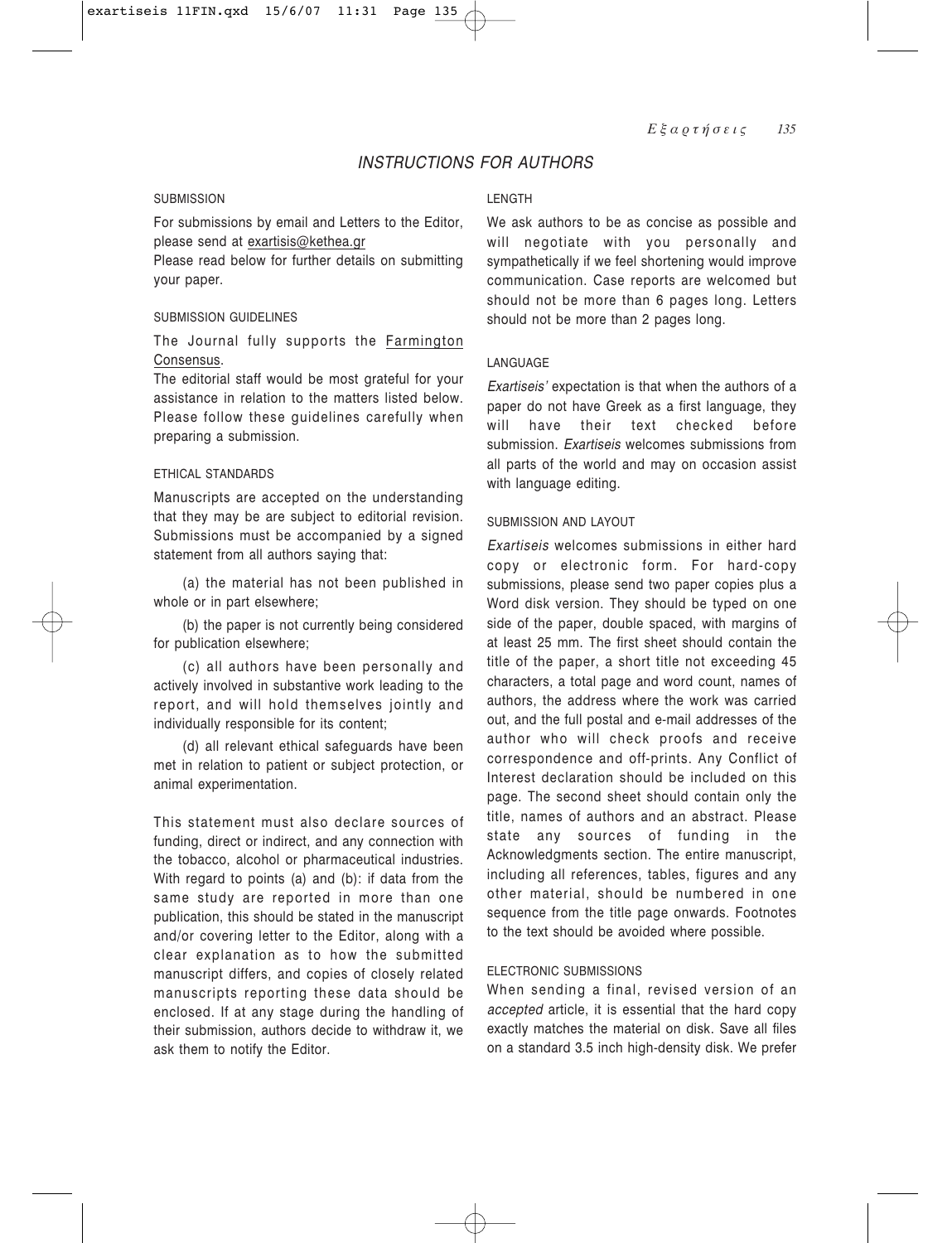# *INSTRUCTIONS FOR AUTHORS*

### SUBMISSION

For submissions by email and Letters to the Editor, please send at exartisis@kethea.gr

exartiseis 11FIN.qxd 15/6/07 11:31 Page 135

Please read below for further details on submitting your paper.

### SUBMISSION GUIDELINES

The Journal fully supports the Farmington Consensus.

The editorial staff would be most grateful for your assistance in relation to the matters listed below. Please follow these guidelines carefully when preparing a submission.

### ETHICAL STANDARDS

Manuscripts are accepted on the understanding that they may be are subject to editorial revision. Submissions must be accompanied by a signed statement from all authors saying that:

(a) the material has not been published in whole or in part elsewhere;

(b) the paper is not currently being considered for publication elsewhere;

(c) all authors have been personally and actively involved in substantive work leading to the report, and will hold themselves jointly and individually responsible for its content;

(d) all relevant ethical safeguards have been met in relation to patient or subject protection, or animal experimentation.

This statement must also declare sources of funding, direct or indirect, and any connection with the tobacco, alcohol or pharmaceutical industries. With regard to points (a) and (b): if data from the same study are reported in more than one publication, this should be stated in the manuscript and/or covering letter to the Editor, along with a clear explanation as to how the submitted manuscript differs, and copies of closely related manuscripts reporting these data should be enclosed. If at any stage during the handling of their submission, authors decide to withdraw it, we ask them to notify the Editor.

### LENGTH

We ask authors to be as concise as possible and will negotiate with you personally and sympathetically if we feel shortening would improve communication. Case reports are welcomed but should not be more than 6 pages long. Letters should not be more than 2 pages long.

### LANGUAGE

*Exartiseis'* expectation is that when the authors of a paper do not have Greek as a first language, they will have their text checked before submission. *Exartiseis* welcomes submissions from all parts of the world and may on occasion assist with language editing.

### SUBMISSION AND LAYOUT

*Exartiseis* welcomes submissions in either hard copy or electronic form. For hard-copy submissions, please send two paper copies plus a Word disk version. They should be typed on one side of the paper, double spaced, with margins of at least 25 mm. The first sheet should contain the title of the paper, a short title not exceeding 45 characters, a total page and word count, names of authors, the address where the work was carried out, and the full postal and e-mail addresses of the author who will check proofs and receive correspondence and off-prints. Any Conflict of Interest declaration should be included on this page. The second sheet should contain only the title, names of authors and an abstract. Please state any sources of funding in the Acknowledgments section. The entire manuscript, including all references, tables, figures and any other material, should be numbered in one sequence from the title page onwards. Footnotes to the text should be avoided where possible.

### ELECTRONIC SUBMISSIONS

When sending a final, revised version of an *accepted* article, it is essential that the hard copy exactly matches the material on disk. Save all files on a standard 3.5 inch high-density disk. We prefer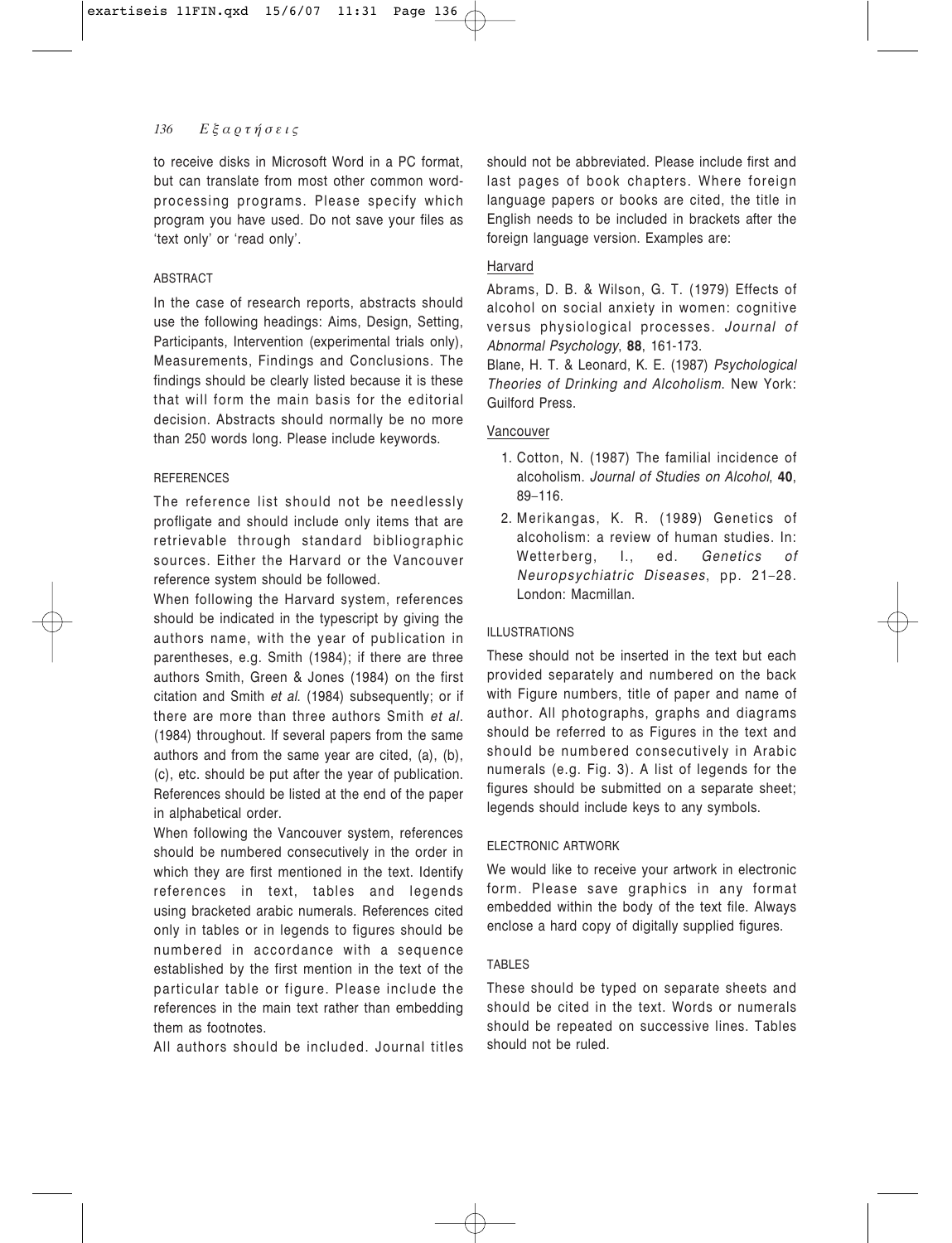to receive disks in Microsoft Word in a PC format, but can translate from most other common wordprocessing programs. Please specify which program you have used. Do not save your files as 'text only' or 'read only'.

# ABSTRACT

In the case of research reports, abstracts should use the following headings: Aims, Design, Setting, Participants, Intervention (experimental trials only), Measurements, Findings and Conclusions. The findings should be clearly listed because it is these that will form the main basis for the editorial decision. Abstracts should normally be no more than 250 words long. Please include keywords.

### **REFERENCES**

The reference list should not be needlessly profligate and should include only items that are retrievable through standard bibliographic sources. Either the Harvard or the Vancouver reference system should be followed.

When following the Harvard system, references should be indicated in the typescript by giving the authors name, with the year of publication in parentheses, e.g. Smith (1984); if there are three authors Smith, Green & Jones (1984) on the first citation and Smith *et al*. (1984) subsequently; or if there are more than three authors Smith *et al*. (1984) throughout. If several papers from the same authors and from the same year are cited, (a), (b), (c), etc. should be put after the year of publication. References should be listed at the end of the paper in alphabetical order.

When following the Vancouver system, references should be numbered consecutively in the order in which they are first mentioned in the text. Identify references in text, tables and legends using bracketed arabic numerals. References cited only in tables or in legends to figures should be numbered in accordance with a sequence established by the first mention in the text of the particular table or figure. Please include the references in the main text rather than embedding them as footnotes.

All authors should be included. Journal titles

should not be abbreviated. Please include first and last pages of book chapters. Where foreign language papers or books are cited, the title in English needs to be included in brackets after the foreign language version. Examples are:

### **Harvard**

Abrams, D. B. & Wilson, G. T. (1979) Effects of alcohol on social anxiety in women: cognitive versus physiological processes. *Journal of Abnormal Psychology*, **88**, 161-173.

Blane, H. T. & Leonard, K. E. (1987) *Psychological Theories of Drinking and Alcoholism*. New York: Guilford Press.

## Vancouver

- 1. Cotton, N. (1987) The familial incidence of alcoholism. *Journal of Studies on Alcohol*, **40**, 89–116.
- 2. Merikangas, K. R. (1989) Genetics of alcoholism: a review of human studies. In: Wetterberg, I., ed. *Genetics of Neuropsychiatric Diseases*, pp. 21–28. London: Macmillan.

### ILLUSTRATIONS

These should not be inserted in the text but each provided separately and numbered on the back with Figure numbers, title of paper and name of author. All photographs, graphs and diagrams should be referred to as Figures in the text and should be numbered consecutively in Arabic numerals (e.g. Fig. 3). A list of legends for the figures should be submitted on a separate sheet; legends should include keys to any symbols.

### ELECTRONIC ARTWORK

We would like to receive your artwork in electronic form. Please save graphics in any format embedded within the body of the text file. Always enclose a hard copy of digitally supplied figures.

### TABLES

These should be typed on separate sheets and should be cited in the text. Words or numerals should be repeated on successive lines. Tables should not be ruled.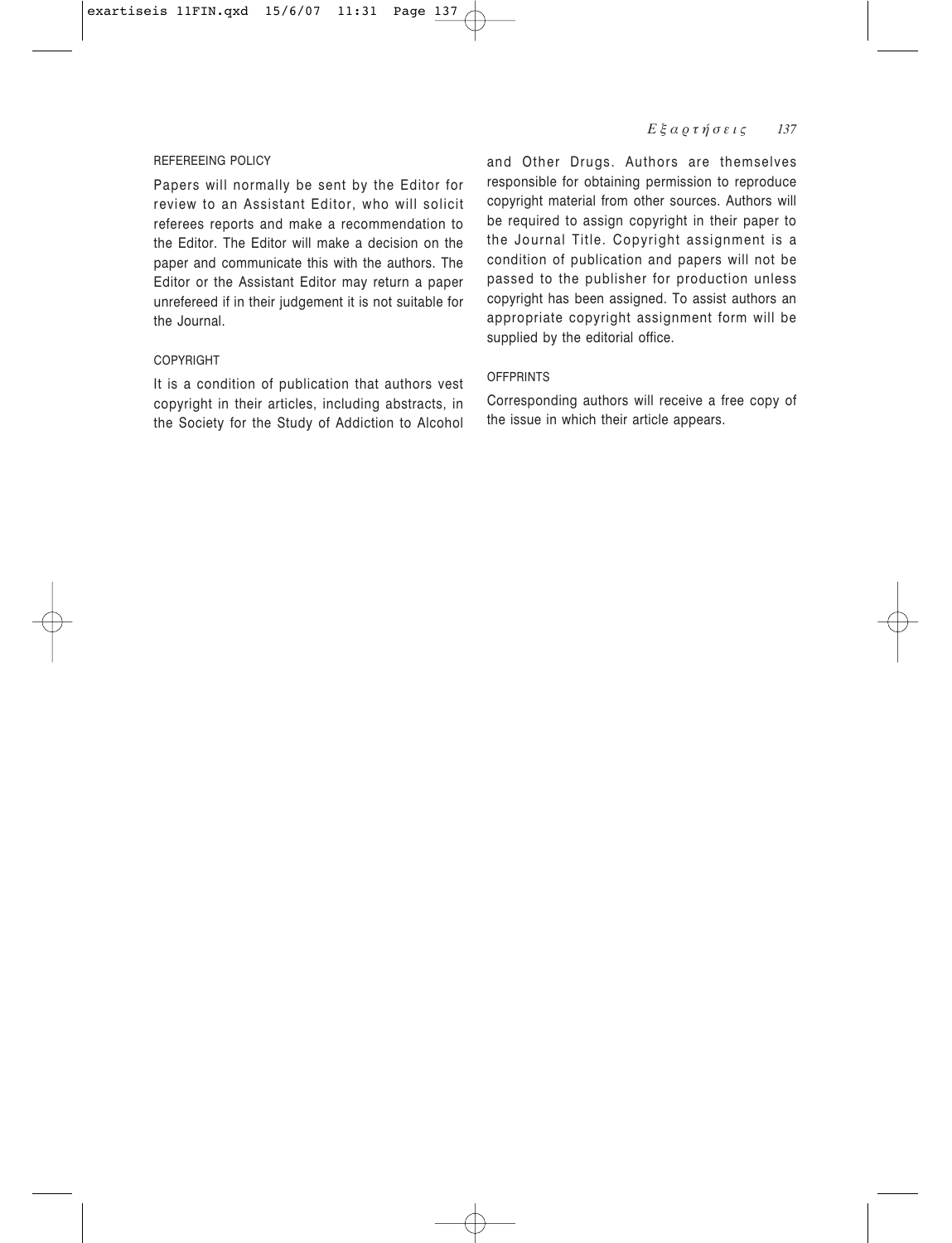# REFEREEING POLICY

Papers will normally be sent by the Editor for review to an Assistant Editor, who will solicit referees reports and make a recommendation to the Editor. The Editor will make a decision on the paper and communicate this with the authors. The Editor or the Assistant Editor may return a paper unrefereed if in their judgement it is not suitable for the Journal.

### COPYRIGHT

It is a condition of publication that authors vest copyright in their articles, including abstracts, in the Society for the Study of Addiction to Alcohol

### *Εξαρτήσεις 137*

and Other Drugs. Authors are themselves responsible for obtaining permission to reproduce copyright material from other sources. Authors will be required to assign copyright in their paper to the Journal Title. Copyright assignment is a condition of publication and papers will not be passed to the publisher for production unless copyright has been assigned. To assist authors an appropriate copyright assignment form will be supplied by the editorial office.

# **OFFPRINTS**

Corresponding authors will receive a free copy of the issue in which their article appears.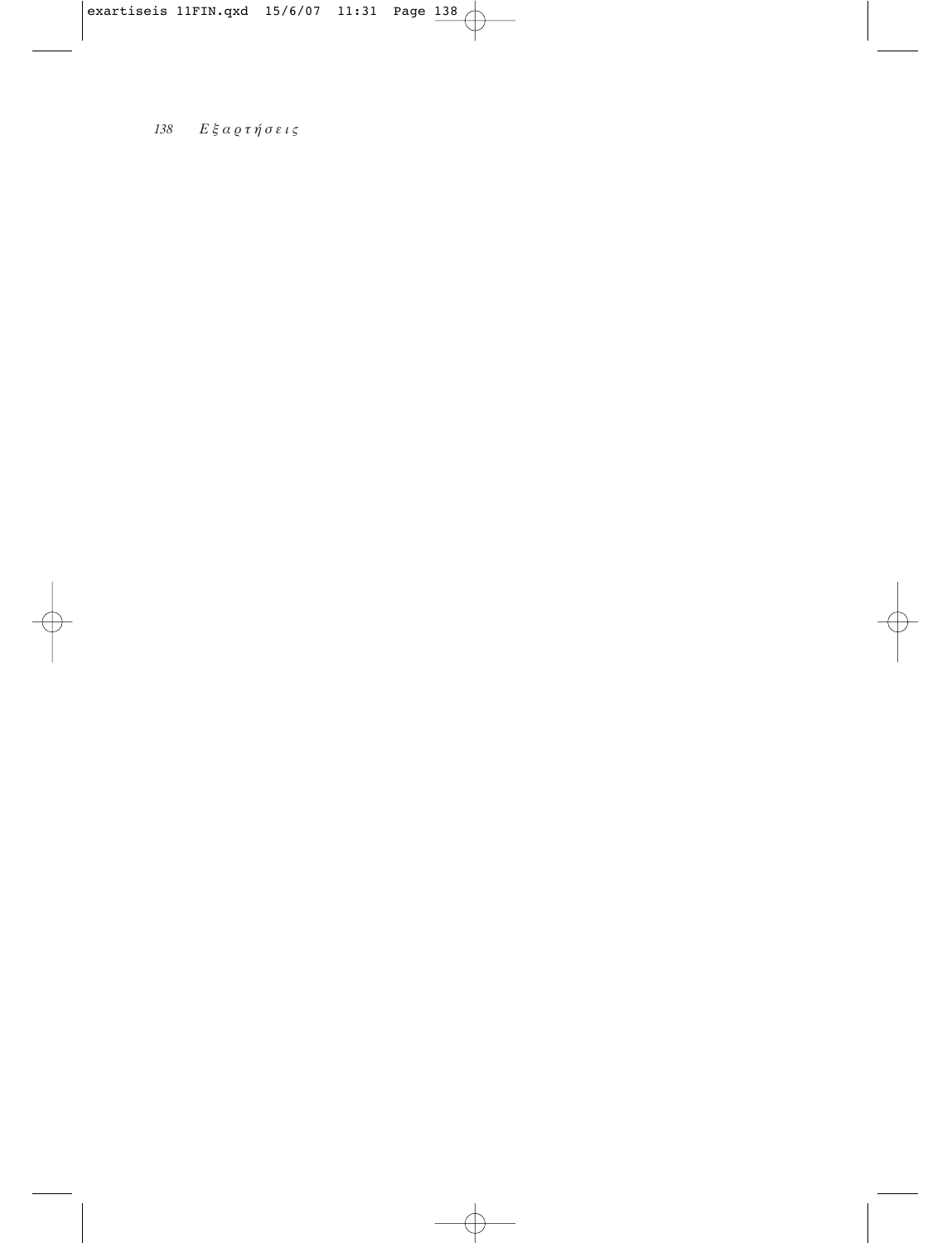$E$ ξαρτήσεις 138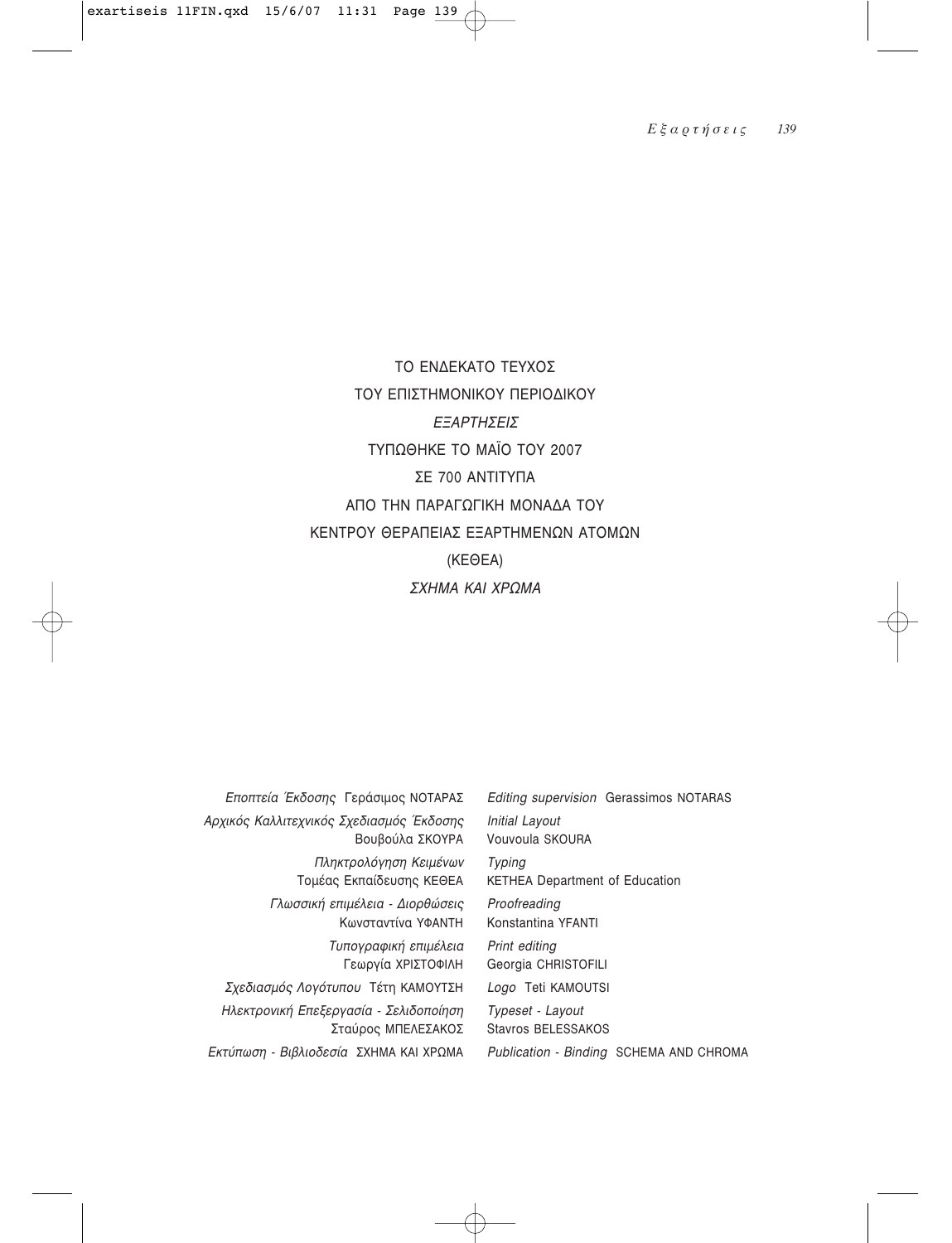ΤΟ ΕΝΔΕΚΑΤΟ ΤΕΥΧΟΣ ΤΟΥ ΕΠΙΣΤΗΜΟΝΙΚΟΥ ΠΕΡΙΟΔΙΚΟΥ ΕΞΑΡΤΗΣΕΙΣ ΤΥΠΩΘΗΚΕ ΤΟ ΜΑΪ́Ο ΤΟΥ 2007 ΣΕ 700 ΑΝΤΙΤΥΠΑ ΑΠΟ ΤΗΝ ΠΑΡΑΓΩΓΙΚΗ ΜΟΝΑΔΑ ΤΟΥ ΚΕΝΤΡΟΥ ΘΕΡΑΠΕΙΑΣ ΕΞΑΡΤΗΜΕΝΩΝ ΑΤΟΜΩΝ  $(KEOEA)$ ΣΧΗΜΑ ΚΑΙ ΧΡΩΜΑ

exartiseis 11FIN.qxd 15/6/07 11:31 Page 139

| Εποπτεία Έκδοσης Γεράσιμος ΝΟΤΑΡΑΣ       | <b>Editing supervision Gerassimos NOTARAS</b> |
|------------------------------------------|-----------------------------------------------|
| Αρχικός Καλλιτεχνικός Σχεδιασμός Έκδοσης | <b>Initial Layout</b>                         |
| Βουβούλα ΣΚΟΥΡΑ                          | Vouvoula SKOURA                               |
| Πληκτρολόγηση Κειμένων                   | Typing                                        |
| Τομέας Εκπαίδευσης ΚΕΘΕΑ                 | <b>KETHEA Department of Education</b>         |
| Γλωσσική επιμέλεια - Διορθώσεις          | Proofreading                                  |
| Κωνσταντίνα ΥΦΑΝΤΗ                       | Konstantina YFANTI                            |
| Τυπογραφική επιμέλεια                    | Print editing                                 |
| Γεωργία ΧΡΙΣΤΟΦΙΛΗ                       | Georgia CHRISTOFILI                           |
| Σχεδιασμός Λογότυπου Τέτη ΚΑΜΟΥΤΣΗ       | Logo Teti KAMOUTSI                            |
| Ηλεκτρονική Επεξεργασία - Σελιδοποίηση   | Typeset - Layout                              |
| Σταύρος ΜΠΕΛΕΣΑΚΟΣ                       | Stavros BELESSAKOS                            |
| Εκτύπωση - Βιβλιοδεσία ΣΧΗΜΑ ΚΑΙ ΧΡΩΜΑ   | Publication - Binding SCHEMA AND CHROMA       |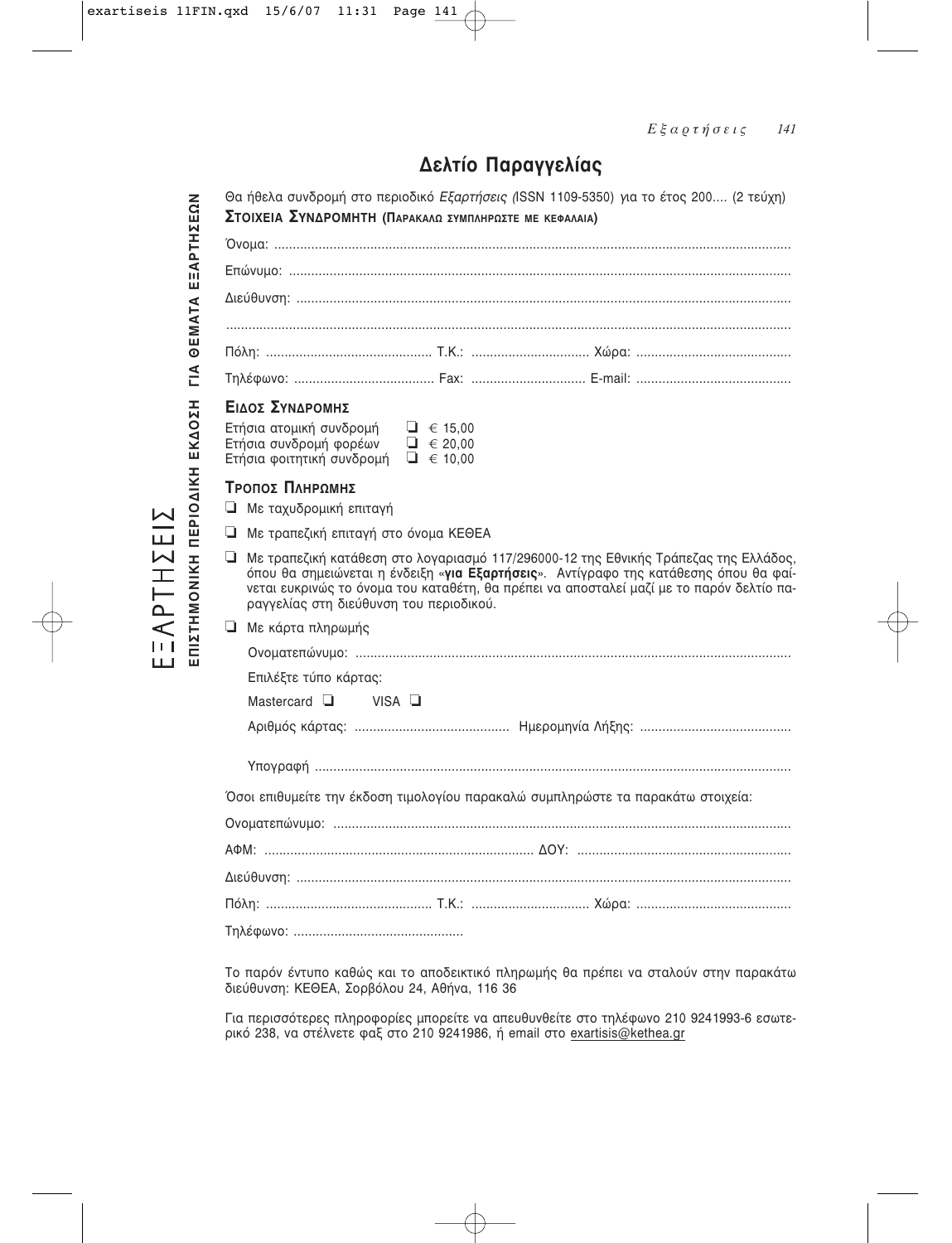# Δελτίο Παραγγελίας

 $\mathbf{H}$ 

Θα ήθελα συνδρομή στο περιοδικό Εξαρτήσεις (ISSN 1109-5350) για το έτος 200.... (2 τεύχη) **OEMATA EEAPTHIEON** ΣΤΟΙΧΕΙΑ ΣΥΝΔΡΟΜΗΤΗ (ΠΑΡΑΚΑΛΩ ΣΥΜΠΛΗΡΩΣΤΕ ΜΕ ΚΕΦΑΛΑΙΑ)  $\sum_{i=1}^{n}$ ΕΠΙΣΤΗΜΟΝΙΚΗ ΠΕΡΙΟΔΙΚΗ ΕΚΔΟΣΗ ΕΙΔΟΣ ΣΥΝΔΡΟΜΗΣ Ετήσια ατομική συνδρομή  $\Box$   $\in$  15.00  $\Box \in 20.00$ Ετήσια συνδρομή φορέων  $\overline{\mathbf{u}} \in 10,00$ Ετήσια φοιτητική συνδρομή ΤΡΟΠΟΣ ΠΛΗΡΩΜΗΣ **Β** Με ταχυδρομική επιταγή **4** Με τραπεζική επιταγή στο όνομα ΚΕΘΕΑ  $\Box$  Με τραπεζική κατάθεση στο λογαριασμό 117/296000-12 της Εθνικής Τράπεζας της Ελλάδος, όπου θα σημειώνεται η ένδειξη «για Εξαρτήσεις». Αντίγραφο της κατάθεσης όπου θα φαίνεται ευκρινώς το όνομα του καταθέτη, θα πρέπει να αποσταλεί μαζί με το παρόν δελτίο παραγγελίας στη διεύθυνση του περιοδικού. **α** Με κάρτα πληρωμής Επιλέξτε τύπο κάρτας: VISA O Mastercard  $\Box$ Όσοι επιθυμείτε την έκδοση τιμολογίου παρακαλώ συμπληρώστε τα παρακάτω στοιχεία: 

Το παρόν έντυπο καθώς και το αποδεικτικό πληρωμής θα πρέπει να σταλούν στην παρακάτω διεύθυνση: ΚΕΘΕΑ, Σορβόλου 24, Αθήνα, 116 36

Για περισσότερες πληροφορίες μπορείτε να απευθυνθείτε στο τηλέφωνο 210 9241993-6 εσωτερικό 238, να στέλνετε φαξ στο 210 9241986, ή email στο exartisis@kethea.gr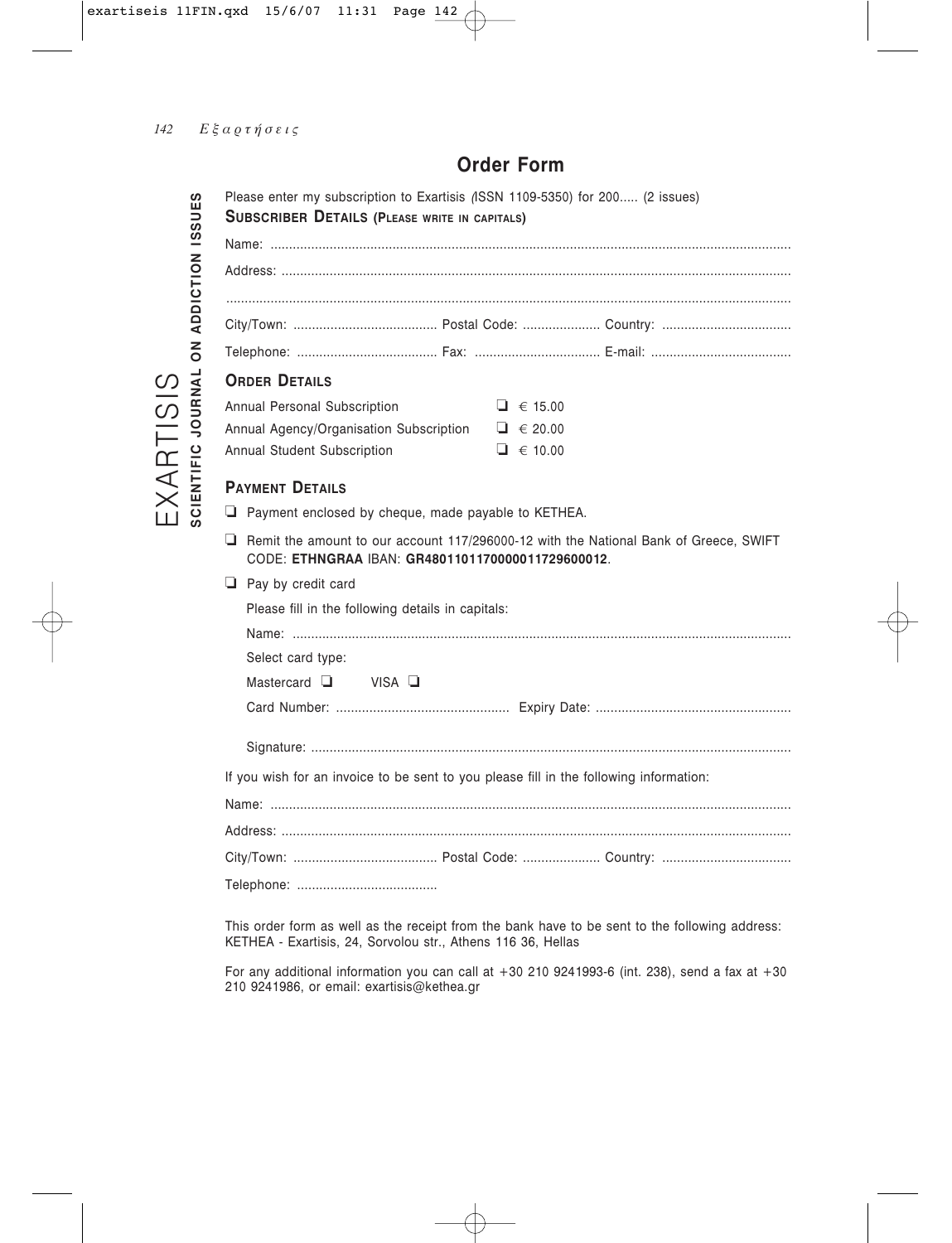# **Order Form**

|                    | <b>ISSUES</b><br><b>ON ADDICTION</b> |
|--------------------|--------------------------------------|
| י                  | ₹                                    |
| $\overline{\zeta}$ | JOURN                                |
| ŀ                  | <b>SCIENTIFIC</b>                    |

| Please enter my subscription to Exartisis (ISSN 1109-5350) for 200 (2 issues)<br><b>SUBSCRIBER DETAILS (PLEASE WRITE IN CAPITALS)</b> |                                                                                              |
|---------------------------------------------------------------------------------------------------------------------------------------|----------------------------------------------------------------------------------------------|
|                                                                                                                                       |                                                                                              |
|                                                                                                                                       |                                                                                              |
|                                                                                                                                       |                                                                                              |
|                                                                                                                                       |                                                                                              |
|                                                                                                                                       |                                                                                              |
| <b>ORDER DETAILS</b>                                                                                                                  |                                                                                              |
| Annual Personal Subscription                                                                                                          | $\Box$ $\in$ 15.00                                                                           |
| Annual Agency/Organisation Subscription                                                                                               | $\Box$ $\in$ 20.00                                                                           |
| Annual Student Subscription                                                                                                           | $\Box$ $\in$ 10.00                                                                           |
| <b>PAYMENT DETAILS</b>                                                                                                                |                                                                                              |
| $\Box$ Payment enclosed by cheque, made payable to KETHEA.                                                                            |                                                                                              |
| CODE: ETHNGRAA IBAN: GR4801101170000011729600012.                                                                                     | $\Box$ Remit the amount to our account 117/296000-12 with the National Bank of Greece, SWIFT |
| $\Box$ Pay by credit card                                                                                                             |                                                                                              |
| Please fill in the following details in capitals:                                                                                     |                                                                                              |
|                                                                                                                                       |                                                                                              |
| Select card type:                                                                                                                     |                                                                                              |
| Mastercard $\Box$ VISA $\Box$                                                                                                         |                                                                                              |
|                                                                                                                                       |                                                                                              |
|                                                                                                                                       |                                                                                              |
| If you wish for an invoice to be sent to you please fill in the following information:                                                |                                                                                              |
|                                                                                                                                       |                                                                                              |
|                                                                                                                                       |                                                                                              |
|                                                                                                                                       |                                                                                              |
|                                                                                                                                       |                                                                                              |
|                                                                                                                                       |                                                                                              |

This order form as well as the receipt from the bank have to be sent to the following address: KETHEA - Exartisis, 24, Sorvolou str., Athens 116 36, Hellas

For any additional information you can call at  $+30$  210 9241993-6 (int. 238), send a fax at  $+30$ 210 9241986, or email: exartisis@kethea.gr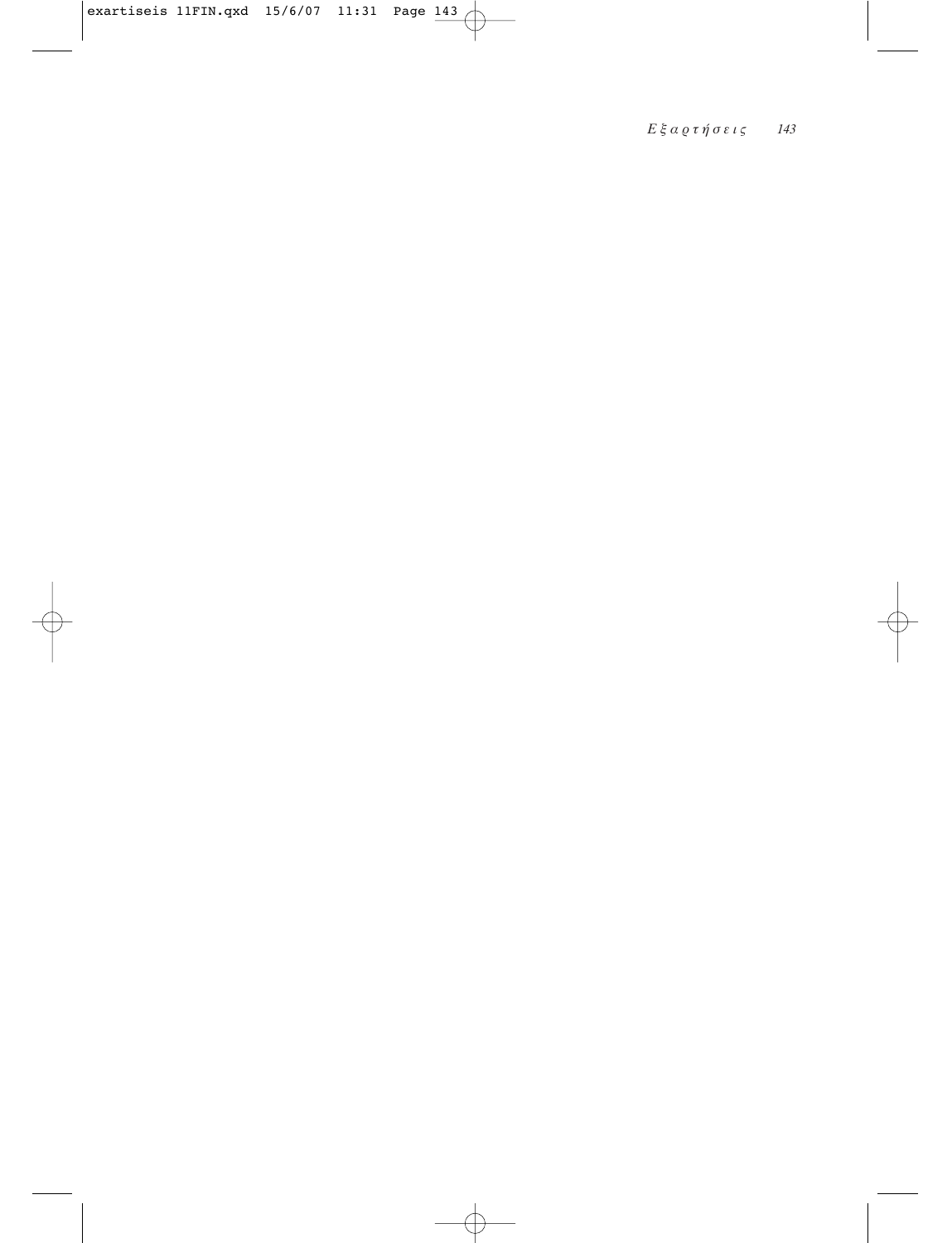$E$ ξαρτήσεις